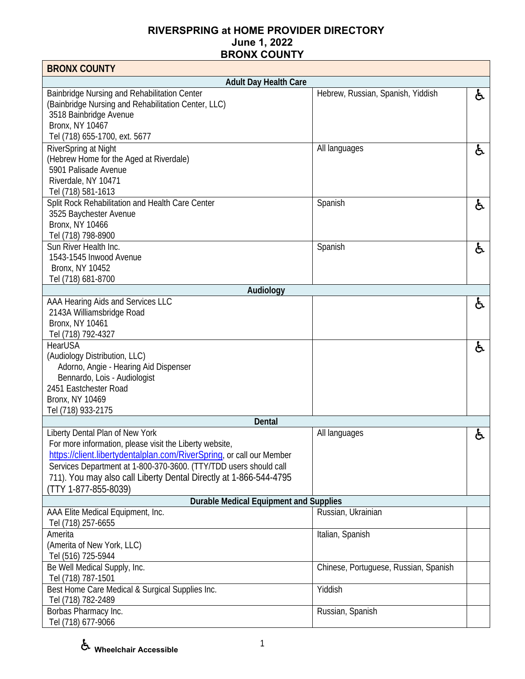| <b>BRONX COUNTY</b>                                                                                                                                                                                                                                                                                                                 |                                       |    |
|-------------------------------------------------------------------------------------------------------------------------------------------------------------------------------------------------------------------------------------------------------------------------------------------------------------------------------------|---------------------------------------|----|
| <b>Adult Day Health Care</b>                                                                                                                                                                                                                                                                                                        |                                       |    |
| Bainbridge Nursing and Rehabilitation Center<br>(Bainbridge Nursing and Rehabilitation Center, LLC)<br>3518 Bainbridge Avenue<br>Bronx, NY 10467<br>Tel (718) 655-1700, ext. 5677                                                                                                                                                   | Hebrew, Russian, Spanish, Yiddish     | と  |
| RiverSpring at Night<br>(Hebrew Home for the Aged at Riverdale)<br>5901 Palisade Avenue<br>Riverdale, NY 10471<br>Tel (718) 581-1613                                                                                                                                                                                                | All languages                         | ė. |
| Split Rock Rehabilitation and Health Care Center<br>3525 Baychester Avenue<br><b>Bronx, NY 10466</b><br>Tel (718) 798-8900                                                                                                                                                                                                          | Spanish                               | £. |
| Sun River Health Inc.<br>1543-1545 Inwood Avenue<br><b>Bronx, NY 10452</b><br>Tel (718) 681-8700                                                                                                                                                                                                                                    | Spanish                               | f. |
| Audiology                                                                                                                                                                                                                                                                                                                           |                                       |    |
| AAA Hearing Aids and Services LLC<br>2143A Williamsbridge Road<br>Bronx, NY 10461<br>Tel (718) 792-4327                                                                                                                                                                                                                             |                                       | ė. |
| HearUSA<br>(Audiology Distribution, LLC)<br>Adorno, Angie - Hearing Aid Dispenser<br>Bennardo, Lois - Audiologist<br>2451 Eastchester Road<br>Bronx, NY 10469<br>Tel (718) 933-2175                                                                                                                                                 |                                       | ė. |
| <b>Dental</b>                                                                                                                                                                                                                                                                                                                       |                                       |    |
| Liberty Dental Plan of New York<br>For more information, please visit the Liberty website<br>https://client.libertydentalplan.com/RiverSpring, or call our Member<br>Services Department at 1-800-370-3600. (TTY/TDD users should call<br>711). You may also call Liberty Dental Directly at 1-866-544-4795<br>(TTY 1-877-855-8039) | All languages                         | ę. |
| <b>Durable Medical Equipment and Supplies</b><br>AAA Elite Medical Equipment, Inc.                                                                                                                                                                                                                                                  | Russian, Ukrainian                    |    |
| Tel (718) 257-6655<br>Amerita                                                                                                                                                                                                                                                                                                       | Italian, Spanish                      |    |
| (Amerita of New York, LLC)<br>Tel (516) 725-5944                                                                                                                                                                                                                                                                                    |                                       |    |
| Be Well Medical Supply, Inc.<br>Tel (718) 787-1501                                                                                                                                                                                                                                                                                  | Chinese, Portuguese, Russian, Spanish |    |
| Best Home Care Medical & Surgical Supplies Inc.<br>Tel (718) 782-2489                                                                                                                                                                                                                                                               | Yiddish                               |    |
| Borbas Pharmacy Inc.<br>Tel (718) 677-9066                                                                                                                                                                                                                                                                                          | Russian, Spanish                      |    |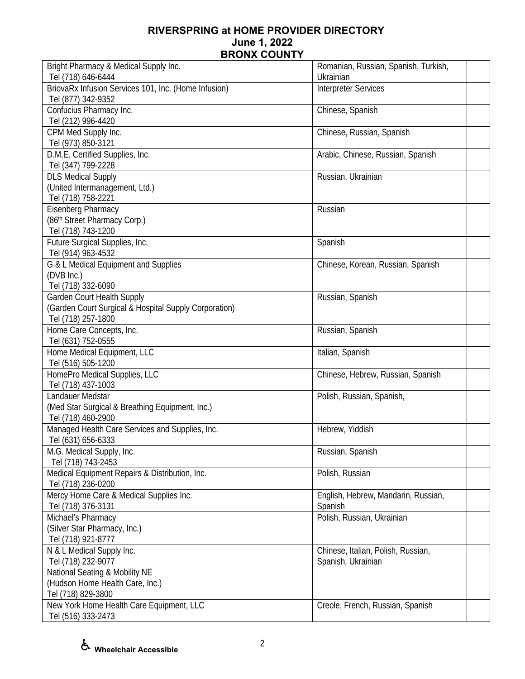| Bright Pharmacy & Medical Supply Inc.                                 | Romanian, Russian, Spanish, Turkish, |
|-----------------------------------------------------------------------|--------------------------------------|
| Tel (718) 646-6444                                                    | Ukrainian                            |
| BriovaRx Infusion Services 101, Inc. (Home Infusion)                  | <b>Interpreter Services</b>          |
| Tel (877) 342-9352                                                    |                                      |
| Confucius Pharmacy Inc.                                               | Chinese, Spanish                     |
| Tel (212) 996-4420                                                    |                                      |
| CPM Med Supply Inc.                                                   | Chinese, Russian, Spanish            |
| Tel (973) 850-3121                                                    |                                      |
| D.M.E. Certified Supplies, Inc.                                       | Arabic, Chinese, Russian, Spanish    |
| Tel (347) 799-2228                                                    |                                      |
| <b>DLS Medical Supply</b>                                             | Russian, Ukrainian                   |
| (United Intermanagement, Ltd.)                                        |                                      |
| Tel (718) 758-2221                                                    |                                      |
| Eisenberg Pharmacy                                                    | Russian                              |
| (86th Street Pharmacy Corp.)                                          |                                      |
| Tel (718) 743-1200                                                    |                                      |
| Future Surgical Supplies, Inc.                                        | Spanish                              |
| Tel (914) 963-4532                                                    |                                      |
| G & L Medical Equipment and Supplies                                  | Chinese, Korean, Russian, Spanish    |
| (DVB Inc.)                                                            |                                      |
| Tel (718) 332-6090                                                    |                                      |
| Garden Court Health Supply                                            | Russian, Spanish                     |
| (Garden Court Surgical & Hospital Supply Corporation)                 |                                      |
| Tel (718) 257-1800                                                    |                                      |
| Home Care Concepts, Inc.                                              | Russian, Spanish                     |
| Tel (631) 752-0555                                                    |                                      |
| Home Medical Equipment, LLC                                           | Italian, Spanish                     |
| Tel (516) 505-1200                                                    |                                      |
| HomePro Medical Supplies, LLC                                         | Chinese, Hebrew, Russian, Spanish    |
| Tel (718) 437-1003                                                    |                                      |
| Landauer Medstar                                                      | Polish, Russian, Spanish,            |
| (Med Star Surgical & Breathing Equipment, Inc.)<br>Tel (718) 460-2900 |                                      |
|                                                                       | Hebrew, Yiddish                      |
| Managed Health Care Services and Supplies, Inc.                       |                                      |
| Tel (631) 656-6333<br>M.G. Medical Supply, Inc.                       | Russian, Spanish                     |
| Tel (718) 743-2453                                                    |                                      |
| Medical Equipment Repairs & Distribution, Inc.                        | Polish, Russian                      |
| Tel (718) 236-0200                                                    |                                      |
| Mercy Home Care & Medical Supplies Inc.                               | English, Hebrew, Mandarin, Russian,  |
| Tel (718) 376-3131                                                    | Spanish                              |
| Michael's Pharmacy                                                    | Polish, Russian, Ukrainian           |
| (Silver Star Pharmacy, Inc.)                                          |                                      |
| Tel (718) 921-8777                                                    |                                      |
| N & L Medical Supply Inc.                                             | Chinese, Italian, Polish, Russian,   |
| Tel (718) 232-9077                                                    | Spanish, Ukrainian                   |
| National Seating & Mobility NE                                        |                                      |
| (Hudson Home Health Care, Inc.)                                       |                                      |
| Tel (718) 829-3800                                                    |                                      |
| New York Home Health Care Equipment, LLC                              | Creole, French, Russian, Spanish     |
| Tel (516) 333-2473                                                    |                                      |
|                                                                       |                                      |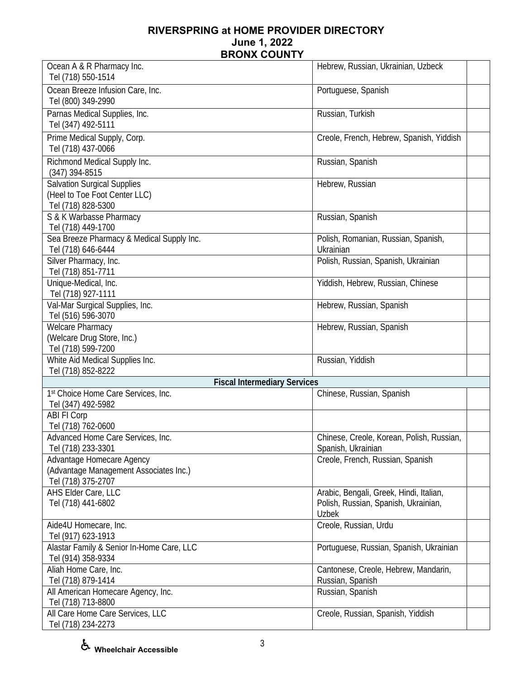| Ocean A & R Pharmacy Inc.                                | Hebrew, Russian, Ukrainian, Uzbeck        |
|----------------------------------------------------------|-------------------------------------------|
| Tel (718) 550-1514                                       |                                           |
| Ocean Breeze Infusion Care, Inc.                         | Portuguese, Spanish                       |
| Tel (800) 349-2990                                       |                                           |
| Parnas Medical Supplies, Inc.                            | Russian, Turkish                          |
| Tel (347) 492-5111                                       |                                           |
| Prime Medical Supply, Corp.                              | Creole, French, Hebrew, Spanish, Yiddish  |
| Tel (718) 437-0066                                       |                                           |
| Richmond Medical Supply Inc.                             | Russian, Spanish                          |
| (347) 394-8515                                           |                                           |
| <b>Salvation Surgical Supplies</b>                       | Hebrew, Russian                           |
| (Heel to Toe Foot Center LLC)                            |                                           |
| Tel (718) 828-5300                                       |                                           |
| S & K Warbasse Pharmacy                                  | Russian, Spanish                          |
| Tel (718) 449-1700                                       |                                           |
| Sea Breeze Pharmacy & Medical Supply Inc.                | Polish, Romanian, Russian, Spanish,       |
| Tel (718) 646-6444                                       | Ukrainian                                 |
| Silver Pharmacy, Inc.                                    | Polish, Russian, Spanish, Ukrainian       |
| Tel (718) 851-7711                                       |                                           |
| Unique-Medical, Inc.                                     | Yiddish, Hebrew, Russian, Chinese         |
| Tel (718) 927-1111                                       |                                           |
| Val-Mar Surgical Supplies, Inc.                          | Hebrew, Russian, Spanish                  |
| Tel (516) 596-3070                                       |                                           |
| <b>Welcare Pharmacy</b>                                  | Hebrew, Russian, Spanish                  |
| (Welcare Drug Store, Inc.)                               |                                           |
| Tel (718) 599-7200<br>White Aid Medical Supplies Inc.    | Russian, Yiddish                          |
| Tel (718) 852-8222                                       |                                           |
| <b>Fiscal Intermediary Services</b>                      |                                           |
| 1st Choice Home Care Services, Inc.                      | Chinese, Russian, Spanish                 |
| Tel (347) 492-5982                                       |                                           |
| ABI FI Corp                                              |                                           |
| Tel (718) 762-0600                                       |                                           |
| Advanced Home Care Services, Inc.                        | Chinese, Creole, Korean, Polish, Russian, |
| Fel (718) 233-3301                                       | Spanish, Ukrainian                        |
| Advantage Homecare Agency                                | Creole, French, Russian, Spanish          |
| (Advantage Management Associates Inc.)                   |                                           |
| Tel (718) 375-2707                                       |                                           |
| AHS Elder Care, LLC                                      | Arabic, Bengali, Greek, Hindi, Italian,   |
| Tel (718) 441-6802                                       | Polish, Russian, Spanish, Ukrainian,      |
|                                                          | <b>Uzbek</b>                              |
| Aide4U Homecare, Inc.                                    | Creole, Russian, Urdu                     |
| Tel (917) 623-1913                                       |                                           |
| Alastar Family & Senior In-Home Care, LLC                | Portuguese, Russian, Spanish, Ukrainian   |
| Tel (914) 358-9334                                       |                                           |
| Aliah Home Care, Inc.                                    | Cantonese, Creole, Hebrew, Mandarin,      |
| Tel (718) 879-1414<br>All American Homecare Agency, Inc. | Russian, Spanish<br>Russian, Spanish      |
| Tel (718) 713-8800                                       |                                           |
| All Care Home Care Services, LLC                         | Creole, Russian, Spanish, Yiddish         |
| Tel (718) 234-2273                                       |                                           |

**Wheelchair Accessible**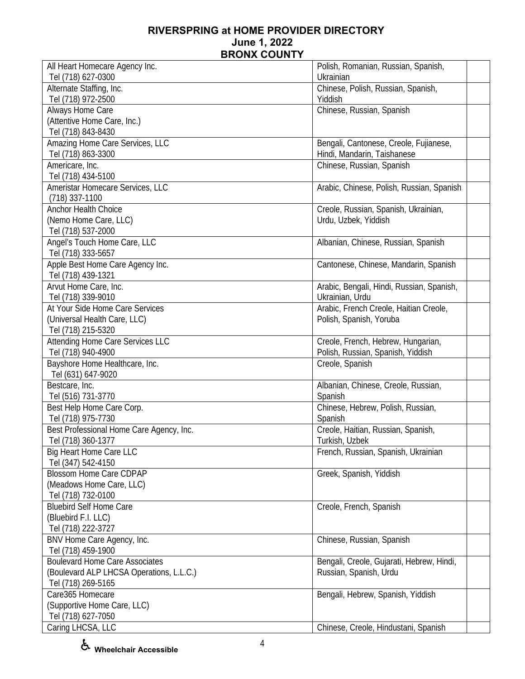| All Heart Homecare Agency Inc.                       | Polish, Romanian, Russian, Spanish,       |
|------------------------------------------------------|-------------------------------------------|
| Tel (718) 627-0300                                   | Ukrainian                                 |
| Alternate Staffing, Inc.                             | Chinese, Polish, Russian, Spanish,        |
| Tel (718) 972-2500                                   | Yiddish                                   |
| Always Home Care                                     | Chinese, Russian, Spanish                 |
| (Attentive Home Care, Inc.)                          |                                           |
| Tel (718) 843-8430                                   |                                           |
| Amazing Home Care Services, LLC                      | Bengali, Cantonese, Creole, Fujianese,    |
| Tel (718) 863-3300                                   | Hindi, Mandarin, Taishanese               |
| Americare, Inc.                                      | Chinese, Russian, Spanish                 |
| Tel (718) 434-5100                                   |                                           |
| Ameristar Homecare Services, LLC                     | Arabic, Chinese, Polish, Russian, Spanish |
| $(718)$ 337-1100                                     |                                           |
| Anchor Health Choice                                 | Creole, Russian, Spanish, Ukrainian,      |
| (Nemo Home Care, LLC)                                | Urdu, Uzbek, Yiddish                      |
| Tel (718) 537-2000                                   |                                           |
| Angel's Touch Home Care, LLC                         | Albanian, Chinese, Russian, Spanish       |
| Tel (718) 333-5657                                   |                                           |
| Apple Best Home Care Agency Inc.                     | Cantonese, Chinese, Mandarin, Spanish     |
| Tel (718) 439-1321                                   |                                           |
| Arvut Home Care, Inc.                                | Arabic, Bengali, Hindi, Russian, Spanish, |
| Tel (718) 339-9010                                   | Ukrainian, Urdu                           |
| At Your Side Home Care Services                      | Arabic, French Creole, Haitian Creole,    |
| (Universal Health Care, LLC)                         | Polish, Spanish, Yoruba                   |
| Tel (718) 215-5320                                   |                                           |
| Attending Home Care Services LLC                     | Creole, French, Hebrew, Hungarian,        |
| Tel (718) 940-4900                                   | Polish, Russian, Spanish, Yiddish         |
| Bayshore Home Healthcare, Inc.                       | Creole, Spanish                           |
| Tel (631) 647-9020                                   |                                           |
| Bestcare, Inc.                                       | Albanian, Chinese, Creole, Russian,       |
| Tel (516) 731-3770                                   | Spanish                                   |
| Best Help Home Care Corp.                            | Chinese, Hebrew, Polish, Russian,         |
| Tel (718) 975-7730                                   | Spanish                                   |
| Best Professional Home Care Agency, Inc.             | Creole, Haitian, Russian, Spanish,        |
| Tel (718) 360-1377                                   | Turkish, Uzbek                            |
| Big Heart Home Care LLC                              | French, Russian, Spanish, Ukrainian       |
| Tel (347) 542-4150                                   |                                           |
| <b>Blossom Home Care CDPAP</b>                       | Greek, Spanish, Yiddish                   |
| (Meadows Home Care, LLC)                             |                                           |
| Tel (718) 732-0100<br><b>Bluebird Self Home Care</b> | Creole, French, Spanish                   |
| (Bluebird F.I. LLC)                                  |                                           |
| Tel (718) 222-3727                                   |                                           |
| BNV Home Care Agency, Inc.                           | Chinese, Russian, Spanish                 |
| Tel (718) 459-1900                                   |                                           |
| <b>Boulevard Home Care Associates</b>                | Bengali, Creole, Gujarati, Hebrew, Hindi, |
| (Boulevard ALP LHCSA Operations, L.L.C.)             | Russian, Spanish, Urdu                    |
| Tel (718) 269-5165                                   |                                           |
| Care365 Homecare                                     | Bengali, Hebrew, Spanish, Yiddish         |
| (Supportive Home Care, LLC)                          |                                           |
| Tel (718) 627-7050                                   |                                           |
| Caring LHCSA, LLC                                    | Chinese, Creole, Hindustani, Spanish      |
|                                                      |                                           |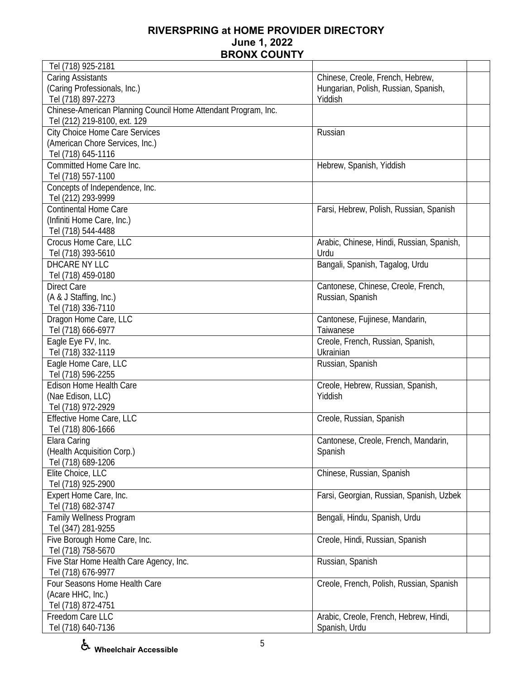| Tel (718) 925-2181                                             |                                           |
|----------------------------------------------------------------|-------------------------------------------|
| <b>Caring Assistants</b>                                       | Chinese, Creole, French, Hebrew,          |
| (Caring Professionals, Inc.)                                   | Hungarian, Polish, Russian, Spanish,      |
| Tel (718) 897-2273                                             | Yiddish                                   |
| Chinese-American Planning Council Home Attendant Program, Inc. |                                           |
| Tel (212) 219-8100, ext. 129                                   |                                           |
| <b>City Choice Home Care Services</b>                          | Russian                                   |
| (American Chore Services, Inc.)                                |                                           |
| Tel (718) 645-1116                                             |                                           |
| Committed Home Care Inc.                                       | Hebrew, Spanish, Yiddish                  |
| Tel (718) 557-1100                                             |                                           |
| Concepts of Independence, Inc.                                 |                                           |
| Tel (212) 293-9999                                             |                                           |
| <b>Continental Home Care</b>                                   | Farsi, Hebrew, Polish, Russian, Spanish   |
| (Infiniti Home Care, Inc.)                                     |                                           |
| Tel (718) 544-4488                                             |                                           |
| Crocus Home Care, LLC                                          | Arabic, Chinese, Hindi, Russian, Spanish, |
| Tel (718) 393-5610                                             | Urdu                                      |
| DHCARE NY LLC                                                  | Bangali, Spanish, Tagalog, Urdu           |
| Tel (718) 459-0180                                             |                                           |
| <b>Direct Care</b>                                             | Cantonese, Chinese, Creole, French,       |
| (A & J Staffing, Inc.)                                         | Russian, Spanish                          |
| Tel (718) 336-7110                                             |                                           |
| Dragon Home Care, LLC                                          | Cantonese, Fujinese, Mandarin,            |
| Tel (718) 666-6977                                             | Taiwanese                                 |
| Eagle Eye FV, Inc.                                             | Creole, French, Russian, Spanish,         |
| Tel (718) 332-1119                                             | Ukrainian                                 |
| Eagle Home Care, LLC                                           | Russian, Spanish                          |
| Tel (718) 596-2255                                             |                                           |
| Edison Home Health Care                                        | Creole, Hebrew, Russian, Spanish,         |
| (Nae Edison, LLC)                                              | Yiddish                                   |
| Tel (718) 972-2929                                             |                                           |
| Effective Home Care, LLC                                       | Creole, Russian, Spanish                  |
| Tel (718) 806-1666                                             |                                           |
| Elara Caring                                                   | Cantonese, Creole, French, Mandarin,      |
| (Health Acquisition Corp.)                                     | Spanish                                   |
| Tel (718) 689-1206                                             |                                           |
| Elite Choice, LLC                                              |                                           |
| Tel (718) 925-2900                                             | Chinese, Russian, Spanish                 |
| Expert Home Care, Inc.                                         |                                           |
|                                                                | Farsi, Georgian, Russian, Spanish, Uzbek  |
| Tel (718) 682-3747                                             |                                           |
| <b>Family Wellness Program</b>                                 | Bengali, Hindu, Spanish, Urdu             |
| Tel (347) 281-9255                                             |                                           |
| Five Borough Home Care, Inc.                                   | Creole, Hindi, Russian, Spanish           |
| Tel (718) 758-5670                                             |                                           |
| Five Star Home Health Care Agency, Inc.                        | Russian, Spanish                          |
| Tel (718) 676-9977                                             |                                           |
| Four Seasons Home Health Care                                  | Creole, French, Polish, Russian, Spanish  |
| (Acare HHC, Inc.)                                              |                                           |
| Tel (718) 872-4751                                             |                                           |
| Freedom Care LLC                                               | Arabic, Creole, French, Hebrew, Hindi,    |
| Tel (718) 640-7136                                             | Spanish, Urdu                             |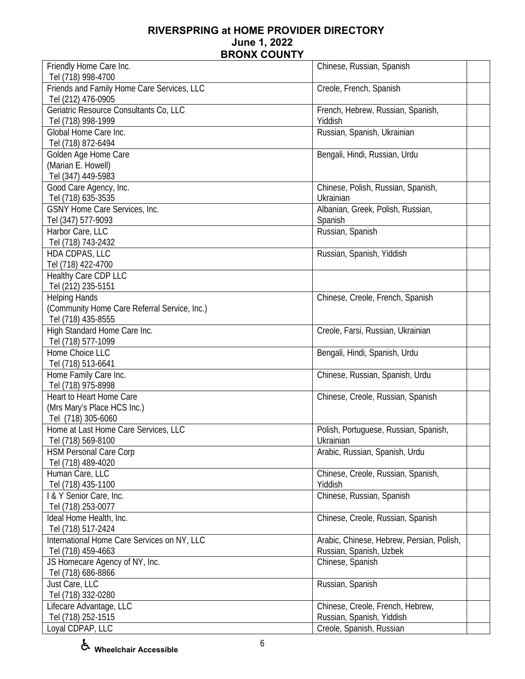| Friendly Home Care Inc.                      | Chinese, Russian, Spanish                 |
|----------------------------------------------|-------------------------------------------|
| Tel (718) 998-4700                           |                                           |
| Friends and Family Home Care Services, LLC   | Creole, French, Spanish                   |
| Tel (212) 476-0905                           |                                           |
| Geriatric Resource Consultants Co, LLC       | French, Hebrew, Russian, Spanish,         |
| Tel (718) 998-1999                           | Yiddish                                   |
| Global Home Care Inc.                        | Russian, Spanish, Ukrainian               |
| Tel (718) 872-6494                           |                                           |
| Golden Age Home Care                         | Bengali, Hindi, Russian, Urdu             |
| (Marian E. Howell)                           |                                           |
| Tel (347) 449-5983                           |                                           |
| Good Care Agency, Inc.                       | Chinese, Polish, Russian, Spanish,        |
| Tel (718) 635-3535                           | Ukrainian                                 |
| GSNY Home Care Services, Inc.                | Albanian, Greek, Polish, Russian,         |
|                                              |                                           |
| Tel (347) 577-9093                           | Spanish                                   |
| Harbor Care, LLC                             | Russian, Spanish                          |
| Tel (718) 743-2432                           |                                           |
| HDA CDPAS, LLC                               | Russian, Spanish, Yiddish                 |
| Tel (718) 422-4700                           |                                           |
| Healthy Care CDP LLC                         |                                           |
| Tel (212) 235-5151                           |                                           |
| <b>Helping Hands</b>                         | Chinese, Creole, French, Spanish          |
| (Community Home Care Referral Service, Inc.) |                                           |
| Tel (718) 435-8555                           |                                           |
| High Standard Home Care Inc.                 | Creole, Farsi, Russian, Ukrainian         |
| Tel (718) 577-1099                           |                                           |
| Home Choice LLC                              | Bengali, Hindi, Spanish, Urdu             |
| Tel (718) 513-6641                           |                                           |
| Home Family Care Inc.                        | Chinese, Russian, Spanish, Urdu           |
| Tel (718) 975-8998                           |                                           |
| Heart to Heart Home Care                     | Chinese, Creole, Russian, Spanish         |
| (Mrs Mary's Place HCS Inc.)                  |                                           |
| Tel (718) 305-6060                           |                                           |
| Home at Last Home Care Services, LLC         | Polish, Portuguese, Russian, Spanish,     |
| Tel (718) 569-8100                           | Ukrainian                                 |
| <b>HSM Personal Care Corp</b>                | Arabic, Russian, Spanish, Urdu            |
| Tel (718) 489-4020                           |                                           |
| Human Care, LLC                              | Chinese, Creole, Russian, Spanish,        |
| Tel (718) 435-1100                           | Yiddish                                   |
| I & Y Senior Care, Inc.                      | Chinese, Russian, Spanish                 |
| Tel (718) 253-0077                           |                                           |
| Ideal Home Health, Inc.                      | Chinese, Creole, Russian, Spanish         |
| Tel (718) 517-2424                           |                                           |
| International Home Care Services on NY, LLC  | Arabic, Chinese, Hebrew, Persian, Polish, |
| Tel (718) 459-4663                           | Russian, Spanish, Uzbek                   |
| JS Homecare Agency of NY, Inc.               | Chinese, Spanish                          |
| Tel (718) 686-8866                           |                                           |
| Just Care, LLC                               | Russian, Spanish                          |
| Tel (718) 332-0280                           |                                           |
| Lifecare Advantage, LLC                      | Chinese, Creole, French, Hebrew,          |
| Tel (718) 252-1515                           | Russian, Spanish, Yiddish                 |
| Loyal CDPAP, LLC                             | Creole, Spanish, Russian                  |
|                                              |                                           |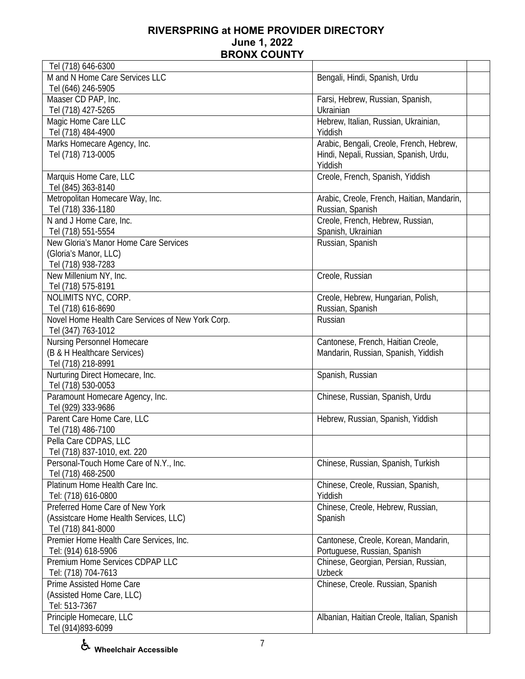| Tel (718) 646-6300                                |                                            |
|---------------------------------------------------|--------------------------------------------|
| M and N Home Care Services LLC                    | Bengali, Hindi, Spanish, Urdu              |
| Tel (646) 246-5905                                |                                            |
| Maaser CD PAP, Inc.                               | Farsi, Hebrew, Russian, Spanish,           |
| Tel (718) 427-5265                                | Ukrainian                                  |
| Magic Home Care LLC                               | Hebrew, Italian, Russian, Ukrainian,       |
| Tel (718) 484-4900                                | Yiddish                                    |
| Marks Homecare Agency, Inc.                       | Arabic, Bengali, Creole, French, Hebrew,   |
| Tel (718) 713-0005                                | Hindi, Nepali, Russian, Spanish, Urdu,     |
|                                                   | Yiddish                                    |
| Marquis Home Care, LLC                            | Creole, French, Spanish, Yiddish           |
| Tel (845) 363-8140                                |                                            |
| Metropolitan Homecare Way, Inc.                   | Arabic, Creole, French, Haitian, Mandarin, |
| Tel (718) 336-1180                                | Russian, Spanish                           |
| N and J Home Care, Inc.                           |                                            |
|                                                   | Creole, French, Hebrew, Russian,           |
| Tel (718) 551-5554                                | Spanish, Ukrainian                         |
| New Gloria's Manor Home Care Services             | Russian, Spanish                           |
| (Gloria's Manor, LLC)                             |                                            |
| Tel (718) 938-7283                                |                                            |
| New Millenium NY, Inc.                            | Creole, Russian                            |
| Tel (718) 575-8191                                |                                            |
| NOLIMITS NYC, CORP.                               | Creole, Hebrew, Hungarian, Polish,         |
| Tel (718) 616-8690                                | Russian, Spanish                           |
| Novel Home Health Care Services of New York Corp. | Russian                                    |
| Tel (347) 763-1012                                |                                            |
| Nursing Personnel Homecare                        | Cantonese, French, Haitian Creole,         |
| (B & H Healthcare Services)                       | Mandarin, Russian, Spanish, Yiddish        |
| Tel (718) 218-8991                                |                                            |
| Nurturing Direct Homecare, Inc.                   | Spanish, Russian                           |
| Tel (718) 530-0053                                |                                            |
| Paramount Homecare Agency, Inc.                   | Chinese, Russian, Spanish, Urdu            |
| Tel (929) 333-9686                                |                                            |
| Parent Care Home Care, LLC                        | Hebrew, Russian, Spanish, Yiddish          |
| Tel (718) 486-7100                                |                                            |
| Pella Care CDPAS, LLC                             |                                            |
| Tel (718) 837-1010, ext. 220                      |                                            |
| Personal-Touch Home Care of N.Y., Inc.            | Chinese, Russian, Spanish, Turkish         |
| Tel (718) 468-2500                                |                                            |
| Platinum Home Health Care Inc.                    | Chinese, Creole, Russian, Spanish,         |
| Tel: (718) 616-0800                               | Yiddish                                    |
| Preferred Home Care of New York                   | Chinese, Creole, Hebrew, Russian,          |
| (Assistcare Home Health Services, LLC)            | Spanish                                    |
| Tel (718) 841-8000                                |                                            |
| Premier Home Health Care Services, Inc.           | Cantonese, Creole, Korean, Mandarin,       |
| Tel: (914) 618-5906                               | Portuguese, Russian, Spanish               |
| Premium Home Services CDPAP LLC                   | Chinese, Georgian, Persian, Russian,       |
| Tel: (718) 704-7613                               | <b>Uzbeck</b>                              |
| Prime Assisted Home Care                          | Chinese, Creole. Russian, Spanish          |
| (Assisted Home Care, LLC)                         |                                            |
| Tel: 513-7367                                     |                                            |
| Principle Homecare, LLC                           | Albanian, Haitian Creole, Italian, Spanish |
| Tel (914)893-6099                                 |                                            |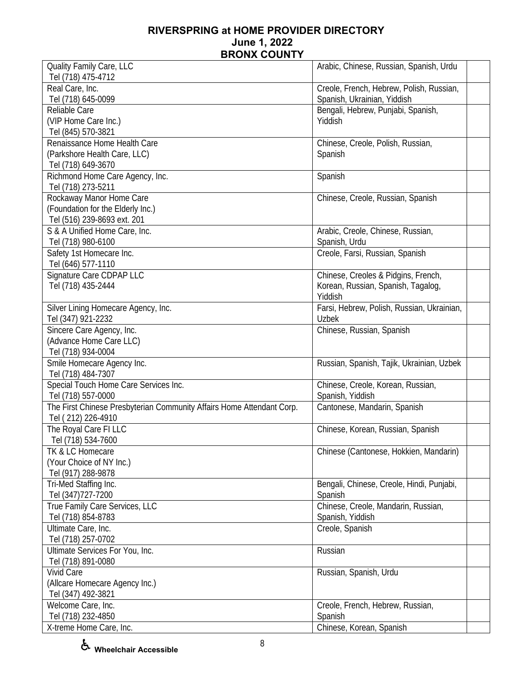| Tel (718) 475-4712<br>Real Care, Inc.<br>Creole, French, Hebrew, Polish, Russian,<br>Tel (718) 645-0099<br>Spanish, Ukrainian, Yiddish<br>Bengali, Hebrew, Punjabi, Spanish,<br>Reliable Care<br>(VIP Home Care Inc.)<br>Yiddish<br>Tel (845) 570-3821<br>Renaissance Home Health Care<br>Chinese, Creole, Polish, Russian,<br>(Parkshore Health Care, LLC)<br>Spanish<br>Tel (718) 649-3670<br>Richmond Home Care Agency, Inc.<br>Spanish<br>Tel (718) 273-5211<br>Rockaway Manor Home Care<br>Chinese, Creole, Russian, Spanish<br>(Foundation for the Elderly Inc.)<br>Tel (516) 239-8693 ext. 201<br>S & A Unified Home Care, Inc.<br>Arabic, Creole, Chinese, Russian,<br>Tel (718) 980-6100<br>Spanish, Urdu<br>Creole, Farsi, Russian, Spanish<br>Safety 1st Homecare Inc.<br>Tel (646) 577-1110<br>Signature Care CDPAP LLC<br>Chinese, Creoles & Pidgins, French,<br>Tel (718) 435-2444<br>Korean, Russian, Spanish, Tagalog,<br>Yiddish<br>Silver Lining Homecare Agency, Inc.<br>Farsi, Hebrew, Polish, Russian, Ukrainian,<br>Tel (347) 921-2232<br><b>Uzbek</b><br>Sincere Care Agency, Inc.<br>Chinese, Russian, Spanish<br>(Advance Home Care LLC)<br>Tel (718) 934-0004<br>Smile Homecare Agency Inc.<br>Russian, Spanish, Tajik, Ukrainian, Uzbek<br>Tel (718) 484-7307<br>Special Touch Home Care Services Inc.<br>Chinese, Creole, Korean, Russian,<br>Tel (718) 557-0000<br>Spanish, Yiddish<br>The First Chinese Presbyterian Community Affairs Home Attendant Corp.<br>Cantonese, Mandarin, Spanish<br>Tel (212) 226-4910<br>The Royal Care FI LLC<br>Chinese, Korean, Russian, Spanish<br>Tel (718) 534-7600<br>TK & LC Homecare<br>Chinese (Cantonese, Hokkien, Mandarin)<br>(Your Choice of NY Inc.)<br>Tel (917) 288-9878<br>Tri-Med Staffing Inc.<br>Bengali, Chinese, Creole, Hindi, Punjabi,<br>Tel (347) 727-7200<br>Spanish<br>True Family Care Services, LLC<br>Chinese, Creole, Mandarin, Russian,<br>Tel (718) 854-8783<br>Spanish, Yiddish<br>Ultimate Care, Inc.<br>Creole, Spanish<br>Tel (718) 257-0702<br>Ultimate Services For You, Inc.<br>Russian<br>Tel (718) 891-0080<br><b>Vivid Care</b><br>Russian, Spanish, Urdu<br>(Allcare Homecare Agency Inc.)<br>Tel (347) 492-3821<br>Welcome Care, Inc.<br>Creole, French, Hebrew, Russian,<br>Tel (718) 232-4850<br>Spanish<br>Chinese, Korean, Spanish<br>X-treme Home Care, Inc. | Quality Family Care, LLC | Arabic, Chinese, Russian, Spanish, Urdu |
|----------------------------------------------------------------------------------------------------------------------------------------------------------------------------------------------------------------------------------------------------------------------------------------------------------------------------------------------------------------------------------------------------------------------------------------------------------------------------------------------------------------------------------------------------------------------------------------------------------------------------------------------------------------------------------------------------------------------------------------------------------------------------------------------------------------------------------------------------------------------------------------------------------------------------------------------------------------------------------------------------------------------------------------------------------------------------------------------------------------------------------------------------------------------------------------------------------------------------------------------------------------------------------------------------------------------------------------------------------------------------------------------------------------------------------------------------------------------------------------------------------------------------------------------------------------------------------------------------------------------------------------------------------------------------------------------------------------------------------------------------------------------------------------------------------------------------------------------------------------------------------------------------------------------------------------------------------------------------------------------------------------------------------------------------------------------------------------------------------------------------------------------------------------------------------------------------------------------------------------------------------------------------------------------------------------------------------------------------------------------------|--------------------------|-----------------------------------------|
|                                                                                                                                                                                                                                                                                                                                                                                                                                                                                                                                                                                                                                                                                                                                                                                                                                                                                                                                                                                                                                                                                                                                                                                                                                                                                                                                                                                                                                                                                                                                                                                                                                                                                                                                                                                                                                                                                                                                                                                                                                                                                                                                                                                                                                                                                                                                                                            |                          |                                         |
|                                                                                                                                                                                                                                                                                                                                                                                                                                                                                                                                                                                                                                                                                                                                                                                                                                                                                                                                                                                                                                                                                                                                                                                                                                                                                                                                                                                                                                                                                                                                                                                                                                                                                                                                                                                                                                                                                                                                                                                                                                                                                                                                                                                                                                                                                                                                                                            |                          |                                         |
|                                                                                                                                                                                                                                                                                                                                                                                                                                                                                                                                                                                                                                                                                                                                                                                                                                                                                                                                                                                                                                                                                                                                                                                                                                                                                                                                                                                                                                                                                                                                                                                                                                                                                                                                                                                                                                                                                                                                                                                                                                                                                                                                                                                                                                                                                                                                                                            |                          |                                         |
|                                                                                                                                                                                                                                                                                                                                                                                                                                                                                                                                                                                                                                                                                                                                                                                                                                                                                                                                                                                                                                                                                                                                                                                                                                                                                                                                                                                                                                                                                                                                                                                                                                                                                                                                                                                                                                                                                                                                                                                                                                                                                                                                                                                                                                                                                                                                                                            |                          |                                         |
|                                                                                                                                                                                                                                                                                                                                                                                                                                                                                                                                                                                                                                                                                                                                                                                                                                                                                                                                                                                                                                                                                                                                                                                                                                                                                                                                                                                                                                                                                                                                                                                                                                                                                                                                                                                                                                                                                                                                                                                                                                                                                                                                                                                                                                                                                                                                                                            |                          |                                         |
|                                                                                                                                                                                                                                                                                                                                                                                                                                                                                                                                                                                                                                                                                                                                                                                                                                                                                                                                                                                                                                                                                                                                                                                                                                                                                                                                                                                                                                                                                                                                                                                                                                                                                                                                                                                                                                                                                                                                                                                                                                                                                                                                                                                                                                                                                                                                                                            |                          |                                         |
|                                                                                                                                                                                                                                                                                                                                                                                                                                                                                                                                                                                                                                                                                                                                                                                                                                                                                                                                                                                                                                                                                                                                                                                                                                                                                                                                                                                                                                                                                                                                                                                                                                                                                                                                                                                                                                                                                                                                                                                                                                                                                                                                                                                                                                                                                                                                                                            |                          |                                         |
|                                                                                                                                                                                                                                                                                                                                                                                                                                                                                                                                                                                                                                                                                                                                                                                                                                                                                                                                                                                                                                                                                                                                                                                                                                                                                                                                                                                                                                                                                                                                                                                                                                                                                                                                                                                                                                                                                                                                                                                                                                                                                                                                                                                                                                                                                                                                                                            |                          |                                         |
|                                                                                                                                                                                                                                                                                                                                                                                                                                                                                                                                                                                                                                                                                                                                                                                                                                                                                                                                                                                                                                                                                                                                                                                                                                                                                                                                                                                                                                                                                                                                                                                                                                                                                                                                                                                                                                                                                                                                                                                                                                                                                                                                                                                                                                                                                                                                                                            |                          |                                         |
|                                                                                                                                                                                                                                                                                                                                                                                                                                                                                                                                                                                                                                                                                                                                                                                                                                                                                                                                                                                                                                                                                                                                                                                                                                                                                                                                                                                                                                                                                                                                                                                                                                                                                                                                                                                                                                                                                                                                                                                                                                                                                                                                                                                                                                                                                                                                                                            |                          |                                         |
|                                                                                                                                                                                                                                                                                                                                                                                                                                                                                                                                                                                                                                                                                                                                                                                                                                                                                                                                                                                                                                                                                                                                                                                                                                                                                                                                                                                                                                                                                                                                                                                                                                                                                                                                                                                                                                                                                                                                                                                                                                                                                                                                                                                                                                                                                                                                                                            |                          |                                         |
|                                                                                                                                                                                                                                                                                                                                                                                                                                                                                                                                                                                                                                                                                                                                                                                                                                                                                                                                                                                                                                                                                                                                                                                                                                                                                                                                                                                                                                                                                                                                                                                                                                                                                                                                                                                                                                                                                                                                                                                                                                                                                                                                                                                                                                                                                                                                                                            |                          |                                         |
|                                                                                                                                                                                                                                                                                                                                                                                                                                                                                                                                                                                                                                                                                                                                                                                                                                                                                                                                                                                                                                                                                                                                                                                                                                                                                                                                                                                                                                                                                                                                                                                                                                                                                                                                                                                                                                                                                                                                                                                                                                                                                                                                                                                                                                                                                                                                                                            |                          |                                         |
|                                                                                                                                                                                                                                                                                                                                                                                                                                                                                                                                                                                                                                                                                                                                                                                                                                                                                                                                                                                                                                                                                                                                                                                                                                                                                                                                                                                                                                                                                                                                                                                                                                                                                                                                                                                                                                                                                                                                                                                                                                                                                                                                                                                                                                                                                                                                                                            |                          |                                         |
|                                                                                                                                                                                                                                                                                                                                                                                                                                                                                                                                                                                                                                                                                                                                                                                                                                                                                                                                                                                                                                                                                                                                                                                                                                                                                                                                                                                                                                                                                                                                                                                                                                                                                                                                                                                                                                                                                                                                                                                                                                                                                                                                                                                                                                                                                                                                                                            |                          |                                         |
|                                                                                                                                                                                                                                                                                                                                                                                                                                                                                                                                                                                                                                                                                                                                                                                                                                                                                                                                                                                                                                                                                                                                                                                                                                                                                                                                                                                                                                                                                                                                                                                                                                                                                                                                                                                                                                                                                                                                                                                                                                                                                                                                                                                                                                                                                                                                                                            |                          |                                         |
|                                                                                                                                                                                                                                                                                                                                                                                                                                                                                                                                                                                                                                                                                                                                                                                                                                                                                                                                                                                                                                                                                                                                                                                                                                                                                                                                                                                                                                                                                                                                                                                                                                                                                                                                                                                                                                                                                                                                                                                                                                                                                                                                                                                                                                                                                                                                                                            |                          |                                         |
|                                                                                                                                                                                                                                                                                                                                                                                                                                                                                                                                                                                                                                                                                                                                                                                                                                                                                                                                                                                                                                                                                                                                                                                                                                                                                                                                                                                                                                                                                                                                                                                                                                                                                                                                                                                                                                                                                                                                                                                                                                                                                                                                                                                                                                                                                                                                                                            |                          |                                         |
|                                                                                                                                                                                                                                                                                                                                                                                                                                                                                                                                                                                                                                                                                                                                                                                                                                                                                                                                                                                                                                                                                                                                                                                                                                                                                                                                                                                                                                                                                                                                                                                                                                                                                                                                                                                                                                                                                                                                                                                                                                                                                                                                                                                                                                                                                                                                                                            |                          |                                         |
|                                                                                                                                                                                                                                                                                                                                                                                                                                                                                                                                                                                                                                                                                                                                                                                                                                                                                                                                                                                                                                                                                                                                                                                                                                                                                                                                                                                                                                                                                                                                                                                                                                                                                                                                                                                                                                                                                                                                                                                                                                                                                                                                                                                                                                                                                                                                                                            |                          |                                         |
|                                                                                                                                                                                                                                                                                                                                                                                                                                                                                                                                                                                                                                                                                                                                                                                                                                                                                                                                                                                                                                                                                                                                                                                                                                                                                                                                                                                                                                                                                                                                                                                                                                                                                                                                                                                                                                                                                                                                                                                                                                                                                                                                                                                                                                                                                                                                                                            |                          |                                         |
|                                                                                                                                                                                                                                                                                                                                                                                                                                                                                                                                                                                                                                                                                                                                                                                                                                                                                                                                                                                                                                                                                                                                                                                                                                                                                                                                                                                                                                                                                                                                                                                                                                                                                                                                                                                                                                                                                                                                                                                                                                                                                                                                                                                                                                                                                                                                                                            |                          |                                         |
|                                                                                                                                                                                                                                                                                                                                                                                                                                                                                                                                                                                                                                                                                                                                                                                                                                                                                                                                                                                                                                                                                                                                                                                                                                                                                                                                                                                                                                                                                                                                                                                                                                                                                                                                                                                                                                                                                                                                                                                                                                                                                                                                                                                                                                                                                                                                                                            |                          |                                         |
|                                                                                                                                                                                                                                                                                                                                                                                                                                                                                                                                                                                                                                                                                                                                                                                                                                                                                                                                                                                                                                                                                                                                                                                                                                                                                                                                                                                                                                                                                                                                                                                                                                                                                                                                                                                                                                                                                                                                                                                                                                                                                                                                                                                                                                                                                                                                                                            |                          |                                         |
|                                                                                                                                                                                                                                                                                                                                                                                                                                                                                                                                                                                                                                                                                                                                                                                                                                                                                                                                                                                                                                                                                                                                                                                                                                                                                                                                                                                                                                                                                                                                                                                                                                                                                                                                                                                                                                                                                                                                                                                                                                                                                                                                                                                                                                                                                                                                                                            |                          |                                         |
|                                                                                                                                                                                                                                                                                                                                                                                                                                                                                                                                                                                                                                                                                                                                                                                                                                                                                                                                                                                                                                                                                                                                                                                                                                                                                                                                                                                                                                                                                                                                                                                                                                                                                                                                                                                                                                                                                                                                                                                                                                                                                                                                                                                                                                                                                                                                                                            |                          |                                         |
|                                                                                                                                                                                                                                                                                                                                                                                                                                                                                                                                                                                                                                                                                                                                                                                                                                                                                                                                                                                                                                                                                                                                                                                                                                                                                                                                                                                                                                                                                                                                                                                                                                                                                                                                                                                                                                                                                                                                                                                                                                                                                                                                                                                                                                                                                                                                                                            |                          |                                         |
|                                                                                                                                                                                                                                                                                                                                                                                                                                                                                                                                                                                                                                                                                                                                                                                                                                                                                                                                                                                                                                                                                                                                                                                                                                                                                                                                                                                                                                                                                                                                                                                                                                                                                                                                                                                                                                                                                                                                                                                                                                                                                                                                                                                                                                                                                                                                                                            |                          |                                         |
|                                                                                                                                                                                                                                                                                                                                                                                                                                                                                                                                                                                                                                                                                                                                                                                                                                                                                                                                                                                                                                                                                                                                                                                                                                                                                                                                                                                                                                                                                                                                                                                                                                                                                                                                                                                                                                                                                                                                                                                                                                                                                                                                                                                                                                                                                                                                                                            |                          |                                         |
|                                                                                                                                                                                                                                                                                                                                                                                                                                                                                                                                                                                                                                                                                                                                                                                                                                                                                                                                                                                                                                                                                                                                                                                                                                                                                                                                                                                                                                                                                                                                                                                                                                                                                                                                                                                                                                                                                                                                                                                                                                                                                                                                                                                                                                                                                                                                                                            |                          |                                         |
|                                                                                                                                                                                                                                                                                                                                                                                                                                                                                                                                                                                                                                                                                                                                                                                                                                                                                                                                                                                                                                                                                                                                                                                                                                                                                                                                                                                                                                                                                                                                                                                                                                                                                                                                                                                                                                                                                                                                                                                                                                                                                                                                                                                                                                                                                                                                                                            |                          |                                         |
|                                                                                                                                                                                                                                                                                                                                                                                                                                                                                                                                                                                                                                                                                                                                                                                                                                                                                                                                                                                                                                                                                                                                                                                                                                                                                                                                                                                                                                                                                                                                                                                                                                                                                                                                                                                                                                                                                                                                                                                                                                                                                                                                                                                                                                                                                                                                                                            |                          |                                         |
|                                                                                                                                                                                                                                                                                                                                                                                                                                                                                                                                                                                                                                                                                                                                                                                                                                                                                                                                                                                                                                                                                                                                                                                                                                                                                                                                                                                                                                                                                                                                                                                                                                                                                                                                                                                                                                                                                                                                                                                                                                                                                                                                                                                                                                                                                                                                                                            |                          |                                         |
|                                                                                                                                                                                                                                                                                                                                                                                                                                                                                                                                                                                                                                                                                                                                                                                                                                                                                                                                                                                                                                                                                                                                                                                                                                                                                                                                                                                                                                                                                                                                                                                                                                                                                                                                                                                                                                                                                                                                                                                                                                                                                                                                                                                                                                                                                                                                                                            |                          |                                         |
|                                                                                                                                                                                                                                                                                                                                                                                                                                                                                                                                                                                                                                                                                                                                                                                                                                                                                                                                                                                                                                                                                                                                                                                                                                                                                                                                                                                                                                                                                                                                                                                                                                                                                                                                                                                                                                                                                                                                                                                                                                                                                                                                                                                                                                                                                                                                                                            |                          |                                         |
|                                                                                                                                                                                                                                                                                                                                                                                                                                                                                                                                                                                                                                                                                                                                                                                                                                                                                                                                                                                                                                                                                                                                                                                                                                                                                                                                                                                                                                                                                                                                                                                                                                                                                                                                                                                                                                                                                                                                                                                                                                                                                                                                                                                                                                                                                                                                                                            |                          |                                         |
|                                                                                                                                                                                                                                                                                                                                                                                                                                                                                                                                                                                                                                                                                                                                                                                                                                                                                                                                                                                                                                                                                                                                                                                                                                                                                                                                                                                                                                                                                                                                                                                                                                                                                                                                                                                                                                                                                                                                                                                                                                                                                                                                                                                                                                                                                                                                                                            |                          |                                         |
|                                                                                                                                                                                                                                                                                                                                                                                                                                                                                                                                                                                                                                                                                                                                                                                                                                                                                                                                                                                                                                                                                                                                                                                                                                                                                                                                                                                                                                                                                                                                                                                                                                                                                                                                                                                                                                                                                                                                                                                                                                                                                                                                                                                                                                                                                                                                                                            |                          |                                         |
|                                                                                                                                                                                                                                                                                                                                                                                                                                                                                                                                                                                                                                                                                                                                                                                                                                                                                                                                                                                                                                                                                                                                                                                                                                                                                                                                                                                                                                                                                                                                                                                                                                                                                                                                                                                                                                                                                                                                                                                                                                                                                                                                                                                                                                                                                                                                                                            |                          |                                         |
|                                                                                                                                                                                                                                                                                                                                                                                                                                                                                                                                                                                                                                                                                                                                                                                                                                                                                                                                                                                                                                                                                                                                                                                                                                                                                                                                                                                                                                                                                                                                                                                                                                                                                                                                                                                                                                                                                                                                                                                                                                                                                                                                                                                                                                                                                                                                                                            |                          |                                         |
|                                                                                                                                                                                                                                                                                                                                                                                                                                                                                                                                                                                                                                                                                                                                                                                                                                                                                                                                                                                                                                                                                                                                                                                                                                                                                                                                                                                                                                                                                                                                                                                                                                                                                                                                                                                                                                                                                                                                                                                                                                                                                                                                                                                                                                                                                                                                                                            |                          |                                         |
|                                                                                                                                                                                                                                                                                                                                                                                                                                                                                                                                                                                                                                                                                                                                                                                                                                                                                                                                                                                                                                                                                                                                                                                                                                                                                                                                                                                                                                                                                                                                                                                                                                                                                                                                                                                                                                                                                                                                                                                                                                                                                                                                                                                                                                                                                                                                                                            |                          |                                         |
|                                                                                                                                                                                                                                                                                                                                                                                                                                                                                                                                                                                                                                                                                                                                                                                                                                                                                                                                                                                                                                                                                                                                                                                                                                                                                                                                                                                                                                                                                                                                                                                                                                                                                                                                                                                                                                                                                                                                                                                                                                                                                                                                                                                                                                                                                                                                                                            |                          |                                         |
|                                                                                                                                                                                                                                                                                                                                                                                                                                                                                                                                                                                                                                                                                                                                                                                                                                                                                                                                                                                                                                                                                                                                                                                                                                                                                                                                                                                                                                                                                                                                                                                                                                                                                                                                                                                                                                                                                                                                                                                                                                                                                                                                                                                                                                                                                                                                                                            |                          |                                         |
|                                                                                                                                                                                                                                                                                                                                                                                                                                                                                                                                                                                                                                                                                                                                                                                                                                                                                                                                                                                                                                                                                                                                                                                                                                                                                                                                                                                                                                                                                                                                                                                                                                                                                                                                                                                                                                                                                                                                                                                                                                                                                                                                                                                                                                                                                                                                                                            |                          |                                         |
|                                                                                                                                                                                                                                                                                                                                                                                                                                                                                                                                                                                                                                                                                                                                                                                                                                                                                                                                                                                                                                                                                                                                                                                                                                                                                                                                                                                                                                                                                                                                                                                                                                                                                                                                                                                                                                                                                                                                                                                                                                                                                                                                                                                                                                                                                                                                                                            |                          |                                         |
|                                                                                                                                                                                                                                                                                                                                                                                                                                                                                                                                                                                                                                                                                                                                                                                                                                                                                                                                                                                                                                                                                                                                                                                                                                                                                                                                                                                                                                                                                                                                                                                                                                                                                                                                                                                                                                                                                                                                                                                                                                                                                                                                                                                                                                                                                                                                                                            |                          |                                         |
|                                                                                                                                                                                                                                                                                                                                                                                                                                                                                                                                                                                                                                                                                                                                                                                                                                                                                                                                                                                                                                                                                                                                                                                                                                                                                                                                                                                                                                                                                                                                                                                                                                                                                                                                                                                                                                                                                                                                                                                                                                                                                                                                                                                                                                                                                                                                                                            |                          |                                         |
|                                                                                                                                                                                                                                                                                                                                                                                                                                                                                                                                                                                                                                                                                                                                                                                                                                                                                                                                                                                                                                                                                                                                                                                                                                                                                                                                                                                                                                                                                                                                                                                                                                                                                                                                                                                                                                                                                                                                                                                                                                                                                                                                                                                                                                                                                                                                                                            |                          |                                         |
|                                                                                                                                                                                                                                                                                                                                                                                                                                                                                                                                                                                                                                                                                                                                                                                                                                                                                                                                                                                                                                                                                                                                                                                                                                                                                                                                                                                                                                                                                                                                                                                                                                                                                                                                                                                                                                                                                                                                                                                                                                                                                                                                                                                                                                                                                                                                                                            |                          |                                         |
|                                                                                                                                                                                                                                                                                                                                                                                                                                                                                                                                                                                                                                                                                                                                                                                                                                                                                                                                                                                                                                                                                                                                                                                                                                                                                                                                                                                                                                                                                                                                                                                                                                                                                                                                                                                                                                                                                                                                                                                                                                                                                                                                                                                                                                                                                                                                                                            |                          |                                         |
|                                                                                                                                                                                                                                                                                                                                                                                                                                                                                                                                                                                                                                                                                                                                                                                                                                                                                                                                                                                                                                                                                                                                                                                                                                                                                                                                                                                                                                                                                                                                                                                                                                                                                                                                                                                                                                                                                                                                                                                                                                                                                                                                                                                                                                                                                                                                                                            |                          |                                         |

**Wheelchair Accessible**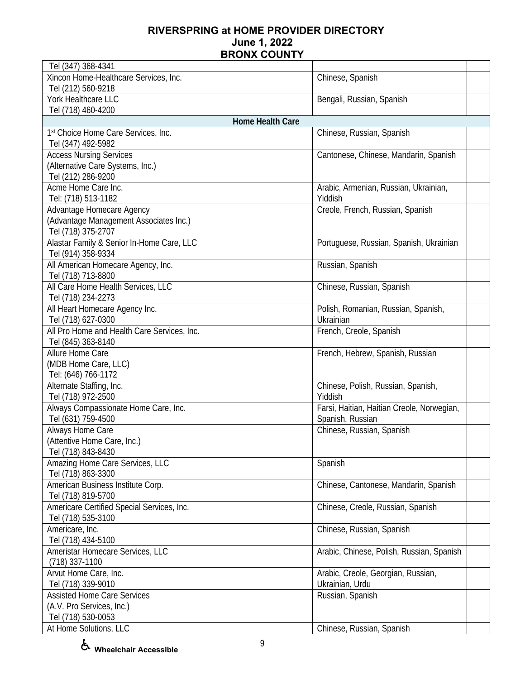| Tel (347) 368-4341                                          |                                            |
|-------------------------------------------------------------|--------------------------------------------|
| Xincon Home-Healthcare Services, Inc.<br>Tel (212) 560-9218 | Chinese, Spanish                           |
| York Healthcare LLC                                         | Bengali, Russian, Spanish                  |
| Tel (718) 460-4200                                          |                                            |
| Home Health Care                                            |                                            |
| 1st Choice Home Care Services, Inc.                         | Chinese, Russian, Spanish                  |
| Tel (347) 492-5982                                          |                                            |
| <b>Access Nursing Services</b>                              | Cantonese, Chinese, Mandarin, Spanish      |
| (Alternative Care Systems, Inc.)                            |                                            |
| Tel (212) 286-9200                                          |                                            |
| Acme Home Care Inc.                                         | Arabic, Armenian, Russian, Ukrainian,      |
| Tel: (718) 513-1182                                         | Yiddish                                    |
| Advantage Homecare Agency                                   | Creole, French, Russian, Spanish           |
| (Advantage Management Associates Inc.)                      |                                            |
| Tel (718) 375-2707                                          |                                            |
| Alastar Family & Senior In-Home Care, LLC                   | Portuguese, Russian, Spanish, Ukrainian    |
| Tel (914) 358-9334                                          |                                            |
| All American Homecare Agency, Inc.                          | Russian, Spanish                           |
| Tel (718) 713-8800                                          |                                            |
| All Care Home Health Services, LLC                          | Chinese, Russian, Spanish                  |
| Tel (718) 234-2273                                          |                                            |
| All Heart Homecare Agency Inc.                              | Polish, Romanian, Russian, Spanish,        |
| Tel (718) 627-0300                                          | Ukrainian                                  |
| All Pro Home and Health Care Services, Inc.                 | French, Creole, Spanish                    |
| Tel (845) 363-8140                                          |                                            |
| Allure Home Care                                            | French, Hebrew, Spanish, Russian           |
| (MDB Home Care, LLC)                                        |                                            |
| Tel: (646) 766-1172                                         |                                            |
| Alternate Staffing, Inc.                                    | Chinese, Polish, Russian, Spanish,         |
| Tel (718) 972-2500                                          | Yiddish                                    |
| Always Compassionate Home Care, Inc.                        | Farsi, Haitian, Haitian Creole, Norwegian, |
| Tel (631) 759-4500                                          | Spanish, Russian                           |
| Always Home Care                                            | Chinese, Russian, Spanish                  |
| (Attentive Home Care, Inc.)                                 |                                            |
| Tel (718) 843-8430                                          |                                            |
| Amazing Home Care Services, LLC                             | Spanish                                    |
| Tel (718) 863-3300                                          |                                            |
| American Business Institute Corp.                           | Chinese, Cantonese, Mandarin, Spanish      |
| Tel (718) 819-5700                                          |                                            |
| Americare Certified Special Services, Inc.                  | Chinese, Creole, Russian, Spanish          |
| Tel (718) 535-3100                                          |                                            |
| Americare, Inc.                                             | Chinese, Russian, Spanish                  |
| Tel (718) 434-5100                                          |                                            |
| Ameristar Homecare Services, LLC<br>$(718)$ 337-1100        | Arabic, Chinese, Polish, Russian, Spanish  |
| Arvut Home Care, Inc.                                       | Arabic, Creole, Georgian, Russian,         |
| Tel (718) 339-9010                                          | Ukrainian, Urdu                            |
| <b>Assisted Home Care Services</b>                          | Russian, Spanish                           |
| (A.V. Pro Services, Inc.)                                   |                                            |
| Tel (718) 530-0053                                          |                                            |
| At Home Solutions, LLC                                      | Chinese, Russian, Spanish                  |
|                                                             |                                            |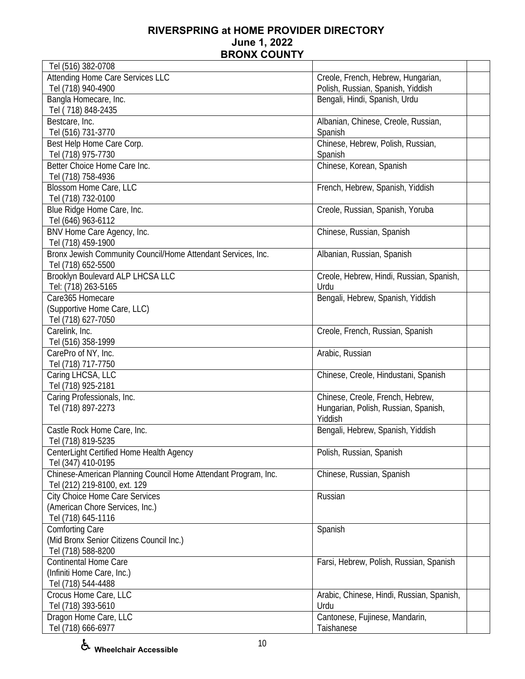| Tel (516) 382-0708                                             |                                                   |  |
|----------------------------------------------------------------|---------------------------------------------------|--|
| Attending Home Care Services LLC                               | Creole, French, Hebrew, Hungarian,                |  |
| Tel (718) 940-4900                                             | Polish, Russian, Spanish, Yiddish                 |  |
| Bangla Homecare, Inc.                                          | Bengali, Hindi, Spanish, Urdu                     |  |
| Tel (718) 848-2435                                             |                                                   |  |
| Bestcare, Inc.                                                 | Albanian, Chinese, Creole, Russian,               |  |
| Tel (516) 731-3770                                             | Spanish                                           |  |
| Best Help Home Care Corp.                                      | Chinese, Hebrew, Polish, Russian,                 |  |
| Tel (718) 975-7730                                             | Spanish                                           |  |
| Better Choice Home Care Inc.                                   | Chinese, Korean, Spanish                          |  |
| Tel (718) 758-4936                                             |                                                   |  |
| Blossom Home Care, LLC                                         | French, Hebrew, Spanish, Yiddish                  |  |
| Tel (718) 732-0100                                             |                                                   |  |
| Blue Ridge Home Care, Inc.                                     | Creole, Russian, Spanish, Yoruba                  |  |
| Tel (646) 963-6112                                             |                                                   |  |
| BNV Home Care Agency, Inc.                                     | Chinese, Russian, Spanish                         |  |
| Tel (718) 459-1900                                             |                                                   |  |
| Bronx Jewish Community Council/Home Attendant Services, Inc.   | Albanian, Russian, Spanish                        |  |
| Tel (718) 652-5500                                             |                                                   |  |
| Brooklyn Boulevard ALP LHCSA LLC                               | Creole, Hebrew, Hindi, Russian, Spanish,          |  |
| Tel: (718) 263-5165                                            | Urdu                                              |  |
| Care365 Homecare                                               | Bengali, Hebrew, Spanish, Yiddish                 |  |
| (Supportive Home Care, LLC)                                    |                                                   |  |
| Tel (718) 627-7050                                             |                                                   |  |
| Carelink, Inc.                                                 | Creole, French, Russian, Spanish                  |  |
| Tel (516) 358-1999                                             |                                                   |  |
| CarePro of NY, Inc.                                            | Arabic, Russian                                   |  |
| Tel (718) 717-7750                                             |                                                   |  |
| Caring LHCSA, LLC                                              | Chinese, Creole, Hindustani, Spanish              |  |
| Tel (718) 925-2181                                             |                                                   |  |
| Caring Professionals, Inc.                                     | Chinese, Creole, French, Hebrew,                  |  |
| Tel (718) 897-2273                                             | Hungarian, Polish, Russian, Spanish,              |  |
|                                                                | Yiddish                                           |  |
| Castle Rock Home Care, Inc.                                    | Bengali, Hebrew, Spanish, Yiddish                 |  |
| Tel (718) 819-5235                                             |                                                   |  |
| CenterLight Certified Home Health Agency                       | Polish, Russian, Spanish                          |  |
| Tel (347) 410-0195                                             |                                                   |  |
| Chinese-American Planning Council Home Attendant Program, Inc. | Chinese, Russian, Spanish                         |  |
| Tel (212) 219-8100, ext. 129                                   |                                                   |  |
| <b>City Choice Home Care Services</b>                          | Russian                                           |  |
| (American Chore Services, Inc.)                                |                                                   |  |
| Tel (718) 645-1116                                             |                                                   |  |
| <b>Comforting Care</b>                                         | Spanish                                           |  |
| (Mid Bronx Senior Citizens Council Inc.)                       |                                                   |  |
| Tel (718) 588-8200                                             |                                                   |  |
| Continental Home Care                                          | Farsi, Hebrew, Polish, Russian, Spanish           |  |
| (Infiniti Home Care, Inc.)                                     |                                                   |  |
| Tel (718) 544-4488                                             |                                                   |  |
|                                                                |                                                   |  |
| Crocus Home Care, LLC<br>Tel (718) 393-5610                    | Arabic, Chinese, Hindi, Russian, Spanish,<br>Urdu |  |
| Dragon Home Care, LLC                                          | Cantonese, Fujinese, Mandarin,                    |  |
|                                                                |                                                   |  |
| Tel (718) 666-6977                                             | Taishanese                                        |  |

**Wheelchair Accessible**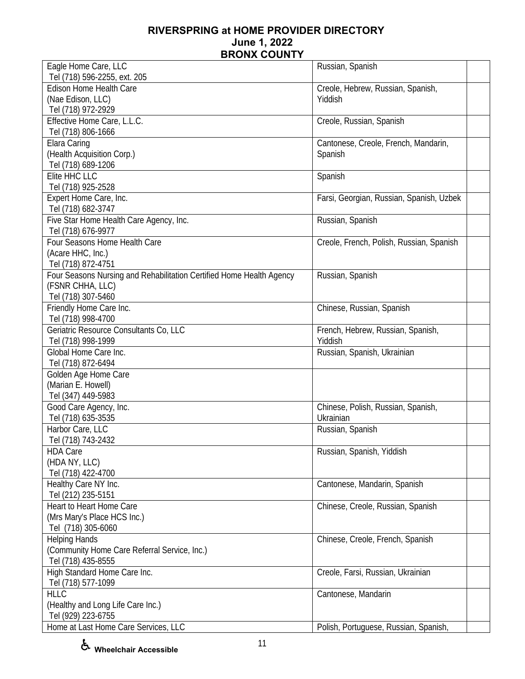| Eagle Home Care, LLC                                                 | Russian, Spanish                         |  |
|----------------------------------------------------------------------|------------------------------------------|--|
| Tel (718) 596-2255, ext. 205                                         |                                          |  |
| <b>Edison Home Health Care</b>                                       | Creole, Hebrew, Russian, Spanish,        |  |
| (Nae Edison, LLC)                                                    | Yiddish                                  |  |
| Tel (718) 972-2929                                                   |                                          |  |
| Effective Home Care, L.L.C.                                          | Creole, Russian, Spanish                 |  |
| Tel (718) 806-1666                                                   |                                          |  |
| Elara Caring                                                         | Cantonese, Creole, French, Mandarin,     |  |
| (Health Acquisition Corp.)                                           | Spanish                                  |  |
| Tel (718) 689-1206                                                   |                                          |  |
| Elite HHC LLC                                                        | Spanish                                  |  |
| Tel (718) 925-2528                                                   |                                          |  |
| Expert Home Care, Inc.                                               | Farsi, Georgian, Russian, Spanish, Uzbek |  |
| Tel (718) 682-3747                                                   |                                          |  |
| Five Star Home Health Care Agency, Inc.                              | Russian, Spanish                         |  |
| Tel (718) 676-9977                                                   |                                          |  |
| Four Seasons Home Health Care                                        | Creole, French, Polish, Russian, Spanish |  |
| (Acare HHC, Inc.)                                                    |                                          |  |
| Tel (718) 872-4751                                                   |                                          |  |
| Four Seasons Nursing and Rehabilitation Certified Home Health Agency | Russian, Spanish                         |  |
| (FSNR CHHA, LLC)                                                     |                                          |  |
| Tel (718) 307-5460                                                   |                                          |  |
| Friendly Home Care Inc.                                              | Chinese, Russian, Spanish                |  |
| Tel (718) 998-4700                                                   |                                          |  |
| Geriatric Resource Consultants Co, LLC                               | French, Hebrew, Russian, Spanish,        |  |
| Tel (718) 998-1999                                                   | Yiddish                                  |  |
| Global Home Care Inc.                                                | Russian, Spanish, Ukrainian              |  |
| Tel (718) 872-6494                                                   |                                          |  |
| Golden Age Home Care                                                 |                                          |  |
| (Marian E. Howell)                                                   |                                          |  |
| Tel (347) 449-5983                                                   |                                          |  |
| Good Care Agency, Inc.                                               | Chinese, Polish, Russian, Spanish,       |  |
| Tel (718) 635-3535                                                   | Ukrainian                                |  |
| Harbor Care, LLC                                                     | Russian, Spanish                         |  |
| Tel (718) 743-2432                                                   |                                          |  |
| <b>HDA Care</b>                                                      | Russian, Spanish, Yiddish                |  |
| (HDA NY, LLC)                                                        |                                          |  |
| Tel (718) 422-4700                                                   |                                          |  |
| Healthy Care NY Inc.                                                 | Cantonese, Mandarin, Spanish             |  |
| Tel (212) 235-5151                                                   |                                          |  |
| <b>Heart to Heart Home Care</b>                                      | Chinese, Creole, Russian, Spanish        |  |
|                                                                      |                                          |  |
| (Mrs Mary's Place HCS Inc.)                                          |                                          |  |
| Tel (718) 305-6060                                                   |                                          |  |
| <b>Helping Hands</b>                                                 | Chinese, Creole, French, Spanish         |  |
| (Community Home Care Referral Service, Inc.)                         |                                          |  |
| Tel (718) 435-8555                                                   |                                          |  |
| High Standard Home Care Inc.                                         | Creole, Farsi, Russian, Ukrainian        |  |
| Tel (718) 577-1099                                                   |                                          |  |
| <b>HLLC</b>                                                          | Cantonese, Mandarin                      |  |
| (Healthy and Long Life Care Inc.)                                    |                                          |  |
| Tel (929) 223-6755                                                   |                                          |  |
| Home at Last Home Care Services, LLC                                 | Polish, Portuguese, Russian, Spanish,    |  |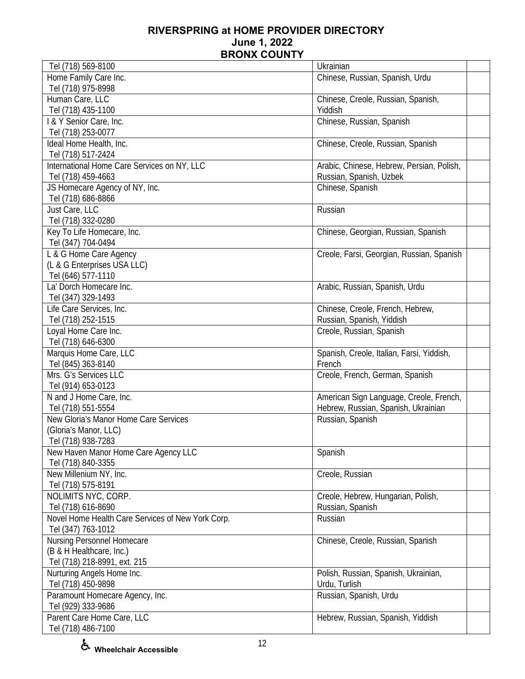| Tel (718) 569-8100                                | Ukrainian                                 |
|---------------------------------------------------|-------------------------------------------|
| Home Family Care Inc.                             | Chinese, Russian, Spanish, Urdu           |
| Tel (718) 975-8998                                |                                           |
| Human Care, LLC                                   | Chinese, Creole, Russian, Spanish,        |
| Tel (718) 435-1100                                | Yiddish                                   |
| I & Y Senior Care, Inc.                           | Chinese, Russian, Spanish                 |
| Tel (718) 253-0077                                |                                           |
| Ideal Home Health, Inc.                           | Chinese, Creole, Russian, Spanish         |
| Tel (718) 517-2424                                |                                           |
| International Home Care Services on NY, LLC       | Arabic, Chinese, Hebrew, Persian, Polish, |
| Tel (718) 459-4663                                | Russian, Spanish, Uzbek                   |
| JS Homecare Agency of NY, Inc.                    | Chinese, Spanish                          |
| Tel (718) 686-8866                                |                                           |
| Just Care, LLC                                    | Russian                                   |
| Tel (718) 332-0280                                |                                           |
| Key To Life Homecare, Inc.                        | Chinese, Georgian, Russian, Spanish       |
| Tel (347) 704-0494                                |                                           |
| L & G Home Care Agency                            | Creole, Farsi, Georgian, Russian, Spanish |
| (L & G Enterprises USA LLC)                       |                                           |
| Tel (646) 577-1110                                |                                           |
| La' Dorch Homecare Inc.                           | Arabic, Russian, Spanish, Urdu            |
| Tel (347) 329-1493                                |                                           |
| Life Care Services, Inc.                          | Chinese, Creole, French, Hebrew,          |
|                                                   |                                           |
| Tel (718) 252-1515                                | Russian, Spanish, Yiddish                 |
| Loyal Home Care Inc.                              | Creole, Russian, Spanish                  |
| Tel (718) 646-6300                                |                                           |
| Marquis Home Care, LLC                            | Spanish, Creole, Italian, Farsi, Yiddish, |
| Tel (845) 363-8140                                | French                                    |
| Mrs. G's Services LLC                             | Creole, French, German, Spanish           |
| Tel (914) 653-0123                                |                                           |
| N and J Home Care, Inc.                           | American Sign Language, Creole, French,   |
| Tel (718) 551-5554                                | Hebrew, Russian, Spanish, Ukrainian       |
| New Gloria's Manor Home Care Services             | Russian, Spanish                          |
| (Gloria's Manor, LLC)                             |                                           |
| Tel (718) 938-7283                                |                                           |
| New Haven Manor Home Care Agency LLC              | Spanish                                   |
| Tel (718) 840-3355                                |                                           |
| New Millenium NY, Inc.                            | Creole, Russian                           |
| Tel (718) 575-8191                                |                                           |
| NOLIMITS NYC, CORP.                               | Creole, Hebrew, Hungarian, Polish,        |
| Tel (718) 616-8690                                | Russian, Spanish                          |
| Novel Home Health Care Services of New York Corp. | Russian                                   |
| Tel (347) 763-1012                                |                                           |
| Nursing Personnel Homecare                        | Chinese, Creole, Russian, Spanish         |
| (B & H Healthcare, Inc.)                          |                                           |
| Tel (718) 218-8991, ext. 215                      |                                           |
| Nurturing Angels Home Inc.                        | Polish, Russian, Spanish, Ukrainian,      |
| Tel (718) 450-9898                                | Urdu, Turlish                             |
| Paramount Homecare Agency, Inc.                   | Russian, Spanish, Urdu                    |
| Tel (929) 333-9686                                |                                           |
| Parent Care Home Care, LLC                        | Hebrew, Russian, Spanish, Yiddish         |
| Tel (718) 486-7100                                |                                           |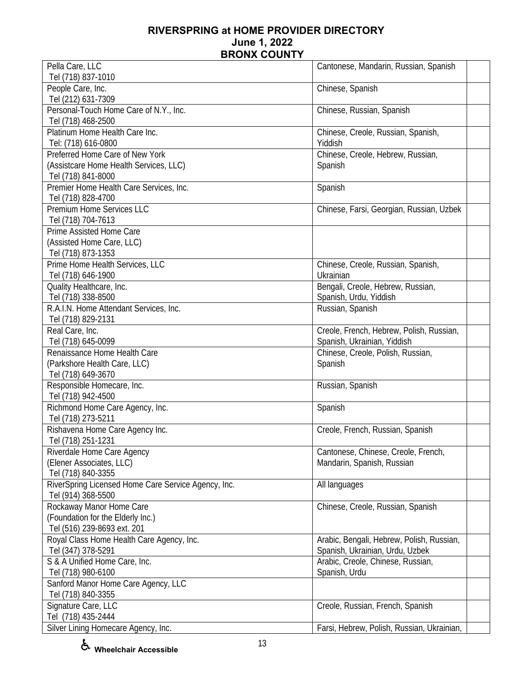| Pella Care, LLC                                     | Cantonese, Mandarin, Russian, Spanish      |
|-----------------------------------------------------|--------------------------------------------|
| Tel (718) 837-1010                                  |                                            |
| People Care, Inc.                                   | Chinese, Spanish                           |
| Tel (212) 631-7309                                  |                                            |
| Personal-Touch Home Care of N.Y., Inc.              | Chinese, Russian, Spanish                  |
| Tel (718) 468-2500                                  |                                            |
| Platinum Home Health Care Inc.                      | Chinese, Creole, Russian, Spanish,         |
| Tel: (718) 616-0800                                 | Yiddish                                    |
| Preferred Home Care of New York                     | Chinese, Creole, Hebrew, Russian,          |
| (Assistcare Home Health Services, LLC)              | Spanish                                    |
| Tel (718) 841-8000                                  |                                            |
| Premier Home Health Care Services, Inc.             | Spanish                                    |
| Tel (718) 828-4700                                  |                                            |
| Premium Home Services LLC                           | Chinese, Farsi, Georgian, Russian, Uzbek   |
| Tel (718) 704-7613                                  |                                            |
| Prime Assisted Home Care                            |                                            |
| (Assisted Home Care, LLC)                           |                                            |
| Tel (718) 873-1353                                  |                                            |
| Prime Home Health Services, LLC                     | Chinese, Creole, Russian, Spanish,         |
| Tel (718) 646-1900                                  | Ukrainian                                  |
| Quality Healthcare, Inc.                            | Bengali, Creole, Hebrew, Russian,          |
| Tel (718) 338-8500                                  | Spanish, Urdu, Yiddish                     |
| R.A.I.N. Home Attendant Services, Inc.              | Russian, Spanish                           |
| Tel (718) 829-2131                                  |                                            |
| Real Care, Inc.                                     | Creole, French, Hebrew, Polish, Russian,   |
| Tel (718) 645-0099                                  | Spanish, Ukrainian, Yiddish                |
| Renaissance Home Health Care                        | Chinese, Creole, Polish, Russian,          |
| (Parkshore Health Care, LLC)                        | Spanish                                    |
| Tel (718) 649-3670                                  |                                            |
| Responsible Homecare, Inc.                          | Russian, Spanish                           |
| Tel (718) 942-4500                                  |                                            |
| Richmond Home Care Agency, Inc.                     | Spanish                                    |
| Tel (718) 273-5211                                  |                                            |
| Rishavena Home Care Agency Inc.                     | Creole, French, Russian, Spanish           |
| Tel (718) 251-1231                                  |                                            |
| Riverdale Home Care Agency                          | Cantonese, Chinese, Creole, French,        |
| (Elener Associates, LLC)                            | Mandarin, Spanish, Russian                 |
| Tel (718) 840-3355                                  |                                            |
| RiverSpring Licensed Home Care Service Agency, Inc. | All languages                              |
| Tel (914) 368-5500                                  |                                            |
| Rockaway Manor Home Care                            | Chinese, Creole, Russian, Spanish          |
| (Foundation for the Elderly Inc.)                   |                                            |
| Tel (516) 239-8693 ext. 201                         |                                            |
| Royal Class Home Health Care Agency, Inc.           | Arabic, Bengali, Hebrew, Polish, Russian,  |
| Tel (347) 378-5291                                  | Spanish, Ukrainian, Urdu, Uzbek            |
| S & A Unified Home Care, Inc.                       | Arabic, Creole, Chinese, Russian,          |
| Tel (718) 980-6100                                  | Spanish, Urdu                              |
| Sanford Manor Home Care Agency, LLC                 |                                            |
| Tel (718) 840-3355                                  |                                            |
| Signature Care, LLC                                 | Creole, Russian, French, Spanish           |
| Tel (718) 435-2444                                  |                                            |
| Silver Lining Homecare Agency, Inc.                 | Farsi, Hebrew, Polish, Russian, Ukrainian, |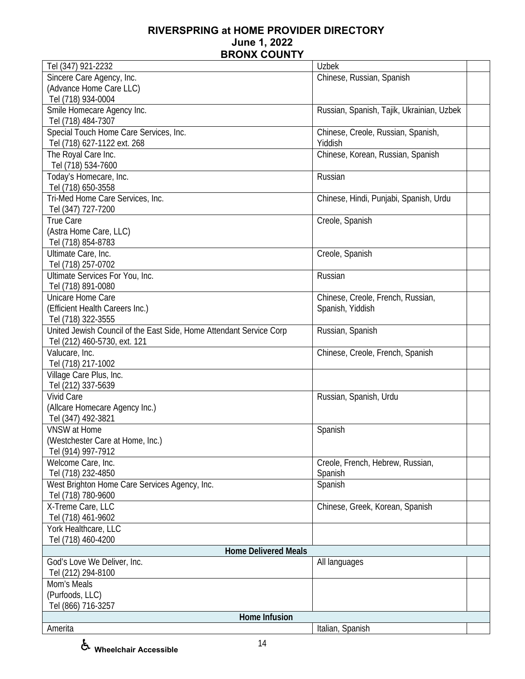| Tel (347) 921-2232                                                  | <b>Uzbek</b>                              |
|---------------------------------------------------------------------|-------------------------------------------|
| Sincere Care Agency, Inc.                                           | Chinese, Russian, Spanish                 |
| (Advance Home Care LLC)                                             |                                           |
| Tel (718) 934-0004                                                  |                                           |
| Smile Homecare Agency Inc.                                          | Russian, Spanish, Tajik, Ukrainian, Uzbek |
| Tel (718) 484-7307                                                  |                                           |
| Special Touch Home Care Services, Inc.                              | Chinese, Creole, Russian, Spanish,        |
| Tel (718) 627-1122 ext. 268                                         | Yiddish                                   |
| The Royal Care Inc.                                                 | Chinese, Korean, Russian, Spanish         |
| Tel (718) 534-7600                                                  |                                           |
| Today's Homecare, Inc.                                              | Russian                                   |
| Tel (718) 650-3558                                                  |                                           |
| Tri-Med Home Care Services, Inc.                                    |                                           |
|                                                                     | Chinese, Hindi, Punjabi, Spanish, Urdu    |
| Tel (347) 727-7200                                                  |                                           |
| True Care                                                           | Creole, Spanish                           |
| (Astra Home Care, LLC)                                              |                                           |
| Tel (718) 854-8783                                                  |                                           |
| Ultimate Care, Inc.                                                 | Creole, Spanish                           |
| Tel (718) 257-0702                                                  |                                           |
| Ultimate Services For You, Inc.                                     | Russian                                   |
| Tel (718) 891-0080                                                  |                                           |
| Unicare Home Care                                                   | Chinese, Creole, French, Russian,         |
| (Efficient Health Careers Inc.)                                     | Spanish, Yiddish                          |
| Tel (718) 322-3555                                                  |                                           |
| United Jewish Council of the East Side, Home Attendant Service Corp | Russian, Spanish                          |
| Tel (212) 460-5730, ext. 121                                        |                                           |
| Valucare, Inc.                                                      | Chinese, Creole, French, Spanish          |
| Tel (718) 217-1002                                                  |                                           |
| Village Care Plus, Inc.                                             |                                           |
| Tel (212) 337-5639                                                  |                                           |
| <b>Vivid Care</b>                                                   | Russian, Spanish, Urdu                    |
| (Allcare Homecare Agency Inc.)                                      |                                           |
| Tel (347) 492-3821                                                  |                                           |
| VNSW at Home                                                        | Spanish                                   |
| (Westchester Care at Home, Inc.)                                    |                                           |
| Tel (914) 997-7912                                                  |                                           |
| Welcome Care, Inc.                                                  | Creole, French, Hebrew, Russian,          |
| Tel (718) 232-4850                                                  | Spanish                                   |
| West Brighton Home Care Services Agency, Inc.                       | Spanish                                   |
| Tel (718) 780-9600                                                  |                                           |
| X-Treme Care, LLC                                                   | Chinese, Greek, Korean, Spanish           |
| Tel (718) 461-9602                                                  |                                           |
| York Healthcare, LLC                                                |                                           |
| Tel (718) 460-4200                                                  |                                           |
| <b>Home Delivered Meals</b>                                         |                                           |
| God's Love We Deliver, Inc.                                         | All languages                             |
| Tel (212) 294-8100                                                  |                                           |
| Mom's Meals                                                         |                                           |
| (Purfoods, LLC)                                                     |                                           |
| Tel (866) 716-3257                                                  |                                           |
| Home Infusion                                                       |                                           |
| Amerita                                                             | Italian, Spanish                          |
|                                                                     |                                           |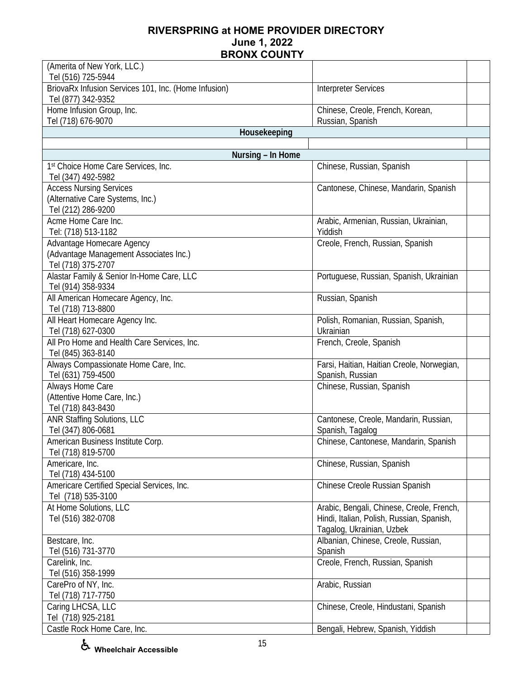| (Amerita of New York, LLC.)<br>Tel (516) 725-5944                                         |                                                                                                                     |  |
|-------------------------------------------------------------------------------------------|---------------------------------------------------------------------------------------------------------------------|--|
| BriovaRx Infusion Services 101, Inc. (Home Infusion)<br>Tel (877) 342-9352                | <b>Interpreter Services</b>                                                                                         |  |
| Home Infusion Group, Inc.<br>Tel (718) 676-9070                                           | Chinese, Creole, French, Korean,<br>Russian, Spanish                                                                |  |
| Housekeeping                                                                              |                                                                                                                     |  |
|                                                                                           |                                                                                                                     |  |
| Nursing - In Home                                                                         |                                                                                                                     |  |
| 1st Choice Home Care Services, Inc.<br>Tel (347) 492-5982                                 | Chinese, Russian, Spanish                                                                                           |  |
| <b>Access Nursing Services</b><br>(Alternative Care Systems, Inc.)<br>Tel (212) 286-9200  | Cantonese, Chinese, Mandarin, Spanish                                                                               |  |
| Acme Home Care Inc.<br>Tel: (718) 513-1182                                                | Arabic, Armenian, Russian, Ukrainian,<br>Yiddish                                                                    |  |
| Advantage Homecare Agency<br>(Advantage Management Associates Inc.)<br>Tel (718) 375-2707 | Creole, French, Russian, Spanish                                                                                    |  |
| Alastar Family & Senior In-Home Care, LLC<br>Tel (914) 358-9334                           | Portuguese, Russian, Spanish, Ukrainian                                                                             |  |
| All American Homecare Agency, Inc.<br>Tel (718) 713-8800                                  | Russian, Spanish                                                                                                    |  |
| All Heart Homecare Agency Inc.<br>Tel (718) 627-0300                                      | Polish, Romanian, Russian, Spanish,<br>Ukrainian                                                                    |  |
| All Pro Home and Health Care Services, Inc.<br>Tel (845) 363-8140                         | French, Creole, Spanish                                                                                             |  |
| Always Compassionate Home Care, Inc.<br>Tel (631) 759-4500                                | Farsi, Haitian, Haitian Creole, Norwegian,<br>Spanish, Russian                                                      |  |
| Always Home Care<br>(Attentive Home Care, Inc.)<br>Tel (718) 843-8430                     | Chinese, Russian, Spanish                                                                                           |  |
| <b>ANR Staffing Solutions, LLC</b><br>Tel (347) 806-0681                                  | Cantonese, Creole, Mandarin, Russian,<br>Spanish, Tagalog                                                           |  |
| American Business Institute Corp.<br>Tel (718) 819-5700                                   | Chinese, Cantonese, Mandarin, Spanish                                                                               |  |
| Americare, Inc.<br>Tel (718) 434-5100                                                     | Chinese, Russian, Spanish                                                                                           |  |
| Americare Certified Special Services, Inc.<br>Tel (718) 535-3100                          | Chinese Creole Russian Spanish                                                                                      |  |
| At Home Solutions, LLC<br>Tel (516) 382-0708                                              | Arabic, Bengali, Chinese, Creole, French,<br>Hindi, Italian, Polish, Russian, Spanish,<br>Tagalog, Ukrainian, Uzbek |  |
| Bestcare, Inc.<br>Tel (516) 731-3770                                                      | Albanian, Chinese, Creole, Russian,<br>Spanish                                                                      |  |
| Carelink, Inc.<br>Tel (516) 358-1999                                                      | Creole, French, Russian, Spanish                                                                                    |  |
| CarePro of NY, Inc.<br>Tel (718) 717-7750                                                 | Arabic, Russian                                                                                                     |  |
| Caring LHCSA, LLC<br>Tel (718) 925-2181                                                   | Chinese, Creole, Hindustani, Spanish                                                                                |  |
| Castle Rock Home Care, Inc.                                                               | Bengali, Hebrew, Spanish, Yiddish                                                                                   |  |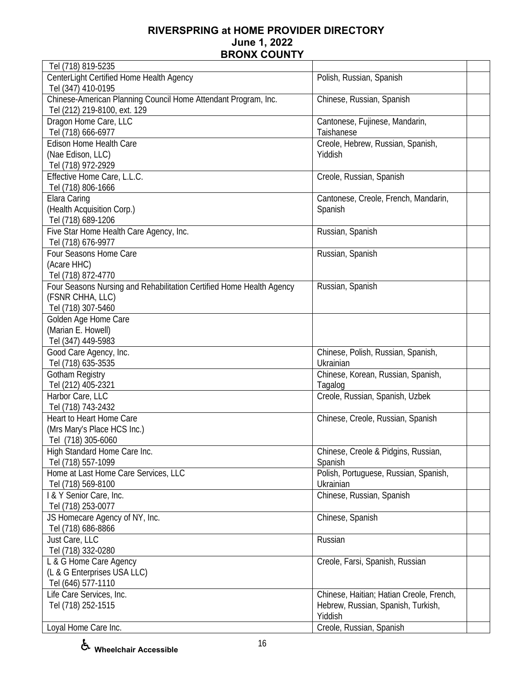| Tel (718) 819-5235                                                   |                                          |  |
|----------------------------------------------------------------------|------------------------------------------|--|
| CenterLight Certified Home Health Agency                             | Polish, Russian, Spanish                 |  |
| Tel (347) 410-0195                                                   |                                          |  |
| Chinese-American Planning Council Home Attendant Program, Inc.       | Chinese, Russian, Spanish                |  |
| Tel (212) 219-8100, ext. 129                                         |                                          |  |
| Dragon Home Care, LLC                                                | Cantonese, Fujinese, Mandarin,           |  |
| Tel (718) 666-6977                                                   | Taishanese                               |  |
| Edison Home Health Care                                              |                                          |  |
|                                                                      | Creole, Hebrew, Russian, Spanish,        |  |
| (Nae Edison, LLC)                                                    | Yiddish                                  |  |
| Tel (718) 972-2929                                                   |                                          |  |
| Effective Home Care, L.L.C.                                          | Creole, Russian, Spanish                 |  |
| Tel (718) 806-1666                                                   |                                          |  |
| Elara Caring                                                         | Cantonese, Creole, French, Mandarin,     |  |
| (Health Acquisition Corp.)                                           | Spanish                                  |  |
| Tel (718) 689-1206                                                   |                                          |  |
| Five Star Home Health Care Agency, Inc.                              | Russian, Spanish                         |  |
| Tel (718) 676-9977                                                   |                                          |  |
| Four Seasons Home Care                                               | Russian, Spanish                         |  |
| (Acare HHC)                                                          |                                          |  |
| Tel (718) 872-4770                                                   |                                          |  |
|                                                                      |                                          |  |
| Four Seasons Nursing and Rehabilitation Certified Home Health Agency | Russian, Spanish                         |  |
| (FSNR CHHA, LLC)                                                     |                                          |  |
| Tel (718) 307-5460                                                   |                                          |  |
| Golden Age Home Care                                                 |                                          |  |
| (Marian E. Howell)                                                   |                                          |  |
| Tel (347) 449-5983                                                   |                                          |  |
|                                                                      |                                          |  |
| Good Care Agency, Inc.                                               | Chinese, Polish, Russian, Spanish,       |  |
| Tel (718) 635-3535                                                   | Ukrainian                                |  |
|                                                                      |                                          |  |
| Gotham Registry                                                      | Chinese, Korean, Russian, Spanish,       |  |
| Tel (212) 405-2321                                                   | Tagalog                                  |  |
| Harbor Care, LLC                                                     | Creole, Russian, Spanish, Uzbek          |  |
| Tel (718) 743-2432                                                   |                                          |  |
| Heart to Heart Home Care                                             | Chinese, Creole, Russian, Spanish        |  |
| (Mrs Mary's Place HCS Inc.)                                          |                                          |  |
| Tel (718) 305-6060                                                   |                                          |  |
| High Standard Home Care Inc.                                         | Chinese, Creole & Pidgins, Russian,      |  |
| Tel (718) 557-1099                                                   | Spanish                                  |  |
| Home at Last Home Care Services, LLC                                 | Polish, Portuguese, Russian, Spanish,    |  |
| Tel (718) 569-8100                                                   | Ukrainian                                |  |
| I & Y Senior Care, Inc.                                              | Chinese, Russian, Spanish                |  |
| Tel (718) 253-0077                                                   |                                          |  |
|                                                                      |                                          |  |
| JS Homecare Agency of NY, Inc.                                       | Chinese, Spanish                         |  |
| Tel (718) 686-8866                                                   |                                          |  |
| Just Care, LLC                                                       | Russian                                  |  |
| Tel (718) 332-0280                                                   |                                          |  |
| L & G Home Care Agency                                               | Creole, Farsi, Spanish, Russian          |  |
| (L & G Enterprises USA LLC)                                          |                                          |  |
| Tel (646) 577-1110                                                   |                                          |  |
| Life Care Services, Inc.                                             | Chinese, Haitian; Hatian Creole, French, |  |
| Tel (718) 252-1515                                                   | Hebrew, Russian, Spanish, Turkish,       |  |
| Loyal Home Care Inc.                                                 | Yiddish<br>Creole, Russian, Spanish      |  |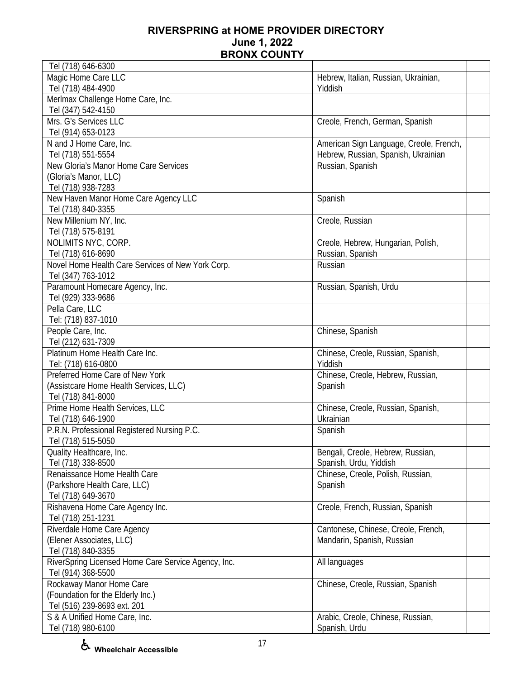| Tel (718) 646-6300                                  |                                         |
|-----------------------------------------------------|-----------------------------------------|
| Magic Home Care LLC                                 | Hebrew, Italian, Russian, Ukrainian,    |
| Tel (718) 484-4900                                  | Yiddish                                 |
| Merlmax Challenge Home Care, Inc.                   |                                         |
| Tel (347) 542-4150                                  |                                         |
| Mrs. G's Services LLC                               | Creole, French, German, Spanish         |
| Tel (914) 653-0123                                  |                                         |
| N and J Home Care, Inc.                             | American Sign Language, Creole, French, |
| Tel (718) 551-5554                                  | Hebrew, Russian, Spanish, Ukrainian     |
| New Gloria's Manor Home Care Services               | Russian, Spanish                        |
| (Gloria's Manor, LLC)                               |                                         |
| Tel (718) 938-7283                                  |                                         |
|                                                     |                                         |
| New Haven Manor Home Care Agency LLC                | Spanish                                 |
| Tel (718) 840-3355                                  |                                         |
| New Millenium NY, Inc.                              | Creole, Russian                         |
| Tel (718) 575-8191                                  |                                         |
| NOLIMITS NYC, CORP.                                 | Creole, Hebrew, Hungarian, Polish,      |
| Tel (718) 616-8690                                  | Russian, Spanish                        |
| Novel Home Health Care Services of New York Corp.   | Russian                                 |
| Tel (347) 763-1012                                  |                                         |
| Paramount Homecare Agency, Inc.                     | Russian, Spanish, Urdu                  |
| Tel (929) 333-9686                                  |                                         |
| Pella Care, LLC                                     |                                         |
| Tel: (718) 837-1010                                 |                                         |
| People Care, Inc.                                   | Chinese, Spanish                        |
| Tel (212) 631-7309                                  |                                         |
| Platinum Home Health Care Inc.                      | Chinese, Creole, Russian, Spanish,      |
| Tel: (718) 616-0800                                 | Yiddish                                 |
| Preferred Home Care of New York                     | Chinese, Creole, Hebrew, Russian,       |
| (Assistcare Home Health Services, LLC)              | Spanish                                 |
| Tel (718) 841-8000                                  |                                         |
| Prime Home Health Services, LLC                     | Chinese, Creole, Russian, Spanish,      |
| Tel (718) 646-1900                                  | Ukrainian                               |
| P.R.N. Professional Registered Nursing P.C.         | Spanish                                 |
| Tel (718) 515-5050                                  |                                         |
| Quality Healthcare, Inc.                            | Bengali, Creole, Hebrew, Russian,       |
| Tel (718) 338-8500                                  | Spanish, Urdu, Yiddish                  |
| Renaissance Home Health Care                        | Chinese, Creole, Polish, Russian,       |
| (Parkshore Health Care, LLC)                        | Spanish                                 |
| Tel (718) 649-3670                                  |                                         |
| Rishavena Home Care Agency Inc.                     | Creole, French, Russian, Spanish        |
| Tel (718) 251-1231                                  |                                         |
| Riverdale Home Care Agency                          | Cantonese, Chinese, Creole, French,     |
| (Elener Associates, LLC)                            | Mandarin, Spanish, Russian              |
|                                                     |                                         |
| Tel (718) 840-3355                                  |                                         |
| RiverSpring Licensed Home Care Service Agency, Inc. | All languages                           |
| Tel (914) 368-5500                                  |                                         |
| Rockaway Manor Home Care                            | Chinese, Creole, Russian, Spanish       |
| (Foundation for the Elderly Inc.)                   |                                         |
| Tel (516) 239-8693 ext. 201                         |                                         |
| S & A Unified Home Care, Inc.                       | Arabic, Creole, Chinese, Russian,       |
| Tel (718) 980-6100                                  | Spanish, Urdu                           |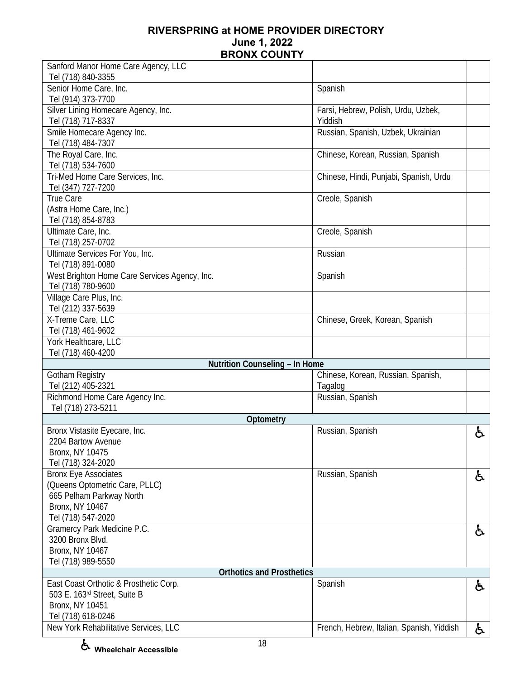| Sanford Manor Home Care Agency, LLC             |                                           |    |
|-------------------------------------------------|-------------------------------------------|----|
| Tel (718) 840-3355                              |                                           |    |
| Senior Home Care, Inc.                          | Spanish                                   |    |
| Tel (914) 373-7700                              |                                           |    |
| Silver Lining Homecare Agency, Inc.             | Farsi, Hebrew, Polish, Urdu, Uzbek,       |    |
| Tel (718) 717-8337                              | Yiddish                                   |    |
| Smile Homecare Agency Inc.                      | Russian, Spanish, Uzbek, Ukrainian        |    |
| Tel (718) 484-7307                              |                                           |    |
| The Royal Care, Inc.                            | Chinese, Korean, Russian, Spanish         |    |
| Tel (718) 534-7600                              |                                           |    |
| Tri-Med Home Care Services, Inc.                | Chinese, Hindi, Punjabi, Spanish, Urdu    |    |
| Tel (347) 727-7200                              |                                           |    |
| True Care                                       | Creole, Spanish                           |    |
| (Astra Home Care, Inc.)                         |                                           |    |
| Tel (718) 854-8783                              |                                           |    |
| Ultimate Care, Inc.                             | Creole, Spanish                           |    |
| Tel (718) 257-0702                              |                                           |    |
| Ultimate Services For You, Inc.                 | Russian                                   |    |
| Tel (718) 891-0080                              |                                           |    |
| West Brighton Home Care Services Agency, Inc.   | Spanish                                   |    |
| Tel (718) 780-9600                              |                                           |    |
| Village Care Plus, Inc.                         |                                           |    |
| Tel (212) 337-5639                              |                                           |    |
| X-Treme Care, LLC                               | Chinese, Greek, Korean, Spanish           |    |
| Tel (718) 461-9602                              |                                           |    |
| York Healthcare, LLC                            |                                           |    |
| Tel (718) 460-4200                              |                                           |    |
| Nutrition Counseling - In Home                  |                                           |    |
| Gotham Registry                                 | Chinese, Korean, Russian, Spanish,        |    |
| Tel (212) 405-2321                              | Tagalog                                   |    |
| Richmond Home Care Agency Inc.                  | Russian, Spanish                          |    |
| Tel (718) 273-5211                              |                                           |    |
| Optometry                                       |                                           |    |
| Bronx Vistasite Eyecare, Inc.                   | Russian, Spanish                          | ę. |
| 2204 Bartow Avenue                              |                                           |    |
| <b>Bronx, NY 10475</b>                          |                                           |    |
| Tel (718) 324-2020                              |                                           |    |
| <b>Bronx Eye Associates</b>                     | Russian, Spanish                          | ę. |
| (Queens Optometric Care, PLLC)                  |                                           |    |
| 665 Pelham Parkway North                        |                                           |    |
| Bronx, NY 10467                                 |                                           |    |
| Tel (718) 547-2020                              |                                           |    |
| Gramercy Park Medicine P.C.<br>3200 Bronx Blvd. |                                           | ę. |
| Bronx, NY 10467                                 |                                           |    |
| Tel (718) 989-5550                              |                                           |    |
| <b>Orthotics and Prosthetics</b>                |                                           |    |
| East Coast Orthotic & Prosthetic Corp.          | Spanish                                   |    |
| 503 E. 163rd Street, Suite B                    |                                           | රූ |
| Bronx, NY 10451                                 |                                           |    |
| Tel (718) 618-0246                              |                                           |    |
| New York Rehabilitative Services, LLC           |                                           |    |
|                                                 | French, Hebrew, Italian, Spanish, Yiddish | ė. |

**Wheelchair Accessible**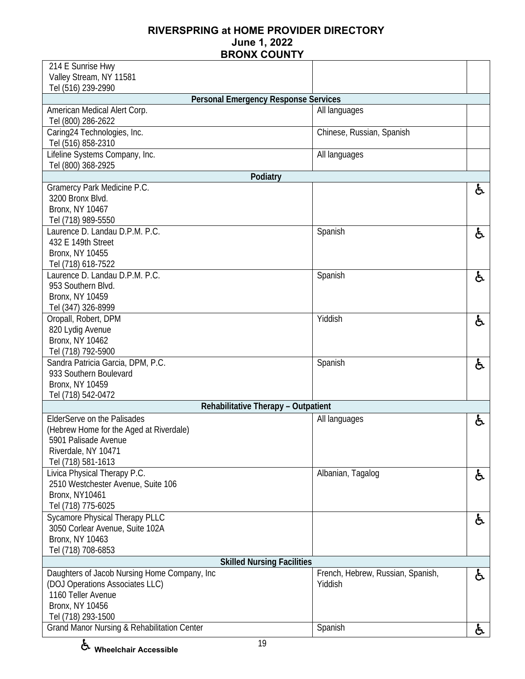| 214 E Sunrise Hwy                                                  |                                   |    |
|--------------------------------------------------------------------|-----------------------------------|----|
| Valley Stream, NY 11581                                            |                                   |    |
| Tel (516) 239-2990                                                 |                                   |    |
| <b>Personal Emergency Response Services</b>                        |                                   |    |
| American Medical Alert Corp.                                       | All languages                     |    |
| Tel (800) 286-2622                                                 |                                   |    |
| Caring24 Technologies, Inc.                                        | Chinese, Russian, Spanish         |    |
| Tel (516) 858-2310                                                 |                                   |    |
| Lifeline Systems Company, Inc.                                     | All languages                     |    |
| Tel (800) 368-2925                                                 |                                   |    |
| Podiatry                                                           |                                   |    |
| Gramercy Park Medicine P.C.                                        |                                   | と  |
| 3200 Bronx Blvd.                                                   |                                   |    |
| Bronx, NY 10467                                                    |                                   |    |
| Tel (718) 989-5550                                                 |                                   |    |
| Laurence D. Landau D.P.M. P.C.                                     | Spanish                           | と  |
| 432 E 149th Street                                                 |                                   |    |
| <b>Bronx, NY 10455</b>                                             |                                   |    |
| Tel (718) 618-7522                                                 |                                   |    |
| Laurence D. Landau D.P.M. P.C.                                     | Spanish                           | £. |
| 953 Southern Blvd.                                                 |                                   |    |
| Bronx, NY 10459                                                    |                                   |    |
| Tel (347) 326-8999                                                 |                                   |    |
| Oropall, Robert, DPM                                               | Yiddish                           | ę. |
| 820 Lydig Avenue                                                   |                                   |    |
| <b>Bronx, NY 10462</b>                                             |                                   |    |
| Tel (718) 792-5900                                                 |                                   |    |
| Sandra Patricia Garcia, DPM, P.C.                                  | Spanish                           | ę. |
| 933 Southern Boulevard                                             |                                   |    |
| Bronx, NY 10459                                                    |                                   |    |
| Tel (718) 542-0472                                                 |                                   |    |
| Rehabilitative Therapy - Outpatient                                |                                   |    |
| ElderServe on the Palisades                                        | All languages                     | ė. |
| (Hebrew Home for the Aged at Riverdale)                            |                                   |    |
| 5901 Palisade Avenue                                               |                                   |    |
| Riverdale, NY 10471                                                |                                   |    |
| Tel (718) 581-1613                                                 | Albanian, Tagalog                 |    |
| Livica Physical Therapy P.C.<br>2510 Westchester Avenue, Suite 106 |                                   | ę. |
| <b>Bronx, NY10461</b>                                              |                                   |    |
| Tel (718) 775-6025                                                 |                                   |    |
| Sycamore Physical Therapy PLLC                                     |                                   |    |
| 3050 Corlear Avenue, Suite 102A                                    |                                   | ė. |
| Bronx, NY 10463                                                    |                                   |    |
| Tel (718) 708-6853                                                 |                                   |    |
| <b>Skilled Nursing Facilities</b>                                  |                                   |    |
| Daughters of Jacob Nursing Home Company, Inc                       | French, Hebrew, Russian, Spanish, |    |
| (DOJ Operations Associates LLC)                                    | Yiddish                           | ė. |
| 1160 Teller Avenue                                                 |                                   |    |
| Bronx, NY 10456                                                    |                                   |    |
| Tel (718) 293-1500                                                 |                                   |    |
| Grand Manor Nursing & Rehabilitation Center                        | Spanish                           |    |
|                                                                    |                                   | ė. |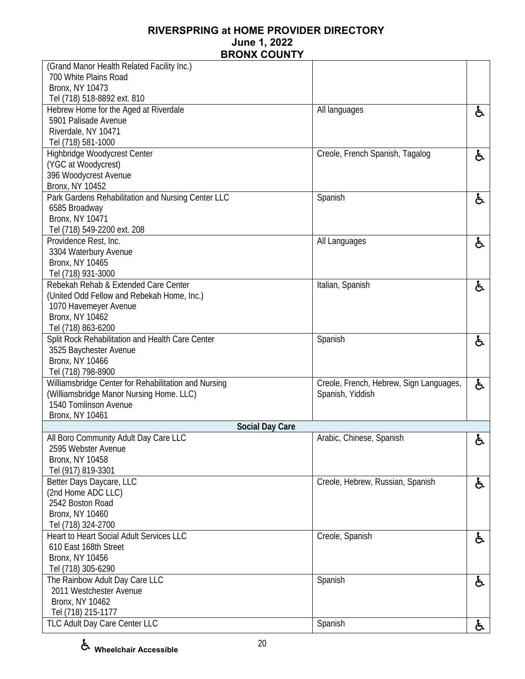| (Grand Manor Health Related Facility Inc.)           |                                         |    |
|------------------------------------------------------|-----------------------------------------|----|
| 700 White Plains Road                                |                                         |    |
| <b>Bronx, NY 10473</b>                               |                                         |    |
| Tel (718) 518-8892 ext. 810                          |                                         |    |
| Hebrew Home for the Aged at Riverdale                | All languages                           | ė, |
| 5901 Palisade Avenue                                 |                                         |    |
| Riverdale, NY 10471                                  |                                         |    |
| Tel (718) 581-1000                                   |                                         |    |
| Highbridge Woodycrest Center                         | Creole, French Spanish, Tagalog         | ė, |
| (YGC at Woodycrest)                                  |                                         |    |
| 396 Woodycrest Avenue                                |                                         |    |
| Bronx, NY 10452                                      |                                         |    |
| Park Gardens Rehabilitation and Nursing Center LLC   | Spanish                                 | と  |
| 6585 Broadway                                        |                                         |    |
| Bronx, NY 10471                                      |                                         |    |
| Tel (718) 549-2200 ext. 208                          |                                         |    |
| Providence Rest, Inc.                                | All Languages                           | と  |
| 3304 Waterbury Avenue<br><b>Bronx, NY 10465</b>      |                                         |    |
| Tel (718) 931-3000                                   |                                         |    |
| Rebekah Rehab & Extended Care Center                 | Italian, Spanish                        |    |
| (United Odd Fellow and Rebekah Home, Inc.)           |                                         | と  |
| 1070 Havemeyer Avenue                                |                                         |    |
| Bronx, NY 10462                                      |                                         |    |
| Tel (718) 863-6200                                   |                                         |    |
| Split Rock Rehabilitation and Health Care Center     | Spanish                                 | と  |
| 3525 Baychester Avenue                               |                                         |    |
| <b>Bronx, NY 10466</b>                               |                                         |    |
| Tel (718) 798-8900                                   |                                         |    |
| Williamsbridge Center for Rehabilitation and Nursing | Creole, French, Hebrew, Sign Languages, | ę. |
| (Williamsbridge Manor Nursing Home. LLC)             | Spanish, Yiddish                        |    |
| 1540 Tomlinson Avenue                                |                                         |    |
| Bronx, NY 10461                                      |                                         |    |
| <b>Social Day Care</b>                               |                                         |    |
| All Boro Community Adult Day Care LLC                | Arabic, Chinese, Spanish                | £. |
| 2595 Webster Avenue                                  |                                         |    |
| <b>Bronx, NY 10458</b>                               |                                         |    |
| Tel (917) 819-3301                                   |                                         |    |
| Better Days Daycare, LLC                             | Creole, Hebrew, Russian, Spanish        | ę. |
| (2nd Home ADC LLC)                                   |                                         |    |
| 2542 Boston Road                                     |                                         |    |
| <b>Bronx, NY 10460</b>                               |                                         |    |
| Tel (718) 324-2700                                   |                                         |    |
| Heart to Heart Social Adult Services LLC             | Creole, Spanish                         | と  |
| 610 East 168th Street                                |                                         |    |
| Bronx, NY 10456                                      |                                         |    |
| Tel (718) 305-6290                                   |                                         |    |
| The Rainbow Adult Day Care LLC                       | Spanish                                 | ę. |
| 2011 Westchester Avenue                              |                                         |    |
| Bronx, NY 10462                                      |                                         |    |
| Tel (718) 215-1177                                   |                                         |    |
| TLC Adult Day Care Center LLC                        | Spanish                                 | ę. |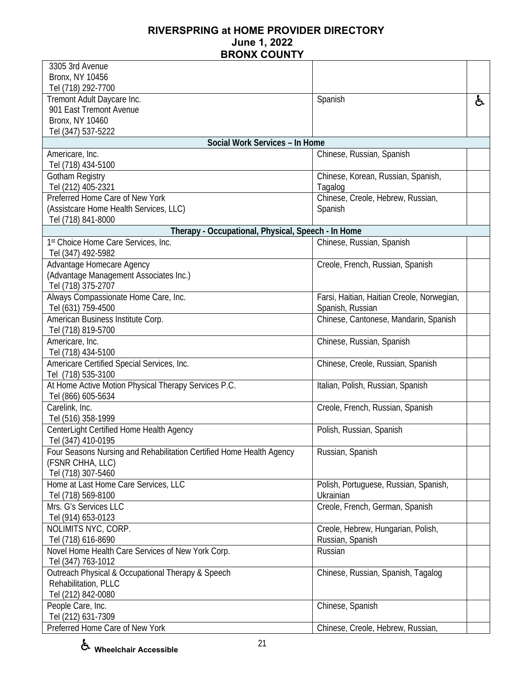| 3305 3rd Avenue                                                      |                                            |    |
|----------------------------------------------------------------------|--------------------------------------------|----|
| Bronx, NY 10456                                                      |                                            |    |
| Tel (718) 292-7700                                                   |                                            |    |
| Tremont Adult Daycare Inc.<br>901 East Tremont Avenue                | Spanish                                    | ę. |
| <b>Bronx, NY 10460</b>                                               |                                            |    |
| Tel (347) 537-5222                                                   |                                            |    |
| Social Work Services - In Home                                       |                                            |    |
| Americare, Inc.                                                      | Chinese, Russian, Spanish                  |    |
| Tel (718) 434-5100                                                   |                                            |    |
| Gotham Registry                                                      | Chinese, Korean, Russian, Spanish,         |    |
| Tel (212) 405-2321                                                   | Tagalog                                    |    |
| Preferred Home Care of New York                                      | Chinese, Creole, Hebrew, Russian,          |    |
| (Assistcare Home Health Services, LLC)                               | Spanish                                    |    |
| Tel (718) 841-8000                                                   |                                            |    |
| Therapy - Occupational, Physical, Speech - In Home                   |                                            |    |
| 1st Choice Home Care Services, Inc.<br>Tel (347) 492-5982            | Chinese, Russian, Spanish                  |    |
| Advantage Homecare Agency                                            | Creole, French, Russian, Spanish           |    |
| (Advantage Management Associates Inc.)                               |                                            |    |
| Tel (718) 375-2707                                                   |                                            |    |
| Always Compassionate Home Care, Inc.                                 | Farsi, Haitian, Haitian Creole, Norwegian, |    |
| Tel (631) 759-4500                                                   | Spanish, Russian                           |    |
| American Business Institute Corp.                                    | Chinese, Cantonese, Mandarin, Spanish      |    |
| Tel (718) 819-5700                                                   |                                            |    |
| Americare, Inc.<br>Tel (718) 434-5100                                | Chinese, Russian, Spanish                  |    |
| Americare Certified Special Services, Inc.                           | Chinese, Creole, Russian, Spanish          |    |
| Tel (718) 535-3100                                                   |                                            |    |
| At Home Active Motion Physical Therapy Services P.C.                 | Italian, Polish, Russian, Spanish          |    |
| Tel (866) 605-5634                                                   |                                            |    |
| Carelink, Inc.                                                       | Creole, French, Russian, Spanish           |    |
| Tel (516) 358-1999                                                   |                                            |    |
| CenterLight Certified Home Health Agency                             | Polish, Russian, Spanish                   |    |
| Tel (347) 410-0195                                                   |                                            |    |
| Four Seasons Nursing and Rehabilitation Certified Home Health Agency | Russian, Spanish                           |    |
| (FSNR CHHA, LLC)<br>Tel (718) 307-5460                               |                                            |    |
| Home at Last Home Care Services, LLC                                 | Polish, Portuguese, Russian, Spanish,      |    |
| Tel (718) 569-8100                                                   | Ukrainian                                  |    |
| Mrs. G's Services LLC                                                | Creole, French, German, Spanish            |    |
| Tel (914) 653-0123                                                   |                                            |    |
| NOLIMITS NYC, CORP.                                                  | Creole, Hebrew, Hungarian, Polish,         |    |
| Tel (718) 616-8690                                                   | Russian, Spanish                           |    |
| Novel Home Health Care Services of New York Corp.                    | Russian                                    |    |
| Tel (347) 763-1012                                                   |                                            |    |
| Outreach Physical & Occupational Therapy & Speech                    | Chinese, Russian, Spanish, Tagalog         |    |
| Rehabilitation, PLLC                                                 |                                            |    |
| Tel (212) 842-0080                                                   |                                            |    |
| People Care, Inc.                                                    | Chinese, Spanish                           |    |
| Tel (212) 631-7309                                                   |                                            |    |
| Preferred Home Care of New York                                      | Chinese, Creole, Hebrew, Russian,          |    |

**Wheelchair Accessible**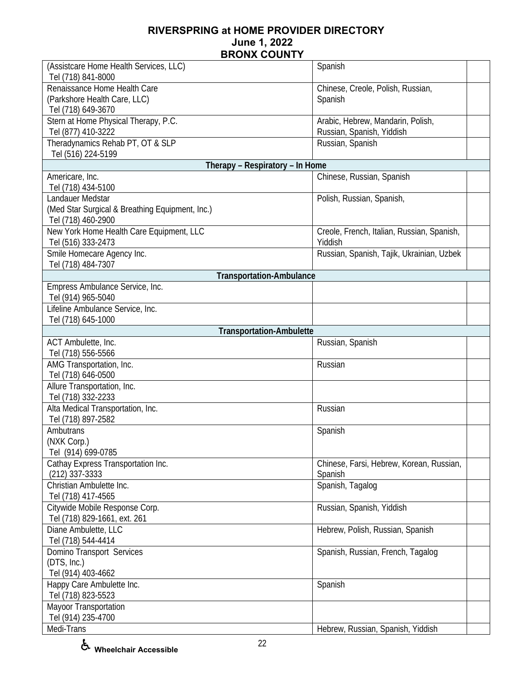| (Assistcare Home Health Services, LLC)          | Spanish                                    |
|-------------------------------------------------|--------------------------------------------|
| Tel (718) 841-8000                              |                                            |
| Renaissance Home Health Care                    | Chinese, Creole, Polish, Russian,          |
| (Parkshore Health Care, LLC)                    | Spanish                                    |
| Tel (718) 649-3670                              |                                            |
| Stern at Home Physical Therapy, P.C.            | Arabic, Hebrew, Mandarin, Polish,          |
| Tel (877) 410-3222                              | Russian, Spanish, Yiddish                  |
| Theradynamics Rehab PT, OT & SLP                | Russian, Spanish                           |
| Tel (516) 224-5199                              |                                            |
| Therapy - Respiratory - In Home                 |                                            |
| Americare, Inc.                                 | Chinese, Russian, Spanish                  |
| Tel (718) 434-5100                              |                                            |
| Landauer Medstar                                | Polish, Russian, Spanish,                  |
| (Med Star Surgical & Breathing Equipment, Inc.) |                                            |
| Tel (718) 460-2900                              |                                            |
| New York Home Health Care Equipment, LLC        | Creole, French, Italian, Russian, Spanish, |
| Tel (516) 333-2473                              | Yiddish                                    |
| Smile Homecare Agency Inc.                      | Russian, Spanish, Tajik, Ukrainian, Uzbek  |
| Tel (718) 484-7307                              |                                            |
| <b>Transportation-Ambulance</b>                 |                                            |
| Empress Ambulance Service, Inc.                 |                                            |
| Tel (914) 965-5040                              |                                            |
| Lifeline Ambulance Service, Inc.                |                                            |
| Tel (718) 645-1000                              |                                            |
| <b>Transportation-Ambulette</b>                 |                                            |
| ACT Ambulette, Inc.                             | Russian, Spanish                           |
| Tel (718) 556-5566                              |                                            |
| AMG Transportation, Inc.                        | Russian                                    |
| Tel (718) 646-0500                              |                                            |
| Allure Transportation, Inc.                     |                                            |
| Tel (718) 332-2233                              |                                            |
| Alta Medical Transportation, Inc.               | Russian                                    |
| Tel (718) 897-2582                              |                                            |
| Ambutrans                                       | Spanish                                    |
| (NXK Corp.)                                     |                                            |
| Tel (914) 699-0785                              |                                            |
| Cathay Express Transportation Inc.              | Chinese, Farsi, Hebrew, Korean, Russian,   |
| $(212)$ 337-3333                                | Spanish                                    |
| Christian Ambulette Inc.                        | Spanish, Tagalog                           |
| Tel (718) 417-4565                              |                                            |
| Citywide Mobile Response Corp.                  | Russian, Spanish, Yiddish                  |
| Tel (718) 829-1661, ext. 261                    |                                            |
| Diane Ambulette, LLC                            | Hebrew, Polish, Russian, Spanish           |
| Tel (718) 544-4414                              |                                            |
| Domino Transport Services                       | Spanish, Russian, French, Tagalog          |
| (DTS, Inc.)                                     |                                            |
| Tel (914) 403-4662                              |                                            |
| Happy Care Ambulette Inc.                       | Spanish                                    |
| Tel (718) 823-5523                              |                                            |
| Mayoor Transportation                           |                                            |
| Tel (914) 235-4700                              |                                            |
| Medi-Trans                                      | Hebrew, Russian, Spanish, Yiddish          |
|                                                 |                                            |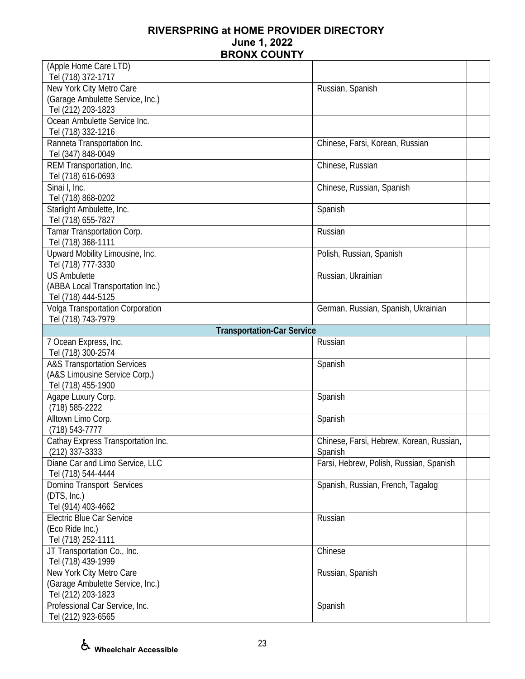| Tel (718) 372-1717                                   |                                          |
|------------------------------------------------------|------------------------------------------|
| New York City Metro Care                             | Russian, Spanish                         |
| (Garage Ambulette Service, Inc.)                     |                                          |
| Tel (212) 203-1823<br>Ocean Ambulette Service Inc.   |                                          |
| Tel (718) 332-1216                                   |                                          |
|                                                      |                                          |
| Ranneta Transportation Inc.<br>Tel (347) 848-0049    | Chinese, Farsi, Korean, Russian          |
| REM Transportation, Inc.                             | Chinese, Russian                         |
| Tel (718) 616-0693                                   |                                          |
| Sinai I, Inc.                                        | Chinese, Russian, Spanish                |
| Tel (718) 868-0202                                   |                                          |
| Starlight Ambulette, Inc.                            | Spanish                                  |
| Tel (718) 655-7827                                   |                                          |
| Tamar Transportation Corp.                           | Russian                                  |
| Tel (718) 368-1111                                   |                                          |
| Upward Mobility Limousine, Inc.                      | Polish, Russian, Spanish                 |
| Tel (718) 777-3330                                   |                                          |
| <b>US Ambulette</b>                                  | Russian, Ukrainian                       |
| (ABBA Local Transportation Inc.)                     |                                          |
| Tel (718) 444-5125                                   |                                          |
| Volga Transportation Corporation                     | German, Russian, Spanish, Ukrainian      |
| Tel (718) 743-7979                                   |                                          |
| <b>Transportation-Car Service</b>                    |                                          |
| 7 Ocean Express, Inc.                                | Russian                                  |
| Tel (718) 300-2574                                   |                                          |
| <b>A&amp;S Transportation Services</b>               | Spanish                                  |
|                                                      |                                          |
| (A&S Limousine Service Corp.)                        |                                          |
| Tel (718) 455-1900                                   |                                          |
| Agape Luxury Corp.                                   | Spanish                                  |
| $(718) 585 - 2222$                                   |                                          |
| Alltown Limo Corp.                                   | Spanish                                  |
| $(718) 543 - 7777$                                   |                                          |
| Cathay Express Transportation Inc.                   | Chinese, Farsi, Hebrew, Korean, Russian, |
| $(212)$ 337-3333                                     | Spanish                                  |
| Diane Car and Limo Service, LLC                      | Farsi, Hebrew, Polish, Russian, Spanish  |
| Tel (718) 544-4444                                   |                                          |
| Domino Transport Services                            | Spanish, Russian, French, Tagalog        |
| (DTS, Inc.)                                          |                                          |
| Tel (914) 403-4662                                   |                                          |
| <b>Electric Blue Car Service</b>                     | Russian                                  |
| (Eco Ride Inc.)                                      |                                          |
| Tel (718) 252-1111                                   |                                          |
| JT Transportation Co., Inc.                          | Chinese                                  |
| Tel (718) 439-1999                                   |                                          |
| New York City Metro Care                             | Russian, Spanish                         |
| (Garage Ambulette Service, Inc.)                     |                                          |
| Tel (212) 203-1823                                   |                                          |
| Professional Car Service, Inc.<br>Tel (212) 923-6565 | Spanish                                  |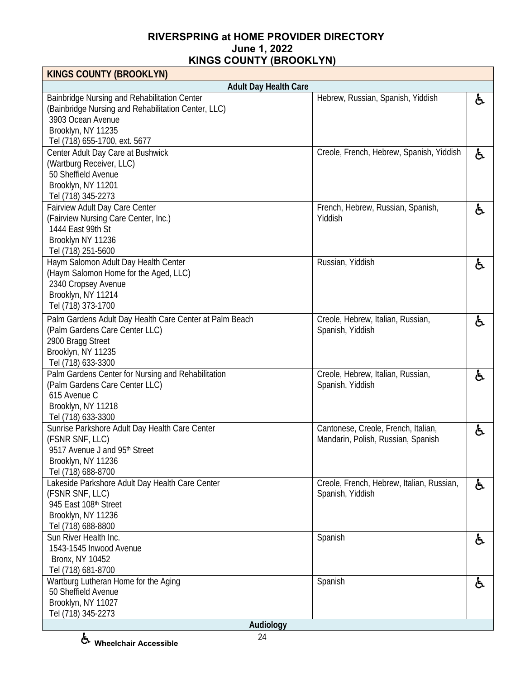| <b>KINGS COUNTY (BROOKLYN)</b>                                                                                                                                                  |                                                                           |    |
|---------------------------------------------------------------------------------------------------------------------------------------------------------------------------------|---------------------------------------------------------------------------|----|
| <b>Adult Day Health Care</b>                                                                                                                                                    |                                                                           |    |
| Bainbridge Nursing and Rehabilitation Center<br>(Bainbridge Nursing and Rehabilitation Center, LLC)<br>3903 Ocean Avenue<br>Brooklyn, NY 11235<br>Tel (718) 655-1700, ext. 5677 | Hebrew, Russian, Spanish, Yiddish                                         | と  |
| Center Adult Day Care at Bushwick<br>(Wartburg Receiver, LLC)<br>50 Sheffield Avenue<br>Brooklyn, NY 11201<br>Tel (718) 345-2273                                                | Creole, French, Hebrew, Spanish, Yiddish                                  | ė, |
| Fairview Adult Day Care Center<br>(Fairview Nursing Care Center, Inc.)<br>1444 East 99th St<br>Brooklyn NY 11236<br>Tel (718) 251-5600                                          | French, Hebrew, Russian, Spanish,<br>Yiddish                              | と  |
| Haym Salomon Adult Day Health Center<br>(Haym Salomon Home for the Aged, LLC)<br>2340 Cropsey Avenue<br>Brooklyn, NY 11214<br>Tel (718) 373-1700                                | Russian, Yiddish                                                          | と  |
| Palm Gardens Adult Day Health Care Center at Palm Beach<br>(Palm Gardens Care Center LLC)<br>2900 Bragg Street<br>Brooklyn, NY 11235<br>Tel (718) 633-3300                      | Creole, Hebrew, Italian, Russian,<br>Spanish, Yiddish                     | ė, |
| Palm Gardens Center for Nursing and Rehabilitation<br>(Palm Gardens Care Center LLC)<br>615 Avenue C<br>Brooklyn, NY 11218<br>Tel (718) 633-3300                                | Creole, Hebrew, Italian, Russian,<br>Spanish, Yiddish                     | ė, |
| Sunrise Parkshore Adult Day Health Care Center<br>(FSNR SNF, LLC)<br>9517 Avenue J and 95th Street<br>Brooklyn, NY 11236<br>Tel (718) 688-8700                                  | Cantonese, Creole, French, Italian,<br>Mandarin, Polish, Russian, Spanish | と  |
| Lakeside Parkshore Adult Day Health Care Center<br>(FSNR SNF, LLC)<br>945 East 108th Street<br>Brooklyn, NY 11236<br>Tel (718) 688-8800                                         | Creole, French, Hebrew, Italian, Russian,<br>Spanish, Yiddish             | ė, |
| Sun River Health Inc.<br>1543-1545 Inwood Avenue<br>Bronx, NY 10452<br>Tel (718) 681-8700                                                                                       | Spanish                                                                   | ė, |
| Wartburg Lutheran Home for the Aging<br>50 Sheffield Avenue<br>Brooklyn, NY 11027<br>Tel (718) 345-2273<br>Audiology                                                            | Spanish                                                                   | ė, |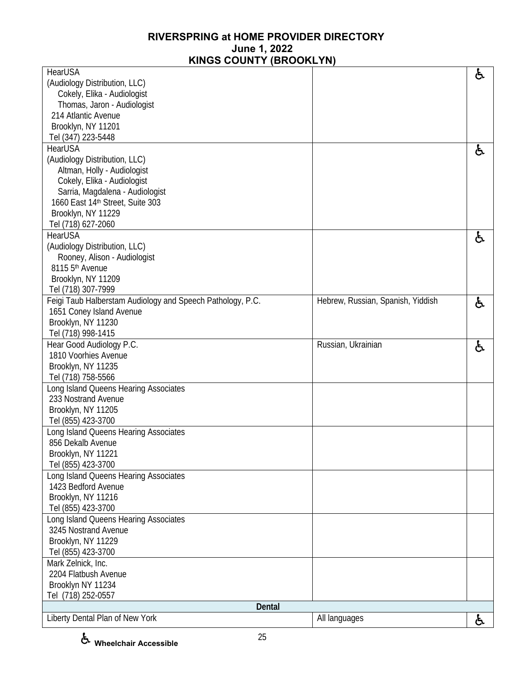| <b>KINOO OOONTI (DROOKETN</b>                              |                                   |    |
|------------------------------------------------------------|-----------------------------------|----|
| HearUSA                                                    |                                   | ę. |
| (Audiology Distribution, LLC)                              |                                   |    |
| Cokely, Elika - Audiologist                                |                                   |    |
| Thomas, Jaron - Audiologist                                |                                   |    |
| 214 Atlantic Avenue                                        |                                   |    |
| Brooklyn, NY 11201                                         |                                   |    |
| Tel (347) 223-5448                                         |                                   |    |
| <b>HearUSA</b>                                             |                                   | Ġ. |
| (Audiology Distribution, LLC)                              |                                   |    |
| Altman, Holly - Audiologist                                |                                   |    |
| Cokely, Elika - Audiologist                                |                                   |    |
| Sarria, Magdalena - Audiologist                            |                                   |    |
| 1660 East 14th Street, Suite 303                           |                                   |    |
| Brooklyn, NY 11229                                         |                                   |    |
| Tel (718) 627-2060                                         |                                   |    |
| <b>HearUSA</b>                                             |                                   | ę. |
| (Audiology Distribution, LLC)                              |                                   |    |
| Rooney, Alison - Audiologist                               |                                   |    |
| 8115 5 <sup>th</sup> Avenue                                |                                   |    |
| Brooklyn, NY 11209                                         |                                   |    |
| Tel (718) 307-7999                                         |                                   |    |
| Feigi Taub Halberstam Audiology and Speech Pathology, P.C. | Hebrew, Russian, Spanish, Yiddish | ė, |
| 1651 Coney Island Avenue                                   |                                   |    |
| Brooklyn, NY 11230                                         |                                   |    |
| Tel (718) 998-1415                                         |                                   |    |
| Hear Good Audiology P.C.                                   | Russian, Ukrainian                | ė, |
| 1810 Voorhies Avenue                                       |                                   |    |
| Brooklyn, NY 11235                                         |                                   |    |
| Tel (718) 758-5566                                         |                                   |    |
| Long Island Queens Hearing Associates                      |                                   |    |
| 233 Nostrand Avenue                                        |                                   |    |
| Brooklyn, NY 11205                                         |                                   |    |
| Tel (855) 423-3700                                         |                                   |    |
| Long Island Queens Hearing Associates                      |                                   |    |
| 856 Dekalb Avenue                                          |                                   |    |
| Brooklyn, NY 11221                                         |                                   |    |
| Tel (855) 423-3700                                         |                                   |    |
| Long Island Queens Hearing Associates                      |                                   |    |
| 1423 Bedford Avenue                                        |                                   |    |
| Brooklyn, NY 11216                                         |                                   |    |
| Tel (855) 423-3700                                         |                                   |    |
| Long Island Queens Hearing Associates                      |                                   |    |
| 3245 Nostrand Avenue                                       |                                   |    |
| Brooklyn, NY 11229                                         |                                   |    |
| Tel (855) 423-3700                                         |                                   |    |
| Mark Zelnick, Inc.                                         |                                   |    |
| 2204 Flatbush Avenue                                       |                                   |    |
| Brooklyn NY 11234                                          |                                   |    |
| Tel (718) 252-0557                                         |                                   |    |
| Dental                                                     |                                   |    |
| Liberty Dental Plan of New York                            | All languages                     | Ġ. |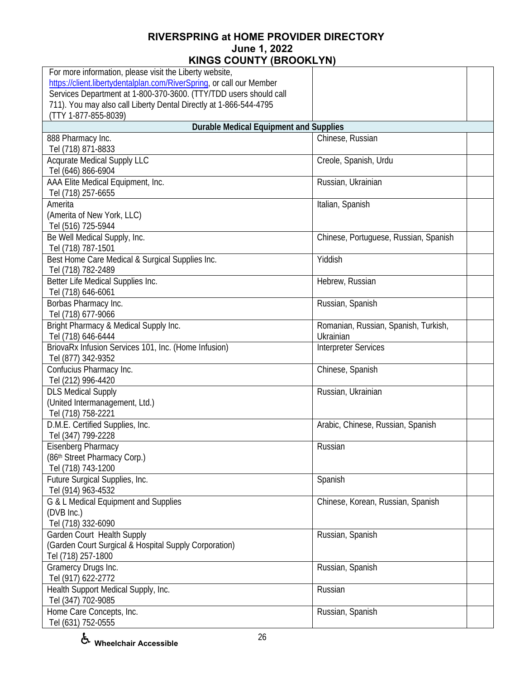| For more information, please visit the Liberty website,              |                                       |  |
|----------------------------------------------------------------------|---------------------------------------|--|
| https://client.libertydentalplan.com/RiverSpring, or call our Member |                                       |  |
| Services Department at 1-800-370-3600. (TTY/TDD users should call    |                                       |  |
| 711). You may also call Liberty Dental Directly at 1-866-544-4795    |                                       |  |
| (TTY 1-877-855-8039)                                                 |                                       |  |
| <b>Durable Medical Equipment and Supplies</b>                        |                                       |  |
| 888 Pharmacy Inc.                                                    | Chinese, Russian                      |  |
| Tel (718) 871-8833                                                   |                                       |  |
| <b>Acqurate Medical Supply LLC</b>                                   | Creole, Spanish, Urdu                 |  |
| Tel (646) 866-6904                                                   |                                       |  |
| AAA Elite Medical Equipment, Inc.                                    | Russian, Ukrainian                    |  |
| Tel (718) 257-6655                                                   |                                       |  |
| Amerita                                                              | Italian, Spanish                      |  |
| (Amerita of New York, LLC)                                           |                                       |  |
| Tel (516) 725-5944                                                   |                                       |  |
| Be Well Medical Supply, Inc.                                         | Chinese, Portuguese, Russian, Spanish |  |
| Tel (718) 787-1501                                                   |                                       |  |
| Best Home Care Medical & Surgical Supplies Inc.                      | Yiddish                               |  |
| Tel (718) 782-2489<br>Better Life Medical Supplies Inc.              | Hebrew, Russian                       |  |
| Tel (718) 646-6061                                                   |                                       |  |
| Borbas Pharmacy Inc.                                                 | Russian, Spanish                      |  |
| Tel (718) 677-9066                                                   |                                       |  |
| Bright Pharmacy & Medical Supply Inc.                                | Romanian, Russian, Spanish, Turkish,  |  |
| Tel (718) 646-6444                                                   | Ukrainian                             |  |
| BriovaRx Infusion Services 101, Inc. (Home Infusion)                 | <b>Interpreter Services</b>           |  |
| Tel (877) 342-9352                                                   |                                       |  |
| Confucius Pharmacy Inc.                                              | Chinese, Spanish                      |  |
| Tel (212) 996-4420                                                   |                                       |  |
| <b>DLS Medical Supply</b>                                            | Russian, Ukrainian                    |  |
| (United Intermanagement, Ltd.)                                       |                                       |  |
| Tel (718) 758-2221                                                   |                                       |  |
| D.M.E. Certified Supplies, Inc.                                      | Arabic, Chinese, Russian, Spanish     |  |
| Tel (347) 799-2228                                                   |                                       |  |
| Eisenberg Pharmacy                                                   | Russian                               |  |
| (86th Street Pharmacy Corp.)                                         |                                       |  |
| Tel (718) 743-1200                                                   |                                       |  |
| Future Surgical Supplies, Inc.                                       | Spanish                               |  |
| Tel (914) 963-4532                                                   |                                       |  |
| G & L Medical Equipment and Supplies                                 | Chinese, Korean, Russian, Spanish     |  |
| (DVB Inc.)                                                           |                                       |  |
| Tel (718) 332-6090                                                   |                                       |  |
| Garden Court Health Supply                                           | Russian, Spanish                      |  |
| (Garden Court Surgical & Hospital Supply Corporation)                |                                       |  |
| Tel (718) 257-1800                                                   |                                       |  |
| Gramercy Drugs Inc.                                                  | Russian, Spanish                      |  |
| Tel (917) 622-2772                                                   |                                       |  |
| Health Support Medical Supply, Inc.                                  | Russian                               |  |
| Tel (347) 702-9085                                                   |                                       |  |
| Home Care Concepts, Inc.                                             | Russian, Spanish                      |  |
| Tel (631) 752-0555                                                   |                                       |  |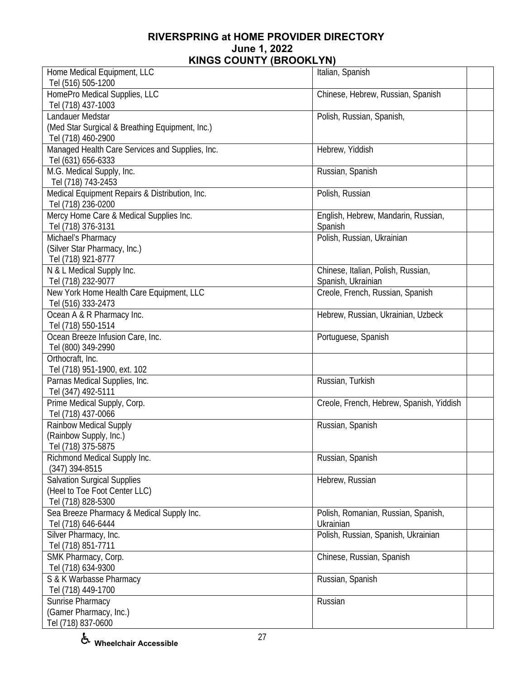| Home Medical Equipment, LLC<br>Tel (516) 505-1200                                         | Italian, Spanish                                         |
|-------------------------------------------------------------------------------------------|----------------------------------------------------------|
| HomePro Medical Supplies, LLC<br>Tel (718) 437-1003                                       | Chinese, Hebrew, Russian, Spanish                        |
| Landauer Medstar<br>(Med Star Surgical & Breathing Equipment, Inc.)<br>Tel (718) 460-2900 | Polish, Russian, Spanish,                                |
| Managed Health Care Services and Supplies, Inc.<br>Tel (631) 656-6333                     | Hebrew, Yiddish                                          |
| M.G. Medical Supply, Inc.<br>Tel (718) 743-2453                                           | Russian, Spanish                                         |
| Medical Equipment Repairs & Distribution, Inc.<br>Tel (718) 236-0200                      | Polish, Russian                                          |
| Mercy Home Care & Medical Supplies Inc.<br>Tel (718) 376-3131                             | English, Hebrew, Mandarin, Russian,<br>Spanish           |
| Michael's Pharmacy<br>(Silver Star Pharmacy, Inc.)<br>Tel (718) 921-8777                  | Polish, Russian, Ukrainian                               |
| N & L Medical Supply Inc.<br>Tel (718) 232-9077                                           | Chinese, Italian, Polish, Russian,<br>Spanish, Ukrainian |
| New York Home Health Care Equipment, LLC<br>Tel (516) 333-2473                            | Creole, French, Russian, Spanish                         |
| Ocean A & R Pharmacy Inc.<br>Tel (718) 550-1514                                           | Hebrew, Russian, Ukrainian, Uzbeck                       |
| Ocean Breeze Infusion Care, Inc.<br>Tel (800) 349-2990                                    | Portuguese, Spanish                                      |
| Orthocraft, Inc.<br>Tel (718) 951-1900, ext. 102                                          |                                                          |
| Parnas Medical Supplies, Inc.<br>Tel (347) 492-5111                                       | Russian, Turkish                                         |
| Prime Medical Supply, Corp.<br>Tel (718) 437-0066                                         | Creole, French, Hebrew, Spanish, Yiddish                 |
| <b>Rainbow Medical Supply</b><br>(Rainbow Supply, Inc.)<br>Tel (718) 375-5875             | Russian, Spanish                                         |
| Richmond Medical Supply Inc.<br>$(347)$ 394-8515                                          | Russian, Spanish                                         |
| <b>Salvation Surgical Supplies</b><br>(Heel to Toe Foot Center LLC)<br>Tel (718) 828-5300 | Hebrew, Russian                                          |
| Sea Breeze Pharmacy & Medical Supply Inc.<br>Tel (718) 646-6444                           | Polish, Romanian, Russian, Spanish,<br>Ukrainian         |
| Silver Pharmacy, Inc.<br>Tel (718) 851-7711                                               | Polish, Russian, Spanish, Ukrainian                      |
| SMK Pharmacy, Corp.<br>Tel (718) 634-9300                                                 | Chinese, Russian, Spanish                                |
| S & K Warbasse Pharmacy<br>Tel (718) 449-1700                                             | Russian, Spanish                                         |
| Sunrise Pharmacy<br>(Gamer Pharmacy, Inc.)<br>Tel (718) 837-0600                          | Russian                                                  |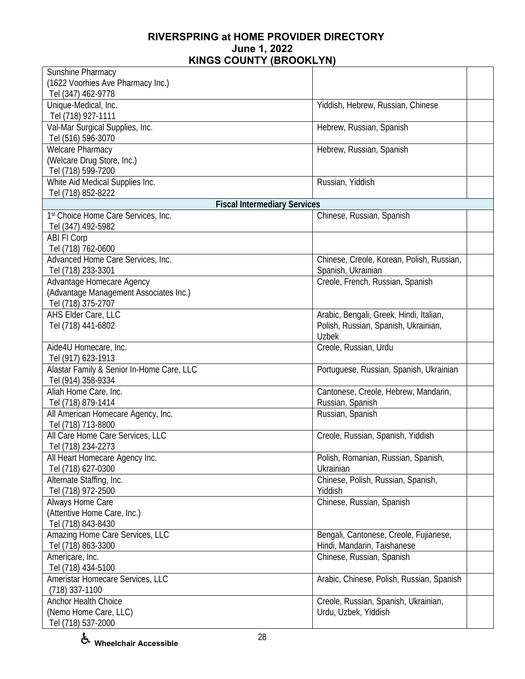| Sunshine Pharmacy                                        |                                           |  |
|----------------------------------------------------------|-------------------------------------------|--|
| (1622 Voorhies Ave Pharmacy Inc.)                        |                                           |  |
| Tel (347) 462-9778                                       |                                           |  |
| Unique-Medical, Inc.                                     | Yiddish, Hebrew, Russian, Chinese         |  |
| Tel (718) 927-1111                                       |                                           |  |
| Val-Mar Surgical Supplies, Inc.                          | Hebrew, Russian, Spanish                  |  |
| Tel (516) 596-3070                                       |                                           |  |
| <b>Welcare Pharmacy</b>                                  | Hebrew, Russian, Spanish                  |  |
| (Welcare Drug Store, Inc.)                               |                                           |  |
| Tel (718) 599-7200                                       |                                           |  |
| White Aid Medical Supplies Inc.                          | Russian, Yiddish                          |  |
| Tel (718) 852-8222                                       |                                           |  |
| <b>Fiscal Intermediary Services</b>                      |                                           |  |
| 1st Choice Home Care Services, Inc.                      | Chinese, Russian, Spanish                 |  |
| Tel (347) 492-5982                                       |                                           |  |
| <b>ABI FI Corp</b>                                       |                                           |  |
| Tel (718) 762-0600                                       |                                           |  |
| Advanced Home Care Services, Inc.                        | Chinese, Creole, Korean, Polish, Russian, |  |
| Tel (718) 233-3301                                       | Spanish, Ukrainian                        |  |
| Advantage Homecare Agency                                | Creole, French, Russian, Spanish          |  |
| (Advantage Management Associates Inc.)                   |                                           |  |
| Tel (718) 375-2707                                       |                                           |  |
| AHS Elder Care, LLC                                      | Arabic, Bengali, Greek, Hindi, Italian,   |  |
| Tel (718) 441-6802                                       | Polish, Russian, Spanish, Ukrainian,      |  |
|                                                          | <b>Uzbek</b>                              |  |
| Aide4U Homecare, Inc.                                    | Creole, Russian, Urdu                     |  |
| Tel (917) 623-1913                                       |                                           |  |
| Alastar Family & Senior In-Home Care, LLC                |                                           |  |
|                                                          | Portuguese, Russian, Spanish, Ukrainian   |  |
| Tel (914) 358-9334<br>Aliah Home Care, Inc.              |                                           |  |
|                                                          | Cantonese, Creole, Hebrew, Mandarin,      |  |
| Tel (718) 879-1414                                       | Russian, Spanish                          |  |
| All American Homecare Agency, Inc.<br>Tel (718) 713-8800 | Russian, Spanish                          |  |
|                                                          |                                           |  |
| All Care Home Care Services, LLC                         | Creole, Russian, Spanish, Yiddish         |  |
| Tel (718) 234-2273                                       |                                           |  |
| All Heart Homecare Agency Inc.                           | Polish, Romanian, Russian, Spanish,       |  |
| Tel (718) 627-0300                                       | Ukrainian                                 |  |
| Alternate Staffing, Inc.                                 | Chinese, Polish, Russian, Spanish,        |  |
| Tel (718) 972-2500                                       | Yiddish                                   |  |
| Always Home Care                                         | Chinese, Russian, Spanish                 |  |
| (Attentive Home Care, Inc.)                              |                                           |  |
| Tel (718) 843-8430                                       |                                           |  |
| Amazing Home Care Services, LLC                          | Bengali, Cantonese, Creole, Fujianese,    |  |
| Tel (718) 863-3300                                       | Hindi, Mandarin, Taishanese               |  |
| Americare, Inc.                                          | Chinese, Russian, Spanish                 |  |
| Tel (718) 434-5100                                       |                                           |  |
| Ameristar Homecare Services, LLC                         | Arabic, Chinese, Polish, Russian, Spanish |  |
| $(718)$ 337-1100                                         |                                           |  |
| Anchor Health Choice                                     | Creole, Russian, Spanish, Ukrainian,      |  |
| (Nemo Home Care, LLC)                                    | Urdu, Uzbek, Yiddish                      |  |
| Tel (718) 537-2000                                       |                                           |  |

**Wheelchair Accessible**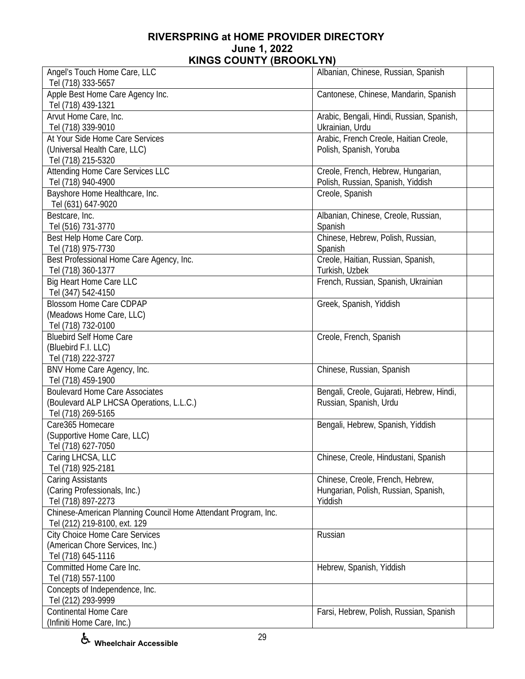| Angel's Touch Home Care, LLC                                   | Albanian, Chinese, Russian, Spanish                          |  |
|----------------------------------------------------------------|--------------------------------------------------------------|--|
| Tel (718) 333-5657                                             |                                                              |  |
| Apple Best Home Care Agency Inc.<br>Tel (718) 439-1321         | Cantonese, Chinese, Mandarin, Spanish                        |  |
| Arvut Home Care, Inc.<br>Tel (718) 339-9010                    | Arabic, Bengali, Hindi, Russian, Spanish,<br>Ukrainian, Urdu |  |
| At Your Side Home Care Services                                | Arabic, French Creole, Haitian Creole,                       |  |
| (Universal Health Care, LLC)<br>Tel (718) 215-5320             | Polish, Spanish, Yoruba                                      |  |
| Attending Home Care Services LLC                               | Creole, French, Hebrew, Hungarian,                           |  |
| Tel (718) 940-4900                                             | Polish, Russian, Spanish, Yiddish                            |  |
| Bayshore Home Healthcare, Inc.                                 | Creole, Spanish                                              |  |
| Tel (631) 647-9020                                             |                                                              |  |
| Bestcare, Inc.                                                 | Albanian, Chinese, Creole, Russian,                          |  |
| Tel (516) 731-3770                                             | Spanish                                                      |  |
| Best Help Home Care Corp.                                      | Chinese, Hebrew, Polish, Russian,                            |  |
| Tel (718) 975-7730                                             | Spanish                                                      |  |
| Best Professional Home Care Agency, Inc.                       | Creole, Haitian, Russian, Spanish,                           |  |
| Tel (718) 360-1377                                             | Turkish, Uzbek                                               |  |
| <b>Big Heart Home Care LLC</b>                                 | French, Russian, Spanish, Ukrainian                          |  |
| Tel (347) 542-4150                                             |                                                              |  |
| <b>Blossom Home Care CDPAP</b>                                 | Greek, Spanish, Yiddish                                      |  |
| (Meadows Home Care, LLC)                                       |                                                              |  |
| Tel (718) 732-0100                                             |                                                              |  |
| <b>Bluebird Self Home Care</b>                                 | Creole, French, Spanish                                      |  |
| (Bluebird F.I. LLC)                                            |                                                              |  |
| Tel (718) 222-3727                                             |                                                              |  |
| BNV Home Care Agency, Inc.                                     | Chinese, Russian, Spanish                                    |  |
| Tel (718) 459-1900                                             |                                                              |  |
| <b>Boulevard Home Care Associates</b>                          | Bengali, Creole, Gujarati, Hebrew, Hindi,                    |  |
| (Boulevard ALP LHCSA Operations, L.L.C.)                       | Russian, Spanish, Urdu                                       |  |
| Tel (718) 269-5165                                             |                                                              |  |
| Care365 Homecare                                               | Bengali, Hebrew, Spanish, Yiddish                            |  |
| (Supportive Home Care, LLC)                                    |                                                              |  |
| Tel (718) 627-7050                                             |                                                              |  |
| Caring LHCSA, LLC<br>Tel (718) 925-2181                        | Chinese, Creole, Hindustani, Spanish                         |  |
| Caring Assistants                                              | Chinese, Creole, French, Hebrew,                             |  |
| (Caring Professionals, Inc.)                                   | Hungarian, Polish, Russian, Spanish,                         |  |
| Tel (718) 897-2273                                             | Yiddish                                                      |  |
| Chinese-American Planning Council Home Attendant Program, Inc. |                                                              |  |
| Tel (212) 219-8100, ext. 129                                   |                                                              |  |
| City Choice Home Care Services                                 | Russian                                                      |  |
| (American Chore Services, Inc.)                                |                                                              |  |
| Tel (718) 645-1116                                             |                                                              |  |
| Committed Home Care Inc.                                       | Hebrew, Spanish, Yiddish                                     |  |
| Tel (718) 557-1100                                             |                                                              |  |
| Concepts of Independence, Inc.<br>Tel (212) 293-9999           |                                                              |  |
| <b>Continental Home Care</b>                                   | Farsi, Hebrew, Polish, Russian, Spanish                      |  |
| (Infiniti Home Care, Inc.)                                     |                                                              |  |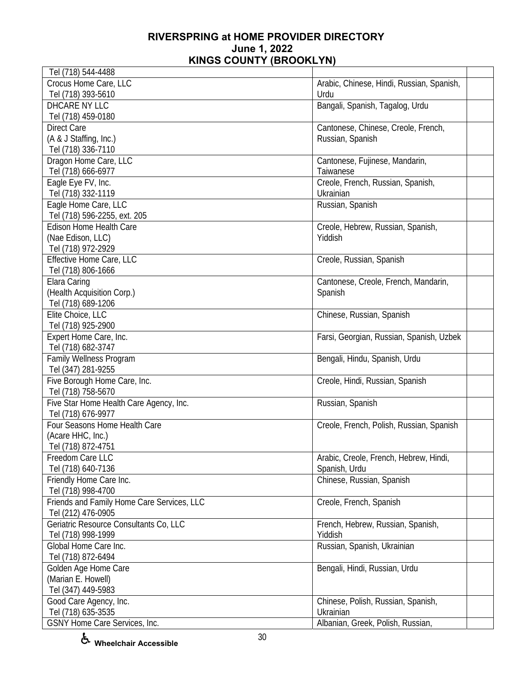| Tel (718) 544-4488                         |                                           |  |
|--------------------------------------------|-------------------------------------------|--|
| Crocus Home Care, LLC                      | Arabic, Chinese, Hindi, Russian, Spanish, |  |
| Tel (718) 393-5610                         | Urdu                                      |  |
| DHCARE NY LLC                              | Bangali, Spanish, Tagalog, Urdu           |  |
| Tel (718) 459-0180                         |                                           |  |
| <b>Direct Care</b>                         | Cantonese, Chinese, Creole, French,       |  |
| (A & J Staffing, Inc.)                     | Russian, Spanish                          |  |
| Tel (718) 336-7110                         |                                           |  |
| Dragon Home Care, LLC                      | Cantonese, Fujinese, Mandarin,            |  |
| Tel (718) 666-6977                         | Taiwanese                                 |  |
| Eagle Eye FV, Inc.                         | Creole, French, Russian, Spanish,         |  |
| Tel (718) 332-1119                         | Ukrainian                                 |  |
| Eagle Home Care, LLC                       | Russian, Spanish                          |  |
| Tel (718) 596-2255, ext. 205               |                                           |  |
| Edison Home Health Care                    | Creole, Hebrew, Russian, Spanish,         |  |
| (Nae Edison, LLC)                          | Yiddish                                   |  |
| Tel (718) 972-2929                         |                                           |  |
| Effective Home Care, LLC                   | Creole, Russian, Spanish                  |  |
| Tel (718) 806-1666                         |                                           |  |
| Elara Caring                               |                                           |  |
|                                            | Cantonese, Creole, French, Mandarin,      |  |
| (Health Acquisition Corp.)                 | Spanish                                   |  |
| Tel (718) 689-1206                         |                                           |  |
| Elite Choice, LLC                          | Chinese, Russian, Spanish                 |  |
| Tel (718) 925-2900                         |                                           |  |
| Expert Home Care, Inc.                     | Farsi, Georgian, Russian, Spanish, Uzbek  |  |
| Tel (718) 682-3747                         |                                           |  |
| Family Wellness Program                    | Bengali, Hindu, Spanish, Urdu             |  |
| Tel (347) 281-9255                         |                                           |  |
| Five Borough Home Care, Inc.               | Creole, Hindi, Russian, Spanish           |  |
| Tel (718) 758-5670                         |                                           |  |
| Five Star Home Health Care Agency, Inc.    | Russian, Spanish                          |  |
| Tel (718) 676-9977                         |                                           |  |
| Four Seasons Home Health Care              | Creole, French, Polish, Russian, Spanish  |  |
| (Acare HHC, Inc.)                          |                                           |  |
| Tel (718) 872-4751                         |                                           |  |
| Freedom Care LLC                           | Arabic, Creole, French, Hebrew, Hindi,    |  |
| Tel (718) 640-7136                         | Spanish, Urdu                             |  |
| Friendly Home Care Inc.                    | Chinese, Russian, Spanish                 |  |
| Tel (718) 998-4700                         |                                           |  |
| Friends and Family Home Care Services, LLC | Creole, French, Spanish                   |  |
| Tel (212) 476-0905                         |                                           |  |
| Geriatric Resource Consultants Co, LLC     | French, Hebrew, Russian, Spanish,         |  |
| Tel (718) 998-1999                         | Yiddish                                   |  |
| Global Home Care Inc.                      | Russian, Spanish, Ukrainian               |  |
| Tel (718) 872-6494                         |                                           |  |
| Golden Age Home Care                       | Bengali, Hindi, Russian, Urdu             |  |
| (Marian E. Howell)                         |                                           |  |
| Tel (347) 449-5983                         |                                           |  |
| Good Care Agency, Inc.                     | Chinese, Polish, Russian, Spanish,        |  |
| Tel (718) 635-3535                         | Ukrainian                                 |  |
| GSNY Home Care Services, Inc.              | Albanian, Greek, Polish, Russian,         |  |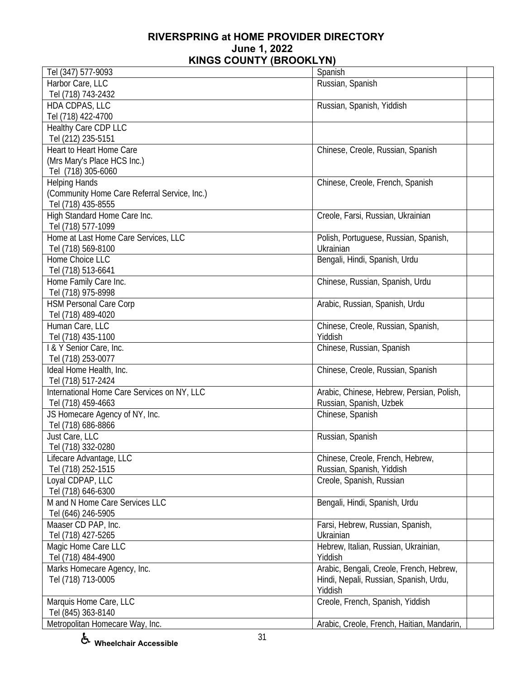| Tel (347) 577-9093                           | Spanish                                    |
|----------------------------------------------|--------------------------------------------|
| Harbor Care, LLC                             | Russian, Spanish                           |
|                                              |                                            |
| Tel (718) 743-2432                           |                                            |
| HDA CDPAS, LLC                               | Russian, Spanish, Yiddish                  |
| Tel (718) 422-4700                           |                                            |
| Healthy Care CDP LLC                         |                                            |
| Tel (212) 235-5151                           |                                            |
| Heart to Heart Home Care                     | Chinese, Creole, Russian, Spanish          |
| (Mrs Mary's Place HCS Inc.)                  |                                            |
| Tel (718) 305-6060                           |                                            |
| <b>Helping Hands</b>                         | Chinese, Creole, French, Spanish           |
| (Community Home Care Referral Service, Inc.) |                                            |
| Tel (718) 435-8555                           |                                            |
| High Standard Home Care Inc.                 | Creole, Farsi, Russian, Ukrainian          |
| Tel (718) 577-1099                           |                                            |
|                                              |                                            |
| Home at Last Home Care Services, LLC         | Polish, Portuguese, Russian, Spanish,      |
| Tel (718) 569-8100                           | Ukrainian                                  |
| Home Choice LLC                              | Bengali, Hindi, Spanish, Urdu              |
| Tel (718) 513-6641                           |                                            |
| Home Family Care Inc.                        | Chinese, Russian, Spanish, Urdu            |
| Tel (718) 975-8998                           |                                            |
| <b>HSM Personal Care Corp</b>                | Arabic, Russian, Spanish, Urdu             |
| Tel (718) 489-4020                           |                                            |
| Human Care, LLC                              | Chinese, Creole, Russian, Spanish,         |
| Tel (718) 435-1100                           | Yiddish                                    |
| I & Y Senior Care, Inc.                      | Chinese, Russian, Spanish                  |
| Tel (718) 253-0077                           |                                            |
| Ideal Home Health, Inc.                      | Chinese, Creole, Russian, Spanish          |
| Tel (718) 517-2424                           |                                            |
| International Home Care Services on NY, LLC  |                                            |
|                                              | Arabic, Chinese, Hebrew, Persian, Polish,  |
| Tel (718) 459-4663                           | Russian, Spanish, Uzbek                    |
| JS Homecare Agency of NY, Inc.               | Chinese, Spanish                           |
| Tel (718) 686-8866                           |                                            |
| Just Care, LLC                               | Russian, Spanish                           |
| Tel (718) 332-0280                           |                                            |
| Lifecare Advantage, LLC                      | Chinese, Creole, French, Hebrew,           |
| Tel (718) 252-1515                           | Russian, Spanish, Yiddish                  |
| Loyal CDPAP, LLC                             | Creole, Spanish, Russian                   |
| Tel (718) 646-6300                           |                                            |
| M and N Home Care Services LLC               | Bengali, Hindi, Spanish, Urdu              |
| Tel (646) 246-5905                           |                                            |
| Maaser CD PAP, Inc.                          | Farsi, Hebrew, Russian, Spanish,           |
| Tel (718) 427-5265                           | Ukrainian                                  |
|                                              | Hebrew, Italian, Russian, Ukrainian,       |
| Magic Home Care LLC                          |                                            |
| Tel (718) 484-4900                           | Yiddish                                    |
| Marks Homecare Agency, Inc.                  | Arabic, Bengali, Creole, French, Hebrew,   |
| Tel (718) 713-0005                           | Hindi, Nepali, Russian, Spanish, Urdu,     |
|                                              | Yiddish                                    |
| Marquis Home Care, LLC                       | Creole, French, Spanish, Yiddish           |
| Tel (845) 363-8140                           |                                            |
| Metropolitan Homecare Way, Inc.              | Arabic, Creole, French, Haitian, Mandarin, |

**Wheelchair Accessible**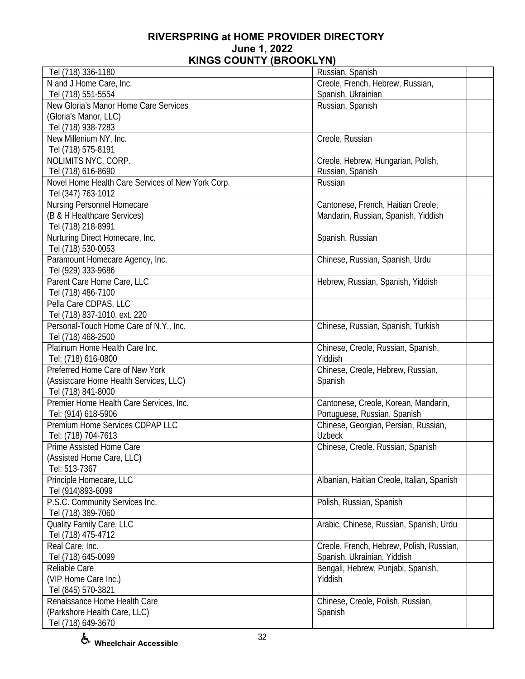| Tel (718) 336-1180                                | Russian, Spanish                           |
|---------------------------------------------------|--------------------------------------------|
| N and J Home Care, Inc.                           | Creole, French, Hebrew, Russian,           |
| Tel (718) 551-5554                                | Spanish, Ukrainian                         |
| New Gloria's Manor Home Care Services             | Russian, Spanish                           |
| (Gloria's Manor, LLC)                             |                                            |
| Tel (718) 938-7283                                |                                            |
| New Millenium NY, Inc.                            | Creole, Russian                            |
| Tel (718) 575-8191                                |                                            |
| NOLIMITS NYC, CORP.                               | Creole, Hebrew, Hungarian, Polish,         |
| Tel (718) 616-8690                                | Russian, Spanish                           |
| Novel Home Health Care Services of New York Corp. | Russian                                    |
| Tel (347) 763-1012                                |                                            |
| Nursing Personnel Homecare                        | Cantonese, French, Haitian Creole,         |
| (B & H Healthcare Services)                       |                                            |
|                                                   | Mandarin, Russian, Spanish, Yiddish        |
| Tel (718) 218-8991                                |                                            |
| Nurturing Direct Homecare, Inc.                   | Spanish, Russian                           |
| Tel (718) 530-0053                                |                                            |
| Paramount Homecare Agency, Inc.                   | Chinese, Russian, Spanish, Urdu            |
| Tel (929) 333-9686                                |                                            |
| Parent Care Home Care, LLC                        | Hebrew, Russian, Spanish, Yiddish          |
| Tel (718) 486-7100                                |                                            |
| Pella Care CDPAS, LLC                             |                                            |
| Tel (718) 837-1010, ext. 220                      |                                            |
| Personal-Touch Home Care of N.Y., Inc.            | Chinese, Russian, Spanish, Turkish         |
| Tel (718) 468-2500                                |                                            |
| Platinum Home Health Care Inc.                    | Chinese, Creole, Russian, Spanish,         |
| Tel: (718) 616-0800                               | Yiddish                                    |
| Preferred Home Care of New York                   | Chinese, Creole, Hebrew, Russian,          |
| (Assistcare Home Health Services, LLC)            | Spanish                                    |
| Tel (718) 841-8000                                |                                            |
| Premier Home Health Care Services, Inc.           | Cantonese, Creole, Korean, Mandarin,       |
| Tel: (914) 618-5906                               | Portuguese, Russian, Spanish               |
| Premium Home Services CDPAP LLC                   | Chinese, Georgian, Persian, Russian,       |
| Tel: (718) 704-7613                               | <b>Uzbeck</b>                              |
| Prime Assisted Home Care                          | Chinese, Creole. Russian, Spanish          |
| (Assisted Home Care, LLC)                         |                                            |
| Tel: 513-7367                                     |                                            |
| Principle Homecare, LLC                           | Albanian, Haitian Creole, Italian, Spanish |
| Tel (914)893-6099                                 |                                            |
| P.S.C. Community Services Inc.                    | Polish, Russian, Spanish                   |
| Tel (718) 389-7060                                |                                            |
| Quality Family Care, LLC                          | Arabic, Chinese, Russian, Spanish, Urdu    |
| Tel (718) 475-4712                                |                                            |
| Real Care, Inc.                                   | Creole, French, Hebrew, Polish, Russian,   |
| Tel (718) 645-0099                                | Spanish, Ukrainian, Yiddish                |
| Reliable Care                                     | Bengali, Hebrew, Punjabi, Spanish,         |
| (VIP Home Care Inc.)                              | Yiddish                                    |
| Tel (845) 570-3821                                |                                            |
| Renaissance Home Health Care                      | Chinese, Creole, Polish, Russian,          |
| (Parkshore Health Care, LLC)                      | Spanish                                    |
| Tel (718) 649-3670                                |                                            |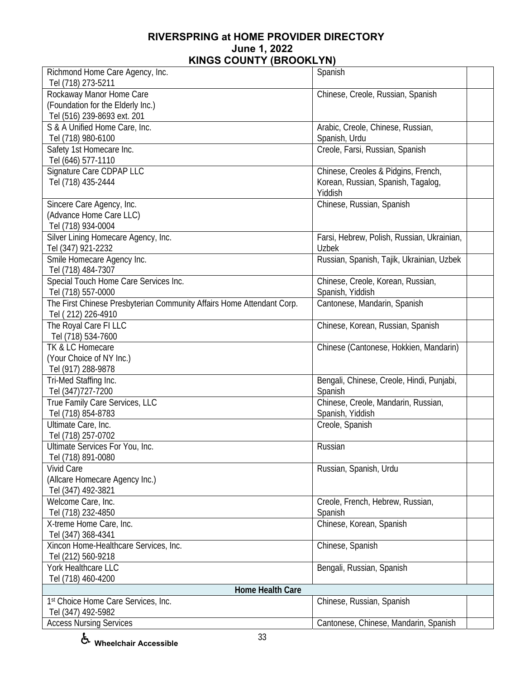| Richmond Home Care Agency, Inc.                                       | Spanish                                    |  |
|-----------------------------------------------------------------------|--------------------------------------------|--|
| Tel (718) 273-5211<br>Rockaway Manor Home Care                        | Chinese, Creole, Russian, Spanish          |  |
| (Foundation for the Elderly Inc.)                                     |                                            |  |
| Tel (516) 239-8693 ext. 201                                           |                                            |  |
| S & A Unified Home Care, Inc.                                         | Arabic, Creole, Chinese, Russian,          |  |
| Tel (718) 980-6100                                                    | Spanish, Urdu                              |  |
| Safety 1st Homecare Inc.                                              | Creole, Farsi, Russian, Spanish            |  |
| Tel (646) 577-1110                                                    |                                            |  |
| Signature Care CDPAP LLC                                              | Chinese, Creoles & Pidgins, French,        |  |
| Tel (718) 435-2444                                                    | Korean, Russian, Spanish, Tagalog,         |  |
|                                                                       | Yiddish                                    |  |
| Sincere Care Agency, Inc.                                             | Chinese, Russian, Spanish                  |  |
| (Advance Home Care LLC)                                               |                                            |  |
| Tel (718) 934-0004                                                    |                                            |  |
| Silver Lining Homecare Agency, Inc.                                   | Farsi, Hebrew, Polish, Russian, Ukrainian, |  |
| Tel (347) 921-2232                                                    | Uzbek                                      |  |
| Smile Homecare Agency Inc.                                            | Russian, Spanish, Tajik, Ukrainian, Uzbek  |  |
| Tel (718) 484-7307                                                    |                                            |  |
| Special Touch Home Care Services Inc.                                 | Chinese, Creole, Korean, Russian,          |  |
| Tel (718) 557-0000                                                    | Spanish, Yiddish                           |  |
| The First Chinese Presbyterian Community Affairs Home Attendant Corp. | Cantonese, Mandarin, Spanish               |  |
| Tel (212) 226-4910                                                    |                                            |  |
| The Royal Care FI LLC                                                 | Chinese, Korean, Russian, Spanish          |  |
| Tel (718) 534-7600                                                    |                                            |  |
| TK & LC Homecare                                                      | Chinese (Cantonese, Hokkien, Mandarin)     |  |
| (Your Choice of NY Inc.)                                              |                                            |  |
| Tel (917) 288-9878                                                    |                                            |  |
| Tri-Med Staffing Inc.                                                 | Bengali, Chinese, Creole, Hindi, Punjabi,  |  |
| Tel (347) 727-7200                                                    | Spanish                                    |  |
| True Family Care Services, LLC                                        | Chinese, Creole, Mandarin, Russian,        |  |
| Tel (718) 854-8783                                                    | Spanish, Yiddish                           |  |
| Ultimate Care, Inc.                                                   | Creole, Spanish                            |  |
| Tel (718) 257-0702                                                    |                                            |  |
| Ultimate Services For You, Inc.                                       | Russian                                    |  |
| Tel (718) 891-0080                                                    |                                            |  |
| <b>Vivid Care</b>                                                     | Russian, Spanish, Urdu                     |  |
| (Allcare Homecare Agency Inc.)                                        |                                            |  |
| Tel (347) 492-3821                                                    |                                            |  |
| Welcome Care, Inc.                                                    | Creole, French, Hebrew, Russian,           |  |
| Tel (718) 232-4850                                                    | Spanish                                    |  |
| X-treme Home Care, Inc.                                               | Chinese, Korean, Spanish                   |  |
| Tel (347) 368-4341                                                    |                                            |  |
| Xincon Home-Healthcare Services, Inc.                                 | Chinese, Spanish                           |  |
| Tel (212) 560-9218                                                    |                                            |  |
| York Healthcare LLC                                                   | Bengali, Russian, Spanish                  |  |
| Tel (718) 460-4200                                                    |                                            |  |
| Home Health Care                                                      |                                            |  |
| 1st Choice Home Care Services, Inc.                                   | Chinese, Russian, Spanish                  |  |
| Tel (347) 492-5982                                                    |                                            |  |
| <b>Access Nursing Services</b>                                        | Cantonese, Chinese, Mandarin, Spanish      |  |

**Wheelchair Accessible**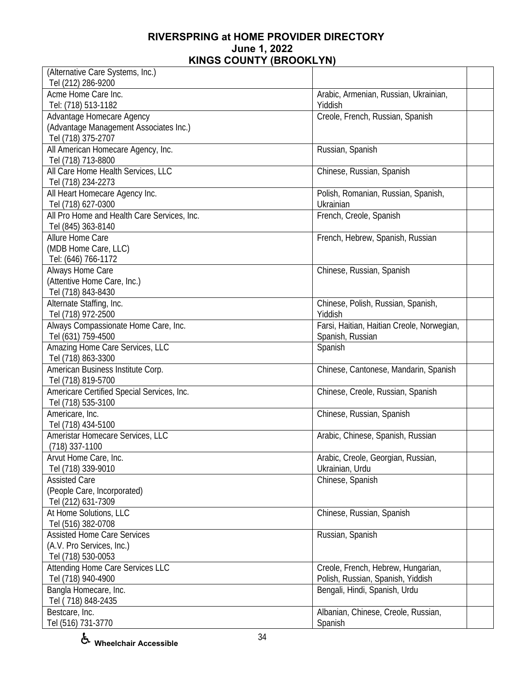| (Alternative Care Systems, Inc.)<br>Tel (212) 286-9200                                    |                                                                         |  |
|-------------------------------------------------------------------------------------------|-------------------------------------------------------------------------|--|
| Acme Home Care Inc.<br>Tel: (718) 513-1182                                                | Arabic, Armenian, Russian, Ukrainian,<br>Yiddish                        |  |
| Advantage Homecare Agency<br>(Advantage Management Associates Inc.)<br>Tel (718) 375-2707 | Creole, French, Russian, Spanish                                        |  |
| All American Homecare Agency, Inc.<br>Tel (718) 713-8800                                  | Russian, Spanish                                                        |  |
| All Care Home Health Services, LLC<br>Tel (718) 234-2273                                  | Chinese, Russian, Spanish                                               |  |
| All Heart Homecare Agency Inc.<br>Tel (718) 627-0300                                      | Polish, Romanian, Russian, Spanish,<br>Ukrainian                        |  |
| All Pro Home and Health Care Services, Inc.<br>Tel (845) 363-8140                         | French, Creole, Spanish                                                 |  |
| Allure Home Care<br>(MDB Home Care, LLC)<br>Tel: (646) 766-1172                           | French, Hebrew, Spanish, Russian                                        |  |
| Always Home Care<br>(Attentive Home Care, Inc.)<br>Tel (718) 843-8430                     | Chinese, Russian, Spanish                                               |  |
| Alternate Staffing, Inc.<br>Tel (718) 972-2500                                            | Chinese, Polish, Russian, Spanish,<br>Yiddish                           |  |
| Always Compassionate Home Care, Inc.<br>Tel (631) 759-4500                                | Farsi, Haitian, Haitian Creole, Norwegian,<br>Spanish, Russian          |  |
| Amazing Home Care Services, LLC<br>Tel (718) 863-3300                                     | Spanish                                                                 |  |
| American Business Institute Corp.<br>Tel (718) 819-5700                                   | Chinese, Cantonese, Mandarin, Spanish                                   |  |
| Americare Certified Special Services, Inc.<br>Tel (718) 535-3100                          | Chinese, Creole, Russian, Spanish                                       |  |
| Americare, Inc.<br>Tel (718) 434-5100                                                     | Chinese, Russian, Spanish                                               |  |
| Ameristar Homecare Services, LLC<br>$(718)$ 337-1100                                      | Arabic, Chinese, Spanish, Russian                                       |  |
| Arvut Home Care, Inc.<br>Tel (718) 339-9010                                               | Arabic, Creole, Georgian, Russian,<br>Ukrainian, Urdu                   |  |
| <b>Assisted Care</b><br>(People Care, Incorporated)<br>Tel (212) 631-7309                 | Chinese, Spanish                                                        |  |
| At Home Solutions, LLC<br>Tel (516) 382-0708                                              | Chinese, Russian, Spanish                                               |  |
| <b>Assisted Home Care Services</b><br>(A.V. Pro Services, Inc.)<br>Tel (718) 530-0053     | Russian, Spanish                                                        |  |
| Attending Home Care Services LLC<br>Tel (718) 940-4900                                    | Creole, French, Hebrew, Hungarian,<br>Polish, Russian, Spanish, Yiddish |  |
| Bangla Homecare, Inc.<br>Tel (718) 848-2435                                               | Bengali, Hindi, Spanish, Urdu                                           |  |
| Bestcare, Inc.<br>Tel (516) 731-3770                                                      | Albanian, Chinese, Creole, Russian,<br>Spanish                          |  |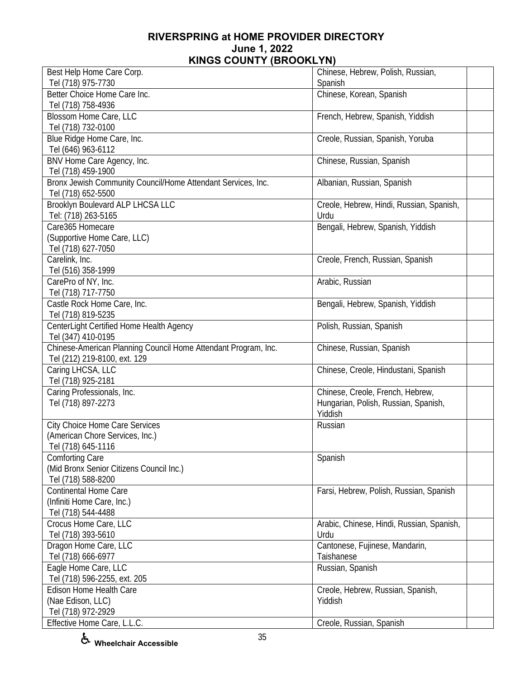| Best Help Home Care Corp.                                      | Chinese, Hebrew, Polish, Russian,         |
|----------------------------------------------------------------|-------------------------------------------|
| Tel (718) 975-7730                                             | Spanish                                   |
| Better Choice Home Care Inc.                                   | Chinese, Korean, Spanish                  |
| Tel (718) 758-4936                                             |                                           |
| Blossom Home Care, LLC                                         | French, Hebrew, Spanish, Yiddish          |
| Tel (718) 732-0100                                             |                                           |
| Blue Ridge Home Care, Inc.                                     | Creole, Russian, Spanish, Yoruba          |
| Tel (646) 963-6112                                             |                                           |
| BNV Home Care Agency, Inc.                                     | Chinese, Russian, Spanish                 |
| Tel (718) 459-1900                                             |                                           |
| Bronx Jewish Community Council/Home Attendant Services, Inc.   | Albanian, Russian, Spanish                |
| Tel (718) 652-5500                                             |                                           |
| <b>Brooklyn Boulevard ALP LHCSA LLC</b>                        | Creole, Hebrew, Hindi, Russian, Spanish,  |
| Tel: (718) 263-5165                                            | Urdu                                      |
| Care365 Homecare                                               | Bengali, Hebrew, Spanish, Yiddish         |
| (Supportive Home Care, LLC)                                    |                                           |
| Tel (718) 627-7050                                             |                                           |
| Carelink, Inc.                                                 | Creole, French, Russian, Spanish          |
| Tel (516) 358-1999                                             |                                           |
| CarePro of NY, Inc.                                            | Arabic, Russian                           |
| Tel (718) 717-7750                                             |                                           |
| Castle Rock Home Care, Inc.                                    | Bengali, Hebrew, Spanish, Yiddish         |
| Tel (718) 819-5235                                             |                                           |
| CenterLight Certified Home Health Agency                       | Polish, Russian, Spanish                  |
| Tel (347) 410-0195                                             |                                           |
| Chinese-American Planning Council Home Attendant Program, Inc. | Chinese, Russian, Spanish                 |
| Tel (212) 219-8100, ext. 129                                   |                                           |
| Caring LHCSA, LLC                                              | Chinese, Creole, Hindustani, Spanish      |
| Tel (718) 925-2181                                             |                                           |
| Caring Professionals, Inc.                                     | Chinese, Creole, French, Hebrew,          |
| Tel (718) 897-2273                                             | Hungarian, Polish, Russian, Spanish,      |
|                                                                | Yiddish                                   |
| City Choice Home Care Services                                 | Russian                                   |
| (American Chore Services, Inc.)                                |                                           |
| Tel (718) 645-1116                                             |                                           |
| <b>Comforting Care</b>                                         | Spanish                                   |
| (Mid Bronx Senior Citizens Council Inc.)                       |                                           |
| Tel (718) 588-8200                                             |                                           |
| <b>Continental Home Care</b>                                   | Farsi, Hebrew, Polish, Russian, Spanish   |
| (Infiniti Home Care, Inc.)                                     |                                           |
| Tel (718) 544-4488                                             |                                           |
| Crocus Home Care, LLC                                          | Arabic, Chinese, Hindi, Russian, Spanish, |
| Tel (718) 393-5610                                             | Urdu                                      |
| Dragon Home Care, LLC                                          | Cantonese, Fujinese, Mandarin,            |
| Tel (718) 666-6977                                             | Taishanese                                |
| Eagle Home Care, LLC                                           | Russian, Spanish                          |
| Tel (718) 596-2255, ext. 205                                   |                                           |
| Edison Home Health Care                                        | Creole, Hebrew, Russian, Spanish,         |
| (Nae Edison, LLC)                                              | Yiddish                                   |
| Tel (718) 972-2929                                             |                                           |
| Effective Home Care, L.L.C.                                    | Creole, Russian, Spanish                  |

**Wheelchair Accessible**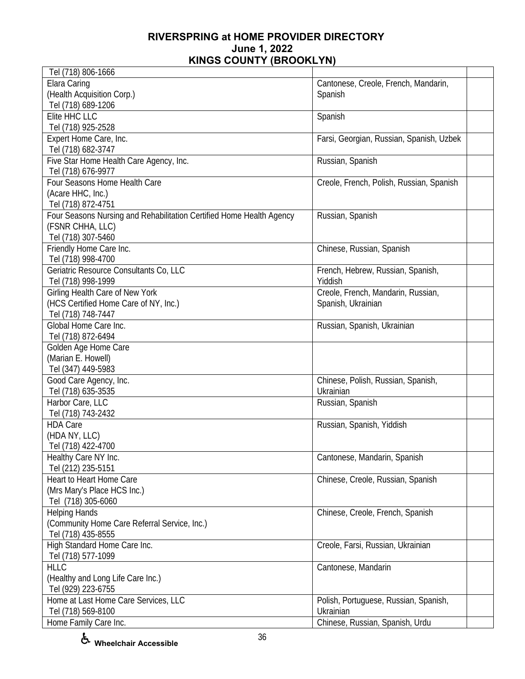| Tel (718) 806-1666                                                   |                                          |  |
|----------------------------------------------------------------------|------------------------------------------|--|
| <b>Elara Caring</b>                                                  | Cantonese, Creole, French, Mandarin,     |  |
| (Health Acquisition Corp.)                                           | Spanish                                  |  |
| Tel (718) 689-1206                                                   |                                          |  |
| Elite HHC LLC                                                        | Spanish                                  |  |
| Tel (718) 925-2528                                                   |                                          |  |
| Expert Home Care, Inc.                                               | Farsi, Georgian, Russian, Spanish, Uzbek |  |
| Tel (718) 682-3747                                                   |                                          |  |
| Five Star Home Health Care Agency, Inc.                              | Russian, Spanish                         |  |
| Tel (718) 676-9977                                                   |                                          |  |
| Four Seasons Home Health Care                                        | Creole, French, Polish, Russian, Spanish |  |
| (Acare HHC, Inc.)                                                    |                                          |  |
| Tel (718) 872-4751                                                   |                                          |  |
| Four Seasons Nursing and Rehabilitation Certified Home Health Agency | Russian, Spanish                         |  |
| (FSNR CHHA, LLC)                                                     |                                          |  |
| Tel (718) 307-5460                                                   |                                          |  |
| Friendly Home Care Inc.                                              | Chinese, Russian, Spanish                |  |
| Tel (718) 998-4700                                                   |                                          |  |
| Geriatric Resource Consultants Co, LLC                               | French, Hebrew, Russian, Spanish,        |  |
| Tel (718) 998-1999                                                   | Yiddish                                  |  |
| Girling Health Care of New York                                      | Creole, French, Mandarin, Russian,       |  |
| (HCS Certified Home Care of NY, Inc.)                                | Spanish, Ukrainian                       |  |
| Tel (718) 748-7447                                                   |                                          |  |
| Global Home Care Inc.                                                | Russian, Spanish, Ukrainian              |  |
| Tel (718) 872-6494                                                   |                                          |  |
| Golden Age Home Care                                                 |                                          |  |
| (Marian E. Howell)                                                   |                                          |  |
| Tel (347) 449-5983                                                   |                                          |  |
| Good Care Agency, Inc.                                               | Chinese, Polish, Russian, Spanish,       |  |
| Tel (718) 635-3535                                                   | Ukrainian                                |  |
| Harbor Care, LLC                                                     | Russian, Spanish                         |  |
| Tel (718) 743-2432                                                   |                                          |  |
| <b>HDA Care</b>                                                      | Russian, Spanish, Yiddish                |  |
| (HDA NY, LLC)                                                        |                                          |  |
| Tel (718) 422-4700                                                   |                                          |  |
| Healthy Care NY Inc.                                                 | Cantonese, Mandarin, Spanish             |  |
| Tel (212) 235-5151                                                   |                                          |  |
| Heart to Heart Home Care                                             | Chinese, Creole, Russian, Spanish        |  |
| (Mrs Mary's Place HCS Inc.)                                          |                                          |  |
| Tel (718) 305-6060                                                   |                                          |  |
| <b>Helping Hands</b>                                                 | Chinese, Creole, French, Spanish         |  |
| (Community Home Care Referral Service, Inc.)                         |                                          |  |
| Tel (718) 435-8555                                                   |                                          |  |
| High Standard Home Care Inc.                                         | Creole, Farsi, Russian, Ukrainian        |  |
| Tel (718) 577-1099                                                   |                                          |  |
| <b>HLLC</b>                                                          | Cantonese, Mandarin                      |  |
| (Healthy and Long Life Care Inc.)                                    |                                          |  |
| Tel (929) 223-6755                                                   |                                          |  |
| Home at Last Home Care Services, LLC                                 | Polish, Portuguese, Russian, Spanish,    |  |
| Tel (718) 569-8100                                                   | Ukrainian                                |  |
| Home Family Care Inc.                                                | Chinese, Russian, Spanish, Urdu          |  |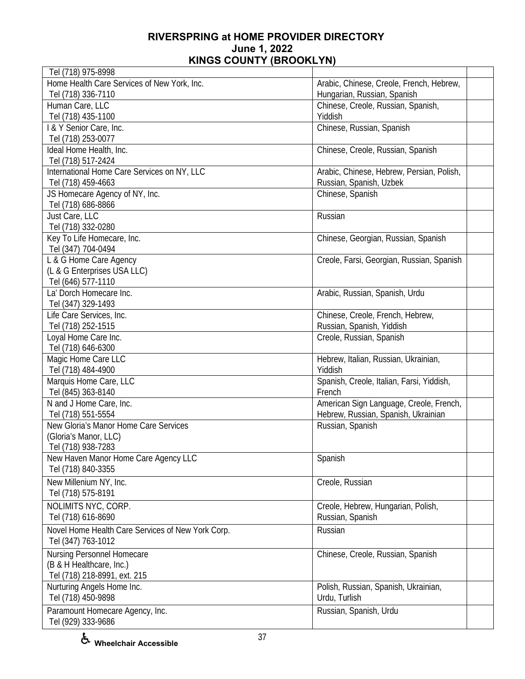| Tel (718) 975-8998                                |                                           |
|---------------------------------------------------|-------------------------------------------|
| Home Health Care Services of New York, Inc.       | Arabic, Chinese, Creole, French, Hebrew,  |
| Tel (718) 336-7110                                | Hungarian, Russian, Spanish               |
| Human Care, LLC                                   | Chinese, Creole, Russian, Spanish,        |
| Tel (718) 435-1100                                | Yiddish                                   |
| I & Y Senior Care, Inc.                           | Chinese, Russian, Spanish                 |
| Tel (718) 253-0077                                |                                           |
| Ideal Home Health, Inc.                           | Chinese, Creole, Russian, Spanish         |
| Tel (718) 517-2424                                |                                           |
| International Home Care Services on NY, LLC       | Arabic, Chinese, Hebrew, Persian, Polish, |
| Tel (718) 459-4663                                | Russian, Spanish, Uzbek                   |
| JS Homecare Agency of NY, Inc.                    | Chinese, Spanish                          |
| Tel (718) 686-8866                                |                                           |
| Just Care, LLC                                    | Russian                                   |
| Tel (718) 332-0280                                |                                           |
| Key To Life Homecare, Inc.                        | Chinese, Georgian, Russian, Spanish       |
| Tel (347) 704-0494                                |                                           |
| L & G Home Care Agency                            | Creole, Farsi, Georgian, Russian, Spanish |
| (L & G Enterprises USA LLC)                       |                                           |
| Tel (646) 577-1110                                |                                           |
| La' Dorch Homecare Inc.                           | Arabic, Russian, Spanish, Urdu            |
| Tel (347) 329-1493                                |                                           |
| Life Care Services, Inc.                          | Chinese, Creole, French, Hebrew,          |
| Tel (718) 252-1515                                | Russian, Spanish, Yiddish                 |
| Loyal Home Care Inc.                              | Creole, Russian, Spanish                  |
| Tel (718) 646-6300                                |                                           |
| Magic Home Care LLC                               | Hebrew, Italian, Russian, Ukrainian,      |
| Tel (718) 484-4900                                | Yiddish                                   |
| Marquis Home Care, LLC                            | Spanish, Creole, Italian, Farsi, Yiddish, |
| Tel (845) 363-8140                                | French                                    |
| N and J Home Care, Inc.                           | American Sign Language, Creole, French,   |
| Tel (718) 551-5554                                | Hebrew, Russian, Spanish, Ukrainian       |
| New Gloria's Manor Home Care Services             | Russian, Spanish                          |
| (Gloria's Manor, LLC)                             |                                           |
| Tel (718) 938-7283                                |                                           |
| New Haven Manor Home Care Agency LLC              | Spanish                                   |
| Tel (718) 840-3355                                |                                           |
| New Millenium NY, Inc.                            | Creole, Russian                           |
| Tel (718) 575-8191                                |                                           |
| NOLIMITS NYC, CORP.                               | Creole, Hebrew, Hungarian, Polish,        |
| Tel (718) 616-8690                                | Russian, Spanish                          |
|                                                   |                                           |
| Novel Home Health Care Services of New York Corp. | Russian                                   |
| Tel (347) 763-1012                                |                                           |
| Nursing Personnel Homecare                        | Chinese, Creole, Russian, Spanish         |
| (B & H Healthcare, Inc.)                          |                                           |
| Tel (718) 218-8991, ext. 215                      |                                           |
| Nurturing Angels Home Inc.                        | Polish, Russian, Spanish, Ukrainian,      |
| Tel (718) 450-9898                                | Urdu, Turlish                             |
| Paramount Homecare Agency, Inc.                   | Russian, Spanish, Urdu                    |
| Tel (929) 333-9686                                |                                           |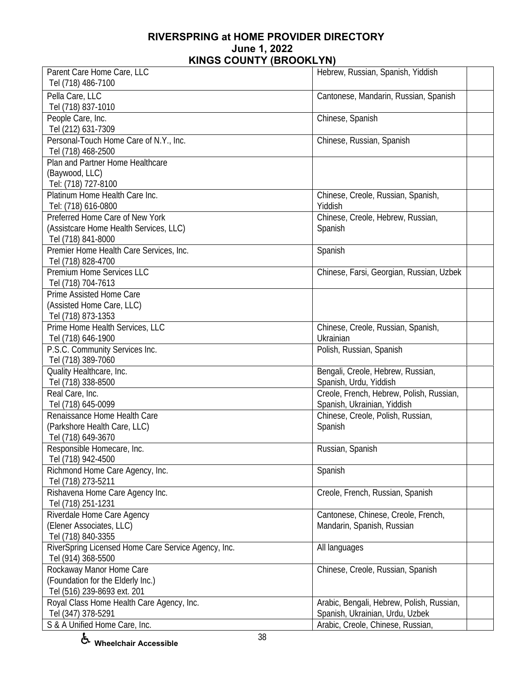| Parent Care Home Care, LLC                          | Hebrew, Russian, Spanish, Yiddish         |  |
|-----------------------------------------------------|-------------------------------------------|--|
| Tel (718) 486-7100                                  |                                           |  |
| Pella Care, LLC                                     | Cantonese, Mandarin, Russian, Spanish     |  |
| Tel (718) 837-1010                                  |                                           |  |
| People Care, Inc.                                   | Chinese, Spanish                          |  |
| Tel (212) 631-7309                                  |                                           |  |
| Personal-Touch Home Care of N.Y., Inc.              | Chinese, Russian, Spanish                 |  |
| Tel (718) 468-2500                                  |                                           |  |
| Plan and Partner Home Healthcare                    |                                           |  |
| (Baywood, LLC)                                      |                                           |  |
| Tel: (718) 727-8100                                 |                                           |  |
| Platinum Home Health Care Inc.                      | Chinese, Creole, Russian, Spanish,        |  |
| Tel: (718) 616-0800                                 | Yiddish                                   |  |
| Preferred Home Care of New York                     | Chinese, Creole, Hebrew, Russian,         |  |
| (Assistcare Home Health Services, LLC)              | Spanish                                   |  |
| Tel (718) 841-8000                                  |                                           |  |
| Premier Home Health Care Services, Inc.             | Spanish                                   |  |
| Tel (718) 828-4700                                  |                                           |  |
| Premium Home Services LLC                           | Chinese, Farsi, Georgian, Russian, Uzbek  |  |
| Tel (718) 704-7613                                  |                                           |  |
| Prime Assisted Home Care                            |                                           |  |
| (Assisted Home Care, LLC)                           |                                           |  |
| Tel (718) 873-1353                                  |                                           |  |
| Prime Home Health Services, LLC                     | Chinese, Creole, Russian, Spanish,        |  |
| Tel (718) 646-1900                                  | Ukrainian                                 |  |
| P.S.C. Community Services Inc.                      | Polish, Russian, Spanish                  |  |
| Tel (718) 389-7060                                  |                                           |  |
| Quality Healthcare, Inc.                            | Bengali, Creole, Hebrew, Russian,         |  |
| Tel (718) 338-8500                                  | Spanish, Urdu, Yiddish                    |  |
| Real Care, Inc.                                     | Creole, French, Hebrew, Polish, Russian,  |  |
| Tel (718) 645-0099                                  | Spanish, Ukrainian, Yiddish               |  |
| Renaissance Home Health Care                        | Chinese, Creole, Polish, Russian,         |  |
| (Parkshore Health Care, LLC)                        | Spanish                                   |  |
| Tel (718) 649-3670                                  |                                           |  |
| Responsible Homecare, Inc.                          | Russian, Spanish                          |  |
| Tel (718) 942-4500                                  |                                           |  |
| Richmond Home Care Agency, Inc.                     | Spanish                                   |  |
| Tel (718) 273-5211                                  |                                           |  |
| Rishavena Home Care Agency Inc.                     | Creole, French, Russian, Spanish          |  |
| Tel (718) 251-1231                                  |                                           |  |
| Riverdale Home Care Agency                          | Cantonese, Chinese, Creole, French,       |  |
| (Elener Associates, LLC)                            | Mandarin, Spanish, Russian                |  |
| Tel (718) 840-3355                                  |                                           |  |
| RiverSpring Licensed Home Care Service Agency, Inc. | All languages                             |  |
| Tel (914) 368-5500                                  |                                           |  |
| Rockaway Manor Home Care                            | Chinese, Creole, Russian, Spanish         |  |
| (Foundation for the Elderly Inc.)                   |                                           |  |
| Tel (516) 239-8693 ext. 201                         |                                           |  |
| Royal Class Home Health Care Agency, Inc.           | Arabic, Bengali, Hebrew, Polish, Russian, |  |
| Tel (347) 378-5291                                  | Spanish, Ukrainian, Urdu, Uzbek           |  |
| S & A Unified Home Care, Inc.                       | Arabic, Creole, Chinese, Russian,         |  |

**Wheelchair Accessible**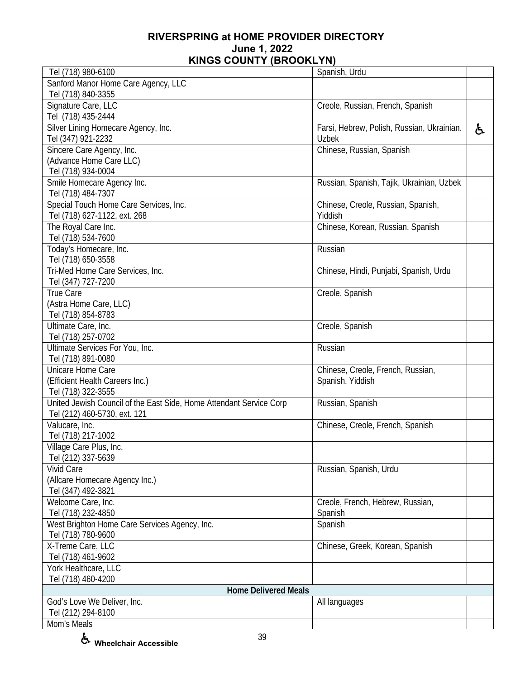| Tel (718) 980-6100                                                  | Spanish, Urdu                              |    |
|---------------------------------------------------------------------|--------------------------------------------|----|
| Sanford Manor Home Care Agency, LLC                                 |                                            |    |
| Tel (718) 840-3355                                                  |                                            |    |
| Signature Care, LLC                                                 | Creole, Russian, French, Spanish           |    |
| Tel (718) 435-2444                                                  |                                            |    |
| Silver Lining Homecare Agency, Inc.                                 | Farsi, Hebrew, Polish, Russian, Ukrainian. | ę. |
| Tel (347) 921-2232                                                  | <b>Uzbek</b>                               |    |
| Sincere Care Agency, Inc.                                           | Chinese, Russian, Spanish                  |    |
| (Advance Home Care LLC)                                             |                                            |    |
| Tel (718) 934-0004                                                  |                                            |    |
| Smile Homecare Agency Inc.                                          | Russian, Spanish, Tajik, Ukrainian, Uzbek  |    |
| Tel (718) 484-7307                                                  |                                            |    |
| Special Touch Home Care Services, Inc.                              | Chinese, Creole, Russian, Spanish,         |    |
| Tel (718) 627-1122, ext. 268                                        | Yiddish                                    |    |
| The Royal Care Inc.                                                 | Chinese, Korean, Russian, Spanish          |    |
| Tel (718) 534-7600<br>Today's Homecare, Inc.                        | Russian                                    |    |
| Tel (718) 650-3558                                                  |                                            |    |
| Tri-Med Home Care Services, Inc.                                    | Chinese, Hindi, Punjabi, Spanish, Urdu     |    |
| Tel (347) 727-7200                                                  |                                            |    |
| True Care                                                           | Creole, Spanish                            |    |
| (Astra Home Care, LLC)                                              |                                            |    |
| Tel (718) 854-8783                                                  |                                            |    |
| Ultimate Care, Inc.                                                 | Creole, Spanish                            |    |
| Tel (718) 257-0702                                                  |                                            |    |
| Ultimate Services For You, Inc.                                     | Russian                                    |    |
| Tel (718) 891-0080                                                  |                                            |    |
| Unicare Home Care                                                   | Chinese, Creole, French, Russian,          |    |
| (Efficient Health Careers Inc.)                                     | Spanish, Yiddish                           |    |
| Tel (718) 322-3555                                                  |                                            |    |
| United Jewish Council of the East Side, Home Attendant Service Corp | Russian, Spanish                           |    |
| Tel (212) 460-5730, ext. 121                                        |                                            |    |
| Valucare, Inc.                                                      | Chinese, Creole, French, Spanish           |    |
| Tel (718) 217-1002                                                  |                                            |    |
| Village Care Plus, Inc.                                             |                                            |    |
| Tel (212) 337-5639                                                  |                                            |    |
| <b>Vivid Care</b>                                                   | Russian, Spanish, Urdu                     |    |
| (Allcare Homecare Agency Inc.)                                      |                                            |    |
| Tel (347) 492-3821                                                  |                                            |    |
| Welcome Care, Inc.                                                  | Creole, French, Hebrew, Russian,           |    |
| Tel (718) 232-4850                                                  | Spanish                                    |    |
| West Brighton Home Care Services Agency, Inc.                       | Spanish                                    |    |
| Tel (718) 780-9600                                                  |                                            |    |
| X-Treme Care, LLC                                                   | Chinese, Greek, Korean, Spanish            |    |
| Tel (718) 461-9602                                                  |                                            |    |
| York Healthcare, LLC                                                |                                            |    |
| Tel (718) 460-4200                                                  |                                            |    |
| <b>Home Delivered Meals</b>                                         |                                            |    |
| God's Love We Deliver, Inc.                                         | All languages                              |    |
| Tel (212) 294-8100                                                  |                                            |    |
| Mom's Meals                                                         |                                            |    |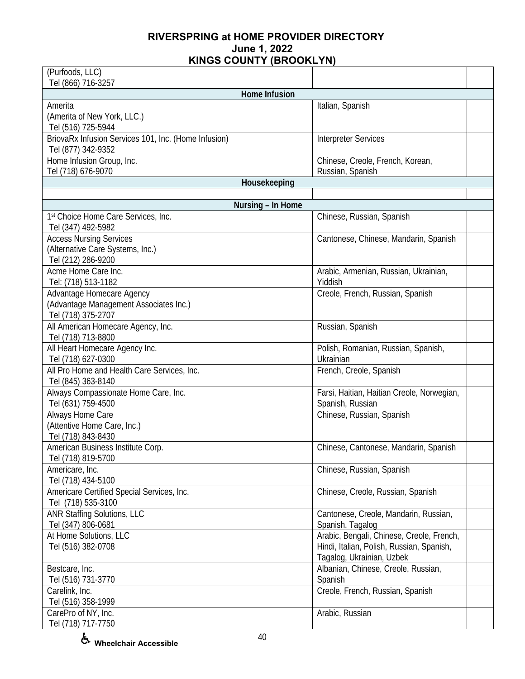| (Purfoods, LLC)                                      |                                            |  |
|------------------------------------------------------|--------------------------------------------|--|
| Tel (866) 716-3257                                   |                                            |  |
| Home Infusion                                        |                                            |  |
| Amerita                                              | Italian, Spanish                           |  |
| (Amerita of New York, LLC.)                          |                                            |  |
| Tel (516) 725-5944                                   |                                            |  |
| BriovaRx Infusion Services 101, Inc. (Home Infusion) | <b>Interpreter Services</b>                |  |
| Tel (877) 342-9352                                   |                                            |  |
| Home Infusion Group, Inc.                            | Chinese, Creole, French, Korean,           |  |
| Tel (718) 676-9070                                   | Russian, Spanish                           |  |
| Housekeeping                                         |                                            |  |
|                                                      |                                            |  |
| Nursing - In Home                                    |                                            |  |
| 1st Choice Home Care Services, Inc.                  | Chinese, Russian, Spanish                  |  |
| Tel (347) 492-5982                                   |                                            |  |
| <b>Access Nursing Services</b>                       | Cantonese, Chinese, Mandarin, Spanish      |  |
| (Alternative Care Systems, Inc.)                     |                                            |  |
| Tel (212) 286-9200                                   |                                            |  |
| Acme Home Care Inc.                                  | Arabic, Armenian, Russian, Ukrainian,      |  |
| Tel: (718) 513-1182                                  | Yiddish                                    |  |
| Advantage Homecare Agency                            | Creole, French, Russian, Spanish           |  |
| (Advantage Management Associates Inc.)               |                                            |  |
| Tel (718) 375-2707                                   |                                            |  |
| All American Homecare Agency, Inc.                   | Russian, Spanish                           |  |
| Tel (718) 713-8800                                   |                                            |  |
| All Heart Homecare Agency Inc.                       | Polish, Romanian, Russian, Spanish,        |  |
| Tel (718) 627-0300                                   | Ukrainian                                  |  |
| All Pro Home and Health Care Services, Inc.          | French, Creole, Spanish                    |  |
| Tel (845) 363-8140                                   |                                            |  |
| Always Compassionate Home Care, Inc.                 | Farsi, Haitian, Haitian Creole, Norwegian, |  |
| Tel (631) 759-4500                                   | Spanish, Russian                           |  |
| Always Home Care                                     | Chinese, Russian, Spanish                  |  |
| (Attentive Home Care, Inc.)                          |                                            |  |
| Tel (718) 843-8430                                   |                                            |  |
| American Business Institute Corp.                    | Chinese, Cantonese, Mandarin, Spanish      |  |
| Tel (718) 819-5700                                   |                                            |  |
| Americare, Inc.                                      | Chinese, Russian, Spanish                  |  |
| Tel (718) 434-5100                                   |                                            |  |
| Americare Certified Special Services, Inc.           | Chinese, Creole, Russian, Spanish          |  |
| Tel (718) 535-3100                                   |                                            |  |
| <b>ANR Staffing Solutions, LLC</b>                   | Cantonese, Creole, Mandarin, Russian,      |  |
| Tel (347) 806-0681                                   | Spanish, Tagalog                           |  |
| At Home Solutions, LLC                               | Arabic, Bengali, Chinese, Creole, French,  |  |
| Tel (516) 382-0708                                   | Hindi, Italian, Polish, Russian, Spanish,  |  |
|                                                      | Tagalog, Ukrainian, Uzbek                  |  |
| Bestcare, Inc.                                       | Albanian, Chinese, Creole, Russian,        |  |
| Tel (516) 731-3770                                   | Spanish                                    |  |
| Carelink, Inc.                                       | Creole, French, Russian, Spanish           |  |
| Tel (516) 358-1999                                   |                                            |  |
| CarePro of NY, Inc.                                  | Arabic, Russian                            |  |
| Tel (718) 717-7750                                   |                                            |  |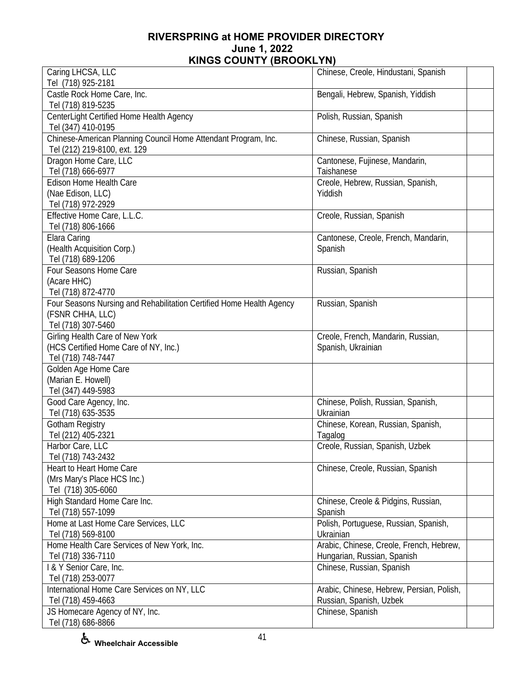| Caring LHCSA, LLC                                                    | Chinese, Creole, Hindustani, Spanish      |  |
|----------------------------------------------------------------------|-------------------------------------------|--|
| Tel (718) 925-2181                                                   |                                           |  |
| Castle Rock Home Care, Inc.                                          | Bengali, Hebrew, Spanish, Yiddish         |  |
| Tel (718) 819-5235                                                   |                                           |  |
| CenterLight Certified Home Health Agency                             | Polish, Russian, Spanish                  |  |
| Tel (347) 410-0195                                                   |                                           |  |
| Chinese-American Planning Council Home Attendant Program, Inc.       | Chinese, Russian, Spanish                 |  |
| Tel (212) 219-8100, ext. 129                                         |                                           |  |
| Dragon Home Care, LLC                                                | Cantonese, Fujinese, Mandarin,            |  |
| Tel (718) 666-6977                                                   | Taishanese                                |  |
| <b>Edison Home Health Care</b>                                       | Creole, Hebrew, Russian, Spanish,         |  |
| (Nae Edison, LLC)                                                    | Yiddish                                   |  |
| Tel (718) 972-2929                                                   |                                           |  |
| Effective Home Care, L.L.C.                                          | Creole, Russian, Spanish                  |  |
| Tel (718) 806-1666                                                   |                                           |  |
| Elara Caring                                                         | Cantonese, Creole, French, Mandarin,      |  |
| (Health Acquisition Corp.)                                           | Spanish                                   |  |
| Tel (718) 689-1206                                                   |                                           |  |
| Four Seasons Home Care                                               | Russian, Spanish                          |  |
| (Acare HHC)                                                          |                                           |  |
| Tel (718) 872-4770                                                   |                                           |  |
| Four Seasons Nursing and Rehabilitation Certified Home Health Agency | Russian, Spanish                          |  |
| (FSNR CHHA, LLC)                                                     |                                           |  |
| Tel (718) 307-5460                                                   |                                           |  |
| Girling Health Care of New York                                      | Creole, French, Mandarin, Russian,        |  |
| (HCS Certified Home Care of NY, Inc.)                                | Spanish, Ukrainian                        |  |
| Tel (718) 748-7447                                                   |                                           |  |
| Golden Age Home Care                                                 |                                           |  |
| (Marian E. Howell)                                                   |                                           |  |
| Tel (347) 449-5983                                                   |                                           |  |
| Good Care Agency, Inc.                                               | Chinese, Polish, Russian, Spanish,        |  |
| Tel (718) 635-3535                                                   | Ukrainian                                 |  |
| <b>Gotham Registry</b>                                               | Chinese, Korean, Russian, Spanish,        |  |
| Tel (212) 405-2321                                                   | Tagalog                                   |  |
| Harbor Care, LLC                                                     | Creole, Russian, Spanish, Uzbek           |  |
| Tel (718) 743-2432                                                   |                                           |  |
| Heart to Heart Home Care                                             | Chinese, Creole, Russian, Spanish         |  |
| (Mrs Mary's Place HCS Inc.)                                          |                                           |  |
| Tel (718) 305-6060                                                   |                                           |  |
| High Standard Home Care Inc.                                         | Chinese, Creole & Pidgins, Russian,       |  |
| Tel (718) 557-1099                                                   | Spanish                                   |  |
| Home at Last Home Care Services, LLC                                 | Polish, Portuguese, Russian, Spanish,     |  |
| Tel (718) 569-8100                                                   | Ukrainian                                 |  |
| Home Health Care Services of New York, Inc.                          | Arabic, Chinese, Creole, French, Hebrew,  |  |
| Tel (718) 336-7110                                                   | Hungarian, Russian, Spanish               |  |
| I & Y Senior Care, Inc.                                              | Chinese, Russian, Spanish                 |  |
| Tel (718) 253-0077                                                   |                                           |  |
| International Home Care Services on NY, LLC                          | Arabic, Chinese, Hebrew, Persian, Polish, |  |
| Tel (718) 459-4663                                                   | Russian, Spanish, Uzbek                   |  |
| JS Homecare Agency of NY, Inc.                                       | Chinese, Spanish                          |  |
| Tel (718) 686-8866                                                   |                                           |  |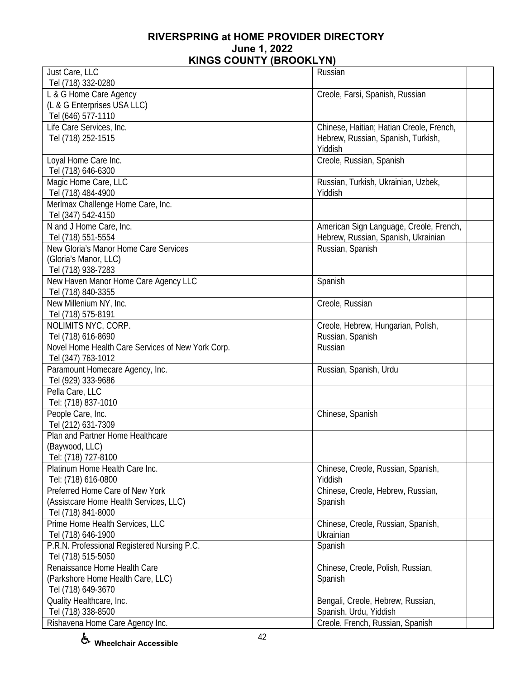| Just Care, LLC                                    | Russian                                  |
|---------------------------------------------------|------------------------------------------|
| Tel (718) 332-0280                                |                                          |
| L & G Home Care Agency                            | Creole, Farsi, Spanish, Russian          |
| (L & G Enterprises USA LLC)                       |                                          |
| Tel (646) 577-1110                                |                                          |
| Life Care Services, Inc.                          | Chinese, Haitian; Hatian Creole, French, |
| Tel (718) 252-1515                                | Hebrew, Russian, Spanish, Turkish,       |
|                                                   | Yiddish                                  |
| Loyal Home Care Inc.                              | Creole, Russian, Spanish                 |
| Tel (718) 646-6300                                |                                          |
| Magic Home Care, LLC                              | Russian, Turkish, Ukrainian, Uzbek,      |
| Tel (718) 484-4900                                | Yiddish                                  |
| Merlmax Challenge Home Care, Inc.                 |                                          |
| Tel (347) 542-4150                                |                                          |
| N and J Home Care, Inc.                           | American Sign Language, Creole, French,  |
| Tel (718) 551-5554                                | Hebrew, Russian, Spanish, Ukrainian      |
| New Gloria's Manor Home Care Services             | Russian, Spanish                         |
| (Gloria's Manor, LLC)                             |                                          |
| Tel (718) 938-7283                                |                                          |
| New Haven Manor Home Care Agency LLC              | Spanish                                  |
| Tel (718) 840-3355                                |                                          |
| New Millenium NY, Inc.                            | Creole, Russian                          |
| Tel (718) 575-8191                                |                                          |
| NOLIMITS NYC, CORP.                               | Creole, Hebrew, Hungarian, Polish,       |
| Tel (718) 616-8690                                | Russian, Spanish                         |
| Novel Home Health Care Services of New York Corp. | Russian                                  |
| Tel (347) 763-1012                                |                                          |
| Paramount Homecare Agency, Inc.                   | Russian, Spanish, Urdu                   |
| Tel (929) 333-9686                                |                                          |
| Pella Care, LLC                                   |                                          |
| Tel: (718) 837-1010                               |                                          |
|                                                   |                                          |
| People Care, Inc.                                 | Chinese, Spanish                         |
| Tel (212) 631-7309                                |                                          |
| Plan and Partner Home Healthcare                  |                                          |
| (Baywood, LLC)                                    |                                          |
| Tel: (718) 727-8100                               |                                          |
| Platinum Home Health Care Inc.                    | Chinese, Creole, Russian, Spanish,       |
| Tel: (718) 616-0800                               | Yiddish                                  |
| Preferred Home Care of New York                   | Chinese, Creole, Hebrew, Russian,        |
| (Assistcare Home Health Services, LLC)            | Spanish                                  |
| Tel (718) 841-8000                                |                                          |
| Prime Home Health Services, LLC                   | Chinese, Creole, Russian, Spanish,       |
| Tel (718) 646-1900                                | Ukrainian                                |
| P.R.N. Professional Registered Nursing P.C.       | Spanish                                  |
| Tel (718) 515-5050                                |                                          |
| Renaissance Home Health Care                      | Chinese, Creole, Polish, Russian,        |
| (Parkshore Home Health Care, LLC)                 | Spanish                                  |
| Tel (718) 649-3670                                |                                          |
| Quality Healthcare, Inc.                          | Bengali, Creole, Hebrew, Russian,        |
| Tel (718) 338-8500                                | Spanish, Urdu, Yiddish                   |
| Rishavena Home Care Agency Inc.                   | Creole, French, Russian, Spanish         |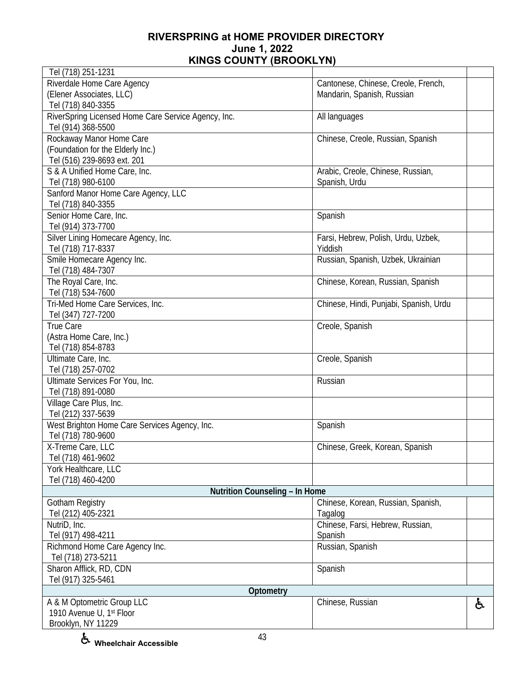| Tel (718) 251-1231                                  |                                        |    |
|-----------------------------------------------------|----------------------------------------|----|
| Riverdale Home Care Agency                          | Cantonese, Chinese, Creole, French,    |    |
| (Elener Associates, LLC)                            | Mandarin, Spanish, Russian             |    |
| Tel (718) 840-3355                                  |                                        |    |
| RiverSpring Licensed Home Care Service Agency, Inc. | All languages                          |    |
| Tel (914) 368-5500                                  |                                        |    |
| Rockaway Manor Home Care                            | Chinese, Creole, Russian, Spanish      |    |
| (Foundation for the Elderly Inc.)                   |                                        |    |
| Tel (516) 239-8693 ext. 201                         |                                        |    |
| S & A Unified Home Care, Inc.                       | Arabic, Creole, Chinese, Russian,      |    |
| Tel (718) 980-6100                                  | Spanish, Urdu                          |    |
| Sanford Manor Home Care Agency, LLC                 |                                        |    |
| Tel (718) 840-3355                                  |                                        |    |
| Senior Home Care, Inc.                              | Spanish                                |    |
| Tel (914) 373-7700                                  |                                        |    |
| Silver Lining Homecare Agency, Inc.                 | Farsi, Hebrew, Polish, Urdu, Uzbek,    |    |
| Tel (718) 717-8337                                  | Yiddish                                |    |
| Smile Homecare Agency Inc.                          | Russian, Spanish, Uzbek, Ukrainian     |    |
| Tel (718) 484-7307                                  |                                        |    |
| The Royal Care, Inc.                                | Chinese, Korean, Russian, Spanish      |    |
| Tel (718) 534-7600                                  |                                        |    |
| Tri-Med Home Care Services, Inc.                    | Chinese, Hindi, Punjabi, Spanish, Urdu |    |
| Tel (347) 727-7200                                  |                                        |    |
| <b>True Care</b>                                    | Creole, Spanish                        |    |
| (Astra Home Care, Inc.)                             |                                        |    |
| Tel (718) 854-8783                                  |                                        |    |
| Ultimate Care, Inc.                                 | Creole, Spanish                        |    |
| Tel (718) 257-0702                                  |                                        |    |
| Ultimate Services For You, Inc.                     | Russian                                |    |
| Tel (718) 891-0080                                  |                                        |    |
| Village Care Plus, Inc.                             |                                        |    |
| Tel (212) 337-5639                                  |                                        |    |
| West Brighton Home Care Services Agency, Inc.       | Spanish                                |    |
| Tel (718) 780-9600                                  |                                        |    |
| X-Treme Care, LLC                                   | Chinese, Greek, Korean, Spanish        |    |
| Tel (718) 461-9602                                  |                                        |    |
| York Healthcare, LLC                                |                                        |    |
| Tel (718) 460-4200                                  |                                        |    |
| Nutrition Counseling - In Home                      |                                        |    |
| Gotham Registry                                     | Chinese, Korean, Russian, Spanish,     |    |
| Tel (212) 405-2321                                  | Tagalog                                |    |
| NutriD, Inc.                                        | Chinese, Farsi, Hebrew, Russian,       |    |
| Tel (917) 498-4211                                  | Spanish                                |    |
| Richmond Home Care Agency Inc.                      | Russian, Spanish                       |    |
| Tel (718) 273-5211                                  |                                        |    |
| Sharon Afflick, RD, CDN                             | Spanish                                |    |
| Tel (917) 325-5461                                  |                                        |    |
| Optometry                                           |                                        |    |
| A & M Optometric Group LLC                          | Chinese, Russian                       | ė, |
| 1910 Avenue U, 1st Floor                            |                                        |    |
| Brooklyn, NY 11229                                  |                                        |    |
|                                                     |                                        |    |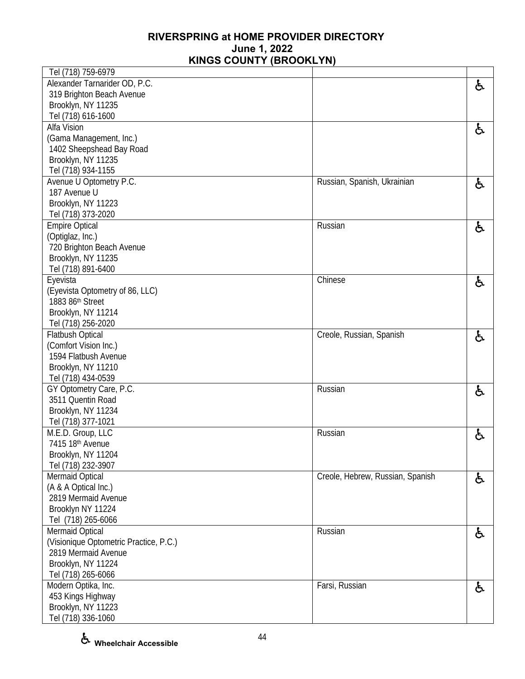| Tel (718) 759-6979                     |                                  |    |
|----------------------------------------|----------------------------------|----|
| Alexander Tarnarider OD, P.C.          |                                  | と  |
| 319 Brighton Beach Avenue              |                                  |    |
| Brooklyn, NY 11235                     |                                  |    |
| Tel (718) 616-1600                     |                                  |    |
| Alfa Vision                            |                                  | 占  |
| (Gama Management, Inc.)                |                                  |    |
| 1402 Sheepshead Bay Road               |                                  |    |
| Brooklyn, NY 11235                     |                                  |    |
| Tel (718) 934-1155                     |                                  |    |
| Avenue U Optometry P.C.                | Russian, Spanish, Ukrainian      | と  |
| 187 Avenue U                           |                                  |    |
| Brooklyn, NY 11223                     |                                  |    |
| Tel (718) 373-2020                     |                                  |    |
| <b>Empire Optical</b>                  | Russian                          | と  |
| (Optiglaz, Inc.)                       |                                  |    |
| 720 Brighton Beach Avenue              |                                  |    |
| Brooklyn, NY 11235                     |                                  |    |
| Tel (718) 891-6400                     |                                  |    |
| Eyevista                               | Chinese                          | ė, |
| (Eyevista Optometry of 86, LLC)        |                                  |    |
| 1883 86th Street                       |                                  |    |
| Brooklyn, NY 11214                     |                                  |    |
| Tel (718) 256-2020                     |                                  |    |
| <b>Flatbush Optical</b>                | Creole, Russian, Spanish         | ė, |
| (Comfort Vision Inc.)                  |                                  |    |
| 1594 Flatbush Avenue                   |                                  |    |
| Brooklyn, NY 11210                     |                                  |    |
| Tel (718) 434-0539                     |                                  |    |
| GY Optometry Care, P.C.                | Russian                          | と  |
| 3511 Quentin Road                      |                                  |    |
| Brooklyn, NY 11234                     |                                  |    |
| Tel (718) 377-1021                     |                                  |    |
| M.E.D. Group, LLC                      | Russian                          | と  |
| 7415 18th Avenue                       |                                  |    |
| Brooklyn, NY 11204                     |                                  |    |
| Tel (718) 232-3907                     |                                  |    |
| Mermaid Optical                        | Creole, Hebrew, Russian, Spanish | と  |
| (A & A Optical Inc.)                   |                                  |    |
| 2819 Mermaid Avenue                    |                                  |    |
| Brooklyn NY 11224                      |                                  |    |
| Tel (718) 265-6066                     |                                  |    |
| Mermaid Optical                        | Russian                          | ė, |
| (Visionique Optometric Practice, P.C.) |                                  |    |
| 2819 Mermaid Avenue                    |                                  |    |
| Brooklyn, NY 11224                     |                                  |    |
| Tel (718) 265-6066                     |                                  |    |
| Modern Optika, Inc.                    | Farsi, Russian                   | と  |
| 453 Kings Highway                      |                                  |    |
| Brooklyn, NY 11223                     |                                  |    |
| Tel (718) 336-1060                     |                                  |    |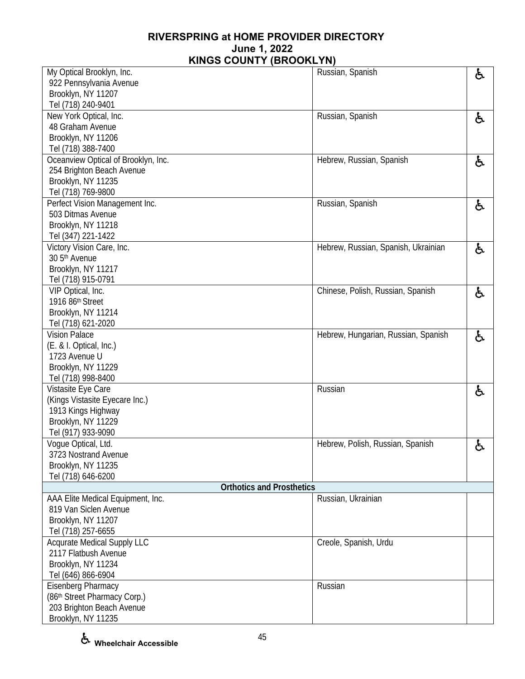| My Optical Brooklyn, Inc.           |                                  | Russian, Spanish                    | と  |
|-------------------------------------|----------------------------------|-------------------------------------|----|
| 922 Pennsylvania Avenue             |                                  |                                     |    |
| Brooklyn, NY 11207                  |                                  |                                     |    |
| Tel (718) 240-9401                  |                                  |                                     |    |
| New York Optical, Inc.              |                                  | Russian, Spanish                    | ę. |
| 48 Graham Avenue                    |                                  |                                     |    |
| Brooklyn, NY 11206                  |                                  |                                     |    |
| Tel (718) 388-7400                  |                                  |                                     |    |
| Oceanview Optical of Brooklyn, Inc. |                                  | Hebrew, Russian, Spanish            | ė, |
| 254 Brighton Beach Avenue           |                                  |                                     |    |
| Brooklyn, NY 11235                  |                                  |                                     |    |
| Tel (718) 769-9800                  |                                  |                                     |    |
| Perfect Vision Management Inc.      |                                  | Russian, Spanish                    | ę. |
| 503 Ditmas Avenue                   |                                  |                                     |    |
| Brooklyn, NY 11218                  |                                  |                                     |    |
| Tel (347) 221-1422                  |                                  |                                     |    |
| Victory Vision Care, Inc.           |                                  | Hebrew, Russian, Spanish, Ukrainian | ę. |
| 30 5 <sup>th</sup> Avenue           |                                  |                                     |    |
| Brooklyn, NY 11217                  |                                  |                                     |    |
| Tel (718) 915-0791                  |                                  |                                     |    |
| VIP Optical, Inc.                   |                                  | Chinese, Polish, Russian, Spanish   | ę. |
| 1916 86th Street                    |                                  |                                     |    |
| Brooklyn, NY 11214                  |                                  |                                     |    |
| Tel (718) 621-2020                  |                                  |                                     |    |
| <b>Vision Palace</b>                |                                  | Hebrew, Hungarian, Russian, Spanish | ę. |
| (E. & I. Optical, Inc.)             |                                  |                                     |    |
| 1723 Avenue U                       |                                  |                                     |    |
| Brooklyn, NY 11229                  |                                  |                                     |    |
| Tel (718) 998-8400                  |                                  |                                     |    |
| Vistasite Eye Care                  |                                  | Russian                             | と  |
| (Kings Vistasite Eyecare Inc.)      |                                  |                                     |    |
| 1913 Kings Highway                  |                                  |                                     |    |
| Brooklyn, NY 11229                  |                                  |                                     |    |
| Tel (917) 933-9090                  |                                  |                                     |    |
| Vogue Optical, Ltd.                 |                                  | Hebrew, Polish, Russian, Spanish    | ė, |
| 3723 Nostrand Avenue                |                                  |                                     |    |
| Brooklyn, NY 11235                  |                                  |                                     |    |
| Tel (718) 646-6200                  | <b>Orthotics and Prosthetics</b> |                                     |    |
| AAA Elite Medical Equipment, Inc.   |                                  | Russian, Ukrainian                  |    |
| 819 Van Siclen Avenue               |                                  |                                     |    |
| Brooklyn, NY 11207                  |                                  |                                     |    |
| Tel (718) 257-6655                  |                                  |                                     |    |
| <b>Acqurate Medical Supply LLC</b>  |                                  | Creole, Spanish, Urdu               |    |
| 2117 Flatbush Avenue                |                                  |                                     |    |
| Brooklyn, NY 11234                  |                                  |                                     |    |
| Tel (646) 866-6904                  |                                  |                                     |    |
| <b>Eisenberg Pharmacy</b>           |                                  | Russian                             |    |
| (86th Street Pharmacy Corp.)        |                                  |                                     |    |
| 203 Brighton Beach Avenue           |                                  |                                     |    |
| Brooklyn, NY 11235                  |                                  |                                     |    |
|                                     |                                  |                                     |    |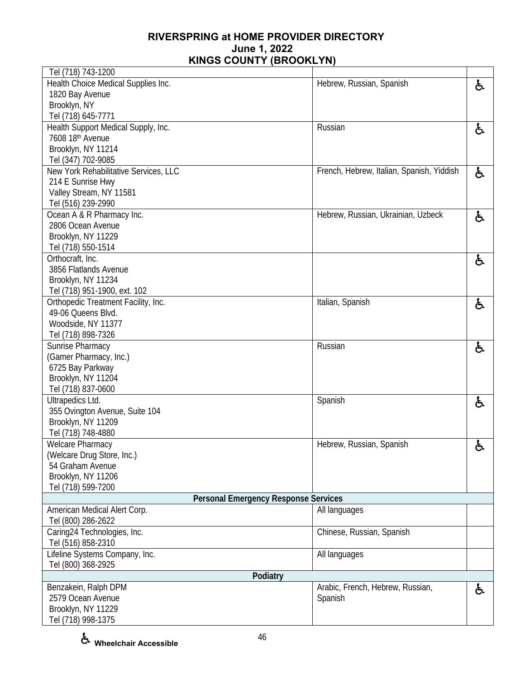| Health Choice Medical Supplies Inc.<br>Hebrew, Russian, Spanish<br>ė,<br>1820 Bay Avenue<br>Brooklyn, NY<br>Tel (718) 645-7771<br>Health Support Medical Supply, Inc.<br>Russian<br>ė,<br>7608 18th Avenue<br>Brooklyn, NY 11214<br>Tel (347) 702-9085<br>New York Rehabilitative Services, LLC<br>French, Hebrew, Italian, Spanish, Yiddish<br>ė,<br>214 E Sunrise Hwy<br>Valley Stream, NY 11581<br>Tel (516) 239-2990<br>Ocean A & R Pharmacy Inc.<br>Hebrew, Russian, Ukrainian, Uzbeck<br>ė,<br>2806 Ocean Avenue<br>Brooklyn, NY 11229<br>Tel (718) 550-1514<br>Orthocraft, Inc.<br>ė,<br>3856 Flatlands Avenue<br>Brooklyn, NY 11234<br>Tel (718) 951-1900, ext. 102<br>Orthopedic Treatment Facility, Inc.<br>Italian, Spanish<br>ė,<br>49-06 Queens Blvd.<br>Woodside, NY 11377<br>Tel (718) 898-7326<br>Sunrise Pharmacy<br>Russian<br>ė,<br>(Gamer Pharmacy, Inc.)<br>6725 Bay Parkway<br>Brooklyn, NY 11204<br>Tel (718) 837-0600<br>Ultrapedics Ltd.<br>Spanish<br>と<br>355 Ovington Avenue, Suite 104<br>Brooklyn, NY 11209<br>Tel (718) 748-4880<br>Welcare Pharmacy<br>Hebrew, Russian, Spanish<br>ę.<br>(Welcare Drug Store, Inc.)<br>54 Graham Avenue<br>Brooklyn, NY 11206<br>Tel (718) 599-7200<br><b>Personal Emergency Response Services</b><br>American Medical Alert Corp.<br>All languages<br>Tel (800) 286-2622<br>Caring24 Technologies, Inc.<br>Chinese, Russian, Spanish<br>Tel (516) 858-2310<br>Lifeline Systems Company, Inc.<br>All languages<br>Tel (800) 368-2925<br>Podiatry<br>Benzakein, Ralph DPM<br>Arabic, French, Hebrew, Russian,<br>ර්<br>2579 Ocean Avenue<br>Spanish<br>Brooklyn, NY 11229<br>Tel (718) 998-1375 | Tel (718) 743-1200 |  |
|----------------------------------------------------------------------------------------------------------------------------------------------------------------------------------------------------------------------------------------------------------------------------------------------------------------------------------------------------------------------------------------------------------------------------------------------------------------------------------------------------------------------------------------------------------------------------------------------------------------------------------------------------------------------------------------------------------------------------------------------------------------------------------------------------------------------------------------------------------------------------------------------------------------------------------------------------------------------------------------------------------------------------------------------------------------------------------------------------------------------------------------------------------------------------------------------------------------------------------------------------------------------------------------------------------------------------------------------------------------------------------------------------------------------------------------------------------------------------------------------------------------------------------------------------------------------------------------------------------------------------------------------------------------|--------------------|--|
|                                                                                                                                                                                                                                                                                                                                                                                                                                                                                                                                                                                                                                                                                                                                                                                                                                                                                                                                                                                                                                                                                                                                                                                                                                                                                                                                                                                                                                                                                                                                                                                                                                                                |                    |  |
|                                                                                                                                                                                                                                                                                                                                                                                                                                                                                                                                                                                                                                                                                                                                                                                                                                                                                                                                                                                                                                                                                                                                                                                                                                                                                                                                                                                                                                                                                                                                                                                                                                                                |                    |  |
|                                                                                                                                                                                                                                                                                                                                                                                                                                                                                                                                                                                                                                                                                                                                                                                                                                                                                                                                                                                                                                                                                                                                                                                                                                                                                                                                                                                                                                                                                                                                                                                                                                                                |                    |  |
|                                                                                                                                                                                                                                                                                                                                                                                                                                                                                                                                                                                                                                                                                                                                                                                                                                                                                                                                                                                                                                                                                                                                                                                                                                                                                                                                                                                                                                                                                                                                                                                                                                                                |                    |  |
|                                                                                                                                                                                                                                                                                                                                                                                                                                                                                                                                                                                                                                                                                                                                                                                                                                                                                                                                                                                                                                                                                                                                                                                                                                                                                                                                                                                                                                                                                                                                                                                                                                                                |                    |  |
|                                                                                                                                                                                                                                                                                                                                                                                                                                                                                                                                                                                                                                                                                                                                                                                                                                                                                                                                                                                                                                                                                                                                                                                                                                                                                                                                                                                                                                                                                                                                                                                                                                                                |                    |  |
|                                                                                                                                                                                                                                                                                                                                                                                                                                                                                                                                                                                                                                                                                                                                                                                                                                                                                                                                                                                                                                                                                                                                                                                                                                                                                                                                                                                                                                                                                                                                                                                                                                                                |                    |  |
|                                                                                                                                                                                                                                                                                                                                                                                                                                                                                                                                                                                                                                                                                                                                                                                                                                                                                                                                                                                                                                                                                                                                                                                                                                                                                                                                                                                                                                                                                                                                                                                                                                                                |                    |  |
|                                                                                                                                                                                                                                                                                                                                                                                                                                                                                                                                                                                                                                                                                                                                                                                                                                                                                                                                                                                                                                                                                                                                                                                                                                                                                                                                                                                                                                                                                                                                                                                                                                                                |                    |  |
|                                                                                                                                                                                                                                                                                                                                                                                                                                                                                                                                                                                                                                                                                                                                                                                                                                                                                                                                                                                                                                                                                                                                                                                                                                                                                                                                                                                                                                                                                                                                                                                                                                                                |                    |  |
|                                                                                                                                                                                                                                                                                                                                                                                                                                                                                                                                                                                                                                                                                                                                                                                                                                                                                                                                                                                                                                                                                                                                                                                                                                                                                                                                                                                                                                                                                                                                                                                                                                                                |                    |  |
|                                                                                                                                                                                                                                                                                                                                                                                                                                                                                                                                                                                                                                                                                                                                                                                                                                                                                                                                                                                                                                                                                                                                                                                                                                                                                                                                                                                                                                                                                                                                                                                                                                                                |                    |  |
|                                                                                                                                                                                                                                                                                                                                                                                                                                                                                                                                                                                                                                                                                                                                                                                                                                                                                                                                                                                                                                                                                                                                                                                                                                                                                                                                                                                                                                                                                                                                                                                                                                                                |                    |  |
|                                                                                                                                                                                                                                                                                                                                                                                                                                                                                                                                                                                                                                                                                                                                                                                                                                                                                                                                                                                                                                                                                                                                                                                                                                                                                                                                                                                                                                                                                                                                                                                                                                                                |                    |  |
|                                                                                                                                                                                                                                                                                                                                                                                                                                                                                                                                                                                                                                                                                                                                                                                                                                                                                                                                                                                                                                                                                                                                                                                                                                                                                                                                                                                                                                                                                                                                                                                                                                                                |                    |  |
|                                                                                                                                                                                                                                                                                                                                                                                                                                                                                                                                                                                                                                                                                                                                                                                                                                                                                                                                                                                                                                                                                                                                                                                                                                                                                                                                                                                                                                                                                                                                                                                                                                                                |                    |  |
|                                                                                                                                                                                                                                                                                                                                                                                                                                                                                                                                                                                                                                                                                                                                                                                                                                                                                                                                                                                                                                                                                                                                                                                                                                                                                                                                                                                                                                                                                                                                                                                                                                                                |                    |  |
|                                                                                                                                                                                                                                                                                                                                                                                                                                                                                                                                                                                                                                                                                                                                                                                                                                                                                                                                                                                                                                                                                                                                                                                                                                                                                                                                                                                                                                                                                                                                                                                                                                                                |                    |  |
|                                                                                                                                                                                                                                                                                                                                                                                                                                                                                                                                                                                                                                                                                                                                                                                                                                                                                                                                                                                                                                                                                                                                                                                                                                                                                                                                                                                                                                                                                                                                                                                                                                                                |                    |  |
|                                                                                                                                                                                                                                                                                                                                                                                                                                                                                                                                                                                                                                                                                                                                                                                                                                                                                                                                                                                                                                                                                                                                                                                                                                                                                                                                                                                                                                                                                                                                                                                                                                                                |                    |  |
|                                                                                                                                                                                                                                                                                                                                                                                                                                                                                                                                                                                                                                                                                                                                                                                                                                                                                                                                                                                                                                                                                                                                                                                                                                                                                                                                                                                                                                                                                                                                                                                                                                                                |                    |  |
|                                                                                                                                                                                                                                                                                                                                                                                                                                                                                                                                                                                                                                                                                                                                                                                                                                                                                                                                                                                                                                                                                                                                                                                                                                                                                                                                                                                                                                                                                                                                                                                                                                                                |                    |  |
|                                                                                                                                                                                                                                                                                                                                                                                                                                                                                                                                                                                                                                                                                                                                                                                                                                                                                                                                                                                                                                                                                                                                                                                                                                                                                                                                                                                                                                                                                                                                                                                                                                                                |                    |  |
|                                                                                                                                                                                                                                                                                                                                                                                                                                                                                                                                                                                                                                                                                                                                                                                                                                                                                                                                                                                                                                                                                                                                                                                                                                                                                                                                                                                                                                                                                                                                                                                                                                                                |                    |  |
|                                                                                                                                                                                                                                                                                                                                                                                                                                                                                                                                                                                                                                                                                                                                                                                                                                                                                                                                                                                                                                                                                                                                                                                                                                                                                                                                                                                                                                                                                                                                                                                                                                                                |                    |  |
|                                                                                                                                                                                                                                                                                                                                                                                                                                                                                                                                                                                                                                                                                                                                                                                                                                                                                                                                                                                                                                                                                                                                                                                                                                                                                                                                                                                                                                                                                                                                                                                                                                                                |                    |  |
|                                                                                                                                                                                                                                                                                                                                                                                                                                                                                                                                                                                                                                                                                                                                                                                                                                                                                                                                                                                                                                                                                                                                                                                                                                                                                                                                                                                                                                                                                                                                                                                                                                                                |                    |  |
|                                                                                                                                                                                                                                                                                                                                                                                                                                                                                                                                                                                                                                                                                                                                                                                                                                                                                                                                                                                                                                                                                                                                                                                                                                                                                                                                                                                                                                                                                                                                                                                                                                                                |                    |  |
|                                                                                                                                                                                                                                                                                                                                                                                                                                                                                                                                                                                                                                                                                                                                                                                                                                                                                                                                                                                                                                                                                                                                                                                                                                                                                                                                                                                                                                                                                                                                                                                                                                                                |                    |  |
|                                                                                                                                                                                                                                                                                                                                                                                                                                                                                                                                                                                                                                                                                                                                                                                                                                                                                                                                                                                                                                                                                                                                                                                                                                                                                                                                                                                                                                                                                                                                                                                                                                                                |                    |  |
|                                                                                                                                                                                                                                                                                                                                                                                                                                                                                                                                                                                                                                                                                                                                                                                                                                                                                                                                                                                                                                                                                                                                                                                                                                                                                                                                                                                                                                                                                                                                                                                                                                                                |                    |  |
|                                                                                                                                                                                                                                                                                                                                                                                                                                                                                                                                                                                                                                                                                                                                                                                                                                                                                                                                                                                                                                                                                                                                                                                                                                                                                                                                                                                                                                                                                                                                                                                                                                                                |                    |  |
|                                                                                                                                                                                                                                                                                                                                                                                                                                                                                                                                                                                                                                                                                                                                                                                                                                                                                                                                                                                                                                                                                                                                                                                                                                                                                                                                                                                                                                                                                                                                                                                                                                                                |                    |  |
|                                                                                                                                                                                                                                                                                                                                                                                                                                                                                                                                                                                                                                                                                                                                                                                                                                                                                                                                                                                                                                                                                                                                                                                                                                                                                                                                                                                                                                                                                                                                                                                                                                                                |                    |  |
|                                                                                                                                                                                                                                                                                                                                                                                                                                                                                                                                                                                                                                                                                                                                                                                                                                                                                                                                                                                                                                                                                                                                                                                                                                                                                                                                                                                                                                                                                                                                                                                                                                                                |                    |  |
|                                                                                                                                                                                                                                                                                                                                                                                                                                                                                                                                                                                                                                                                                                                                                                                                                                                                                                                                                                                                                                                                                                                                                                                                                                                                                                                                                                                                                                                                                                                                                                                                                                                                |                    |  |
|                                                                                                                                                                                                                                                                                                                                                                                                                                                                                                                                                                                                                                                                                                                                                                                                                                                                                                                                                                                                                                                                                                                                                                                                                                                                                                                                                                                                                                                                                                                                                                                                                                                                |                    |  |
|                                                                                                                                                                                                                                                                                                                                                                                                                                                                                                                                                                                                                                                                                                                                                                                                                                                                                                                                                                                                                                                                                                                                                                                                                                                                                                                                                                                                                                                                                                                                                                                                                                                                |                    |  |
|                                                                                                                                                                                                                                                                                                                                                                                                                                                                                                                                                                                                                                                                                                                                                                                                                                                                                                                                                                                                                                                                                                                                                                                                                                                                                                                                                                                                                                                                                                                                                                                                                                                                |                    |  |
|                                                                                                                                                                                                                                                                                                                                                                                                                                                                                                                                                                                                                                                                                                                                                                                                                                                                                                                                                                                                                                                                                                                                                                                                                                                                                                                                                                                                                                                                                                                                                                                                                                                                |                    |  |
|                                                                                                                                                                                                                                                                                                                                                                                                                                                                                                                                                                                                                                                                                                                                                                                                                                                                                                                                                                                                                                                                                                                                                                                                                                                                                                                                                                                                                                                                                                                                                                                                                                                                |                    |  |
|                                                                                                                                                                                                                                                                                                                                                                                                                                                                                                                                                                                                                                                                                                                                                                                                                                                                                                                                                                                                                                                                                                                                                                                                                                                                                                                                                                                                                                                                                                                                                                                                                                                                |                    |  |
|                                                                                                                                                                                                                                                                                                                                                                                                                                                                                                                                                                                                                                                                                                                                                                                                                                                                                                                                                                                                                                                                                                                                                                                                                                                                                                                                                                                                                                                                                                                                                                                                                                                                |                    |  |
|                                                                                                                                                                                                                                                                                                                                                                                                                                                                                                                                                                                                                                                                                                                                                                                                                                                                                                                                                                                                                                                                                                                                                                                                                                                                                                                                                                                                                                                                                                                                                                                                                                                                |                    |  |
|                                                                                                                                                                                                                                                                                                                                                                                                                                                                                                                                                                                                                                                                                                                                                                                                                                                                                                                                                                                                                                                                                                                                                                                                                                                                                                                                                                                                                                                                                                                                                                                                                                                                |                    |  |
|                                                                                                                                                                                                                                                                                                                                                                                                                                                                                                                                                                                                                                                                                                                                                                                                                                                                                                                                                                                                                                                                                                                                                                                                                                                                                                                                                                                                                                                                                                                                                                                                                                                                |                    |  |
|                                                                                                                                                                                                                                                                                                                                                                                                                                                                                                                                                                                                                                                                                                                                                                                                                                                                                                                                                                                                                                                                                                                                                                                                                                                                                                                                                                                                                                                                                                                                                                                                                                                                |                    |  |
|                                                                                                                                                                                                                                                                                                                                                                                                                                                                                                                                                                                                                                                                                                                                                                                                                                                                                                                                                                                                                                                                                                                                                                                                                                                                                                                                                                                                                                                                                                                                                                                                                                                                |                    |  |
|                                                                                                                                                                                                                                                                                                                                                                                                                                                                                                                                                                                                                                                                                                                                                                                                                                                                                                                                                                                                                                                                                                                                                                                                                                                                                                                                                                                                                                                                                                                                                                                                                                                                |                    |  |
|                                                                                                                                                                                                                                                                                                                                                                                                                                                                                                                                                                                                                                                                                                                                                                                                                                                                                                                                                                                                                                                                                                                                                                                                                                                                                                                                                                                                                                                                                                                                                                                                                                                                |                    |  |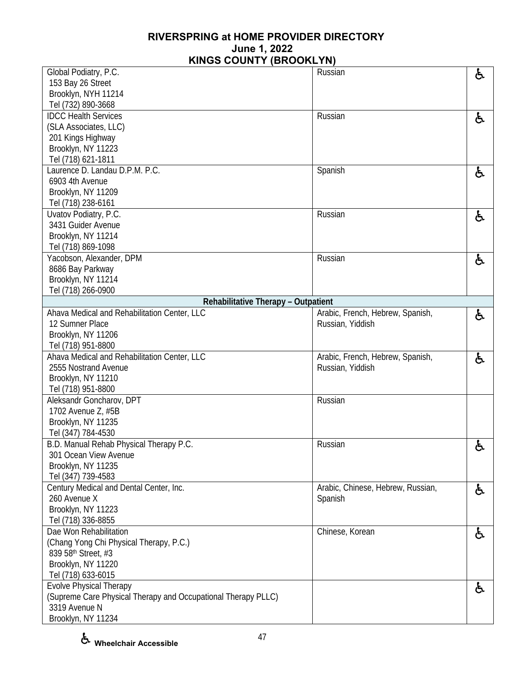| Global Podiatry, P.C.                                         | Russian                           | と  |
|---------------------------------------------------------------|-----------------------------------|----|
| 153 Bay 26 Street                                             |                                   |    |
| Brooklyn, NYH 11214                                           |                                   |    |
| Tel (732) 890-3668                                            |                                   |    |
| <b>IDCC Health Services</b>                                   | Russian                           | ė, |
| (SLA Associates, LLC)                                         |                                   |    |
| 201 Kings Highway                                             |                                   |    |
| Brooklyn, NY 11223                                            |                                   |    |
| Tel (718) 621-1811                                            |                                   |    |
| Laurence D. Landau D.P.M. P.C.                                | Spanish                           | ė, |
| 6903 4th Avenue                                               |                                   |    |
| Brooklyn, NY 11209                                            |                                   |    |
| Tel (718) 238-6161                                            |                                   |    |
| Uvatov Podiatry, P.C.                                         | Russian                           | ė, |
| 3431 Guider Avenue                                            |                                   |    |
| Brooklyn, NY 11214                                            |                                   |    |
| Tel (718) 869-1098                                            |                                   |    |
| Yacobson, Alexander, DPM                                      | Russian                           | ė, |
| 8686 Bay Parkway                                              |                                   |    |
| Brooklyn, NY 11214                                            |                                   |    |
| Tel (718) 266-0900                                            |                                   |    |
| Rehabilitative Therapy - Outpatient                           |                                   |    |
| Ahava Medical and Rehabilitation Center, LLC                  | Arabic, French, Hebrew, Spanish,  | ę. |
| 12 Sumner Place                                               | Russian, Yiddish                  |    |
| Brooklyn, NY 11206                                            |                                   |    |
| Tel (718) 951-8800                                            |                                   |    |
| Ahava Medical and Rehabilitation Center, LLC                  | Arabic, French, Hebrew, Spanish,  | と  |
| 2555 Nostrand Avenue                                          | Russian, Yiddish                  |    |
| Brooklyn, NY 11210                                            |                                   |    |
| Tel (718) 951-8800                                            |                                   |    |
| Aleksandr Goncharov, DPT                                      | Russian                           |    |
| 1702 Avenue Z, #5B                                            |                                   |    |
| Brooklyn, NY 11235                                            |                                   |    |
| Tel (347) 784-4530                                            |                                   |    |
| B.D. Manual Rehab Physical Therapy P.C.                       | Russian                           | ė, |
| 301 Ocean View Avenue                                         |                                   |    |
| Brooklyn, NY 11235                                            |                                   |    |
| Tel (347) 739-4583                                            |                                   |    |
| Century Medical and Dental Center, Inc.                       | Arabic, Chinese, Hebrew, Russian, | ė, |
| 260 Avenue X                                                  | Spanish                           |    |
| Brooklyn, NY 11223                                            |                                   |    |
| Tel (718) 336-8855                                            |                                   |    |
| Dae Won Rehabilitation                                        | Chinese, Korean                   | ė, |
| (Chang Yong Chi Physical Therapy, P.C.)                       |                                   |    |
| 839 58th Street, #3                                           |                                   |    |
| Brooklyn, NY 11220                                            |                                   |    |
| Tel (718) 633-6015                                            |                                   |    |
| <b>Evolve Physical Therapy</b>                                |                                   | ė, |
| (Supreme Care Physical Therapy and Occupational Therapy PLLC) |                                   |    |
| 3319 Avenue N                                                 |                                   |    |
| Brooklyn, NY 11234                                            |                                   |    |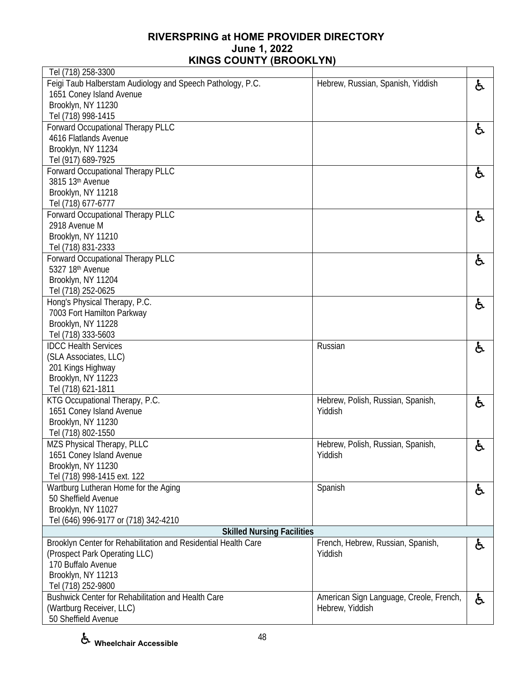| Tel (718) 258-3300                                             |                                         |    |
|----------------------------------------------------------------|-----------------------------------------|----|
| Feigi Taub Halberstam Audiology and Speech Pathology, P.C.     | Hebrew, Russian, Spanish, Yiddish       | ė, |
| 1651 Coney Island Avenue                                       |                                         |    |
| Brooklyn, NY 11230                                             |                                         |    |
| Tel (718) 998-1415                                             |                                         |    |
| Forward Occupational Therapy PLLC                              |                                         | ę. |
| 4616 Flatlands Avenue                                          |                                         |    |
| Brooklyn, NY 11234                                             |                                         |    |
| Tel (917) 689-7925                                             |                                         |    |
| Forward Occupational Therapy PLLC                              |                                         | ę. |
| 3815 13th Avenue                                               |                                         |    |
| Brooklyn, NY 11218                                             |                                         |    |
| Tel (718) 677-6777                                             |                                         |    |
| Forward Occupational Therapy PLLC                              |                                         | ė, |
| 2918 Avenue M                                                  |                                         |    |
| Brooklyn, NY 11210                                             |                                         |    |
| Tel (718) 831-2333                                             |                                         |    |
| Forward Occupational Therapy PLLC                              |                                         | ė, |
| 5327 18th Avenue                                               |                                         |    |
| Brooklyn, NY 11204                                             |                                         |    |
| Tel (718) 252-0625                                             |                                         |    |
| Hong's Physical Therapy, P.C.                                  |                                         | ę. |
| 7003 Fort Hamilton Parkway                                     |                                         |    |
| Brooklyn, NY 11228                                             |                                         |    |
| Tel (718) 333-5603                                             |                                         |    |
| <b>IDCC Health Services</b>                                    | Russian                                 | ę. |
| (SLA Associates, LLC)                                          |                                         |    |
| 201 Kings Highway                                              |                                         |    |
| Brooklyn, NY 11223                                             |                                         |    |
| Tel (718) 621-1811                                             |                                         |    |
| KTG Occupational Therapy, P.C.                                 | Hebrew, Polish, Russian, Spanish,       | ę. |
| 1651 Coney Island Avenue                                       | Yiddish                                 |    |
| Brooklyn, NY 11230                                             |                                         |    |
| Tel (718) 802-1550                                             |                                         |    |
| MZS Physical Therapy, PLLC                                     | Hebrew, Polish, Russian, Spanish,       | と  |
| 1651 Coney Island Avenue                                       | Yiddish                                 |    |
| Brooklyn, NY 11230                                             |                                         |    |
| Tel (718) 998-1415 ext. 122                                    |                                         |    |
| Wartburg Lutheran Home for the Aging                           | Spanish                                 | ė, |
| 50 Sheffield Avenue                                            |                                         |    |
| Brooklyn, NY 11027                                             |                                         |    |
| Tel (646) 996-9177 or (718) 342-4210                           |                                         |    |
| <b>Skilled Nursing Facilities</b>                              |                                         |    |
| Brooklyn Center for Rehabilitation and Residential Health Care | French, Hebrew, Russian, Spanish,       | ę. |
| (Prospect Park Operating LLC)                                  | Yiddish                                 |    |
| 170 Buffalo Avenue                                             |                                         |    |
| Brooklyn, NY 11213                                             |                                         |    |
| Tel (718) 252-9800                                             |                                         |    |
| Bushwick Center for Rehabilitation and Health Care             | American Sign Language, Creole, French, | ė, |
| (Wartburg Receiver, LLC)                                       | Hebrew, Yiddish                         |    |
| 50 Sheffield Avenue                                            |                                         |    |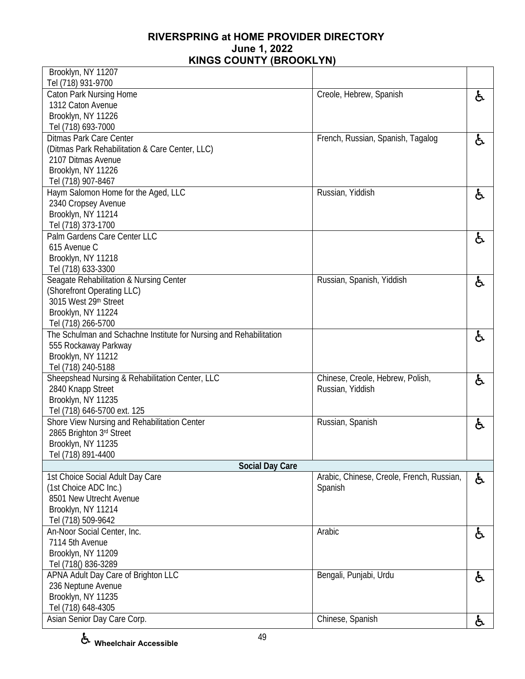| Brooklyn, NY 11207                                                 |                                           |    |
|--------------------------------------------------------------------|-------------------------------------------|----|
| Tel (718) 931-9700                                                 |                                           |    |
| Caton Park Nursing Home                                            | Creole, Hebrew, Spanish                   | と  |
| 1312 Caton Avenue                                                  |                                           |    |
| Brooklyn, NY 11226                                                 |                                           |    |
| Tel (718) 693-7000                                                 |                                           |    |
| <b>Ditmas Park Care Center</b>                                     | French, Russian, Spanish, Tagalog         | と  |
| (Ditmas Park Rehabilitation & Care Center, LLC)                    |                                           |    |
| 2107 Ditmas Avenue                                                 |                                           |    |
| Brooklyn, NY 11226                                                 |                                           |    |
| Tel (718) 907-8467                                                 |                                           |    |
| Haym Salomon Home for the Aged, LLC                                | Russian, Yiddish                          | と  |
| 2340 Cropsey Avenue                                                |                                           |    |
| Brooklyn, NY 11214                                                 |                                           |    |
| Tel (718) 373-1700                                                 |                                           |    |
| Palm Gardens Care Center LLC                                       |                                           | と  |
| 615 Avenue C                                                       |                                           |    |
| Brooklyn, NY 11218                                                 |                                           |    |
| Tel (718) 633-3300                                                 |                                           |    |
| Seagate Rehabilitation & Nursing Center                            | Russian, Spanish, Yiddish                 | と  |
| (Shorefront Operating LLC)                                         |                                           |    |
| 3015 West 29th Street                                              |                                           |    |
| Brooklyn, NY 11224                                                 |                                           |    |
| Tel (718) 266-5700                                                 |                                           |    |
| The Schulman and Schachne Institute for Nursing and Rehabilitation |                                           | 占  |
| 555 Rockaway Parkway                                               |                                           |    |
| Brooklyn, NY 11212                                                 |                                           |    |
| Tel (718) 240-5188                                                 |                                           |    |
| Sheepshead Nursing & Rehabilitation Center, LLC                    | Chinese, Creole, Hebrew, Polish,          | と  |
| 2840 Knapp Street                                                  | Russian, Yiddish                          |    |
| Brooklyn, NY 11235                                                 |                                           |    |
| Tel (718) 646-5700 ext. 125                                        |                                           |    |
| Shore View Nursing and Rehabilitation Center                       | Russian, Spanish                          | ė, |
| 2865 Brighton 3rd Street                                           |                                           |    |
| Brooklyn, NY 11235                                                 |                                           |    |
| Tel (718) 891-4400                                                 |                                           |    |
| <b>Social Day Care</b>                                             |                                           |    |
| 1st Choice Social Adult Day Care                                   | Arabic, Chinese, Creole, French, Russian, | ර් |
| (1st Choice ADC Inc.)                                              | Spanish                                   |    |
| 8501 New Utrecht Avenue                                            |                                           |    |
| Brooklyn, NY 11214                                                 |                                           |    |
| Tel (718) 509-9642                                                 |                                           |    |
| An-Noor Social Center, Inc.                                        | Arabic                                    | ė, |
| 7114 5th Avenue                                                    |                                           |    |
| Brooklyn, NY 11209                                                 |                                           |    |
| Tel (718() 836-3289                                                |                                           |    |
| APNA Adult Day Care of Brighton LLC                                | Bengali, Punjabi, Urdu                    | ė, |
| 236 Neptune Avenue                                                 |                                           |    |
| Brooklyn, NY 11235                                                 |                                           |    |
| Tel (718) 648-4305                                                 |                                           |    |
| Asian Senior Day Care Corp.                                        | Chinese, Spanish                          | ሌ  |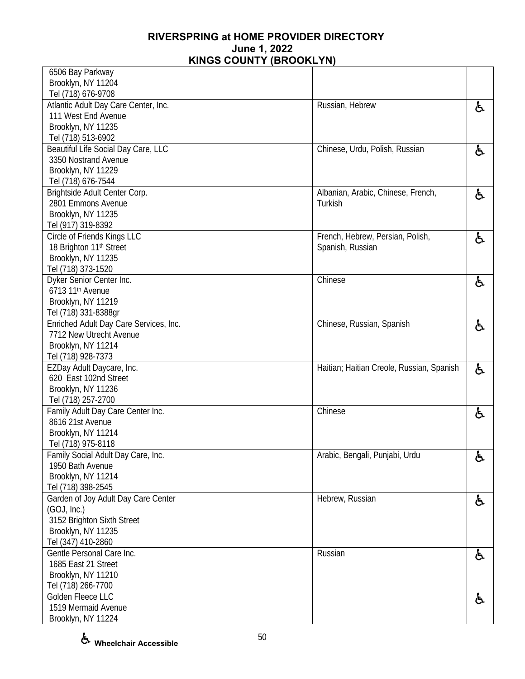| 6506 Bay Parkway                       |                                           |    |
|----------------------------------------|-------------------------------------------|----|
| Brooklyn, NY 11204                     |                                           |    |
| Tel (718) 676-9708                     |                                           |    |
| Atlantic Adult Day Care Center, Inc.   | Russian, Hebrew                           | ė, |
| 111 West End Avenue                    |                                           |    |
| Brooklyn, NY 11235                     |                                           |    |
| Tel (718) 513-6902                     |                                           |    |
| Beautiful Life Social Day Care, LLC    | Chinese, Urdu, Polish, Russian            | と  |
| 3350 Nostrand Avenue                   |                                           |    |
| Brooklyn, NY 11229                     |                                           |    |
| Tel (718) 676-7544                     |                                           |    |
| Brightside Adult Center Corp.          | Albanian, Arabic, Chinese, French,        | ė, |
| 2801 Emmons Avenue                     | Turkish                                   |    |
| Brooklyn, NY 11235                     |                                           |    |
| Tel (917) 319-8392                     |                                           |    |
| Circle of Friends Kings LLC            | French, Hebrew, Persian, Polish,          |    |
|                                        |                                           | と  |
| 18 Brighton 11 <sup>th</sup> Street    | Spanish, Russian                          |    |
| Brooklyn, NY 11235                     |                                           |    |
| Tel (718) 373-1520                     |                                           |    |
| Dyker Senior Center Inc.               | Chinese                                   | ė, |
| 6713 11 <sup>th</sup> Avenue           |                                           |    |
| Brooklyn, NY 11219                     |                                           |    |
| Tel (718) 331-8388gr                   |                                           |    |
| Enriched Adult Day Care Services, Inc. | Chinese, Russian, Spanish                 | ė, |
| 7712 New Utrecht Avenue                |                                           |    |
| Brooklyn, NY 11214                     |                                           |    |
| Tel (718) 928-7373                     |                                           |    |
| EZDay Adult Daycare, Inc.              | Haitian; Haitian Creole, Russian, Spanish | ė, |
| 620 East 102nd Street                  |                                           |    |
| Brooklyn, NY 11236                     |                                           |    |
| Tel (718) 257-2700                     |                                           |    |
| Family Adult Day Care Center Inc.      | Chinese                                   | と  |
| 8616 21st Avenue                       |                                           |    |
| Brooklyn, NY 11214                     |                                           |    |
| Tel (718) 975-8118                     |                                           |    |
| Family Social Adult Day Care, Inc.     | Arabic, Bengali, Punjabi, Urdu            | ර් |
| 1950 Bath Avenue                       |                                           |    |
| Brooklyn, NY 11214                     |                                           |    |
| Tel (718) 398-2545                     |                                           |    |
| Garden of Joy Adult Day Care Center    | Hebrew, Russian                           | ę. |
| (GOJ, Inc.)                            |                                           |    |
| 3152 Brighton Sixth Street             |                                           |    |
| Brooklyn, NY 11235                     |                                           |    |
| Tel (347) 410-2860                     |                                           |    |
| Gentle Personal Care Inc.              | Russian                                   |    |
| 1685 East 21 Street                    |                                           | ර් |
|                                        |                                           |    |
| Brooklyn, NY 11210                     |                                           |    |
| Tel (718) 266-7700                     |                                           |    |
| Golden Fleece LLC                      |                                           | ර් |
| 1519 Mermaid Avenue                    |                                           |    |
| Brooklyn, NY 11224                     |                                           |    |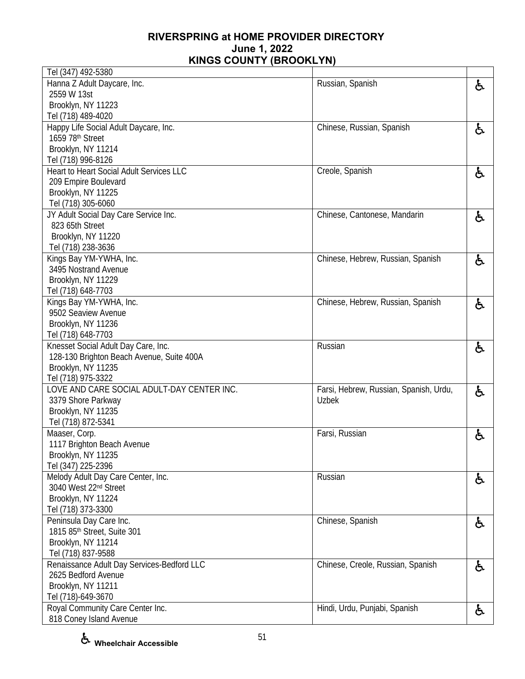| Tel (347) 492-5380                         |                                        |    |
|--------------------------------------------|----------------------------------------|----|
| Hanna Z Adult Daycare, Inc.                | Russian, Spanish                       | ė, |
| 2559 W 13st                                |                                        |    |
| Brooklyn, NY 11223                         |                                        |    |
| Tel (718) 489-4020                         |                                        |    |
| Happy Life Social Adult Daycare, Inc.      | Chinese, Russian, Spanish              | ර් |
| 1659 78th Street                           |                                        |    |
| Brooklyn, NY 11214                         |                                        |    |
| Tel (718) 996-8126                         |                                        |    |
| Heart to Heart Social Adult Services LLC   | Creole, Spanish                        | ė, |
| 209 Empire Boulevard                       |                                        |    |
| Brooklyn, NY 11225                         |                                        |    |
| Tel (718) 305-6060                         |                                        |    |
| JY Adult Social Day Care Service Inc.      | Chinese, Cantonese, Mandarin           | ė, |
| 823 65th Street                            |                                        |    |
| Brooklyn, NY 11220                         |                                        |    |
| Tel (718) 238-3636                         |                                        |    |
| Kings Bay YM-YWHA, Inc.                    | Chinese, Hebrew, Russian, Spanish      | ර් |
| 3495 Nostrand Avenue                       |                                        |    |
| Brooklyn, NY 11229                         |                                        |    |
| Tel (718) 648-7703                         |                                        |    |
| Kings Bay YM-YWHA, Inc.                    | Chinese, Hebrew, Russian, Spanish      | ė, |
| 9502 Seaview Avenue                        |                                        |    |
| Brooklyn, NY 11236                         |                                        |    |
| Tel (718) 648-7703                         |                                        |    |
| Knesset Social Adult Day Care, Inc.        | Russian                                | ė, |
| 128-130 Brighton Beach Avenue, Suite 400A  |                                        |    |
| Brooklyn, NY 11235                         |                                        |    |
| Tel (718) 975-3322                         |                                        |    |
| LOVE AND CARE SOCIAL ADULT-DAY CENTER INC. | Farsi, Hebrew, Russian, Spanish, Urdu, | ė, |
| 3379 Shore Parkway                         | Uzbek                                  |    |
| Brooklyn, NY 11235                         |                                        |    |
| Tel (718) 872-5341                         |                                        |    |
| Maaser, Corp.                              | Farsi, Russian                         | と  |
| 1117 Brighton Beach Avenue                 |                                        |    |
| Brooklyn, NY 11235                         |                                        |    |
| Tel (347) 225-2396                         |                                        |    |
| Melody Adult Day Care Center, Inc.         | Russian                                |    |
| 3040 West 22nd Street                      |                                        | ර් |
| Brooklyn, NY 11224                         |                                        |    |
| Tel (718) 373-3300                         |                                        |    |
| Peninsula Day Care Inc.                    | Chinese, Spanish                       |    |
| 1815 85th Street, Suite 301                |                                        | ė, |
| Brooklyn, NY 11214                         |                                        |    |
| Tel (718) 837-9588                         |                                        |    |
| Renaissance Adult Day Services-Bedford LLC | Chinese, Creole, Russian, Spanish      |    |
| 2625 Bedford Avenue                        |                                        | ර් |
| Brooklyn, NY 11211                         |                                        |    |
| Tel (718)-649-3670                         |                                        |    |
| Royal Community Care Center Inc.           | Hindi, Urdu, Punjabi, Spanish          |    |
| 818 Coney Island Avenue                    |                                        | ė, |
|                                            |                                        |    |

**Wheelchair Accessible**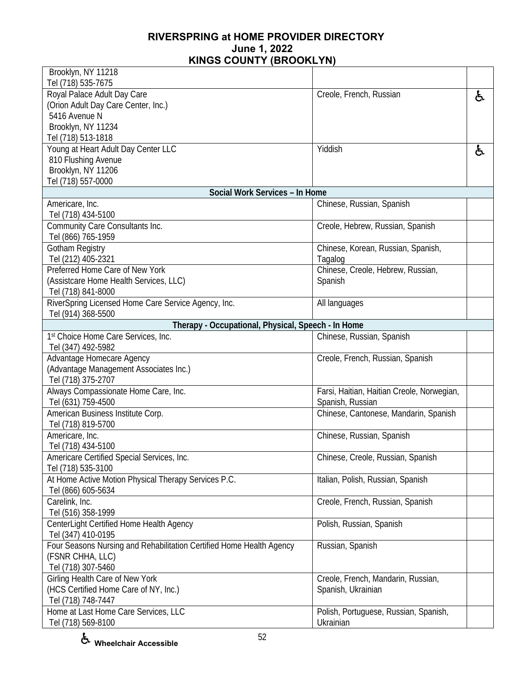| Brooklyn, NY 11218                                                   |                                                    |    |
|----------------------------------------------------------------------|----------------------------------------------------|----|
| Tel (718) 535-7675<br>Royal Palace Adult Day Care                    | Creole, French, Russian                            |    |
| (Orion Adult Day Care Center, Inc.)                                  |                                                    | ę. |
| 5416 Avenue N                                                        |                                                    |    |
| Brooklyn, NY 11234                                                   |                                                    |    |
| Tel (718) 513-1818                                                   |                                                    |    |
| Young at Heart Adult Day Center LLC                                  | Yiddish                                            | ę. |
| 810 Flushing Avenue                                                  |                                                    |    |
| Brooklyn, NY 11206                                                   |                                                    |    |
| Tel (718) 557-0000                                                   |                                                    |    |
| Social Work Services - In Home                                       |                                                    |    |
| Americare, Inc.                                                      | Chinese, Russian, Spanish                          |    |
| Tel (718) 434-5100                                                   |                                                    |    |
| Community Care Consultants Inc.                                      | Creole, Hebrew, Russian, Spanish                   |    |
| Tel (866) 765-1959                                                   |                                                    |    |
| Gotham Registry                                                      | Chinese, Korean, Russian, Spanish,                 |    |
| Tel (212) 405-2321                                                   | Tagalog                                            |    |
| Preferred Home Care of New York                                      | Chinese, Creole, Hebrew, Russian,                  |    |
| (Assistcare Home Health Services, LLC)                               | Spanish                                            |    |
| Tel (718) 841-8000                                                   |                                                    |    |
| RiverSpring Licensed Home Care Service Agency, Inc.                  | All languages                                      |    |
| Tel (914) 368-5500                                                   |                                                    |    |
| Therapy - Occupational, Physical, Speech - In Home                   |                                                    |    |
| 1st Choice Home Care Services, Inc.                                  | Chinese, Russian, Spanish                          |    |
| Tel (347) 492-5982                                                   |                                                    |    |
| Advantage Homecare Agency<br>(Advantage Management Associates Inc.)  | Creole, French, Russian, Spanish                   |    |
| Tel (718) 375-2707                                                   |                                                    |    |
| Always Compassionate Home Care, Inc.                                 | Farsi, Haitian, Haitian Creole, Norwegian,         |    |
| Tel (631) 759-4500                                                   | Spanish, Russian                                   |    |
| American Business Institute Corp.                                    | Chinese, Cantonese, Mandarin, Spanish              |    |
| Tel (718) 819-5700                                                   |                                                    |    |
| Americare, Inc.                                                      | Chinese, Russian, Spanish                          |    |
| Tel (718) 434-5100                                                   |                                                    |    |
| Americare Certified Special Services, Inc.                           | Chinese, Creole, Russian, Spanish                  |    |
| Tel (718) 535-3100                                                   |                                                    |    |
| At Home Active Motion Physical Therapy Services P.C.                 | Italian, Polish, Russian, Spanish                  |    |
| Tel (866) 605-5634                                                   |                                                    |    |
| Carelink, Inc.                                                       | Creole, French, Russian, Spanish                   |    |
| Tel (516) 358-1999                                                   |                                                    |    |
| CenterLight Certified Home Health Agency                             | Polish, Russian, Spanish                           |    |
| Tel (347) 410-0195                                                   |                                                    |    |
| Four Seasons Nursing and Rehabilitation Certified Home Health Agency | Russian, Spanish                                   |    |
| (FSNR CHHA, LLC)                                                     |                                                    |    |
| Tel (718) 307-5460                                                   |                                                    |    |
| Girling Health Care of New York                                      | Creole, French, Mandarin, Russian,                 |    |
| (HCS Certified Home Care of NY, Inc.)                                | Spanish, Ukrainian                                 |    |
| Tel (718) 748-7447                                                   |                                                    |    |
| Home at Last Home Care Services, LLC<br>Tel (718) 569-8100           | Polish, Portuguese, Russian, Spanish,<br>Ukrainian |    |
|                                                                      |                                                    |    |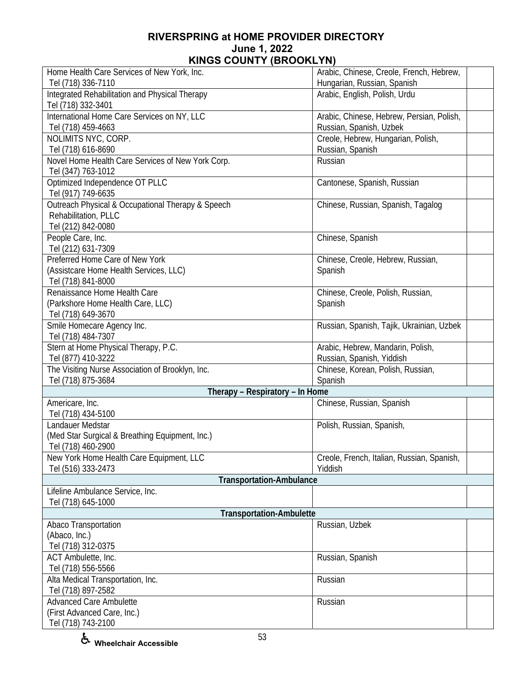| Home Health Care Services of New York, Inc.                                                     | Arabic, Chinese, Creole, French, Hebrew,                             |
|-------------------------------------------------------------------------------------------------|----------------------------------------------------------------------|
| Tel (718) 336-7110                                                                              | Hungarian, Russian, Spanish                                          |
| Integrated Rehabilitation and Physical Therapy<br>Tel (718) 332-3401                            | Arabic, English, Polish, Urdu                                        |
| International Home Care Services on NY, LLC<br>Tel (718) 459-4663                               | Arabic, Chinese, Hebrew, Persian, Polish,<br>Russian, Spanish, Uzbek |
| NOLIMITS NYC, CORP.<br>Tel (718) 616-8690                                                       | Creole, Hebrew, Hungarian, Polish,<br>Russian, Spanish               |
| Novel Home Health Care Services of New York Corp.<br>Tel (347) 763-1012                         | Russian                                                              |
| Optimized Independence OT PLLC<br>Tel (917) 749-6635                                            | Cantonese, Spanish, Russian                                          |
| Outreach Physical & Occupational Therapy & Speech<br>Rehabilitation, PLLC<br>Tel (212) 842-0080 | Chinese, Russian, Spanish, Tagalog                                   |
| People Care, Inc.<br>Tel (212) 631-7309                                                         | Chinese, Spanish                                                     |
| Preferred Home Care of New York<br>(Assistcare Home Health Services, LLC)<br>Tel (718) 841-8000 | Chinese, Creole, Hebrew, Russian,<br>Spanish                         |
| Renaissance Home Health Care<br>(Parkshore Home Health Care, LLC)<br>Tel (718) 649-3670         | Chinese, Creole, Polish, Russian,<br>Spanish                         |
| Smile Homecare Agency Inc.<br>Tel (718) 484-7307                                                | Russian, Spanish, Tajik, Ukrainian, Uzbek                            |
| Stern at Home Physical Therapy, P.C.<br>Tel (877) 410-3222                                      | Arabic, Hebrew, Mandarin, Polish,<br>Russian, Spanish, Yiddish       |
| The Visiting Nurse Association of Brooklyn, Inc.<br>Tel (718) 875-3684                          | Chinese, Korean, Polish, Russian,<br>Spanish                         |
| Therapy - Respiratory - In Home                                                                 |                                                                      |
| Americare, Inc.<br>Tel (718) 434-5100                                                           | Chinese, Russian, Spanish                                            |
| Landauer Medstar<br>(Med Star Surgical & Breathing Equipment, Inc.)<br>Tel (718) 460-2900       | Polish, Russian, Spanish,                                            |
| New York Home Health Care Equipment, LLC<br>Tel (516) 333-2473                                  | Creole, French, Italian, Russian, Spanish,<br>Yiddish                |
| <b>Transportation-Ambulance</b>                                                                 |                                                                      |
| Lifeline Ambulance Service, Inc.<br>Tel (718) 645-1000                                          |                                                                      |
| <b>Transportation-Ambulette</b>                                                                 |                                                                      |
| Abaco Transportation                                                                            | Russian, Uzbek                                                       |
| (Abaco, Inc.)                                                                                   |                                                                      |
| Tel (718) 312-0375                                                                              |                                                                      |
| ACT Ambulette, Inc.<br>Tel (718) 556-5566                                                       | Russian, Spanish                                                     |
| Alta Medical Transportation, Inc.                                                               | Russian                                                              |
| Tel (718) 897-2582                                                                              |                                                                      |
| <b>Advanced Care Ambulette</b>                                                                  | Russian                                                              |
| (First Advanced Care, Inc.)<br>Tel (718) 743-2100                                               |                                                                      |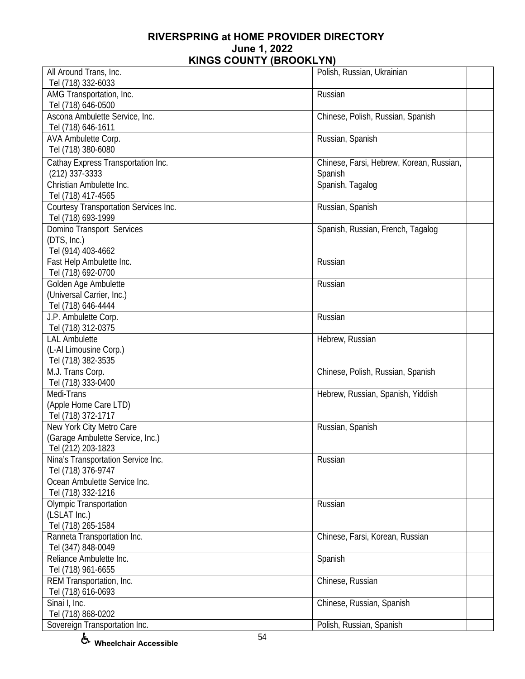| All Around Trans, Inc.                         | Polish, Russian, Ukrainian               |  |
|------------------------------------------------|------------------------------------------|--|
| Tel (718) 332-6033                             |                                          |  |
| AMG Transportation, Inc.                       | Russian                                  |  |
| Tel (718) 646-0500                             |                                          |  |
| Ascona Ambulette Service, Inc.                 | Chinese, Polish, Russian, Spanish        |  |
| Tel (718) 646-1611                             |                                          |  |
| AVA Ambulette Corp.                            | Russian, Spanish                         |  |
| Tel (718) 380-6080                             |                                          |  |
| Cathay Express Transportation Inc.             | Chinese, Farsi, Hebrew, Korean, Russian, |  |
| $(212)$ 337-3333                               | Spanish                                  |  |
| Christian Ambulette Inc.                       | Spanish, Tagalog                         |  |
| Tel (718) 417-4565                             |                                          |  |
| Courtesy Transportation Services Inc.          | Russian, Spanish                         |  |
| Tel (718) 693-1999                             |                                          |  |
| Domino Transport Services                      | Spanish, Russian, French, Tagalog        |  |
| (DTS, Inc.)                                    |                                          |  |
|                                                |                                          |  |
| Tel (914) 403-4662                             | Russian                                  |  |
| Fast Help Ambulette Inc.<br>Tel (718) 692-0700 |                                          |  |
|                                                |                                          |  |
| Golden Age Ambulette                           | Russian                                  |  |
| (Universal Carrier, Inc.)                      |                                          |  |
| Tel (718) 646-4444                             |                                          |  |
| J.P. Ambulette Corp.                           | Russian                                  |  |
| Tel (718) 312-0375                             |                                          |  |
| <b>LAL Ambulette</b>                           | Hebrew, Russian                          |  |
| (L-Al Limousine Corp.)                         |                                          |  |
| Tel (718) 382-3535                             |                                          |  |
| M.J. Trans Corp.                               | Chinese, Polish, Russian, Spanish        |  |
| Tel (718) 333-0400                             |                                          |  |
| Medi-Trans                                     | Hebrew, Russian, Spanish, Yiddish        |  |
| (Apple Home Care LTD)                          |                                          |  |
| Tel (718) 372-1717                             |                                          |  |
| New York City Metro Care                       | Russian, Spanish                         |  |
| (Garage Ambulette Service, Inc.)               |                                          |  |
| Tel (212) 203-1823                             |                                          |  |
| Nina's Transportation Service Inc.             | Russian                                  |  |
| Tel (718) 376-9747                             |                                          |  |
| Ocean Ambulette Service Inc.                   |                                          |  |
| Tel (718) 332-1216                             |                                          |  |
| <b>Olympic Transportation</b>                  | Russian                                  |  |
| (LSLAT Inc.)<br>Tel (718) 265-1584             |                                          |  |
|                                                |                                          |  |
| Ranneta Transportation Inc.                    | Chinese, Farsi, Korean, Russian          |  |
| Tel (347) 848-0049<br>Reliance Ambulette Inc.  |                                          |  |
|                                                | Spanish                                  |  |
| Tel (718) 961-6655                             |                                          |  |
| REM Transportation, Inc.                       | Chinese, Russian                         |  |
| Tel (718) 616-0693                             |                                          |  |
| Sinai I, Inc.                                  | Chinese, Russian, Spanish                |  |
| Tel (718) 868-0202                             |                                          |  |
| Sovereign Transportation Inc.                  | Polish, Russian, Spanish                 |  |

**Wheelchair Accessible**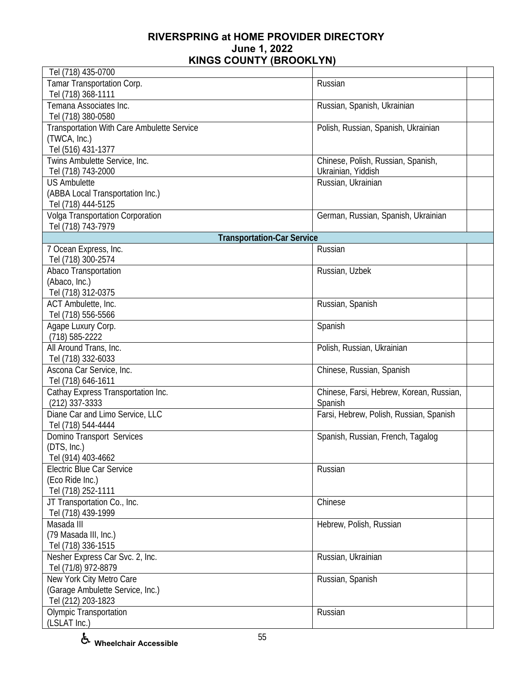| Tel (718) 435-0700                         |                                          |  |
|--------------------------------------------|------------------------------------------|--|
| Tamar Transportation Corp.                 | Russian                                  |  |
| Tel (718) 368-1111                         |                                          |  |
| Temana Associates Inc.                     | Russian, Spanish, Ukrainian              |  |
| Tel (718) 380-0580                         |                                          |  |
| Transportation With Care Ambulette Service | Polish, Russian, Spanish, Ukrainian      |  |
| (TWCA, Inc.)                               |                                          |  |
| Tel (516) 431-1377                         |                                          |  |
| Twins Ambulette Service, Inc.              | Chinese, Polish, Russian, Spanish,       |  |
| Tel (718) 743-2000                         | Ukrainian, Yiddish                       |  |
| <b>US Ambulette</b>                        | Russian, Ukrainian                       |  |
| (ABBA Local Transportation Inc.)           |                                          |  |
| Tel (718) 444-5125                         |                                          |  |
| Volga Transportation Corporation           | German, Russian, Spanish, Ukrainian      |  |
| Tel (718) 743-7979                         |                                          |  |
| <b>Transportation-Car Service</b>          |                                          |  |
| 7 Ocean Express, Inc.                      | Russian                                  |  |
| Tel (718) 300-2574                         |                                          |  |
| Abaco Transportation                       | Russian, Uzbek                           |  |
| (Abaco, Inc.)                              |                                          |  |
| Tel (718) 312-0375                         |                                          |  |
| ACT Ambulette, Inc.                        | Russian, Spanish                         |  |
| Tel (718) 556-5566                         |                                          |  |
| Agape Luxury Corp.                         | Spanish                                  |  |
| (718) 585-2222                             |                                          |  |
| All Around Trans, Inc.                     | Polish, Russian, Ukrainian               |  |
| Tel (718) 332-6033                         |                                          |  |
| Ascona Car Service, Inc.                   | Chinese, Russian, Spanish                |  |
| Tel (718) 646-1611                         |                                          |  |
| Cathay Express Transportation Inc.         | Chinese, Farsi, Hebrew, Korean, Russian, |  |
| $(212)$ 337-3333                           | Spanish                                  |  |
| Diane Car and Limo Service, LLC            | Farsi, Hebrew, Polish, Russian, Spanish  |  |
| Tel (718) 544-4444                         |                                          |  |
|                                            |                                          |  |
| Domino Transport Services<br>(DTS, Inc.)   | Spanish, Russian, French, Tagalog        |  |
| Tel (914) 403-4662                         |                                          |  |
| <b>Electric Blue Car Service</b>           | Russian                                  |  |
| (Eco Ride Inc.)                            |                                          |  |
| Tel (718) 252-1111                         |                                          |  |
| JT Transportation Co., Inc.                | Chinese                                  |  |
| Tel (718) 439-1999                         |                                          |  |
| Masada III                                 |                                          |  |
|                                            | Hebrew, Polish, Russian                  |  |
| (79 Masada III, Inc.)                      |                                          |  |
| Tel (718) 336-1515                         |                                          |  |
| Nesher Express Car Svc. 2, Inc.            | Russian, Ukrainian                       |  |
| Tel (71/8) 972-8879                        |                                          |  |
| New York City Metro Care                   | Russian, Spanish                         |  |
| (Garage Ambulette Service, Inc.)           |                                          |  |
| Tel (212) 203-1823                         |                                          |  |
| <b>Olympic Transportation</b>              | Russian                                  |  |
| (LSLAT Inc.)                               |                                          |  |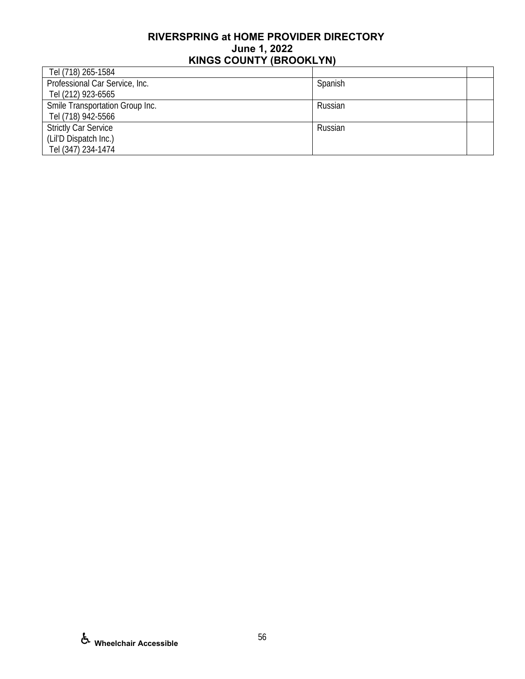| Tel (718) 265-1584              |         |  |
|---------------------------------|---------|--|
| Professional Car Service, Inc.  | Spanish |  |
| Tel (212) 923-6565              |         |  |
| Smile Transportation Group Inc. | Russian |  |
| Tel (718) 942-5566              |         |  |
| <b>Strictly Car Service</b>     | Russian |  |
| (Lil'D Dispatch Inc.)           |         |  |
| Tel (347) 234-1474              |         |  |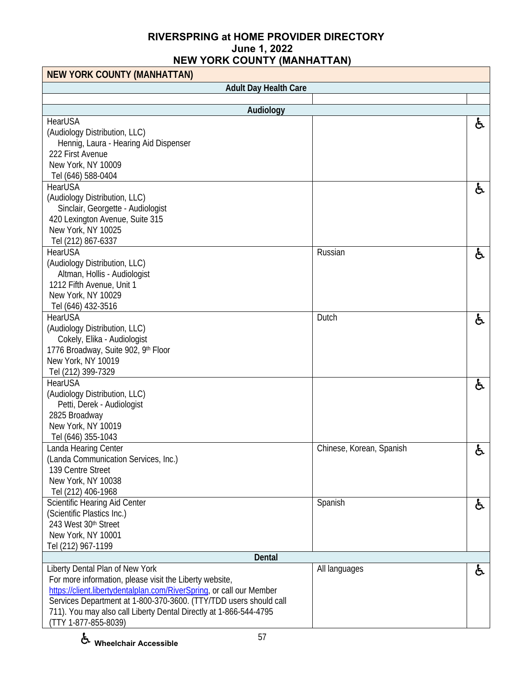| <b>NEW YORK COUNTY (MANHATTAN)</b>                                   |                          |    |
|----------------------------------------------------------------------|--------------------------|----|
| <b>Adult Day Health Care</b>                                         |                          |    |
|                                                                      |                          |    |
| Audiology                                                            |                          |    |
| HearUSA                                                              |                          | ė, |
| (Audiology Distribution, LLC)                                        |                          |    |
| Hennig, Laura - Hearing Aid Dispenser                                |                          |    |
| 222 First Avenue                                                     |                          |    |
| New York, NY 10009                                                   |                          |    |
| Tel (646) 588-0404                                                   |                          |    |
| <b>HearUSA</b>                                                       |                          | ę. |
| (Audiology Distribution, LLC)                                        |                          |    |
| Sinclair, Georgette - Audiologist                                    |                          |    |
| 420 Lexington Avenue, Suite 315                                      |                          |    |
| New York, NY 10025                                                   |                          |    |
| Tel (212) 867-6337                                                   |                          |    |
| HearUSA                                                              | Russian                  | ę. |
| (Audiology Distribution, LLC)                                        |                          |    |
| Altman, Hollis - Audiologist                                         |                          |    |
| 1212 Fifth Avenue, Unit 1                                            |                          |    |
| New York, NY 10029                                                   |                          |    |
| Tel (646) 432-3516                                                   |                          |    |
| HearUSA                                                              | Dutch                    | ę. |
| (Audiology Distribution, LLC)                                        |                          |    |
| Cokely, Elika - Audiologist                                          |                          |    |
| 1776 Broadway, Suite 902, 9th Floor                                  |                          |    |
| New York, NY 10019                                                   |                          |    |
| Tel (212) 399-7329                                                   |                          |    |
| HearUSA                                                              |                          | £. |
| (Audiology Distribution, LLC)                                        |                          |    |
| Petti, Derek - Audiologist                                           |                          |    |
| 2825 Broadway                                                        |                          |    |
| New York, NY 10019                                                   |                          |    |
| Tel (646) 355-1043                                                   |                          |    |
| anda Hearing Center                                                  | Chinese, Korean, Spanish | ໐  |
| (Landa Communication Services, Inc.)                                 |                          |    |
| 139 Centre Street                                                    |                          |    |
| New York, NY 10038                                                   |                          |    |
| Tel (212) 406-1968                                                   |                          |    |
| Scientific Hearing Aid Center                                        | Spanish                  | ė, |
| (Scientific Plastics Inc.)                                           |                          |    |
| 243 West 30th Street                                                 |                          |    |
| New York, NY 10001                                                   |                          |    |
| Tel (212) 967-1199                                                   |                          |    |
| <b>Dental</b>                                                        |                          |    |
| Liberty Dental Plan of New York                                      | All languages            | ę. |
| For more information, please visit the Liberty website,              |                          |    |
| https://client.libertydentalplan.com/RiverSpring, or call our Member |                          |    |
| Services Department at 1-800-370-3600. (TTY/TDD users should call    |                          |    |
| 711). You may also call Liberty Dental Directly at 1-866-544-4795    |                          |    |
| (TTY 1-877-855-8039)                                                 |                          |    |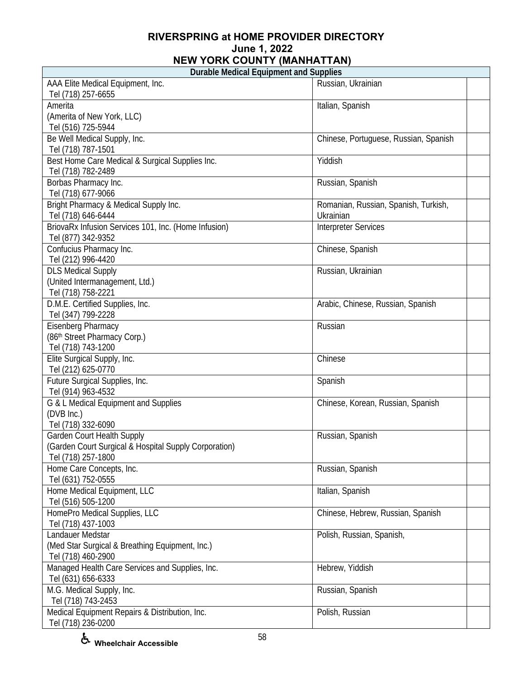| apio modiodi Equipmont dha odpphos<br>AAA Elite Medical Equipment, Inc.<br>Tel (718) 257-6655 | Russian, Ukrainian                    |
|-----------------------------------------------------------------------------------------------|---------------------------------------|
| Amerita                                                                                       | Italian, Spanish                      |
| (Amerita of New York, LLC)                                                                    |                                       |
| Tel (516) 725-5944                                                                            |                                       |
| Be Well Medical Supply, Inc.                                                                  |                                       |
|                                                                                               | Chinese, Portuguese, Russian, Spanish |
| Tel (718) 787-1501                                                                            |                                       |
| Best Home Care Medical & Surgical Supplies Inc.                                               | Yiddish                               |
| Tel (718) 782-2489                                                                            |                                       |
| Borbas Pharmacy Inc.                                                                          | Russian, Spanish                      |
| Tel (718) 677-9066                                                                            |                                       |
| Bright Pharmacy & Medical Supply Inc.                                                         | Romanian, Russian, Spanish, Turkish,  |
| Tel (718) 646-6444                                                                            | Ukrainian                             |
| BriovaRx Infusion Services 101, Inc. (Home Infusion)                                          | <b>Interpreter Services</b>           |
| Tel (877) 342-9352                                                                            |                                       |
| Confucius Pharmacy Inc.                                                                       | Chinese, Spanish                      |
| Tel (212) 996-4420                                                                            |                                       |
| <b>DLS Medical Supply</b>                                                                     | Russian, Ukrainian                    |
| (United Intermanagement, Ltd.)                                                                |                                       |
| Tel (718) 758-2221                                                                            |                                       |
| D.M.E. Certified Supplies, Inc.                                                               | Arabic, Chinese, Russian, Spanish     |
| Tel (347) 799-2228                                                                            |                                       |
| Eisenberg Pharmacy                                                                            | Russian                               |
| (86th Street Pharmacy Corp.)                                                                  |                                       |
| Tel (718) 743-1200                                                                            |                                       |
| Elite Surgical Supply, Inc.                                                                   | Chinese                               |
| Tel (212) 625-0770                                                                            |                                       |
| Future Surgical Supplies, Inc.                                                                | Spanish                               |
| Tel (914) 963-4532                                                                            |                                       |
| G & L Medical Equipment and Supplies                                                          | Chinese, Korean, Russian, Spanish     |
| (DVB Inc.)                                                                                    |                                       |
| Tel (718) 332-6090                                                                            |                                       |
| <b>Garden Court Health Supply</b>                                                             | Russian, Spanish                      |
| (Garden Court Surgical & Hospital Supply Corporation)                                         |                                       |
| Tel (718) 257-1800                                                                            |                                       |
| Home Care Concepts, Inc.                                                                      | Russian, Spanish                      |
| Tel (631) 752-0555                                                                            |                                       |
| Home Medical Equipment, LLC                                                                   | Italian, Spanish                      |
| Tel (516) 505-1200                                                                            |                                       |
| HomePro Medical Supplies, LLC                                                                 | Chinese, Hebrew, Russian, Spanish     |
| Tel (718) 437-1003                                                                            |                                       |
| Landauer Medstar                                                                              | Polish, Russian, Spanish,             |
| (Med Star Surgical & Breathing Equipment, Inc.)                                               |                                       |
| Tel (718) 460-2900                                                                            |                                       |
| Managed Health Care Services and Supplies, Inc.                                               | Hebrew, Yiddish                       |
| Tel (631) 656-6333                                                                            |                                       |
|                                                                                               |                                       |
| M.G. Medical Supply, Inc.                                                                     | Russian, Spanish                      |
| Tel (718) 743-2453                                                                            |                                       |
| Medical Equipment Repairs & Distribution, Inc.                                                | Polish, Russian                       |
| Tel (718) 236-0200                                                                            |                                       |

F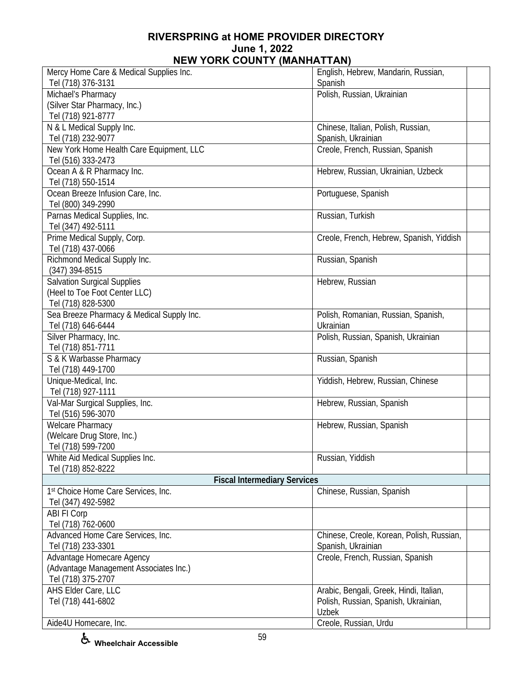| Mercy Home Care & Medical Supplies Inc.   | English, Hebrew, Mandarin, Russian,       |
|-------------------------------------------|-------------------------------------------|
| Tel (718) 376-3131                        | Spanish                                   |
| Michael's Pharmacy                        | Polish, Russian, Ukrainian                |
| (Silver Star Pharmacy, Inc.)              |                                           |
| Tel (718) 921-8777                        |                                           |
| N & L Medical Supply Inc.                 | Chinese, Italian, Polish, Russian,        |
| Tel (718) 232-9077                        | Spanish, Ukrainian                        |
| New York Home Health Care Equipment, LLC  | Creole, French, Russian, Spanish          |
| Tel (516) 333-2473                        |                                           |
| Ocean A & R Pharmacy Inc.                 | Hebrew, Russian, Ukrainian, Uzbeck        |
| Tel (718) 550-1514                        |                                           |
| Ocean Breeze Infusion Care, Inc.          | Portuguese, Spanish                       |
| Tel (800) 349-2990                        |                                           |
| Parnas Medical Supplies, Inc.             | Russian, Turkish                          |
| Tel (347) 492-5111                        |                                           |
| Prime Medical Supply, Corp.               | Creole, French, Hebrew, Spanish, Yiddish  |
| Tel (718) 437-0066                        |                                           |
| Richmond Medical Supply Inc.              | Russian, Spanish                          |
| $(347)$ 394-8515                          |                                           |
| <b>Salvation Surgical Supplies</b>        | Hebrew, Russian                           |
| (Heel to Toe Foot Center LLC)             |                                           |
| Tel (718) 828-5300                        |                                           |
| Sea Breeze Pharmacy & Medical Supply Inc. | Polish, Romanian, Russian, Spanish,       |
| Tel (718) 646-6444                        | Ukrainian                                 |
| Silver Pharmacy, Inc.                     | Polish, Russian, Spanish, Ukrainian       |
| Tel (718) 851-7711                        |                                           |
| S & K Warbasse Pharmacy                   | Russian, Spanish                          |
| Tel (718) 449-1700                        |                                           |
| Unique-Medical, Inc.                      | Yiddish, Hebrew, Russian, Chinese         |
| Tel (718) 927-1111                        |                                           |
| Val-Mar Surgical Supplies, Inc.           | Hebrew, Russian, Spanish                  |
| Tel (516) 596-3070                        |                                           |
| <b>Welcare Pharmacy</b>                   | Hebrew, Russian, Spanish                  |
| (Welcare Drug Store, Inc.)                |                                           |
| Tel (718) 599-7200                        |                                           |
| White Aid Medical Supplies Inc.           | Russian, Yiddish                          |
| Tel (718) 852-8222                        |                                           |
| <b>Fiscal Intermediary Services</b>       |                                           |
| 1st Choice Home Care Services, Inc.       | Chinese, Russian, Spanish                 |
| Tel (347) 492-5982                        |                                           |
| <b>ABI FI Corp</b>                        |                                           |
| Tel (718) 762-0600                        |                                           |
| Advanced Home Care Services, Inc.         | Chinese, Creole, Korean, Polish, Russian, |
| Tel (718) 233-3301                        | Spanish, Ukrainian                        |
| Advantage Homecare Agency                 | Creole, French, Russian, Spanish          |
| (Advantage Management Associates Inc.)    |                                           |
| Tel (718) 375-2707                        |                                           |
| AHS Elder Care, LLC                       | Arabic, Bengali, Greek, Hindi, Italian,   |
| Tel (718) 441-6802                        | Polish, Russian, Spanish, Ukrainian,      |
|                                           | <b>Uzbek</b>                              |
| Aide4U Homecare, Inc.                     | Creole, Russian, Urdu                     |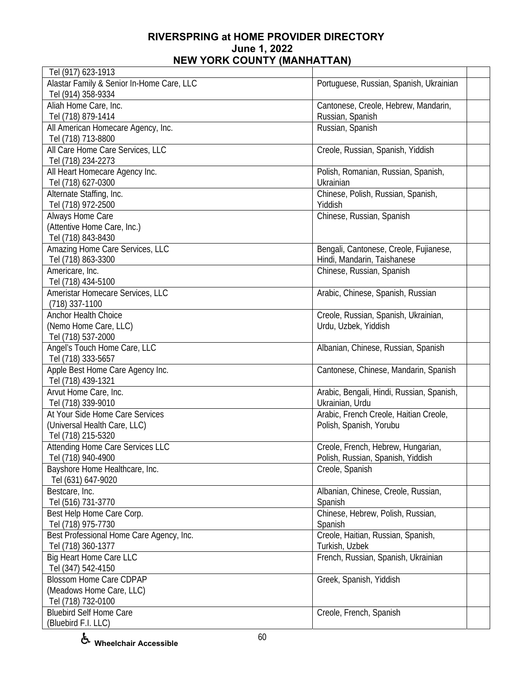| Tel (917) 623-1913                        |                                           |
|-------------------------------------------|-------------------------------------------|
| Alastar Family & Senior In-Home Care, LLC | Portuguese, Russian, Spanish, Ukrainian   |
| Tel (914) 358-9334                        |                                           |
| Aliah Home Care, Inc.                     | Cantonese, Creole, Hebrew, Mandarin,      |
| Tel (718) 879-1414                        | Russian, Spanish                          |
| All American Homecare Agency, Inc.        | Russian, Spanish                          |
| Tel (718) 713-8800                        |                                           |
| All Care Home Care Services, LLC          | Creole, Russian, Spanish, Yiddish         |
| Tel (718) 234-2273                        |                                           |
| All Heart Homecare Agency Inc.            | Polish, Romanian, Russian, Spanish,       |
| Tel (718) 627-0300                        | Ukrainian                                 |
| Alternate Staffing, Inc.                  | Chinese, Polish, Russian, Spanish,        |
| Tel (718) 972-2500                        | Yiddish                                   |
| Always Home Care                          | Chinese, Russian, Spanish                 |
| (Attentive Home Care, Inc.)               |                                           |
| Tel (718) 843-8430                        |                                           |
| Amazing Home Care Services, LLC           | Bengali, Cantonese, Creole, Fujianese,    |
| Tel (718) 863-3300                        | Hindi, Mandarin, Taishanese               |
| Americare, Inc.                           | Chinese, Russian, Spanish                 |
| Tel (718) 434-5100                        |                                           |
| Ameristar Homecare Services, LLC          | Arabic, Chinese, Spanish, Russian         |
| $(718)$ 337-1100                          |                                           |
| Anchor Health Choice                      | Creole, Russian, Spanish, Ukrainian,      |
| (Nemo Home Care, LLC)                     | Urdu, Uzbek, Yiddish                      |
| Tel (718) 537-2000                        |                                           |
| Angel's Touch Home Care, LLC              | Albanian, Chinese, Russian, Spanish       |
| Tel (718) 333-5657                        |                                           |
| Apple Best Home Care Agency Inc.          | Cantonese, Chinese, Mandarin, Spanish     |
| Tel (718) 439-1321                        |                                           |
| Arvut Home Care, Inc.                     | Arabic, Bengali, Hindi, Russian, Spanish, |
| Tel (718) 339-9010                        | Ukrainian, Urdu                           |
| At Your Side Home Care Services           | Arabic, French Creole, Haitian Creole,    |
| (Universal Health Care, LLC)              | Polish, Spanish, Yorubu                   |
| Tel (718) 215-5320                        |                                           |
| <b>Attending Home Care Services LLC</b>   | Creole, French, Hebrew, Hungarian,        |
| Tel (718) 940-4900                        | Polish, Russian, Spanish, Yiddish         |
| Bayshore Home Healthcare, Inc.            | Creole, Spanish                           |
| Tel (631) 647-9020                        |                                           |
| Bestcare, Inc.                            | Albanian, Chinese, Creole, Russian,       |
| Tel (516) 731-3770                        | Spanish                                   |
| Best Help Home Care Corp.                 | Chinese, Hebrew, Polish, Russian,         |
| Tel (718) 975-7730                        | Spanish                                   |
| Best Professional Home Care Agency, Inc.  | Creole, Haitian, Russian, Spanish,        |
| Tel (718) 360-1377                        | Turkish, Uzbek                            |
| Big Heart Home Care LLC                   | French, Russian, Spanish, Ukrainian       |
| Tel (347) 542-4150                        |                                           |
| <b>Blossom Home Care CDPAP</b>            | Greek, Spanish, Yiddish                   |
| (Meadows Home Care, LLC)                  |                                           |
| Tel (718) 732-0100                        |                                           |
| <b>Bluebird Self Home Care</b>            | Creole, French, Spanish                   |
| (Bluebird F.I. LLC)                       |                                           |
|                                           |                                           |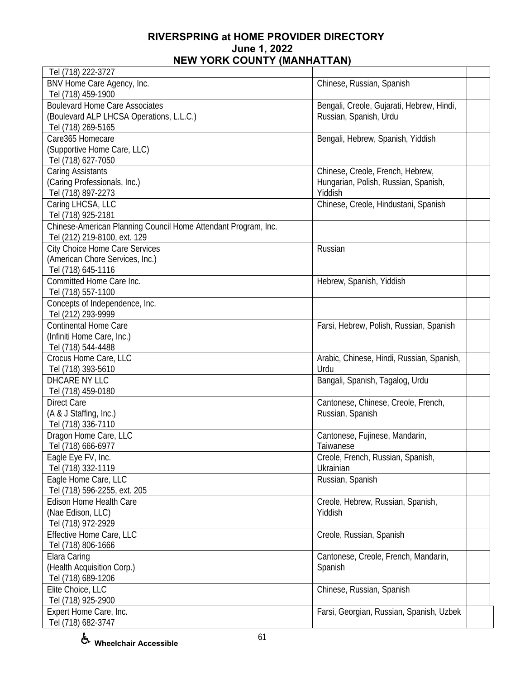| Tel (718) 222-3727                                             |                                           |  |
|----------------------------------------------------------------|-------------------------------------------|--|
| BNV Home Care Agency, Inc.                                     | Chinese, Russian, Spanish                 |  |
| Tel (718) 459-1900                                             |                                           |  |
| <b>Boulevard Home Care Associates</b>                          | Bengali, Creole, Gujarati, Hebrew, Hindi, |  |
| (Boulevard ALP LHCSA Operations, L.L.C.)                       | Russian, Spanish, Urdu                    |  |
| Tel (718) 269-5165                                             |                                           |  |
| Care365 Homecare                                               | Bengali, Hebrew, Spanish, Yiddish         |  |
| (Supportive Home Care, LLC)                                    |                                           |  |
| Tel (718) 627-7050                                             |                                           |  |
| <b>Caring Assistants</b>                                       | Chinese, Creole, French, Hebrew,          |  |
| (Caring Professionals, Inc.)                                   | Hungarian, Polish, Russian, Spanish,      |  |
| Tel (718) 897-2273                                             | Yiddish                                   |  |
| Caring LHCSA, LLC                                              | Chinese, Creole, Hindustani, Spanish      |  |
| Tel (718) 925-2181                                             |                                           |  |
| Chinese-American Planning Council Home Attendant Program, Inc. |                                           |  |
| Tel (212) 219-8100, ext. 129                                   |                                           |  |
| <b>City Choice Home Care Services</b>                          | Russian                                   |  |
| (American Chore Services, Inc.)                                |                                           |  |
| Tel (718) 645-1116                                             |                                           |  |
| Committed Home Care Inc.                                       | Hebrew, Spanish, Yiddish                  |  |
| Tel (718) 557-1100                                             |                                           |  |
|                                                                |                                           |  |
| Concepts of Independence, Inc.                                 |                                           |  |
| Tel (212) 293-9999                                             |                                           |  |
| <b>Continental Home Care</b>                                   | Farsi, Hebrew, Polish, Russian, Spanish   |  |
| (Infiniti Home Care, Inc.)                                     |                                           |  |
| Tel (718) 544-4488                                             |                                           |  |
| Crocus Home Care, LLC                                          | Arabic, Chinese, Hindi, Russian, Spanish, |  |
| Tel (718) 393-5610                                             | Urdu                                      |  |
| DHCARE NY LLC                                                  | Bangali, Spanish, Tagalog, Urdu           |  |
| Tel (718) 459-0180                                             |                                           |  |
| <b>Direct Care</b>                                             | Cantonese, Chinese, Creole, French,       |  |
| (A & J Staffing, Inc.)                                         | Russian, Spanish                          |  |
| Tel (718) 336-7110                                             |                                           |  |
| Dragon Home Care, LLC                                          | Cantonese, Fujinese, Mandarin,            |  |
| Tel (718) 666-6977                                             | Taiwanese                                 |  |
| Eagle Eye FV, Inc.                                             | Creole, French, Russian, Spanish,         |  |
| Tel (718) 332-1119                                             | Ukrainian                                 |  |
| Eagle Home Care, LLC                                           | Russian, Spanish                          |  |
| Tel (718) 596-2255, ext. 205                                   |                                           |  |
| Edison Home Health Care                                        | Creole, Hebrew, Russian, Spanish,         |  |
| (Nae Edison, LLC)                                              | Yiddish                                   |  |
| Tel (718) 972-2929                                             |                                           |  |
| Effective Home Care, LLC                                       | Creole, Russian, Spanish                  |  |
| Tel (718) 806-1666                                             |                                           |  |
| Elara Caring                                                   | Cantonese, Creole, French, Mandarin,      |  |
| (Health Acquisition Corp.)                                     | Spanish                                   |  |
| Tel (718) 689-1206                                             |                                           |  |
| Elite Choice, LLC                                              | Chinese, Russian, Spanish                 |  |
| Tel (718) 925-2900                                             |                                           |  |
| Expert Home Care, Inc.                                         | Farsi, Georgian, Russian, Spanish, Uzbek  |  |
| Tel (718) 682-3747                                             |                                           |  |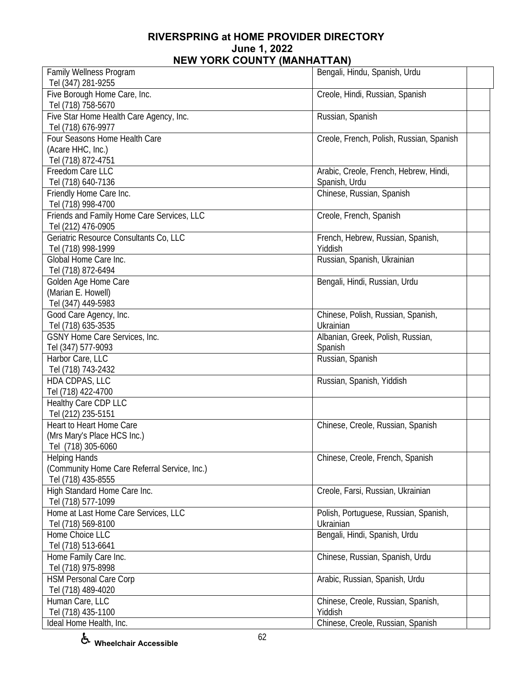| Family Wellness Program                      | Bengali, Hindu, Spanish, Urdu            |  |
|----------------------------------------------|------------------------------------------|--|
| Tel (347) 281-9255                           |                                          |  |
| Five Borough Home Care, Inc.                 | Creole, Hindi, Russian, Spanish          |  |
| Tel (718) 758-5670                           |                                          |  |
| Five Star Home Health Care Agency, Inc.      | Russian, Spanish                         |  |
| Tel (718) 676-9977                           |                                          |  |
| Four Seasons Home Health Care                | Creole, French, Polish, Russian, Spanish |  |
| (Acare HHC, Inc.)                            |                                          |  |
| Tel (718) 872-4751                           |                                          |  |
| Freedom Care LLC                             | Arabic, Creole, French, Hebrew, Hindi,   |  |
| Tel (718) 640-7136                           | Spanish, Urdu                            |  |
| Friendly Home Care Inc.                      | Chinese, Russian, Spanish                |  |
| Tel (718) 998-4700                           |                                          |  |
| Friends and Family Home Care Services, LLC   | Creole, French, Spanish                  |  |
| Tel (212) 476-0905                           |                                          |  |
| Geriatric Resource Consultants Co, LLC       | French, Hebrew, Russian, Spanish,        |  |
| Tel (718) 998-1999                           | Yiddish                                  |  |
| Global Home Care Inc.                        | Russian, Spanish, Ukrainian              |  |
| Tel (718) 872-6494                           |                                          |  |
| Golden Age Home Care                         | Bengali, Hindi, Russian, Urdu            |  |
| (Marian E. Howell)                           |                                          |  |
| Tel (347) 449-5983                           |                                          |  |
| Good Care Agency, Inc.                       | Chinese, Polish, Russian, Spanish,       |  |
| Tel (718) 635-3535                           | Ukrainian                                |  |
| GSNY Home Care Services, Inc.                | Albanian, Greek, Polish, Russian,        |  |
| Tel (347) 577-9093                           | Spanish                                  |  |
| Harbor Care, LLC                             | Russian, Spanish                         |  |
| Tel (718) 743-2432                           |                                          |  |
| HDA CDPAS, LLC                               | Russian, Spanish, Yiddish                |  |
| Tel (718) 422-4700                           |                                          |  |
| Healthy Care CDP LLC                         |                                          |  |
| Tel (212) 235-5151                           |                                          |  |
| Heart to Heart Home Care                     | Chinese, Creole, Russian, Spanish        |  |
| (Mrs Mary's Place HCS Inc.)                  |                                          |  |
| Tel (718) 305-6060                           |                                          |  |
| <b>Helping Hands</b>                         | Chinese, Creole, French, Spanish         |  |
| (Community Home Care Referral Service, Inc.) |                                          |  |
| Tel (718) 435-8555                           |                                          |  |
| High Standard Home Care Inc.                 | Creole, Farsi, Russian, Ukrainian        |  |
| Tel (718) 577-1099                           |                                          |  |
| Home at Last Home Care Services, LLC         | Polish, Portuguese, Russian, Spanish,    |  |
| Tel (718) 569-8100                           | Ukrainian                                |  |
| Home Choice LLC                              | Bengali, Hindi, Spanish, Urdu            |  |
| Tel (718) 513-6641                           |                                          |  |
| Home Family Care Inc.                        | Chinese, Russian, Spanish, Urdu          |  |
| Tel (718) 975-8998                           |                                          |  |
| <b>HSM Personal Care Corp</b>                | Arabic, Russian, Spanish, Urdu           |  |
| Tel (718) 489-4020                           |                                          |  |
| Human Care, LLC                              | Chinese, Creole, Russian, Spanish,       |  |
| Tel (718) 435-1100                           | Yiddish                                  |  |
| Ideal Home Health, Inc.                      | Chinese, Creole, Russian, Spanish        |  |

**Wheelchair Accessible**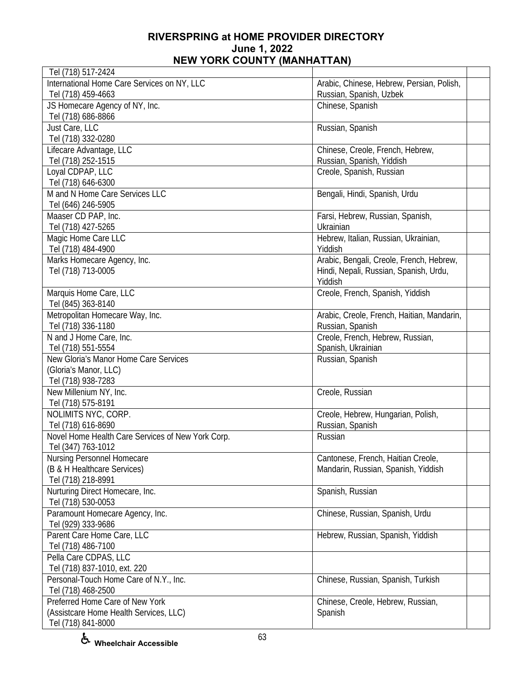| Tel (718) 517-2424                                               |                                            |
|------------------------------------------------------------------|--------------------------------------------|
| International Home Care Services on NY, LLC                      | Arabic, Chinese, Hebrew, Persian, Polish,  |
| Tel (718) 459-4663                                               | Russian, Spanish, Uzbek                    |
| JS Homecare Agency of NY, Inc.                                   | Chinese, Spanish                           |
| Tel (718) 686-8866                                               |                                            |
| Just Care, LLC                                                   | Russian, Spanish                           |
| Tel (718) 332-0280                                               |                                            |
| Lifecare Advantage, LLC                                          | Chinese, Creole, French, Hebrew,           |
| Tel (718) 252-1515                                               | Russian, Spanish, Yiddish                  |
| Loyal CDPAP, LLC                                                 | Creole, Spanish, Russian                   |
| Tel (718) 646-6300                                               |                                            |
| M and N Home Care Services LLC                                   | Bengali, Hindi, Spanish, Urdu              |
| Tel (646) 246-5905                                               |                                            |
| Maaser CD PAP, Inc.                                              | Farsi, Hebrew, Russian, Spanish,           |
| Tel (718) 427-5265                                               | Ukrainian                                  |
| Magic Home Care LLC                                              | Hebrew, Italian, Russian, Ukrainian,       |
| Tel (718) 484-4900                                               | Yiddish                                    |
| Marks Homecare Agency, Inc.                                      | Arabic, Bengali, Creole, French, Hebrew,   |
| Tel (718) 713-0005                                               | Hindi, Nepali, Russian, Spanish, Urdu,     |
|                                                                  | Yiddish                                    |
| Marquis Home Care, LLC                                           | Creole, French, Spanish, Yiddish           |
| Tel (845) 363-8140                                               |                                            |
| Metropolitan Homecare Way, Inc.                                  | Arabic, Creole, French, Haitian, Mandarin, |
| Tel (718) 336-1180                                               | Russian, Spanish                           |
| N and J Home Care, Inc.                                          | Creole, French, Hebrew, Russian,           |
| Tel (718) 551-5554                                               | Spanish, Ukrainian                         |
| New Gloria's Manor Home Care Services                            | Russian, Spanish                           |
| (Gloria's Manor, LLC)                                            |                                            |
| Tel (718) 938-7283                                               |                                            |
| New Millenium NY, Inc.                                           | Creole, Russian                            |
| Tel (718) 575-8191                                               |                                            |
| NOLIMITS NYC, CORP.                                              | Creole, Hebrew, Hungarian, Polish,         |
| Tel (718) 616-8690                                               | Russian, Spanish                           |
| Novel Home Health Care Services of New York Corp.                | Russian                                    |
|                                                                  |                                            |
| Tel (347) 763-1012                                               |                                            |
| <b>Nursing Personnel Homecare</b><br>(B & H Healthcare Services) | Cantonese, French, Haitian Creole,         |
| Tel (718) 218-8991                                               | Mandarin, Russian, Spanish, Yiddish        |
|                                                                  |                                            |
| Nurturing Direct Homecare, Inc.                                  | Spanish, Russian                           |
| Tel (718) 530-0053                                               |                                            |
| Paramount Homecare Agency, Inc.                                  | Chinese, Russian, Spanish, Urdu            |
| Tel (929) 333-9686                                               |                                            |
| Parent Care Home Care, LLC                                       | Hebrew, Russian, Spanish, Yiddish          |
| Tel (718) 486-7100                                               |                                            |
| Pella Care CDPAS, LLC                                            |                                            |
| Tel (718) 837-1010, ext. 220                                     |                                            |
| Personal-Touch Home Care of N.Y., Inc.                           | Chinese, Russian, Spanish, Turkish         |
| Tel (718) 468-2500                                               |                                            |
| Preferred Home Care of New York                                  | Chinese, Creole, Hebrew, Russian,          |
| (Assistcare Home Health Services, LLC)                           | Spanish                                    |
| Tel (718) 841-8000                                               |                                            |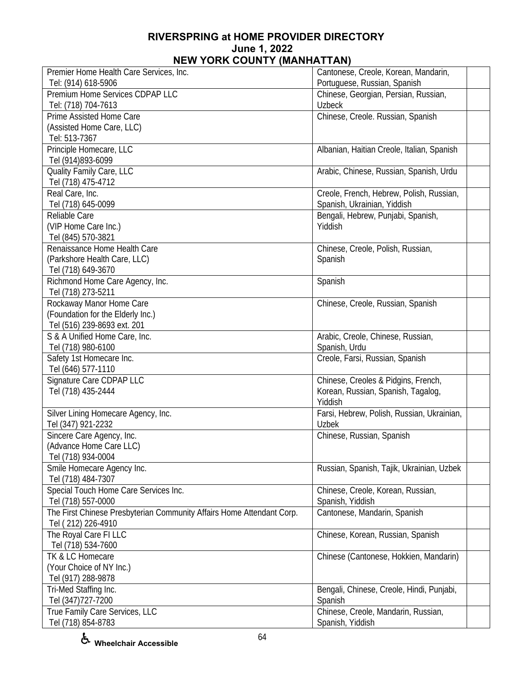| Premier Home Health Care Services, Inc.                               | Cantonese, Creole, Korean, Mandarin,             |  |
|-----------------------------------------------------------------------|--------------------------------------------------|--|
| Tel: (914) 618-5906                                                   | Portuguese, Russian, Spanish                     |  |
| Premium Home Services CDPAP LLC                                       | Chinese, Georgian, Persian, Russian,             |  |
| Tel: (718) 704-7613                                                   | <b>Uzbeck</b>                                    |  |
| Prime Assisted Home Care                                              | Chinese, Creole. Russian, Spanish                |  |
| (Assisted Home Care, LLC)                                             |                                                  |  |
| Tel: 513-7367                                                         |                                                  |  |
| Principle Homecare, LLC                                               | Albanian, Haitian Creole, Italian, Spanish       |  |
| Tel (914)893-6099                                                     |                                                  |  |
| Quality Family Care, LLC                                              | Arabic, Chinese, Russian, Spanish, Urdu          |  |
| Tel (718) 475-4712                                                    |                                                  |  |
| Real Care, Inc.                                                       | Creole, French, Hebrew, Polish, Russian,         |  |
| Tel (718) 645-0099                                                    | Spanish, Ukrainian, Yiddish                      |  |
| Reliable Care                                                         | Bengali, Hebrew, Punjabi, Spanish,               |  |
| (VIP Home Care Inc.)                                                  | Yiddish                                          |  |
| Tel (845) 570-3821                                                    |                                                  |  |
| Renaissance Home Health Care                                          | Chinese, Creole, Polish, Russian,                |  |
| (Parkshore Health Care, LLC)                                          | Spanish                                          |  |
| Tel (718) 649-3670                                                    |                                                  |  |
| Richmond Home Care Agency, Inc.                                       | Spanish                                          |  |
| Tel (718) 273-5211                                                    |                                                  |  |
| Rockaway Manor Home Care                                              | Chinese, Creole, Russian, Spanish                |  |
| (Foundation for the Elderly Inc.)                                     |                                                  |  |
| Tel (516) 239-8693 ext. 201                                           |                                                  |  |
| S & A Unified Home Care, Inc.                                         | Arabic, Creole, Chinese, Russian,                |  |
| Tel (718) 980-6100                                                    | Spanish, Urdu<br>Creole, Farsi, Russian, Spanish |  |
| Safety 1st Homecare Inc.<br>Tel (646) 577-1110                        |                                                  |  |
| Signature Care CDPAP LLC                                              | Chinese, Creoles & Pidgins, French,              |  |
| Tel (718) 435-2444                                                    | Korean, Russian, Spanish, Tagalog,               |  |
|                                                                       | Yiddish                                          |  |
| Silver Lining Homecare Agency, Inc.                                   | Farsi, Hebrew, Polish, Russian, Ukrainian,       |  |
| Tel (347) 921-2232                                                    | <b>Uzbek</b>                                     |  |
| Sincere Care Agency, Inc.                                             | Chinese, Russian, Spanish                        |  |
| (Advance Home Care LLC)                                               |                                                  |  |
| Tel (718) 934-0004                                                    |                                                  |  |
| Smile Homecare Agency Inc.                                            | Russian, Spanish, Tajik, Ukrainian, Uzbek        |  |
| Tel (718) 484-7307                                                    |                                                  |  |
| Special Touch Home Care Services Inc.                                 | Chinese, Creole, Korean, Russian,                |  |
| Tel (718) 557-0000                                                    | Spanish, Yiddish                                 |  |
| The First Chinese Presbyterian Community Affairs Home Attendant Corp. | Cantonese, Mandarin, Spanish                     |  |
| Tel (212) 226-4910                                                    |                                                  |  |
| The Royal Care FI LLC                                                 | Chinese, Korean, Russian, Spanish                |  |
| Tel (718) 534-7600                                                    |                                                  |  |
| TK & LC Homecare                                                      | Chinese (Cantonese, Hokkien, Mandarin)           |  |
| (Your Choice of NY Inc.)                                              |                                                  |  |
| Tel (917) 288-9878                                                    |                                                  |  |
| Tri-Med Staffing Inc.                                                 | Bengali, Chinese, Creole, Hindi, Punjabi,        |  |
| Tel (347) 727-7200                                                    | Spanish                                          |  |
| True Family Care Services, LLC                                        | Chinese, Creole, Mandarin, Russian,              |  |
| Tel (718) 854-8783                                                    | Spanish, Yiddish                                 |  |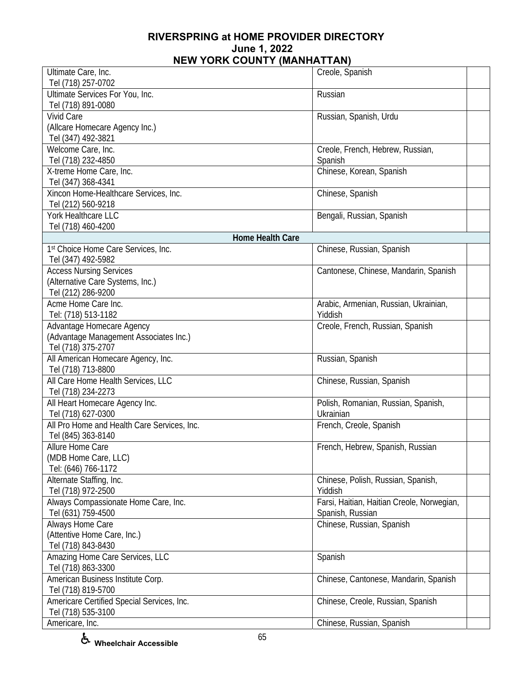| Ultimate Care, Inc.                                              | Creole, Spanish                            |  |
|------------------------------------------------------------------|--------------------------------------------|--|
| Tel (718) 257-0702                                               |                                            |  |
| Ultimate Services For You, Inc.                                  | Russian                                    |  |
| Tel (718) 891-0080                                               |                                            |  |
| <b>Vivid Care</b>                                                | Russian, Spanish, Urdu                     |  |
| (Allcare Homecare Agency Inc.)                                   |                                            |  |
| Tel (347) 492-3821                                               |                                            |  |
| Welcome Care, Inc.                                               | Creole, French, Hebrew, Russian,           |  |
| Tel (718) 232-4850                                               | Spanish                                    |  |
| X-treme Home Care, Inc.                                          | Chinese, Korean, Spanish                   |  |
| Tel (347) 368-4341                                               |                                            |  |
| Xincon Home-Healthcare Services, Inc.                            | Chinese, Spanish                           |  |
| Tel (212) 560-9218<br>York Healthcare LLC                        |                                            |  |
| Tel (718) 460-4200                                               | Bengali, Russian, Spanish                  |  |
| <b>Home Health Care</b>                                          |                                            |  |
| 1st Choice Home Care Services, Inc.                              | Chinese, Russian, Spanish                  |  |
| Tel (347) 492-5982                                               |                                            |  |
| <b>Access Nursing Services</b>                                   | Cantonese, Chinese, Mandarin, Spanish      |  |
| (Alternative Care Systems, Inc.)                                 |                                            |  |
| Tel (212) 286-9200                                               |                                            |  |
| Acme Home Care Inc.                                              | Arabic, Armenian, Russian, Ukrainian,      |  |
| Tel: (718) 513-1182                                              | Yiddish                                    |  |
| Advantage Homecare Agency                                        | Creole, French, Russian, Spanish           |  |
| (Advantage Management Associates Inc.)                           |                                            |  |
| Tel (718) 375-2707                                               |                                            |  |
| All American Homecare Agency, Inc.                               | Russian, Spanish                           |  |
| Tel (718) 713-8800                                               |                                            |  |
| All Care Home Health Services, LLC                               | Chinese, Russian, Spanish                  |  |
| Tel (718) 234-2273                                               |                                            |  |
| All Heart Homecare Agency Inc.                                   | Polish, Romanian, Russian, Spanish,        |  |
| Tel (718) 627-0300                                               | Ukrainian                                  |  |
| All Pro Home and Health Care Services, Inc.                      | French, Creole, Spanish                    |  |
| Tel (845) 363-8140                                               |                                            |  |
| Allure Home Care                                                 | French, Hebrew, Spanish, Russian           |  |
| (MDB Home Care, LLC)                                             |                                            |  |
| Tel: (646) 766-1172                                              |                                            |  |
| Alternate Staffing, Inc.                                         | Chinese, Polish, Russian, Spanish,         |  |
| Tel (718) 972-2500                                               | Yiddish                                    |  |
| Always Compassionate Home Care, Inc.                             | Farsi, Haitian, Haitian Creole, Norwegian, |  |
| Tel (631) 759-4500                                               | Spanish, Russian                           |  |
| Always Home Care                                                 | Chinese, Russian, Spanish                  |  |
| (Attentive Home Care, Inc.)                                      |                                            |  |
| Tel (718) 843-8430                                               |                                            |  |
| Amazing Home Care Services, LLC                                  | Spanish                                    |  |
| Tel (718) 863-3300                                               |                                            |  |
| American Business Institute Corp.                                | Chinese, Cantonese, Mandarin, Spanish      |  |
| Tel (718) 819-5700                                               |                                            |  |
| Americare Certified Special Services, Inc.<br>Tel (718) 535-3100 | Chinese, Creole, Russian, Spanish          |  |
| Americare, Inc.                                                  | Chinese, Russian, Spanish                  |  |
|                                                                  |                                            |  |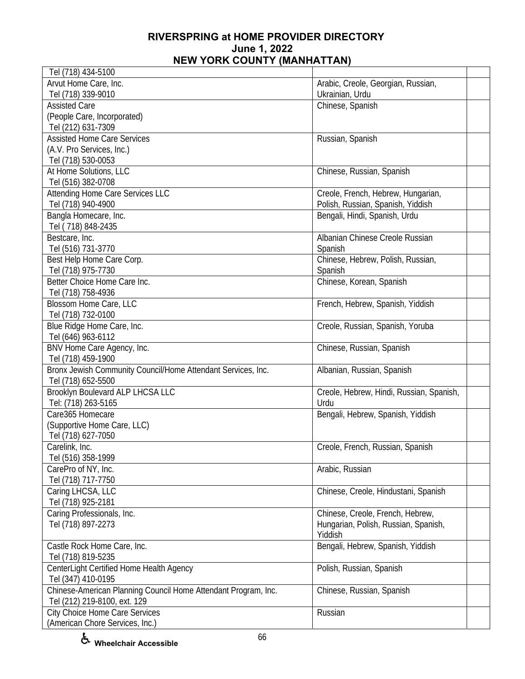| Tel (718) 434-5100                                             |                                          |  |
|----------------------------------------------------------------|------------------------------------------|--|
| Arvut Home Care, Inc.                                          | Arabic, Creole, Georgian, Russian,       |  |
| Tel (718) 339-9010                                             | Ukrainian, Urdu                          |  |
| <b>Assisted Care</b>                                           | Chinese, Spanish                         |  |
| (People Care, Incorporated)                                    |                                          |  |
| Tel (212) 631-7309                                             |                                          |  |
| <b>Assisted Home Care Services</b>                             | Russian, Spanish                         |  |
| (A.V. Pro Services, Inc.)                                      |                                          |  |
| Tel (718) 530-0053                                             |                                          |  |
| At Home Solutions, LLC                                         | Chinese, Russian, Spanish                |  |
| Tel (516) 382-0708                                             |                                          |  |
| Attending Home Care Services LLC                               | Creole, French, Hebrew, Hungarian,       |  |
| Tel (718) 940-4900                                             | Polish, Russian, Spanish, Yiddish        |  |
| Bangla Homecare, Inc.                                          | Bengali, Hindi, Spanish, Urdu            |  |
| Tel (718) 848-2435                                             |                                          |  |
| Bestcare, Inc.                                                 | Albanian Chinese Creole Russian          |  |
| Tel (516) 731-3770                                             | Spanish                                  |  |
| Best Help Home Care Corp.                                      | Chinese, Hebrew, Polish, Russian,        |  |
| Tel (718) 975-7730                                             | Spanish                                  |  |
| Better Choice Home Care Inc.                                   | Chinese, Korean, Spanish                 |  |
| Tel (718) 758-4936                                             |                                          |  |
| Blossom Home Care, LLC                                         | French, Hebrew, Spanish, Yiddish         |  |
| Tel (718) 732-0100                                             |                                          |  |
| Blue Ridge Home Care, Inc.                                     | Creole, Russian, Spanish, Yoruba         |  |
| Tel (646) 963-6112                                             |                                          |  |
| BNV Home Care Agency, Inc.                                     | Chinese, Russian, Spanish                |  |
| Tel (718) 459-1900                                             |                                          |  |
| Bronx Jewish Community Council/Home Attendant Services, Inc.   | Albanian, Russian, Spanish               |  |
| Tel (718) 652-5500                                             |                                          |  |
| Brooklyn Boulevard ALP LHCSA LLC                               | Creole, Hebrew, Hindi, Russian, Spanish, |  |
| Tel: (718) 263-5165                                            | Urdu                                     |  |
| Care365 Homecare                                               | Bengali, Hebrew, Spanish, Yiddish        |  |
| (Supportive Home Care, LLC)                                    |                                          |  |
| Tel (718) 627-7050                                             |                                          |  |
| Carelink, Inc.                                                 | Creole, French, Russian, Spanish         |  |
| Tel (516) 358-1999                                             |                                          |  |
| CarePro of NY, Inc.                                            | Arabic, Russian                          |  |
| Tel (718) 717-7750                                             |                                          |  |
| Caring LHCSA, LLC                                              | Chinese, Creole, Hindustani, Spanish     |  |
| Tel (718) 925-2181                                             |                                          |  |
| Caring Professionals, Inc.                                     | Chinese, Creole, French, Hebrew,         |  |
| Tel (718) 897-2273                                             | Hungarian, Polish, Russian, Spanish,     |  |
|                                                                | Yiddish                                  |  |
| Castle Rock Home Care, Inc.                                    | Bengali, Hebrew, Spanish, Yiddish        |  |
| Tel (718) 819-5235                                             |                                          |  |
| CenterLight Certified Home Health Agency                       | Polish, Russian, Spanish                 |  |
| Tel (347) 410-0195                                             |                                          |  |
| Chinese-American Planning Council Home Attendant Program, Inc. | Chinese, Russian, Spanish                |  |
| Tel (212) 219-8100, ext. 129                                   |                                          |  |
| <b>City Choice Home Care Services</b>                          | Russian                                  |  |
| (American Chore Services, Inc.)                                |                                          |  |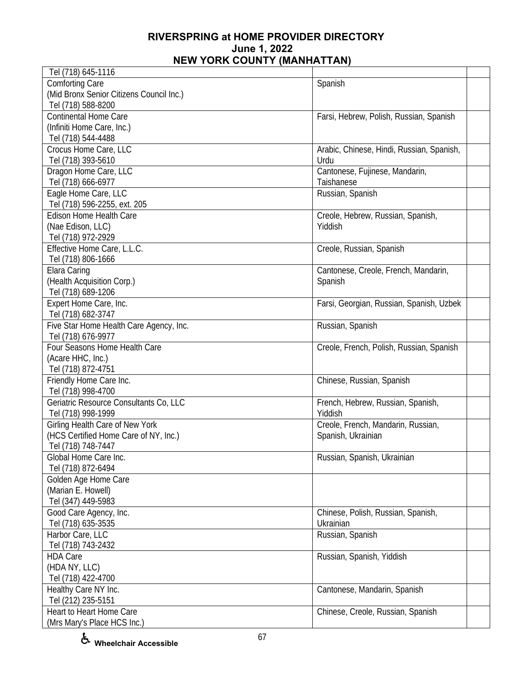| Tel (718) 645-1116                                           |                                              |  |
|--------------------------------------------------------------|----------------------------------------------|--|
| <b>Comforting Care</b>                                       | Spanish                                      |  |
| (Mid Bronx Senior Citizens Council Inc.)                     |                                              |  |
| Tel (718) 588-8200                                           |                                              |  |
| <b>Continental Home Care</b>                                 | Farsi, Hebrew, Polish, Russian, Spanish      |  |
| (Infiniti Home Care, Inc.)                                   |                                              |  |
| Tel (718) 544-4488                                           |                                              |  |
| Crocus Home Care, LLC                                        | Arabic, Chinese, Hindi, Russian, Spanish,    |  |
| Tel (718) 393-5610                                           | Urdu                                         |  |
| Dragon Home Care, LLC                                        | Cantonese, Fujinese, Mandarin,               |  |
| Tel (718) 666-6977                                           | Taishanese                                   |  |
| Eagle Home Care, LLC                                         | Russian, Spanish                             |  |
| Tel (718) 596-2255, ext. 205                                 |                                              |  |
| Edison Home Health Care                                      | Creole, Hebrew, Russian, Spanish,            |  |
| (Nae Edison, LLC)                                            | Yiddish                                      |  |
| Tel (718) 972-2929                                           |                                              |  |
| Effective Home Care, L.L.C.                                  | Creole, Russian, Spanish                     |  |
| Tel (718) 806-1666                                           |                                              |  |
| Elara Caring                                                 | Cantonese, Creole, French, Mandarin,         |  |
| (Health Acquisition Corp.)                                   | Spanish                                      |  |
| Tel (718) 689-1206                                           |                                              |  |
| Expert Home Care, Inc.                                       | Farsi, Georgian, Russian, Spanish, Uzbek     |  |
| Tel (718) 682-3747                                           |                                              |  |
| Five Star Home Health Care Agency, Inc.                      | Russian, Spanish                             |  |
| Tel (718) 676-9977                                           |                                              |  |
| Four Seasons Home Health Care                                | Creole, French, Polish, Russian, Spanish     |  |
| (Acare HHC, Inc.)                                            |                                              |  |
| Tel (718) 872-4751                                           |                                              |  |
|                                                              |                                              |  |
| Friendly Home Care Inc.<br>Tel (718) 998-4700                | Chinese, Russian, Spanish                    |  |
|                                                              |                                              |  |
| Geriatric Resource Consultants Co, LLC<br>Tel (718) 998-1999 | French, Hebrew, Russian, Spanish,<br>Yiddish |  |
|                                                              |                                              |  |
| Girling Health Care of New York                              | Creole, French, Mandarin, Russian,           |  |
| (HCS Certified Home Care of NY, Inc.)                        | Spanish, Ukrainian                           |  |
| Tel (718) 748-7447<br>Global Home Care Inc.                  |                                              |  |
| Tel (718) 872-6494                                           | Russian, Spanish, Ukrainian                  |  |
|                                                              |                                              |  |
| Golden Age Home Care                                         |                                              |  |
| (Marian E. Howell)                                           |                                              |  |
| Tel (347) 449-5983                                           |                                              |  |
| Good Care Agency, Inc.                                       | Chinese, Polish, Russian, Spanish,           |  |
| Tel (718) 635-3535                                           | Ukrainian                                    |  |
| Harbor Care, LLC                                             | Russian, Spanish                             |  |
| Tel (718) 743-2432                                           |                                              |  |
| <b>HDA Care</b>                                              | Russian, Spanish, Yiddish                    |  |
| (HDA NY, LLC)                                                |                                              |  |
| Tel (718) 422-4700                                           |                                              |  |
| Healthy Care NY Inc.                                         | Cantonese, Mandarin, Spanish                 |  |
| Tel (212) 235-5151                                           |                                              |  |
| Heart to Heart Home Care                                     | Chinese, Creole, Russian, Spanish            |  |
| (Mrs Mary's Place HCS Inc.)                                  |                                              |  |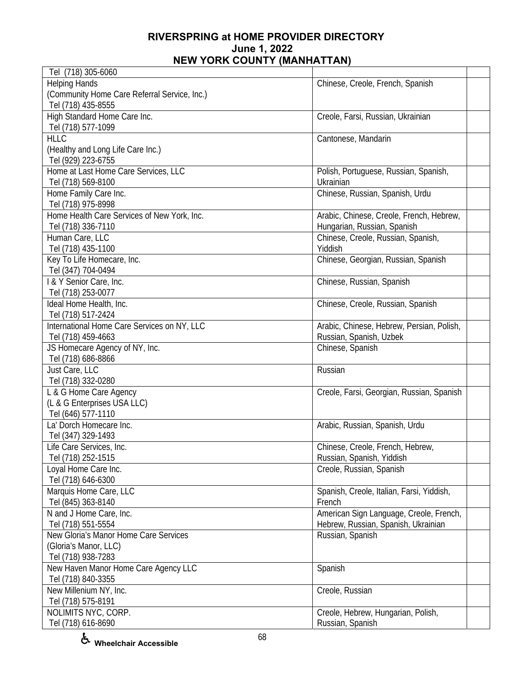| Tel (718) 305-6060                           |                                           |
|----------------------------------------------|-------------------------------------------|
| <b>Helping Hands</b>                         | Chinese, Creole, French, Spanish          |
| (Community Home Care Referral Service, Inc.) |                                           |
| Tel (718) 435-8555                           |                                           |
| High Standard Home Care Inc.                 | Creole, Farsi, Russian, Ukrainian         |
| Tel (718) 577-1099                           |                                           |
| <b>HLLC</b>                                  | Cantonese, Mandarin                       |
|                                              |                                           |
| (Healthy and Long Life Care Inc.)            |                                           |
| Tel (929) 223-6755                           |                                           |
| Home at Last Home Care Services, LLC         | Polish, Portuguese, Russian, Spanish,     |
| Tel (718) 569-8100                           | Ukrainian                                 |
| Home Family Care Inc.                        | Chinese, Russian, Spanish, Urdu           |
| Tel (718) 975-8998                           |                                           |
| Home Health Care Services of New York, Inc.  | Arabic, Chinese, Creole, French, Hebrew,  |
| Tel (718) 336-7110                           | Hungarian, Russian, Spanish               |
| Human Care, LLC                              | Chinese, Creole, Russian, Spanish,        |
| Tel (718) 435-1100                           | Yiddish                                   |
| Key To Life Homecare, Inc.                   | Chinese, Georgian, Russian, Spanish       |
| Tel (347) 704-0494                           |                                           |
| I & Y Senior Care, Inc.                      | Chinese, Russian, Spanish                 |
| Tel (718) 253-0077                           |                                           |
| Ideal Home Health, Inc.                      | Chinese, Creole, Russian, Spanish         |
|                                              |                                           |
| Tel (718) 517-2424                           |                                           |
| International Home Care Services on NY, LLC  | Arabic, Chinese, Hebrew, Persian, Polish, |
| Tel (718) 459-4663                           | Russian, Spanish, Uzbek                   |
| JS Homecare Agency of NY, Inc.               | Chinese, Spanish                          |
| Tel (718) 686-8866                           |                                           |
| Just Care, LLC                               | Russian                                   |
| Tel (718) 332-0280                           |                                           |
| L & G Home Care Agency                       | Creole, Farsi, Georgian, Russian, Spanish |
| (L & G Enterprises USA LLC)                  |                                           |
| Tel (646) 577-1110                           |                                           |
| La' Dorch Homecare Inc.                      | Arabic, Russian, Spanish, Urdu            |
| Tel (347) 329-1493                           |                                           |
| Life Care Services, Inc.                     | Chinese, Creole, French, Hebrew,          |
| Tel (718) 252-1515                           | Russian, Spanish, Yiddish                 |
| Loyal Home Care Inc.                         | Creole, Russian, Spanish                  |
| Tel (718) 646-6300                           |                                           |
| Marquis Home Care, LLC                       | Spanish, Creole, Italian, Farsi, Yiddish, |
|                                              | French                                    |
| Tel (845) 363-8140                           |                                           |
| N and J Home Care, Inc.                      | American Sign Language, Creole, French,   |
| Tel (718) 551-5554                           | Hebrew, Russian, Spanish, Ukrainian       |
| New Gloria's Manor Home Care Services        | Russian, Spanish                          |
| (Gloria's Manor, LLC)                        |                                           |
| Tel (718) 938-7283                           |                                           |
| New Haven Manor Home Care Agency LLC         | Spanish                                   |
| Tel (718) 840-3355                           |                                           |
| New Millenium NY, Inc.                       | Creole, Russian                           |
| Tel (718) 575-8191                           |                                           |
| NOLIMITS NYC, CORP.                          | Creole, Hebrew, Hungarian, Polish,        |
| Tel (718) 616-8690                           | Russian, Spanish                          |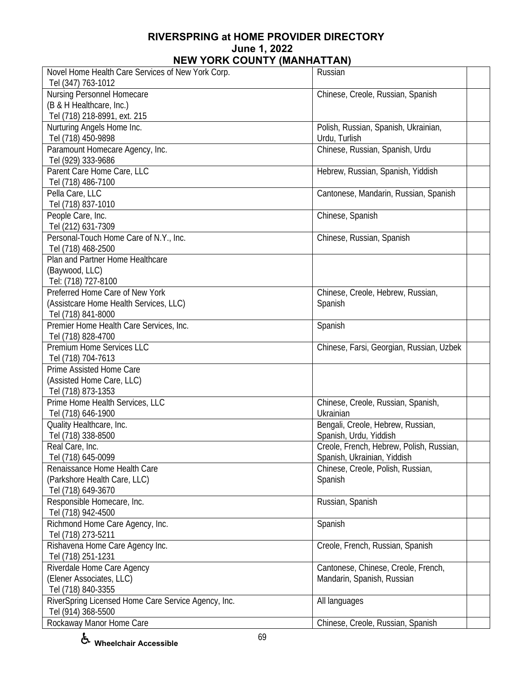| Novel Home Health Care Services of New York Corp.   | Russian                                  |
|-----------------------------------------------------|------------------------------------------|
| Tel (347) 763-1012                                  |                                          |
| Nursing Personnel Homecare                          | Chinese, Creole, Russian, Spanish        |
| (B & H Healthcare, Inc.)                            |                                          |
| Tel (718) 218-8991, ext. 215                        |                                          |
| Nurturing Angels Home Inc.                          | Polish, Russian, Spanish, Ukrainian,     |
| Tel (718) 450-9898                                  | Urdu, Turlish                            |
| Paramount Homecare Agency, Inc.                     | Chinese, Russian, Spanish, Urdu          |
| Tel (929) 333-9686                                  |                                          |
| Parent Care Home Care, LLC<br>Tel (718) 486-7100    | Hebrew, Russian, Spanish, Yiddish        |
| Pella Care, LLC                                     | Cantonese, Mandarin, Russian, Spanish    |
| Tel (718) 837-1010                                  |                                          |
| People Care, Inc.                                   | Chinese, Spanish                         |
| Tel (212) 631-7309                                  |                                          |
| Personal-Touch Home Care of N.Y., Inc.              | Chinese, Russian, Spanish                |
| Tel (718) 468-2500                                  |                                          |
| Plan and Partner Home Healthcare                    |                                          |
| (Baywood, LLC)                                      |                                          |
| Tel: (718) 727-8100                                 |                                          |
| Preferred Home Care of New York                     | Chinese, Creole, Hebrew, Russian,        |
| (Assistcare Home Health Services, LLC)              | Spanish                                  |
| Tel (718) 841-8000                                  |                                          |
| Premier Home Health Care Services, Inc.             | Spanish                                  |
| Tel (718) 828-4700                                  |                                          |
| Premium Home Services LLC                           | Chinese, Farsi, Georgian, Russian, Uzbek |
| Tel (718) 704-7613                                  |                                          |
| Prime Assisted Home Care                            |                                          |
| (Assisted Home Care, LLC)                           |                                          |
| Tel (718) 873-1353                                  |                                          |
| Prime Home Health Services, LLC                     | Chinese, Creole, Russian, Spanish,       |
| Tel (718) 646-1900                                  | Ukrainian                                |
| Quality Healthcare, Inc.                            | Bengali, Creole, Hebrew, Russian,        |
| Tel (718) 338-8500                                  | Spanish, Urdu, Yiddish                   |
| Real Care, Inc.                                     | Creole, French, Hebrew, Polish, Russian, |
| Tel (718) 645-0099                                  | Spanish, Ukrainian, Yiddish              |
| Renaissance Home Health Care                        | Chinese, Creole, Polish, Russian,        |
| (Parkshore Health Care, LLC)                        | Spanish                                  |
| Tel (718) 649-3670                                  |                                          |
| Responsible Homecare, Inc.                          | Russian, Spanish                         |
| Tel (718) 942-4500                                  |                                          |
| Richmond Home Care Agency, Inc.                     | Spanish                                  |
| Tel (718) 273-5211                                  |                                          |
| Rishavena Home Care Agency Inc.                     | Creole, French, Russian, Spanish         |
| Tel (718) 251-1231                                  |                                          |
| Riverdale Home Care Agency                          | Cantonese, Chinese, Creole, French,      |
| (Elener Associates, LLC)                            | Mandarin, Spanish, Russian               |
| Tel (718) 840-3355                                  |                                          |
| RiverSpring Licensed Home Care Service Agency, Inc. | All languages                            |
| Tel (914) 368-5500                                  |                                          |
| Rockaway Manor Home Care                            | Chinese, Creole, Russian, Spanish        |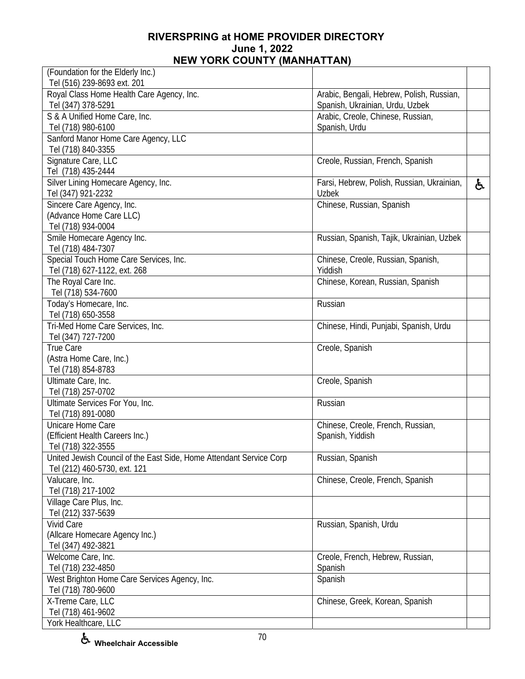| (Foundation for the Elderly Inc.)                                   |                                                                              |    |
|---------------------------------------------------------------------|------------------------------------------------------------------------------|----|
| Tel (516) 239-8693 ext. 201                                         |                                                                              |    |
| Royal Class Home Health Care Agency, Inc.<br>Tel (347) 378-5291     | Arabic, Bengali, Hebrew, Polish, Russian,<br>Spanish, Ukrainian, Urdu, Uzbek |    |
| S & A Unified Home Care, Inc.                                       | Arabic, Creole, Chinese, Russian,                                            |    |
| Tel (718) 980-6100                                                  | Spanish, Urdu                                                                |    |
| Sanford Manor Home Care Agency, LLC                                 |                                                                              |    |
| Tel (718) 840-3355                                                  |                                                                              |    |
| Signature Care, LLC                                                 | Creole, Russian, French, Spanish                                             |    |
| Tel (718) 435-2444                                                  |                                                                              |    |
| Silver Lining Homecare Agency, Inc.                                 | Farsi, Hebrew, Polish, Russian, Ukrainian,                                   | ę. |
| Tel (347) 921-2232                                                  | <b>Uzbek</b>                                                                 |    |
| Sincere Care Agency, Inc.                                           | Chinese, Russian, Spanish                                                    |    |
| (Advance Home Care LLC)                                             |                                                                              |    |
| Tel (718) 934-0004                                                  |                                                                              |    |
| Smile Homecare Agency Inc.                                          | Russian, Spanish, Tajik, Ukrainian, Uzbek                                    |    |
| Tel (718) 484-7307                                                  |                                                                              |    |
| Special Touch Home Care Services, Inc.                              | Chinese, Creole, Russian, Spanish,                                           |    |
| Tel (718) 627-1122, ext. 268                                        | Yiddish                                                                      |    |
| The Royal Care Inc.                                                 | Chinese, Korean, Russian, Spanish                                            |    |
| Tel (718) 534-7600                                                  |                                                                              |    |
| Today's Homecare, Inc.                                              | Russian                                                                      |    |
| Tel (718) 650-3558                                                  |                                                                              |    |
| Tri-Med Home Care Services, Inc.                                    | Chinese, Hindi, Punjabi, Spanish, Urdu                                       |    |
| Tel (347) 727-7200                                                  |                                                                              |    |
| True Care                                                           | Creole, Spanish                                                              |    |
| (Astra Home Care, Inc.)                                             |                                                                              |    |
| Tel (718) 854-8783                                                  |                                                                              |    |
| Ultimate Care, Inc.                                                 | Creole, Spanish                                                              |    |
| Tel (718) 257-0702                                                  |                                                                              |    |
| Ultimate Services For You, Inc.                                     | Russian                                                                      |    |
| Tel (718) 891-0080                                                  |                                                                              |    |
| Unicare Home Care                                                   | Chinese, Creole, French, Russian,                                            |    |
| (Efficient Health Careers Inc.)                                     | Spanish, Yiddish                                                             |    |
| Tel (718) 322-3555                                                  |                                                                              |    |
| United Jewish Council of the East Side, Home Attendant Service Corp | Russian, Spanish                                                             |    |
| Tel (212) 460-5730, ext. 121                                        |                                                                              |    |
| Valucare, Inc.                                                      | Chinese, Creole, French, Spanish                                             |    |
| Tel (718) 217-1002                                                  |                                                                              |    |
| Village Care Plus, Inc.                                             |                                                                              |    |
| Tel (212) 337-5639                                                  |                                                                              |    |
| Vivid Care                                                          | Russian, Spanish, Urdu                                                       |    |
| (Allcare Homecare Agency Inc.)                                      |                                                                              |    |
| Tel (347) 492-3821                                                  |                                                                              |    |
| Welcome Care, Inc.                                                  | Creole, French, Hebrew, Russian,                                             |    |
| Tel (718) 232-4850                                                  | Spanish                                                                      |    |
| West Brighton Home Care Services Agency, Inc.                       | Spanish                                                                      |    |
| Tel (718) 780-9600                                                  |                                                                              |    |
| X-Treme Care, LLC                                                   | Chinese, Greek, Korean, Spanish                                              |    |
| Tel (718) 461-9602                                                  |                                                                              |    |
| York Healthcare, LLC                                                |                                                                              |    |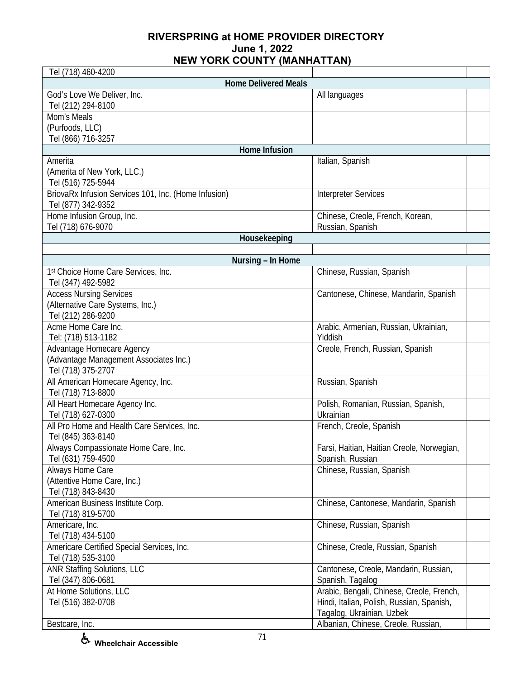| Tel (718) 460-4200                                   |                                           |  |
|------------------------------------------------------|-------------------------------------------|--|
| <b>Home Delivered Meals</b>                          |                                           |  |
| God's Love We Deliver, Inc.                          | All languages                             |  |
| Tel (212) 294-8100                                   |                                           |  |
| Mom's Meals                                          |                                           |  |
| (Purfoods, LLC)                                      |                                           |  |
| Tel (866) 716-3257                                   |                                           |  |
| Home Infusion                                        |                                           |  |
| Amerita                                              | Italian, Spanish                          |  |
| (Amerita of New York, LLC.)                          |                                           |  |
| Tel (516) 725-5944                                   |                                           |  |
| BriovaRx Infusion Services 101, Inc. (Home Infusion) | <b>Interpreter Services</b>               |  |
| Tel (877) 342-9352                                   |                                           |  |
| Home Infusion Group, Inc.                            | Chinese, Creole, French, Korean,          |  |
| Tel (718) 676-9070                                   | Russian, Spanish                          |  |
| Housekeeping                                         |                                           |  |
|                                                      |                                           |  |
| Nursing - In Home                                    |                                           |  |
| 1st Choice Home Care Services, Inc.                  | Chinese, Russian, Spanish                 |  |
| Tel (347) 492-5982                                   |                                           |  |
| <b>Access Nursing Services</b>                       | Cantonese, Chinese, Mandarin, Spanish     |  |
| (Alternative Care Systems, Inc.)                     |                                           |  |
| Tel (212) 286-9200                                   |                                           |  |
| Acme Home Care Inc.                                  | Arabic, Armenian, Russian, Ukrainian,     |  |
| Tel: (718) 513-1182                                  | Yiddish                                   |  |
| Advantage Homecare Agency                            | Creole, French, Russian, Spanish          |  |
| (Advantage Management Associates Inc.)               |                                           |  |
| Tel (718) 375-2707                                   |                                           |  |
| All American Homecare Agency, Inc.                   | Russian, Spanish                          |  |
| Tel (718) 713-8800                                   |                                           |  |
| All Heart Homecare Agency Inc.                       | Polish, Romanian, Russian, Spanish,       |  |
| Tel (718) 627-0300                                   | Ukrainian                                 |  |
| All Pro Home and Health Care Services, Inc.          | French, Creole, Spanish                   |  |
| Tel (845) 363-8140                                   |                                           |  |
| Always Compassionate Home Care, Inc.                 | Farsi, Haitian, Haitian Creole, Norwegian |  |
| Tel (631) 759-4500                                   | Spanish, Russian                          |  |
| Always Home Care                                     | Chinese, Russian, Spanish                 |  |
| (Attentive Home Care, Inc.)                          |                                           |  |
| Tel (718) 843-8430                                   |                                           |  |
| American Business Institute Corp.                    | Chinese, Cantonese, Mandarin, Spanish     |  |
| Tel (718) 819-5700                                   |                                           |  |
| Americare, Inc.                                      | Chinese, Russian, Spanish                 |  |
| Tel (718) 434-5100                                   |                                           |  |
| Americare Certified Special Services, Inc.           | Chinese, Creole, Russian, Spanish         |  |
| Tel (718) 535-3100                                   |                                           |  |
| <b>ANR Staffing Solutions, LLC</b>                   | Cantonese, Creole, Mandarin, Russian,     |  |
| Tel (347) 806-0681                                   | Spanish, Tagalog                          |  |
| At Home Solutions, LLC                               | Arabic, Bengali, Chinese, Creole, French, |  |
| Tel (516) 382-0708                                   | Hindi, Italian, Polish, Russian, Spanish, |  |
|                                                      | Tagalog, Ukrainian, Uzbek                 |  |
| Bestcare, Inc.                                       | Albanian, Chinese, Creole, Russian,       |  |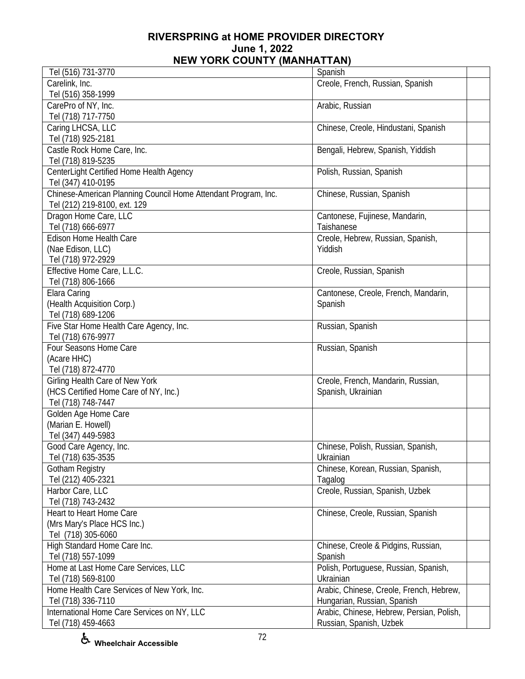| Tel (516) 731-3770                                             | Spanish                                   |
|----------------------------------------------------------------|-------------------------------------------|
| Carelink, Inc.                                                 | Creole, French, Russian, Spanish          |
| Tel (516) 358-1999                                             |                                           |
| CarePro of NY, Inc.                                            | Arabic, Russian                           |
| Tel (718) 717-7750                                             |                                           |
| Caring LHCSA, LLC                                              | Chinese, Creole, Hindustani, Spanish      |
| Tel (718) 925-2181                                             |                                           |
| Castle Rock Home Care, Inc.                                    | Bengali, Hebrew, Spanish, Yiddish         |
| Tel (718) 819-5235                                             |                                           |
|                                                                |                                           |
| CenterLight Certified Home Health Agency                       | Polish, Russian, Spanish                  |
| Tel (347) 410-0195                                             |                                           |
| Chinese-American Planning Council Home Attendant Program, Inc. | Chinese, Russian, Spanish                 |
| Tel (212) 219-8100, ext. 129                                   |                                           |
| Dragon Home Care, LLC                                          | Cantonese, Fujinese, Mandarin,            |
| Tel (718) 666-6977                                             | Taishanese                                |
| Edison Home Health Care                                        | Creole, Hebrew, Russian, Spanish,         |
| (Nae Edison, LLC)                                              | Yiddish                                   |
| Tel (718) 972-2929                                             |                                           |
| Effective Home Care, L.L.C.                                    | Creole, Russian, Spanish                  |
| Tel (718) 806-1666                                             |                                           |
| Elara Caring                                                   | Cantonese, Creole, French, Mandarin,      |
| (Health Acquisition Corp.)                                     | Spanish                                   |
| Tel (718) 689-1206                                             |                                           |
| Five Star Home Health Care Agency, Inc.                        | Russian, Spanish                          |
| Tel (718) 676-9977                                             |                                           |
| Four Seasons Home Care                                         | Russian, Spanish                          |
| (Acare HHC)                                                    |                                           |
| Tel (718) 872-4770                                             |                                           |
| Girling Health Care of New York                                | Creole, French, Mandarin, Russian,        |
| (HCS Certified Home Care of NY, Inc.)                          | Spanish, Ukrainian                        |
| Tel (718) 748-7447                                             |                                           |
| Golden Age Home Care                                           |                                           |
|                                                                |                                           |
| (Marian E. Howell)                                             |                                           |
| Tel (347) 449-5983                                             |                                           |
| Good Care Agency, Inc.                                         | Chinese, Polish, Russian, Spanish,        |
| Tel (718) 635-3535                                             | Ukrainian                                 |
| <b>Gotham Registry</b>                                         | Chinese, Korean, Russian, Spanish,        |
| Tel (212) 405-2321                                             | Tagalog                                   |
| Harbor Care, LLC                                               | Creole, Russian, Spanish, Uzbek           |
| Tel (718) 743-2432                                             |                                           |
| Heart to Heart Home Care                                       | Chinese, Creole, Russian, Spanish         |
| (Mrs Mary's Place HCS Inc.)                                    |                                           |
| Tel (718) 305-6060                                             |                                           |
| High Standard Home Care Inc.                                   | Chinese, Creole & Pidgins, Russian,       |
| Tel (718) 557-1099                                             | Spanish                                   |
| Home at Last Home Care Services, LLC                           | Polish, Portuguese, Russian, Spanish,     |
| Tel (718) 569-8100                                             | Ukrainian                                 |
| Home Health Care Services of New York, Inc.                    | Arabic, Chinese, Creole, French, Hebrew,  |
| Tel (718) 336-7110                                             | Hungarian, Russian, Spanish               |
| International Home Care Services on NY, LLC                    | Arabic, Chinese, Hebrew, Persian, Polish, |
| Tel (718) 459-4663                                             | Russian, Spanish, Uzbek                   |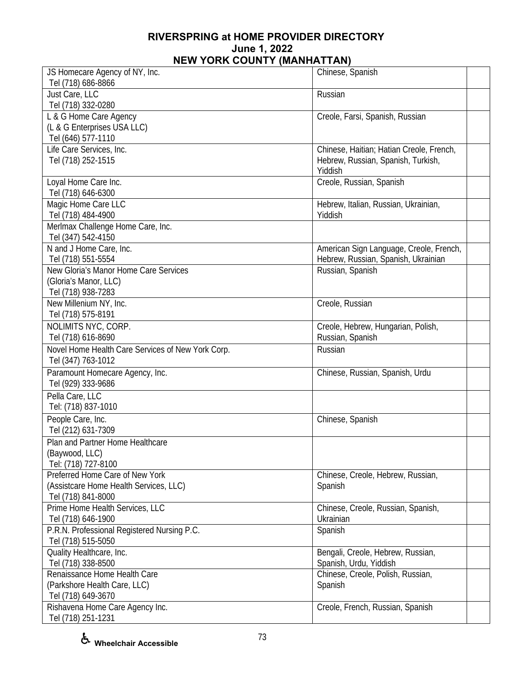| JS Homecare Agency of NY, Inc.                    | Chinese, Spanish                         |
|---------------------------------------------------|------------------------------------------|
| Tel (718) 686-8866                                |                                          |
| Just Care, LLC                                    | Russian                                  |
| Tel (718) 332-0280                                |                                          |
| L & G Home Care Agency                            | Creole, Farsi, Spanish, Russian          |
| (L & G Enterprises USA LLC)                       |                                          |
| Tel (646) 577-1110                                |                                          |
| Life Care Services, Inc.                          | Chinese, Haitian; Hatian Creole, French, |
| Tel (718) 252-1515                                | Hebrew, Russian, Spanish, Turkish,       |
|                                                   | Yiddish                                  |
| Loyal Home Care Inc.                              | Creole, Russian, Spanish                 |
| Tel (718) 646-6300                                |                                          |
| Magic Home Care LLC                               | Hebrew, Italian, Russian, Ukrainian,     |
| Tel (718) 484-4900                                | Yiddish                                  |
| Merlmax Challenge Home Care, Inc.                 |                                          |
| Tel (347) 542-4150                                |                                          |
| N and J Home Care, Inc.                           | American Sign Language, Creole, French,  |
| Tel (718) 551-5554                                | Hebrew, Russian, Spanish, Ukrainian      |
| New Gloria's Manor Home Care Services             | Russian, Spanish                         |
| (Gloria's Manor, LLC)                             |                                          |
| Tel (718) 938-7283                                |                                          |
| New Millenium NY, Inc.                            | Creole, Russian                          |
| Tel (718) 575-8191                                |                                          |
|                                                   |                                          |
| NOLIMITS NYC, CORP.                               | Creole, Hebrew, Hungarian, Polish,       |
| Tel (718) 616-8690                                | Russian, Spanish                         |
| Novel Home Health Care Services of New York Corp. | Russian                                  |
| Tel (347) 763-1012                                |                                          |
| Paramount Homecare Agency, Inc.                   | Chinese, Russian, Spanish, Urdu          |
| Tel (929) 333-9686                                |                                          |
| Pella Care, LLC                                   |                                          |
| Tel: (718) 837-1010                               |                                          |
| People Care, Inc.                                 | Chinese, Spanish                         |
| Tel (212) 631-7309                                |                                          |
| Plan and Partner Home Healthcare                  |                                          |
| (Baywood, LLC)                                    |                                          |
| Tel: (718) 727-8100                               |                                          |
| Preferred Home Care of New York                   | Chinese, Creole, Hebrew, Russian,        |
| (Assistcare Home Health Services, LLC)            | Spanish                                  |
| Tel (718) 841-8000                                |                                          |
| Prime Home Health Services, LLC                   | Chinese, Creole, Russian, Spanish,       |
| Tel (718) 646-1900                                | Ukrainian                                |
| P.R.N. Professional Registered Nursing P.C.       | Spanish                                  |
| Tel (718) 515-5050                                |                                          |
|                                                   |                                          |
| Quality Healthcare, Inc.                          | Bengali, Creole, Hebrew, Russian,        |
| Tel (718) 338-8500                                | Spanish, Urdu, Yiddish                   |
| Renaissance Home Health Care                      | Chinese, Creole, Polish, Russian,        |
| (Parkshore Health Care, LLC)                      | Spanish                                  |
| Tel (718) 649-3670                                |                                          |
| Rishavena Home Care Agency Inc.                   | Creole, French, Russian, Spanish         |
| Tel (718) 251-1231                                |                                          |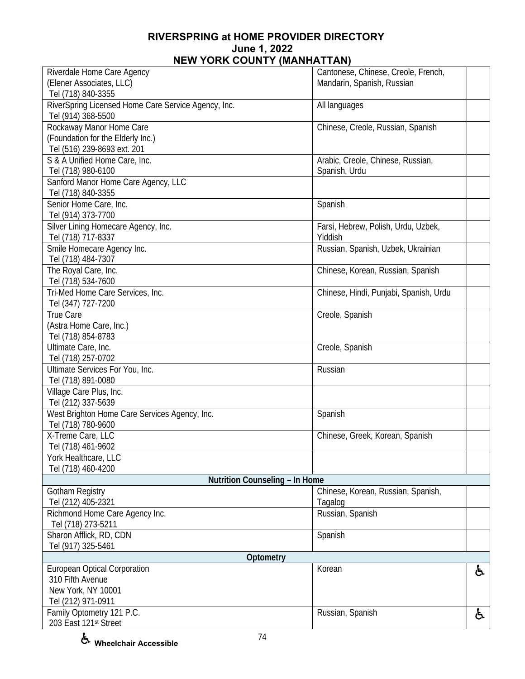| Riverdale Home Care Agency                          | Cantonese, Chinese, Creole, French,    |    |
|-----------------------------------------------------|----------------------------------------|----|
| (Elener Associates, LLC)                            | Mandarin, Spanish, Russian             |    |
|                                                     |                                        |    |
| Tel (718) 840-3355                                  |                                        |    |
| RiverSpring Licensed Home Care Service Agency, Inc. | All languages                          |    |
| Tel (914) 368-5500                                  |                                        |    |
| Rockaway Manor Home Care                            | Chinese, Creole, Russian, Spanish      |    |
| (Foundation for the Elderly Inc.)                   |                                        |    |
| Tel (516) 239-8693 ext. 201                         |                                        |    |
| S & A Unified Home Care, Inc.                       | Arabic, Creole, Chinese, Russian,      |    |
| Tel (718) 980-6100                                  | Spanish, Urdu                          |    |
| Sanford Manor Home Care Agency, LLC                 |                                        |    |
| Tel (718) 840-3355                                  |                                        |    |
| Senior Home Care, Inc.                              | Spanish                                |    |
| Tel (914) 373-7700                                  |                                        |    |
|                                                     |                                        |    |
| Silver Lining Homecare Agency, Inc.                 | Farsi, Hebrew, Polish, Urdu, Uzbek,    |    |
| Tel (718) 717-8337                                  | Yiddish                                |    |
| Smile Homecare Agency Inc.                          | Russian, Spanish, Uzbek, Ukrainian     |    |
| Tel (718) 484-7307                                  |                                        |    |
| The Royal Care, Inc.                                | Chinese, Korean, Russian, Spanish      |    |
| Tel (718) 534-7600                                  |                                        |    |
| Tri-Med Home Care Services, Inc.                    | Chinese, Hindi, Punjabi, Spanish, Urdu |    |
| Tel (347) 727-7200                                  |                                        |    |
| <b>True Care</b>                                    | Creole, Spanish                        |    |
| (Astra Home Care, Inc.)                             |                                        |    |
| Tel (718) 854-8783                                  |                                        |    |
| Ultimate Care, Inc.                                 | Creole, Spanish                        |    |
|                                                     |                                        |    |
| Tel (718) 257-0702                                  |                                        |    |
| Ultimate Services For You, Inc.                     | Russian                                |    |
| Tel (718) 891-0080                                  |                                        |    |
| Village Care Plus, Inc.                             |                                        |    |
| Tel (212) 337-5639                                  |                                        |    |
| West Brighton Home Care Services Agency, Inc.       | Spanish                                |    |
| Tel (718) 780-9600                                  |                                        |    |
| X-Treme Care, LLC                                   | Chinese, Greek, Korean, Spanish        |    |
| Tel (718) 461-9602                                  |                                        |    |
| York Healthcare, LLC                                |                                        |    |
| Tel (718) 460-4200                                  |                                        |    |
| Nutrition Counseling - In Home                      |                                        |    |
| Gotham Registry                                     | Chinese, Korean, Russian, Spanish,     |    |
| Tel (212) 405-2321                                  | Tagalog                                |    |
|                                                     |                                        |    |
| Richmond Home Care Agency Inc.                      | Russian, Spanish                       |    |
| Tel (718) 273-5211                                  |                                        |    |
| Sharon Afflick, RD, CDN                             | Spanish                                |    |
| Tel (917) 325-5461                                  |                                        |    |
| Optometry                                           |                                        |    |
| <b>European Optical Corporation</b>                 | Korean                                 | ė. |
| 310 Fifth Avenue                                    |                                        |    |
| New York, NY 10001                                  |                                        |    |
| Tel (212) 971-0911                                  |                                        |    |
| Family Optometry 121 P.C.                           | Russian, Spanish                       | と  |
| 203 East 121st Street                               |                                        |    |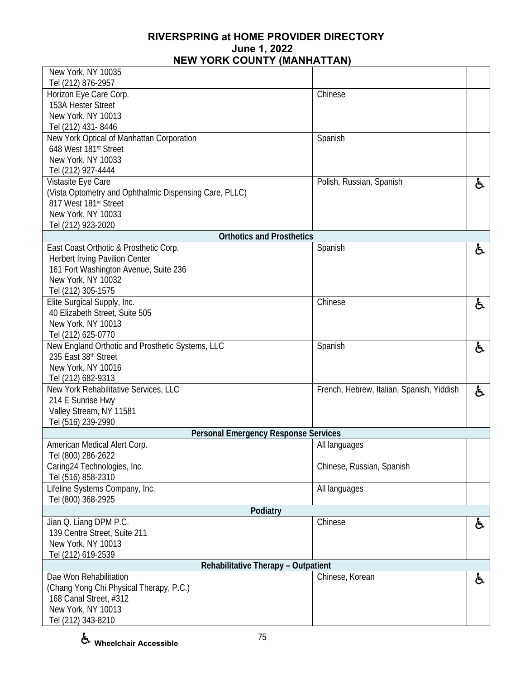| New York, NY 10035                                                              |                                           |    |
|---------------------------------------------------------------------------------|-------------------------------------------|----|
| Tel (212) 876-2957<br>Horizon Eye Care Corp.                                    | Chinese                                   |    |
| 153A Hester Street                                                              |                                           |    |
| New York, NY 10013                                                              |                                           |    |
| Tel (212) 431-8446                                                              |                                           |    |
| New York Optical of Manhattan Corporation                                       | Spanish                                   |    |
| 648 West 181st Street                                                           |                                           |    |
| New York, NY 10033                                                              |                                           |    |
| Tel (212) 927-4444                                                              |                                           |    |
| Vistasite Eye Care                                                              | Polish, Russian, Spanish                  | と  |
| (Vista Optometry and Ophthalmic Dispensing Care, PLLC)<br>817 West 181st Street |                                           |    |
| New York, NY 10033                                                              |                                           |    |
| Tel (212) 923-2020                                                              |                                           |    |
| <b>Orthotics and Prosthetics</b>                                                |                                           |    |
| East Coast Orthotic & Prosthetic Corp.                                          | Spanish                                   | ę. |
| Herbert Irving Pavilion Center                                                  |                                           |    |
| 161 Fort Washington Avenue, Suite 236                                           |                                           |    |
| New York, NY 10032                                                              |                                           |    |
| Tel (212) 305-1575                                                              |                                           |    |
| Elite Surgical Supply, Inc.                                                     | Chinese                                   | 占  |
| 40 Elizabeth Street, Suite 505<br>New York, NY 10013                            |                                           |    |
| Tel (212) 625-0770                                                              |                                           |    |
| New England Orthotic and Prosthetic Systems, LLC                                | Spanish                                   | 占  |
| 235 East 38th Street                                                            |                                           |    |
| New York, NY 10016                                                              |                                           |    |
| Tel (212) 682-9313                                                              |                                           |    |
| New York Rehabilitative Services, LLC                                           | French, Hebrew, Italian, Spanish, Yiddish | ę. |
| 214 E Sunrise Hwy                                                               |                                           |    |
| Valley Stream, NY 11581                                                         |                                           |    |
| Tel (516) 239-2990                                                              |                                           |    |
| <b>Personal Emergency Response Services</b>                                     |                                           |    |
| American Medical Alert Corp.<br>Tel (800) 286-2622                              | All languages                             |    |
| Caring24 Technologies, Inc.                                                     | Chinese, Russian, Spanish                 |    |
| Tel (516) 858-2310                                                              |                                           |    |
| Lifeline Systems Company, Inc.                                                  | All languages                             |    |
| Tel (800) 368-2925                                                              |                                           |    |
| Podiatry                                                                        |                                           |    |
| Jian Q. Liang DPM P.C.                                                          | Chinese                                   | රූ |
| 139 Centre Street, Suite 211                                                    |                                           |    |
| New York, NY 10013                                                              |                                           |    |
| Tel (212) 619-2539                                                              |                                           |    |
| Rehabilitative Therapy - Outpatient<br>Dae Won Rehabilitation                   |                                           |    |
| (Chang Yong Chi Physical Therapy, P.C.)                                         | Chinese, Korean                           | ę. |
| 168 Canal Street, #312                                                          |                                           |    |
| New York, NY 10013                                                              |                                           |    |
| Tel (212) 343-8210                                                              |                                           |    |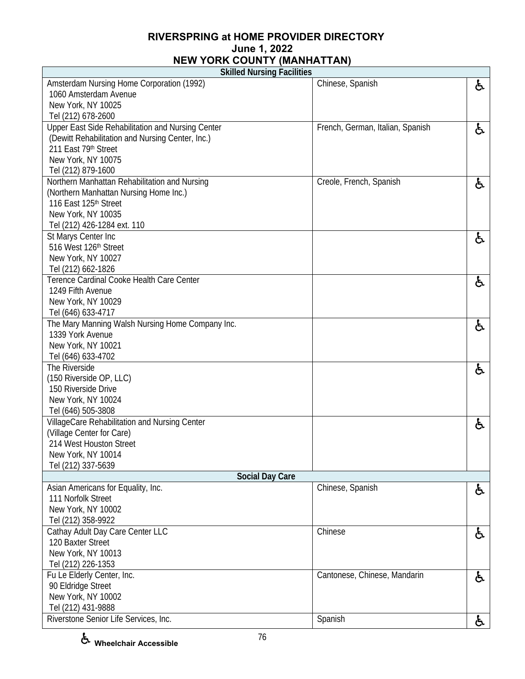**Skilled Nursing Facilities** 

| <b>JULIEA INALISTING FACILITIES</b>               |                                  |    |
|---------------------------------------------------|----------------------------------|----|
| Amsterdam Nursing Home Corporation (1992)         | Chinese, Spanish                 | と  |
| 1060 Amsterdam Avenue                             |                                  |    |
| New York, NY 10025                                |                                  |    |
| Tel (212) 678-2600                                |                                  |    |
| Upper East Side Rehabilitation and Nursing Center | French, German, Italian, Spanish | ę. |
| (Dewitt Rehabilitation and Nursing Center, Inc.)  |                                  |    |
| 211 East 79th Street                              |                                  |    |
| New York, NY 10075                                |                                  |    |
| Tel (212) 879-1600                                |                                  |    |
| Northern Manhattan Rehabilitation and Nursing     | Creole, French, Spanish          | ę. |
| (Northern Manhattan Nursing Home Inc.)            |                                  |    |
| 116 East 125th Street                             |                                  |    |
| New York, NY 10035                                |                                  |    |
| Tel (212) 426-1284 ext. 110                       |                                  |    |
| St Marys Center Inc                               |                                  | ę. |
| 516 West 126th Street                             |                                  |    |
| New York, NY 10027                                |                                  |    |
| Tel (212) 662-1826                                |                                  |    |
| Terence Cardinal Cooke Health Care Center         |                                  | と  |
| 1249 Fifth Avenue                                 |                                  |    |
| New York, NY 10029                                |                                  |    |
| Tel (646) 633-4717                                |                                  |    |
| The Mary Manning Walsh Nursing Home Company Inc.  |                                  | ę. |
| 1339 York Avenue                                  |                                  |    |
| New York, NY 10021                                |                                  |    |
| Tel (646) 633-4702                                |                                  |    |
| The Riverside                                     |                                  | ė, |
| (150 Riverside OP, LLC)                           |                                  |    |
| 150 Riverside Drive                               |                                  |    |
| New York, NY 10024                                |                                  |    |
| Tel (646) 505-3808                                |                                  |    |
| VillageCare Rehabilitation and Nursing Center     |                                  | と  |
| (Village Center for Care)                         |                                  |    |
| 214 West Houston Street                           |                                  |    |
| New York, NY 10014                                |                                  |    |
| Tel (212) 337-5639                                |                                  |    |
| <b>Social Day Care</b>                            |                                  |    |
| Asian Americans for Equality, Inc.                | Chinese, Spanish                 | ė. |
| 111 Norfolk Street                                |                                  |    |
| New York, NY 10002                                |                                  |    |
| Tel (212) 358-9922                                |                                  |    |
| Cathay Adult Day Care Center LLC                  | Chinese                          | ę. |
| 120 Baxter Street                                 |                                  |    |
| New York, NY 10013                                |                                  |    |
| Tel (212) 226-1353                                |                                  |    |
| Fu Le Elderly Center, Inc.                        | Cantonese, Chinese, Mandarin     | と  |
| 90 Eldridge Street                                |                                  |    |
| New York, NY 10002                                |                                  |    |
| Tel (212) 431-9888                                |                                  |    |
| Riverstone Senior Life Services, Inc.             | Spanish                          | Á  |
|                                                   |                                  |    |

Г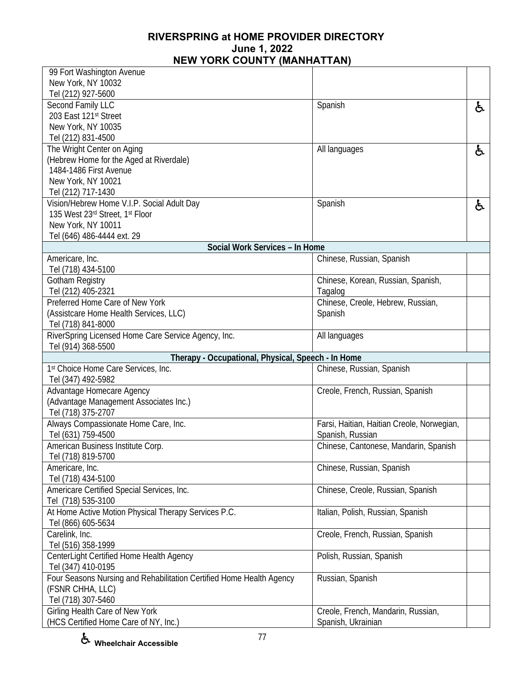| 99 Fort Washington Avenue                                                |                                                          |    |
|--------------------------------------------------------------------------|----------------------------------------------------------|----|
| New York, NY 10032                                                       |                                                          |    |
| Tel (212) 927-5600                                                       |                                                          |    |
| Second Family LLC                                                        | Spanish                                                  | ę. |
| 203 East 121st Street                                                    |                                                          |    |
| New York, NY 10035                                                       |                                                          |    |
| Tel (212) 831-4500                                                       |                                                          |    |
| The Wright Center on Aging                                               | All languages                                            | と  |
| (Hebrew Home for the Aged at Riverdale)                                  |                                                          |    |
| 1484-1486 First Avenue                                                   |                                                          |    |
| New York, NY 10021                                                       |                                                          |    |
| Tel (212) 717-1430                                                       |                                                          |    |
|                                                                          |                                                          |    |
| Vision/Hebrew Home V.I.P. Social Adult Day                               | Spanish                                                  | と  |
| 135 West 23rd Street, 1st Floor                                          |                                                          |    |
| New York, NY 10011                                                       |                                                          |    |
| Tel (646) 486-4444 ext. 29                                               |                                                          |    |
| Social Work Services - In Home                                           |                                                          |    |
| Americare, Inc.                                                          | Chinese, Russian, Spanish                                |    |
| Tel (718) 434-5100                                                       |                                                          |    |
| Gotham Registry                                                          | Chinese, Korean, Russian, Spanish,                       |    |
| Tel (212) 405-2321                                                       | Tagalog                                                  |    |
| Preferred Home Care of New York                                          | Chinese, Creole, Hebrew, Russian,                        |    |
| (Assistcare Home Health Services, LLC)                                   | Spanish                                                  |    |
| Tel (718) 841-8000                                                       |                                                          |    |
|                                                                          |                                                          |    |
| RiverSpring Licensed Home Care Service Agency, Inc.                      | All languages                                            |    |
|                                                                          |                                                          |    |
| Tel (914) 368-5500                                                       |                                                          |    |
| Therapy - Occupational, Physical, Speech - In Home                       |                                                          |    |
| 1st Choice Home Care Services, Inc.                                      | Chinese, Russian, Spanish                                |    |
| Tel (347) 492-5982                                                       |                                                          |    |
| Advantage Homecare Agency                                                | Creole, French, Russian, Spanish                         |    |
| (Advantage Management Associates Inc.)                                   |                                                          |    |
|                                                                          |                                                          |    |
| Tel (718) 375-2707                                                       |                                                          |    |
| Always Compassionate Home Care, Inc.                                     | Farsi, Haitian, Haitian Creole, Norwegian,               |    |
| Tel (631) 759-4500                                                       | Spanish, Russian                                         |    |
| American Business Institute Corp.                                        | Chinese, Cantonese, Mandarin, Spanish                    |    |
| Tel (718) 819-5700                                                       |                                                          |    |
| Americare, Inc.                                                          | Chinese, Russian, Spanish                                |    |
| Tel (718) 434-5100                                                       |                                                          |    |
| Americare Certified Special Services, Inc.                               | Chinese, Creole, Russian, Spanish                        |    |
| Tel (718) 535-3100                                                       |                                                          |    |
| At Home Active Motion Physical Therapy Services P.C.                     | Italian, Polish, Russian, Spanish                        |    |
| Tel (866) 605-5634                                                       |                                                          |    |
| Carelink, Inc.                                                           | Creole, French, Russian, Spanish                         |    |
| Tel (516) 358-1999                                                       |                                                          |    |
|                                                                          |                                                          |    |
| CenterLight Certified Home Health Agency                                 | Polish, Russian, Spanish                                 |    |
| Tel (347) 410-0195                                                       |                                                          |    |
| Four Seasons Nursing and Rehabilitation Certified Home Health Agency     | Russian, Spanish                                         |    |
| (FSNR CHHA, LLC)                                                         |                                                          |    |
| Tel (718) 307-5460                                                       |                                                          |    |
| Girling Health Care of New York<br>(HCS Certified Home Care of NY, Inc.) | Creole, French, Mandarin, Russian,<br>Spanish, Ukrainian |    |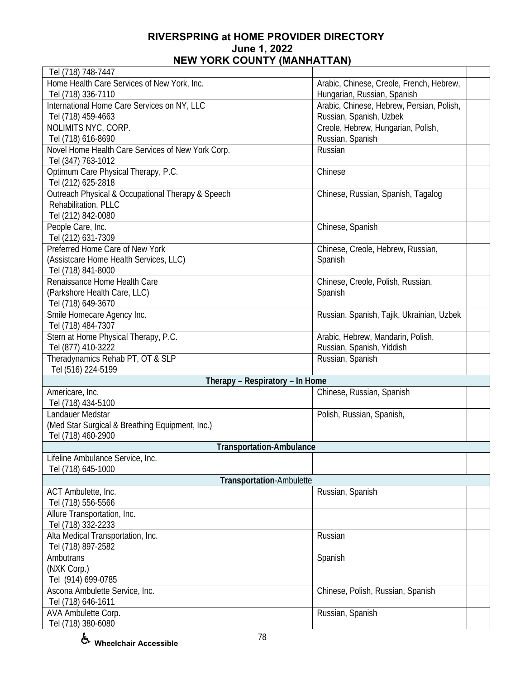| Tel (718) 748-7447                                |                                           |
|---------------------------------------------------|-------------------------------------------|
| Home Health Care Services of New York, Inc.       | Arabic, Chinese, Creole, French, Hebrew,  |
| Tel (718) 336-7110                                | Hungarian, Russian, Spanish               |
| International Home Care Services on NY, LLC       | Arabic, Chinese, Hebrew, Persian, Polish, |
| Tel (718) 459-4663                                | Russian, Spanish, Uzbek                   |
| NOLIMITS NYC, CORP.                               | Creole, Hebrew, Hungarian, Polish,        |
| Tel (718) 616-8690                                | Russian, Spanish                          |
| Novel Home Health Care Services of New York Corp. | Russian                                   |
| Tel (347) 763-1012                                |                                           |
| Optimum Care Physical Therapy, P.C.               | Chinese                                   |
| Tel (212) 625-2818                                |                                           |
| Outreach Physical & Occupational Therapy & Speech | Chinese, Russian, Spanish, Tagalog        |
| Rehabilitation, PLLC                              |                                           |
| Tel (212) 842-0080                                |                                           |
| People Care, Inc.                                 | Chinese, Spanish                          |
| Tel (212) 631-7309                                |                                           |
| Preferred Home Care of New York                   | Chinese, Creole, Hebrew, Russian,         |
| (Assistcare Home Health Services, LLC)            | Spanish                                   |
| Tel (718) 841-8000                                |                                           |
| Renaissance Home Health Care                      | Chinese, Creole, Polish, Russian,         |
| (Parkshore Health Care, LLC)                      | Spanish                                   |
| Tel (718) 649-3670                                |                                           |
| Smile Homecare Agency Inc.                        | Russian, Spanish, Tajik, Ukrainian, Uzbek |
| Tel (718) 484-7307                                |                                           |
| Stern at Home Physical Therapy, P.C.              | Arabic, Hebrew, Mandarin, Polish,         |
| Tel (877) 410-3222                                | Russian, Spanish, Yiddish                 |
| Theradynamics Rehab PT, OT & SLP                  | Russian, Spanish                          |
| Tel (516) 224-5199                                |                                           |
| Therapy - Respiratory - In Home                   |                                           |
| Americare, Inc.                                   | Chinese, Russian, Spanish                 |
| Tel (718) 434-5100                                |                                           |
| Landauer Medstar                                  | Polish, Russian, Spanish,                 |
| (Med Star Surgical & Breathing Equipment, Inc.)   |                                           |
| Tel (718) 460-2900                                |                                           |
| <b>Transportation-Ambulance</b>                   |                                           |
| Lifeline Ambulance Service, Inc.                  |                                           |
| Tel (718) 645-1000                                |                                           |
| Transportation-Ambulette                          |                                           |
| ACT Ambulette, Inc.                               | Russian, Spanish                          |
| Tel (718) 556-5566                                |                                           |
| Allure Transportation, Inc.                       |                                           |
| Tel (718) 332-2233                                |                                           |
| Alta Medical Transportation, Inc.                 | Russian                                   |
| Tel (718) 897-2582                                |                                           |
| Ambutrans                                         | Spanish                                   |
| (NXK Corp.)                                       |                                           |
| Tel (914) 699-0785                                |                                           |
| Ascona Ambulette Service, Inc.                    | Chinese, Polish, Russian, Spanish         |
| Tel (718) 646-1611                                |                                           |
| AVA Ambulette Corp.                               | Russian, Spanish                          |
| Tel (718) 380-6080                                |                                           |
|                                                   |                                           |

**Wheelchair Accessible**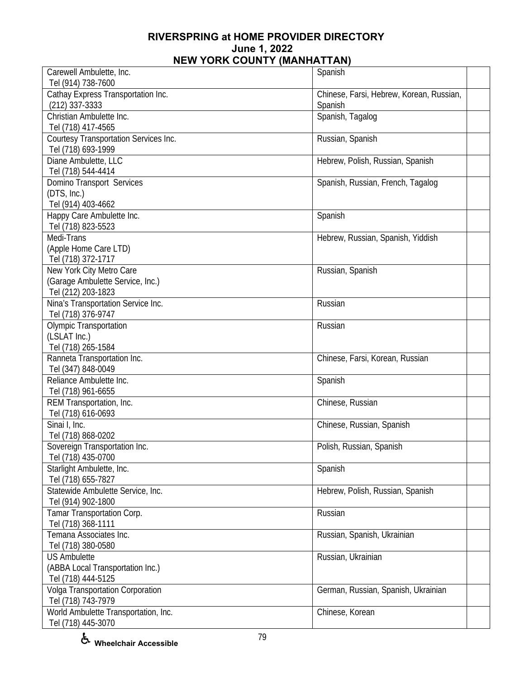| Carewell Ambulette, Inc.              | Spanish                                  |  |
|---------------------------------------|------------------------------------------|--|
| Tel (914) 738-7600                    |                                          |  |
| Cathay Express Transportation Inc.    | Chinese, Farsi, Hebrew, Korean, Russian, |  |
| $(212)$ 337-3333                      | Spanish                                  |  |
| Christian Ambulette Inc.              | Spanish, Tagalog                         |  |
| Tel (718) 417-4565                    |                                          |  |
| Courtesy Transportation Services Inc. | Russian, Spanish                         |  |
| Tel (718) 693-1999                    |                                          |  |
| Diane Ambulette, LLC                  | Hebrew, Polish, Russian, Spanish         |  |
| Tel (718) 544-4414                    |                                          |  |
| Domino Transport Services             | Spanish, Russian, French, Tagalog        |  |
| (DTS, Inc.)                           |                                          |  |
| Tel (914) 403-4662                    |                                          |  |
| Happy Care Ambulette Inc.             | Spanish                                  |  |
| Tel (718) 823-5523                    |                                          |  |
| Medi-Trans                            | Hebrew, Russian, Spanish, Yiddish        |  |
| (Apple Home Care LTD)                 |                                          |  |
| Tel (718) 372-1717                    |                                          |  |
| New York City Metro Care              |                                          |  |
|                                       | Russian, Spanish                         |  |
| (Garage Ambulette Service, Inc.)      |                                          |  |
| Tel (212) 203-1823                    |                                          |  |
| Nina's Transportation Service Inc.    | Russian                                  |  |
| Tel (718) 376-9747                    |                                          |  |
| <b>Olympic Transportation</b>         | Russian                                  |  |
| (LSLAT Inc.)                          |                                          |  |
| Tel (718) 265-1584                    |                                          |  |
| Ranneta Transportation Inc.           | Chinese, Farsi, Korean, Russian          |  |
| Tel (347) 848-0049                    |                                          |  |
| Reliance Ambulette Inc.               | Spanish                                  |  |
| Tel (718) 961-6655                    |                                          |  |
| REM Transportation, Inc.              | Chinese, Russian                         |  |
| Tel (718) 616-0693                    |                                          |  |
| Sinai I, Inc.                         | Chinese, Russian, Spanish                |  |
| Tel (718) 868-0202                    |                                          |  |
| Sovereign Transportation Inc.         | Polish, Russian, Spanish                 |  |
| Tel (718) 435-0700                    |                                          |  |
| Starlight Ambulette, Inc.             | Spanish                                  |  |
| Tel (718) 655-7827                    |                                          |  |
| Statewide Ambulette Service, Inc.     | Hebrew, Polish, Russian, Spanish         |  |
| Tel (914) 902-1800                    |                                          |  |
| Tamar Transportation Corp.            | Russian                                  |  |
| Tel (718) 368-1111                    |                                          |  |
| Temana Associates Inc.                | Russian, Spanish, Ukrainian              |  |
| Tel (718) 380-0580                    |                                          |  |
| <b>US Ambulette</b>                   | Russian, Ukrainian                       |  |
| (ABBA Local Transportation Inc.)      |                                          |  |
| Tel (718) 444-5125                    |                                          |  |
| Volga Transportation Corporation      | German, Russian, Spanish, Ukrainian      |  |
| Tel (718) 743-7979                    |                                          |  |
| World Ambulette Transportation, Inc.  | Chinese, Korean                          |  |
| Tel (718) 445-3070                    |                                          |  |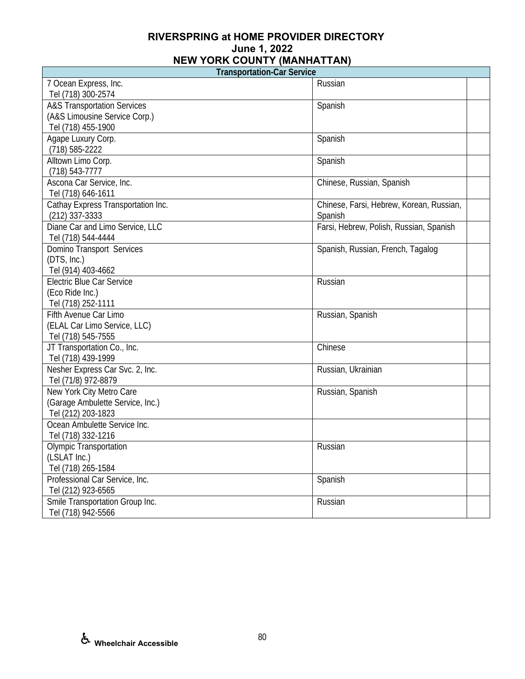**Transportation-Car Service** 

 $\overline{\phantom{a}}$ 

| <b>Hansportation-Call Service</b>      |                                          |
|----------------------------------------|------------------------------------------|
| 7 Ocean Express, Inc.                  | Russian                                  |
| Tel (718) 300-2574                     |                                          |
| <b>A&amp;S Transportation Services</b> | Spanish                                  |
| (A&S Limousine Service Corp.)          |                                          |
| Tel (718) 455-1900                     |                                          |
| Agape Luxury Corp.                     | Spanish                                  |
| (718) 585-2222                         |                                          |
| Alltown Limo Corp.                     | Spanish                                  |
| $(718) 543 - 7777$                     |                                          |
| Ascona Car Service, Inc.               | Chinese, Russian, Spanish                |
| Tel (718) 646-1611                     |                                          |
| Cathay Express Transportation Inc.     | Chinese, Farsi, Hebrew, Korean, Russian, |
| $(212)$ 337-3333                       | Spanish                                  |
| Diane Car and Limo Service, LLC        | Farsi, Hebrew, Polish, Russian, Spanish  |
| Tel (718) 544-4444                     |                                          |
| Domino Transport Services              | Spanish, Russian, French, Tagalog        |
| (DTS, Inc.)                            |                                          |
| Tel (914) 403-4662                     |                                          |
| <b>Electric Blue Car Service</b>       | Russian                                  |
| (Eco Ride Inc.)                        |                                          |
| Tel (718) 252-1111                     |                                          |
| Fifth Avenue Car Limo                  | Russian, Spanish                         |
| (ELAL Car Limo Service, LLC)           |                                          |
| Tel (718) 545-7555                     |                                          |
| JT Transportation Co., Inc.            | Chinese                                  |
| Tel (718) 439-1999                     |                                          |
| Nesher Express Car Svc. 2, Inc.        | Russian, Ukrainian                       |
| Tel (71/8) 972-8879                    |                                          |
| New York City Metro Care               | Russian, Spanish                         |
| (Garage Ambulette Service, Inc.)       |                                          |
| Tel (212) 203-1823                     |                                          |
| Ocean Ambulette Service Inc.           |                                          |
| Tel (718) 332-1216                     |                                          |
| <b>Olympic Transportation</b>          | Russian                                  |
| (LSLAT Inc.)                           |                                          |
| Tel (718) 265-1584                     |                                          |
| Professional Car Service, Inc.         | Spanish                                  |
| Tel (212) 923-6565                     |                                          |
| Smile Transportation Group Inc.        | Russian                                  |
| Tel (718) 942-5566                     |                                          |

Г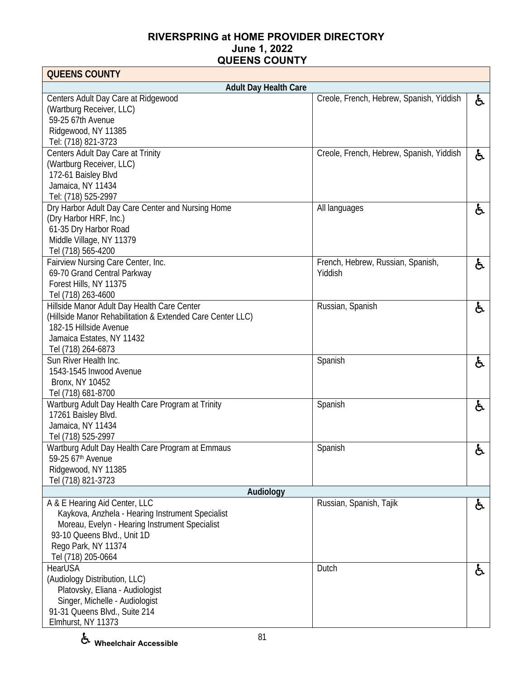| <b>QUEENS COUNTY</b>                                       |                                          |    |
|------------------------------------------------------------|------------------------------------------|----|
| <b>Adult Day Health Care</b>                               |                                          |    |
| Centers Adult Day Care at Ridgewood                        | Creole, French, Hebrew, Spanish, Yiddish | と  |
| (Wartburg Receiver, LLC)                                   |                                          |    |
| 59-25 67th Avenue                                          |                                          |    |
| Ridgewood, NY 11385                                        |                                          |    |
| Tel: (718) 821-3723                                        |                                          |    |
| Centers Adult Day Care at Trinity                          | Creole, French, Hebrew, Spanish, Yiddish | と  |
| (Wartburg Receiver, LLC)                                   |                                          |    |
| 172-61 Baisley Blvd                                        |                                          |    |
| Jamaica, NY 11434                                          |                                          |    |
| Tel: (718) 525-2997                                        |                                          |    |
| Dry Harbor Adult Day Care Center and Nursing Home          | All languages                            | ė, |
| (Dry Harbor HRF, Inc.)                                     |                                          |    |
| 61-35 Dry Harbor Road                                      |                                          |    |
| Middle Village, NY 11379                                   |                                          |    |
| Tel (718) 565-4200                                         |                                          |    |
| Fairview Nursing Care Center, Inc.                         | French, Hebrew, Russian, Spanish,        | ę. |
| 69-70 Grand Central Parkway                                | Yiddish                                  |    |
| Forest Hills, NY 11375                                     |                                          |    |
| Tel (718) 263-4600                                         |                                          |    |
| Hillside Manor Adult Day Health Care Center                | Russian, Spanish                         | と  |
| (Hillside Manor Rehabilitation & Extended Care Center LLC) |                                          |    |
| 182-15 Hillside Avenue                                     |                                          |    |
| Jamaica Estates, NY 11432                                  |                                          |    |
| Tel (718) 264-6873<br>Sun River Health Inc.                |                                          |    |
| 1543-1545 Inwood Avenue                                    | Spanish                                  | と  |
| Bronx, NY 10452                                            |                                          |    |
| Tel (718) 681-8700                                         |                                          |    |
| Wartburg Adult Day Health Care Program at Trinity          | Spanish                                  |    |
| 17261 Baisley Blvd.                                        |                                          | と  |
| Jamaica, NY 11434                                          |                                          |    |
| Tel (718) 525-2997                                         |                                          |    |
| Wartburg Adult Day Health Care Program at Emmaus           | Spanish                                  | と  |
| 59-25 67th Avenue                                          |                                          |    |
| Ridgewood, NY 11385                                        |                                          |    |
| Tel (718) 821-3723                                         |                                          |    |
| Audiology                                                  |                                          |    |
| A & E Hearing Aid Center, LLC                              | Russian, Spanish, Tajik                  | ė, |
| Kaykova, Anzhela - Hearing Instrument Specialist           |                                          |    |
| Moreau, Evelyn - Hearing Instrument Specialist             |                                          |    |
| 93-10 Queens Blvd., Unit 1D                                |                                          |    |
| Rego Park, NY 11374                                        |                                          |    |
| Tel (718) 205-0664                                         |                                          |    |
| HearUSA                                                    | Dutch                                    | ę. |
| (Audiology Distribution, LLC)                              |                                          |    |
| Platovsky, Eliana - Audiologist                            |                                          |    |
| Singer, Michelle - Audiologist                             |                                          |    |
| 91-31 Queens Blvd., Suite 214                              |                                          |    |
| Elmhurst, NY 11373                                         |                                          |    |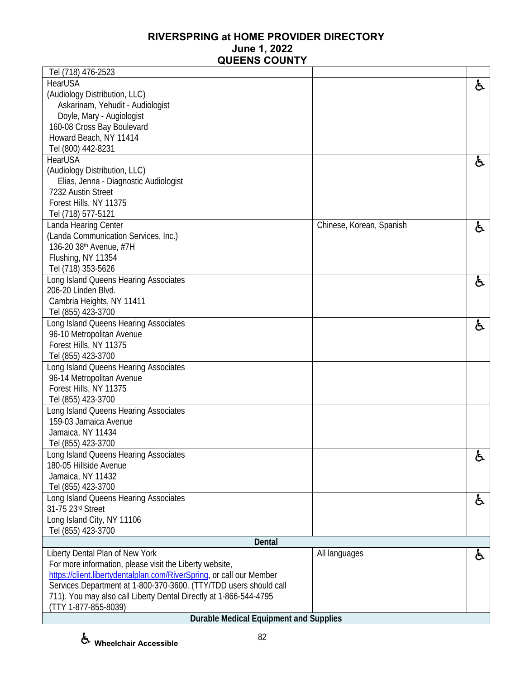| Tel (718) 476-2523                                                   |                          |    |
|----------------------------------------------------------------------|--------------------------|----|
| <b>HearUSA</b>                                                       |                          | ę. |
| (Audiology Distribution, LLC)                                        |                          |    |
| Askarinam, Yehudit - Audiologist                                     |                          |    |
| Doyle, Mary - Augiologist                                            |                          |    |
| 160-08 Cross Bay Boulevard                                           |                          |    |
| Howard Beach, NY 11414                                               |                          |    |
| Tel (800) 442-8231                                                   |                          |    |
| HearUSA                                                              |                          | ę. |
| (Audiology Distribution, LLC)                                        |                          |    |
| Elias, Jenna - Diagnostic Audiologist                                |                          |    |
| 7232 Austin Street                                                   |                          |    |
| Forest Hills, NY 11375                                               |                          |    |
| Tel (718) 577-5121                                                   |                          |    |
| Landa Hearing Center                                                 | Chinese, Korean, Spanish | と  |
| (Landa Communication Services, Inc.)                                 |                          |    |
| 136-20 38 <sup>th</sup> Avenue, #7H                                  |                          |    |
| Flushing, NY 11354                                                   |                          |    |
| Tel (718) 353-5626                                                   |                          |    |
| Long Island Queens Hearing Associates                                |                          |    |
| 206-20 Linden Blvd.                                                  |                          | £. |
| Cambria Heights, NY 11411                                            |                          |    |
| Tel (855) 423-3700                                                   |                          |    |
| Long Island Queens Hearing Associates                                |                          |    |
| 96-10 Metropolitan Avenue                                            |                          | と  |
| Forest Hills, NY 11375                                               |                          |    |
| Tel (855) 423-3700                                                   |                          |    |
| Long Island Queens Hearing Associates                                |                          |    |
| 96-14 Metropolitan Avenue                                            |                          |    |
| Forest Hills, NY 11375                                               |                          |    |
| Tel (855) 423-3700                                                   |                          |    |
| Long Island Queens Hearing Associates                                |                          |    |
| 159-03 Jamaica Avenue                                                |                          |    |
| Jamaica, NY 11434                                                    |                          |    |
| Tel (855) 423-3700                                                   |                          |    |
| Long Island Queens Hearing Associates                                |                          |    |
| 180-05 Hillside Avenue                                               |                          | රූ |
| Jamaica, NY 11432                                                    |                          |    |
| Tel (855) 423-3700                                                   |                          |    |
| Long Island Queens Hearing Associates                                |                          |    |
| 31-75 23rd Street                                                    |                          | と  |
| Long Island City, NY 11106                                           |                          |    |
| Tel (855) 423-3700                                                   |                          |    |
| <b>Dental</b>                                                        |                          |    |
| Liberty Dental Plan of New York                                      | All languages            |    |
| For more information, please visit the Liberty website,              |                          | ė, |
| https://client.libertydentalplan.com/RiverSpring, or call our Member |                          |    |
| Services Department at 1-800-370-3600. (TTY/TDD users should call    |                          |    |
| 711). You may also call Liberty Dental Directly at 1-866-544-4795    |                          |    |
| (TTY 1-877-855-8039)                                                 |                          |    |
| <b>Durable Medical Equipment and Supplies</b>                        |                          |    |
|                                                                      |                          |    |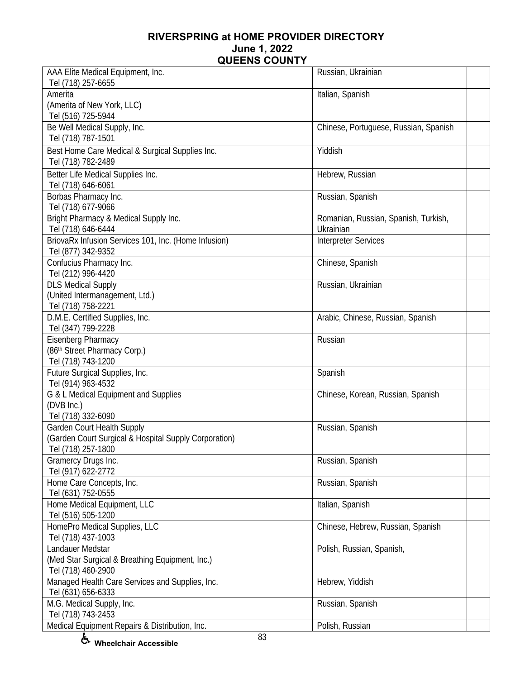| AAA Elite Medical Equipment, Inc.                                     | Russian, Ukrainian                                |  |
|-----------------------------------------------------------------------|---------------------------------------------------|--|
| Tel (718) 257-6655<br>Amerita                                         | Italian, Spanish                                  |  |
| (Amerita of New York, LLC)                                            |                                                   |  |
| Tel (516) 725-5944                                                    |                                                   |  |
| Be Well Medical Supply, Inc.                                          | Chinese, Portuguese, Russian, Spanish             |  |
| Tel (718) 787-1501                                                    |                                                   |  |
|                                                                       | Yiddish                                           |  |
| Best Home Care Medical & Surgical Supplies Inc.<br>Tel (718) 782-2489 |                                                   |  |
|                                                                       |                                                   |  |
| Better Life Medical Supplies Inc.                                     | Hebrew, Russian                                   |  |
| Tel (718) 646-6061                                                    |                                                   |  |
| Borbas Pharmacy Inc.                                                  | Russian, Spanish                                  |  |
| Tel (718) 677-9066                                                    |                                                   |  |
| Bright Pharmacy & Medical Supply Inc.<br>Tel (718) 646-6444           | Romanian, Russian, Spanish, Turkish,<br>Ukrainian |  |
| BriovaRx Infusion Services 101, Inc. (Home Infusion)                  | <b>Interpreter Services</b>                       |  |
| Tel (877) 342-9352                                                    |                                                   |  |
| Confucius Pharmacy Inc.                                               | Chinese, Spanish                                  |  |
| Tel (212) 996-4420                                                    |                                                   |  |
| <b>DLS Medical Supply</b>                                             | Russian, Ukrainian                                |  |
| (United Intermanagement, Ltd.)                                        |                                                   |  |
| Tel (718) 758-2221                                                    |                                                   |  |
| D.M.E. Certified Supplies, Inc.                                       | Arabic, Chinese, Russian, Spanish                 |  |
| Tel (347) 799-2228                                                    |                                                   |  |
| Eisenberg Pharmacy                                                    | Russian                                           |  |
| (86th Street Pharmacy Corp.)                                          |                                                   |  |
| Tel (718) 743-1200                                                    |                                                   |  |
| Future Surgical Supplies, Inc.                                        | Spanish                                           |  |
| Tel (914) 963-4532                                                    |                                                   |  |
| G & L Medical Equipment and Supplies                                  | Chinese, Korean, Russian, Spanish                 |  |
| (DVB Inc.)                                                            |                                                   |  |
| Tel (718) 332-6090                                                    |                                                   |  |
| <b>Garden Court Health Supply</b>                                     | Russian, Spanish                                  |  |
| (Garden Court Surgical & Hospital Supply Corporation)                 |                                                   |  |
| Tel (718) 257-1800                                                    |                                                   |  |
| Gramercy Drugs Inc.                                                   | Russian, Spanish                                  |  |
| Tel (917) 622-2772                                                    |                                                   |  |
| Home Care Concepts, Inc.                                              | Russian, Spanish                                  |  |
| Tel (631) 752-0555                                                    |                                                   |  |
| Home Medical Equipment, LLC                                           | Italian, Spanish                                  |  |
| Tel (516) 505-1200                                                    |                                                   |  |
| HomePro Medical Supplies, LLC                                         | Chinese, Hebrew, Russian, Spanish                 |  |
| Tel (718) 437-1003                                                    |                                                   |  |
| Landauer Medstar                                                      | Polish, Russian, Spanish,                         |  |
| (Med Star Surgical & Breathing Equipment, Inc.)                       |                                                   |  |
| Tel (718) 460-2900                                                    |                                                   |  |
| Managed Health Care Services and Supplies, Inc.                       | Hebrew, Yiddish                                   |  |
| Tel (631) 656-6333                                                    |                                                   |  |
| M.G. Medical Supply, Inc.                                             | Russian, Spanish                                  |  |
| Tel (718) 743-2453                                                    |                                                   |  |
| Medical Equipment Repairs & Distribution, Inc.                        | Polish, Russian                                   |  |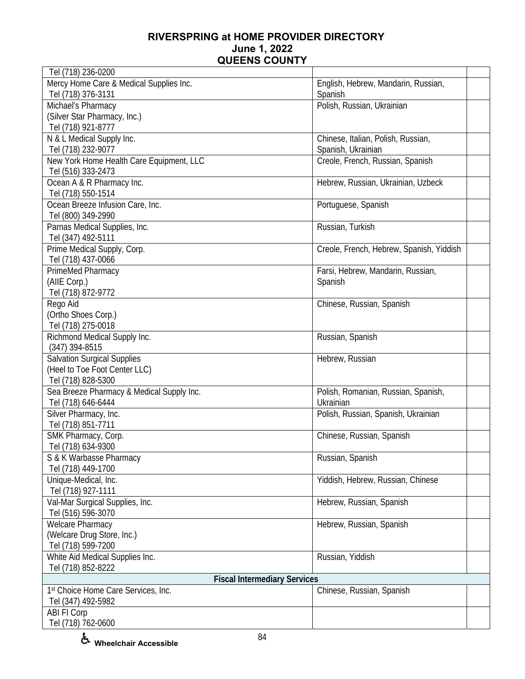| Tel (718) 236-0200                          |                                                  |  |
|---------------------------------------------|--------------------------------------------------|--|
| Mercy Home Care & Medical Supplies Inc.     | English, Hebrew, Mandarin, Russian,              |  |
| Tel (718) 376-3131                          | Spanish                                          |  |
| Michael's Pharmacy                          | Polish, Russian, Ukrainian                       |  |
| (Silver Star Pharmacy, Inc.)                |                                                  |  |
| Tel (718) 921-8777                          |                                                  |  |
| N & L Medical Supply Inc.                   | Chinese, Italian, Polish, Russian,               |  |
| Tel (718) 232-9077                          | Spanish, Ukrainian                               |  |
| New York Home Health Care Equipment, LLC    | Creole, French, Russian, Spanish                 |  |
| Tel (516) 333-2473                          |                                                  |  |
| Ocean A & R Pharmacy Inc.                   | Hebrew, Russian, Ukrainian, Uzbeck               |  |
| Tel (718) 550-1514                          |                                                  |  |
| Ocean Breeze Infusion Care, Inc.            | Portuguese, Spanish                              |  |
| Tel (800) 349-2990                          |                                                  |  |
| Parnas Medical Supplies, Inc.               | Russian, Turkish                                 |  |
| Tel (347) 492-5111                          |                                                  |  |
| Prime Medical Supply, Corp.                 | Creole, French, Hebrew, Spanish, Yiddish         |  |
| Tel (718) 437-0066                          |                                                  |  |
| PrimeMed Pharmacy                           | Farsi, Hebrew, Mandarin, Russian,                |  |
| (AIIE Corp.)                                | Spanish                                          |  |
| Tel (718) 872-9772                          |                                                  |  |
| Rego Aid                                    | Chinese, Russian, Spanish                        |  |
| (Ortho Shoes Corp.)                         |                                                  |  |
| Tel (718) 275-0018                          |                                                  |  |
| Richmond Medical Supply Inc.                | Russian, Spanish                                 |  |
| $(347)$ 394-8515                            |                                                  |  |
| Salvation Surgical Supplies                 | Hebrew, Russian                                  |  |
| (Heel to Toe Foot Center LLC)               |                                                  |  |
| Tel (718) 828-5300                          |                                                  |  |
| Sea Breeze Pharmacy & Medical Supply Inc.   | Polish, Romanian, Russian, Spanish,<br>Ukrainian |  |
| Tel (718) 646-6444<br>Silver Pharmacy, Inc. |                                                  |  |
|                                             | Polish, Russian, Spanish, Ukrainian              |  |
| Tel (718) 851-7711<br>SMK Pharmacy, Corp.   | Chinese, Russian, Spanish                        |  |
| Tel (718) 634-9300                          |                                                  |  |
| S & K Warbasse Pharmacy                     | Russian, Spanish                                 |  |
| Tel (718) 449-1700                          |                                                  |  |
| Unique-Medical, Inc.                        | Yiddish, Hebrew, Russian, Chinese                |  |
| Tel (718) 927-1111                          |                                                  |  |
| Val-Mar Surgical Supplies, Inc.             | Hebrew, Russian, Spanish                         |  |
| Tel (516) 596-3070                          |                                                  |  |
| <b>Welcare Pharmacy</b>                     | Hebrew, Russian, Spanish                         |  |
| (Welcare Drug Store, Inc.)                  |                                                  |  |
| Tel (718) 599-7200                          |                                                  |  |
| White Aid Medical Supplies Inc.             | Russian, Yiddish                                 |  |
| Tel (718) 852-8222                          |                                                  |  |
| <b>Fiscal Intermediary Services</b>         |                                                  |  |
| 1st Choice Home Care Services, Inc.         | Chinese, Russian, Spanish                        |  |
| Tel (347) 492-5982                          |                                                  |  |
| <b>ABI FI Corp</b>                          |                                                  |  |
| Tel (718) 762-0600                          |                                                  |  |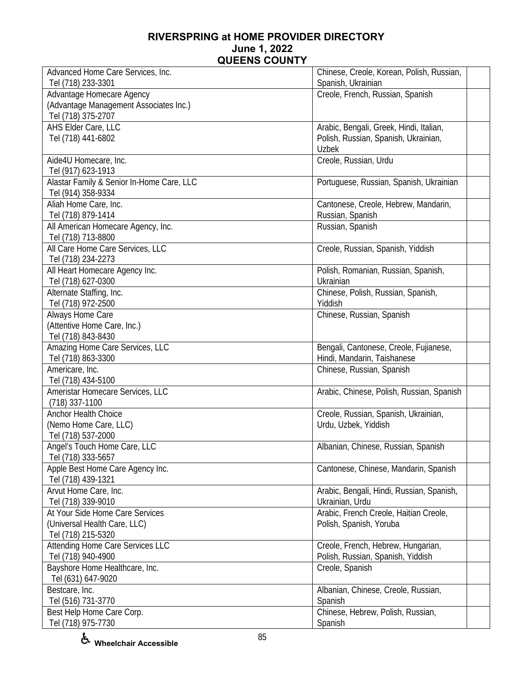| Advanced Home Care Services, Inc.         | Chinese, Creole, Korean, Polish, Russian, |
|-------------------------------------------|-------------------------------------------|
| Tel (718) 233-3301                        | Spanish, Ukrainian                        |
| Advantage Homecare Agency                 | Creole, French, Russian, Spanish          |
| (Advantage Management Associates Inc.)    |                                           |
| Tel (718) 375-2707                        |                                           |
| AHS Elder Care, LLC                       | Arabic, Bengali, Greek, Hindi, Italian,   |
| Tel (718) 441-6802                        | Polish, Russian, Spanish, Ukrainian,      |
|                                           | <b>Uzbek</b>                              |
| Aide4U Homecare, Inc.                     | Creole, Russian, Urdu                     |
| Tel (917) 623-1913                        |                                           |
| Alastar Family & Senior In-Home Care, LLC | Portuguese, Russian, Spanish, Ukrainian   |
| Tel (914) 358-9334                        |                                           |
| Aliah Home Care, Inc.                     | Cantonese, Creole, Hebrew, Mandarin,      |
| Tel (718) 879-1414                        | Russian, Spanish                          |
| All American Homecare Agency, Inc.        | Russian, Spanish                          |
| Tel (718) 713-8800                        |                                           |
| All Care Home Care Services, LLC          |                                           |
|                                           | Creole, Russian, Spanish, Yiddish         |
| Tel (718) 234-2273                        |                                           |
| All Heart Homecare Agency Inc.            | Polish, Romanian, Russian, Spanish,       |
| Tel (718) 627-0300                        | Ukrainian                                 |
| Alternate Staffing, Inc.                  | Chinese, Polish, Russian, Spanish,        |
| Tel (718) 972-2500                        | Yiddish                                   |
| Always Home Care                          | Chinese, Russian, Spanish                 |
| (Attentive Home Care, Inc.)               |                                           |
| Tel (718) 843-8430                        |                                           |
| Amazing Home Care Services, LLC           | Bengali, Cantonese, Creole, Fujianese,    |
| Tel (718) 863-3300                        | Hindi, Mandarin, Taishanese               |
| Americare, Inc.                           | Chinese, Russian, Spanish                 |
| Tel (718) 434-5100                        |                                           |
| Ameristar Homecare Services, LLC          | Arabic, Chinese, Polish, Russian, Spanish |
| (718) 337-1100                            |                                           |
| <b>Anchor Health Choice</b>               | Creole, Russian, Spanish, Ukrainian,      |
| (Nemo Home Care, LLC)                     | Urdu, Uzbek, Yiddish                      |
| Tel (718) 537-2000                        |                                           |
| Angel's Touch Home Care, LLC              | Albanian, Chinese, Russian, Spanish       |
| Tel (718) 333-5657                        |                                           |
| Apple Best Home Care Agency Inc.          | Cantonese, Chinese, Mandarin, Spanish     |
| Tel (718) 439-1321                        |                                           |
| Arvut Home Care, Inc.                     | Arabic, Bengali, Hindi, Russian, Spanish, |
| Tel (718) 339-9010                        | Ukrainian, Urdu                           |
| At Your Side Home Care Services           | Arabic, French Creole, Haitian Creole,    |
| (Universal Health Care, LLC)              | Polish, Spanish, Yoruba                   |
| Tel (718) 215-5320                        |                                           |
| Attending Home Care Services LLC          | Creole, French, Hebrew, Hungarian,        |
| Tel (718) 940-4900                        | Polish, Russian, Spanish, Yiddish         |
| Bayshore Home Healthcare, Inc.            | Creole, Spanish                           |
| Tel (631) 647-9020                        |                                           |
| Bestcare, Inc.                            | Albanian, Chinese, Creole, Russian,       |
| Tel (516) 731-3770                        | Spanish                                   |
| Best Help Home Care Corp.                 | Chinese, Hebrew, Polish, Russian,         |
| Tel (718) 975-7730                        | Spanish                                   |
|                                           |                                           |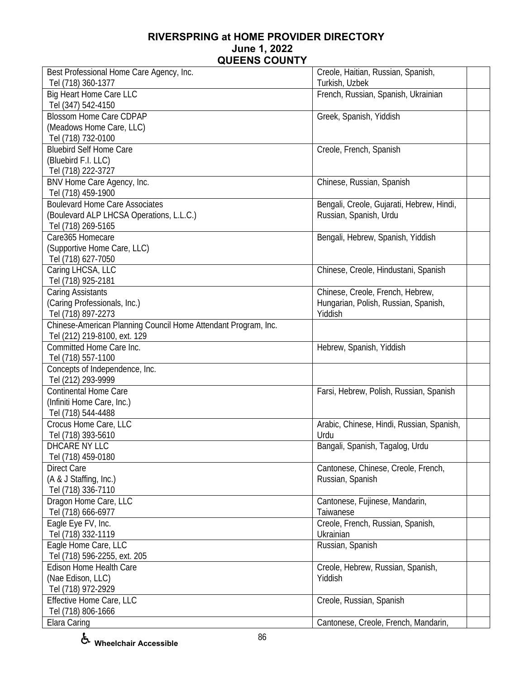| Best Professional Home Care Agency, Inc.                       | Creole, Haitian, Russian, Spanish,        |
|----------------------------------------------------------------|-------------------------------------------|
| Tel (718) 360-1377                                             | Turkish, Uzbek                            |
| <b>Big Heart Home Care LLC</b>                                 | French, Russian, Spanish, Ukrainian       |
| Tel (347) 542-4150                                             |                                           |
| <b>Blossom Home Care CDPAP</b>                                 | Greek, Spanish, Yiddish                   |
| (Meadows Home Care, LLC)                                       |                                           |
| Tel (718) 732-0100                                             |                                           |
| <b>Bluebird Self Home Care</b>                                 | Creole, French, Spanish                   |
| (Bluebird F.I. LLC)                                            |                                           |
| Tel (718) 222-3727                                             |                                           |
| BNV Home Care Agency, Inc.                                     | Chinese, Russian, Spanish                 |
| Tel (718) 459-1900                                             |                                           |
| <b>Boulevard Home Care Associates</b>                          | Bengali, Creole, Gujarati, Hebrew, Hindi, |
| (Boulevard ALP LHCSA Operations, L.L.C.)                       | Russian, Spanish, Urdu                    |
| Tel (718) 269-5165                                             |                                           |
| Care365 Homecare                                               | Bengali, Hebrew, Spanish, Yiddish         |
| (Supportive Home Care, LLC)                                    |                                           |
| Tel (718) 627-7050                                             |                                           |
| Caring LHCSA, LLC                                              | Chinese, Creole, Hindustani, Spanish      |
| Tel (718) 925-2181                                             |                                           |
| Caring Assistants                                              | Chinese, Creole, French, Hebrew,          |
| (Caring Professionals, Inc.)                                   | Hungarian, Polish, Russian, Spanish,      |
| Tel (718) 897-2273                                             | Yiddish                                   |
| Chinese-American Planning Council Home Attendant Program, Inc. |                                           |
| Tel (212) 219-8100, ext. 129                                   |                                           |
| Committed Home Care Inc.                                       | Hebrew, Spanish, Yiddish                  |
| Tel (718) 557-1100                                             |                                           |
| Concepts of Independence, Inc.                                 |                                           |
| Tel (212) 293-9999                                             |                                           |
| <b>Continental Home Care</b>                                   | Farsi, Hebrew, Polish, Russian, Spanish   |
| (Infiniti Home Care, Inc.)                                     |                                           |
| Tel (718) 544-4488                                             |                                           |
| Crocus Home Care, LLC                                          | Arabic, Chinese, Hindi, Russian, Spanish, |
| Tel (718) 393-5610                                             | Urdu                                      |
| DHCARE NY LLC                                                  | Bangali, Spanish, Tagalog, Urdu           |
| Tel (718) 459-0180                                             |                                           |
| <b>Direct Care</b>                                             | Cantonese, Chinese, Creole, French,       |
| (A & J Staffing, Inc.)                                         | Russian, Spanish                          |
| Tel (718) 336-7110                                             |                                           |
| Dragon Home Care, LLC                                          | Cantonese, Fujinese, Mandarin,            |
| Tel (718) 666-6977                                             | Taiwanese                                 |
| Eagle Eye FV, Inc.                                             | Creole, French, Russian, Spanish,         |
| Tel (718) 332-1119                                             | Ukrainian                                 |
| Eagle Home Care, LLC                                           | Russian, Spanish                          |
| Tel (718) 596-2255, ext. 205                                   |                                           |
| Edison Home Health Care                                        | Creole, Hebrew, Russian, Spanish,         |
| (Nae Edison, LLC)                                              | Yiddish                                   |
| Tel (718) 972-2929                                             |                                           |
| Effective Home Care, LLC                                       | Creole, Russian, Spanish                  |
| Tel (718) 806-1666                                             |                                           |
| Elara Caring                                                   | Cantonese, Creole, French, Mandarin,      |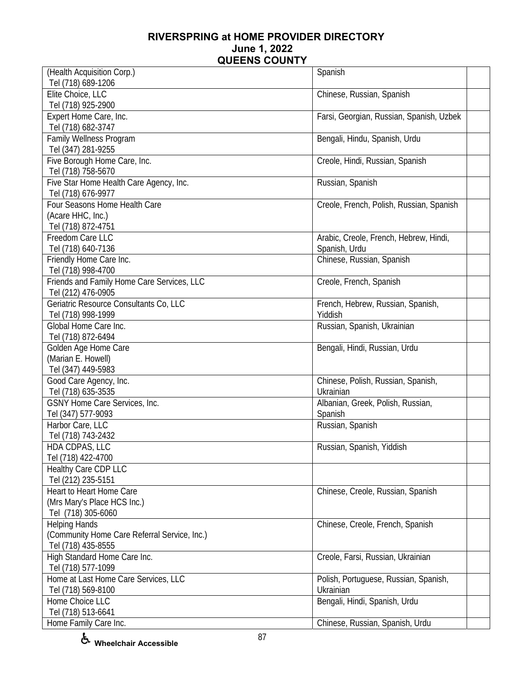| (Health Acquisition Corp.)                   | Spanish                                  |
|----------------------------------------------|------------------------------------------|
| Tel (718) 689-1206                           |                                          |
| Elite Choice, LLC                            | Chinese, Russian, Spanish                |
| Tel (718) 925-2900                           |                                          |
| Expert Home Care, Inc.                       | Farsi, Georgian, Russian, Spanish, Uzbek |
| Tel (718) 682-3747                           |                                          |
| Family Wellness Program                      | Bengali, Hindu, Spanish, Urdu            |
| Tel (347) 281-9255                           |                                          |
| Five Borough Home Care, Inc.                 | Creole, Hindi, Russian, Spanish          |
| Tel (718) 758-5670                           |                                          |
| Five Star Home Health Care Agency, Inc.      | Russian, Spanish                         |
| Tel (718) 676-9977                           |                                          |
| Four Seasons Home Health Care                | Creole, French, Polish, Russian, Spanish |
| (Acare HHC, Inc.)                            |                                          |
| Tel (718) 872-4751                           |                                          |
| Freedom Care LLC                             |                                          |
|                                              | Arabic, Creole, French, Hebrew, Hindi,   |
| Tel (718) 640-7136                           | Spanish, Urdu                            |
| Friendly Home Care Inc.                      | Chinese, Russian, Spanish                |
| Tel (718) 998-4700                           |                                          |
| Friends and Family Home Care Services, LLC   | Creole, French, Spanish                  |
| Tel (212) 476-0905                           |                                          |
| Geriatric Resource Consultants Co, LLC       | French, Hebrew, Russian, Spanish,        |
| Tel (718) 998-1999                           | Yiddish                                  |
| Global Home Care Inc.                        | Russian, Spanish, Ukrainian              |
| Tel (718) 872-6494                           |                                          |
| Golden Age Home Care                         | Bengali, Hindi, Russian, Urdu            |
| (Marian E. Howell)                           |                                          |
| Tel (347) 449-5983                           |                                          |
| Good Care Agency, Inc.                       | Chinese, Polish, Russian, Spanish,       |
| Tel (718) 635-3535                           | Ukrainian                                |
| GSNY Home Care Services, Inc.                | Albanian, Greek, Polish, Russian,        |
| Tel (347) 577-9093                           | Spanish                                  |
| Harbor Care, LLC                             | Russian, Spanish                         |
| Tel (718) 743-2432                           |                                          |
| HDA CDPAS, LLC                               | Russian, Spanish, Yiddish                |
| Tel (718) 422-4700                           |                                          |
| Healthy Care CDP LLC                         |                                          |
| Tel (212) 235-5151                           |                                          |
| Heart to Heart Home Care                     | Chinese, Creole, Russian, Spanish        |
| (Mrs Mary's Place HCS Inc.)                  |                                          |
| Tel (718) 305-6060                           |                                          |
| <b>Helping Hands</b>                         | Chinese, Creole, French, Spanish         |
| (Community Home Care Referral Service, Inc.) |                                          |
| Tel (718) 435-8555                           |                                          |
| High Standard Home Care Inc.                 | Creole, Farsi, Russian, Ukrainian        |
| Tel (718) 577-1099                           |                                          |
| Home at Last Home Care Services, LLC         | Polish, Portuguese, Russian, Spanish,    |
| Tel (718) 569-8100                           | Ukrainian                                |
| Home Choice LLC                              | Bengali, Hindi, Spanish, Urdu            |
| Tel (718) 513-6641                           |                                          |
|                                              |                                          |
| Home Family Care Inc.                        | Chinese, Russian, Spanish, Urdu          |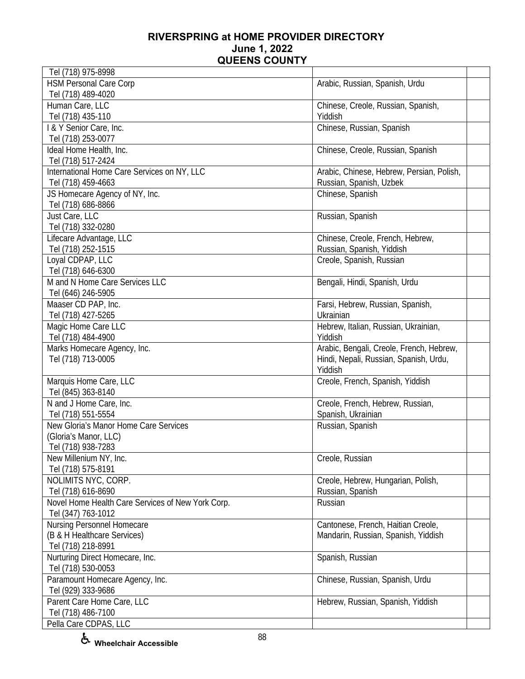| Tel (718) 975-8998                                |                                           |  |
|---------------------------------------------------|-------------------------------------------|--|
| <b>HSM Personal Care Corp</b>                     | Arabic, Russian, Spanish, Urdu            |  |
| Tel (718) 489-4020                                |                                           |  |
| Human Care, LLC                                   | Chinese, Creole, Russian, Spanish,        |  |
| Tel (718) 435-110                                 | Yiddish                                   |  |
| I & Y Senior Care, Inc.                           | Chinese, Russian, Spanish                 |  |
| Tel (718) 253-0077                                |                                           |  |
| Ideal Home Health, Inc.                           | Chinese, Creole, Russian, Spanish         |  |
| Tel (718) 517-2424                                |                                           |  |
| International Home Care Services on NY, LLC       | Arabic, Chinese, Hebrew, Persian, Polish, |  |
| Tel (718) 459-4663                                | Russian, Spanish, Uzbek                   |  |
| JS Homecare Agency of NY, Inc.                    | Chinese, Spanish                          |  |
| Tel (718) 686-8866                                |                                           |  |
| Just Care, LLC                                    | Russian, Spanish                          |  |
| Tel (718) 332-0280                                |                                           |  |
| Lifecare Advantage, LLC                           | Chinese, Creole, French, Hebrew,          |  |
| Tel (718) 252-1515                                | Russian, Spanish, Yiddish                 |  |
| Loyal CDPAP, LLC                                  | Creole, Spanish, Russian                  |  |
| Tel (718) 646-6300                                |                                           |  |
| M and N Home Care Services LLC                    | Bengali, Hindi, Spanish, Urdu             |  |
| Tel (646) 246-5905                                |                                           |  |
| Maaser CD PAP, Inc.                               | Farsi, Hebrew, Russian, Spanish,          |  |
| Tel (718) 427-5265                                | Ukrainian                                 |  |
| Magic Home Care LLC                               | Hebrew, Italian, Russian, Ukrainian,      |  |
| Tel (718) 484-4900                                | Yiddish                                   |  |
| Marks Homecare Agency, Inc.                       | Arabic, Bengali, Creole, French, Hebrew,  |  |
| Tel (718) 713-0005                                | Hindi, Nepali, Russian, Spanish, Urdu,    |  |
|                                                   | Yiddish                                   |  |
| Marquis Home Care, LLC                            | Creole, French, Spanish, Yiddish          |  |
| Tel (845) 363-8140                                |                                           |  |
| N and J Home Care, Inc.                           | Creole, French, Hebrew, Russian,          |  |
| Tel (718) 551-5554                                | Spanish, Ukrainian                        |  |
| New Gloria's Manor Home Care Services             | Russian, Spanish                          |  |
| (Gloria's Manor, LLC)                             |                                           |  |
| Tel (718) 938-7283                                |                                           |  |
| New Millenium NY, Inc.                            | Creole, Russian                           |  |
| Tel (718) 575-8191                                |                                           |  |
| NOLIMITS NYC, CORP.                               | Creole, Hebrew, Hungarian, Polish,        |  |
| Tel (718) 616-8690                                | Russian, Spanish                          |  |
| Novel Home Health Care Services of New York Corp. | Russian                                   |  |
| Tel (347) 763-1012                                |                                           |  |
| Nursing Personnel Homecare                        | Cantonese, French, Haitian Creole,        |  |
| (B & H Healthcare Services)                       | Mandarin, Russian, Spanish, Yiddish       |  |
| Tel (718) 218-8991                                |                                           |  |
| Nurturing Direct Homecare, Inc.                   | Spanish, Russian                          |  |
| Tel (718) 530-0053                                |                                           |  |
| Paramount Homecare Agency, Inc.                   | Chinese, Russian, Spanish, Urdu           |  |
| Tel (929) 333-9686                                |                                           |  |
| Parent Care Home Care, LLC                        | Hebrew, Russian, Spanish, Yiddish         |  |
| Tel (718) 486-7100                                |                                           |  |
| Pella Care CDPAS, LLC                             |                                           |  |
|                                                   |                                           |  |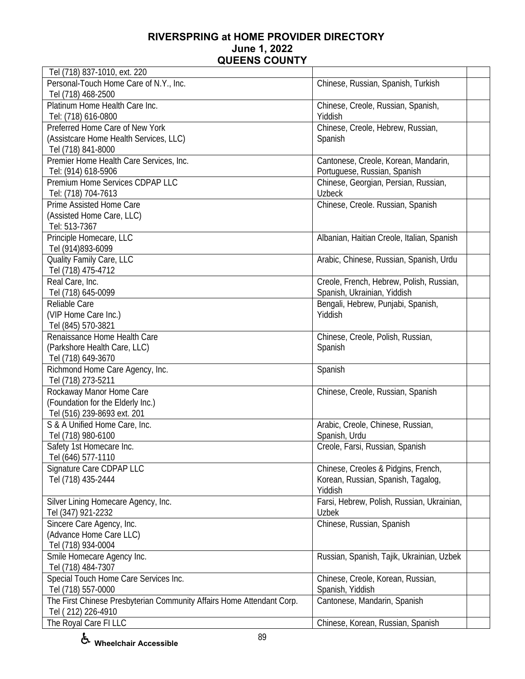| Tel (718) 837-1010, ext. 220                                          |                                            |  |
|-----------------------------------------------------------------------|--------------------------------------------|--|
| Personal-Touch Home Care of N.Y., Inc.                                | Chinese, Russian, Spanish, Turkish         |  |
| Tel (718) 468-2500                                                    |                                            |  |
| Platinum Home Health Care Inc.                                        | Chinese, Creole, Russian, Spanish,         |  |
| Tel: (718) 616-0800                                                   | Yiddish                                    |  |
| Preferred Home Care of New York                                       | Chinese, Creole, Hebrew, Russian,          |  |
| (Assistcare Home Health Services, LLC)                                | Spanish                                    |  |
| Tel (718) 841-8000                                                    |                                            |  |
| Premier Home Health Care Services, Inc.                               | Cantonese, Creole, Korean, Mandarin,       |  |
| Tel: (914) 618-5906                                                   | Portuguese, Russian, Spanish               |  |
| Premium Home Services CDPAP LLC                                       | Chinese, Georgian, Persian, Russian,       |  |
| Tel: (718) 704-7613                                                   | <b>Uzbeck</b>                              |  |
| Prime Assisted Home Care                                              | Chinese, Creole. Russian, Spanish          |  |
| (Assisted Home Care, LLC)                                             |                                            |  |
| Tel: 513-7367                                                         |                                            |  |
| Principle Homecare, LLC                                               | Albanian, Haitian Creole, Italian, Spanish |  |
| Tel (914)893-6099                                                     |                                            |  |
| Quality Family Care, LLC                                              | Arabic, Chinese, Russian, Spanish, Urdu    |  |
| Tel (718) 475-4712                                                    |                                            |  |
| Real Care, Inc.                                                       | Creole, French, Hebrew, Polish, Russian,   |  |
| Tel (718) 645-0099                                                    | Spanish, Ukrainian, Yiddish                |  |
| Reliable Care                                                         | Bengali, Hebrew, Punjabi, Spanish,         |  |
| (VIP Home Care Inc.)                                                  | Yiddish                                    |  |
| Tel (845) 570-3821                                                    |                                            |  |
| Renaissance Home Health Care                                          | Chinese, Creole, Polish, Russian,          |  |
| (Parkshore Health Care, LLC)                                          | Spanish                                    |  |
| Tel (718) 649-3670                                                    |                                            |  |
| Richmond Home Care Agency, Inc.                                       | Spanish                                    |  |
| Tel (718) 273-5211                                                    |                                            |  |
| Rockaway Manor Home Care                                              | Chinese, Creole, Russian, Spanish          |  |
| (Foundation for the Elderly Inc.)                                     |                                            |  |
| Tel (516) 239-8693 ext. 201                                           |                                            |  |
| S & A Unified Home Care, Inc.                                         | Arabic, Creole, Chinese, Russian,          |  |
| Tel (718) 980-6100                                                    | Spanish, Urdu                              |  |
| Safety 1st Homecare Inc.                                              | Creole, Farsi, Russian, Spanish            |  |
| Tel (646) 577-1110                                                    |                                            |  |
| Signature Care CDPAP LLC                                              | Chinese, Creoles & Pidgins, French,        |  |
| Tel (718) 435-2444                                                    | Korean, Russian, Spanish, Tagalog,         |  |
|                                                                       | Yiddish                                    |  |
| Silver Lining Homecare Agency, Inc.                                   | Farsi, Hebrew, Polish, Russian, Ukrainian, |  |
| Tel (347) 921-2232                                                    | <b>Uzbek</b>                               |  |
| Sincere Care Agency, Inc.                                             | Chinese, Russian, Spanish                  |  |
| (Advance Home Care LLC)                                               |                                            |  |
| Tel (718) 934-0004                                                    |                                            |  |
| Smile Homecare Agency Inc.                                            | Russian, Spanish, Tajik, Ukrainian, Uzbek  |  |
| Tel (718) 484-7307                                                    |                                            |  |
| Special Touch Home Care Services Inc.                                 | Chinese, Creole, Korean, Russian,          |  |
| Tel (718) 557-0000                                                    | Spanish, Yiddish                           |  |
| The First Chinese Presbyterian Community Affairs Home Attendant Corp. | Cantonese, Mandarin, Spanish               |  |
| Tel (212) 226-4910                                                    |                                            |  |
| The Royal Care FI LLC                                                 | Chinese, Korean, Russian, Spanish          |  |
|                                                                       |                                            |  |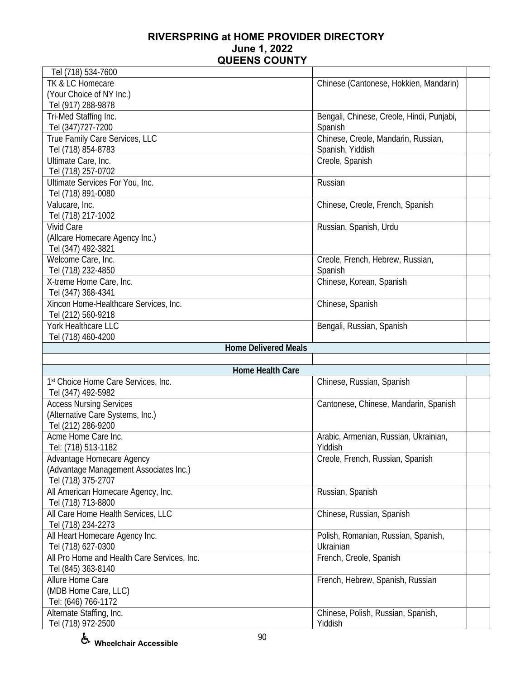| Tel (718) 534-7600                              |                                           |
|-------------------------------------------------|-------------------------------------------|
| TK & LC Homecare                                | Chinese (Cantonese, Hokkien, Mandarin)    |
| (Your Choice of NY Inc.)                        |                                           |
| Tel (917) 288-9878                              |                                           |
| Tri-Med Staffing Inc.                           | Bengali, Chinese, Creole, Hindi, Punjabi, |
| Tel (347) 727-7200                              | Spanish                                   |
| True Family Care Services, LLC                  | Chinese, Creole, Mandarin, Russian,       |
| Tel (718) 854-8783                              | Spanish, Yiddish                          |
| Ultimate Care, Inc.                             | Creole, Spanish                           |
| Tel (718) 257-0702                              |                                           |
| Ultimate Services For You, Inc.                 | Russian                                   |
| Tel (718) 891-0080                              |                                           |
| Valucare, Inc.                                  | Chinese, Creole, French, Spanish          |
| Tel (718) 217-1002                              |                                           |
| <b>Vivid Care</b>                               | Russian, Spanish, Urdu                    |
| (Allcare Homecare Agency Inc.)                  |                                           |
| Tel (347) 492-3821                              |                                           |
| Welcome Care, Inc.                              | Creole, French, Hebrew, Russian,          |
| Tel (718) 232-4850                              | Spanish                                   |
| X-treme Home Care, Inc.                         | Chinese, Korean, Spanish                  |
| Tel (347) 368-4341                              |                                           |
| Xincon Home-Healthcare Services, Inc.           | Chinese, Spanish                          |
| Tel (212) 560-9218                              |                                           |
| York Healthcare LLC                             | Bengali, Russian, Spanish                 |
| Tel (718) 460-4200                              |                                           |
|                                                 |                                           |
|                                                 |                                           |
| <b>Home Delivered Meals</b>                     |                                           |
|                                                 |                                           |
| Home Health Care                                |                                           |
| 1st Choice Home Care Services, Inc.             | Chinese, Russian, Spanish                 |
| Tel (347) 492-5982                              |                                           |
| <b>Access Nursing Services</b>                  | Cantonese, Chinese, Mandarin, Spanish     |
| (Alternative Care Systems, Inc.)                |                                           |
| Tel (212) 286-9200                              |                                           |
| Acme Home Care Inc.                             | Arabic, Armenian, Russian, Ukrainian,     |
| Tel: (718) 513-1182                             | Yiddish                                   |
| Advantage Homecare Agency                       | Creole, French, Russian, Spanish          |
| (Advantage Management Associates Inc.)          |                                           |
| Tel (718) 375-2707                              |                                           |
| All American Homecare Agency, Inc.              | Russian, Spanish                          |
| Tel (718) 713-8800                              |                                           |
| All Care Home Health Services, LLC              | Chinese, Russian, Spanish                 |
| Tel (718) 234-2273                              |                                           |
| All Heart Homecare Agency Inc.                  | Polish, Romanian, Russian, Spanish,       |
| Tel (718) 627-0300                              | Ukrainian                                 |
| All Pro Home and Health Care Services, Inc.     | French, Creole, Spanish                   |
| Tel (845) 363-8140                              |                                           |
| Allure Home Care                                | French, Hebrew, Spanish, Russian          |
| (MDB Home Care, LLC)                            |                                           |
| Tel: (646) 766-1172<br>Alternate Staffing, Inc. | Chinese, Polish, Russian, Spanish,        |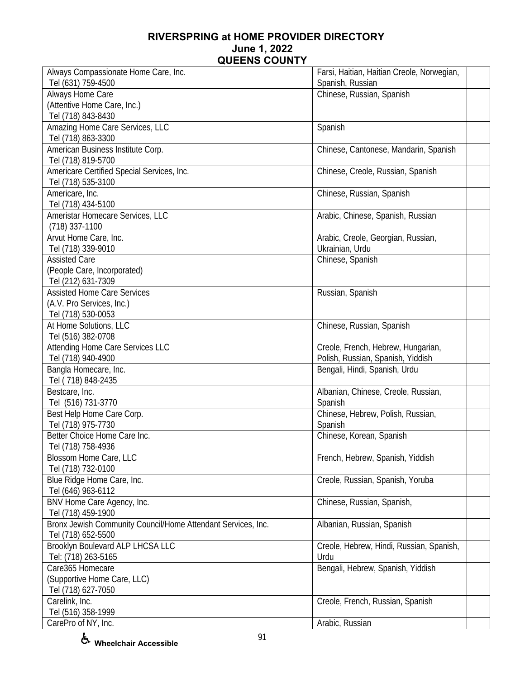| Always Compassionate Home Care, Inc.                         | Farsi, Haitian, Haitian Creole, Norwegian, |
|--------------------------------------------------------------|--------------------------------------------|
| Tel (631) 759-4500                                           | Spanish, Russian                           |
| Always Home Care                                             | Chinese, Russian, Spanish                  |
| (Attentive Home Care, Inc.)                                  |                                            |
| Tel (718) 843-8430                                           |                                            |
| Amazing Home Care Services, LLC                              | Spanish                                    |
| Tel (718) 863-3300                                           |                                            |
| American Business Institute Corp.                            | Chinese, Cantonese, Mandarin, Spanish      |
| Tel (718) 819-5700                                           |                                            |
| Americare Certified Special Services, Inc.                   | Chinese, Creole, Russian, Spanish          |
| Tel (718) 535-3100                                           |                                            |
| Americare, Inc.                                              | Chinese, Russian, Spanish                  |
| Tel (718) 434-5100                                           |                                            |
| Ameristar Homecare Services, LLC                             | Arabic, Chinese, Spanish, Russian          |
| $(718)$ 337-1100                                             |                                            |
| Arvut Home Care, Inc.                                        | Arabic, Creole, Georgian, Russian,         |
| Tel (718) 339-9010                                           | Ukrainian, Urdu                            |
| <b>Assisted Care</b>                                         | Chinese, Spanish                           |
| (People Care, Incorporated)                                  |                                            |
| Tel (212) 631-7309                                           |                                            |
| <b>Assisted Home Care Services</b>                           | Russian, Spanish                           |
| (A.V. Pro Services, Inc.)                                    |                                            |
| Tel (718) 530-0053                                           |                                            |
| At Home Solutions, LLC                                       | Chinese, Russian, Spanish                  |
| Tel (516) 382-0708                                           |                                            |
| Attending Home Care Services LLC                             | Creole, French, Hebrew, Hungarian,         |
| Tel (718) 940-4900                                           | Polish, Russian, Spanish, Yiddish          |
| Bangla Homecare, Inc.                                        | Bengali, Hindi, Spanish, Urdu              |
| Tel (718) 848-2435                                           |                                            |
| Bestcare, Inc.                                               | Albanian, Chinese, Creole, Russian,        |
| Tel (516) 731-3770                                           | Spanish                                    |
| Best Help Home Care Corp.                                    | Chinese, Hebrew, Polish, Russian,          |
| Tel (718) 975-7730                                           | Spanish                                    |
| Better Choice Home Care Inc.                                 | Chinese, Korean, Spanish                   |
| Tel (718) 758-4936                                           |                                            |
| Blossom Home Care, LLC                                       | French, Hebrew, Spanish, Yiddish           |
| Tel (718) 732-0100                                           |                                            |
| Blue Ridge Home Care, Inc.                                   | Creole, Russian, Spanish, Yoruba           |
| Tel (646) 963-6112                                           |                                            |
| BNV Home Care Agency, Inc.                                   | Chinese, Russian, Spanish,                 |
| Tel (718) 459-1900                                           |                                            |
| Bronx Jewish Community Council/Home Attendant Services, Inc. | Albanian, Russian, Spanish                 |
| Tel (718) 652-5500                                           |                                            |
| Brooklyn Boulevard ALP LHCSA LLC                             | Creole, Hebrew, Hindi, Russian, Spanish,   |
| Tel: (718) 263-5165                                          | Urdu                                       |
| Care365 Homecare                                             | Bengali, Hebrew, Spanish, Yiddish          |
| (Supportive Home Care, LLC)                                  |                                            |
| Tel (718) 627-7050                                           |                                            |
| Carelink, Inc.                                               | Creole, French, Russian, Spanish           |
| Tel (516) 358-1999                                           |                                            |
| CarePro of NY, Inc.                                          | Arabic, Russian                            |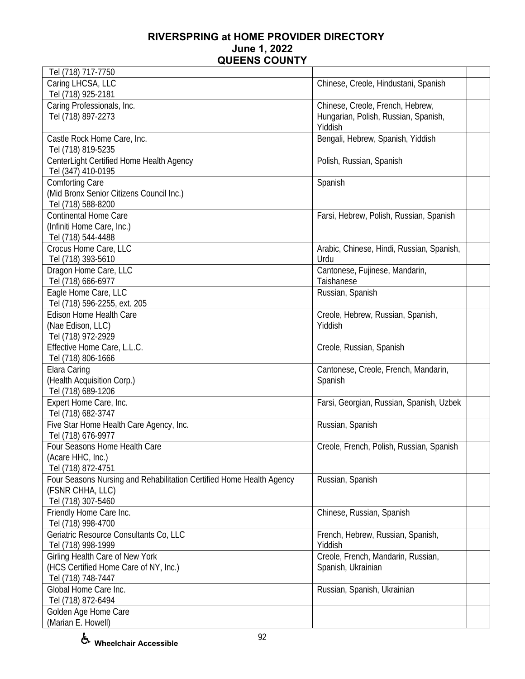| Tel (718) 717-7750                                                   |                                           |  |
|----------------------------------------------------------------------|-------------------------------------------|--|
| Caring LHCSA, LLC                                                    | Chinese, Creole, Hindustani, Spanish      |  |
| Tel (718) 925-2181                                                   |                                           |  |
| Caring Professionals, Inc.                                           | Chinese, Creole, French, Hebrew,          |  |
| Tel (718) 897-2273                                                   | Hungarian, Polish, Russian, Spanish,      |  |
|                                                                      | Yiddish                                   |  |
| Castle Rock Home Care, Inc.                                          | Bengali, Hebrew, Spanish, Yiddish         |  |
| Tel (718) 819-5235                                                   |                                           |  |
| CenterLight Certified Home Health Agency                             | Polish, Russian, Spanish                  |  |
| Tel (347) 410-0195                                                   |                                           |  |
| <b>Comforting Care</b>                                               | Spanish                                   |  |
| (Mid Bronx Senior Citizens Council Inc.)                             |                                           |  |
| Tel (718) 588-8200                                                   |                                           |  |
| <b>Continental Home Care</b>                                         | Farsi, Hebrew, Polish, Russian, Spanish   |  |
| (Infiniti Home Care, Inc.)                                           |                                           |  |
| Tel (718) 544-4488                                                   |                                           |  |
| Crocus Home Care, LLC                                                |                                           |  |
|                                                                      | Arabic, Chinese, Hindi, Russian, Spanish, |  |
| Tel (718) 393-5610                                                   | Urdu                                      |  |
| Dragon Home Care, LLC                                                | Cantonese, Fujinese, Mandarin,            |  |
| Tel (718) 666-6977                                                   | Taishanese                                |  |
| Eagle Home Care, LLC                                                 | Russian, Spanish                          |  |
| Tel (718) 596-2255, ext. 205                                         |                                           |  |
| <b>Edison Home Health Care</b>                                       | Creole, Hebrew, Russian, Spanish,         |  |
| (Nae Edison, LLC)                                                    | Yiddish                                   |  |
| Tel (718) 972-2929                                                   |                                           |  |
| Effective Home Care, L.L.C.                                          | Creole, Russian, Spanish                  |  |
| Tel (718) 806-1666                                                   |                                           |  |
| Elara Caring                                                         | Cantonese, Creole, French, Mandarin,      |  |
| (Health Acquisition Corp.)                                           | Spanish                                   |  |
| Tel (718) 689-1206                                                   |                                           |  |
| Expert Home Care, Inc.                                               | Farsi, Georgian, Russian, Spanish, Uzbek  |  |
| Tel (718) 682-3747                                                   |                                           |  |
| Five Star Home Health Care Agency, Inc.                              | Russian, Spanish                          |  |
| Tel (718) 676-9977                                                   |                                           |  |
| Four Seasons Home Health Care                                        | Creole, French, Polish, Russian, Spanish  |  |
| (Acare HHC, Inc.)                                                    |                                           |  |
| Tel (718) 872-4751                                                   |                                           |  |
| Four Seasons Nursing and Rehabilitation Certified Home Health Agency | Russian, Spanish                          |  |
| (FSNR CHHA, LLC)                                                     |                                           |  |
| Tel (718) 307-5460                                                   |                                           |  |
| Friendly Home Care Inc.                                              | Chinese, Russian, Spanish                 |  |
| Tel (718) 998-4700                                                   |                                           |  |
| Geriatric Resource Consultants Co, LLC                               | French, Hebrew, Russian, Spanish,         |  |
| Tel (718) 998-1999                                                   | Yiddish                                   |  |
| Girling Health Care of New York                                      | Creole, French, Mandarin, Russian,        |  |
| (HCS Certified Home Care of NY, Inc.)                                | Spanish, Ukrainian                        |  |
| Tel (718) 748-7447                                                   |                                           |  |
| Global Home Care Inc.                                                | Russian, Spanish, Ukrainian               |  |
| Tel (718) 872-6494                                                   |                                           |  |
| Golden Age Home Care                                                 |                                           |  |
| (Marian E. Howell)                                                   |                                           |  |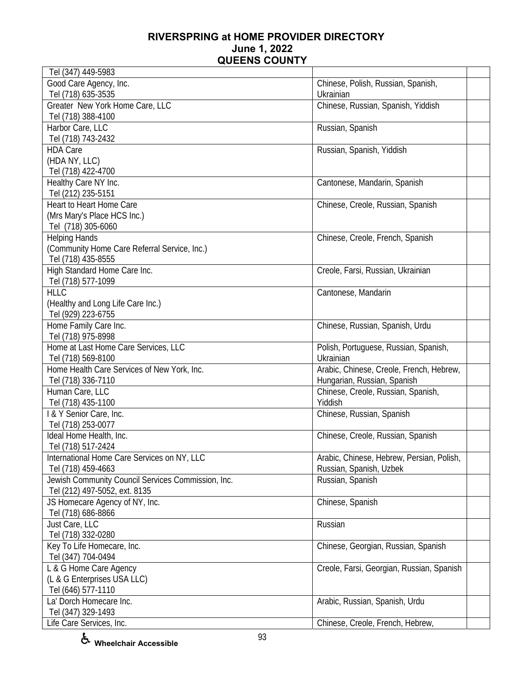| Tel (347) 449-5983                                 |                                           |  |
|----------------------------------------------------|-------------------------------------------|--|
| Good Care Agency, Inc.                             | Chinese, Polish, Russian, Spanish,        |  |
| Tel (718) 635-3535                                 | Ukrainian                                 |  |
| Greater New York Home Care, LLC                    | Chinese, Russian, Spanish, Yiddish        |  |
| Tel (718) 388-4100                                 |                                           |  |
| Harbor Care, LLC                                   | Russian, Spanish                          |  |
| Tel (718) 743-2432                                 |                                           |  |
| <b>HDA Care</b>                                    | Russian, Spanish, Yiddish                 |  |
| (HDA NY, LLC)                                      |                                           |  |
| Tel (718) 422-4700                                 |                                           |  |
| Healthy Care NY Inc.                               | Cantonese, Mandarin, Spanish              |  |
| Tel (212) 235-5151                                 |                                           |  |
| Heart to Heart Home Care                           | Chinese, Creole, Russian, Spanish         |  |
| (Mrs Mary's Place HCS Inc.)                        |                                           |  |
| Tel (718) 305-6060                                 |                                           |  |
| <b>Helping Hands</b>                               | Chinese, Creole, French, Spanish          |  |
| (Community Home Care Referral Service, Inc.)       |                                           |  |
| Tel (718) 435-8555                                 |                                           |  |
| High Standard Home Care Inc.                       | Creole, Farsi, Russian, Ukrainian         |  |
| Tel (718) 577-1099                                 |                                           |  |
| <b>HLLC</b>                                        | Cantonese, Mandarin                       |  |
| (Healthy and Long Life Care Inc.)                  |                                           |  |
| Tel (929) 223-6755                                 |                                           |  |
| Home Family Care Inc.                              | Chinese, Russian, Spanish, Urdu           |  |
| Tel (718) 975-8998                                 |                                           |  |
| Home at Last Home Care Services, LLC               | Polish, Portuguese, Russian, Spanish,     |  |
| Tel (718) 569-8100                                 | Ukrainian                                 |  |
| Home Health Care Services of New York, Inc.        | Arabic, Chinese, Creole, French, Hebrew,  |  |
| Tel (718) 336-7110                                 | Hungarian, Russian, Spanish               |  |
| Human Care, LLC                                    | Chinese, Creole, Russian, Spanish,        |  |
| Tel (718) 435-1100                                 | Yiddish                                   |  |
| I & Y Senior Care, Inc.                            | Chinese, Russian, Spanish                 |  |
|                                                    |                                           |  |
| Tel (718) 253-0077                                 |                                           |  |
| Ideal Home Health, Inc.                            | Chinese, Creole, Russian, Spanish         |  |
| Tel (718) 517-2424                                 |                                           |  |
| International Home Care Services on NY, LLC        | Arabic, Chinese, Hebrew, Persian, Polish, |  |
| Tel (718) 459-4663                                 | Russian, Spanish, Uzbek                   |  |
| Jewish Community Council Services Commission, Inc. | Russian, Spanish                          |  |
| Tel (212) 497-5052, ext. 8135                      |                                           |  |
| JS Homecare Agency of NY, Inc.                     | Chinese, Spanish                          |  |
| Tel (718) 686-8866                                 |                                           |  |
| Just Care, LLC                                     | Russian                                   |  |
| Tel (718) 332-0280                                 |                                           |  |
| Key To Life Homecare, Inc.                         | Chinese, Georgian, Russian, Spanish       |  |
| Tel (347) 704-0494                                 |                                           |  |
| L & G Home Care Agency                             | Creole, Farsi, Georgian, Russian, Spanish |  |
| (L & G Enterprises USA LLC)                        |                                           |  |
| Tel (646) 577-1110                                 |                                           |  |
| La' Dorch Homecare Inc.                            | Arabic, Russian, Spanish, Urdu            |  |
| Tel (347) 329-1493                                 |                                           |  |
| Life Care Services, Inc.                           | Chinese, Creole, French, Hebrew,          |  |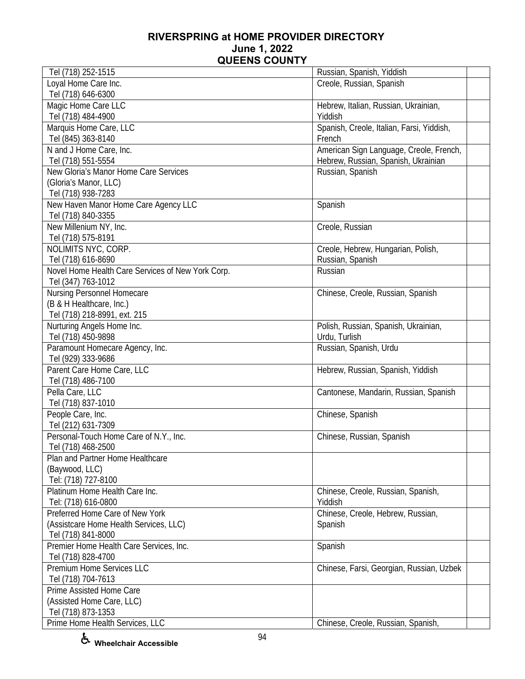| Tel (718) 252-1515                                | Russian, Spanish, Yiddish                 |  |
|---------------------------------------------------|-------------------------------------------|--|
| Loyal Home Care Inc.                              | Creole, Russian, Spanish                  |  |
| Tel (718) 646-6300                                |                                           |  |
| Magic Home Care LLC                               | Hebrew, Italian, Russian, Ukrainian,      |  |
| Tel (718) 484-4900                                | Yiddish                                   |  |
| Marquis Home Care, LLC                            | Spanish, Creole, Italian, Farsi, Yiddish, |  |
| Tel (845) 363-8140                                | French                                    |  |
| N and J Home Care, Inc.                           | American Sign Language, Creole, French,   |  |
| Tel (718) 551-5554                                | Hebrew, Russian, Spanish, Ukrainian       |  |
| New Gloria's Manor Home Care Services             | Russian, Spanish                          |  |
| (Gloria's Manor, LLC)                             |                                           |  |
| Tel (718) 938-7283                                |                                           |  |
| New Haven Manor Home Care Agency LLC              | Spanish                                   |  |
| Tel (718) 840-3355                                |                                           |  |
| New Millenium NY, Inc.                            | Creole, Russian                           |  |
| Tel (718) 575-8191                                |                                           |  |
| NOLIMITS NYC, CORP.                               | Creole, Hebrew, Hungarian, Polish,        |  |
| Tel (718) 616-8690                                | Russian, Spanish                          |  |
| Novel Home Health Care Services of New York Corp. | Russian                                   |  |
|                                                   |                                           |  |
| Tel (347) 763-1012                                |                                           |  |
| Nursing Personnel Homecare                        | Chinese, Creole, Russian, Spanish         |  |
| (B & H Healthcare, Inc.)                          |                                           |  |
| Tel (718) 218-8991, ext. 215                      |                                           |  |
| Nurturing Angels Home Inc.                        | Polish, Russian, Spanish, Ukrainian,      |  |
| Tel (718) 450-9898                                | Urdu, Turlish                             |  |
| Paramount Homecare Agency, Inc.                   | Russian, Spanish, Urdu                    |  |
| Tel (929) 333-9686                                |                                           |  |
| Parent Care Home Care, LLC                        | Hebrew, Russian, Spanish, Yiddish         |  |
| Tel (718) 486-7100                                |                                           |  |
| Pella Care, LLC                                   | Cantonese, Mandarin, Russian, Spanish     |  |
| Tel (718) 837-1010                                |                                           |  |
| People Care, Inc.                                 | Chinese, Spanish                          |  |
| Tel (212) 631-7309                                |                                           |  |
| Personal-Touch Home Care of N.Y., Inc.            | Chinese, Russian, Spanish                 |  |
| Tel (718) 468-2500                                |                                           |  |
| Plan and Partner Home Healthcare                  |                                           |  |
| (Baywood, LLC)                                    |                                           |  |
| Tel: (718) 727-8100                               |                                           |  |
| Platinum Home Health Care Inc.                    | Chinese, Creole, Russian, Spanish,        |  |
| Tel: (718) 616-0800                               | Yiddish                                   |  |
| Preferred Home Care of New York                   | Chinese, Creole, Hebrew, Russian,         |  |
| (Assistcare Home Health Services, LLC)            | Spanish                                   |  |
| Tel (718) 841-8000                                |                                           |  |
| Premier Home Health Care Services, Inc.           | Spanish                                   |  |
| Tel (718) 828-4700                                |                                           |  |
| Premium Home Services LLC                         | Chinese, Farsi, Georgian, Russian, Uzbek  |  |
| Tel (718) 704-7613                                |                                           |  |
| Prime Assisted Home Care                          |                                           |  |
| (Assisted Home Care, LLC)                         |                                           |  |
| Tel (718) 873-1353                                |                                           |  |
| Prime Home Health Services, LLC                   | Chinese, Creole, Russian, Spanish,        |  |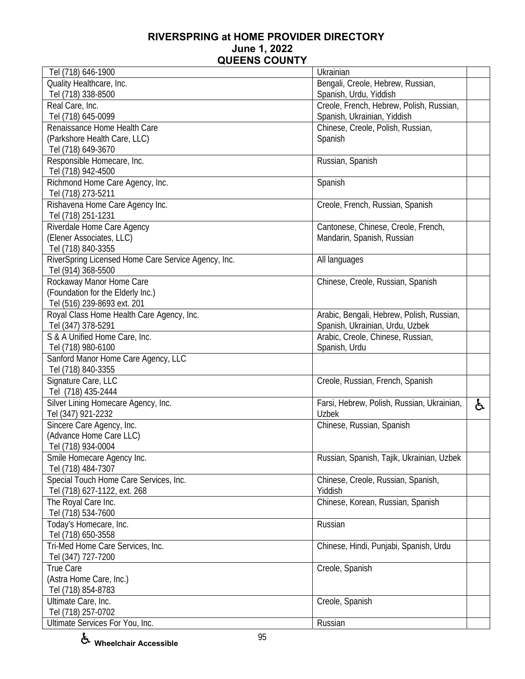| Tel (718) 646-1900                                  | Ukrainian                                  |    |
|-----------------------------------------------------|--------------------------------------------|----|
| Quality Healthcare, Inc.                            | Bengali, Creole, Hebrew, Russian,          |    |
| Tel (718) 338-8500                                  | Spanish, Urdu, Yiddish                     |    |
| Real Care, Inc.                                     | Creole, French, Hebrew, Polish, Russian,   |    |
| Tel (718) 645-0099                                  | Spanish, Ukrainian, Yiddish                |    |
| Renaissance Home Health Care                        | Chinese, Creole, Polish, Russian,          |    |
| (Parkshore Health Care, LLC)                        | Spanish                                    |    |
| Tel (718) 649-3670                                  |                                            |    |
| Responsible Homecare, Inc.                          | Russian, Spanish                           |    |
| Tel (718) 942-4500                                  |                                            |    |
| Richmond Home Care Agency, Inc.                     | Spanish                                    |    |
| Tel (718) 273-5211                                  |                                            |    |
| Rishavena Home Care Agency Inc.                     |                                            |    |
|                                                     | Creole, French, Russian, Spanish           |    |
| Tel (718) 251-1231                                  |                                            |    |
| Riverdale Home Care Agency                          | Cantonese, Chinese, Creole, French,        |    |
| (Elener Associates, LLC)                            | Mandarin, Spanish, Russian                 |    |
| Tel (718) 840-3355                                  |                                            |    |
| RiverSpring Licensed Home Care Service Agency, Inc. | All languages                              |    |
| Tel (914) 368-5500                                  |                                            |    |
| Rockaway Manor Home Care                            | Chinese, Creole, Russian, Spanish          |    |
| (Foundation for the Elderly Inc.)                   |                                            |    |
| Tel (516) 239-8693 ext. 201                         |                                            |    |
| Royal Class Home Health Care Agency, Inc.           | Arabic, Bengali, Hebrew, Polish, Russian,  |    |
| Tel (347) 378-5291                                  | Spanish, Ukrainian, Urdu, Uzbek            |    |
| S & A Unified Home Care, Inc.                       | Arabic, Creole, Chinese, Russian,          |    |
| Tel (718) 980-6100                                  | Spanish, Urdu                              |    |
| Sanford Manor Home Care Agency, LLC                 |                                            |    |
| Tel (718) 840-3355                                  |                                            |    |
| Signature Care, LLC                                 | Creole, Russian, French, Spanish           |    |
| Tel (718) 435-2444                                  |                                            |    |
| Silver Lining Homecare Agency, Inc.                 | Farsi, Hebrew, Polish, Russian, Ukrainian, | ė. |
| Tel (347) 921-2232                                  | Uzbek                                      |    |
| Sincere Care Agency, Inc.                           | Chinese, Russian, Spanish                  |    |
| (Advance Home Care LLC)                             |                                            |    |
| Tel (718) 934-0004                                  |                                            |    |
| Smile Homecare Agency Inc.                          | Russian, Spanish, Tajik, Ukrainian, Uzbek  |    |
| Tel (718) 484-7307                                  |                                            |    |
| Special Touch Home Care Services, Inc.              | Chinese, Creole, Russian, Spanish,         |    |
| Tel (718) 627-1122, ext. 268                        | Yiddish                                    |    |
| The Royal Care Inc.                                 | Chinese, Korean, Russian, Spanish          |    |
| Tel (718) 534-7600                                  |                                            |    |
| Today's Homecare, Inc.                              | Russian                                    |    |
| Tel (718) 650-3558                                  |                                            |    |
| Tri-Med Home Care Services, Inc.                    | Chinese, Hindi, Punjabi, Spanish, Urdu     |    |
| Tel (347) 727-7200                                  |                                            |    |
| True Care                                           | Creole, Spanish                            |    |
| (Astra Home Care, Inc.)                             |                                            |    |
| Tel (718) 854-8783                                  |                                            |    |
| Ultimate Care, Inc.                                 | Creole, Spanish                            |    |
| Tel (718) 257-0702                                  |                                            |    |
| Ultimate Services For You, Inc.                     | Russian                                    |    |

**Wheelchair Accessible**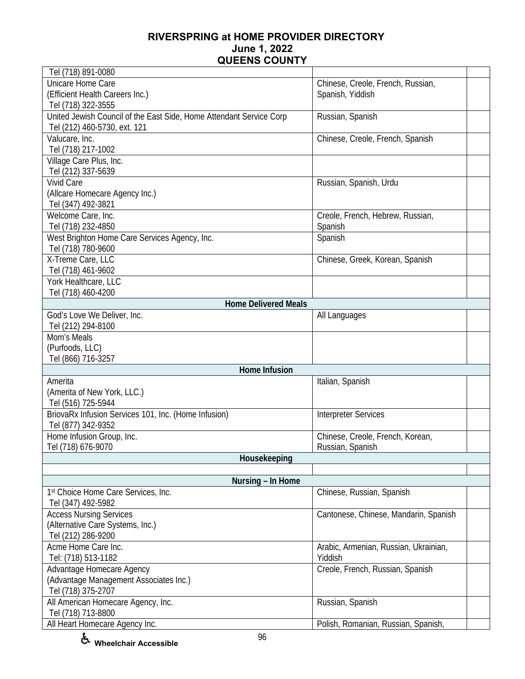| Tel (718) 891-0080                                                  |                                       |  |
|---------------------------------------------------------------------|---------------------------------------|--|
| Unicare Home Care                                                   | Chinese, Creole, French, Russian,     |  |
| (Efficient Health Careers Inc.)                                     | Spanish, Yiddish                      |  |
| Tel (718) 322-3555                                                  |                                       |  |
| United Jewish Council of the East Side, Home Attendant Service Corp | Russian, Spanish                      |  |
| Tel (212) 460-5730, ext. 121                                        |                                       |  |
| Valucare, Inc.                                                      | Chinese, Creole, French, Spanish      |  |
| Tel (718) 217-1002                                                  |                                       |  |
| Village Care Plus, Inc.                                             |                                       |  |
| Tel (212) 337-5639                                                  |                                       |  |
| <b>Vivid Care</b>                                                   | Russian, Spanish, Urdu                |  |
| (Allcare Homecare Agency Inc.)                                      |                                       |  |
| Tel (347) 492-3821                                                  |                                       |  |
| Welcome Care, Inc.                                                  | Creole, French, Hebrew, Russian,      |  |
| Tel (718) 232-4850                                                  | Spanish                               |  |
| West Brighton Home Care Services Agency, Inc.                       |                                       |  |
|                                                                     | Spanish                               |  |
| Tel (718) 780-9600                                                  |                                       |  |
| X-Treme Care, LLC                                                   | Chinese, Greek, Korean, Spanish       |  |
| Tel (718) 461-9602                                                  |                                       |  |
| York Healthcare, LLC                                                |                                       |  |
| Tel (718) 460-4200                                                  |                                       |  |
| <b>Home Delivered Meals</b>                                         |                                       |  |
| God's Love We Deliver, Inc.                                         | All Languages                         |  |
| Tel (212) 294-8100                                                  |                                       |  |
| Mom's Meals                                                         |                                       |  |
| (Purfoods, LLC)                                                     |                                       |  |
| Tel (866) 716-3257                                                  |                                       |  |
| Home Infusion                                                       |                                       |  |
| Amerita                                                             | Italian, Spanish                      |  |
| (Amerita of New York, LLC.)                                         |                                       |  |
| Tel (516) 725-5944                                                  |                                       |  |
| BriovaRx Infusion Services 101, Inc. (Home Infusion)                | <b>Interpreter Services</b>           |  |
| Tel (877) 342-9352                                                  |                                       |  |
| Home Infusion Group, Inc.                                           | Chinese, Creole, French, Korean,      |  |
| Tel (718) 676-9070                                                  | Russian, Spanish                      |  |
| Housekeeping                                                        |                                       |  |
|                                                                     |                                       |  |
| Nursing - In Home                                                   |                                       |  |
| 1st Choice Home Care Services, Inc.                                 | Chinese, Russian, Spanish             |  |
| Tel (347) 492-5982                                                  |                                       |  |
| <b>Access Nursing Services</b>                                      | Cantonese, Chinese, Mandarin, Spanish |  |
| (Alternative Care Systems, Inc.)                                    |                                       |  |
| Tel (212) 286-9200                                                  |                                       |  |
| Acme Home Care Inc.                                                 | Arabic, Armenian, Russian, Ukrainian, |  |
| Tel: (718) 513-1182                                                 | Yiddish                               |  |
| Advantage Homecare Agency                                           | Creole, French, Russian, Spanish      |  |
| (Advantage Management Associates Inc.)                              |                                       |  |
| Tel (718) 375-2707                                                  |                                       |  |
| All American Homecare Agency, Inc.                                  | Russian, Spanish                      |  |
| Tel (718) 713-8800                                                  |                                       |  |
| All Heart Homecare Agency Inc.                                      | Polish, Romanian, Russian, Spanish,   |  |
|                                                                     |                                       |  |

**Wheelchair Accessible**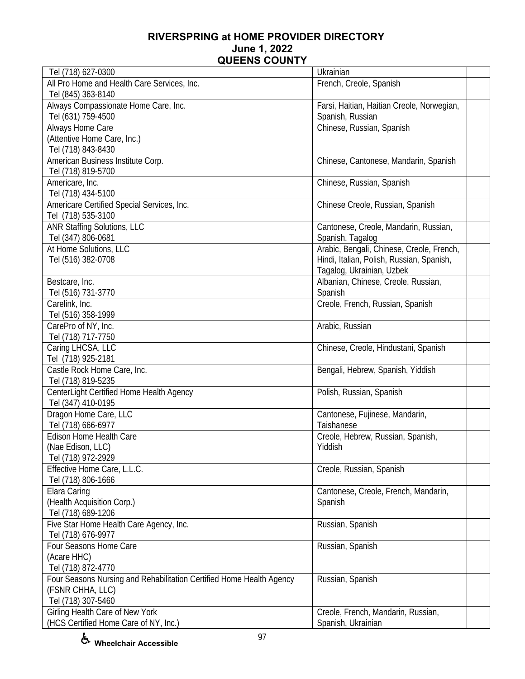| Tel (718) 627-0300                                                   | Ukrainian                                                      |  |
|----------------------------------------------------------------------|----------------------------------------------------------------|--|
| All Pro Home and Health Care Services, Inc.<br>Tel (845) 363-8140    | French, Creole, Spanish                                        |  |
| Always Compassionate Home Care, Inc.<br>Tel (631) 759-4500           | Farsi, Haitian, Haitian Creole, Norwegian,<br>Spanish, Russian |  |
| Always Home Care                                                     | Chinese, Russian, Spanish                                      |  |
| (Attentive Home Care, Inc.)                                          |                                                                |  |
| Tel (718) 843-8430                                                   |                                                                |  |
| American Business Institute Corp.                                    | Chinese, Cantonese, Mandarin, Spanish                          |  |
| Tel (718) 819-5700                                                   |                                                                |  |
| Americare, Inc.                                                      | Chinese, Russian, Spanish                                      |  |
| Tel (718) 434-5100                                                   |                                                                |  |
| Americare Certified Special Services, Inc.                           | Chinese Creole, Russian, Spanish                               |  |
| Tel (718) 535-3100                                                   |                                                                |  |
| <b>ANR Staffing Solutions, LLC</b>                                   | Cantonese, Creole, Mandarin, Russian,                          |  |
| Tel (347) 806-0681                                                   | Spanish, Tagalog                                               |  |
| At Home Solutions, LLC                                               | Arabic, Bengali, Chinese, Creole, French,                      |  |
| Tel (516) 382-0708                                                   | Hindi, Italian, Polish, Russian, Spanish,                      |  |
|                                                                      | Tagalog, Ukrainian, Uzbek                                      |  |
| Bestcare, Inc.                                                       | Albanian, Chinese, Creole, Russian,                            |  |
| Tel (516) 731-3770                                                   | Spanish                                                        |  |
| Carelink, Inc.                                                       | Creole, French, Russian, Spanish                               |  |
| Tel (516) 358-1999                                                   |                                                                |  |
| CarePro of NY, Inc.                                                  | Arabic, Russian                                                |  |
| Tel (718) 717-7750                                                   |                                                                |  |
| Caring LHCSA, LLC                                                    | Chinese, Creole, Hindustani, Spanish                           |  |
| Tel (718) 925-2181                                                   |                                                                |  |
| Castle Rock Home Care, Inc.                                          | Bengali, Hebrew, Spanish, Yiddish                              |  |
| Tel (718) 819-5235<br>CenterLight Certified Home Health Agency       | Polish, Russian, Spanish                                       |  |
| Tel (347) 410-0195                                                   |                                                                |  |
| Dragon Home Care, LLC                                                | Cantonese, Fujinese, Mandarin,                                 |  |
| Tel (718) 666-6977                                                   | Taishanese                                                     |  |
| Edison Home Health Care                                              | Creole, Hebrew, Russian, Spanish,                              |  |
| (Nae Edison, LLC)                                                    | Yiddish                                                        |  |
| Tel (718) 972-2929                                                   |                                                                |  |
| Effective Home Care, L.L.C.                                          | Creole, Russian, Spanish                                       |  |
| Tel (718) 806-1666                                                   |                                                                |  |
| Elara Caring                                                         | Cantonese, Creole, French, Mandarin,                           |  |
| (Health Acquisition Corp.)                                           | Spanish                                                        |  |
| Tel (718) 689-1206                                                   |                                                                |  |
| Five Star Home Health Care Agency, Inc.                              | Russian, Spanish                                               |  |
| Tel (718) 676-9977                                                   |                                                                |  |
| Four Seasons Home Care                                               | Russian, Spanish                                               |  |
| (Acare HHC)                                                          |                                                                |  |
| Tel (718) 872-4770                                                   |                                                                |  |
| Four Seasons Nursing and Rehabilitation Certified Home Health Agency | Russian, Spanish                                               |  |
| (FSNR CHHA, LLC)                                                     |                                                                |  |
| Tel (718) 307-5460                                                   |                                                                |  |
| Girling Health Care of New York                                      | Creole, French, Mandarin, Russian,                             |  |
| (HCS Certified Home Care of NY, Inc.)                                | Spanish, Ukrainian                                             |  |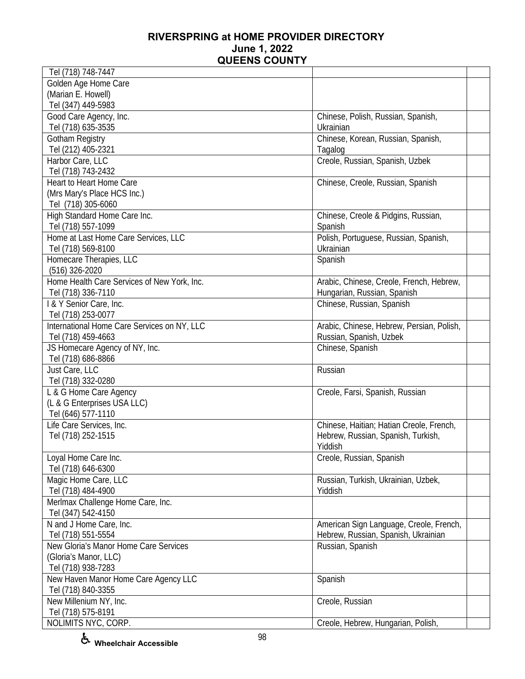| Tel (718) 748-7447                                   |                                           |  |
|------------------------------------------------------|-------------------------------------------|--|
| Golden Age Home Care                                 |                                           |  |
| (Marian E. Howell)                                   |                                           |  |
| Tel (347) 449-5983                                   |                                           |  |
| Good Care Agency, Inc.                               | Chinese, Polish, Russian, Spanish,        |  |
| Tel (718) 635-3535                                   | Ukrainian                                 |  |
| Gotham Registry                                      | Chinese, Korean, Russian, Spanish,        |  |
| Tel (212) 405-2321                                   | Tagalog                                   |  |
| Harbor Care, LLC                                     | Creole, Russian, Spanish, Uzbek           |  |
| Tel (718) 743-2432                                   |                                           |  |
| Heart to Heart Home Care                             | Chinese, Creole, Russian, Spanish         |  |
| (Mrs Mary's Place HCS Inc.)                          |                                           |  |
| Tel (718) 305-6060                                   |                                           |  |
| High Standard Home Care Inc.                         | Chinese, Creole & Pidgins, Russian,       |  |
| Tel (718) 557-1099                                   | Spanish                                   |  |
| Home at Last Home Care Services, LLC                 | Polish, Portuguese, Russian, Spanish,     |  |
| Tel (718) 569-8100                                   | Ukrainian                                 |  |
| Homecare Therapies, LLC                              | Spanish                                   |  |
| $(516)$ 326-2020                                     |                                           |  |
| Home Health Care Services of New York, Inc.          | Arabic, Chinese, Creole, French, Hebrew,  |  |
| Tel (718) 336-7110                                   | Hungarian, Russian, Spanish               |  |
| I & Y Senior Care, Inc.                              | Chinese, Russian, Spanish                 |  |
| Tel (718) 253-0077                                   |                                           |  |
| International Home Care Services on NY, LLC          | Arabic, Chinese, Hebrew, Persian, Polish, |  |
|                                                      | Russian, Spanish, Uzbek                   |  |
| Tel (718) 459-4663<br>JS Homecare Agency of NY, Inc. |                                           |  |
|                                                      | Chinese, Spanish                          |  |
| Tel (718) 686-8866<br>Just Care, LLC                 | Russian                                   |  |
|                                                      |                                           |  |
| Tel (718) 332-0280                                   |                                           |  |
| L & G Home Care Agency                               | Creole, Farsi, Spanish, Russian           |  |
| (L & G Enterprises USA LLC)                          |                                           |  |
| Tel (646) 577-1110                                   | Chinese, Haitian; Hatian Creole, French,  |  |
| Life Care Services, Inc.                             |                                           |  |
| Tel (718) 252-1515                                   | Hebrew, Russian, Spanish, Turkish,        |  |
|                                                      | Yiddish                                   |  |
| Loyal Home Care Inc.                                 | Creole, Russian, Spanish                  |  |
| Tel (718) 646-6300                                   |                                           |  |
| Magic Home Care, LLC                                 | Russian, Turkish, Ukrainian, Uzbek,       |  |
| Tel (718) 484-4900                                   | Yiddish                                   |  |
| Merlmax Challenge Home Care, Inc.                    |                                           |  |
| Tel (347) 542-4150                                   |                                           |  |
| N and J Home Care, Inc.                              | American Sign Language, Creole, French,   |  |
| Tel (718) 551-5554                                   | Hebrew, Russian, Spanish, Ukrainian       |  |
| New Gloria's Manor Home Care Services                | Russian, Spanish                          |  |
| (Gloria's Manor, LLC)                                |                                           |  |
| Tel (718) 938-7283                                   |                                           |  |
| New Haven Manor Home Care Agency LLC                 | Spanish                                   |  |
| Tel (718) 840-3355                                   |                                           |  |
| New Millenium NY, Inc.                               | Creole, Russian                           |  |
| Tel (718) 575-8191                                   |                                           |  |
| NOLIMITS NYC, CORP.                                  | Creole, Hebrew, Hungarian, Polish,        |  |

**Wheelchair Accessible**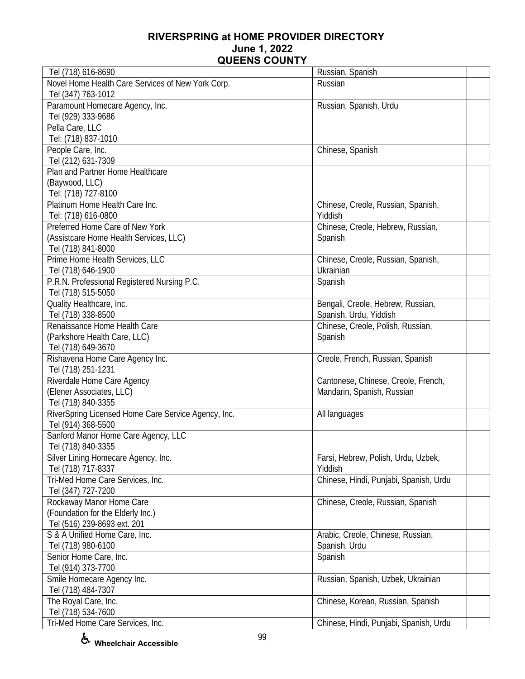| Tel (718) 616-8690                                  | Russian, Spanish                       |
|-----------------------------------------------------|----------------------------------------|
| Novel Home Health Care Services of New York Corp.   | Russian                                |
| Tel (347) 763-1012                                  |                                        |
| Paramount Homecare Agency, Inc.                     | Russian, Spanish, Urdu                 |
| Tel (929) 333-9686                                  |                                        |
| Pella Care, LLC                                     |                                        |
| Tel: (718) 837-1010                                 |                                        |
| People Care, Inc.                                   | Chinese, Spanish                       |
| Tel (212) 631-7309                                  |                                        |
| Plan and Partner Home Healthcare                    |                                        |
| (Baywood, LLC)                                      |                                        |
| Tel: (718) 727-8100                                 |                                        |
| Platinum Home Health Care Inc.                      | Chinese, Creole, Russian, Spanish,     |
| Tel: (718) 616-0800                                 | Yiddish                                |
| Preferred Home Care of New York                     | Chinese, Creole, Hebrew, Russian,      |
| (Assistcare Home Health Services, LLC)              | Spanish                                |
| Tel (718) 841-8000                                  |                                        |
| Prime Home Health Services, LLC                     | Chinese, Creole, Russian, Spanish,     |
| Tel (718) 646-1900                                  | Ukrainian                              |
| P.R.N. Professional Registered Nursing P.C.         | Spanish                                |
| Tel (718) 515-5050                                  |                                        |
| Quality Healthcare, Inc.                            | Bengali, Creole, Hebrew, Russian,      |
| Tel (718) 338-8500                                  | Spanish, Urdu, Yiddish                 |
| Renaissance Home Health Care                        | Chinese, Creole, Polish, Russian,      |
| (Parkshore Health Care, LLC)                        | Spanish                                |
| Tel (718) 649-3670                                  |                                        |
| Rishavena Home Care Agency Inc.                     | Creole, French, Russian, Spanish       |
| Tel (718) 251-1231                                  |                                        |
| Riverdale Home Care Agency                          | Cantonese, Chinese, Creole, French,    |
| (Elener Associates, LLC)                            | Mandarin, Spanish, Russian             |
| Tel (718) 840-3355                                  |                                        |
| RiverSpring Licensed Home Care Service Agency, Inc. | All languages                          |
| Tel (914) 368-5500                                  |                                        |
| Sanford Manor Home Care Agency, LLC                 |                                        |
| Tel (718) 840-3355                                  |                                        |
| Silver Lining Homecare Agency, Inc.                 | Farsi, Hebrew, Polish, Urdu, Uzbek,    |
| Tel (718) 717-8337                                  | Yiddish                                |
| Tri-Med Home Care Services, Inc.                    | Chinese, Hindi, Punjabi, Spanish, Urdu |
| Tel (347) 727-7200                                  |                                        |
| Rockaway Manor Home Care                            | Chinese, Creole, Russian, Spanish      |
| (Foundation for the Elderly Inc.)                   |                                        |
| Tel (516) 239-8693 ext. 201                         |                                        |
| S & A Unified Home Care, Inc.                       | Arabic, Creole, Chinese, Russian,      |
| Tel (718) 980-6100                                  | Spanish, Urdu                          |
| Senior Home Care, Inc.                              | Spanish                                |
| Tel (914) 373-7700                                  |                                        |
| Smile Homecare Agency Inc.                          | Russian, Spanish, Uzbek, Ukrainian     |
| Tel (718) 484-7307                                  |                                        |
| The Royal Care, Inc.                                | Chinese, Korean, Russian, Spanish      |
| Tel (718) 534-7600                                  |                                        |
| Tri-Med Home Care Services, Inc.                    | Chinese, Hindi, Punjabi, Spanish, Urdu |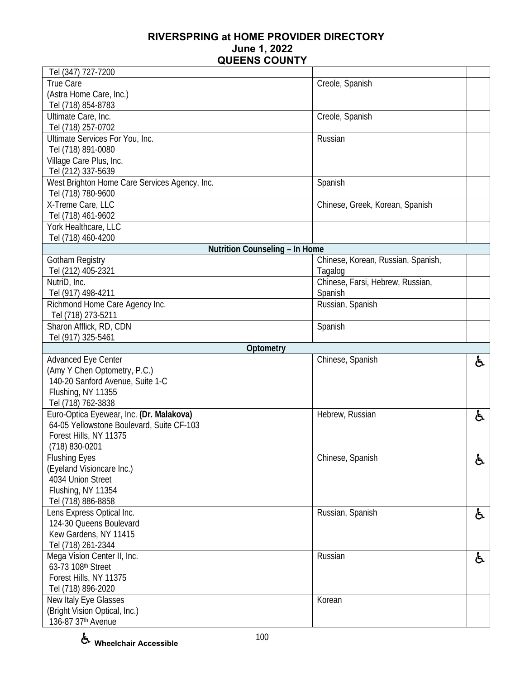| Tel (347) 727-7200                                                                    |                                    |    |
|---------------------------------------------------------------------------------------|------------------------------------|----|
| True Care                                                                             | Creole, Spanish                    |    |
| (Astra Home Care, Inc.)                                                               |                                    |    |
| Tel (718) 854-8783                                                                    |                                    |    |
| Ultimate Care, Inc.                                                                   | Creole, Spanish                    |    |
| Tel (718) 257-0702                                                                    |                                    |    |
| Ultimate Services For You, Inc.                                                       | Russian                            |    |
| Tel (718) 891-0080                                                                    |                                    |    |
| Village Care Plus, Inc.                                                               |                                    |    |
| Tel (212) 337-5639                                                                    |                                    |    |
| West Brighton Home Care Services Agency, Inc.                                         | Spanish                            |    |
| Tel (718) 780-9600                                                                    |                                    |    |
| X-Treme Care, LLC                                                                     | Chinese, Greek, Korean, Spanish    |    |
| Tel (718) 461-9602                                                                    |                                    |    |
| York Healthcare, LLC                                                                  |                                    |    |
| Tel (718) 460-4200                                                                    |                                    |    |
| Nutrition Counseling - In Home                                                        |                                    |    |
| <b>Gotham Registry</b>                                                                | Chinese, Korean, Russian, Spanish, |    |
| Tel (212) 405-2321                                                                    | Tagalog                            |    |
| NutriD, Inc.                                                                          | Chinese, Farsi, Hebrew, Russian,   |    |
| Tel (917) 498-4211                                                                    | Spanish                            |    |
| Richmond Home Care Agency Inc.                                                        | Russian, Spanish                   |    |
| Tel (718) 273-5211                                                                    |                                    |    |
| Sharon Afflick, RD, CDN                                                               | Spanish                            |    |
| Tel (917) 325-5461                                                                    |                                    |    |
|                                                                                       |                                    |    |
|                                                                                       |                                    |    |
| Optometry                                                                             |                                    |    |
| Advanced Eye Center                                                                   | Chinese, Spanish                   | ė, |
| (Amy Y Chen Optometry, P.C.)<br>140-20 Sanford Avenue, Suite 1-C                      |                                    |    |
|                                                                                       |                                    |    |
| Flushing, NY 11355<br>Tel (718) 762-3838                                              |                                    |    |
|                                                                                       | Hebrew, Russian                    |    |
| Euro-Optica Eyewear, Inc. (Dr. Malakova)<br>64-05 Yellowstone Boulevard, Suite CF-103 |                                    | ę. |
| Forest Hills, NY 11375                                                                |                                    |    |
| (718) 830-0201                                                                        |                                    |    |
|                                                                                       |                                    |    |
| <b>Flushing Eyes</b><br>(Eyeland Visioncare Inc.)                                     | Chinese, Spanish                   | ę. |
| 4034 Union Street                                                                     |                                    |    |
| Flushing, NY 11354                                                                    |                                    |    |
| Tel (718) 886-8858                                                                    |                                    |    |
| Lens Express Optical Inc.                                                             | Russian, Spanish                   |    |
| 124-30 Queens Boulevard                                                               |                                    | ę. |
| Kew Gardens, NY 11415                                                                 |                                    |    |
| Tel (718) 261-2344                                                                    |                                    |    |
| Mega Vision Center II, Inc.                                                           | Russian                            |    |
| 63-73 108th Street                                                                    |                                    | ę. |
| Forest Hills, NY 11375                                                                |                                    |    |
| Tel (718) 896-2020                                                                    |                                    |    |
| New Italy Eye Glasses                                                                 | Korean                             |    |
| (Bright Vision Optical, Inc.)                                                         |                                    |    |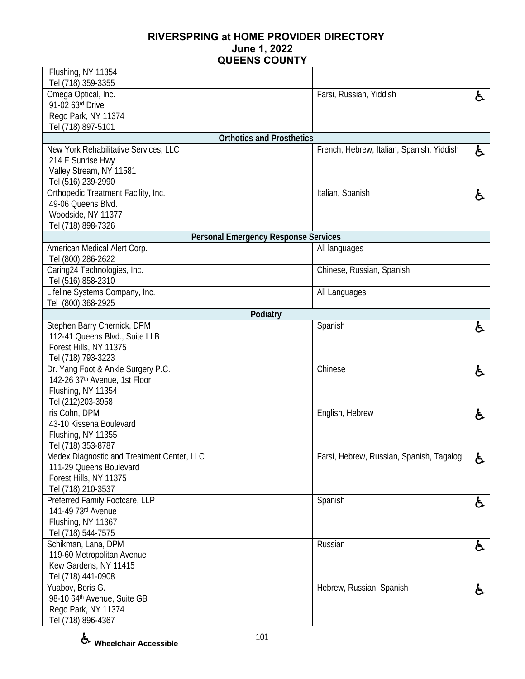| Flushing, NY 11354                                   |                                           |    |
|------------------------------------------------------|-------------------------------------------|----|
| Tel (718) 359-3355                                   | Farsi, Russian, Yiddish                   |    |
| Omega Optical, Inc.<br>91-02 63rd Drive              |                                           | と  |
| Rego Park, NY 11374                                  |                                           |    |
| Tel (718) 897-5101                                   |                                           |    |
| <b>Orthotics and Prosthetics</b>                     |                                           |    |
| New York Rehabilitative Services, LLC                | French, Hebrew, Italian, Spanish, Yiddish | ė. |
| 214 E Sunrise Hwy                                    |                                           |    |
| Valley Stream, NY 11581                              |                                           |    |
| Tel (516) 239-2990                                   |                                           |    |
| Orthopedic Treatment Facility, Inc.                  | Italian, Spanish                          | ė. |
| 49-06 Queens Blvd.                                   |                                           |    |
| Woodside, NY 11377                                   |                                           |    |
| Tel (718) 898-7326                                   |                                           |    |
| <b>Personal Emergency Response Services</b>          |                                           |    |
| American Medical Alert Corp.                         | All languages                             |    |
| Tel (800) 286-2622                                   |                                           |    |
| Caring24 Technologies, Inc.                          | Chinese, Russian, Spanish                 |    |
| Tel (516) 858-2310<br>Lifeline Systems Company, Inc. |                                           |    |
| Tel (800) 368-2925                                   | All Languages                             |    |
| Podiatry                                             |                                           |    |
| Stephen Barry Chernick, DPM                          | Spanish                                   | ė. |
| 112-41 Queens Blvd., Suite LLB                       |                                           |    |
| Forest Hills, NY 11375                               |                                           |    |
| Tel (718) 793-3223                                   |                                           |    |
| Dr. Yang Foot & Ankle Surgery P.C.                   | Chinese                                   | ė. |
| 142-26 37th Avenue, 1st Floor                        |                                           |    |
| Flushing, NY 11354                                   |                                           |    |
| Tel (212) 203-3958                                   |                                           |    |
| Iris Cohn, DPM                                       | English, Hebrew                           | ę. |
| 43-10 Kissena Boulevard                              |                                           |    |
| Flushing, NY 11355                                   |                                           |    |
| Tel (718) 353-8787                                   |                                           |    |
| Medex Diagnostic and Treatment Center, LLC           | Farsi, Hebrew, Russian, Spanish, Tagalog  | ę. |
| 111-29 Queens Boulevard                              |                                           |    |
| Forest Hills, NY 11375<br>Tel (718) 210-3537         |                                           |    |
| Preferred Family Footcare, LLP                       | Spanish                                   |    |
| 141-49 73rd Avenue                                   |                                           | と  |
| Flushing, NY 11367                                   |                                           |    |
| Tel (718) 544-7575                                   |                                           |    |
| Schikman, Lana, DPM                                  | Russian                                   | と  |
| 119-60 Metropolitan Avenue                           |                                           |    |
| Kew Gardens, NY 11415                                |                                           |    |
| Tel (718) 441-0908                                   |                                           |    |
| Yuabov, Boris G.                                     | Hebrew, Russian, Spanish                  | と  |
| 98-10 64th Avenue, Suite GB                          |                                           |    |
| Rego Park, NY 11374                                  |                                           |    |
| Tel (718) 896-4367                                   |                                           |    |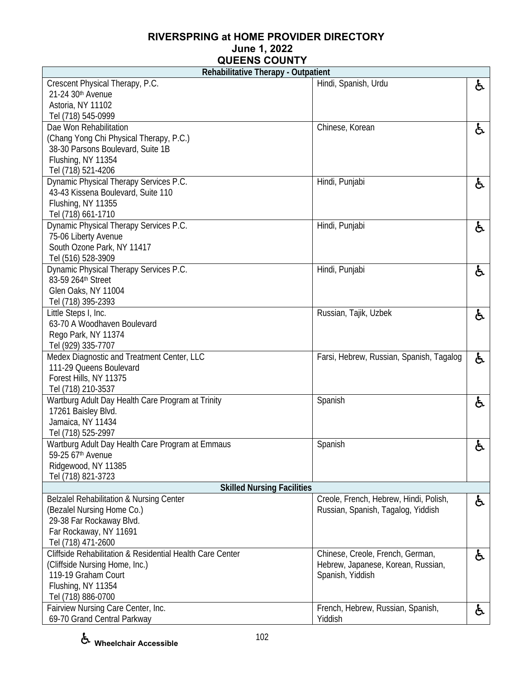| Rehabilitative Therapy - Outpatient                              |                                          |    |
|------------------------------------------------------------------|------------------------------------------|----|
| Crescent Physical Therapy, P.C.                                  | Hindi, Spanish, Urdu                     | ę. |
| 21-24 30th Avenue                                                |                                          |    |
| Astoria, NY 11102                                                |                                          |    |
| Tel (718) 545-0999                                               |                                          |    |
| Dae Won Rehabilitation                                           | Chinese, Korean                          | と  |
| (Chang Yong Chi Physical Therapy, P.C.)                          |                                          |    |
| 38-30 Parsons Boulevard, Suite 1B                                |                                          |    |
| Flushing, NY 11354                                               |                                          |    |
| Tel (718) 521-4206                                               |                                          |    |
| Dynamic Physical Therapy Services P.C.                           | Hindi, Punjabi                           | と  |
| 43-43 Kissena Boulevard, Suite 110                               |                                          |    |
| Flushing, NY 11355                                               |                                          |    |
| Tel (718) 661-1710                                               |                                          |    |
| Dynamic Physical Therapy Services P.C.                           | Hindi, Punjabi                           | ę. |
| 75-06 Liberty Avenue                                             |                                          |    |
| South Ozone Park, NY 11417                                       |                                          |    |
| Tel (516) 528-3909                                               |                                          |    |
| Dynamic Physical Therapy Services P.C.                           | Hindi, Punjabi                           | ę. |
| 83-59 264th Street                                               |                                          |    |
| Glen Oaks, NY 11004                                              |                                          |    |
| Tel (718) 395-2393                                               |                                          |    |
| Little Steps I, Inc.                                             | Russian, Tajik, Uzbek                    | と  |
| 63-70 A Woodhaven Boulevard                                      |                                          |    |
| Rego Park, NY 11374                                              |                                          |    |
| Tel (929) 335-7707<br>Medex Diagnostic and Treatment Center, LLC |                                          |    |
| 111-29 Queens Boulevard                                          | Farsi, Hebrew, Russian, Spanish, Tagalog | と  |
| Forest Hills, NY 11375                                           |                                          |    |
| Tel (718) 210-3537                                               |                                          |    |
| Wartburg Adult Day Health Care Program at Trinity                | Spanish                                  |    |
| 17261 Baisley Blvd.                                              |                                          | ę. |
| Jamaica, NY 11434                                                |                                          |    |
| Tel (718) 525-2997                                               |                                          |    |
| Wartburg Adult Day Health Care Program at Emmaus                 | Spanish                                  | ę. |
| 59-25 67th Avenue                                                |                                          |    |
| Ridgewood, NY 11385                                              |                                          |    |
| Tel (718) 821-3723                                               |                                          |    |
| <b>Skilled Nursing Facilities</b>                                |                                          |    |
| <b>Belzalel Rehabilitation &amp; Nursing Center</b>              | Creole, French, Hebrew, Hindi, Polish,   | ę. |
| (Bezalel Nursing Home Co.)                                       | Russian, Spanish, Tagalog, Yiddish       |    |
| 29-38 Far Rockaway Blvd.                                         |                                          |    |
| Far Rockaway, NY 11691                                           |                                          |    |
| Tel (718) 471-2600                                               |                                          |    |
| Cliffside Rehabilitation & Residential Health Care Center        | Chinese, Creole, French, German,         | ę. |
| (Cliffside Nursing Home, Inc.)                                   | Hebrew, Japanese, Korean, Russian,       |    |
| 119-19 Graham Court                                              | Spanish, Yiddish                         |    |
| Flushing, NY 11354                                               |                                          |    |
| Tel (718) 886-0700                                               |                                          |    |
| Fairview Nursing Care Center, Inc.                               | French, Hebrew, Russian, Spanish,        | と  |
| 69-70 Grand Central Parkway                                      | Yiddish                                  |    |

**Wheelchair Accessible**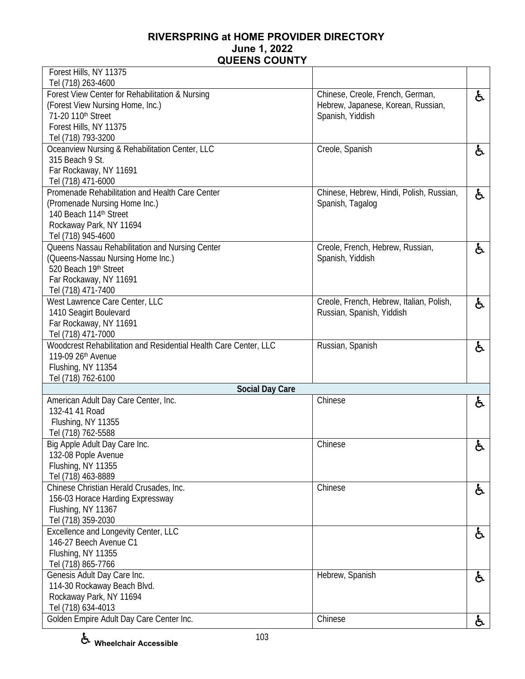| Forest Hills, NY 11375                                                                 |                                          |    |
|----------------------------------------------------------------------------------------|------------------------------------------|----|
| Tel (718) 263-4600<br>Forest View Center for Rehabilitation & Nursing                  | Chinese, Creole, French, German,         |    |
| (Forest View Nursing Home, Inc.)                                                       | Hebrew, Japanese, Korean, Russian,       | £. |
| 71-20 110th Street                                                                     | Spanish, Yiddish                         |    |
| Forest Hills, NY 11375                                                                 |                                          |    |
| Tel (718) 793-3200                                                                     |                                          |    |
| Oceanview Nursing & Rehabilitation Center, LLC                                         | Creole, Spanish                          | 占  |
| 315 Beach 9 St.                                                                        |                                          |    |
| Far Rockaway, NY 11691                                                                 |                                          |    |
| Tel (718) 471-6000                                                                     |                                          |    |
| Promenade Rehabilitation and Health Care Center                                        | Chinese, Hebrew, Hindi, Polish, Russian, | £. |
| (Promenade Nursing Home Inc.)                                                          | Spanish, Tagalog                         |    |
| 140 Beach 114th Street                                                                 |                                          |    |
| Rockaway Park, NY 11694                                                                |                                          |    |
| Tel (718) 945-4600                                                                     |                                          |    |
| Queens Nassau Rehabilitation and Nursing Center                                        | Creole, French, Hebrew, Russian,         | £. |
| (Queens-Nassau Nursing Home Inc.)                                                      | Spanish, Yiddish                         |    |
| 520 Beach 19th Street                                                                  |                                          |    |
| Far Rockaway, NY 11691                                                                 |                                          |    |
| Tel (718) 471-7400                                                                     |                                          |    |
| West Lawrence Care Center, LLC                                                         | Creole, French, Hebrew, Italian, Polish, | と  |
| 1410 Seagirt Boulevard                                                                 | Russian, Spanish, Yiddish                |    |
| Far Rockaway, NY 11691                                                                 |                                          |    |
| Tel (718) 471-7000                                                                     |                                          |    |
| Woodcrest Rehabilitation and Residential Health Care Center, LLC<br>119-09 26th Avenue | Russian, Spanish                         | £. |
|                                                                                        |                                          |    |
| Flushing, NY 11354<br>Tel (718) 762-6100                                               |                                          |    |
| <b>Social Day Care</b>                                                                 |                                          |    |
| American Adult Day Care Center, Inc.                                                   | Chinese                                  | ė. |
| 132-41 41 Road                                                                         |                                          |    |
| Flushing, NY 11355                                                                     |                                          |    |
| Tel (718) 762-5588                                                                     |                                          |    |
| Big Apple Adult Day Care Inc.                                                          | Chinese                                  | ę. |
| 132-08 Pople Avenue                                                                    |                                          |    |
| Flushing, NY 11355                                                                     |                                          |    |
| Tel (718) 463-8889                                                                     |                                          |    |
| Chinese Christian Herald Crusades, Inc.                                                | Chinese                                  | ė. |
| 156-03 Horace Harding Expressway                                                       |                                          |    |
| Flushing, NY 11367                                                                     |                                          |    |
| Tel (718) 359-2030                                                                     |                                          |    |
| <b>Excellence and Longevity Center, LLC</b>                                            |                                          | ė. |
| 146-27 Beech Avenue C1                                                                 |                                          |    |
| Flushing, NY 11355                                                                     |                                          |    |
| Tel (718) 865-7766                                                                     |                                          |    |
| Genesis Adult Day Care Inc.                                                            | Hebrew, Spanish                          | と  |
| 114-30 Rockaway Beach Blvd.                                                            |                                          |    |
| Rockaway Park, NY 11694<br>Tel (718) 634-4013                                          |                                          |    |
| Golden Empire Adult Day Care Center Inc.                                               | Chinese                                  |    |
|                                                                                        |                                          | Α. |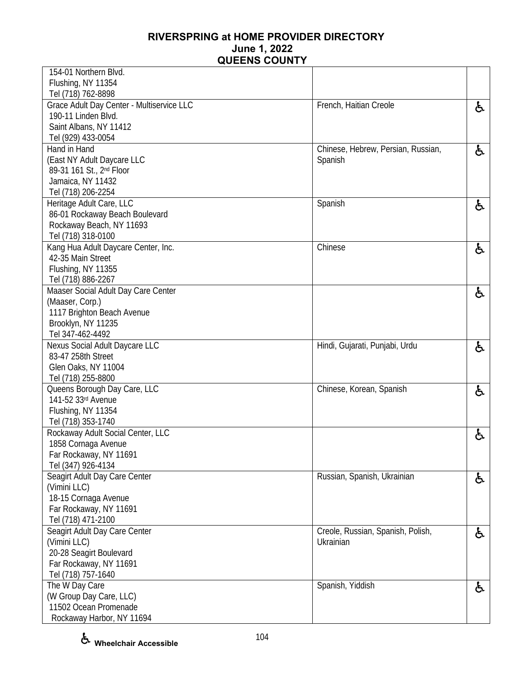| 154-01 Northern Blvd.                              |                                    |    |
|----------------------------------------------------|------------------------------------|----|
| Flushing, NY 11354                                 |                                    |    |
| Tel (718) 762-8898                                 |                                    |    |
| Grace Adult Day Center - Multiservice LLC          | French, Haitian Creole             | ę. |
| 190-11 Linden Blvd.                                |                                    |    |
| Saint Albans, NY 11412                             |                                    |    |
| Tel (929) 433-0054                                 |                                    |    |
| Hand in Hand                                       | Chinese, Hebrew, Persian, Russian, | ę. |
| (East NY Adult Daycare LLC                         | Spanish                            |    |
| 89-31 161 St., 2 <sup>nd</sup> Floor               |                                    |    |
| Jamaica, NY 11432                                  |                                    |    |
| Tel (718) 206-2254                                 |                                    |    |
| Heritage Adult Care, LLC                           | Spanish                            | と  |
| 86-01 Rockaway Beach Boulevard                     |                                    |    |
| Rockaway Beach, NY 11693                           |                                    |    |
| Tel (718) 318-0100                                 |                                    |    |
| Kang Hua Adult Daycare Center, Inc.                | Chinese                            | と  |
| 42-35 Main Street                                  |                                    |    |
| Flushing, NY 11355                                 |                                    |    |
| Tel (718) 886-2267                                 |                                    |    |
| Maaser Social Adult Day Care Center                |                                    | と  |
| (Maaser, Corp.)                                    |                                    |    |
| 1117 Brighton Beach Avenue                         |                                    |    |
| Brooklyn, NY 11235                                 |                                    |    |
| Tel 347-462-4492                                   |                                    |    |
| Nexus Social Adult Daycare LLC                     | Hindi, Gujarati, Punjabi, Urdu     | 占  |
| 83-47 258th Street                                 |                                    |    |
| Glen Oaks, NY 11004                                |                                    |    |
| Tel (718) 255-8800<br>Queens Borough Day Care, LLC |                                    |    |
| 141-52 33rd Avenue                                 | Chinese, Korean, Spanish           | と  |
| Flushing, NY 11354                                 |                                    |    |
| Tel (718) 353-1740                                 |                                    |    |
| Rockaway Adult Social Center, LLC                  |                                    |    |
| 1858 Cornaga Avenue                                |                                    | と  |
| Far Rockaway, NY 11691                             |                                    |    |
| Tel (347) 926-4134                                 |                                    |    |
| Seagirt Adult Day Care Center                      | Russian, Spanish, Ukrainian        | と  |
| (Vimini LLC)                                       |                                    |    |
| 18-15 Cornaga Avenue                               |                                    |    |
| Far Rockaway, NY 11691                             |                                    |    |
| Tel (718) 471-2100                                 |                                    |    |
| Seagirt Adult Day Care Center                      | Creole, Russian, Spanish, Polish,  | ę. |
| (Vimini LLC)                                       | Ukrainian                          |    |
| 20-28 Seagirt Boulevard                            |                                    |    |
| Far Rockaway, NY 11691                             |                                    |    |
| Tel (718) 757-1640                                 |                                    |    |
| The W Day Care                                     | Spanish, Yiddish                   | と  |
| (W Group Day Care, LLC)                            |                                    |    |
| 11502 Ocean Promenade                              |                                    |    |
| Rockaway Harbor, NY 11694                          |                                    |    |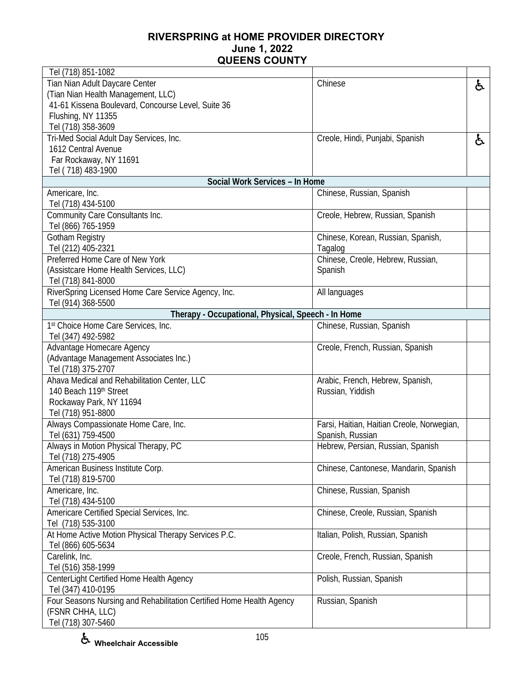| Tel (718) 851-1082                                                   |                                            |    |
|----------------------------------------------------------------------|--------------------------------------------|----|
| Tian Nian Adult Daycare Center                                       | Chinese                                    | ę. |
| (Tian Nian Health Management, LLC)                                   |                                            |    |
| 41-61 Kissena Boulevard, Concourse Level, Suite 36                   |                                            |    |
| Flushing, NY 11355                                                   |                                            |    |
| Tel (718) 358-3609                                                   |                                            |    |
| Tri-Med Social Adult Day Services, Inc.                              | Creole, Hindi, Punjabi, Spanish            | と  |
| 1612 Central Avenue                                                  |                                            |    |
| Far Rockaway, NY 11691                                               |                                            |    |
| Tel (718) 483-1900                                                   |                                            |    |
| Social Work Services - In Home                                       |                                            |    |
| Americare, Inc.                                                      | Chinese, Russian, Spanish                  |    |
| Tel (718) 434-5100                                                   |                                            |    |
| Community Care Consultants Inc.                                      | Creole, Hebrew, Russian, Spanish           |    |
| Tel (866) 765-1959                                                   |                                            |    |
| <b>Gotham Registry</b>                                               | Chinese, Korean, Russian, Spanish,         |    |
| Tel (212) 405-2321                                                   | Tagalog                                    |    |
| Preferred Home Care of New York                                      | Chinese, Creole, Hebrew, Russian,          |    |
| (Assistcare Home Health Services, LLC)                               | Spanish                                    |    |
| Tel (718) 841-8000                                                   |                                            |    |
| RiverSpring Licensed Home Care Service Agency, Inc.                  | All languages                              |    |
| Tel (914) 368-5500                                                   |                                            |    |
| Therapy - Occupational, Physical, Speech - In Home                   |                                            |    |
| 1st Choice Home Care Services, Inc.                                  | Chinese, Russian, Spanish                  |    |
| Tel (347) 492-5982                                                   |                                            |    |
| Advantage Homecare Agency                                            | Creole, French, Russian, Spanish           |    |
| (Advantage Management Associates Inc.)                               |                                            |    |
| Tel (718) 375-2707                                                   |                                            |    |
| Ahava Medical and Rehabilitation Center, LLC                         | Arabic, French, Hebrew, Spanish,           |    |
| 140 Beach 119th Street                                               | Russian, Yiddish                           |    |
| Rockaway Park, NY 11694                                              |                                            |    |
| Tel (718) 951-8800                                                   |                                            |    |
| Always Compassionate Home Care, Inc.                                 | Farsi, Haitian, Haitian Creole, Norwegian, |    |
| Tel (631) 759-4500                                                   | Spanish, Russian                           |    |
| Always in Motion Physical Therapy, PC                                | Hebrew, Persian, Russian, Spanish          |    |
| Tel (718) 275-4905                                                   |                                            |    |
| American Business Institute Corp.                                    | Chinese, Cantonese, Mandarin, Spanish      |    |
| Tel (718) 819-5700                                                   |                                            |    |
| Americare, Inc.                                                      | Chinese, Russian, Spanish                  |    |
| Tel (718) 434-5100                                                   |                                            |    |
| Americare Certified Special Services, Inc.                           | Chinese, Creole, Russian, Spanish          |    |
| Tel (718) 535-3100                                                   |                                            |    |
| At Home Active Motion Physical Therapy Services P.C.                 | Italian, Polish, Russian, Spanish          |    |
| Tel (866) 605-5634                                                   |                                            |    |
| Carelink, Inc.                                                       | Creole, French, Russian, Spanish           |    |
| Tel (516) 358-1999                                                   |                                            |    |
| CenterLight Certified Home Health Agency                             | Polish, Russian, Spanish                   |    |
| Tel (347) 410-0195                                                   |                                            |    |
| Four Seasons Nursing and Rehabilitation Certified Home Health Agency | Russian, Spanish                           |    |
| (FSNR CHHA, LLC)                                                     |                                            |    |
| Tel (718) 307-5460                                                   |                                            |    |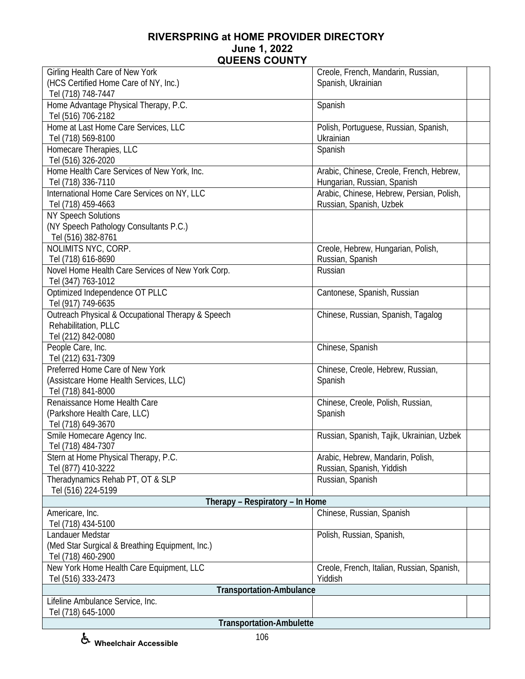| Girling Health Care of New York                                   | Creole, French, Mandarin, Russian,                                   |
|-------------------------------------------------------------------|----------------------------------------------------------------------|
| (HCS Certified Home Care of NY, Inc.)                             | Spanish, Ukrainian                                                   |
| Tel (718) 748-7447                                                |                                                                      |
| Home Advantage Physical Therapy, P.C.                             | Spanish                                                              |
| Tel (516) 706-2182                                                |                                                                      |
| Home at Last Home Care Services, LLC                              | Polish, Portuguese, Russian, Spanish,                                |
| Tel (718) 569-8100                                                | Ukrainian                                                            |
| Homecare Therapies, LLC                                           | Spanish                                                              |
| Tel (516) 326-2020                                                |                                                                      |
| Home Health Care Services of New York, Inc.                       | Arabic, Chinese, Creole, French, Hebrew,                             |
| Tel (718) 336-7110<br>International Home Care Services on NY, LLC | Hungarian, Russian, Spanish                                          |
| Tel (718) 459-4663                                                | Arabic, Chinese, Hebrew, Persian, Polish,<br>Russian, Spanish, Uzbek |
| <b>NY Speech Solutions</b>                                        |                                                                      |
| (NY Speech Pathology Consultants P.C.)                            |                                                                      |
| Tel (516) 382-8761                                                |                                                                      |
| NOLIMITS NYC, CORP.                                               | Creole, Hebrew, Hungarian, Polish,                                   |
| Tel (718) 616-8690                                                | Russian, Spanish                                                     |
| Novel Home Health Care Services of New York Corp.                 | Russian                                                              |
| Tel (347) 763-1012                                                |                                                                      |
| Optimized Independence OT PLLC                                    | Cantonese, Spanish, Russian                                          |
| Tel (917) 749-6635                                                |                                                                      |
| Outreach Physical & Occupational Therapy & Speech                 | Chinese, Russian, Spanish, Tagalog                                   |
| Rehabilitation, PLLC                                              |                                                                      |
| Tel (212) 842-0080                                                |                                                                      |
| People Care, Inc.                                                 | Chinese, Spanish                                                     |
| Tel (212) 631-7309                                                |                                                                      |
| Preferred Home Care of New York                                   | Chinese, Creole, Hebrew, Russian,                                    |
| (Assistcare Home Health Services, LLC)                            | Spanish                                                              |
| Tel (718) 841-8000                                                |                                                                      |
| Renaissance Home Health Care                                      | Chinese, Creole, Polish, Russian,                                    |
| (Parkshore Health Care, LLC)                                      | Spanish                                                              |
| Tel (718) 649-3670                                                |                                                                      |
| Smile Homecare Agency Inc.                                        | Russian, Spanish, Tajik, Ukrainian, Uzbek                            |
| Tel (718) 484-7307                                                |                                                                      |
| Stern at Home Physical Therapy, P.C.<br>Tel (877) 410-3222        | Arabic, Hebrew, Mandarin, Polish,                                    |
| Theradynamics Rehab PT, OT & SLP                                  | Russian, Spanish, Yiddish<br>Russian, Spanish                        |
| Tel (516) 224-5199                                                |                                                                      |
| Therapy - Respiratory - In Home                                   |                                                                      |
| Americare, Inc.                                                   | Chinese, Russian, Spanish                                            |
| Tel (718) 434-5100                                                |                                                                      |
| Landauer Medstar                                                  | Polish, Russian, Spanish,                                            |
| (Med Star Surgical & Breathing Equipment, Inc.)                   |                                                                      |
| Tel (718) 460-2900                                                |                                                                      |
| New York Home Health Care Equipment, LLC                          | Creole, French, Italian, Russian, Spanish,                           |
| Tel (516) 333-2473                                                | Yiddish                                                              |
| <b>Transportation-Ambulance</b>                                   |                                                                      |
| Lifeline Ambulance Service, Inc.                                  |                                                                      |
| Tel (718) 645-1000                                                |                                                                      |
| <b>Transportation-Ambulette</b>                                   |                                                                      |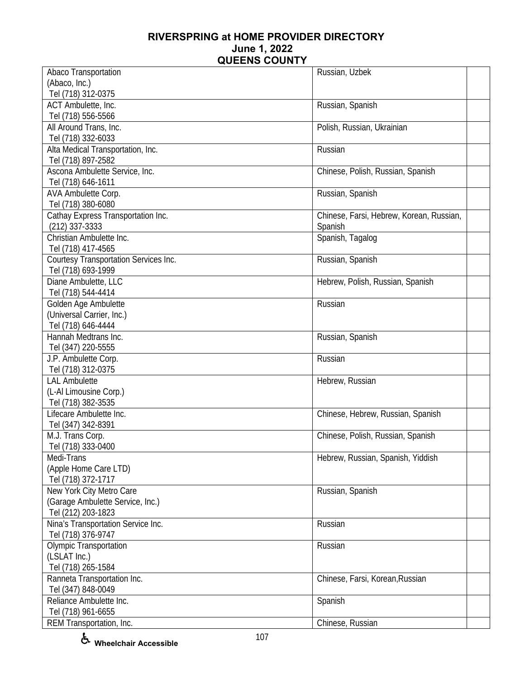| Abaco Transportation                  | Russian, Uzbek                           |
|---------------------------------------|------------------------------------------|
| (Abaco, Inc.)                         |                                          |
| Tel (718) 312-0375                    |                                          |
| ACT Ambulette, Inc.                   | Russian, Spanish                         |
| Tel (718) 556-5566                    |                                          |
| All Around Trans, Inc.                | Polish, Russian, Ukrainian               |
| Tel (718) 332-6033                    |                                          |
| Alta Medical Transportation, Inc.     | Russian                                  |
| Tel (718) 897-2582                    |                                          |
| Ascona Ambulette Service, Inc.        | Chinese, Polish, Russian, Spanish        |
|                                       |                                          |
| Tel (718) 646-1611                    |                                          |
| AVA Ambulette Corp.                   | Russian, Spanish                         |
| Tel (718) 380-6080                    |                                          |
| Cathay Express Transportation Inc.    | Chinese, Farsi, Hebrew, Korean, Russian, |
| $(212)$ 337-3333                      | Spanish                                  |
| Christian Ambulette Inc.              | Spanish, Tagalog                         |
| Tel (718) 417-4565                    |                                          |
| Courtesy Transportation Services Inc. | Russian, Spanish                         |
| Tel (718) 693-1999                    |                                          |
| Diane Ambulette, LLC                  | Hebrew, Polish, Russian, Spanish         |
| Tel (718) 544-4414                    |                                          |
| Golden Age Ambulette                  | Russian                                  |
| (Universal Carrier, Inc.)             |                                          |
| Tel (718) 646-4444                    |                                          |
| Hannah Medtrans Inc.                  | Russian, Spanish                         |
| Tel (347) 220-5555                    |                                          |
| J.P. Ambulette Corp.                  | Russian                                  |
| Tel (718) 312-0375                    |                                          |
| <b>LAL Ambulette</b>                  | Hebrew, Russian                          |
| (L-Al Limousine Corp.)                |                                          |
| Tel (718) 382-3535                    |                                          |
| Lifecare Ambulette Inc.               | Chinese, Hebrew, Russian, Spanish        |
| Tel (347) 342-8391                    |                                          |
| M.J. Trans Corp.                      | Chinese, Polish, Russian, Spanish        |
| Tel (718) 333-0400                    |                                          |
| Medi-Trans                            | Hebrew, Russian, Spanish, Yiddish        |
| (Apple Home Care LTD)                 |                                          |
| Tel (718) 372-1717                    |                                          |
|                                       |                                          |
| New York City Metro Care              | Russian, Spanish                         |
| (Garage Ambulette Service, Inc.)      |                                          |
| Tel (212) 203-1823                    |                                          |
| Nina's Transportation Service Inc.    | Russian                                  |
| Tel (718) 376-9747                    |                                          |
| <b>Olympic Transportation</b>         | Russian                                  |
| (LSLAT Inc.)                          |                                          |
| Tel (718) 265-1584                    |                                          |
| Ranneta Transportation Inc.           | Chinese, Farsi, Korean, Russian          |
| Tel (347) 848-0049                    |                                          |
| Reliance Ambulette Inc.               | Spanish                                  |
| Tel (718) 961-6655                    |                                          |
| REM Transportation, Inc.              | Chinese, Russian                         |

**Wheelchair Accessible**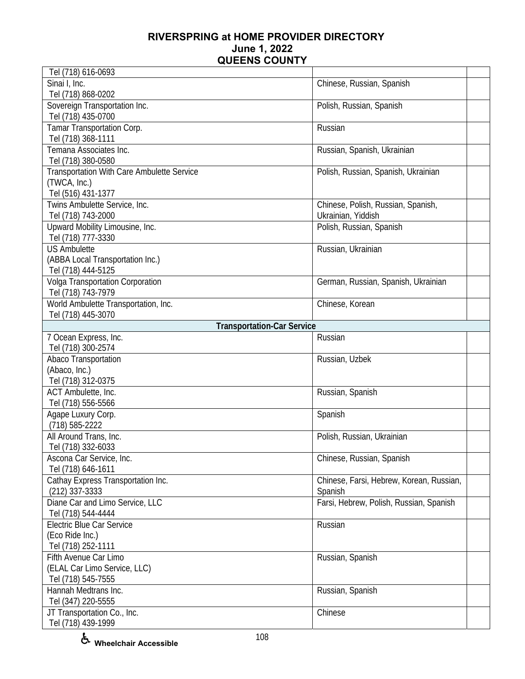| Tel (718) 616-0693                         |                                          |  |
|--------------------------------------------|------------------------------------------|--|
| Sinai I, Inc.                              | Chinese, Russian, Spanish                |  |
| Tel (718) 868-0202                         |                                          |  |
| Sovereign Transportation Inc.              | Polish, Russian, Spanish                 |  |
| Tel (718) 435-0700                         |                                          |  |
| Tamar Transportation Corp.                 | Russian                                  |  |
| Tel (718) 368-1111                         |                                          |  |
| Temana Associates Inc.                     | Russian, Spanish, Ukrainian              |  |
| Tel (718) 380-0580                         |                                          |  |
| Transportation With Care Ambulette Service | Polish, Russian, Spanish, Ukrainian      |  |
| (TWCA, Inc.)                               |                                          |  |
| Tel (516) 431-1377                         |                                          |  |
| Twins Ambulette Service, Inc.              | Chinese, Polish, Russian, Spanish,       |  |
| Tel (718) 743-2000                         | Ukrainian, Yiddish                       |  |
| Upward Mobility Limousine, Inc.            | Polish, Russian, Spanish                 |  |
| Tel (718) 777-3330                         |                                          |  |
| <b>US Ambulette</b>                        | Russian, Ukrainian                       |  |
| (ABBA Local Transportation Inc.)           |                                          |  |
| Tel (718) 444-5125                         |                                          |  |
| Volga Transportation Corporation           | German, Russian, Spanish, Ukrainian      |  |
| Tel (718) 743-7979                         |                                          |  |
| World Ambulette Transportation, Inc.       | Chinese, Korean                          |  |
| Tel (718) 445-3070                         |                                          |  |
| <b>Transportation-Car Service</b>          |                                          |  |
| 7 Ocean Express, Inc.                      | Russian                                  |  |
| Tel (718) 300-2574                         |                                          |  |
| Abaco Transportation                       | Russian, Uzbek                           |  |
| (Abaco, Inc.)                              |                                          |  |
| Tel (718) 312-0375                         |                                          |  |
| ACT Ambulette, Inc.                        | Russian, Spanish                         |  |
| Tel (718) 556-5566                         |                                          |  |
| Agape Luxury Corp.                         | Spanish                                  |  |
| (718) 585-2222                             |                                          |  |
| All Around Trans, Inc.                     | Polish, Russian, Ukrainian               |  |
| Tel (718) 332-6033                         |                                          |  |
| Ascona Car Service, Inc.                   | Chinese, Russian, Spanish                |  |
| Tel (718) 646-1611                         |                                          |  |
| Cathay Express Transportation Inc.         | Chinese, Farsi, Hebrew, Korean, Russian, |  |
| $(212)$ 337-3333                           | Spanish                                  |  |
| Diane Car and Limo Service, LLC            | Farsi, Hebrew, Polish, Russian, Spanish  |  |
| Tel (718) 544-4444                         |                                          |  |
| <b>Electric Blue Car Service</b>           | Russian                                  |  |
| (Eco Ride Inc.)                            |                                          |  |
| Tel (718) 252-1111                         |                                          |  |
| Fifth Avenue Car Limo                      | Russian, Spanish                         |  |
| (ELAL Car Limo Service, LLC)               |                                          |  |
| Tel (718) 545-7555                         |                                          |  |
| Hannah Medtrans Inc.                       | Russian, Spanish                         |  |
| Tel (347) 220-5555                         |                                          |  |
| JT Transportation Co., Inc.                | Chinese                                  |  |
| Tel (718) 439-1999                         |                                          |  |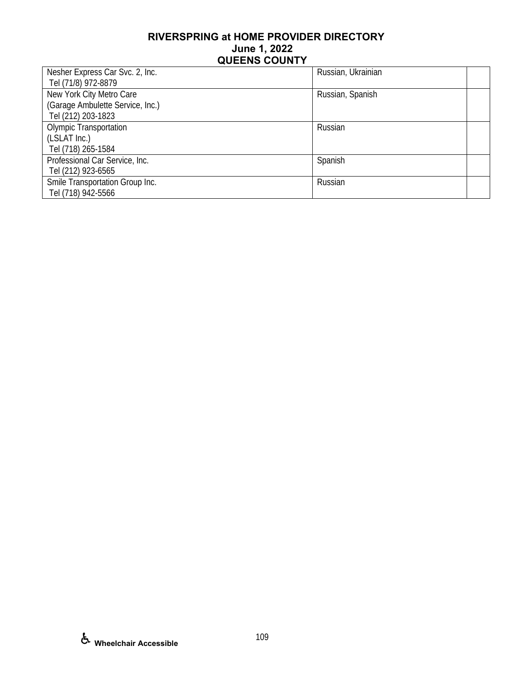| Nesher Express Car Svc. 2, Inc.  | Russian, Ukrainian |  |
|----------------------------------|--------------------|--|
| Tel (71/8) 972-8879              |                    |  |
| New York City Metro Care         | Russian, Spanish   |  |
| (Garage Ambulette Service, Inc.) |                    |  |
| Tel (212) 203-1823               |                    |  |
| <b>Olympic Transportation</b>    | Russian            |  |
| (LSLAT Inc.)                     |                    |  |
| Tel (718) 265-1584               |                    |  |
| Professional Car Service, Inc.   | Spanish            |  |
| Tel (212) 923-6565               |                    |  |
| Smile Transportation Group Inc.  | Russian            |  |
| Tel (718) 942-5566               |                    |  |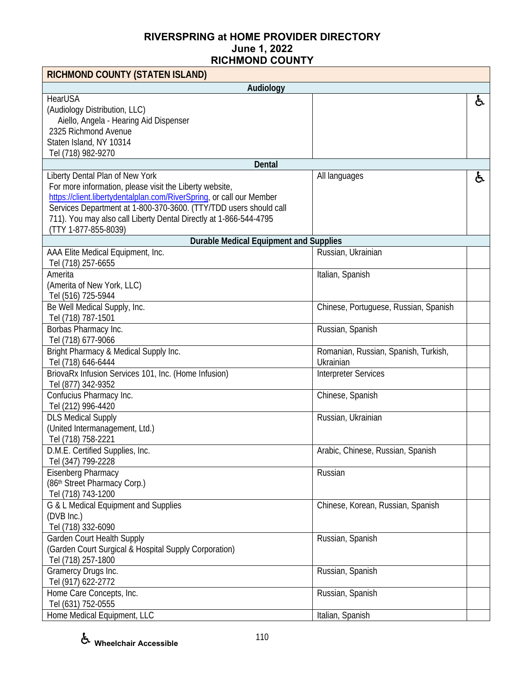| RICHMOND COUNTY (STATEN ISLAND)                                      |                                       |    |
|----------------------------------------------------------------------|---------------------------------------|----|
| Audiology                                                            |                                       |    |
| <b>HearUSA</b>                                                       |                                       | ė, |
| (Audiology Distribution, LLC)                                        |                                       |    |
| Aiello, Angela - Hearing Aid Dispenser                               |                                       |    |
| 2325 Richmond Avenue                                                 |                                       |    |
| Staten Island, NY 10314                                              |                                       |    |
| Tel (718) 982-9270                                                   |                                       |    |
| Dental                                                               |                                       |    |
| Liberty Dental Plan of New York                                      | All languages                         | ė, |
| For more information, please visit the Liberty website,              |                                       |    |
| https://client.libertydentalplan.com/RiverSpring, or call our Member |                                       |    |
| Services Department at 1-800-370-3600. (TTY/TDD users should call    |                                       |    |
| 711). You may also call Liberty Dental Directly at 1-866-544-4795    |                                       |    |
| (TTY 1-877-855-8039)                                                 |                                       |    |
| <b>Durable Medical Equipment and Supplies</b>                        |                                       |    |
| AAA Elite Medical Equipment, Inc.                                    | Russian, Ukrainian                    |    |
| Tel (718) 257-6655                                                   |                                       |    |
| Amerita                                                              | Italian, Spanish                      |    |
| (Amerita of New York, LLC)                                           |                                       |    |
| Tel (516) 725-5944                                                   |                                       |    |
| Be Well Medical Supply, Inc.                                         | Chinese, Portuguese, Russian, Spanish |    |
| Tel (718) 787-1501                                                   |                                       |    |
| Borbas Pharmacy Inc.                                                 | Russian, Spanish                      |    |
| Tel (718) 677-9066                                                   |                                       |    |
| Bright Pharmacy & Medical Supply Inc.                                | Romanian, Russian, Spanish, Turkish,  |    |
| Tel (718) 646-6444                                                   | Ukrainian                             |    |
| BriovaRx Infusion Services 101, Inc. (Home Infusion)                 | <b>Interpreter Services</b>           |    |
| Tel (877) 342-9352                                                   |                                       |    |
| Confucius Pharmacy Inc.                                              | Chinese, Spanish                      |    |
| Tel (212) 996-4420                                                   |                                       |    |
| <b>DLS Medical Supply</b>                                            | Russian, Ukrainian                    |    |
| (United Intermanagement, Ltd.)                                       |                                       |    |
| Tel (718) 758-2221                                                   |                                       |    |
| D.M.E. Certified Supplies, Inc.                                      | Arabic, Chinese, Russian, Spanish     |    |
| Tel (347) 799-2228                                                   |                                       |    |
| Eisenberg Pharmacy                                                   | Russian                               |    |
| (86th Street Pharmacy Corp.)                                         |                                       |    |
| Tel (718) 743-1200                                                   |                                       |    |
| G & L Medical Equipment and Supplies                                 | Chinese, Korean, Russian, Spanish     |    |
| (DVB Inc.)                                                           |                                       |    |
| Tel (718) 332-6090                                                   |                                       |    |
| Garden Court Health Supply                                           | Russian, Spanish                      |    |
| (Garden Court Surgical & Hospital Supply Corporation)                |                                       |    |
| Tel (718) 257-1800                                                   |                                       |    |
| Gramercy Drugs Inc.                                                  | Russian, Spanish                      |    |
| Tel (917) 622-2772                                                   |                                       |    |
| Home Care Concepts, Inc.                                             | Russian, Spanish                      |    |
| Tel (631) 752-0555                                                   |                                       |    |
| Home Medical Equipment, LLC                                          | Italian, Spanish                      |    |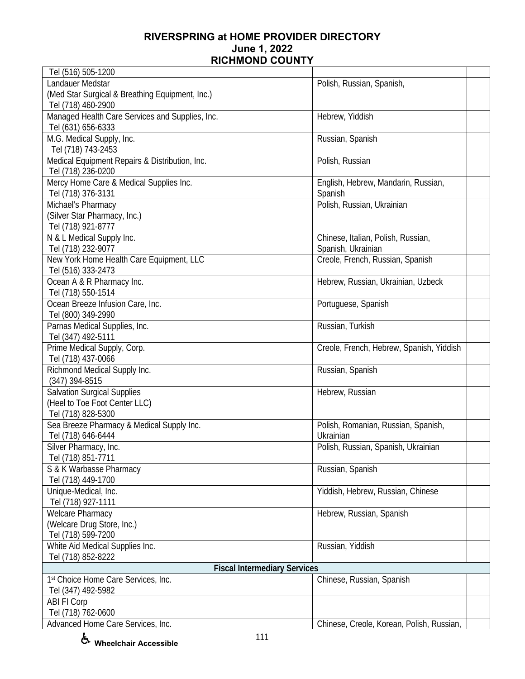| Tel (516) 505-1200                              |                                           |
|-------------------------------------------------|-------------------------------------------|
| Landauer Medstar                                | Polish, Russian, Spanish,                 |
| (Med Star Surgical & Breathing Equipment, Inc.) |                                           |
| Tel (718) 460-2900                              |                                           |
| Managed Health Care Services and Supplies, Inc. | Hebrew, Yiddish                           |
| Tel (631) 656-6333                              |                                           |
| M.G. Medical Supply, Inc.                       | Russian, Spanish                          |
| Tel (718) 743-2453                              |                                           |
| Medical Equipment Repairs & Distribution, Inc.  | Polish, Russian                           |
| Tel (718) 236-0200                              |                                           |
| Mercy Home Care & Medical Supplies Inc.         | English, Hebrew, Mandarin, Russian,       |
| Tel (718) 376-3131                              | Spanish                                   |
| Michael's Pharmacy                              | Polish, Russian, Ukrainian                |
| (Silver Star Pharmacy, Inc.)                    |                                           |
| Tel (718) 921-8777                              |                                           |
| N & L Medical Supply Inc.                       | Chinese, Italian, Polish, Russian,        |
| Tel (718) 232-9077                              | Spanish, Ukrainian                        |
| New York Home Health Care Equipment, LLC        | Creole, French, Russian, Spanish          |
| Tel (516) 333-2473                              |                                           |
| Ocean A & R Pharmacy Inc.                       | Hebrew, Russian, Ukrainian, Uzbeck        |
| Tel (718) 550-1514                              |                                           |
| Ocean Breeze Infusion Care, Inc.                | Portuguese, Spanish                       |
| Tel (800) 349-2990                              |                                           |
| Parnas Medical Supplies, Inc.                   | Russian, Turkish                          |
| Tel (347) 492-5111                              |                                           |
| Prime Medical Supply, Corp.                     | Creole, French, Hebrew, Spanish, Yiddish  |
|                                                 |                                           |
| Tel (718) 437-0066                              |                                           |
| Richmond Medical Supply Inc.                    | Russian, Spanish                          |
| (347) 394-8515                                  |                                           |
| <b>Salvation Surgical Supplies</b>              | Hebrew, Russian                           |
| (Heel to Toe Foot Center LLC)                   |                                           |
| Tel (718) 828-5300                              |                                           |
| Sea Breeze Pharmacy & Medical Supply Inc.       | Polish, Romanian, Russian, Spanish,       |
| Tel (718) 646-6444                              | Ukrainian                                 |
| Silver Pharmacy, Inc.                           | Polish, Russian, Spanish, Ukrainian       |
| Tel (718) 851-7711                              |                                           |
| S & K Warbasse Pharmacy                         | Russian, Spanish                          |
| Tel (718) 449-1700                              |                                           |
| Unique-Medical, Inc.                            | Yiddish, Hebrew, Russian, Chinese         |
| Tel (718) 927-1111                              |                                           |
| <b>Welcare Pharmacy</b>                         | Hebrew, Russian, Spanish                  |
| (Welcare Drug Store, Inc.)                      |                                           |
| Tel (718) 599-7200                              |                                           |
| White Aid Medical Supplies Inc.                 | Russian, Yiddish                          |
| Tel (718) 852-8222                              |                                           |
| <b>Fiscal Intermediary Services</b>             |                                           |
| 1st Choice Home Care Services, Inc.             | Chinese, Russian, Spanish                 |
| Tel (347) 492-5982                              |                                           |
| ABI FI Corp                                     |                                           |
| Tel (718) 762-0600                              |                                           |
| Advanced Home Care Services, Inc.               | Chinese, Creole, Korean, Polish, Russian, |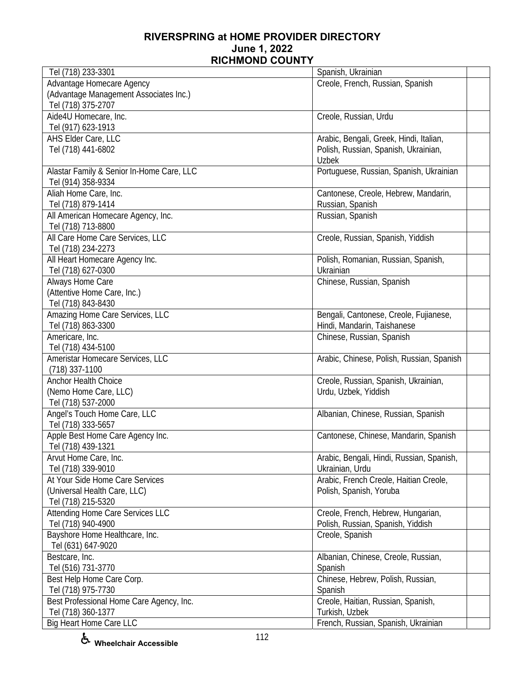| Tel (718) 233-3301                        | Spanish, Ukrainian                        |
|-------------------------------------------|-------------------------------------------|
| Advantage Homecare Agency                 | Creole, French, Russian, Spanish          |
| (Advantage Management Associates Inc.)    |                                           |
| Tel (718) 375-2707                        |                                           |
| Aide4U Homecare, Inc.                     | Creole, Russian, Urdu                     |
| Tel (917) 623-1913                        |                                           |
| AHS Elder Care, LLC                       | Arabic, Bengali, Greek, Hindi, Italian,   |
| Tel (718) 441-6802                        | Polish, Russian, Spanish, Ukrainian,      |
|                                           | <b>Uzbek</b>                              |
| Alastar Family & Senior In-Home Care, LLC | Portuguese, Russian, Spanish, Ukrainian   |
| Tel (914) 358-9334                        |                                           |
| Aliah Home Care, Inc.                     | Cantonese, Creole, Hebrew, Mandarin,      |
| Tel (718) 879-1414                        | Russian, Spanish                          |
|                                           |                                           |
| All American Homecare Agency, Inc.        | Russian, Spanish                          |
| Tel (718) 713-8800                        |                                           |
| All Care Home Care Services, LLC          | Creole, Russian, Spanish, Yiddish         |
| Tel (718) 234-2273                        |                                           |
| All Heart Homecare Agency Inc.            | Polish, Romanian, Russian, Spanish,       |
| Tel (718) 627-0300                        | Ukrainian                                 |
| Always Home Care                          | Chinese, Russian, Spanish                 |
| (Attentive Home Care, Inc.)               |                                           |
| Tel (718) 843-8430                        |                                           |
| Amazing Home Care Services, LLC           | Bengali, Cantonese, Creole, Fujianese,    |
| Tel (718) 863-3300                        | Hindi, Mandarin, Taishanese               |
| Americare, Inc.                           | Chinese, Russian, Spanish                 |
| Tel (718) 434-5100                        |                                           |
| Ameristar Homecare Services, LLC          | Arabic, Chinese, Polish, Russian, Spanish |
| $(718)$ 337-1100                          |                                           |
| <b>Anchor Health Choice</b>               | Creole, Russian, Spanish, Ukrainian,      |
| (Nemo Home Care, LLC)                     | Urdu, Uzbek, Yiddish                      |
| Tel (718) 537-2000                        |                                           |
| Angel's Touch Home Care, LLC              | Albanian, Chinese, Russian, Spanish       |
| Tel (718) 333-5657                        |                                           |
| Apple Best Home Care Agency Inc.          | Cantonese, Chinese, Mandarin, Spanish     |
| Tel (718) 439-1321                        |                                           |
| Arvut Home Care, Inc.                     | Arabic, Bengali, Hindi, Russian, Spanish, |
| Tel (718) 339-9010                        | Ukrainian, Urdu                           |
| At Your Side Home Care Services           | Arabic, French Creole, Haitian Creole,    |
| (Universal Health Care, LLC)              | Polish, Spanish, Yoruba                   |
| Tel (718) 215-5320                        |                                           |
| Attending Home Care Services LLC          | Creole, French, Hebrew, Hungarian,        |
| Tel (718) 940-4900                        | Polish, Russian, Spanish, Yiddish         |
| Bayshore Home Healthcare, Inc.            | Creole, Spanish                           |
| Tel (631) 647-9020                        |                                           |
| Bestcare, Inc.                            | Albanian, Chinese, Creole, Russian,       |
| Tel (516) 731-3770                        | Spanish                                   |
|                                           |                                           |
| Best Help Home Care Corp.                 | Chinese, Hebrew, Polish, Russian,         |
| Tel (718) 975-7730                        | Spanish                                   |
| Best Professional Home Care Agency, Inc.  | Creole, Haitian, Russian, Spanish,        |
| Tel (718) 360-1377                        | Turkish, Uzbek                            |
| Big Heart Home Care LLC                   | French, Russian, Spanish, Ukrainian       |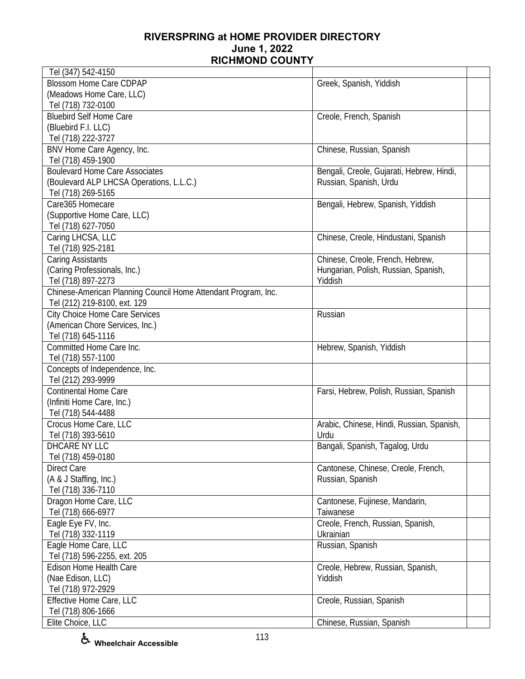| <b>Blossom Home Care CDPAP</b><br>Greek, Spanish, Yiddish<br>(Meadows Home Care, LLC)<br>Tel (718) 732-0100<br><b>Bluebird Self Home Care</b><br>Creole, French, Spanish<br>(Bluebird F.I. LLC)<br>Tel (718) 222-3727<br>BNV Home Care Agency, Inc.<br>Chinese, Russian, Spanish<br>Tel (718) 459-1900<br><b>Boulevard Home Care Associates</b><br>Bengali, Creole, Gujarati, Hebrew, Hindi,<br>(Boulevard ALP LHCSA Operations, L.L.C.)<br>Russian, Spanish, Urdu<br>Tel (718) 269-5165<br>Care365 Homecare<br>Bengali, Hebrew, Spanish, Yiddish<br>(Supportive Home Care, LLC)<br>Tel (718) 627-7050<br>Caring LHCSA, LLC<br>Chinese, Creole, Hindustani, Spanish<br>Tel (718) 925-2181<br>Caring Assistants<br>Chinese, Creole, French, Hebrew,<br>(Caring Professionals, Inc.)<br>Hungarian, Polish, Russian, Spanish,<br>Tel (718) 897-2273<br>Yiddish<br>Chinese-American Planning Council Home Attendant Program, Inc.<br>Tel (212) 219-8100, ext. 129<br><b>City Choice Home Care Services</b><br>Russian<br>(American Chore Services, Inc.)<br>Tel (718) 645-1116<br>Committed Home Care Inc.<br>Hebrew, Spanish, Yiddish<br>Tel (718) 557-1100<br>Concepts of Independence, Inc.<br>Tel (212) 293-9999<br><b>Continental Home Care</b><br>Farsi, Hebrew, Polish, Russian, Spanish<br>(Infiniti Home Care, Inc.)<br>Tel (718) 544-4488<br>Crocus Home Care, LLC<br>Arabic, Chinese, Hindi, Russian, Spanish,<br>Tel (718) 393-5610<br>Urdu<br>DHCARE NY LLC<br>Bangali, Spanish, Tagalog, Urdu<br>Tel (718) 459-0180<br><b>Direct Care</b><br>Cantonese, Chinese, Creole, French,<br>(A & J Staffing, Inc.)<br>Russian, Spanish<br>Tel (718) 336-7110<br>Dragon Home Care, LLC<br>Cantonese, Fujinese, Mandarin,<br>Tel (718) 666-6977<br>Taiwanese<br>Eagle Eye FV, Inc.<br>Creole, French, Russian, Spanish,<br>Tel (718) 332-1119<br>Ukrainian<br>Eagle Home Care, LLC<br>Russian, Spanish<br>Tel (718) 596-2255, ext. 205<br><b>Edison Home Health Care</b><br>Creole, Hebrew, Russian, Spanish,<br>(Nae Edison, LLC)<br>Yiddish<br>Tel (718) 972-2929<br>Effective Home Care, LLC<br>Creole, Russian, Spanish<br>Tel (718) 806-1666 | Tel (347) 542-4150 |                           |  |
|---------------------------------------------------------------------------------------------------------------------------------------------------------------------------------------------------------------------------------------------------------------------------------------------------------------------------------------------------------------------------------------------------------------------------------------------------------------------------------------------------------------------------------------------------------------------------------------------------------------------------------------------------------------------------------------------------------------------------------------------------------------------------------------------------------------------------------------------------------------------------------------------------------------------------------------------------------------------------------------------------------------------------------------------------------------------------------------------------------------------------------------------------------------------------------------------------------------------------------------------------------------------------------------------------------------------------------------------------------------------------------------------------------------------------------------------------------------------------------------------------------------------------------------------------------------------------------------------------------------------------------------------------------------------------------------------------------------------------------------------------------------------------------------------------------------------------------------------------------------------------------------------------------------------------------------------------------------------------------------------------------------------------------------------------------------------------------------------------------------------------------------------------|--------------------|---------------------------|--|
|                                                                                                                                                                                                                                                                                                                                                                                                                                                                                                                                                                                                                                                                                                                                                                                                                                                                                                                                                                                                                                                                                                                                                                                                                                                                                                                                                                                                                                                                                                                                                                                                                                                                                                                                                                                                                                                                                                                                                                                                                                                                                                                                                   |                    |                           |  |
|                                                                                                                                                                                                                                                                                                                                                                                                                                                                                                                                                                                                                                                                                                                                                                                                                                                                                                                                                                                                                                                                                                                                                                                                                                                                                                                                                                                                                                                                                                                                                                                                                                                                                                                                                                                                                                                                                                                                                                                                                                                                                                                                                   |                    |                           |  |
|                                                                                                                                                                                                                                                                                                                                                                                                                                                                                                                                                                                                                                                                                                                                                                                                                                                                                                                                                                                                                                                                                                                                                                                                                                                                                                                                                                                                                                                                                                                                                                                                                                                                                                                                                                                                                                                                                                                                                                                                                                                                                                                                                   |                    |                           |  |
|                                                                                                                                                                                                                                                                                                                                                                                                                                                                                                                                                                                                                                                                                                                                                                                                                                                                                                                                                                                                                                                                                                                                                                                                                                                                                                                                                                                                                                                                                                                                                                                                                                                                                                                                                                                                                                                                                                                                                                                                                                                                                                                                                   |                    |                           |  |
|                                                                                                                                                                                                                                                                                                                                                                                                                                                                                                                                                                                                                                                                                                                                                                                                                                                                                                                                                                                                                                                                                                                                                                                                                                                                                                                                                                                                                                                                                                                                                                                                                                                                                                                                                                                                                                                                                                                                                                                                                                                                                                                                                   |                    |                           |  |
|                                                                                                                                                                                                                                                                                                                                                                                                                                                                                                                                                                                                                                                                                                                                                                                                                                                                                                                                                                                                                                                                                                                                                                                                                                                                                                                                                                                                                                                                                                                                                                                                                                                                                                                                                                                                                                                                                                                                                                                                                                                                                                                                                   |                    |                           |  |
|                                                                                                                                                                                                                                                                                                                                                                                                                                                                                                                                                                                                                                                                                                                                                                                                                                                                                                                                                                                                                                                                                                                                                                                                                                                                                                                                                                                                                                                                                                                                                                                                                                                                                                                                                                                                                                                                                                                                                                                                                                                                                                                                                   |                    |                           |  |
|                                                                                                                                                                                                                                                                                                                                                                                                                                                                                                                                                                                                                                                                                                                                                                                                                                                                                                                                                                                                                                                                                                                                                                                                                                                                                                                                                                                                                                                                                                                                                                                                                                                                                                                                                                                                                                                                                                                                                                                                                                                                                                                                                   |                    |                           |  |
|                                                                                                                                                                                                                                                                                                                                                                                                                                                                                                                                                                                                                                                                                                                                                                                                                                                                                                                                                                                                                                                                                                                                                                                                                                                                                                                                                                                                                                                                                                                                                                                                                                                                                                                                                                                                                                                                                                                                                                                                                                                                                                                                                   |                    |                           |  |
|                                                                                                                                                                                                                                                                                                                                                                                                                                                                                                                                                                                                                                                                                                                                                                                                                                                                                                                                                                                                                                                                                                                                                                                                                                                                                                                                                                                                                                                                                                                                                                                                                                                                                                                                                                                                                                                                                                                                                                                                                                                                                                                                                   |                    |                           |  |
|                                                                                                                                                                                                                                                                                                                                                                                                                                                                                                                                                                                                                                                                                                                                                                                                                                                                                                                                                                                                                                                                                                                                                                                                                                                                                                                                                                                                                                                                                                                                                                                                                                                                                                                                                                                                                                                                                                                                                                                                                                                                                                                                                   |                    |                           |  |
|                                                                                                                                                                                                                                                                                                                                                                                                                                                                                                                                                                                                                                                                                                                                                                                                                                                                                                                                                                                                                                                                                                                                                                                                                                                                                                                                                                                                                                                                                                                                                                                                                                                                                                                                                                                                                                                                                                                                                                                                                                                                                                                                                   |                    |                           |  |
|                                                                                                                                                                                                                                                                                                                                                                                                                                                                                                                                                                                                                                                                                                                                                                                                                                                                                                                                                                                                                                                                                                                                                                                                                                                                                                                                                                                                                                                                                                                                                                                                                                                                                                                                                                                                                                                                                                                                                                                                                                                                                                                                                   |                    |                           |  |
|                                                                                                                                                                                                                                                                                                                                                                                                                                                                                                                                                                                                                                                                                                                                                                                                                                                                                                                                                                                                                                                                                                                                                                                                                                                                                                                                                                                                                                                                                                                                                                                                                                                                                                                                                                                                                                                                                                                                                                                                                                                                                                                                                   |                    |                           |  |
|                                                                                                                                                                                                                                                                                                                                                                                                                                                                                                                                                                                                                                                                                                                                                                                                                                                                                                                                                                                                                                                                                                                                                                                                                                                                                                                                                                                                                                                                                                                                                                                                                                                                                                                                                                                                                                                                                                                                                                                                                                                                                                                                                   |                    |                           |  |
|                                                                                                                                                                                                                                                                                                                                                                                                                                                                                                                                                                                                                                                                                                                                                                                                                                                                                                                                                                                                                                                                                                                                                                                                                                                                                                                                                                                                                                                                                                                                                                                                                                                                                                                                                                                                                                                                                                                                                                                                                                                                                                                                                   |                    |                           |  |
|                                                                                                                                                                                                                                                                                                                                                                                                                                                                                                                                                                                                                                                                                                                                                                                                                                                                                                                                                                                                                                                                                                                                                                                                                                                                                                                                                                                                                                                                                                                                                                                                                                                                                                                                                                                                                                                                                                                                                                                                                                                                                                                                                   |                    |                           |  |
|                                                                                                                                                                                                                                                                                                                                                                                                                                                                                                                                                                                                                                                                                                                                                                                                                                                                                                                                                                                                                                                                                                                                                                                                                                                                                                                                                                                                                                                                                                                                                                                                                                                                                                                                                                                                                                                                                                                                                                                                                                                                                                                                                   |                    |                           |  |
|                                                                                                                                                                                                                                                                                                                                                                                                                                                                                                                                                                                                                                                                                                                                                                                                                                                                                                                                                                                                                                                                                                                                                                                                                                                                                                                                                                                                                                                                                                                                                                                                                                                                                                                                                                                                                                                                                                                                                                                                                                                                                                                                                   |                    |                           |  |
|                                                                                                                                                                                                                                                                                                                                                                                                                                                                                                                                                                                                                                                                                                                                                                                                                                                                                                                                                                                                                                                                                                                                                                                                                                                                                                                                                                                                                                                                                                                                                                                                                                                                                                                                                                                                                                                                                                                                                                                                                                                                                                                                                   |                    |                           |  |
|                                                                                                                                                                                                                                                                                                                                                                                                                                                                                                                                                                                                                                                                                                                                                                                                                                                                                                                                                                                                                                                                                                                                                                                                                                                                                                                                                                                                                                                                                                                                                                                                                                                                                                                                                                                                                                                                                                                                                                                                                                                                                                                                                   |                    |                           |  |
|                                                                                                                                                                                                                                                                                                                                                                                                                                                                                                                                                                                                                                                                                                                                                                                                                                                                                                                                                                                                                                                                                                                                                                                                                                                                                                                                                                                                                                                                                                                                                                                                                                                                                                                                                                                                                                                                                                                                                                                                                                                                                                                                                   |                    |                           |  |
|                                                                                                                                                                                                                                                                                                                                                                                                                                                                                                                                                                                                                                                                                                                                                                                                                                                                                                                                                                                                                                                                                                                                                                                                                                                                                                                                                                                                                                                                                                                                                                                                                                                                                                                                                                                                                                                                                                                                                                                                                                                                                                                                                   |                    |                           |  |
|                                                                                                                                                                                                                                                                                                                                                                                                                                                                                                                                                                                                                                                                                                                                                                                                                                                                                                                                                                                                                                                                                                                                                                                                                                                                                                                                                                                                                                                                                                                                                                                                                                                                                                                                                                                                                                                                                                                                                                                                                                                                                                                                                   |                    |                           |  |
|                                                                                                                                                                                                                                                                                                                                                                                                                                                                                                                                                                                                                                                                                                                                                                                                                                                                                                                                                                                                                                                                                                                                                                                                                                                                                                                                                                                                                                                                                                                                                                                                                                                                                                                                                                                                                                                                                                                                                                                                                                                                                                                                                   |                    |                           |  |
|                                                                                                                                                                                                                                                                                                                                                                                                                                                                                                                                                                                                                                                                                                                                                                                                                                                                                                                                                                                                                                                                                                                                                                                                                                                                                                                                                                                                                                                                                                                                                                                                                                                                                                                                                                                                                                                                                                                                                                                                                                                                                                                                                   |                    |                           |  |
|                                                                                                                                                                                                                                                                                                                                                                                                                                                                                                                                                                                                                                                                                                                                                                                                                                                                                                                                                                                                                                                                                                                                                                                                                                                                                                                                                                                                                                                                                                                                                                                                                                                                                                                                                                                                                                                                                                                                                                                                                                                                                                                                                   |                    |                           |  |
|                                                                                                                                                                                                                                                                                                                                                                                                                                                                                                                                                                                                                                                                                                                                                                                                                                                                                                                                                                                                                                                                                                                                                                                                                                                                                                                                                                                                                                                                                                                                                                                                                                                                                                                                                                                                                                                                                                                                                                                                                                                                                                                                                   |                    |                           |  |
|                                                                                                                                                                                                                                                                                                                                                                                                                                                                                                                                                                                                                                                                                                                                                                                                                                                                                                                                                                                                                                                                                                                                                                                                                                                                                                                                                                                                                                                                                                                                                                                                                                                                                                                                                                                                                                                                                                                                                                                                                                                                                                                                                   |                    |                           |  |
|                                                                                                                                                                                                                                                                                                                                                                                                                                                                                                                                                                                                                                                                                                                                                                                                                                                                                                                                                                                                                                                                                                                                                                                                                                                                                                                                                                                                                                                                                                                                                                                                                                                                                                                                                                                                                                                                                                                                                                                                                                                                                                                                                   |                    |                           |  |
|                                                                                                                                                                                                                                                                                                                                                                                                                                                                                                                                                                                                                                                                                                                                                                                                                                                                                                                                                                                                                                                                                                                                                                                                                                                                                                                                                                                                                                                                                                                                                                                                                                                                                                                                                                                                                                                                                                                                                                                                                                                                                                                                                   |                    |                           |  |
|                                                                                                                                                                                                                                                                                                                                                                                                                                                                                                                                                                                                                                                                                                                                                                                                                                                                                                                                                                                                                                                                                                                                                                                                                                                                                                                                                                                                                                                                                                                                                                                                                                                                                                                                                                                                                                                                                                                                                                                                                                                                                                                                                   |                    |                           |  |
|                                                                                                                                                                                                                                                                                                                                                                                                                                                                                                                                                                                                                                                                                                                                                                                                                                                                                                                                                                                                                                                                                                                                                                                                                                                                                                                                                                                                                                                                                                                                                                                                                                                                                                                                                                                                                                                                                                                                                                                                                                                                                                                                                   |                    |                           |  |
|                                                                                                                                                                                                                                                                                                                                                                                                                                                                                                                                                                                                                                                                                                                                                                                                                                                                                                                                                                                                                                                                                                                                                                                                                                                                                                                                                                                                                                                                                                                                                                                                                                                                                                                                                                                                                                                                                                                                                                                                                                                                                                                                                   |                    |                           |  |
|                                                                                                                                                                                                                                                                                                                                                                                                                                                                                                                                                                                                                                                                                                                                                                                                                                                                                                                                                                                                                                                                                                                                                                                                                                                                                                                                                                                                                                                                                                                                                                                                                                                                                                                                                                                                                                                                                                                                                                                                                                                                                                                                                   |                    |                           |  |
|                                                                                                                                                                                                                                                                                                                                                                                                                                                                                                                                                                                                                                                                                                                                                                                                                                                                                                                                                                                                                                                                                                                                                                                                                                                                                                                                                                                                                                                                                                                                                                                                                                                                                                                                                                                                                                                                                                                                                                                                                                                                                                                                                   |                    |                           |  |
|                                                                                                                                                                                                                                                                                                                                                                                                                                                                                                                                                                                                                                                                                                                                                                                                                                                                                                                                                                                                                                                                                                                                                                                                                                                                                                                                                                                                                                                                                                                                                                                                                                                                                                                                                                                                                                                                                                                                                                                                                                                                                                                                                   |                    |                           |  |
|                                                                                                                                                                                                                                                                                                                                                                                                                                                                                                                                                                                                                                                                                                                                                                                                                                                                                                                                                                                                                                                                                                                                                                                                                                                                                                                                                                                                                                                                                                                                                                                                                                                                                                                                                                                                                                                                                                                                                                                                                                                                                                                                                   |                    |                           |  |
|                                                                                                                                                                                                                                                                                                                                                                                                                                                                                                                                                                                                                                                                                                                                                                                                                                                                                                                                                                                                                                                                                                                                                                                                                                                                                                                                                                                                                                                                                                                                                                                                                                                                                                                                                                                                                                                                                                                                                                                                                                                                                                                                                   |                    |                           |  |
|                                                                                                                                                                                                                                                                                                                                                                                                                                                                                                                                                                                                                                                                                                                                                                                                                                                                                                                                                                                                                                                                                                                                                                                                                                                                                                                                                                                                                                                                                                                                                                                                                                                                                                                                                                                                                                                                                                                                                                                                                                                                                                                                                   |                    |                           |  |
|                                                                                                                                                                                                                                                                                                                                                                                                                                                                                                                                                                                                                                                                                                                                                                                                                                                                                                                                                                                                                                                                                                                                                                                                                                                                                                                                                                                                                                                                                                                                                                                                                                                                                                                                                                                                                                                                                                                                                                                                                                                                                                                                                   |                    |                           |  |
|                                                                                                                                                                                                                                                                                                                                                                                                                                                                                                                                                                                                                                                                                                                                                                                                                                                                                                                                                                                                                                                                                                                                                                                                                                                                                                                                                                                                                                                                                                                                                                                                                                                                                                                                                                                                                                                                                                                                                                                                                                                                                                                                                   |                    |                           |  |
|                                                                                                                                                                                                                                                                                                                                                                                                                                                                                                                                                                                                                                                                                                                                                                                                                                                                                                                                                                                                                                                                                                                                                                                                                                                                                                                                                                                                                                                                                                                                                                                                                                                                                                                                                                                                                                                                                                                                                                                                                                                                                                                                                   |                    |                           |  |
|                                                                                                                                                                                                                                                                                                                                                                                                                                                                                                                                                                                                                                                                                                                                                                                                                                                                                                                                                                                                                                                                                                                                                                                                                                                                                                                                                                                                                                                                                                                                                                                                                                                                                                                                                                                                                                                                                                                                                                                                                                                                                                                                                   |                    |                           |  |
|                                                                                                                                                                                                                                                                                                                                                                                                                                                                                                                                                                                                                                                                                                                                                                                                                                                                                                                                                                                                                                                                                                                                                                                                                                                                                                                                                                                                                                                                                                                                                                                                                                                                                                                                                                                                                                                                                                                                                                                                                                                                                                                                                   |                    |                           |  |
|                                                                                                                                                                                                                                                                                                                                                                                                                                                                                                                                                                                                                                                                                                                                                                                                                                                                                                                                                                                                                                                                                                                                                                                                                                                                                                                                                                                                                                                                                                                                                                                                                                                                                                                                                                                                                                                                                                                                                                                                                                                                                                                                                   |                    |                           |  |
|                                                                                                                                                                                                                                                                                                                                                                                                                                                                                                                                                                                                                                                                                                                                                                                                                                                                                                                                                                                                                                                                                                                                                                                                                                                                                                                                                                                                                                                                                                                                                                                                                                                                                                                                                                                                                                                                                                                                                                                                                                                                                                                                                   |                    |                           |  |
|                                                                                                                                                                                                                                                                                                                                                                                                                                                                                                                                                                                                                                                                                                                                                                                                                                                                                                                                                                                                                                                                                                                                                                                                                                                                                                                                                                                                                                                                                                                                                                                                                                                                                                                                                                                                                                                                                                                                                                                                                                                                                                                                                   |                    |                           |  |
|                                                                                                                                                                                                                                                                                                                                                                                                                                                                                                                                                                                                                                                                                                                                                                                                                                                                                                                                                                                                                                                                                                                                                                                                                                                                                                                                                                                                                                                                                                                                                                                                                                                                                                                                                                                                                                                                                                                                                                                                                                                                                                                                                   |                    |                           |  |
|                                                                                                                                                                                                                                                                                                                                                                                                                                                                                                                                                                                                                                                                                                                                                                                                                                                                                                                                                                                                                                                                                                                                                                                                                                                                                                                                                                                                                                                                                                                                                                                                                                                                                                                                                                                                                                                                                                                                                                                                                                                                                                                                                   | Elite Choice, LLC  | Chinese, Russian, Spanish |  |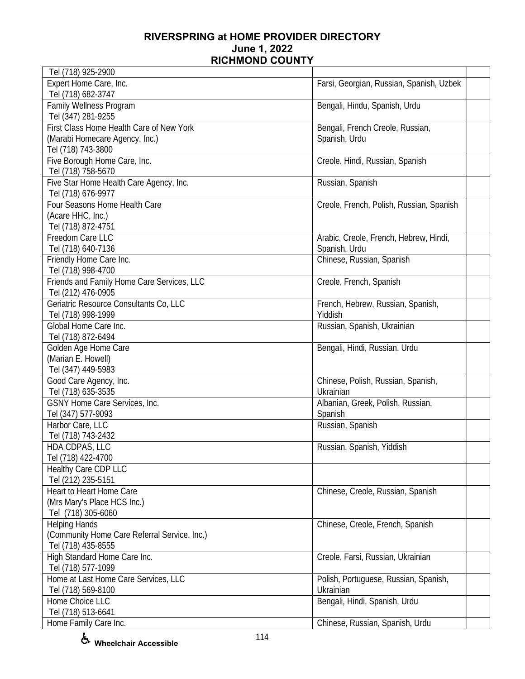| Tel (718) 925-2900                                                                               |                                                         |  |
|--------------------------------------------------------------------------------------------------|---------------------------------------------------------|--|
| Expert Home Care, Inc.<br>Tel (718) 682-3747                                                     | Farsi, Georgian, Russian, Spanish, Uzbek                |  |
| Family Wellness Program<br>Tel (347) 281-9255                                                    | Bengali, Hindu, Spanish, Urdu                           |  |
| First Class Home Health Care of New York<br>(Marabi Homecare Agency, Inc.)<br>Tel (718) 743-3800 | Bengali, French Creole, Russian,<br>Spanish, Urdu       |  |
| Five Borough Home Care, Inc.<br>Tel (718) 758-5670                                               | Creole, Hindi, Russian, Spanish                         |  |
| Five Star Home Health Care Agency, Inc.<br>Tel (718) 676-9977                                    | Russian, Spanish                                        |  |
| Four Seasons Home Health Care<br>(Acare HHC, Inc.)<br>Tel (718) 872-4751                         | Creole, French, Polish, Russian, Spanish                |  |
| Freedom Care LLC<br>Tel (718) 640-7136                                                           | Arabic, Creole, French, Hebrew, Hindi,<br>Spanish, Urdu |  |
| Friendly Home Care Inc.<br>Tel (718) 998-4700                                                    | Chinese, Russian, Spanish                               |  |
| Friends and Family Home Care Services, LLC<br>Tel (212) 476-0905                                 | Creole, French, Spanish                                 |  |
| Geriatric Resource Consultants Co, LLC<br>Tel (718) 998-1999                                     | French, Hebrew, Russian, Spanish,<br>Yiddish            |  |
| Global Home Care Inc.<br>Tel (718) 872-6494                                                      | Russian, Spanish, Ukrainian                             |  |
| Golden Age Home Care<br>(Marian E. Howell)<br>Tel (347) 449-5983                                 | Bengali, Hindi, Russian, Urdu                           |  |
| Good Care Agency, Inc.<br>Tel (718) 635-3535                                                     | Chinese, Polish, Russian, Spanish,<br>Ukrainian         |  |
| GSNY Home Care Services, Inc.<br>Tel (347) 577-9093                                              | Albanian, Greek, Polish, Russian,<br>Spanish            |  |
| Harbor Care, LLC<br>Tel (718) 743-2432                                                           | Russian, Spanish                                        |  |
| HDA CDPAS, LLC<br>Tel (718) 422-4700                                                             | Russian, Spanish, Yiddish                               |  |
| Healthy Care CDP LLC<br>Tel (212) 235-5151                                                       |                                                         |  |
| Heart to Heart Home Care<br>(Mrs Mary's Place HCS Inc.)<br>Tel (718) 305-6060                    | Chinese, Creole, Russian, Spanish                       |  |
| <b>Helping Hands</b><br>(Community Home Care Referral Service, Inc.)<br>Tel (718) 435-8555       | Chinese, Creole, French, Spanish                        |  |
| High Standard Home Care Inc.<br>Tel (718) 577-1099                                               | Creole, Farsi, Russian, Ukrainian                       |  |
| Home at Last Home Care Services, LLC<br>Tel (718) 569-8100                                       | Polish, Portuguese, Russian, Spanish,<br>Ukrainian      |  |
| Home Choice LLC<br>Tel (718) 513-6641                                                            | Bengali, Hindi, Spanish, Urdu                           |  |
| Home Family Care Inc.                                                                            | Chinese, Russian, Spanish, Urdu                         |  |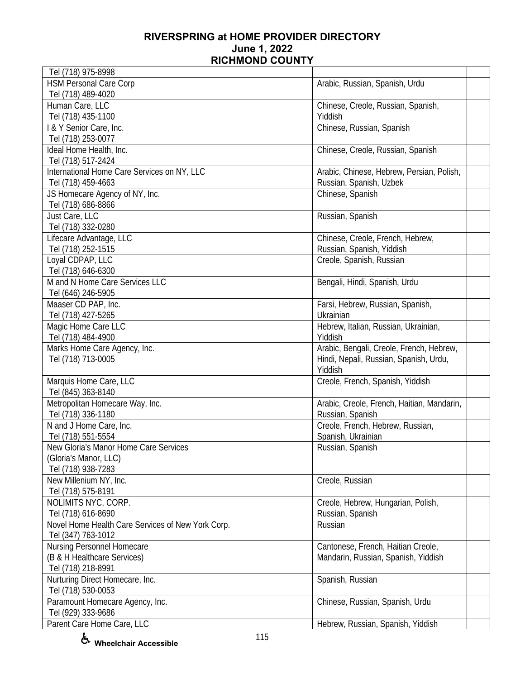| Tel (718) 975-8998                                |                                            |
|---------------------------------------------------|--------------------------------------------|
| <b>HSM Personal Care Corp</b>                     | Arabic, Russian, Spanish, Urdu             |
| Tel (718) 489-4020                                |                                            |
| Human Care, LLC                                   | Chinese, Creole, Russian, Spanish,         |
| Tel (718) 435-1100                                | Yiddish                                    |
| I & Y Senior Care, Inc.                           | Chinese, Russian, Spanish                  |
| Tel (718) 253-0077                                |                                            |
| Ideal Home Health, Inc.                           | Chinese, Creole, Russian, Spanish          |
| Tel (718) 517-2424                                |                                            |
| International Home Care Services on NY, LLC       | Arabic, Chinese, Hebrew, Persian, Polish,  |
| Tel (718) 459-4663                                | Russian, Spanish, Uzbek                    |
| JS Homecare Agency of NY, Inc.                    | Chinese, Spanish                           |
| Tel (718) 686-8866                                |                                            |
| Just Care, LLC                                    | Russian, Spanish                           |
| Tel (718) 332-0280                                |                                            |
| Lifecare Advantage, LLC                           | Chinese, Creole, French, Hebrew,           |
| Tel (718) 252-1515                                | Russian, Spanish, Yiddish                  |
| Loyal CDPAP, LLC                                  | Creole, Spanish, Russian                   |
| Tel (718) 646-6300                                |                                            |
| M and N Home Care Services LLC                    | Bengali, Hindi, Spanish, Urdu              |
| Tel (646) 246-5905                                |                                            |
| Maaser CD PAP, Inc.                               | Farsi, Hebrew, Russian, Spanish,           |
| Tel (718) 427-5265                                | Ukrainian                                  |
| Magic Home Care LLC                               | Hebrew, Italian, Russian, Ukrainian,       |
| Tel (718) 484-4900                                | Yiddish                                    |
| Marks Home Care Agency, Inc.                      | Arabic, Bengali, Creole, French, Hebrew,   |
| Tel (718) 713-0005                                | Hindi, Nepali, Russian, Spanish, Urdu,     |
|                                                   | Yiddish                                    |
| Marquis Home Care, LLC                            | Creole, French, Spanish, Yiddish           |
| Tel (845) 363-8140                                |                                            |
| Metropolitan Homecare Way, Inc.                   | Arabic, Creole, French, Haitian, Mandarin, |
| Tel (718) 336-1180                                | Russian, Spanish                           |
| N and J Home Care, Inc.                           | Creole, French, Hebrew, Russian,           |
| Tel (718) 551-5554                                | Spanish, Ukrainian                         |
| New Gloria's Manor Home Care Services             | Russian, Spanish                           |
| (Gloria's Manor, LLC)                             |                                            |
| Tel (718) 938-7283                                |                                            |
| New Millenium NY, Inc.                            | Creole, Russian                            |
| Tel (718) 575-8191                                |                                            |
| NOLIMITS NYC, CORP.                               | Creole, Hebrew, Hungarian, Polish,         |
| Tel (718) 616-8690                                | Russian, Spanish                           |
| Novel Home Health Care Services of New York Corp. | Russian                                    |
| Tel (347) 763-1012                                |                                            |
| Nursing Personnel Homecare                        | Cantonese, French, Haitian Creole,         |
| (B & H Healthcare Services)                       | Mandarin, Russian, Spanish, Yiddish        |
| Tel (718) 218-8991                                |                                            |
| Nurturing Direct Homecare, Inc.                   | Spanish, Russian                           |
| Tel (718) 530-0053                                |                                            |
| Paramount Homecare Agency, Inc.                   | Chinese, Russian, Spanish, Urdu            |
| Tel (929) 333-9686                                |                                            |
| Parent Care Home Care, LLC                        | Hebrew, Russian, Spanish, Yiddish          |
|                                                   |                                            |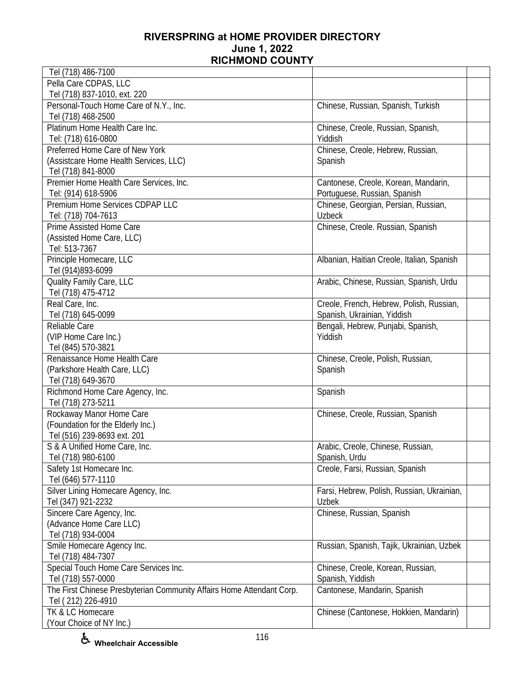| Tel (718) 486-7100                                                    |                                            |  |
|-----------------------------------------------------------------------|--------------------------------------------|--|
| Pella Care CDPAS, LLC                                                 |                                            |  |
| Tel (718) 837-1010, ext. 220                                          |                                            |  |
| Personal-Touch Home Care of N.Y., Inc.                                | Chinese, Russian, Spanish, Turkish         |  |
| Tel (718) 468-2500                                                    |                                            |  |
| Platinum Home Health Care Inc.                                        | Chinese, Creole, Russian, Spanish,         |  |
| Tel: (718) 616-0800                                                   | Yiddish                                    |  |
| Preferred Home Care of New York                                       | Chinese, Creole, Hebrew, Russian,          |  |
|                                                                       |                                            |  |
| (Assistcare Home Health Services, LLC)                                | Spanish                                    |  |
| Tel (718) 841-8000                                                    |                                            |  |
| Premier Home Health Care Services, Inc.                               | Cantonese, Creole, Korean, Mandarin,       |  |
| Tel: (914) 618-5906                                                   | Portuguese, Russian, Spanish               |  |
| Premium Home Services CDPAP LLC                                       | Chinese, Georgian, Persian, Russian,       |  |
| Tel: (718) 704-7613                                                   | <b>Uzbeck</b>                              |  |
| Prime Assisted Home Care                                              | Chinese, Creole. Russian, Spanish          |  |
| (Assisted Home Care, LLC)                                             |                                            |  |
| Tel: 513-7367                                                         |                                            |  |
| Principle Homecare, LLC                                               | Albanian, Haitian Creole, Italian, Spanish |  |
| Tel (914)893-6099                                                     |                                            |  |
| Quality Family Care, LLC                                              | Arabic, Chinese, Russian, Spanish, Urdu    |  |
| Tel (718) 475-4712                                                    |                                            |  |
| Real Care, Inc.                                                       |                                            |  |
|                                                                       | Creole, French, Hebrew, Polish, Russian,   |  |
| Tel (718) 645-0099                                                    | Spanish, Ukrainian, Yiddish                |  |
| Reliable Care                                                         | Bengali, Hebrew, Punjabi, Spanish,         |  |
| (VIP Home Care Inc.)                                                  | Yiddish                                    |  |
| Tel (845) 570-3821                                                    |                                            |  |
| Renaissance Home Health Care                                          | Chinese, Creole, Polish, Russian,          |  |
| (Parkshore Health Care, LLC)                                          | Spanish                                    |  |
| Tel (718) 649-3670                                                    |                                            |  |
| Richmond Home Care Agency, Inc.                                       | Spanish                                    |  |
| Tel (718) 273-5211                                                    |                                            |  |
| Rockaway Manor Home Care                                              | Chinese, Creole, Russian, Spanish          |  |
| (Foundation for the Elderly Inc.)                                     |                                            |  |
| Tel (516) 239-8693 ext. 201                                           |                                            |  |
| S & A Unified Home Care, Inc.                                         | Arabic, Creole, Chinese, Russian,          |  |
| Tel (718) 980-6100                                                    | Spanish, Urdu                              |  |
| Safety 1st Homecare Inc.                                              | Creole, Farsi, Russian, Spanish            |  |
|                                                                       |                                            |  |
| Tel (646) 577-1110                                                    |                                            |  |
| Silver Lining Homecare Agency, Inc.                                   | Farsi, Hebrew, Polish, Russian, Ukrainian, |  |
| Tel (347) 921-2232                                                    | <b>Uzbek</b>                               |  |
| Sincere Care Agency, Inc.                                             | Chinese, Russian, Spanish                  |  |
| (Advance Home Care LLC)                                               |                                            |  |
| Tel (718) 934-0004                                                    |                                            |  |
| Smile Homecare Agency Inc.                                            | Russian, Spanish, Tajik, Ukrainian, Uzbek  |  |
| Tel (718) 484-7307                                                    |                                            |  |
| Special Touch Home Care Services Inc.                                 | Chinese, Creole, Korean, Russian,          |  |
| Tel (718) 557-0000                                                    | Spanish, Yiddish                           |  |
| The First Chinese Presbyterian Community Affairs Home Attendant Corp. | Cantonese, Mandarin, Spanish               |  |
| Tel (212) 226-4910                                                    |                                            |  |
| TK & LC Homecare                                                      | Chinese (Cantonese, Hokkien, Mandarin)     |  |
| (Your Choice of NY Inc.)                                              |                                            |  |
|                                                                       |                                            |  |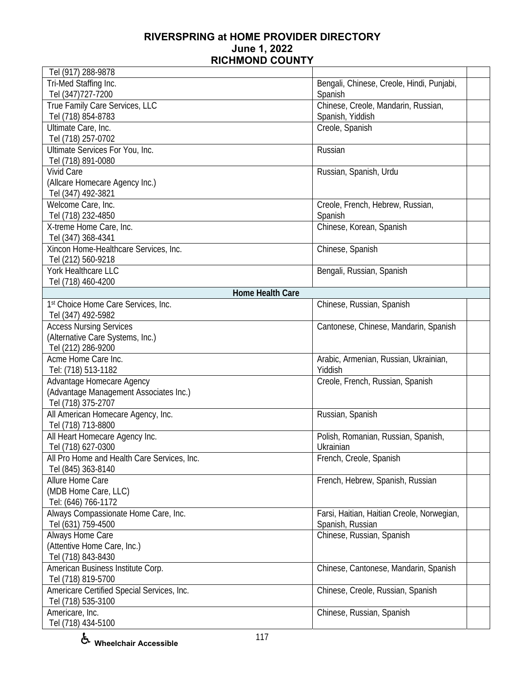| Tel (917) 288-9878                          |                                            |  |
|---------------------------------------------|--------------------------------------------|--|
| Tri-Med Staffing Inc.                       | Bengali, Chinese, Creole, Hindi, Punjabi,  |  |
| Tel (347) 727-7200                          | Spanish                                    |  |
| True Family Care Services, LLC              | Chinese, Creole, Mandarin, Russian,        |  |
| Tel (718) 854-8783                          | Spanish, Yiddish                           |  |
| Ultimate Care, Inc.                         | Creole, Spanish                            |  |
| Tel (718) 257-0702                          |                                            |  |
| Ultimate Services For You, Inc.             | Russian                                    |  |
| Tel (718) 891-0080                          |                                            |  |
| <b>Vivid Care</b>                           | Russian, Spanish, Urdu                     |  |
| (Allcare Homecare Agency Inc.)              |                                            |  |
| Tel (347) 492-3821                          |                                            |  |
| Welcome Care, Inc.                          | Creole, French, Hebrew, Russian,           |  |
| Tel (718) 232-4850                          | Spanish                                    |  |
| X-treme Home Care, Inc.                     | Chinese, Korean, Spanish                   |  |
| Tel (347) 368-4341                          |                                            |  |
| Xincon Home-Healthcare Services, Inc.       | Chinese, Spanish                           |  |
| Tel (212) 560-9218                          |                                            |  |
| York Healthcare LLC                         | Bengali, Russian, Spanish                  |  |
| Tel (718) 460-4200                          |                                            |  |
| Home Health Care                            |                                            |  |
| 1st Choice Home Care Services, Inc.         | Chinese, Russian, Spanish                  |  |
| Tel (347) 492-5982                          |                                            |  |
| <b>Access Nursing Services</b>              | Cantonese, Chinese, Mandarin, Spanish      |  |
| (Alternative Care Systems, Inc.)            |                                            |  |
| Tel (212) 286-9200                          |                                            |  |
| Acme Home Care Inc.                         | Arabic, Armenian, Russian, Ukrainian,      |  |
| Tel: (718) 513-1182                         | Yiddish                                    |  |
| Advantage Homecare Agency                   | Creole, French, Russian, Spanish           |  |
| (Advantage Management Associates Inc.)      |                                            |  |
| Tel (718) 375-2707                          |                                            |  |
| All American Homecare Agency, Inc.          | Russian, Spanish                           |  |
| Tel (718) 713-8800                          |                                            |  |
| All Heart Homecare Agency Inc.              | Polish, Romanian, Russian, Spanish,        |  |
| Tel (718) 627-0300                          | Ukrainian                                  |  |
| All Pro Home and Health Care Services, Inc. | French, Creole, Spanish                    |  |
| Tel (845) 363-8140<br>Allure Home Care      | French, Hebrew, Spanish, Russian           |  |
| (MDB Home Care, LLC)                        |                                            |  |
| Tel: (646) 766-1172                         |                                            |  |
| Always Compassionate Home Care, Inc.        | Farsi, Haitian, Haitian Creole, Norwegian, |  |
| Tel (631) 759-4500                          | Spanish, Russian                           |  |
| Always Home Care                            | Chinese, Russian, Spanish                  |  |
| (Attentive Home Care, Inc.)                 |                                            |  |
| Tel (718) 843-8430                          |                                            |  |
| American Business Institute Corp.           | Chinese, Cantonese, Mandarin, Spanish      |  |
| Tel (718) 819-5700                          |                                            |  |
| Americare Certified Special Services, Inc.  | Chinese, Creole, Russian, Spanish          |  |
| Tel (718) 535-3100                          |                                            |  |
| Americare, Inc.                             | Chinese, Russian, Spanish                  |  |
| Tel (718) 434-5100                          |                                            |  |
|                                             |                                            |  |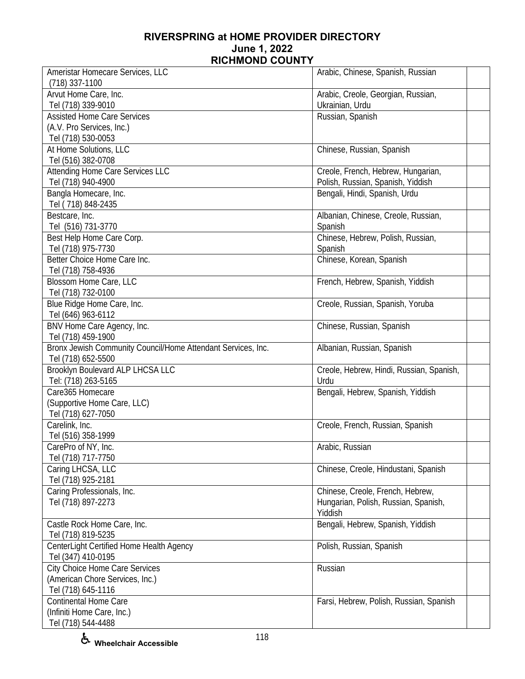| Ameristar Homecare Services, LLC                             | Arabic, Chinese, Spanish, Russian        |
|--------------------------------------------------------------|------------------------------------------|
| $(718)$ 337-1100                                             |                                          |
| Arvut Home Care, Inc.                                        | Arabic, Creole, Georgian, Russian,       |
| Tel (718) 339-9010                                           | Ukrainian, Urdu                          |
| <b>Assisted Home Care Services</b>                           | Russian, Spanish                         |
| (A.V. Pro Services, Inc.)                                    |                                          |
| Tel (718) 530-0053                                           |                                          |
| At Home Solutions, LLC                                       | Chinese, Russian, Spanish                |
| Tel (516) 382-0708                                           |                                          |
| Attending Home Care Services LLC                             | Creole, French, Hebrew, Hungarian,       |
| Tel (718) 940-4900                                           | Polish, Russian, Spanish, Yiddish        |
| Bangla Homecare, Inc.                                        | Bengali, Hindi, Spanish, Urdu            |
| Tel (718) 848-2435                                           |                                          |
| Bestcare, Inc.                                               | Albanian, Chinese, Creole, Russian,      |
| Tel (516) 731-3770                                           | Spanish                                  |
| Best Help Home Care Corp.                                    | Chinese, Hebrew, Polish, Russian,        |
| Tel (718) 975-7730                                           | Spanish                                  |
| Better Choice Home Care Inc.                                 | Chinese, Korean, Spanish                 |
| Tel (718) 758-4936                                           |                                          |
| Blossom Home Care, LLC                                       | French, Hebrew, Spanish, Yiddish         |
| Tel (718) 732-0100                                           |                                          |
| Blue Ridge Home Care, Inc.                                   | Creole, Russian, Spanish, Yoruba         |
| Tel (646) 963-6112                                           |                                          |
| BNV Home Care Agency, Inc.                                   | Chinese, Russian, Spanish                |
| Tel (718) 459-1900                                           |                                          |
| Bronx Jewish Community Council/Home Attendant Services, Inc. | Albanian, Russian, Spanish               |
| Tel (718) 652-5500                                           |                                          |
| Brooklyn Boulevard ALP LHCSA LLC                             | Creole, Hebrew, Hindi, Russian, Spanish, |
| Tel: (718) 263-5165                                          | Urdu                                     |
| Care365 Homecare                                             | Bengali, Hebrew, Spanish, Yiddish        |
| (Supportive Home Care, LLC)                                  |                                          |
| Tel (718) 627-7050                                           |                                          |
| Carelink, Inc.                                               | Creole, French, Russian, Spanish         |
| Tel (516) 358-1999                                           |                                          |
| CarePro of NY, Inc.                                          | Arabic, Russian                          |
| Tel (718) 717-7750                                           |                                          |
| Caring LHCSA, LLC                                            | Chinese, Creole, Hindustani, Spanish     |
| Tel (718) 925-2181                                           |                                          |
| Caring Professionals, Inc.                                   | Chinese, Creole, French, Hebrew,         |
| Tel (718) 897-2273                                           | Hungarian, Polish, Russian, Spanish,     |
|                                                              | Yiddish                                  |
| Castle Rock Home Care, Inc.                                  | Bengali, Hebrew, Spanish, Yiddish        |
| Tel (718) 819-5235                                           |                                          |
| CenterLight Certified Home Health Agency                     | Polish, Russian, Spanish                 |
| Tel (347) 410-0195                                           |                                          |
| <b>City Choice Home Care Services</b>                        | Russian                                  |
| (American Chore Services, Inc.)                              |                                          |
| Tel (718) 645-1116                                           |                                          |
| <b>Continental Home Care</b>                                 | Farsi, Hebrew, Polish, Russian, Spanish  |
| (Infiniti Home Care, Inc.)                                   |                                          |
| Tel (718) 544-4488                                           |                                          |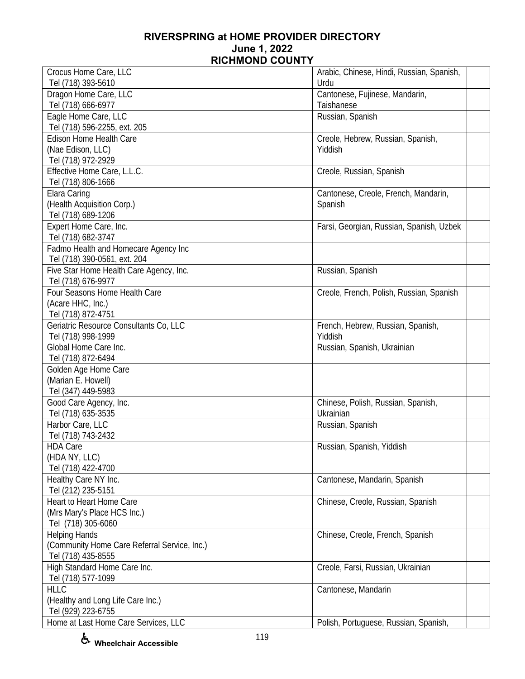| Crocus Home Care, LLC                        | Arabic, Chinese, Hindi, Russian, Spanish, |  |
|----------------------------------------------|-------------------------------------------|--|
| Tel (718) 393-5610                           | Urdu                                      |  |
| Dragon Home Care, LLC                        | Cantonese, Fujinese, Mandarin,            |  |
| Tel (718) 666-6977                           | Taishanese                                |  |
| Eagle Home Care, LLC                         | Russian, Spanish                          |  |
| Tel (718) 596-2255, ext. 205                 |                                           |  |
| Edison Home Health Care                      | Creole, Hebrew, Russian, Spanish,         |  |
| (Nae Edison, LLC)                            | Yiddish                                   |  |
| Tel (718) 972-2929                           |                                           |  |
| Effective Home Care, L.L.C.                  | Creole, Russian, Spanish                  |  |
| Tel (718) 806-1666                           |                                           |  |
| Elara Caring                                 | Cantonese, Creole, French, Mandarin,      |  |
| (Health Acquisition Corp.)                   | Spanish                                   |  |
| Tel (718) 689-1206                           |                                           |  |
| Expert Home Care, Inc.                       | Farsi, Georgian, Russian, Spanish, Uzbek  |  |
| Tel (718) 682-3747                           |                                           |  |
| Fadmo Health and Homecare Agency Inc         |                                           |  |
| Tel (718) 390-0561, ext. 204                 |                                           |  |
| Five Star Home Health Care Agency, Inc.      | Russian, Spanish                          |  |
| Tel (718) 676-9977                           |                                           |  |
| Four Seasons Home Health Care                | Creole, French, Polish, Russian, Spanish  |  |
| (Acare HHC, Inc.)                            |                                           |  |
| Tel (718) 872-4751                           |                                           |  |
| Geriatric Resource Consultants Co, LLC       | French, Hebrew, Russian, Spanish,         |  |
| Tel (718) 998-1999                           | Yiddish                                   |  |
| Global Home Care Inc.                        | Russian, Spanish, Ukrainian               |  |
| Tel (718) 872-6494                           |                                           |  |
| Golden Age Home Care                         |                                           |  |
| (Marian E. Howell)                           |                                           |  |
| Tel (347) 449-5983                           |                                           |  |
| Good Care Agency, Inc.                       | Chinese, Polish, Russian, Spanish,        |  |
| Tel (718) 635-3535                           | Ukrainian                                 |  |
| Harbor Care, LLC                             | Russian, Spanish                          |  |
| Tel (718) 743-2432                           |                                           |  |
| <b>HDA Care</b>                              | Russian, Spanish, Yiddish                 |  |
| (HDA NY, LLC)                                |                                           |  |
| Tel (718) 422-4700                           |                                           |  |
| Healthy Care NY Inc.                         | Cantonese, Mandarin, Spanish              |  |
| Tel (212) 235-5151                           |                                           |  |
| Heart to Heart Home Care                     | Chinese, Creole, Russian, Spanish         |  |
| (Mrs Mary's Place HCS Inc.)                  |                                           |  |
| Tel (718) 305-6060                           |                                           |  |
| <b>Helping Hands</b>                         | Chinese, Creole, French, Spanish          |  |
| (Community Home Care Referral Service, Inc.) |                                           |  |
| Tel (718) 435-8555                           |                                           |  |
| High Standard Home Care Inc.                 | Creole, Farsi, Russian, Ukrainian         |  |
| Tel (718) 577-1099                           |                                           |  |
| <b>HLLC</b>                                  | Cantonese, Mandarin                       |  |
| (Healthy and Long Life Care Inc.)            |                                           |  |
| Tel (929) 223-6755                           |                                           |  |
| Home at Last Home Care Services, LLC         | Polish, Portuguese, Russian, Spanish,     |  |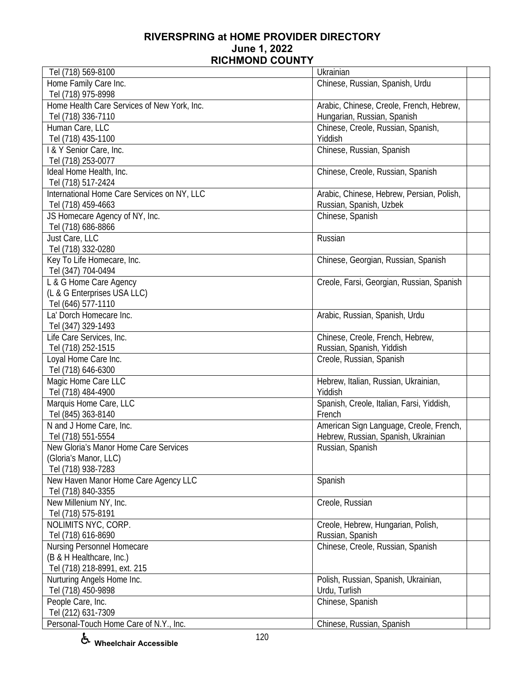| Tel (718) 569-8100                          | Ukrainian                                 |  |
|---------------------------------------------|-------------------------------------------|--|
| Home Family Care Inc.                       | Chinese, Russian, Spanish, Urdu           |  |
| Tel (718) 975-8998                          |                                           |  |
| Home Health Care Services of New York, Inc. | Arabic, Chinese, Creole, French, Hebrew,  |  |
| Tel (718) 336-7110                          | Hungarian, Russian, Spanish               |  |
| Human Care, LLC                             | Chinese, Creole, Russian, Spanish,        |  |
| Tel (718) 435-1100                          | Yiddish                                   |  |
| I & Y Senior Care, Inc.                     | Chinese, Russian, Spanish                 |  |
| Tel (718) 253-0077                          |                                           |  |
| Ideal Home Health, Inc.                     | Chinese, Creole, Russian, Spanish         |  |
| Tel (718) 517-2424                          |                                           |  |
| International Home Care Services on NY, LLC | Arabic, Chinese, Hebrew, Persian, Polish, |  |
| Tel (718) 459-4663                          | Russian, Spanish, Uzbek                   |  |
| JS Homecare Agency of NY, Inc.              | Chinese, Spanish                          |  |
| Tel (718) 686-8866                          |                                           |  |
| Just Care, LLC                              | Russian                                   |  |
| Tel (718) 332-0280                          |                                           |  |
| Key To Life Homecare, Inc.                  | Chinese, Georgian, Russian, Spanish       |  |
| Tel (347) 704-0494                          |                                           |  |
| L & G Home Care Agency                      | Creole, Farsi, Georgian, Russian, Spanish |  |
| (L & G Enterprises USA LLC)                 |                                           |  |
| Tel (646) 577-1110                          |                                           |  |
| La' Dorch Homecare Inc.                     | Arabic, Russian, Spanish, Urdu            |  |
| Tel (347) 329-1493                          |                                           |  |
| Life Care Services, Inc.                    | Chinese, Creole, French, Hebrew,          |  |
| Tel (718) 252-1515                          | Russian, Spanish, Yiddish                 |  |
| Loyal Home Care Inc.                        | Creole, Russian, Spanish                  |  |
| Tel (718) 646-6300                          |                                           |  |
| Magic Home Care LLC                         | Hebrew, Italian, Russian, Ukrainian,      |  |
| Tel (718) 484-4900                          | Yiddish                                   |  |
| Marquis Home Care, LLC                      | Spanish, Creole, Italian, Farsi, Yiddish, |  |
| Tel (845) 363-8140                          | French                                    |  |
| N and J Home Care, Inc.                     | American Sign Language, Creole, French,   |  |
| Tel (718) 551-5554                          | Hebrew, Russian, Spanish, Ukrainian       |  |
| New Gloria's Manor Home Care Services       | Russian, Spanish                          |  |
| (Gloria's Manor, LLC)                       |                                           |  |
| Tel (718) 938-7283                          |                                           |  |
| New Haven Manor Home Care Agency LLC        | Spanish                                   |  |
| Tel (718) 840-3355                          |                                           |  |
| New Millenium NY, Inc.                      | Creole, Russian                           |  |
| Tel (718) 575-8191                          |                                           |  |
| NOLIMITS NYC, CORP.                         | Creole, Hebrew, Hungarian, Polish,        |  |
| Tel (718) 616-8690                          | Russian, Spanish                          |  |
| Nursing Personnel Homecare                  | Chinese, Creole, Russian, Spanish         |  |
| (B & H Healthcare, Inc.)                    |                                           |  |
| Tel (718) 218-8991, ext. 215                |                                           |  |
| Nurturing Angels Home Inc.                  | Polish, Russian, Spanish, Ukrainian,      |  |
| Tel (718) 450-9898                          | Urdu, Turlish                             |  |
| People Care, Inc.                           | Chinese, Spanish                          |  |
| Tel (212) 631-7309                          |                                           |  |
| Personal-Touch Home Care of N.Y., Inc.      | Chinese, Russian, Spanish                 |  |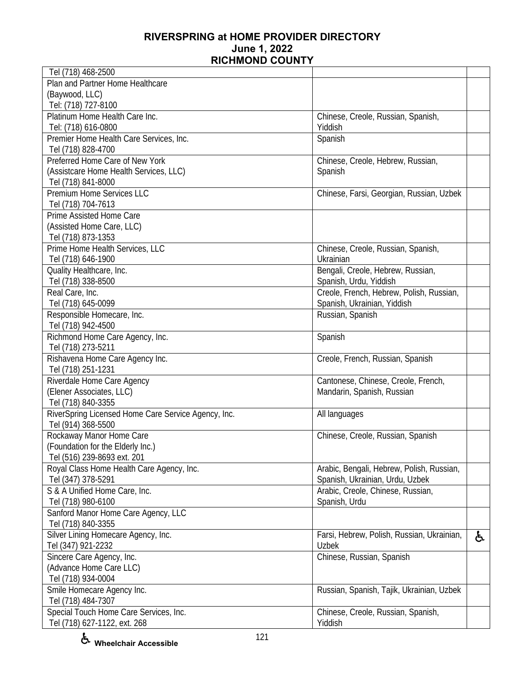| Tel (718) 468-2500                                  |                                            |    |
|-----------------------------------------------------|--------------------------------------------|----|
| Plan and Partner Home Healthcare                    |                                            |    |
| (Baywood, LLC)                                      |                                            |    |
| Tel: (718) 727-8100                                 |                                            |    |
| Platinum Home Health Care Inc.                      | Chinese, Creole, Russian, Spanish,         |    |
| Tel: (718) 616-0800                                 | Yiddish                                    |    |
| Premier Home Health Care Services, Inc.             | Spanish                                    |    |
| Tel (718) 828-4700                                  |                                            |    |
| Preferred Home Care of New York                     | Chinese, Creole, Hebrew, Russian,          |    |
| (Assistcare Home Health Services, LLC)              | Spanish                                    |    |
| Tel (718) 841-8000                                  |                                            |    |
| Premium Home Services LLC                           | Chinese, Farsi, Georgian, Russian, Uzbek   |    |
| Tel (718) 704-7613                                  |                                            |    |
| Prime Assisted Home Care                            |                                            |    |
| (Assisted Home Care, LLC)                           |                                            |    |
| Tel (718) 873-1353                                  |                                            |    |
| Prime Home Health Services, LLC                     | Chinese, Creole, Russian, Spanish,         |    |
| Tel (718) 646-1900                                  | Ukrainian                                  |    |
| Quality Healthcare, Inc.                            | Bengali, Creole, Hebrew, Russian,          |    |
| Tel (718) 338-8500                                  | Spanish, Urdu, Yiddish                     |    |
| Real Care, Inc.                                     | Creole, French, Hebrew, Polish, Russian,   |    |
| Tel (718) 645-0099                                  | Spanish, Ukrainian, Yiddish                |    |
| Responsible Homecare, Inc.                          | Russian, Spanish                           |    |
| Tel (718) 942-4500                                  |                                            |    |
| Richmond Home Care Agency, Inc.                     | Spanish                                    |    |
| Tel (718) 273-5211                                  |                                            |    |
| Rishavena Home Care Agency Inc.                     | Creole, French, Russian, Spanish           |    |
| Tel (718) 251-1231                                  |                                            |    |
| Riverdale Home Care Agency                          | Cantonese, Chinese, Creole, French,        |    |
| (Elener Associates, LLC)                            | Mandarin, Spanish, Russian                 |    |
| Tel (718) 840-3355                                  |                                            |    |
| RiverSpring Licensed Home Care Service Agency, Inc. | All languages                              |    |
| Tel (914) 368-5500                                  |                                            |    |
| Rockaway Manor Home Care                            | Chinese, Creole, Russian, Spanish          |    |
| (Foundation for the Elderly Inc.)                   |                                            |    |
| Tel (516) 239-8693 ext. 201                         |                                            |    |
| Royal Class Home Health Care Agency, Inc.           | Arabic, Bengali, Hebrew, Polish, Russian,  |    |
| Tel (347) 378-5291                                  | Spanish, Ukrainian, Urdu, Uzbek            |    |
| S & A Unified Home Care, Inc.                       | Arabic, Creole, Chinese, Russian,          |    |
| Tel (718) 980-6100                                  | Spanish, Urdu                              |    |
| Sanford Manor Home Care Agency, LLC                 |                                            |    |
| Tel (718) 840-3355                                  |                                            |    |
| Silver Lining Homecare Agency, Inc.                 | Farsi, Hebrew, Polish, Russian, Ukrainian, | ę. |
| Tel (347) 921-2232                                  | Uzbek                                      |    |
| Sincere Care Agency, Inc.                           | Chinese, Russian, Spanish                  |    |
| (Advance Home Care LLC)                             |                                            |    |
| Tel (718) 934-0004                                  |                                            |    |
| Smile Homecare Agency Inc.                          | Russian, Spanish, Tajik, Ukrainian, Uzbek  |    |
| Tel (718) 484-7307                                  |                                            |    |
| Special Touch Home Care Services, Inc.              | Chinese, Creole, Russian, Spanish,         |    |
| Tel (718) 627-1122, ext. 268                        | Yiddish                                    |    |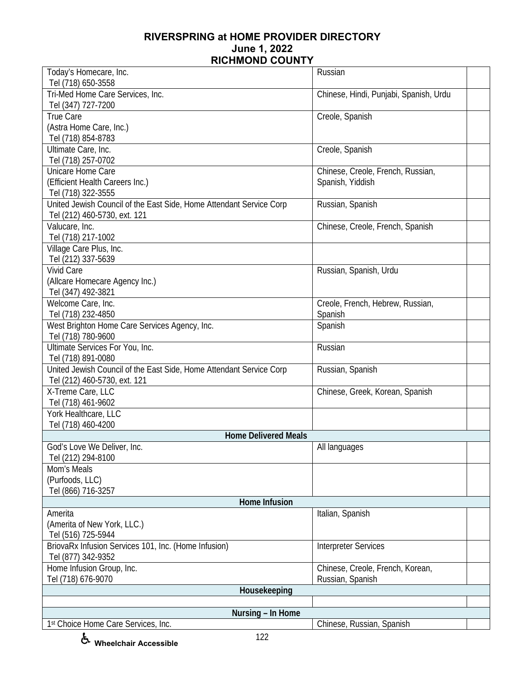| Today's Homecare, Inc.                                                     | Russian                                |
|----------------------------------------------------------------------------|----------------------------------------|
| Tel (718) 650-3558                                                         |                                        |
| Tri-Med Home Care Services, Inc.<br>Tel (347) 727-7200                     | Chinese, Hindi, Punjabi, Spanish, Urdu |
| True Care                                                                  | Creole, Spanish                        |
| (Astra Home Care, Inc.)                                                    |                                        |
|                                                                            |                                        |
| Tel (718) 854-8783                                                         |                                        |
| Ultimate Care, Inc.                                                        | Creole, Spanish                        |
| Tel (718) 257-0702                                                         |                                        |
| Unicare Home Care                                                          | Chinese, Creole, French, Russian,      |
| (Efficient Health Careers Inc.)                                            | Spanish, Yiddish                       |
| Tel (718) 322-3555                                                         |                                        |
| United Jewish Council of the East Side, Home Attendant Service Corp        | Russian, Spanish                       |
| Tel (212) 460-5730, ext. 121                                               |                                        |
| Valucare, Inc.                                                             | Chinese, Creole, French, Spanish       |
| Tel (718) 217-1002                                                         |                                        |
| Village Care Plus, Inc.                                                    |                                        |
| Tel (212) 337-5639                                                         |                                        |
| <b>Vivid Care</b>                                                          | Russian, Spanish, Urdu                 |
| (Allcare Homecare Agency Inc.)                                             |                                        |
| Tel (347) 492-3821                                                         |                                        |
| Welcome Care, Inc.                                                         | Creole, French, Hebrew, Russian,       |
| Tel (718) 232-4850                                                         | Spanish                                |
| West Brighton Home Care Services Agency, Inc.                              | Spanish                                |
| Tel (718) 780-9600                                                         |                                        |
| Ultimate Services For You, Inc.                                            | Russian                                |
| Tel (718) 891-0080                                                         |                                        |
| United Jewish Council of the East Side, Home Attendant Service Corp        | Russian, Spanish                       |
| Tel (212) 460-5730, ext. 121                                               |                                        |
| X-Treme Care, LLC                                                          | Chinese, Greek, Korean, Spanish        |
| Tel (718) 461-9602                                                         |                                        |
| York Healthcare, LLC                                                       |                                        |
| Tel (718) 460-4200                                                         |                                        |
| <b>Home Delivered Meals</b>                                                |                                        |
| God's Love We Deliver, Inc.                                                | All languages                          |
| Tel (212) 294-8100                                                         |                                        |
| Mom's Meals                                                                |                                        |
| (Purfoods, LLC)                                                            |                                        |
| Tel (866) 716-3257                                                         |                                        |
| Home Infusion                                                              |                                        |
| Amerita                                                                    | Italian, Spanish                       |
| (Amerita of New York, LLC.)                                                |                                        |
| Tel (516) 725-5944                                                         |                                        |
|                                                                            |                                        |
| BriovaRx Infusion Services 101, Inc. (Home Infusion)<br>Tel (877) 342-9352 | Interpreter Services                   |
| Home Infusion Group, Inc.                                                  | Chinese, Creole, French, Korean,       |
| Tel (718) 676-9070                                                         | Russian, Spanish                       |
| Housekeeping                                                               |                                        |
|                                                                            |                                        |
| Nursing - In Home                                                          |                                        |
| 1st Choice Home Care Services, Inc.                                        | Chinese, Russian, Spanish              |
|                                                                            |                                        |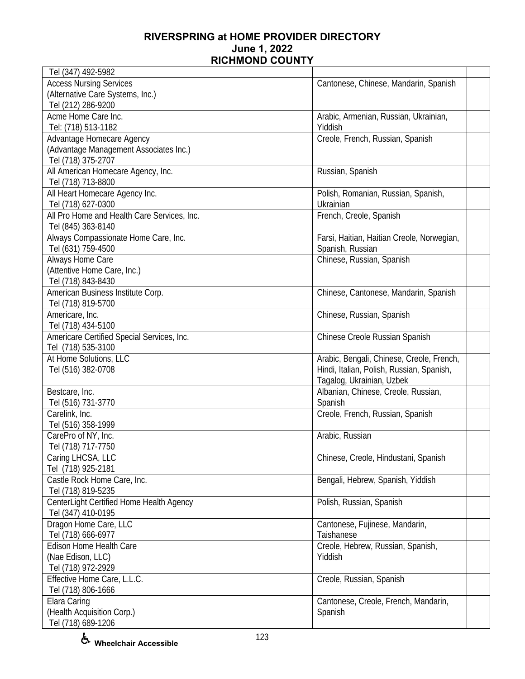| Tel (347) 492-5982                          |                                            |  |
|---------------------------------------------|--------------------------------------------|--|
| <b>Access Nursing Services</b>              | Cantonese, Chinese, Mandarin, Spanish      |  |
| (Alternative Care Systems, Inc.)            |                                            |  |
| Tel (212) 286-9200                          |                                            |  |
| Acme Home Care Inc.                         | Arabic, Armenian, Russian, Ukrainian,      |  |
| Tel: (718) 513-1182                         | Yiddish                                    |  |
| Advantage Homecare Agency                   | Creole, French, Russian, Spanish           |  |
| (Advantage Management Associates Inc.)      |                                            |  |
| Tel (718) 375-2707                          |                                            |  |
| All American Homecare Agency, Inc.          | Russian, Spanish                           |  |
| Tel (718) 713-8800                          |                                            |  |
| All Heart Homecare Agency Inc.              | Polish, Romanian, Russian, Spanish,        |  |
| Tel (718) 627-0300                          | Ukrainian                                  |  |
| All Pro Home and Health Care Services, Inc. | French, Creole, Spanish                    |  |
| Tel (845) 363-8140                          |                                            |  |
| Always Compassionate Home Care, Inc.        | Farsi, Haitian, Haitian Creole, Norwegian, |  |
| Tel (631) 759-4500                          | Spanish, Russian                           |  |
| Always Home Care                            | Chinese, Russian, Spanish                  |  |
| (Attentive Home Care, Inc.)                 |                                            |  |
| Tel (718) 843-8430                          |                                            |  |
| American Business Institute Corp.           | Chinese, Cantonese, Mandarin, Spanish      |  |
| Tel (718) 819-5700                          |                                            |  |
| Americare, Inc.                             | Chinese, Russian, Spanish                  |  |
| Tel (718) 434-5100                          |                                            |  |
| Americare Certified Special Services, Inc.  | Chinese Creole Russian Spanish             |  |
| Tel (718) 535-3100                          |                                            |  |
| At Home Solutions, LLC                      | Arabic, Bengali, Chinese, Creole, French,  |  |
| Tel (516) 382-0708                          | Hindi, Italian, Polish, Russian, Spanish,  |  |
|                                             | Tagalog, Ukrainian, Uzbek                  |  |
| Bestcare, Inc.                              | Albanian, Chinese, Creole, Russian,        |  |
| Tel (516) 731-3770                          | Spanish                                    |  |
| Carelink, Inc.                              | Creole, French, Russian, Spanish           |  |
| Tel (516) 358-1999                          |                                            |  |
| CarePro of NY, Inc.                         | Arabic, Russian                            |  |
| Tel (718) 717-7750                          |                                            |  |
| Caring LHCSA, LLC                           | Chinese, Creole, Hindustani, Spanish       |  |
| Tel (718) 925-2181                          |                                            |  |
| Castle Rock Home Care, Inc.                 | Bengali, Hebrew, Spanish, Yiddish          |  |
| Tel (718) 819-5235                          |                                            |  |
| CenterLight Certified Home Health Agency    | Polish, Russian, Spanish                   |  |
| Tel (347) 410-0195                          |                                            |  |
| Dragon Home Care, LLC                       | Cantonese, Fujinese, Mandarin,             |  |
| Tel (718) 666-6977                          | Taishanese                                 |  |
| <b>Edison Home Health Care</b>              | Creole, Hebrew, Russian, Spanish,          |  |
| (Nae Edison, LLC)                           | Yiddish                                    |  |
| Tel (718) 972-2929                          |                                            |  |
| Effective Home Care, L.L.C.                 | Creole, Russian, Spanish                   |  |
| Tel (718) 806-1666                          |                                            |  |
| Elara Caring                                | Cantonese, Creole, French, Mandarin,       |  |
| (Health Acquisition Corp.)                  | Spanish                                    |  |
| Tel (718) 689-1206                          |                                            |  |
|                                             |                                            |  |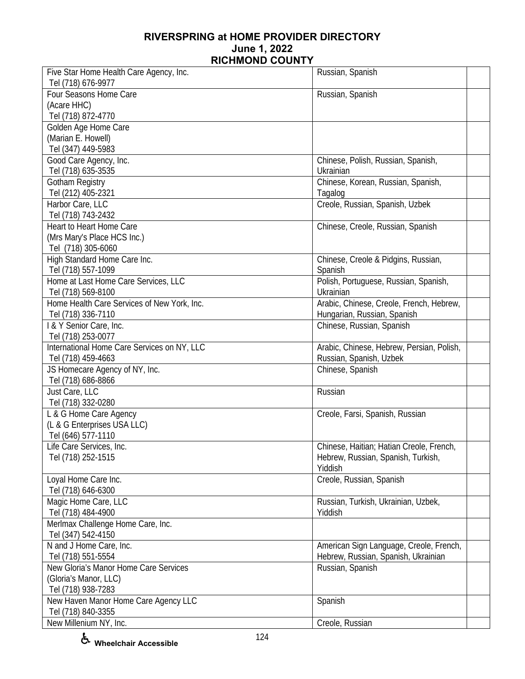| Tel (718) 676-9977<br>Four Seasons Home Care<br>Russian, Spanish<br>(Acare HHC)<br>Tel (718) 872-4770<br>Golden Age Home Care<br>(Marian E. Howell)<br>Tel (347) 449-5983<br>Good Care Agency, Inc.<br>Chinese, Polish, Russian, Spanish,<br>Tel (718) 635-3535<br>Ukrainian<br>Chinese, Korean, Russian, Spanish,<br>Gotham Registry<br>Tel (212) 405-2321<br>Tagalog<br>Harbor Care, LLC<br>Creole, Russian, Spanish, Uzbek<br>Tel (718) 743-2432<br>Heart to Heart Home Care<br>Chinese, Creole, Russian, Spanish<br>(Mrs Mary's Place HCS Inc.)<br>Tel (718) 305-6060<br>High Standard Home Care Inc.<br>Chinese, Creole & Pidgins, Russian,<br>Tel (718) 557-1099<br>Spanish<br>Polish, Portuguese, Russian, Spanish,<br>Home at Last Home Care Services, LLC<br>Tel (718) 569-8100<br>Ukrainian<br>Home Health Care Services of New York, Inc.<br>Arabic, Chinese, Creole, French, Hebrew,<br>Tel (718) 336-7110<br>Hungarian, Russian, Spanish<br>I & Y Senior Care, Inc.<br>Chinese, Russian, Spanish<br>Tel (718) 253-0077<br>International Home Care Services on NY, LLC<br>Arabic, Chinese, Hebrew, Persian, Polish,<br>Tel (718) 459-4663<br>Russian, Spanish, Uzbek<br>JS Homecare Agency of NY, Inc.<br>Chinese, Spanish<br>Tel (718) 686-8866<br>Just Care, LLC<br>Russian<br>Tel (718) 332-0280<br>L & G Home Care Agency<br>Creole, Farsi, Spanish, Russian<br>(L & G Enterprises USA LLC)<br>Tel (646) 577-1110<br>Life Care Services, Inc.<br>Chinese, Haitian; Hatian Creole, French,<br>Tel (718) 252-1515<br>Hebrew, Russian, Spanish, Turkish,<br>Yiddish<br>Creole, Russian, Spanish<br>Loyal Home Care Inc.<br>Tel (718) 646-6300<br>Magic Home Care, LLC<br>Russian, Turkish, Ukrainian, Uzbek,<br>Tel (718) 484-4900<br>Yiddish<br>Merlmax Challenge Home Care, Inc.<br>Tel (347) 542-4150<br>N and J Home Care, Inc.<br>American Sign Language, Creole, French,<br>Hebrew, Russian, Spanish, Ukrainian<br>Tel (718) 551-5554<br>New Gloria's Manor Home Care Services<br>Russian, Spanish<br>(Gloria's Manor, LLC)<br>Tel (718) 938-7283<br>New Haven Manor Home Care Agency LLC<br>Spanish<br>Tel (718) 840-3355 | Five Star Home Health Care Agency, Inc. | Russian, Spanish |  |
|-----------------------------------------------------------------------------------------------------------------------------------------------------------------------------------------------------------------------------------------------------------------------------------------------------------------------------------------------------------------------------------------------------------------------------------------------------------------------------------------------------------------------------------------------------------------------------------------------------------------------------------------------------------------------------------------------------------------------------------------------------------------------------------------------------------------------------------------------------------------------------------------------------------------------------------------------------------------------------------------------------------------------------------------------------------------------------------------------------------------------------------------------------------------------------------------------------------------------------------------------------------------------------------------------------------------------------------------------------------------------------------------------------------------------------------------------------------------------------------------------------------------------------------------------------------------------------------------------------------------------------------------------------------------------------------------------------------------------------------------------------------------------------------------------------------------------------------------------------------------------------------------------------------------------------------------------------------------------------------------------------------------------------------------------------------------------------------------------------------------------------------------------|-----------------------------------------|------------------|--|
|                                                                                                                                                                                                                                                                                                                                                                                                                                                                                                                                                                                                                                                                                                                                                                                                                                                                                                                                                                                                                                                                                                                                                                                                                                                                                                                                                                                                                                                                                                                                                                                                                                                                                                                                                                                                                                                                                                                                                                                                                                                                                                                                               |                                         |                  |  |
|                                                                                                                                                                                                                                                                                                                                                                                                                                                                                                                                                                                                                                                                                                                                                                                                                                                                                                                                                                                                                                                                                                                                                                                                                                                                                                                                                                                                                                                                                                                                                                                                                                                                                                                                                                                                                                                                                                                                                                                                                                                                                                                                               |                                         |                  |  |
|                                                                                                                                                                                                                                                                                                                                                                                                                                                                                                                                                                                                                                                                                                                                                                                                                                                                                                                                                                                                                                                                                                                                                                                                                                                                                                                                                                                                                                                                                                                                                                                                                                                                                                                                                                                                                                                                                                                                                                                                                                                                                                                                               |                                         |                  |  |
|                                                                                                                                                                                                                                                                                                                                                                                                                                                                                                                                                                                                                                                                                                                                                                                                                                                                                                                                                                                                                                                                                                                                                                                                                                                                                                                                                                                                                                                                                                                                                                                                                                                                                                                                                                                                                                                                                                                                                                                                                                                                                                                                               |                                         |                  |  |
|                                                                                                                                                                                                                                                                                                                                                                                                                                                                                                                                                                                                                                                                                                                                                                                                                                                                                                                                                                                                                                                                                                                                                                                                                                                                                                                                                                                                                                                                                                                                                                                                                                                                                                                                                                                                                                                                                                                                                                                                                                                                                                                                               |                                         |                  |  |
|                                                                                                                                                                                                                                                                                                                                                                                                                                                                                                                                                                                                                                                                                                                                                                                                                                                                                                                                                                                                                                                                                                                                                                                                                                                                                                                                                                                                                                                                                                                                                                                                                                                                                                                                                                                                                                                                                                                                                                                                                                                                                                                                               |                                         |                  |  |
|                                                                                                                                                                                                                                                                                                                                                                                                                                                                                                                                                                                                                                                                                                                                                                                                                                                                                                                                                                                                                                                                                                                                                                                                                                                                                                                                                                                                                                                                                                                                                                                                                                                                                                                                                                                                                                                                                                                                                                                                                                                                                                                                               |                                         |                  |  |
|                                                                                                                                                                                                                                                                                                                                                                                                                                                                                                                                                                                                                                                                                                                                                                                                                                                                                                                                                                                                                                                                                                                                                                                                                                                                                                                                                                                                                                                                                                                                                                                                                                                                                                                                                                                                                                                                                                                                                                                                                                                                                                                                               |                                         |                  |  |
|                                                                                                                                                                                                                                                                                                                                                                                                                                                                                                                                                                                                                                                                                                                                                                                                                                                                                                                                                                                                                                                                                                                                                                                                                                                                                                                                                                                                                                                                                                                                                                                                                                                                                                                                                                                                                                                                                                                                                                                                                                                                                                                                               |                                         |                  |  |
|                                                                                                                                                                                                                                                                                                                                                                                                                                                                                                                                                                                                                                                                                                                                                                                                                                                                                                                                                                                                                                                                                                                                                                                                                                                                                                                                                                                                                                                                                                                                                                                                                                                                                                                                                                                                                                                                                                                                                                                                                                                                                                                                               |                                         |                  |  |
|                                                                                                                                                                                                                                                                                                                                                                                                                                                                                                                                                                                                                                                                                                                                                                                                                                                                                                                                                                                                                                                                                                                                                                                                                                                                                                                                                                                                                                                                                                                                                                                                                                                                                                                                                                                                                                                                                                                                                                                                                                                                                                                                               |                                         |                  |  |
|                                                                                                                                                                                                                                                                                                                                                                                                                                                                                                                                                                                                                                                                                                                                                                                                                                                                                                                                                                                                                                                                                                                                                                                                                                                                                                                                                                                                                                                                                                                                                                                                                                                                                                                                                                                                                                                                                                                                                                                                                                                                                                                                               |                                         |                  |  |
|                                                                                                                                                                                                                                                                                                                                                                                                                                                                                                                                                                                                                                                                                                                                                                                                                                                                                                                                                                                                                                                                                                                                                                                                                                                                                                                                                                                                                                                                                                                                                                                                                                                                                                                                                                                                                                                                                                                                                                                                                                                                                                                                               |                                         |                  |  |
|                                                                                                                                                                                                                                                                                                                                                                                                                                                                                                                                                                                                                                                                                                                                                                                                                                                                                                                                                                                                                                                                                                                                                                                                                                                                                                                                                                                                                                                                                                                                                                                                                                                                                                                                                                                                                                                                                                                                                                                                                                                                                                                                               |                                         |                  |  |
|                                                                                                                                                                                                                                                                                                                                                                                                                                                                                                                                                                                                                                                                                                                                                                                                                                                                                                                                                                                                                                                                                                                                                                                                                                                                                                                                                                                                                                                                                                                                                                                                                                                                                                                                                                                                                                                                                                                                                                                                                                                                                                                                               |                                         |                  |  |
|                                                                                                                                                                                                                                                                                                                                                                                                                                                                                                                                                                                                                                                                                                                                                                                                                                                                                                                                                                                                                                                                                                                                                                                                                                                                                                                                                                                                                                                                                                                                                                                                                                                                                                                                                                                                                                                                                                                                                                                                                                                                                                                                               |                                         |                  |  |
|                                                                                                                                                                                                                                                                                                                                                                                                                                                                                                                                                                                                                                                                                                                                                                                                                                                                                                                                                                                                                                                                                                                                                                                                                                                                                                                                                                                                                                                                                                                                                                                                                                                                                                                                                                                                                                                                                                                                                                                                                                                                                                                                               |                                         |                  |  |
|                                                                                                                                                                                                                                                                                                                                                                                                                                                                                                                                                                                                                                                                                                                                                                                                                                                                                                                                                                                                                                                                                                                                                                                                                                                                                                                                                                                                                                                                                                                                                                                                                                                                                                                                                                                                                                                                                                                                                                                                                                                                                                                                               |                                         |                  |  |
|                                                                                                                                                                                                                                                                                                                                                                                                                                                                                                                                                                                                                                                                                                                                                                                                                                                                                                                                                                                                                                                                                                                                                                                                                                                                                                                                                                                                                                                                                                                                                                                                                                                                                                                                                                                                                                                                                                                                                                                                                                                                                                                                               |                                         |                  |  |
|                                                                                                                                                                                                                                                                                                                                                                                                                                                                                                                                                                                                                                                                                                                                                                                                                                                                                                                                                                                                                                                                                                                                                                                                                                                                                                                                                                                                                                                                                                                                                                                                                                                                                                                                                                                                                                                                                                                                                                                                                                                                                                                                               |                                         |                  |  |
|                                                                                                                                                                                                                                                                                                                                                                                                                                                                                                                                                                                                                                                                                                                                                                                                                                                                                                                                                                                                                                                                                                                                                                                                                                                                                                                                                                                                                                                                                                                                                                                                                                                                                                                                                                                                                                                                                                                                                                                                                                                                                                                                               |                                         |                  |  |
|                                                                                                                                                                                                                                                                                                                                                                                                                                                                                                                                                                                                                                                                                                                                                                                                                                                                                                                                                                                                                                                                                                                                                                                                                                                                                                                                                                                                                                                                                                                                                                                                                                                                                                                                                                                                                                                                                                                                                                                                                                                                                                                                               |                                         |                  |  |
|                                                                                                                                                                                                                                                                                                                                                                                                                                                                                                                                                                                                                                                                                                                                                                                                                                                                                                                                                                                                                                                                                                                                                                                                                                                                                                                                                                                                                                                                                                                                                                                                                                                                                                                                                                                                                                                                                                                                                                                                                                                                                                                                               |                                         |                  |  |
|                                                                                                                                                                                                                                                                                                                                                                                                                                                                                                                                                                                                                                                                                                                                                                                                                                                                                                                                                                                                                                                                                                                                                                                                                                                                                                                                                                                                                                                                                                                                                                                                                                                                                                                                                                                                                                                                                                                                                                                                                                                                                                                                               |                                         |                  |  |
|                                                                                                                                                                                                                                                                                                                                                                                                                                                                                                                                                                                                                                                                                                                                                                                                                                                                                                                                                                                                                                                                                                                                                                                                                                                                                                                                                                                                                                                                                                                                                                                                                                                                                                                                                                                                                                                                                                                                                                                                                                                                                                                                               |                                         |                  |  |
|                                                                                                                                                                                                                                                                                                                                                                                                                                                                                                                                                                                                                                                                                                                                                                                                                                                                                                                                                                                                                                                                                                                                                                                                                                                                                                                                                                                                                                                                                                                                                                                                                                                                                                                                                                                                                                                                                                                                                                                                                                                                                                                                               |                                         |                  |  |
|                                                                                                                                                                                                                                                                                                                                                                                                                                                                                                                                                                                                                                                                                                                                                                                                                                                                                                                                                                                                                                                                                                                                                                                                                                                                                                                                                                                                                                                                                                                                                                                                                                                                                                                                                                                                                                                                                                                                                                                                                                                                                                                                               |                                         |                  |  |
|                                                                                                                                                                                                                                                                                                                                                                                                                                                                                                                                                                                                                                                                                                                                                                                                                                                                                                                                                                                                                                                                                                                                                                                                                                                                                                                                                                                                                                                                                                                                                                                                                                                                                                                                                                                                                                                                                                                                                                                                                                                                                                                                               |                                         |                  |  |
|                                                                                                                                                                                                                                                                                                                                                                                                                                                                                                                                                                                                                                                                                                                                                                                                                                                                                                                                                                                                                                                                                                                                                                                                                                                                                                                                                                                                                                                                                                                                                                                                                                                                                                                                                                                                                                                                                                                                                                                                                                                                                                                                               |                                         |                  |  |
|                                                                                                                                                                                                                                                                                                                                                                                                                                                                                                                                                                                                                                                                                                                                                                                                                                                                                                                                                                                                                                                                                                                                                                                                                                                                                                                                                                                                                                                                                                                                                                                                                                                                                                                                                                                                                                                                                                                                                                                                                                                                                                                                               |                                         |                  |  |
|                                                                                                                                                                                                                                                                                                                                                                                                                                                                                                                                                                                                                                                                                                                                                                                                                                                                                                                                                                                                                                                                                                                                                                                                                                                                                                                                                                                                                                                                                                                                                                                                                                                                                                                                                                                                                                                                                                                                                                                                                                                                                                                                               |                                         |                  |  |
|                                                                                                                                                                                                                                                                                                                                                                                                                                                                                                                                                                                                                                                                                                                                                                                                                                                                                                                                                                                                                                                                                                                                                                                                                                                                                                                                                                                                                                                                                                                                                                                                                                                                                                                                                                                                                                                                                                                                                                                                                                                                                                                                               |                                         |                  |  |
|                                                                                                                                                                                                                                                                                                                                                                                                                                                                                                                                                                                                                                                                                                                                                                                                                                                                                                                                                                                                                                                                                                                                                                                                                                                                                                                                                                                                                                                                                                                                                                                                                                                                                                                                                                                                                                                                                                                                                                                                                                                                                                                                               |                                         |                  |  |
|                                                                                                                                                                                                                                                                                                                                                                                                                                                                                                                                                                                                                                                                                                                                                                                                                                                                                                                                                                                                                                                                                                                                                                                                                                                                                                                                                                                                                                                                                                                                                                                                                                                                                                                                                                                                                                                                                                                                                                                                                                                                                                                                               |                                         |                  |  |
|                                                                                                                                                                                                                                                                                                                                                                                                                                                                                                                                                                                                                                                                                                                                                                                                                                                                                                                                                                                                                                                                                                                                                                                                                                                                                                                                                                                                                                                                                                                                                                                                                                                                                                                                                                                                                                                                                                                                                                                                                                                                                                                                               |                                         |                  |  |
|                                                                                                                                                                                                                                                                                                                                                                                                                                                                                                                                                                                                                                                                                                                                                                                                                                                                                                                                                                                                                                                                                                                                                                                                                                                                                                                                                                                                                                                                                                                                                                                                                                                                                                                                                                                                                                                                                                                                                                                                                                                                                                                                               |                                         |                  |  |
|                                                                                                                                                                                                                                                                                                                                                                                                                                                                                                                                                                                                                                                                                                                                                                                                                                                                                                                                                                                                                                                                                                                                                                                                                                                                                                                                                                                                                                                                                                                                                                                                                                                                                                                                                                                                                                                                                                                                                                                                                                                                                                                                               |                                         |                  |  |
|                                                                                                                                                                                                                                                                                                                                                                                                                                                                                                                                                                                                                                                                                                                                                                                                                                                                                                                                                                                                                                                                                                                                                                                                                                                                                                                                                                                                                                                                                                                                                                                                                                                                                                                                                                                                                                                                                                                                                                                                                                                                                                                                               |                                         |                  |  |
|                                                                                                                                                                                                                                                                                                                                                                                                                                                                                                                                                                                                                                                                                                                                                                                                                                                                                                                                                                                                                                                                                                                                                                                                                                                                                                                                                                                                                                                                                                                                                                                                                                                                                                                                                                                                                                                                                                                                                                                                                                                                                                                                               |                                         |                  |  |
|                                                                                                                                                                                                                                                                                                                                                                                                                                                                                                                                                                                                                                                                                                                                                                                                                                                                                                                                                                                                                                                                                                                                                                                                                                                                                                                                                                                                                                                                                                                                                                                                                                                                                                                                                                                                                                                                                                                                                                                                                                                                                                                                               |                                         |                  |  |
|                                                                                                                                                                                                                                                                                                                                                                                                                                                                                                                                                                                                                                                                                                                                                                                                                                                                                                                                                                                                                                                                                                                                                                                                                                                                                                                                                                                                                                                                                                                                                                                                                                                                                                                                                                                                                                                                                                                                                                                                                                                                                                                                               |                                         |                  |  |
|                                                                                                                                                                                                                                                                                                                                                                                                                                                                                                                                                                                                                                                                                                                                                                                                                                                                                                                                                                                                                                                                                                                                                                                                                                                                                                                                                                                                                                                                                                                                                                                                                                                                                                                                                                                                                                                                                                                                                                                                                                                                                                                                               |                                         |                  |  |
|                                                                                                                                                                                                                                                                                                                                                                                                                                                                                                                                                                                                                                                                                                                                                                                                                                                                                                                                                                                                                                                                                                                                                                                                                                                                                                                                                                                                                                                                                                                                                                                                                                                                                                                                                                                                                                                                                                                                                                                                                                                                                                                                               |                                         |                  |  |
|                                                                                                                                                                                                                                                                                                                                                                                                                                                                                                                                                                                                                                                                                                                                                                                                                                                                                                                                                                                                                                                                                                                                                                                                                                                                                                                                                                                                                                                                                                                                                                                                                                                                                                                                                                                                                                                                                                                                                                                                                                                                                                                                               |                                         |                  |  |
|                                                                                                                                                                                                                                                                                                                                                                                                                                                                                                                                                                                                                                                                                                                                                                                                                                                                                                                                                                                                                                                                                                                                                                                                                                                                                                                                                                                                                                                                                                                                                                                                                                                                                                                                                                                                                                                                                                                                                                                                                                                                                                                                               |                                         |                  |  |
|                                                                                                                                                                                                                                                                                                                                                                                                                                                                                                                                                                                                                                                                                                                                                                                                                                                                                                                                                                                                                                                                                                                                                                                                                                                                                                                                                                                                                                                                                                                                                                                                                                                                                                                                                                                                                                                                                                                                                                                                                                                                                                                                               |                                         |                  |  |
|                                                                                                                                                                                                                                                                                                                                                                                                                                                                                                                                                                                                                                                                                                                                                                                                                                                                                                                                                                                                                                                                                                                                                                                                                                                                                                                                                                                                                                                                                                                                                                                                                                                                                                                                                                                                                                                                                                                                                                                                                                                                                                                                               |                                         |                  |  |
|                                                                                                                                                                                                                                                                                                                                                                                                                                                                                                                                                                                                                                                                                                                                                                                                                                                                                                                                                                                                                                                                                                                                                                                                                                                                                                                                                                                                                                                                                                                                                                                                                                                                                                                                                                                                                                                                                                                                                                                                                                                                                                                                               |                                         |                  |  |
|                                                                                                                                                                                                                                                                                                                                                                                                                                                                                                                                                                                                                                                                                                                                                                                                                                                                                                                                                                                                                                                                                                                                                                                                                                                                                                                                                                                                                                                                                                                                                                                                                                                                                                                                                                                                                                                                                                                                                                                                                                                                                                                                               |                                         |                  |  |
|                                                                                                                                                                                                                                                                                                                                                                                                                                                                                                                                                                                                                                                                                                                                                                                                                                                                                                                                                                                                                                                                                                                                                                                                                                                                                                                                                                                                                                                                                                                                                                                                                                                                                                                                                                                                                                                                                                                                                                                                                                                                                                                                               |                                         |                  |  |
| New Millenium NY, Inc.<br>Creole, Russian                                                                                                                                                                                                                                                                                                                                                                                                                                                                                                                                                                                                                                                                                                                                                                                                                                                                                                                                                                                                                                                                                                                                                                                                                                                                                                                                                                                                                                                                                                                                                                                                                                                                                                                                                                                                                                                                                                                                                                                                                                                                                                     |                                         |                  |  |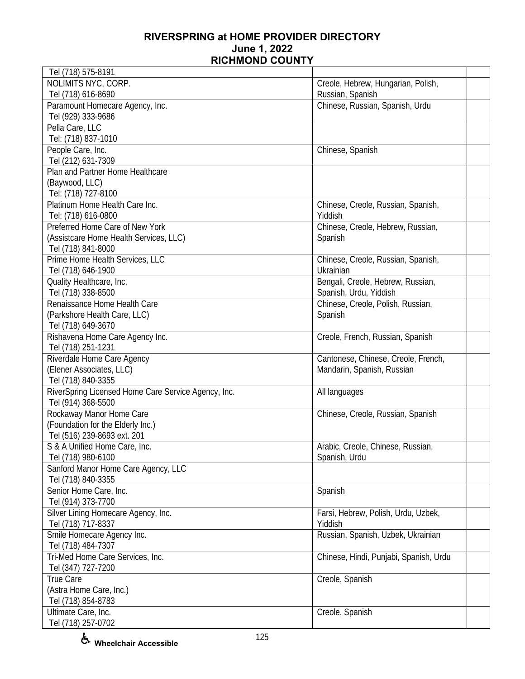| Tel (718) 575-8191                                  |                                        |  |
|-----------------------------------------------------|----------------------------------------|--|
| NOLIMITS NYC, CORP.                                 | Creole, Hebrew, Hungarian, Polish,     |  |
| Tel (718) 616-8690                                  | Russian, Spanish                       |  |
| Paramount Homecare Agency, Inc.                     | Chinese, Russian, Spanish, Urdu        |  |
| Tel (929) 333-9686                                  |                                        |  |
| Pella Care, LLC                                     |                                        |  |
| Tel: (718) 837-1010                                 |                                        |  |
| People Care, Inc.                                   | Chinese, Spanish                       |  |
| Tel (212) 631-7309                                  |                                        |  |
| Plan and Partner Home Healthcare                    |                                        |  |
| (Baywood, LLC)                                      |                                        |  |
| Tel: (718) 727-8100                                 |                                        |  |
| Platinum Home Health Care Inc.                      | Chinese, Creole, Russian, Spanish,     |  |
| Tel: (718) 616-0800                                 | Yiddish                                |  |
| Preferred Home Care of New York                     |                                        |  |
|                                                     | Chinese, Creole, Hebrew, Russian,      |  |
| (Assistcare Home Health Services, LLC)              | Spanish                                |  |
| Tel (718) 841-8000                                  |                                        |  |
| Prime Home Health Services, LLC                     | Chinese, Creole, Russian, Spanish,     |  |
| Tel (718) 646-1900                                  | Ukrainian                              |  |
| Quality Healthcare, Inc.                            | Bengali, Creole, Hebrew, Russian,      |  |
| Tel (718) 338-8500                                  | Spanish, Urdu, Yiddish                 |  |
| Renaissance Home Health Care                        | Chinese, Creole, Polish, Russian,      |  |
| (Parkshore Health Care, LLC)                        | Spanish                                |  |
| Tel (718) 649-3670                                  |                                        |  |
| Rishavena Home Care Agency Inc.                     | Creole, French, Russian, Spanish       |  |
| Tel (718) 251-1231                                  |                                        |  |
| Riverdale Home Care Agency                          | Cantonese, Chinese, Creole, French,    |  |
| (Elener Associates, LLC)                            | Mandarin, Spanish, Russian             |  |
| Tel (718) 840-3355                                  |                                        |  |
| RiverSpring Licensed Home Care Service Agency, Inc. | All languages                          |  |
| Tel (914) 368-5500                                  |                                        |  |
| Rockaway Manor Home Care                            | Chinese, Creole, Russian, Spanish      |  |
| (Foundation for the Elderly Inc.)                   |                                        |  |
| Tel (516) 239-8693 ext. 201                         |                                        |  |
| S & A Unified Home Care, Inc.                       | Arabic, Creole, Chinese, Russian,      |  |
| Tel (718) 980-6100                                  | Spanish, Urdu                          |  |
| Sanford Manor Home Care Agency, LLC                 |                                        |  |
| Tel (718) 840-3355                                  |                                        |  |
| Senior Home Care, Inc.                              | Spanish                                |  |
| Tel (914) 373-7700                                  |                                        |  |
| Silver Lining Homecare Agency, Inc.                 | Farsi, Hebrew, Polish, Urdu, Uzbek,    |  |
| Tel (718) 717-8337                                  | Yiddish                                |  |
|                                                     |                                        |  |
| Smile Homecare Agency Inc.                          | Russian, Spanish, Uzbek, Ukrainian     |  |
| Tel (718) 484-7307                                  |                                        |  |
| Tri-Med Home Care Services, Inc.                    | Chinese, Hindi, Punjabi, Spanish, Urdu |  |
| Tel (347) 727-7200                                  |                                        |  |
| True Care                                           | Creole, Spanish                        |  |
| (Astra Home Care, Inc.)                             |                                        |  |
| Tel (718) 854-8783                                  |                                        |  |
| Ultimate Care, Inc.                                 | Creole, Spanish                        |  |
| Tel (718) 257-0702                                  |                                        |  |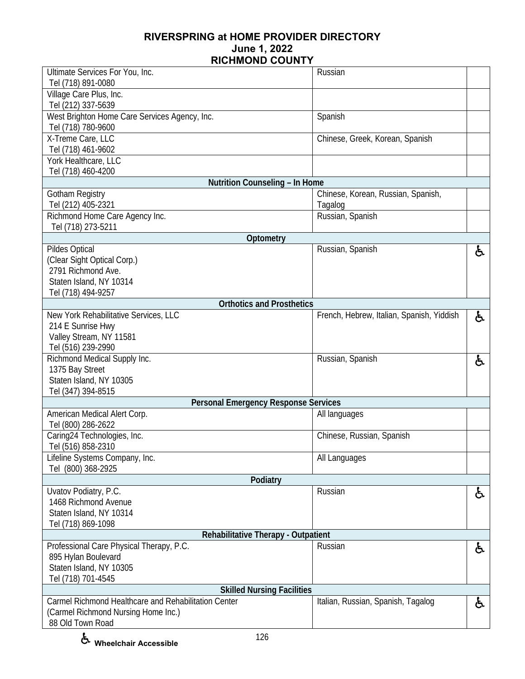| Ultimate Services For You, Inc.<br>Tel (718) 891-0080               | Russian                                   |    |
|---------------------------------------------------------------------|-------------------------------------------|----|
| Village Care Plus, Inc.<br>Tel (212) 337-5639                       |                                           |    |
| West Brighton Home Care Services Agency, Inc.<br>Tel (718) 780-9600 | Spanish                                   |    |
| X-Treme Care, LLC<br>Tel (718) 461-9602                             | Chinese, Greek, Korean, Spanish           |    |
| York Healthcare, LLC<br>Tel (718) 460-4200                          |                                           |    |
| Nutrition Counseling - In Home                                      |                                           |    |
| <b>Gotham Registry</b>                                              | Chinese, Korean, Russian, Spanish,        |    |
| Tel (212) 405-2321                                                  | Tagalog                                   |    |
| Richmond Home Care Agency Inc.                                      | Russian, Spanish                          |    |
| Tel (718) 273-5211                                                  |                                           |    |
| Optometry                                                           |                                           |    |
| Pildes Optical                                                      | Russian, Spanish                          | රූ |
| (Clear Sight Optical Corp.)<br>2791 Richmond Ave.                   |                                           |    |
| Staten Island, NY 10314                                             |                                           |    |
| Tel (718) 494-9257                                                  |                                           |    |
| <b>Orthotics and Prosthetics</b>                                    |                                           |    |
| New York Rehabilitative Services, LLC                               | French, Hebrew, Italian, Spanish, Yiddish | ė. |
| 214 E Sunrise Hwy                                                   |                                           |    |
| Valley Stream, NY 11581                                             |                                           |    |
| Tel (516) 239-2990                                                  |                                           |    |
| Richmond Medical Supply Inc.                                        | Russian, Spanish                          | ę. |
| 1375 Bay Street                                                     |                                           |    |
| Staten Island, NY 10305                                             |                                           |    |
| Tel (347) 394-8515                                                  |                                           |    |
| <b>Personal Emergency Response Services</b>                         |                                           |    |
| American Medical Alert Corp.                                        | All languages                             |    |
| Tel (800) 286-2622                                                  |                                           |    |
| Caring24 Technologies, Inc.                                         | Chinese, Russian, Spanish                 |    |
| Tel (516) 858-2310<br>Lifeline Systems Company, Inc.                | All Languages                             |    |
| Tel (800) 368-2925                                                  |                                           |    |
| Podiatry                                                            |                                           |    |
| Uvatov Podiatry, P.C.                                               | Russian                                   | ę. |
| 1468 Richmond Avenue                                                |                                           |    |
| Staten Island, NY 10314                                             |                                           |    |
| Tel (718) 869-1098                                                  |                                           |    |
| Rehabilitative Therapy - Outpatient                                 |                                           |    |
| Professional Care Physical Therapy, P.C.                            | Russian                                   | ė. |
| 895 Hylan Boulevard                                                 |                                           |    |
| Staten Island, NY 10305                                             |                                           |    |
| Tel (718) 701-4545                                                  |                                           |    |
| <b>Skilled Nursing Facilities</b>                                   |                                           |    |
| Carmel Richmond Healthcare and Rehabilitation Center                | Italian, Russian, Spanish, Tagalog        | ė. |
| (Carmel Richmond Nursing Home Inc.)<br>88 Old Town Road             |                                           |    |
|                                                                     |                                           |    |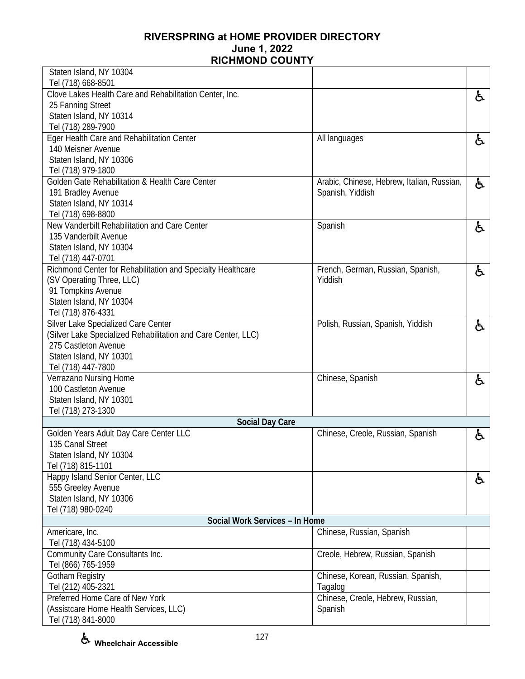| Staten Island, NY 10304                                                               |                                            |    |
|---------------------------------------------------------------------------------------|--------------------------------------------|----|
| Tel (718) 668-8501                                                                    |                                            |    |
| Clove Lakes Health Care and Rehabilitation Center, Inc.                               |                                            | と  |
| 25 Fanning Street                                                                     |                                            |    |
| Staten Island, NY 10314                                                               |                                            |    |
| Tel (718) 289-7900                                                                    |                                            |    |
| Eger Health Care and Rehabilitation Center                                            | All languages                              | と  |
| 140 Meisner Avenue                                                                    |                                            |    |
| Staten Island, NY 10306                                                               |                                            |    |
| Tel (718) 979-1800                                                                    |                                            |    |
| Golden Gate Rehabilitation & Health Care Center                                       | Arabic, Chinese, Hebrew, Italian, Russian, | と  |
| 191 Bradley Avenue                                                                    | Spanish, Yiddish                           |    |
| Staten Island, NY 10314                                                               |                                            |    |
| Tel (718) 698-8800                                                                    |                                            |    |
| New Vanderbilt Rehabilitation and Care Center                                         | Spanish                                    | ę. |
| 135 Vanderbilt Avenue                                                                 |                                            |    |
| Staten Island, NY 10304                                                               |                                            |    |
| Tel (718) 447-0701                                                                    |                                            |    |
| Richmond Center for Rehabilitation and Specialty Healthcare                           | French, German, Russian, Spanish,          | と  |
| (SV Operating Three, LLC)                                                             | Yiddish                                    |    |
| 91 Tompkins Avenue                                                                    |                                            |    |
| Staten Island, NY 10304                                                               |                                            |    |
| Tel (718) 876-4331                                                                    |                                            |    |
| Silver Lake Specialized Care Center                                                   | Polish, Russian, Spanish, Yiddish          | 占  |
| (Silver Lake Specialized Rehabilitation and Care Center, LLC)<br>275 Castleton Avenue |                                            |    |
| Staten Island, NY 10301                                                               |                                            |    |
| Tel (718) 447-7800                                                                    |                                            |    |
| Verrazano Nursing Home                                                                | Chinese, Spanish                           |    |
| 100 Castleton Avenue                                                                  |                                            | と  |
| Staten Island, NY 10301                                                               |                                            |    |
| Tel (718) 273-1300                                                                    |                                            |    |
| <b>Social Day Care</b>                                                                |                                            |    |
| Golden Years Adult Day Care Center LLC                                                | Chinese, Creole, Russian, Spanish          | ę. |
| 135 Canal Street                                                                      |                                            |    |
| Staten Island, NY 10304                                                               |                                            |    |
| Tel (718) 815-1101                                                                    |                                            |    |
| Happy Island Senior Center, LLC                                                       |                                            | ę. |
| 555 Greeley Avenue                                                                    |                                            |    |
| Staten Island, NY 10306                                                               |                                            |    |
| Tel (718) 980-0240                                                                    |                                            |    |
| Social Work Services - In Home                                                        |                                            |    |
| Americare, Inc.                                                                       | Chinese, Russian, Spanish                  |    |
| Tel (718) 434-5100                                                                    |                                            |    |
| Community Care Consultants Inc.                                                       | Creole, Hebrew, Russian, Spanish           |    |
| Tel (866) 765-1959                                                                    |                                            |    |
| Gotham Registry                                                                       | Chinese, Korean, Russian, Spanish,         |    |
| Tel (212) 405-2321                                                                    | Tagalog                                    |    |
| Preferred Home Care of New York                                                       | Chinese, Creole, Hebrew, Russian,          |    |
| (Assistcare Home Health Services, LLC)                                                | Spanish                                    |    |
| Tel (718) 841-8000                                                                    |                                            |    |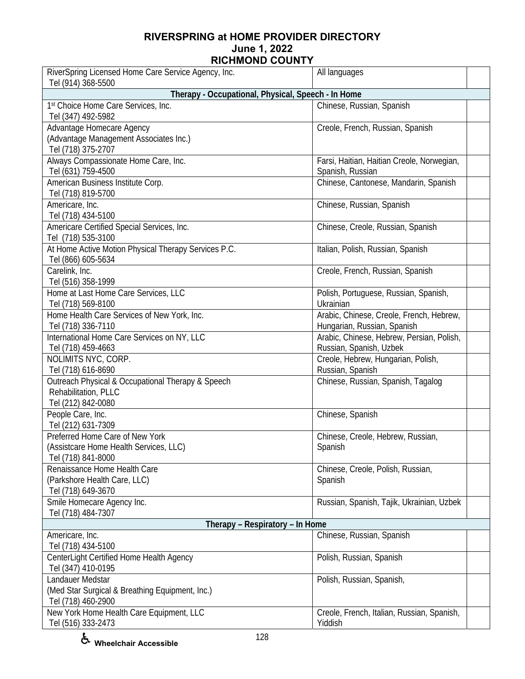| RiverSpring Licensed Home Care Service Agency, Inc.<br>Tel (914) 368-5500 | All languages                                          |  |
|---------------------------------------------------------------------------|--------------------------------------------------------|--|
| Therapy - Occupational, Physical, Speech - In Home                        |                                                        |  |
| 1st Choice Home Care Services, Inc.                                       | Chinese, Russian, Spanish                              |  |
| Tel (347) 492-5982                                                        |                                                        |  |
| Advantage Homecare Agency                                                 | Creole, French, Russian, Spanish                       |  |
| (Advantage Management Associates Inc.)                                    |                                                        |  |
| Tel (718) 375-2707                                                        |                                                        |  |
| Always Compassionate Home Care, Inc.                                      | Farsi, Haitian, Haitian Creole, Norwegian,             |  |
| Tel (631) 759-4500                                                        | Spanish, Russian                                       |  |
| American Business Institute Corp.<br>Tel (718) 819-5700                   | Chinese, Cantonese, Mandarin, Spanish                  |  |
| Americare, Inc.                                                           | Chinese, Russian, Spanish                              |  |
| Tel (718) 434-5100                                                        |                                                        |  |
| Americare Certified Special Services, Inc.                                | Chinese, Creole, Russian, Spanish                      |  |
| Tel (718) 535-3100                                                        |                                                        |  |
| At Home Active Motion Physical Therapy Services P.C.                      | Italian, Polish, Russian, Spanish                      |  |
| Tel (866) 605-5634                                                        |                                                        |  |
| Carelink, Inc.                                                            | Creole, French, Russian, Spanish                       |  |
| Tel (516) 358-1999                                                        |                                                        |  |
| Home at Last Home Care Services, LLC                                      | Polish, Portuguese, Russian, Spanish,                  |  |
| Tel (718) 569-8100                                                        | Ukrainian                                              |  |
| Home Health Care Services of New York, Inc.                               | Arabic, Chinese, Creole, French, Hebrew,               |  |
| Tel (718) 336-7110                                                        | Hungarian, Russian, Spanish                            |  |
| International Home Care Services on NY, LLC                               | Arabic, Chinese, Hebrew, Persian, Polish,              |  |
| Tel (718) 459-4663<br>NOLIMITS NYC, CORP.                                 | Russian, Spanish, Uzbek                                |  |
| Tel (718) 616-8690                                                        | Creole, Hebrew, Hungarian, Polish,<br>Russian, Spanish |  |
| Outreach Physical & Occupational Therapy & Speech                         | Chinese, Russian, Spanish, Tagalog                     |  |
| Rehabilitation, PLLC                                                      |                                                        |  |
| Tel (212) 842-0080                                                        |                                                        |  |
| People Care, Inc.                                                         | Chinese, Spanish                                       |  |
| Tel (212) 631-7309                                                        |                                                        |  |
| Preferred Home Care of New York                                           | Chinese, Creole, Hebrew, Russian,                      |  |
| (Assistcare Home Health Services, LLC)                                    | Spanish                                                |  |
| Tel (718) 841-8000                                                        |                                                        |  |
| Renaissance Home Health Care                                              | Chinese, Creole, Polish, Russian,                      |  |
| (Parkshore Health Care, LLC)                                              | Spanish                                                |  |
| Tel (718) 649-3670                                                        |                                                        |  |
| Smile Homecare Agency Inc.<br>Tel (718) 484-7307                          | Russian, Spanish, Tajik, Ukrainian, Uzbek              |  |
| Therapy - Respiratory - In Home                                           |                                                        |  |
| Americare, Inc.                                                           | Chinese, Russian, Spanish                              |  |
| Tel (718) 434-5100                                                        |                                                        |  |
| CenterLight Certified Home Health Agency                                  | Polish, Russian, Spanish                               |  |
| Tel (347) 410-0195                                                        |                                                        |  |
| Landauer Medstar                                                          | Polish, Russian, Spanish,                              |  |
| (Med Star Surgical & Breathing Equipment, Inc.)                           |                                                        |  |
| Tel (718) 460-2900                                                        |                                                        |  |
| New York Home Health Care Equipment, LLC                                  | Creole, French, Italian, Russian, Spanish,             |  |
| Tel (516) 333-2473                                                        | Yiddish                                                |  |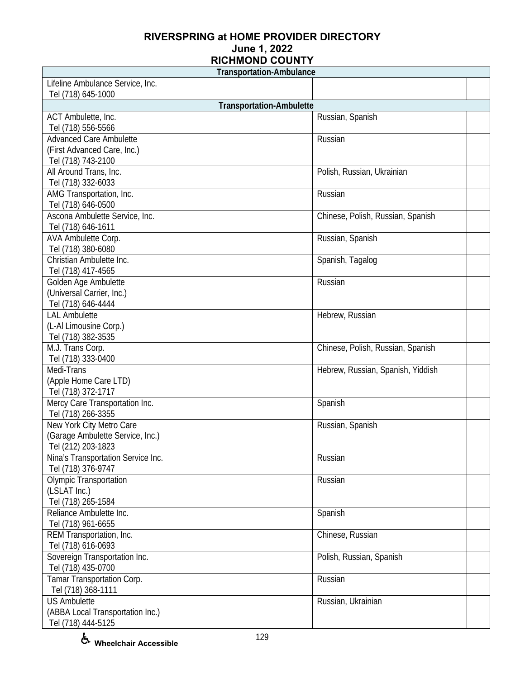| <b>Transportation-Ambulance</b>    |                                   |  |
|------------------------------------|-----------------------------------|--|
| Lifeline Ambulance Service, Inc.   |                                   |  |
| Tel (718) 645-1000                 |                                   |  |
| <b>Transportation-Ambulette</b>    |                                   |  |
| ACT Ambulette, Inc.                | Russian, Spanish                  |  |
| Tel (718) 556-5566                 |                                   |  |
| <b>Advanced Care Ambulette</b>     | Russian                           |  |
| (First Advanced Care, Inc.)        |                                   |  |
| Tel (718) 743-2100                 |                                   |  |
| All Around Trans, Inc.             | Polish, Russian, Ukrainian        |  |
| Tel (718) 332-6033                 |                                   |  |
| AMG Transportation, Inc.           | Russian                           |  |
| Tel (718) 646-0500                 |                                   |  |
| Ascona Ambulette Service, Inc.     | Chinese, Polish, Russian, Spanish |  |
| Tel (718) 646-1611                 |                                   |  |
| AVA Ambulette Corp.                | Russian, Spanish                  |  |
| Tel (718) 380-6080                 |                                   |  |
| Christian Ambulette Inc.           | Spanish, Tagalog                  |  |
| Tel (718) 417-4565                 |                                   |  |
| Golden Age Ambulette               | Russian                           |  |
| (Universal Carrier, Inc.)          |                                   |  |
| Tel (718) 646-4444                 |                                   |  |
| <b>LAL Ambulette</b>               | Hebrew, Russian                   |  |
| (L-Al Limousine Corp.)             |                                   |  |
| Tel (718) 382-3535                 |                                   |  |
| M.J. Trans Corp.                   | Chinese, Polish, Russian, Spanish |  |
| Tel (718) 333-0400                 |                                   |  |
| Medi-Trans                         | Hebrew, Russian, Spanish, Yiddish |  |
| (Apple Home Care LTD)              |                                   |  |
| Tel (718) 372-1717                 |                                   |  |
| Mercy Care Transportation Inc.     | Spanish                           |  |
| Tel (718) 266-3355                 |                                   |  |
| New York City Metro Care           | Russian, Spanish                  |  |
| (Garage Ambulette Service, Inc.)   |                                   |  |
| Tel (212) 203-1823                 |                                   |  |
| Nina's Transportation Service Inc. | Russian                           |  |
| Tel (718) 376-9747                 |                                   |  |
| <b>Olympic Transportation</b>      | Russian                           |  |
| (LSLAT Inc.)                       |                                   |  |
| Tel (718) 265-1584                 |                                   |  |
| Reliance Ambulette Inc.            | Spanish                           |  |
| Tel (718) 961-6655                 |                                   |  |
| REM Transportation, Inc.           | Chinese, Russian                  |  |
| Tel (718) 616-0693                 |                                   |  |
| Sovereign Transportation Inc.      | Polish, Russian, Spanish          |  |
| Tel (718) 435-0700                 |                                   |  |
| Tamar Transportation Corp.         | Russian                           |  |
| Tel (718) 368-1111                 |                                   |  |
| <b>US Ambulette</b>                | Russian, Ukrainian                |  |
| (ABBA Local Transportation Inc.)   |                                   |  |
| Tel (718) 444-5125                 |                                   |  |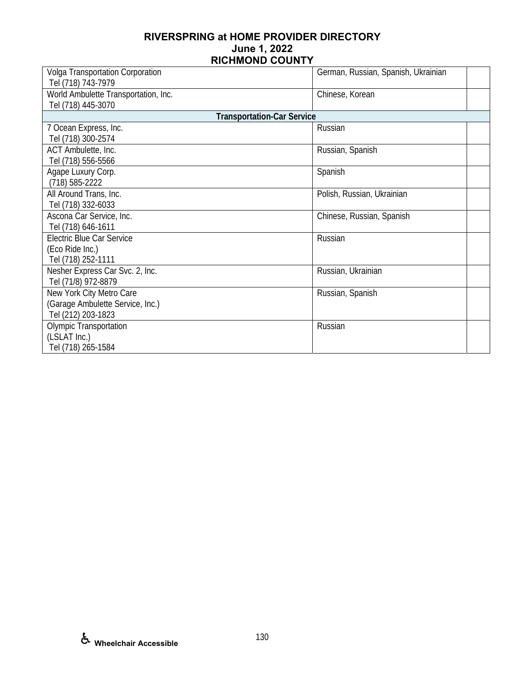| Volga Transportation Corporation     | German, Russian, Spanish, Ukrainian |
|--------------------------------------|-------------------------------------|
| Tel (718) 743-7979                   |                                     |
| World Ambulette Transportation, Inc. | Chinese, Korean                     |
| Tel (718) 445-3070                   |                                     |
| <b>Transportation-Car Service</b>    |                                     |
| 7 Ocean Express, Inc.                | Russian                             |
| Tel (718) 300-2574                   |                                     |
| ACT Ambulette, Inc.                  | Russian, Spanish                    |
| Tel (718) 556-5566                   |                                     |
| Agape Luxury Corp.                   | Spanish                             |
| $(718) 585 - 2222$                   |                                     |
| All Around Trans, Inc.               | Polish, Russian, Ukrainian          |
| Tel (718) 332-6033                   |                                     |
| Ascona Car Service, Inc.             | Chinese, Russian, Spanish           |
| Tel (718) 646-1611                   |                                     |
| <b>Electric Blue Car Service</b>     | Russian                             |
| (Eco Ride Inc.)                      |                                     |
| Tel (718) 252-1111                   |                                     |
| Nesher Express Car Svc. 2, Inc.      | Russian, Ukrainian                  |
| Tel (71/8) 972-8879                  |                                     |
| New York City Metro Care             | Russian, Spanish                    |
| (Garage Ambulette Service, Inc.)     |                                     |
| Tel (212) 203-1823                   |                                     |
| <b>Olympic Transportation</b>        | Russian                             |
| (LSLAT Inc.)                         |                                     |
| Tel (718) 265-1584                   |                                     |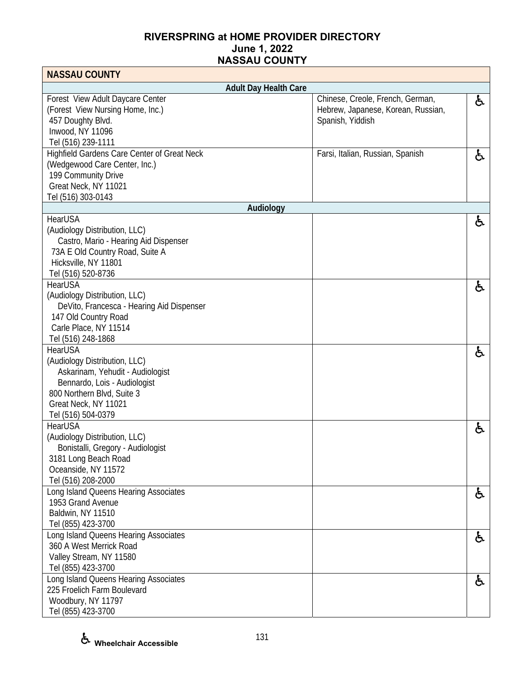| <b>NASSAU COUNTY</b>                                                                                                                                                                            |                              |                                                                                            |    |
|-------------------------------------------------------------------------------------------------------------------------------------------------------------------------------------------------|------------------------------|--------------------------------------------------------------------------------------------|----|
|                                                                                                                                                                                                 | <b>Adult Day Health Care</b> |                                                                                            |    |
| Forest View Adult Daycare Center<br>(Forest View Nursing Home, Inc.)<br>457 Doughty Blvd.<br>Inwood, NY 11096<br>Tel (516) 239-1111                                                             |                              | Chinese, Creole, French, German,<br>Hebrew, Japanese, Korean, Russian,<br>Spanish, Yiddish | ė. |
| Highfield Gardens Care Center of Great Neck<br>(Wedgewood Care Center, Inc.)<br>199 Community Drive<br>Great Neck, NY 11021<br>Tel (516) 303-0143                                               |                              | Farsi, Italian, Russian, Spanish                                                           | と  |
|                                                                                                                                                                                                 | Audiology                    |                                                                                            |    |
| <b>HearUSA</b><br>(Audiology Distribution, LLC)<br>Castro, Mario - Hearing Aid Dispenser<br>73A E Old Country Road, Suite A<br>Hicksville, NY 11801<br>Tel (516) 520-8736                       |                              |                                                                                            | ė. |
| <b>HearUSA</b><br>(Audiology Distribution, LLC)<br>DeVito, Francesca - Hearing Aid Dispenser<br>147 Old Country Road<br>Carle Place, NY 11514<br>Tel (516) 248-1868                             |                              |                                                                                            | ę. |
| <b>HearUSA</b><br>(Audiology Distribution, LLC)<br>Askarinam, Yehudit - Audiologist<br>Bennardo, Lois - Audiologist<br>800 Northern Blvd, Suite 3<br>Great Neck, NY 11021<br>Tel (516) 504-0379 |                              |                                                                                            | f. |
| HearUSA<br>(Audiology Distribution, LLC)<br>Bonistalli, Gregory - Audiologist<br>3181 Long Beach Road<br>Oceanside, NY 11572<br>Tel (516) 208-2000                                              |                              |                                                                                            | ė. |
| Long Island Queens Hearing Associates<br>1953 Grand Avenue<br>Baldwin, NY 11510<br>Tel (855) 423-3700                                                                                           |                              |                                                                                            | ė. |
| Long Island Queens Hearing Associates<br>360 A West Merrick Road<br>Valley Stream, NY 11580<br>Tel (855) 423-3700                                                                               |                              |                                                                                            | ė. |
| Long Island Queens Hearing Associates<br>225 Froelich Farm Boulevard<br>Woodbury, NY 11797<br>Tel (855) 423-3700                                                                                |                              |                                                                                            | ė, |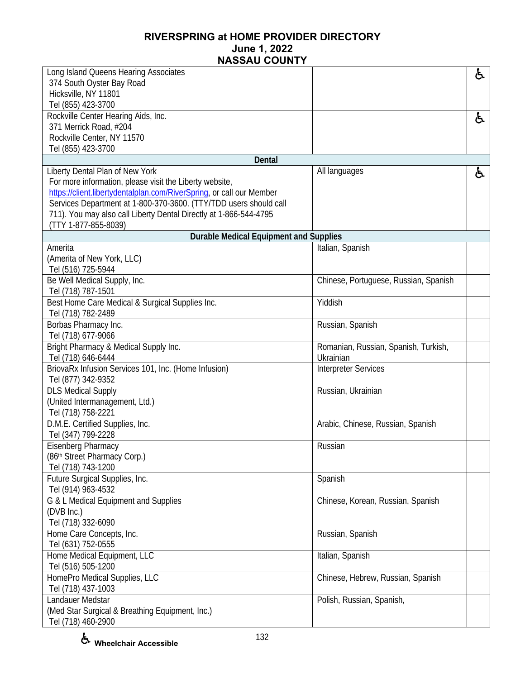| Long Island Queens Hearing Associates                                |                                       | と  |
|----------------------------------------------------------------------|---------------------------------------|----|
| 374 South Oyster Bay Road                                            |                                       |    |
| Hicksville, NY 11801                                                 |                                       |    |
| Tel (855) 423-3700                                                   |                                       |    |
| Rockville Center Hearing Aids, Inc.                                  |                                       | と  |
| 371 Merrick Road, #204                                               |                                       |    |
| Rockville Center, NY 11570                                           |                                       |    |
| Tel (855) 423-3700                                                   |                                       |    |
| <b>Dental</b>                                                        |                                       |    |
| Liberty Dental Plan of New York                                      | All languages                         | ė, |
| For more information, please visit the Liberty website,              |                                       |    |
| https://client.libertydentalplan.com/RiverSpring, or call our Member |                                       |    |
| Services Department at 1-800-370-3600. (TTY/TDD users should call    |                                       |    |
| 711). You may also call Liberty Dental Directly at 1-866-544-4795    |                                       |    |
| (TTY 1-877-855-8039)                                                 |                                       |    |
| <b>Durable Medical Equipment and Supplies</b>                        |                                       |    |
| Amerita                                                              | Italian, Spanish                      |    |
| (Amerita of New York, LLC)                                           |                                       |    |
| Tel (516) 725-5944                                                   |                                       |    |
| Be Well Medical Supply, Inc.                                         | Chinese, Portuguese, Russian, Spanish |    |
| Tel (718) 787-1501                                                   |                                       |    |
| Best Home Care Medical & Surgical Supplies Inc.                      | Yiddish                               |    |
| Tel (718) 782-2489                                                   |                                       |    |
| Borbas Pharmacy Inc.                                                 | Russian, Spanish                      |    |
| Tel (718) 677-9066                                                   |                                       |    |
| Bright Pharmacy & Medical Supply Inc.                                | Romanian, Russian, Spanish, Turkish,  |    |
| Tel (718) 646-6444                                                   | Ukrainian                             |    |
| BriovaRx Infusion Services 101, Inc. (Home Infusion)                 | <b>Interpreter Services</b>           |    |
| Tel (877) 342-9352                                                   |                                       |    |
| <b>DLS Medical Supply</b>                                            | Russian, Ukrainian                    |    |
| (United Intermanagement, Ltd.)                                       |                                       |    |
| Tel (718) 758-2221                                                   |                                       |    |
| D.M.E. Certified Supplies, Inc.                                      | Arabic, Chinese, Russian, Spanish     |    |
| Tel (347) 799-2228                                                   |                                       |    |
| Eisenberg Pharmacy                                                   | Russian                               |    |
| (86th Street Pharmacy Corp.)                                         |                                       |    |
| Tel (718) 743-1200                                                   |                                       |    |
| Future Surgical Supplies, Inc.                                       | Spanish                               |    |
| Tel (914) 963-4532                                                   |                                       |    |
| G & L Medical Equipment and Supplies                                 | Chinese, Korean, Russian, Spanish     |    |
| (DVB Inc.)                                                           |                                       |    |
| Tel (718) 332-6090                                                   |                                       |    |
| Home Care Concepts, Inc.                                             | Russian, Spanish                      |    |
| Tel (631) 752-0555                                                   |                                       |    |
| Home Medical Equipment, LLC                                          | Italian, Spanish                      |    |
| Tel (516) 505-1200                                                   |                                       |    |
| HomePro Medical Supplies, LLC                                        | Chinese, Hebrew, Russian, Spanish     |    |
| Tel (718) 437-1003                                                   |                                       |    |
| Landauer Medstar                                                     | Polish, Russian, Spanish,             |    |
| (Med Star Surgical & Breathing Equipment, Inc.)                      |                                       |    |
| Tel (718) 460-2900                                                   |                                       |    |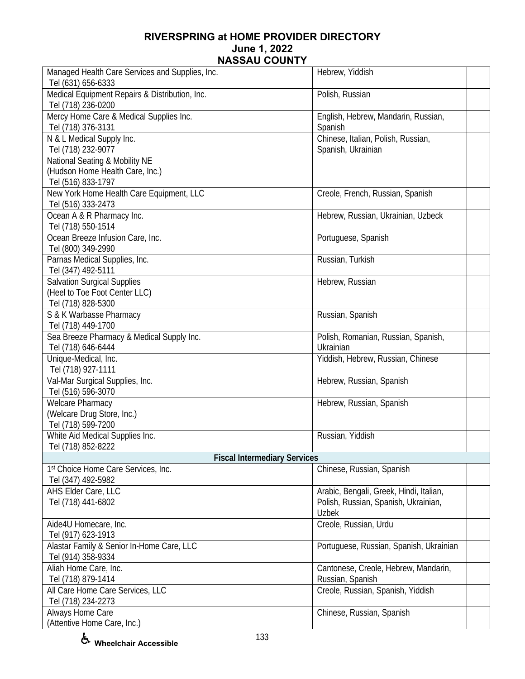| Managed Health Care Services and Supplies, Inc.                      | Hebrew, Yiddish                                          |
|----------------------------------------------------------------------|----------------------------------------------------------|
| Tel (631) 656-6333<br>Medical Equipment Repairs & Distribution, Inc. | Polish, Russian                                          |
| Tel (718) 236-0200                                                   |                                                          |
| Mercy Home Care & Medical Supplies Inc.                              | English, Hebrew, Mandarin, Russian,                      |
| Tel (718) 376-3131                                                   | Spanish                                                  |
| N & L Medical Supply Inc.                                            | Chinese, Italian, Polish, Russian,                       |
| Tel (718) 232-9077                                                   | Spanish, Ukrainian                                       |
| National Seating & Mobility NE                                       |                                                          |
| (Hudson Home Health Care, Inc.)                                      |                                                          |
| Tel (516) 833-1797                                                   |                                                          |
| New York Home Health Care Equipment, LLC                             | Creole, French, Russian, Spanish                         |
| Tel (516) 333-2473                                                   |                                                          |
| Ocean A & R Pharmacy Inc.                                            | Hebrew, Russian, Ukrainian, Uzbeck                       |
| Tel (718) 550-1514                                                   |                                                          |
| Ocean Breeze Infusion Care, Inc.<br>Tel (800) 349-2990               | Portuguese, Spanish                                      |
| Parnas Medical Supplies, Inc.                                        | Russian, Turkish                                         |
| Tel (347) 492-5111                                                   |                                                          |
| <b>Salvation Surgical Supplies</b>                                   | Hebrew, Russian                                          |
| (Heel to Toe Foot Center LLC)                                        |                                                          |
| Tel (718) 828-5300                                                   |                                                          |
| S & K Warbasse Pharmacy                                              | Russian, Spanish                                         |
| Tel (718) 449-1700                                                   |                                                          |
| Sea Breeze Pharmacy & Medical Supply Inc.                            | Polish, Romanian, Russian, Spanish,                      |
| Tel (718) 646-6444                                                   | Ukrainian                                                |
| Unique-Medical, Inc.                                                 | Yiddish, Hebrew, Russian, Chinese                        |
| Tel (718) 927-1111                                                   |                                                          |
| Val-Mar Surgical Supplies, Inc.                                      | Hebrew, Russian, Spanish                                 |
| Tel (516) 596-3070<br><b>Welcare Pharmacy</b>                        |                                                          |
| (Welcare Drug Store, Inc.)                                           | Hebrew, Russian, Spanish                                 |
| Tel (718) 599-7200                                                   |                                                          |
| White Aid Medical Supplies Inc.                                      | Russian, Yiddish                                         |
| Tel (718) 852-8222                                                   |                                                          |
| <b>Fiscal Intermediary Services</b>                                  |                                                          |
| 1st Choice Home Care Services, Inc.                                  | Chinese, Russian, Spanish                                |
| Tel (347) 492-5982                                                   |                                                          |
| AHS Elder Care, LLC                                                  | Arabic, Bengali, Greek, Hindi, Italian,                  |
| Tel (718) 441-6802                                                   | Polish, Russian, Spanish, Ukrainian,                     |
|                                                                      | Uzbek                                                    |
| Aide4U Homecare, Inc.                                                | Creole, Russian, Urdu                                    |
| Tel (917) 623-1913                                                   |                                                          |
| Alastar Family & Senior In-Home Care, LLC                            | Portuguese, Russian, Spanish, Ukrainian                  |
| Tel (914) 358-9334                                                   |                                                          |
| Aliah Home Care, Inc.<br>Tel (718) 879-1414                          | Cantonese, Creole, Hebrew, Mandarin,<br>Russian, Spanish |
| All Care Home Care Services, LLC                                     | Creole, Russian, Spanish, Yiddish                        |
| Tel (718) 234-2273                                                   |                                                          |
| Always Home Care                                                     | Chinese, Russian, Spanish                                |
| (Attentive Home Care, Inc.)                                          |                                                          |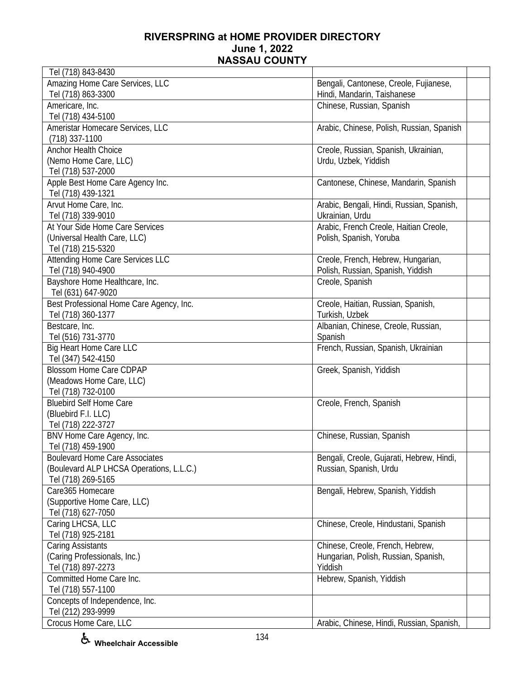| Tel (718) 843-8430                                   |                                           |  |
|------------------------------------------------------|-------------------------------------------|--|
| Amazing Home Care Services, LLC                      | Bengali, Cantonese, Creole, Fujianese,    |  |
| Tel (718) 863-3300                                   | Hindi, Mandarin, Taishanese               |  |
| Americare, Inc.                                      | Chinese, Russian, Spanish                 |  |
| Tel (718) 434-5100                                   |                                           |  |
| Ameristar Homecare Services, LLC                     | Arabic, Chinese, Polish, Russian, Spanish |  |
| $(718)$ 337-1100                                     |                                           |  |
| <b>Anchor Health Choice</b>                          | Creole, Russian, Spanish, Ukrainian,      |  |
| (Nemo Home Care, LLC)                                | Urdu, Uzbek, Yiddish                      |  |
| Tel (718) 537-2000                                   |                                           |  |
| Apple Best Home Care Agency Inc.                     | Cantonese, Chinese, Mandarin, Spanish     |  |
| Tel (718) 439-1321                                   |                                           |  |
| Arvut Home Care, Inc.                                | Arabic, Bengali, Hindi, Russian, Spanish, |  |
| Tel (718) 339-9010                                   | Ukrainian, Urdu                           |  |
| At Your Side Home Care Services                      | Arabic, French Creole, Haitian Creole,    |  |
| (Universal Health Care, LLC)                         | Polish, Spanish, Yoruba                   |  |
| Tel (718) 215-5320                                   |                                           |  |
| <b>Attending Home Care Services LLC</b>              | Creole, French, Hebrew, Hungarian,        |  |
| Tel (718) 940-4900                                   | Polish, Russian, Spanish, Yiddish         |  |
| Bayshore Home Healthcare, Inc.                       | Creole, Spanish                           |  |
| Tel (631) 647-9020                                   |                                           |  |
| Best Professional Home Care Agency, Inc.             | Creole, Haitian, Russian, Spanish,        |  |
| Tel (718) 360-1377                                   | Turkish, Uzbek                            |  |
| Bestcare, Inc.                                       | Albanian, Chinese, Creole, Russian,       |  |
| Tel (516) 731-3770                                   | Spanish                                   |  |
| <b>Big Heart Home Care LLC</b>                       | French, Russian, Spanish, Ukrainian       |  |
| Tel (347) 542-4150                                   |                                           |  |
| <b>Blossom Home Care CDPAP</b>                       | Greek, Spanish, Yiddish                   |  |
| (Meadows Home Care, LLC)                             |                                           |  |
| Tel (718) 732-0100                                   |                                           |  |
| <b>Bluebird Self Home Care</b>                       | Creole, French, Spanish                   |  |
| (Bluebird F.I. LLC)                                  |                                           |  |
| Tel (718) 222-3727                                   |                                           |  |
| BNV Home Care Agency, Inc.                           | Chinese, Russian, Spanish                 |  |
| Tel (718) 459-1900                                   |                                           |  |
| <b>Boulevard Home Care Associates</b>                | Bengali, Creole, Gujarati, Hebrew, Hindi, |  |
| (Boulevard ALP LHCSA Operations, L.L.C.)             | Russian, Spanish, Urdu                    |  |
| Tel (718) 269-5165                                   |                                           |  |
| Care365 Homecare                                     | Bengali, Hebrew, Spanish, Yiddish         |  |
| (Supportive Home Care, LLC)                          |                                           |  |
| Tel (718) 627-7050                                   |                                           |  |
| Caring LHCSA, LLC                                    | Chinese, Creole, Hindustani, Spanish      |  |
| Tel (718) 925-2181                                   |                                           |  |
| <b>Caring Assistants</b>                             | Chinese, Creole, French, Hebrew,          |  |
| (Caring Professionals, Inc.)                         | Hungarian, Polish, Russian, Spanish,      |  |
| Tel (718) 897-2273                                   | Yiddish                                   |  |
| Committed Home Care Inc.                             | Hebrew, Spanish, Yiddish                  |  |
| Tel (718) 557-1100                                   |                                           |  |
|                                                      |                                           |  |
| Concepts of Independence, Inc.<br>Tel (212) 293-9999 |                                           |  |
|                                                      |                                           |  |
| Crocus Home Care, LLC                                | Arabic, Chinese, Hindi, Russian, Spanish, |  |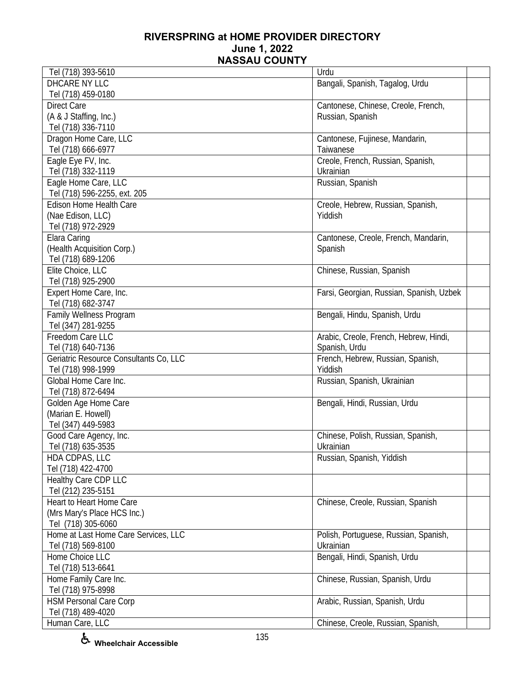| Tel (718) 393-5610                     | Urdu                                     |
|----------------------------------------|------------------------------------------|
| DHCARE NY LLC                          | Bangali, Spanish, Tagalog, Urdu          |
| Tel (718) 459-0180                     |                                          |
| <b>Direct Care</b>                     | Cantonese, Chinese, Creole, French,      |
| (A & J Staffing, Inc.)                 | Russian, Spanish                         |
| Tel (718) 336-7110                     |                                          |
| Dragon Home Care, LLC                  | Cantonese, Fujinese, Mandarin,           |
| Tel (718) 666-6977                     | Taiwanese                                |
| Eagle Eye FV, Inc.                     | Creole, French, Russian, Spanish,        |
| Tel (718) 332-1119                     | Ukrainian                                |
| Eagle Home Care, LLC                   | Russian, Spanish                         |
| Tel (718) 596-2255, ext. 205           |                                          |
| Edison Home Health Care                | Creole, Hebrew, Russian, Spanish,        |
| (Nae Edison, LLC)                      | Yiddish                                  |
| Tel (718) 972-2929                     |                                          |
| Elara Caring                           |                                          |
|                                        | Cantonese, Creole, French, Mandarin,     |
| (Health Acquisition Corp.)             | Spanish                                  |
| Tel (718) 689-1206                     |                                          |
| Elite Choice, LLC                      | Chinese, Russian, Spanish                |
| Tel (718) 925-2900                     |                                          |
| Expert Home Care, Inc.                 | Farsi, Georgian, Russian, Spanish, Uzbek |
| Tel (718) 682-3747                     |                                          |
| Family Wellness Program                | Bengali, Hindu, Spanish, Urdu            |
| Tel (347) 281-9255                     |                                          |
| Freedom Care LLC                       | Arabic, Creole, French, Hebrew, Hindi,   |
| Tel (718) 640-7136                     | Spanish, Urdu                            |
| Geriatric Resource Consultants Co, LLC | French, Hebrew, Russian, Spanish,        |
| Tel (718) 998-1999                     | Yiddish                                  |
| Global Home Care Inc.                  | Russian, Spanish, Ukrainian              |
| Tel (718) 872-6494                     |                                          |
| Golden Age Home Care                   | Bengali, Hindi, Russian, Urdu            |
| (Marian E. Howell)                     |                                          |
| Tel (347) 449-5983                     |                                          |
| Good Care Agency, Inc.                 | Chinese, Polish, Russian, Spanish,       |
| Tel (718) 635-3535                     | Ukrainian                                |
| HDA CDPAS, LLC                         | Russian, Spanish, Yiddish                |
| Tel (718) 422-4700                     |                                          |
| Healthy Care CDP LLC                   |                                          |
| Tel (212) 235-5151                     |                                          |
| <b>Heart to Heart Home Care</b>        | Chinese, Creole, Russian, Spanish        |
| (Mrs Mary's Place HCS Inc.)            |                                          |
| Tel (718) 305-6060                     |                                          |
| Home at Last Home Care Services, LLC   | Polish, Portuguese, Russian, Spanish,    |
| Tel (718) 569-8100                     | Ukrainian                                |
| Home Choice LLC                        | Bengali, Hindi, Spanish, Urdu            |
| Tel (718) 513-6641                     |                                          |
| Home Family Care Inc.                  | Chinese, Russian, Spanish, Urdu          |
| Tel (718) 975-8998                     |                                          |
| <b>HSM Personal Care Corp</b>          | Arabic, Russian, Spanish, Urdu           |
| Tel (718) 489-4020                     |                                          |
|                                        |                                          |
| Human Care, LLC                        | Chinese, Creole, Russian, Spanish,       |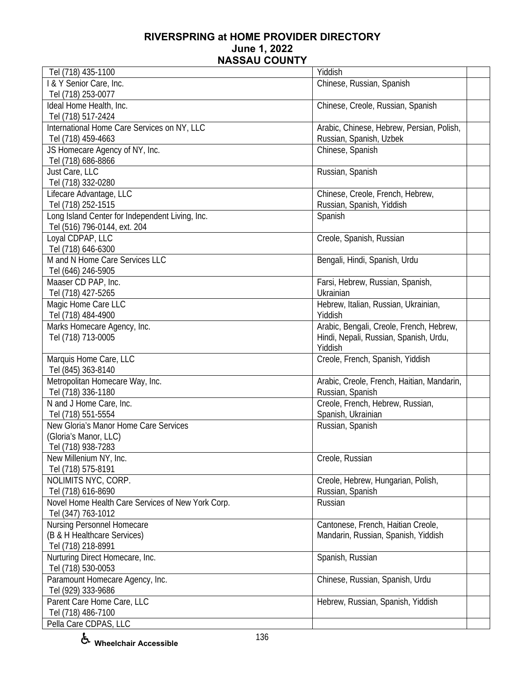| Tel (718) 435-1100                                | Yiddish                                    |  |
|---------------------------------------------------|--------------------------------------------|--|
| I & Y Senior Care, Inc.                           | Chinese, Russian, Spanish                  |  |
| Tel (718) 253-0077                                |                                            |  |
| Ideal Home Health, Inc.                           | Chinese, Creole, Russian, Spanish          |  |
| Tel (718) 517-2424                                |                                            |  |
| International Home Care Services on NY, LLC       | Arabic, Chinese, Hebrew, Persian, Polish,  |  |
| Tel (718) 459-4663                                | Russian, Spanish, Uzbek                    |  |
| JS Homecare Agency of NY, Inc.                    | Chinese, Spanish                           |  |
| Tel (718) 686-8866                                |                                            |  |
| Just Care, LLC                                    | Russian, Spanish                           |  |
| Tel (718) 332-0280                                |                                            |  |
| Lifecare Advantage, LLC                           | Chinese, Creole, French, Hebrew,           |  |
| Tel (718) 252-1515                                | Russian, Spanish, Yiddish                  |  |
| Long Island Center for Independent Living, Inc.   | Spanish                                    |  |
| Tel (516) 796-0144, ext. 204                      |                                            |  |
| Loyal CDPAP, LLC                                  | Creole, Spanish, Russian                   |  |
| Tel (718) 646-6300                                |                                            |  |
| M and N Home Care Services LLC                    | Bengali, Hindi, Spanish, Urdu              |  |
| Tel (646) 246-5905                                |                                            |  |
| Maaser CD PAP, Inc.                               | Farsi, Hebrew, Russian, Spanish,           |  |
| Tel (718) 427-5265                                | Ukrainian                                  |  |
| Magic Home Care LLC                               | Hebrew, Italian, Russian, Ukrainian,       |  |
| Tel (718) 484-4900                                | Yiddish                                    |  |
| Marks Homecare Agency, Inc.                       | Arabic, Bengali, Creole, French, Hebrew,   |  |
| Tel (718) 713-0005                                | Hindi, Nepali, Russian, Spanish, Urdu,     |  |
|                                                   | Yiddish                                    |  |
| Marquis Home Care, LLC                            | Creole, French, Spanish, Yiddish           |  |
| Tel (845) 363-8140                                |                                            |  |
| Metropolitan Homecare Way, Inc.                   | Arabic, Creole, French, Haitian, Mandarin, |  |
| Tel (718) 336-1180                                | Russian, Spanish                           |  |
| N and J Home Care, Inc.                           | Creole, French, Hebrew, Russian,           |  |
| Tel (718) 551-5554                                | Spanish, Ukrainian                         |  |
| New Gloria's Manor Home Care Services             | Russian, Spanish                           |  |
| (Gloria's Manor, LLC)                             |                                            |  |
| Tel (718) 938-7283                                |                                            |  |
| New Millenium NY, Inc.                            | Creole, Russian                            |  |
| Tel (718) 575-8191                                |                                            |  |
| NOLIMITS NYC, CORP.                               | Creole, Hebrew, Hungarian, Polish,         |  |
| Tel (718) 616-8690                                | Russian, Spanish                           |  |
| Novel Home Health Care Services of New York Corp. | Russian                                    |  |
| Tel (347) 763-1012                                |                                            |  |
| Nursing Personnel Homecare                        | Cantonese, French, Haitian Creole,         |  |
| (B & H Healthcare Services)                       | Mandarin, Russian, Spanish, Yiddish        |  |
| Tel (718) 218-8991                                |                                            |  |
| Nurturing Direct Homecare, Inc.                   | Spanish, Russian                           |  |
| Tel (718) 530-0053                                |                                            |  |
| Paramount Homecare Agency, Inc.                   | Chinese, Russian, Spanish, Urdu            |  |
| Tel (929) 333-9686                                |                                            |  |
| Parent Care Home Care, LLC                        | Hebrew, Russian, Spanish, Yiddish          |  |
| Tel (718) 486-7100                                |                                            |  |
| Pella Care CDPAS, LLC                             |                                            |  |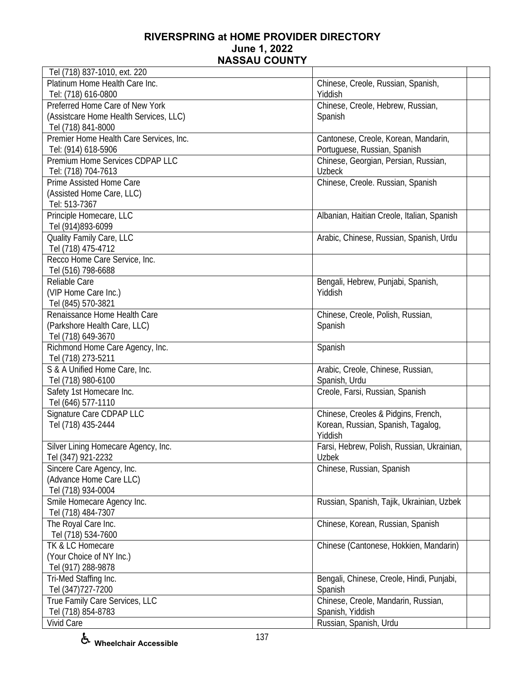| Tel (718) 837-1010, ext. 220            |                                            |  |
|-----------------------------------------|--------------------------------------------|--|
| Platinum Home Health Care Inc.          | Chinese, Creole, Russian, Spanish,         |  |
| Tel: (718) 616-0800                     | Yiddish                                    |  |
| Preferred Home Care of New York         | Chinese, Creole, Hebrew, Russian,          |  |
| (Assistcare Home Health Services, LLC)  | Spanish                                    |  |
| Tel (718) 841-8000                      |                                            |  |
| Premier Home Health Care Services, Inc. | Cantonese, Creole, Korean, Mandarin,       |  |
| Tel: (914) 618-5906                     | Portuguese, Russian, Spanish               |  |
| Premium Home Services CDPAP LLC         | Chinese, Georgian, Persian, Russian,       |  |
| Tel: (718) 704-7613                     | <b>Uzbeck</b>                              |  |
| Prime Assisted Home Care                | Chinese, Creole. Russian, Spanish          |  |
| (Assisted Home Care, LLC)               |                                            |  |
| Tel: 513-7367                           |                                            |  |
| Principle Homecare, LLC                 | Albanian, Haitian Creole, Italian, Spanish |  |
| Tel (914)893-6099                       |                                            |  |
| Quality Family Care, LLC                | Arabic, Chinese, Russian, Spanish, Urdu    |  |
| Tel (718) 475-4712                      |                                            |  |
| Recco Home Care Service, Inc.           |                                            |  |
| Tel (516) 798-6688                      |                                            |  |
| Reliable Care                           | Bengali, Hebrew, Punjabi, Spanish,         |  |
| (VIP Home Care Inc.)                    | Yiddish                                    |  |
| Tel (845) 570-3821                      |                                            |  |
| Renaissance Home Health Care            | Chinese, Creole, Polish, Russian,          |  |
| (Parkshore Health Care, LLC)            | Spanish                                    |  |
| Tel (718) 649-3670                      |                                            |  |
| Richmond Home Care Agency, Inc.         | Spanish                                    |  |
| Tel (718) 273-5211                      |                                            |  |
| S & A Unified Home Care, Inc.           | Arabic, Creole, Chinese, Russian,          |  |
| Tel (718) 980-6100                      | Spanish, Urdu                              |  |
| Safety 1st Homecare Inc.                | Creole, Farsi, Russian, Spanish            |  |
| Tel (646) 577-1110                      |                                            |  |
| Signature Care CDPAP LLC                | Chinese, Creoles & Pidgins, French,        |  |
| Tel (718) 435-2444                      | Korean, Russian, Spanish, Tagalog,         |  |
|                                         | Yiddish                                    |  |
| Silver Lining Homecare Agency, Inc.     | Farsi, Hebrew, Polish, Russian, Ukrainian, |  |
| Tel (347) 921-2232                      | Uzbek                                      |  |
| Sincere Care Agency, Inc.               | Chinese, Russian, Spanish                  |  |
| (Advance Home Care LLC)                 |                                            |  |
| Tel (718) 934-0004                      |                                            |  |
| Smile Homecare Agency Inc.              | Russian, Spanish, Tajik, Ukrainian, Uzbek  |  |
| Tel (718) 484-7307                      |                                            |  |
| The Royal Care Inc.                     | Chinese, Korean, Russian, Spanish          |  |
| Tel (718) 534-7600                      |                                            |  |
| TK & LC Homecare                        | Chinese (Cantonese, Hokkien, Mandarin)     |  |
| (Your Choice of NY Inc.)                |                                            |  |
| Tel (917) 288-9878                      |                                            |  |
| Tri-Med Staffing Inc.                   | Bengali, Chinese, Creole, Hindi, Punjabi,  |  |
| Tel (347) 727-7200                      | Spanish                                    |  |
| True Family Care Services, LLC          | Chinese, Creole, Mandarin, Russian,        |  |
| Tel (718) 854-8783                      | Spanish, Yiddish                           |  |
| Vivid Care                              | Russian, Spanish, Urdu                     |  |
|                                         |                                            |  |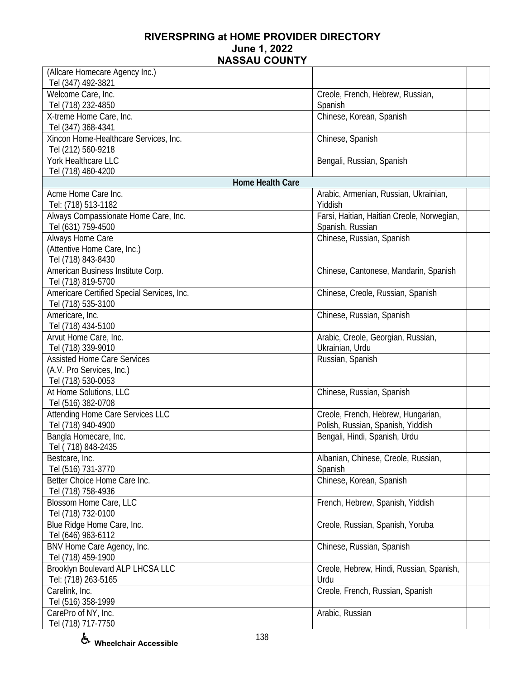| (Allcare Homecare Agency Inc.)             |                                                  |  |
|--------------------------------------------|--------------------------------------------------|--|
| Tel (347) 492-3821                         |                                                  |  |
| Welcome Care, Inc.                         | Creole, French, Hebrew, Russian,                 |  |
| Tel (718) 232-4850                         | Spanish                                          |  |
| X-treme Home Care, Inc.                    | Chinese, Korean, Spanish                         |  |
| Tel (347) 368-4341                         |                                                  |  |
| Xincon Home-Healthcare Services, Inc.      | Chinese, Spanish                                 |  |
| Tel (212) 560-9218                         |                                                  |  |
| York Healthcare LLC                        | Bengali, Russian, Spanish                        |  |
| Tel (718) 460-4200                         |                                                  |  |
| Home Health Care<br>Acme Home Care Inc.    |                                                  |  |
|                                            | Arabic, Armenian, Russian, Ukrainian,<br>Yiddish |  |
| Tel: (718) 513-1182                        |                                                  |  |
| Always Compassionate Home Care, Inc.       | Farsi, Haitian, Haitian Creole, Norwegian,       |  |
| Tel (631) 759-4500<br>Always Home Care     | Spanish, Russian<br>Chinese, Russian, Spanish    |  |
| (Attentive Home Care, Inc.)                |                                                  |  |
| Tel (718) 843-8430                         |                                                  |  |
| American Business Institute Corp.          | Chinese, Cantonese, Mandarin, Spanish            |  |
| Tel (718) 819-5700                         |                                                  |  |
| Americare Certified Special Services, Inc. |                                                  |  |
| Tel (718) 535-3100                         | Chinese, Creole, Russian, Spanish                |  |
| Americare, Inc.                            | Chinese, Russian, Spanish                        |  |
| Tel (718) 434-5100                         |                                                  |  |
| Arvut Home Care, Inc.                      | Arabic, Creole, Georgian, Russian,               |  |
| Tel (718) 339-9010                         | Ukrainian, Urdu                                  |  |
| <b>Assisted Home Care Services</b>         | Russian, Spanish                                 |  |
| (A.V. Pro Services, Inc.)                  |                                                  |  |
| Tel (718) 530-0053                         |                                                  |  |
| At Home Solutions, LLC                     | Chinese, Russian, Spanish                        |  |
| Tel (516) 382-0708                         |                                                  |  |
| <b>Attending Home Care Services LLC</b>    | Creole, French, Hebrew, Hungarian,               |  |
| Tel (718) 940-4900                         | Polish, Russian, Spanish, Yiddish                |  |
| Bangla Homecare, Inc.                      | Bengali, Hindi, Spanish, Urdu                    |  |
| Tel (718) 848-2435                         |                                                  |  |
| Bestcare, Inc.                             | Albanian, Chinese, Creole, Russian,              |  |
| Tel (516) 731-3770                         | Spanish                                          |  |
| Better Choice Home Care Inc.               | Chinese, Korean, Spanish                         |  |
| Tel (718) 758-4936                         |                                                  |  |
| Blossom Home Care, LLC                     | French, Hebrew, Spanish, Yiddish                 |  |
| Tel (718) 732-0100                         |                                                  |  |
| Blue Ridge Home Care, Inc.                 | Creole, Russian, Spanish, Yoruba                 |  |
| Tel (646) 963-6112                         |                                                  |  |
| BNV Home Care Agency, Inc.                 | Chinese, Russian, Spanish                        |  |
| Tel (718) 459-1900                         |                                                  |  |
| Brooklyn Boulevard ALP LHCSA LLC           | Creole, Hebrew, Hindi, Russian, Spanish,         |  |
| Tel: (718) 263-5165                        | Urdu                                             |  |
| Carelink, Inc.                             | Creole, French, Russian, Spanish                 |  |
| Tel (516) 358-1999                         |                                                  |  |
| CarePro of NY, Inc.                        | Arabic, Russian                                  |  |
| Tel (718) 717-7750                         |                                                  |  |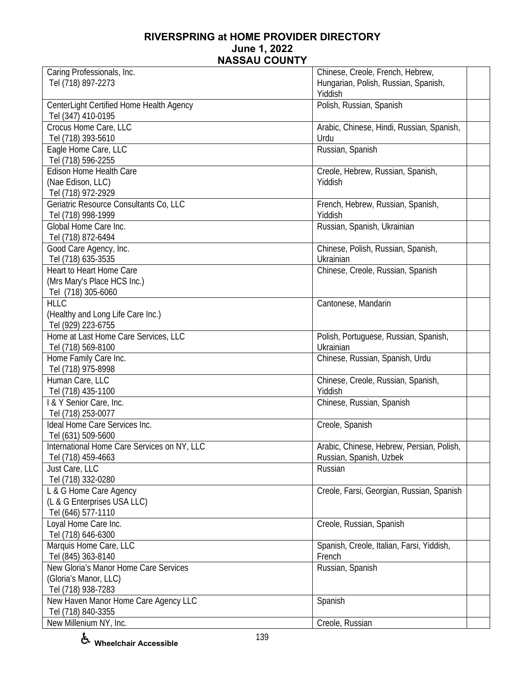| Caring Professionals, Inc.                  | Chinese, Creole, French, Hebrew,          |  |
|---------------------------------------------|-------------------------------------------|--|
| Tel (718) 897-2273                          | Hungarian, Polish, Russian, Spanish,      |  |
|                                             | Yiddish                                   |  |
| CenterLight Certified Home Health Agency    | Polish, Russian, Spanish                  |  |
| Tel (347) 410-0195                          |                                           |  |
| Crocus Home Care, LLC                       | Arabic, Chinese, Hindi, Russian, Spanish, |  |
| Tel (718) 393-5610                          | Urdu                                      |  |
| Eagle Home Care, LLC                        | Russian, Spanish                          |  |
| Tel (718) 596-2255                          |                                           |  |
| Edison Home Health Care                     | Creole, Hebrew, Russian, Spanish,         |  |
| (Nae Edison, LLC)                           | Yiddish                                   |  |
| Tel (718) 972-2929                          |                                           |  |
| Geriatric Resource Consultants Co, LLC      | French, Hebrew, Russian, Spanish,         |  |
| Tel (718) 998-1999                          | Yiddish                                   |  |
| Global Home Care Inc.                       | Russian, Spanish, Ukrainian               |  |
| Tel (718) 872-6494                          |                                           |  |
| Good Care Agency, Inc.                      | Chinese, Polish, Russian, Spanish,        |  |
| Tel (718) 635-3535                          | Ukrainian                                 |  |
| Heart to Heart Home Care                    | Chinese, Creole, Russian, Spanish         |  |
| (Mrs Mary's Place HCS Inc.)                 |                                           |  |
| Tel (718) 305-6060                          |                                           |  |
| <b>HLLC</b>                                 | Cantonese, Mandarin                       |  |
| (Healthy and Long Life Care Inc.)           |                                           |  |
| Tel (929) 223-6755                          |                                           |  |
| Home at Last Home Care Services, LLC        | Polish, Portuguese, Russian, Spanish,     |  |
| Tel (718) 569-8100                          | Ukrainian                                 |  |
| Home Family Care Inc.                       | Chinese, Russian, Spanish, Urdu           |  |
| Tel (718) 975-8998                          |                                           |  |
| Human Care, LLC                             | Chinese, Creole, Russian, Spanish,        |  |
| Tel (718) 435-1100                          | Yiddish                                   |  |
| I & Y Senior Care, Inc.                     | Chinese, Russian, Spanish                 |  |
| Tel (718) 253-0077                          |                                           |  |
| Ideal Home Care Services Inc.               | Creole, Spanish                           |  |
| Tel (631) 509-5600                          |                                           |  |
| International Home Care Services on NY, LLC | Arabic, Chinese, Hebrew, Persian, Polish, |  |
| Tel (718) 459-4663                          | Russian, Spanish, Uzbek                   |  |
| Just Care, LLC                              | Russian                                   |  |
| Tel (718) 332-0280                          |                                           |  |
| L & G Home Care Agency                      | Creole, Farsi, Georgian, Russian, Spanish |  |
| (L & G Enterprises USA LLC)                 |                                           |  |
| Tel (646) 577-1110                          |                                           |  |
| Loyal Home Care Inc.                        | Creole, Russian, Spanish                  |  |
| Tel (718) 646-6300                          |                                           |  |
| Marquis Home Care, LLC                      | Spanish, Creole, Italian, Farsi, Yiddish, |  |
| Tel (845) 363-8140                          | French                                    |  |
| New Gloria's Manor Home Care Services       | Russian, Spanish                          |  |
| (Gloria's Manor, LLC)                       |                                           |  |
| Tel (718) 938-7283                          |                                           |  |
| New Haven Manor Home Care Agency LLC        | Spanish                                   |  |
| Tel (718) 840-3355                          |                                           |  |
| New Millenium NY, Inc.                      | Creole, Russian                           |  |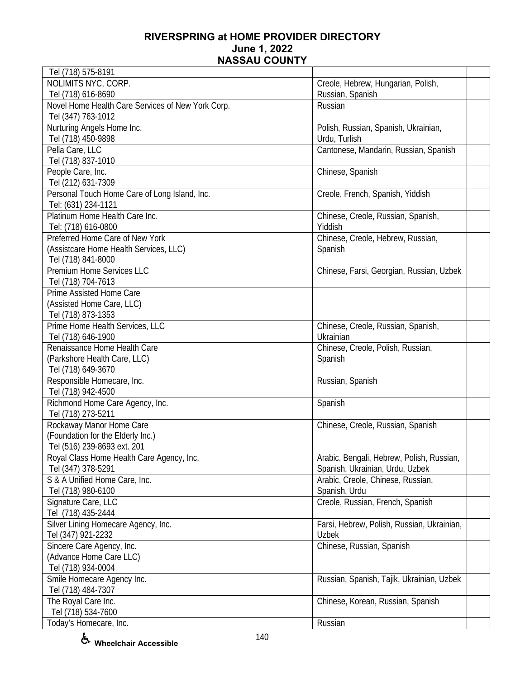| Tel (718) 575-8191                                |                                            |  |
|---------------------------------------------------|--------------------------------------------|--|
| NOLIMITS NYC, CORP.                               | Creole, Hebrew, Hungarian, Polish,         |  |
| Tel (718) 616-8690                                | Russian, Spanish                           |  |
| Novel Home Health Care Services of New York Corp. | Russian                                    |  |
| Tel (347) 763-1012                                |                                            |  |
| Nurturing Angels Home Inc.                        | Polish, Russian, Spanish, Ukrainian,       |  |
| Tel (718) 450-9898                                | Urdu, Turlish                              |  |
| Pella Care, LLC                                   | Cantonese, Mandarin, Russian, Spanish      |  |
| Tel (718) 837-1010                                |                                            |  |
| People Care, Inc.                                 | Chinese, Spanish                           |  |
| Tel (212) 631-7309                                |                                            |  |
| Personal Touch Home Care of Long Island, Inc.     | Creole, French, Spanish, Yiddish           |  |
| Tel: (631) 234-1121                               |                                            |  |
| Platinum Home Health Care Inc.                    | Chinese, Creole, Russian, Spanish,         |  |
| Tel: (718) 616-0800                               | Yiddish                                    |  |
| Preferred Home Care of New York                   | Chinese, Creole, Hebrew, Russian,          |  |
| (Assistcare Home Health Services, LLC)            | Spanish                                    |  |
| Tel (718) 841-8000                                |                                            |  |
| <b>Premium Home Services LLC</b>                  | Chinese, Farsi, Georgian, Russian, Uzbek   |  |
| Tel (718) 704-7613                                |                                            |  |
| Prime Assisted Home Care                          |                                            |  |
| (Assisted Home Care, LLC)                         |                                            |  |
| Tel (718) 873-1353                                |                                            |  |
| Prime Home Health Services, LLC                   | Chinese, Creole, Russian, Spanish,         |  |
| Tel (718) 646-1900                                | Ukrainian                                  |  |
| Renaissance Home Health Care                      | Chinese, Creole, Polish, Russian,          |  |
| (Parkshore Health Care, LLC)                      | Spanish                                    |  |
| Tel (718) 649-3670                                |                                            |  |
| Responsible Homecare, Inc.                        | Russian, Spanish                           |  |
| Tel (718) 942-4500                                |                                            |  |
| Richmond Home Care Agency, Inc.                   | Spanish                                    |  |
| Tel (718) 273-5211                                |                                            |  |
| Rockaway Manor Home Care                          | Chinese, Creole, Russian, Spanish          |  |
| (Foundation for the Elderly Inc.)                 |                                            |  |
| Tel (516) 239-8693 ext. 201                       |                                            |  |
| Royal Class Home Health Care Agency, Inc.         | Arabic, Bengali, Hebrew, Polish, Russian,  |  |
| Tel (347) 378-5291                                | Spanish, Ukrainian, Urdu, Uzbek            |  |
| S & A Unified Home Care, Inc.                     | Arabic, Creole, Chinese, Russian,          |  |
| Tel (718) 980-6100                                | Spanish, Urdu                              |  |
| Signature Care, LLC                               | Creole, Russian, French, Spanish           |  |
| Tel (718) 435-2444                                |                                            |  |
| Silver Lining Homecare Agency, Inc.               | Farsi, Hebrew, Polish, Russian, Ukrainian, |  |
| Tel (347) 921-2232                                | Uzbek                                      |  |
| Sincere Care Agency, Inc.                         | Chinese, Russian, Spanish                  |  |
| (Advance Home Care LLC)                           |                                            |  |
| Tel (718) 934-0004                                |                                            |  |
| Smile Homecare Agency Inc.                        | Russian, Spanish, Tajik, Ukrainian, Uzbek  |  |
| Tel (718) 484-7307                                |                                            |  |
| The Royal Care Inc.                               | Chinese, Korean, Russian, Spanish          |  |
| Tel (718) 534-7600                                |                                            |  |
| Today's Homecare, Inc.                            | Russian                                    |  |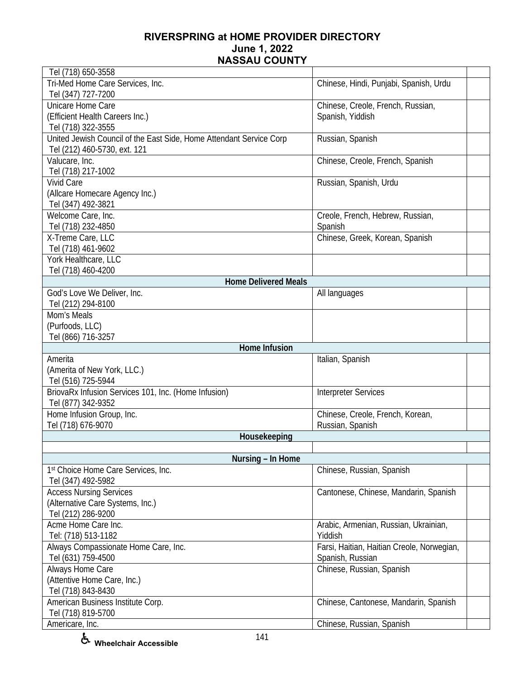| Tel (718) 650-3558                                                  |                                            |  |
|---------------------------------------------------------------------|--------------------------------------------|--|
| Tri-Med Home Care Services, Inc.                                    | Chinese, Hindi, Punjabi, Spanish, Urdu     |  |
| Tel (347) 727-7200                                                  |                                            |  |
| Unicare Home Care                                                   | Chinese, Creole, French, Russian,          |  |
| (Efficient Health Careers Inc.)                                     | Spanish, Yiddish                           |  |
| Tel (718) 322-3555                                                  |                                            |  |
| United Jewish Council of the East Side, Home Attendant Service Corp | Russian, Spanish                           |  |
| Tel (212) 460-5730, ext. 121                                        |                                            |  |
| Valucare, Inc.                                                      | Chinese, Creole, French, Spanish           |  |
| Tel (718) 217-1002                                                  |                                            |  |
| <b>Vivid Care</b>                                                   | Russian, Spanish, Urdu                     |  |
| (Allcare Homecare Agency Inc.)                                      |                                            |  |
| Tel (347) 492-3821                                                  |                                            |  |
| Welcome Care, Inc.                                                  | Creole, French, Hebrew, Russian,           |  |
| Tel (718) 232-4850                                                  | Spanish                                    |  |
| X-Treme Care, LLC                                                   | Chinese, Greek, Korean, Spanish            |  |
| Tel (718) 461-9602                                                  |                                            |  |
| York Healthcare, LLC                                                |                                            |  |
| Tel (718) 460-4200                                                  |                                            |  |
| <b>Home Delivered Meals</b>                                         |                                            |  |
| God's Love We Deliver, Inc.                                         | All languages                              |  |
| Tel (212) 294-8100                                                  |                                            |  |
| Mom's Meals                                                         |                                            |  |
| (Purfoods, LLC)                                                     |                                            |  |
| Tel (866) 716-3257                                                  |                                            |  |
| Home Infusion                                                       |                                            |  |
| Amerita                                                             | Italian, Spanish                           |  |
| (Amerita of New York, LLC.)                                         |                                            |  |
| Tel (516) 725-5944                                                  |                                            |  |
| BriovaRx Infusion Services 101, Inc. (Home Infusion)                | <b>Interpreter Services</b>                |  |
| Tel (877) 342-9352                                                  |                                            |  |
|                                                                     | Chinese, Creole, French, Korean,           |  |
| Home Infusion Group, Inc.                                           |                                            |  |
| Tel (718) 676-9070<br>Housekeeping                                  | Russian, Spanish                           |  |
|                                                                     |                                            |  |
| Nursing - In Home                                                   |                                            |  |
| 1st Choice Home Care Services, Inc.                                 |                                            |  |
|                                                                     | Chinese, Russian, Spanish                  |  |
| Tel (347) 492-5982                                                  |                                            |  |
| <b>Access Nursing Services</b>                                      | Cantonese, Chinese, Mandarin, Spanish      |  |
| (Alternative Care Systems, Inc.)                                    |                                            |  |
| Tel (212) 286-9200                                                  |                                            |  |
| Acme Home Care Inc.                                                 | Arabic, Armenian, Russian, Ukrainian,      |  |
| Tel: (718) 513-1182                                                 | Yiddish                                    |  |
| Always Compassionate Home Care, Inc.                                | Farsi, Haitian, Haitian Creole, Norwegian, |  |
| Tel (631) 759-4500                                                  | Spanish, Russian                           |  |
| Always Home Care                                                    | Chinese, Russian, Spanish                  |  |
| (Attentive Home Care, Inc.)                                         |                                            |  |
| Tel (718) 843-8430                                                  |                                            |  |
| American Business Institute Corp.                                   | Chinese, Cantonese, Mandarin, Spanish      |  |
| Tel (718) 819-5700                                                  |                                            |  |
| Americare, Inc.                                                     | Chinese, Russian, Spanish                  |  |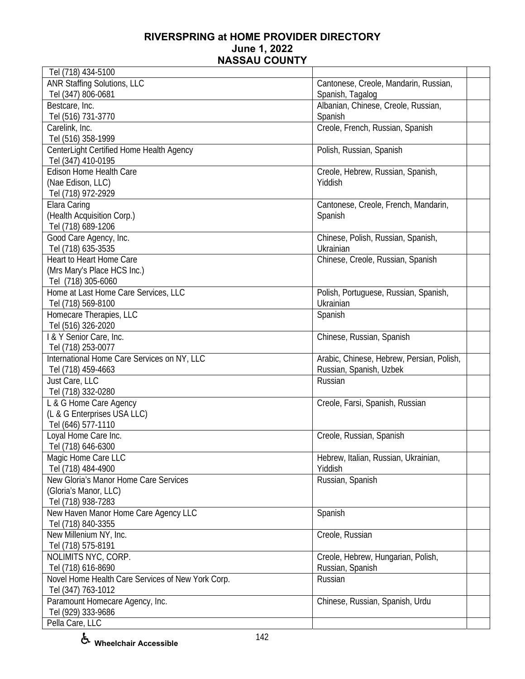| Tel (718) 434-5100                                    |                                           |
|-------------------------------------------------------|-------------------------------------------|
| <b>ANR Staffing Solutions, LLC</b>                    | Cantonese, Creole, Mandarin, Russian,     |
| Tel (347) 806-0681                                    | Spanish, Tagalog                          |
| Bestcare, Inc.                                        | Albanian, Chinese, Creole, Russian,       |
| Tel (516) 731-3770                                    | Spanish                                   |
| Carelink, Inc.                                        | Creole, French, Russian, Spanish          |
| Tel (516) 358-1999                                    |                                           |
| CenterLight Certified Home Health Agency              | Polish, Russian, Spanish                  |
| Tel (347) 410-0195                                    |                                           |
| Edison Home Health Care                               | Creole, Hebrew, Russian, Spanish,         |
| (Nae Edison, LLC)                                     | Yiddish                                   |
| Tel (718) 972-2929                                    |                                           |
| Elara Caring                                          | Cantonese, Creole, French, Mandarin,      |
| (Health Acquisition Corp.)                            | Spanish                                   |
| Tel (718) 689-1206                                    |                                           |
| Good Care Agency, Inc.                                | Chinese, Polish, Russian, Spanish,        |
| Tel (718) 635-3535                                    | Ukrainian                                 |
| Heart to Heart Home Care                              | Chinese, Creole, Russian, Spanish         |
| (Mrs Mary's Place HCS Inc.)                           |                                           |
| Tel (718) 305-6060                                    |                                           |
| Home at Last Home Care Services, LLC                  | Polish, Portuguese, Russian, Spanish,     |
| Tel (718) 569-8100                                    | Ukrainian                                 |
| Homecare Therapies, LLC                               | Spanish                                   |
| Tel (516) 326-2020                                    |                                           |
| I & Y Senior Care, Inc.                               | Chinese, Russian, Spanish                 |
| Tel (718) 253-0077                                    |                                           |
| International Home Care Services on NY, LLC           | Arabic, Chinese, Hebrew, Persian, Polish, |
| Tel (718) 459-4663                                    | Russian, Spanish, Uzbek                   |
| Just Care, LLC                                        | Russian                                   |
| Tel (718) 332-0280                                    |                                           |
| L & G Home Care Agency                                | Creole, Farsi, Spanish, Russian           |
| (L & G Enterprises USA LLC)                           |                                           |
| Tel (646) 577-1110                                    |                                           |
| Loyal Home Care Inc.                                  | Creole, Russian, Spanish                  |
| Tel (718) 646-6300                                    |                                           |
| Magic Home Care LLC                                   | Hebrew, Italian, Russian, Ukrainian,      |
| Tel (718) 484-4900                                    | Yiddish                                   |
| New Gloria's Manor Home Care Services                 | Russian, Spanish                          |
| (Gloria's Manor, LLC)                                 |                                           |
| Tel (718) 938-7283                                    |                                           |
| New Haven Manor Home Care Agency LLC                  | Spanish                                   |
| Tel (718) 840-3355                                    |                                           |
| New Millenium NY, Inc.                                | Creole, Russian                           |
| Tel (718) 575-8191                                    |                                           |
| NOLIMITS NYC, CORP.                                   | Creole, Hebrew, Hungarian, Polish,        |
| Tel (718) 616-8690                                    | Russian, Spanish                          |
| Novel Home Health Care Services of New York Corp.     | Russian                                   |
|                                                       |                                           |
|                                                       |                                           |
| Tel (929) 333-9686                                    |                                           |
| Pella Care, LLC                                       |                                           |
| Tel (347) 763-1012<br>Paramount Homecare Agency, Inc. | Chinese, Russian, Spanish, Urdu           |
|                                                       |                                           |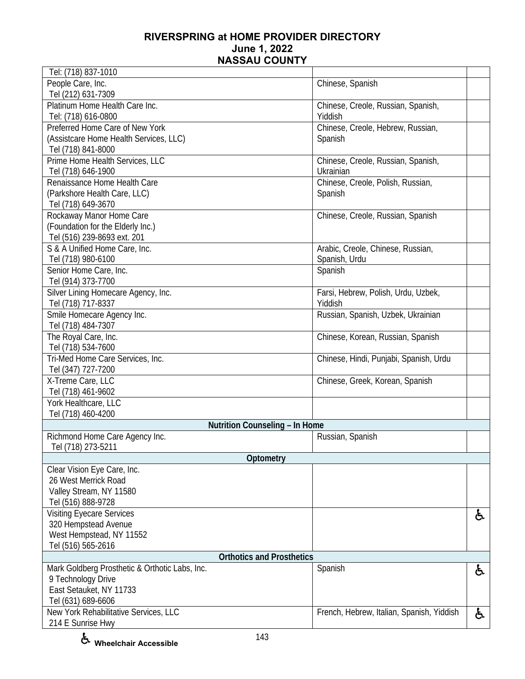| Tel: (718) 837-1010                            |                                           |    |
|------------------------------------------------|-------------------------------------------|----|
| People Care, Inc.                              | Chinese, Spanish                          |    |
| Tel (212) 631-7309                             |                                           |    |
| Platinum Home Health Care Inc.                 | Chinese, Creole, Russian, Spanish,        |    |
| Tel: (718) 616-0800                            | Yiddish                                   |    |
| Preferred Home Care of New York                | Chinese, Creole, Hebrew, Russian,         |    |
| (Assistcare Home Health Services, LLC)         | Spanish                                   |    |
| Tel (718) 841-8000                             |                                           |    |
| Prime Home Health Services, LLC                | Chinese, Creole, Russian, Spanish,        |    |
| Tel (718) 646-1900                             | Ukrainian                                 |    |
| Renaissance Home Health Care                   | Chinese, Creole, Polish, Russian,         |    |
| (Parkshore Health Care, LLC)                   | Spanish                                   |    |
| Tel (718) 649-3670                             |                                           |    |
| Rockaway Manor Home Care                       | Chinese, Creole, Russian, Spanish         |    |
| (Foundation for the Elderly Inc.)              |                                           |    |
| Tel (516) 239-8693 ext. 201                    |                                           |    |
| S & A Unified Home Care, Inc.                  | Arabic, Creole, Chinese, Russian,         |    |
| Tel (718) 980-6100                             | Spanish, Urdu                             |    |
| Senior Home Care, Inc.                         | Spanish                                   |    |
| Tel (914) 373-7700                             |                                           |    |
| Silver Lining Homecare Agency, Inc.            | Farsi, Hebrew, Polish, Urdu, Uzbek,       |    |
| Tel (718) 717-8337                             | Yiddish                                   |    |
| Smile Homecare Agency Inc.                     | Russian, Spanish, Uzbek, Ukrainian        |    |
| Tel (718) 484-7307                             |                                           |    |
| The Royal Care, Inc.                           | Chinese, Korean, Russian, Spanish         |    |
| Tel (718) 534-7600                             |                                           |    |
| Tri-Med Home Care Services, Inc.               | Chinese, Hindi, Punjabi, Spanish, Urdu    |    |
| Tel (347) 727-7200                             |                                           |    |
| X-Treme Care, LLC                              | Chinese, Greek, Korean, Spanish           |    |
| Tel (718) 461-9602                             |                                           |    |
| York Healthcare, LLC                           |                                           |    |
| Tel (718) 460-4200                             |                                           |    |
| Nutrition Counseling - In Home                 |                                           |    |
| Richmond Home Care Agency Inc.                 | Russian, Spanish                          |    |
| Tel (718) 273-5211                             |                                           |    |
| Optometry                                      |                                           |    |
| Clear Vision Eye Care, Inc.                    |                                           |    |
| 26 West Merrick Road                           |                                           |    |
| Valley Stream, NY 11580                        |                                           |    |
| Tel (516) 888-9728                             |                                           |    |
| <b>Visiting Eyecare Services</b>               |                                           | ė. |
| 320 Hempstead Avenue                           |                                           |    |
| West Hempstead, NY 11552                       |                                           |    |
| Tel (516) 565-2616                             |                                           |    |
| <b>Orthotics and Prosthetics</b>               |                                           |    |
| Mark Goldberg Prosthetic & Orthotic Labs, Inc. | Spanish                                   | ė. |
| 9 Technology Drive                             |                                           |    |
| East Setauket, NY 11733                        |                                           |    |
| Tel (631) 689-6606                             |                                           |    |
| New York Rehabilitative Services, LLC          | French, Hebrew, Italian, Spanish, Yiddish | ė, |
| 214 E Sunrise Hwy                              |                                           |    |

**Wheelchair Accessible**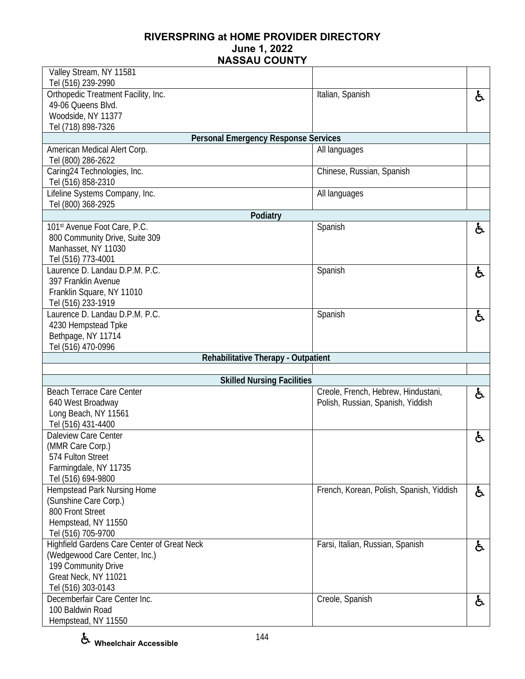| Valley Stream, NY 11581                               |                                          |    |
|-------------------------------------------------------|------------------------------------------|----|
| Tel (516) 239-2990                                    |                                          |    |
| Orthopedic Treatment Facility, Inc.                   | Italian, Spanish                         | £. |
| 49-06 Queens Blvd.                                    |                                          |    |
| Woodside, NY 11377                                    |                                          |    |
| Tel (718) 898-7326                                    |                                          |    |
| <b>Personal Emergency Response Services</b>           |                                          |    |
| American Medical Alert Corp.                          | All languages                            |    |
| Tel (800) 286-2622                                    |                                          |    |
| Caring24 Technologies, Inc.                           | Chinese, Russian, Spanish                |    |
| Tel (516) 858-2310                                    |                                          |    |
| Lifeline Systems Company, Inc.                        | All languages                            |    |
| Tel (800) 368-2925                                    |                                          |    |
| Podiatry                                              |                                          |    |
| 101st Avenue Foot Care, P.C.                          | Spanish                                  | ė. |
| 800 Community Drive, Suite 309<br>Manhasset, NY 11030 |                                          |    |
| Tel (516) 773-4001                                    |                                          |    |
| Laurence D. Landau D.P.M. P.C.                        | Spanish                                  |    |
| 397 Franklin Avenue                                   |                                          | ė. |
| Franklin Square, NY 11010                             |                                          |    |
| Tel (516) 233-1919                                    |                                          |    |
| Laurence D. Landau D.P.M. P.C.                        | Spanish                                  |    |
| 4230 Hempstead Tpke                                   |                                          | ė, |
| Bethpage, NY 11714                                    |                                          |    |
|                                                       |                                          |    |
|                                                       |                                          |    |
| Tel (516) 470-0996                                    |                                          |    |
| Rehabilitative Therapy - Outpatient                   |                                          |    |
| <b>Skilled Nursing Facilities</b>                     |                                          |    |
| <b>Beach Terrace Care Center</b>                      | Creole, French, Hebrew, Hindustani,      |    |
| 640 West Broadway                                     | Polish, Russian, Spanish, Yiddish        | ė. |
| Long Beach, NY 11561                                  |                                          |    |
| Tel (516) 431-4400                                    |                                          |    |
| <b>Daleview Care Center</b>                           |                                          |    |
| (MMR Care Corp.)                                      |                                          | と  |
| 574 Fulton Street                                     |                                          |    |
| Farmingdale, NY 11735                                 |                                          |    |
| Tel (516) 694-9800                                    |                                          |    |
| Hempstead Park Nursing Home                           | French, Korean, Polish, Spanish, Yiddish | ė. |
| (Sunshine Care Corp.)                                 |                                          |    |
| 800 Front Street                                      |                                          |    |
| Hempstead, NY 11550                                   |                                          |    |
| Tel (516) 705-9700                                    |                                          |    |
| Highfield Gardens Care Center of Great Neck           | Farsi, Italian, Russian, Spanish         | ė. |
| (Wedgewood Care Center, Inc.)                         |                                          |    |
| 199 Community Drive                                   |                                          |    |
| Great Neck, NY 11021                                  |                                          |    |
| Tel (516) 303-0143                                    |                                          |    |
| Decemberfair Care Center Inc.                         | Creole, Spanish                          | と  |
| 100 Baldwin Road<br>Hempstead, NY 11550               |                                          |    |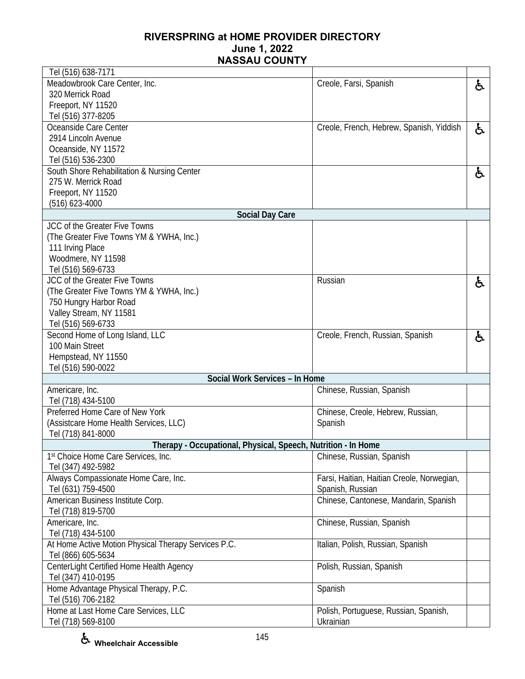| Tel (516) 638-7171                                            |                                            |    |
|---------------------------------------------------------------|--------------------------------------------|----|
| Meadowbrook Care Center, Inc.                                 | Creole, Farsi, Spanish                     | ę. |
| 320 Merrick Road                                              |                                            |    |
| Freeport, NY 11520                                            |                                            |    |
| Tel (516) 377-8205                                            |                                            |    |
| Oceanside Care Center                                         | Creole, French, Hebrew, Spanish, Yiddish   | と  |
| 2914 Lincoln Avenue                                           |                                            |    |
| Oceanside, NY 11572                                           |                                            |    |
| Tel (516) 536-2300                                            |                                            |    |
| South Shore Rehabilitation & Nursing Center                   |                                            | ę. |
| 275 W. Merrick Road                                           |                                            |    |
| Freeport, NY 11520                                            |                                            |    |
| $(516)$ 623-4000<br><b>Social Day Care</b>                    |                                            |    |
| JCC of the Greater Five Towns                                 |                                            |    |
| (The Greater Five Towns YM & YWHA, Inc.)                      |                                            |    |
| 111 Irving Place                                              |                                            |    |
| Woodmere, NY 11598                                            |                                            |    |
| Tel (516) 569-6733                                            |                                            |    |
| JCC of the Greater Five Towns                                 | Russian                                    | ę. |
| (The Greater Five Towns YM & YWHA, Inc.)                      |                                            |    |
| 750 Hungry Harbor Road                                        |                                            |    |
| Valley Stream, NY 11581                                       |                                            |    |
| Tel (516) 569-6733                                            |                                            |    |
| Second Home of Long Island, LLC                               | Creole, French, Russian, Spanish           | 占  |
| 100 Main Street                                               |                                            |    |
| Hempstead, NY 11550                                           |                                            |    |
| Tel (516) 590-0022                                            |                                            |    |
| Social Work Services - In Home                                |                                            |    |
| Americare, Inc.                                               | Chinese, Russian, Spanish                  |    |
| Tel (718) 434-5100                                            |                                            |    |
| Preferred Home Care of New York                               | Chinese, Creole, Hebrew, Russian,          |    |
| (Assistcare Home Health Services, LLC)                        | Spanish                                    |    |
| Tel (718) 841-8000                                            |                                            |    |
| Therapy - Occupational, Physical, Speech, Nutrition - In Home |                                            |    |
| 1st Choice Home Care Services, Inc.<br>Tel (347) 492-5982     | Chinese, Russian, Spanish                  |    |
| Always Compassionate Home Care, Inc.                          | Farsi, Haitian, Haitian Creole, Norwegian, |    |
| Tel (631) 759-4500                                            | Spanish, Russian                           |    |
| American Business Institute Corp.                             | Chinese, Cantonese, Mandarin, Spanish      |    |
| Tel (718) 819-5700                                            |                                            |    |
| Americare, Inc.                                               | Chinese, Russian, Spanish                  |    |
| Tel (718) 434-5100                                            |                                            |    |
| At Home Active Motion Physical Therapy Services P.C.          | Italian, Polish, Russian, Spanish          |    |
| Tel (866) 605-5634                                            |                                            |    |
| CenterLight Certified Home Health Agency                      | Polish, Russian, Spanish                   |    |
| Tel (347) 410-0195                                            |                                            |    |
| Home Advantage Physical Therapy, P.C.                         | Spanish                                    |    |
| Tel (516) 706-2182                                            |                                            |    |
| Home at Last Home Care Services, LLC                          | Polish, Portuguese, Russian, Spanish,      |    |
| Tel (718) 569-8100                                            | Ukrainian                                  |    |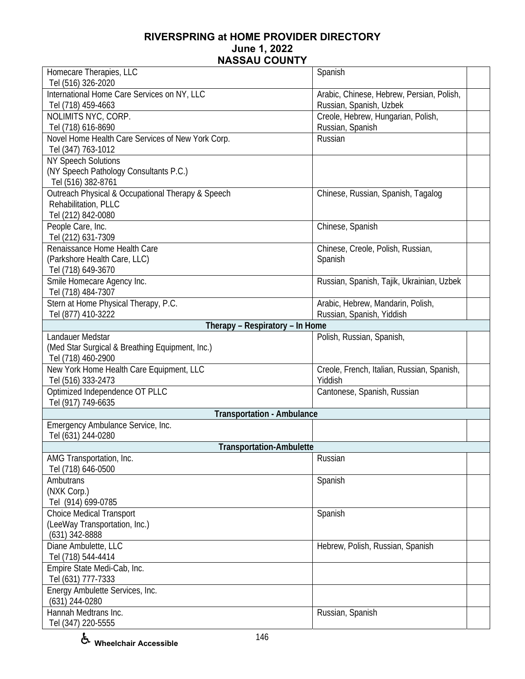| Homecare Therapies, LLC                                           | Spanish                                                              |
|-------------------------------------------------------------------|----------------------------------------------------------------------|
| Tel (516) 326-2020                                                |                                                                      |
| International Home Care Services on NY, LLC<br>Tel (718) 459-4663 | Arabic, Chinese, Hebrew, Persian, Polish,<br>Russian, Spanish, Uzbek |
| NOLIMITS NYC, CORP.                                               | Creole, Hebrew, Hungarian, Polish,                                   |
| Tel (718) 616-8690                                                | Russian, Spanish                                                     |
| Novel Home Health Care Services of New York Corp.                 | Russian                                                              |
| Tel (347) 763-1012                                                |                                                                      |
| <b>NY Speech Solutions</b>                                        |                                                                      |
| (NY Speech Pathology Consultants P.C.)                            |                                                                      |
| Tel (516) 382-8761                                                |                                                                      |
| Outreach Physical & Occupational Therapy & Speech                 | Chinese, Russian, Spanish, Tagalog                                   |
| Rehabilitation, PLLC                                              |                                                                      |
| Tel (212) 842-0080                                                |                                                                      |
| People Care, Inc.                                                 | Chinese, Spanish                                                     |
| Tel (212) 631-7309                                                |                                                                      |
| Renaissance Home Health Care                                      | Chinese, Creole, Polish, Russian,                                    |
| (Parkshore Health Care, LLC)                                      | Spanish                                                              |
| Tel (718) 649-3670                                                |                                                                      |
| Smile Homecare Agency Inc.                                        | Russian, Spanish, Tajik, Ukrainian, Uzbek                            |
| Tel (718) 484-7307                                                |                                                                      |
| Stern at Home Physical Therapy, P.C.                              | Arabic, Hebrew, Mandarin, Polish,                                    |
| Tel (877) 410-3222                                                | Russian, Spanish, Yiddish                                            |
| Therapy - Respiratory - In Home                                   |                                                                      |
| Landauer Medstar                                                  | Polish, Russian, Spanish,                                            |
| (Med Star Surgical & Breathing Equipment, Inc.)                   |                                                                      |
| Tel (718) 460-2900                                                |                                                                      |
| New York Home Health Care Equipment, LLC                          | Creole, French, Italian, Russian, Spanish,                           |
| Tel (516) 333-2473                                                | Yiddish                                                              |
| Optimized Independence OT PLLC                                    | Cantonese, Spanish, Russian                                          |
| Tel (917) 749-6635                                                |                                                                      |
| <b>Transportation - Ambulance</b>                                 |                                                                      |
| Emergency Ambulance Service, Inc.                                 |                                                                      |
| Tel (631) 244-0280                                                |                                                                      |
| <b>Transportation-Ambulette</b>                                   |                                                                      |
| AMG Transportation, Inc.                                          | Russian                                                              |
| Tel (718) 646-0500                                                |                                                                      |
| Ambutrans                                                         | Spanish                                                              |
| (NXK Corp.)                                                       |                                                                      |
| Tel (914) 699-0785                                                |                                                                      |
| <b>Choice Medical Transport</b>                                   | Spanish                                                              |
| (LeeWay Transportation, Inc.)                                     |                                                                      |
| (631) 342-8888                                                    |                                                                      |
| Diane Ambulette, LLC                                              | Hebrew, Polish, Russian, Spanish                                     |
| Tel (718) 544-4414                                                |                                                                      |
| Empire State Medi-Cab, Inc.                                       |                                                                      |
| Tel (631) 777-7333                                                |                                                                      |
| Energy Ambulette Services, Inc.                                   |                                                                      |
| (631) 244-0280                                                    |                                                                      |
| Hannah Medtrans Inc.                                              | Russian, Spanish                                                     |
| Tel (347) 220-5555                                                |                                                                      |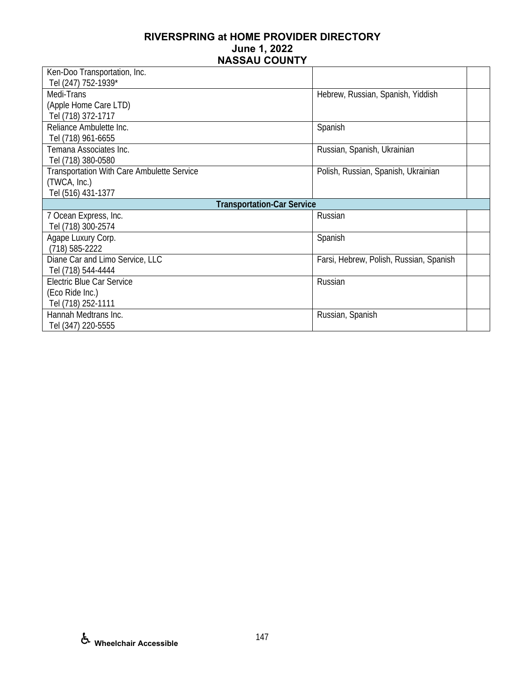| Ken-Doo Transportation, Inc.                      |                                         |
|---------------------------------------------------|-----------------------------------------|
| Tel (247) 752-1939*                               |                                         |
| Medi-Trans                                        | Hebrew, Russian, Spanish, Yiddish       |
| (Apple Home Care LTD)                             |                                         |
| Tel (718) 372-1717                                |                                         |
| Reliance Ambulette Inc.                           | Spanish                                 |
| Tel (718) 961-6655                                |                                         |
| Temana Associates Inc.                            | Russian, Spanish, Ukrainian             |
| Tel (718) 380-0580                                |                                         |
| <b>Transportation With Care Ambulette Service</b> | Polish, Russian, Spanish, Ukrainian     |
| (TWCA, Inc.)                                      |                                         |
| Tel (516) 431-1377                                |                                         |
|                                                   |                                         |
| <b>Transportation-Car Service</b>                 |                                         |
| 7 Ocean Express, Inc.                             | Russian                                 |
| Tel (718) 300-2574                                |                                         |
| Agape Luxury Corp.                                | Spanish                                 |
| $(718) 585 - 2222$                                |                                         |
| Diane Car and Limo Service, LLC                   | Farsi, Hebrew, Polish, Russian, Spanish |
| Tel (718) 544-4444                                |                                         |
| Electric Blue Car Service                         | Russian                                 |
| (Eco Ride Inc.)                                   |                                         |
| Tel (718) 252-1111                                |                                         |
| Hannah Medtrans Inc.                              | Russian, Spanish                        |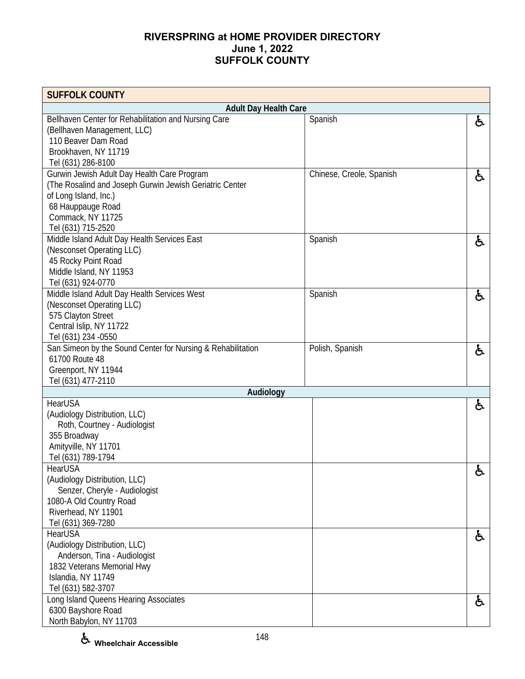| <b>SUFFOLK COUNTY</b>                                       |                          |    |
|-------------------------------------------------------------|--------------------------|----|
| <b>Adult Day Health Care</b>                                |                          |    |
| Bellhaven Center for Rehabilitation and Nursing Care        | Spanish                  | と  |
| (Bellhaven Management, LLC)                                 |                          |    |
| 110 Beaver Dam Road                                         |                          |    |
| Brookhaven, NY 11719                                        |                          |    |
| Tel (631) 286-8100                                          |                          |    |
| Gurwin Jewish Adult Day Health Care Program                 | Chinese, Creole, Spanish | ė, |
| (The Rosalind and Joseph Gurwin Jewish Geriatric Center     |                          |    |
| of Long Island, Inc.)                                       |                          |    |
| 68 Hauppauge Road                                           |                          |    |
| Commack, NY 11725                                           |                          |    |
| Tel (631) 715-2520                                          |                          |    |
| Middle Island Adult Day Health Services East                | Spanish                  | と  |
| (Nesconset Operating LLC)                                   |                          |    |
| 45 Rocky Point Road                                         |                          |    |
| Middle Island, NY 11953                                     |                          |    |
| Tel (631) 924-0770                                          |                          |    |
| Middle Island Adult Day Health Services West                | Spanish                  | と  |
| (Nesconset Operating LLC)                                   |                          |    |
| 575 Clayton Street                                          |                          |    |
| Central Islip, NY 11722                                     |                          |    |
| Tel (631) 234 - 0550                                        |                          |    |
| San Simeon by the Sound Center for Nursing & Rehabilitation | Polish, Spanish          | と  |
| 61700 Route 48                                              |                          |    |
| Greenport, NY 11944                                         |                          |    |
| Tel (631) 477-2110                                          |                          |    |
| Audiology<br><b>HearUSA</b>                                 |                          |    |
| (Audiology Distribution, LLC)                               |                          | と  |
| Roth, Courtney - Audiologist                                |                          |    |
|                                                             |                          |    |
| 355 Broadway<br>Amityville, NY 11701                        |                          |    |
| Tel (631) 789-1794                                          |                          |    |
| HearUSA                                                     |                          |    |
| (Audiology Distribution, LLC)                               |                          | ື  |
| Senzer, Cheryle - Audiologist                               |                          |    |
| 1080-A Old Country Road                                     |                          |    |
| Riverhead, NY 11901                                         |                          |    |
| Tel (631) 369-7280                                          |                          |    |
| HearUSA                                                     |                          |    |
| (Audiology Distribution, LLC)                               |                          | ė, |
| Anderson, Tina - Audiologist                                |                          |    |
| 1832 Veterans Memorial Hwy                                  |                          |    |
| Islandia, NY 11749                                          |                          |    |
| Tel (631) 582-3707                                          |                          |    |
| Long Island Queens Hearing Associates                       |                          |    |
| 6300 Bayshore Road                                          |                          | ė, |
| North Babylon, NY 11703                                     |                          |    |

**Wheelchair Accessible**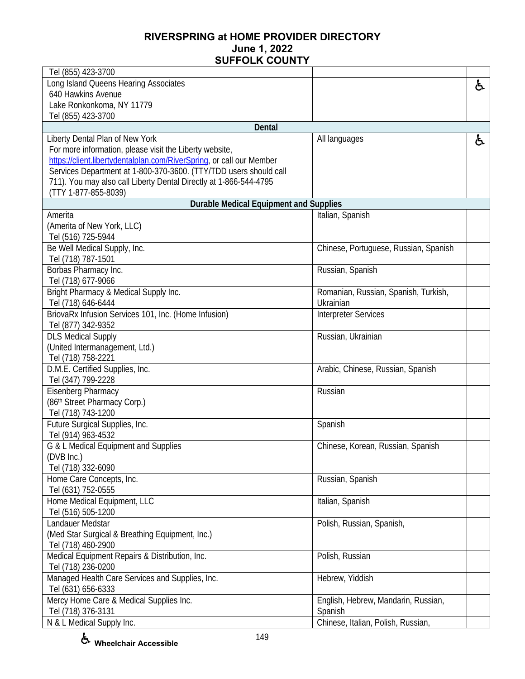| Tel (855) 423-3700                                                   |                                       |    |
|----------------------------------------------------------------------|---------------------------------------|----|
| Long Island Queens Hearing Associates                                |                                       | ę. |
| 640 Hawkins Avenue                                                   |                                       |    |
| Lake Ronkonkoma, NY 11779                                            |                                       |    |
| Tel (855) 423-3700                                                   |                                       |    |
| <b>Dental</b>                                                        |                                       |    |
| Liberty Dental Plan of New York                                      | All languages                         | ė, |
| For more information, please visit the Liberty website,              |                                       |    |
| https://client.libertydentalplan.com/RiverSprinq, or call our Member |                                       |    |
| Services Department at 1-800-370-3600. (TTY/TDD users should call    |                                       |    |
| 711). You may also call Liberty Dental Directly at 1-866-544-4795    |                                       |    |
| (TTY 1-877-855-8039)                                                 |                                       |    |
| <b>Durable Medical Equipment and Supplies</b>                        |                                       |    |
| Amerita                                                              | Italian, Spanish                      |    |
| (Amerita of New York, LLC)                                           |                                       |    |
| Tel (516) 725-5944                                                   |                                       |    |
| Be Well Medical Supply, Inc.                                         | Chinese, Portuguese, Russian, Spanish |    |
| Tel (718) 787-1501                                                   |                                       |    |
| Borbas Pharmacy Inc.                                                 | Russian, Spanish                      |    |
| Tel (718) 677-9066                                                   |                                       |    |
| Bright Pharmacy & Medical Supply Inc.                                | Romanian, Russian, Spanish, Turkish,  |    |
| Tel (718) 646-6444                                                   | Ukrainian                             |    |
| BriovaRx Infusion Services 101, Inc. (Home Infusion)                 | <b>Interpreter Services</b>           |    |
| Tel (877) 342-9352                                                   |                                       |    |
| <b>DLS Medical Supply</b>                                            | Russian, Ukrainian                    |    |
| (United Intermanagement, Ltd.)                                       |                                       |    |
| Tel (718) 758-2221                                                   |                                       |    |
| D.M.E. Certified Supplies, Inc.                                      | Arabic, Chinese, Russian, Spanish     |    |
| Tel (347) 799-2228<br><b>Eisenberg Pharmacy</b>                      | Russian                               |    |
| (86th Street Pharmacy Corp.)                                         |                                       |    |
| Tel (718) 743-1200                                                   |                                       |    |
| Future Surgical Supplies, Inc.                                       | Spanish                               |    |
| Tel (914) 963-4532                                                   |                                       |    |
| G & L Medical Equipment and Supplies                                 | Chinese, Korean, Russian, Spanish     |    |
| (DVB Inc.)                                                           |                                       |    |
| Tel (718) 332-6090                                                   |                                       |    |
| Home Care Concepts, Inc.                                             | Russian, Spanish                      |    |
| Tel (631) 752-0555                                                   |                                       |    |
| Home Medical Equipment, LLC                                          | Italian, Spanish                      |    |
| Tel (516) 505-1200                                                   |                                       |    |
| Landauer Medstar                                                     | Polish, Russian, Spanish,             |    |
| (Med Star Surgical & Breathing Equipment, Inc.)                      |                                       |    |
| Tel (718) 460-2900                                                   |                                       |    |
| Medical Equipment Repairs & Distribution, Inc.                       | Polish, Russian                       |    |
| Tel (718) 236-0200                                                   |                                       |    |
| Managed Health Care Services and Supplies, Inc.                      | Hebrew, Yiddish                       |    |
| Tel (631) 656-6333                                                   |                                       |    |
| Mercy Home Care & Medical Supplies Inc.                              | English, Hebrew, Mandarin, Russian,   |    |
| Tel (718) 376-3131                                                   | Spanish                               |    |
| N & L Medical Supply Inc.                                            | Chinese, Italian, Polish, Russian,    |    |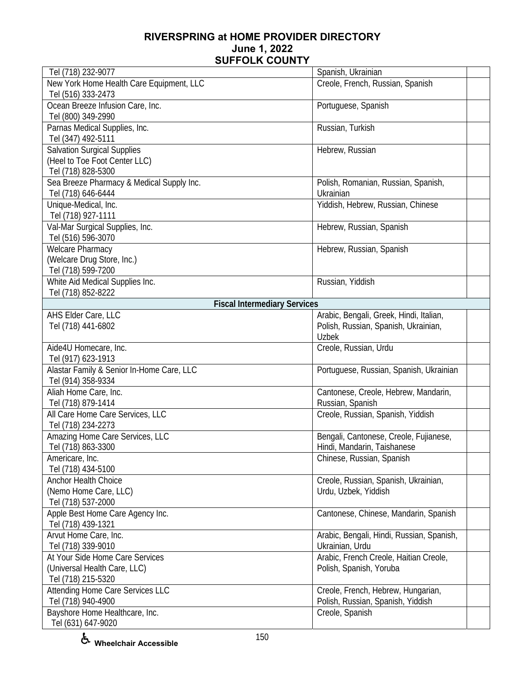| Tel (718) 232-9077                        | Spanish, Ukrainian                        |  |
|-------------------------------------------|-------------------------------------------|--|
| New York Home Health Care Equipment, LLC  | Creole, French, Russian, Spanish          |  |
| Tel (516) 333-2473                        |                                           |  |
| Ocean Breeze Infusion Care, Inc.          | Portuguese, Spanish                       |  |
| Tel (800) 349-2990                        |                                           |  |
| Parnas Medical Supplies, Inc.             | Russian, Turkish                          |  |
| Tel (347) 492-5111                        |                                           |  |
| <b>Salvation Surgical Supplies</b>        | Hebrew, Russian                           |  |
| (Heel to Toe Foot Center LLC)             |                                           |  |
| Tel (718) 828-5300                        |                                           |  |
| Sea Breeze Pharmacy & Medical Supply Inc. | Polish, Romanian, Russian, Spanish,       |  |
| Tel (718) 646-6444                        | Ukrainian                                 |  |
| Unique-Medical, Inc.                      | Yiddish, Hebrew, Russian, Chinese         |  |
| Tel (718) 927-1111                        |                                           |  |
| Val-Mar Surgical Supplies, Inc.           | Hebrew, Russian, Spanish                  |  |
| Tel (516) 596-3070                        |                                           |  |
| Welcare Pharmacy                          | Hebrew, Russian, Spanish                  |  |
| (Welcare Drug Store, Inc.)                |                                           |  |
| Tel (718) 599-7200                        |                                           |  |
| White Aid Medical Supplies Inc.           | Russian, Yiddish                          |  |
| Tel (718) 852-8222                        |                                           |  |
| <b>Fiscal Intermediary Services</b>       |                                           |  |
| AHS Elder Care, LLC                       | Arabic, Bengali, Greek, Hindi, Italian,   |  |
| Tel (718) 441-6802                        | Polish, Russian, Spanish, Ukrainian,      |  |
|                                           | Uzbek                                     |  |
| Aide4U Homecare, Inc.                     | Creole, Russian, Urdu                     |  |
| Tel (917) 623-1913                        |                                           |  |
| Alastar Family & Senior In-Home Care, LLC | Portuguese, Russian, Spanish, Ukrainian   |  |
| Tel (914) 358-9334                        |                                           |  |
| Aliah Home Care, Inc.                     | Cantonese, Creole, Hebrew, Mandarin,      |  |
| Tel (718) 879-1414                        | Russian, Spanish                          |  |
| All Care Home Care Services, LLC          | Creole, Russian, Spanish, Yiddish         |  |
| Tel (718) 234-2273                        |                                           |  |
| Amazing Home Care Services, LLC           | Bengali, Cantonese, Creole, Fujianese,    |  |
| Tel (718) 863-3300                        | Hindi, Mandarin, Taishanese               |  |
| Americare, Inc.                           | Chinese, Russian, Spanish                 |  |
| Tel (718) 434-5100                        |                                           |  |
| Anchor Health Choice                      | Creole, Russian, Spanish, Ukrainian,      |  |
| (Nemo Home Care, LLC)                     | Urdu, Uzbek, Yiddish                      |  |
| Tel (718) 537-2000                        |                                           |  |
| Apple Best Home Care Agency Inc.          | Cantonese, Chinese, Mandarin, Spanish     |  |
| Tel (718) 439-1321                        |                                           |  |
| Arvut Home Care, Inc.                     | Arabic, Bengali, Hindi, Russian, Spanish, |  |
| Tel (718) 339-9010                        | Ukrainian, Urdu                           |  |
| At Your Side Home Care Services           | Arabic, French Creole, Haitian Creole,    |  |
| (Universal Health Care, LLC)              | Polish, Spanish, Yoruba                   |  |
| Tel (718) 215-5320                        |                                           |  |
| Attending Home Care Services LLC          | Creole, French, Hebrew, Hungarian,        |  |
| Tel (718) 940-4900                        | Polish, Russian, Spanish, Yiddish         |  |
| Bayshore Home Healthcare, Inc.            | Creole, Spanish                           |  |
| Tel (631) 647-9020                        |                                           |  |

**Wheelchair Accessible**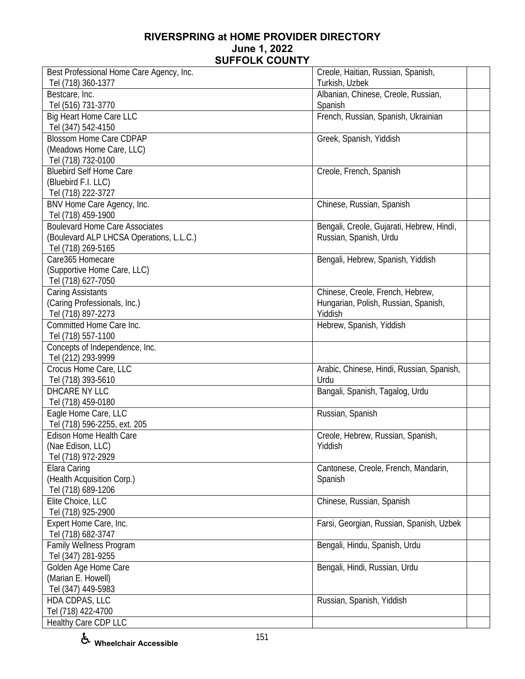| Best Professional Home Care Agency, Inc. | Creole, Haitian, Russian, Spanish,        |  |
|------------------------------------------|-------------------------------------------|--|
| Tel (718) 360-1377                       | Turkish, Uzbek                            |  |
| Bestcare, Inc.                           | Albanian, Chinese, Creole, Russian,       |  |
| Tel (516) 731-3770                       | Spanish                                   |  |
| Big Heart Home Care LLC                  | French, Russian, Spanish, Ukrainian       |  |
| Tel (347) 542-4150                       |                                           |  |
| <b>Blossom Home Care CDPAP</b>           | Greek, Spanish, Yiddish                   |  |
| (Meadows Home Care, LLC)                 |                                           |  |
| Tel (718) 732-0100                       |                                           |  |
| <b>Bluebird Self Home Care</b>           | Creole, French, Spanish                   |  |
| (Bluebird F.I. LLC)                      |                                           |  |
| Tel (718) 222-3727                       |                                           |  |
| BNV Home Care Agency, Inc.               | Chinese, Russian, Spanish                 |  |
| Tel (718) 459-1900                       |                                           |  |
| <b>Boulevard Home Care Associates</b>    | Bengali, Creole, Gujarati, Hebrew, Hindi, |  |
| (Boulevard ALP LHCSA Operations, L.L.C.) | Russian, Spanish, Urdu                    |  |
| Tel (718) 269-5165                       |                                           |  |
| Care365 Homecare                         | Bengali, Hebrew, Spanish, Yiddish         |  |
| (Supportive Home Care, LLC)              |                                           |  |
| Tel (718) 627-7050                       |                                           |  |
| <b>Caring Assistants</b>                 | Chinese, Creole, French, Hebrew,          |  |
| (Caring Professionals, Inc.)             | Hungarian, Polish, Russian, Spanish,      |  |
| Tel (718) 897-2273                       | Yiddish                                   |  |
| Committed Home Care Inc.                 | Hebrew, Spanish, Yiddish                  |  |
| Tel (718) 557-1100                       |                                           |  |
| Concepts of Independence, Inc.           |                                           |  |
| Tel (212) 293-9999                       |                                           |  |
| Crocus Home Care, LLC                    | Arabic, Chinese, Hindi, Russian, Spanish, |  |
| Tel (718) 393-5610                       | Urdu                                      |  |
| DHCARE NY LLC                            | Bangali, Spanish, Tagalog, Urdu           |  |
| Tel (718) 459-0180                       |                                           |  |
| Eagle Home Care, LLC                     | Russian, Spanish                          |  |
| Tel (718) 596-2255, ext. 205             |                                           |  |
| Edison Home Health Care                  | Creole, Hebrew, Russian, Spanish,         |  |
| (Nae Edison, LLC)                        | Yiddish                                   |  |
| Tel (718) 972-2929                       |                                           |  |
| Elara Caring                             | Cantonese, Creole, French, Mandarin,      |  |
| (Health Acquisition Corp.)               | Spanish                                   |  |
| Tel (718) 689-1206                       |                                           |  |
| Elite Choice, LLC                        | Chinese, Russian, Spanish                 |  |
| Tel (718) 925-2900                       |                                           |  |
| Expert Home Care, Inc.                   | Farsi, Georgian, Russian, Spanish, Uzbek  |  |
| Tel (718) 682-3747                       |                                           |  |
| Family Wellness Program                  | Bengali, Hindu, Spanish, Urdu             |  |
| Tel (347) 281-9255                       |                                           |  |
| Golden Age Home Care                     | Bengali, Hindi, Russian, Urdu             |  |
| (Marian E. Howell)                       |                                           |  |
| Tel (347) 449-5983                       |                                           |  |
| HDA CDPAS, LLC                           | Russian, Spanish, Yiddish                 |  |
| Tel (718) 422-4700                       |                                           |  |
| Healthy Care CDP LLC                     |                                           |  |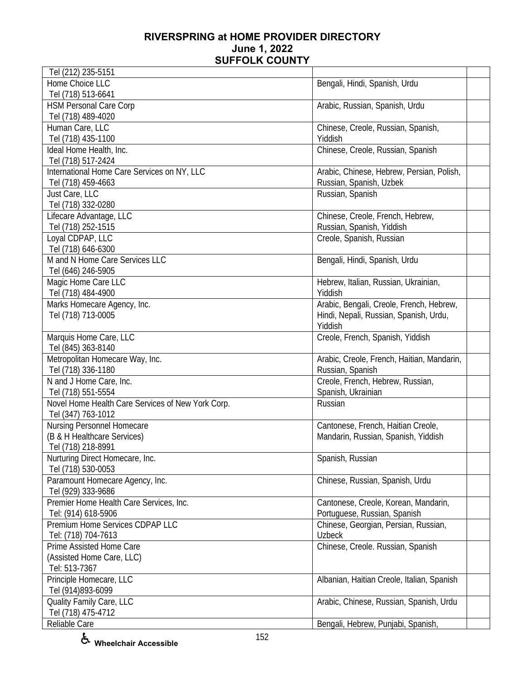| Tel (212) 235-5151                                |                                            |
|---------------------------------------------------|--------------------------------------------|
| Home Choice LLC                                   | Bengali, Hindi, Spanish, Urdu              |
| Tel (718) 513-6641                                |                                            |
| <b>HSM Personal Care Corp</b>                     | Arabic, Russian, Spanish, Urdu             |
| Tel (718) 489-4020                                |                                            |
| Human Care, LLC                                   | Chinese, Creole, Russian, Spanish,         |
| Tel (718) 435-1100                                | Yiddish                                    |
| Ideal Home Health, Inc.                           | Chinese, Creole, Russian, Spanish          |
| Tel (718) 517-2424                                |                                            |
| International Home Care Services on NY, LLC       | Arabic, Chinese, Hebrew, Persian, Polish,  |
| Tel (718) 459-4663                                | Russian, Spanish, Uzbek                    |
| Just Care, LLC                                    | Russian, Spanish                           |
| Tel (718) 332-0280                                |                                            |
| Lifecare Advantage, LLC                           | Chinese, Creole, French, Hebrew,           |
| Tel (718) 252-1515                                | Russian, Spanish, Yiddish                  |
| Loyal CDPAP, LLC                                  | Creole, Spanish, Russian                   |
| Tel (718) 646-6300                                |                                            |
| M and N Home Care Services LLC                    | Bengali, Hindi, Spanish, Urdu              |
| Tel (646) 246-5905                                |                                            |
| Magic Home Care LLC                               | Hebrew, Italian, Russian, Ukrainian,       |
| Tel (718) 484-4900                                | Yiddish                                    |
| Marks Homecare Agency, Inc.                       | Arabic, Bengali, Creole, French, Hebrew,   |
| Tel (718) 713-0005                                | Hindi, Nepali, Russian, Spanish, Urdu,     |
|                                                   | Yiddish                                    |
| Marquis Home Care, LLC                            | Creole, French, Spanish, Yiddish           |
| Tel (845) 363-8140                                |                                            |
| Metropolitan Homecare Way, Inc.                   | Arabic, Creole, French, Haitian, Mandarin, |
| Tel (718) 336-1180                                | Russian, Spanish                           |
| N and J Home Care, Inc.                           | Creole, French, Hebrew, Russian,           |
| Tel (718) 551-5554                                | Spanish, Ukrainian                         |
| Novel Home Health Care Services of New York Corp. | Russian                                    |
| Tel (347) 763-1012                                |                                            |
| Nursing Personnel Homecare                        | Cantonese, French, Haitian Creole,         |
| (B & H Healthcare Services)                       | Mandarin, Russian, Spanish, Yiddish        |
| Tel (718) 218-8991                                |                                            |
| Nurturing Direct Homecare, Inc.                   | Spanish, Russian                           |
| Tel (718) 530-0053                                |                                            |
| Paramount Homecare Agency, Inc.                   | Chinese, Russian, Spanish, Urdu            |
| Tel (929) 333-9686                                |                                            |
| Premier Home Health Care Services, Inc.           | Cantonese, Creole, Korean, Mandarin,       |
| Tel: (914) 618-5906                               | Portuguese, Russian, Spanish               |
| Premium Home Services CDPAP LLC                   | Chinese, Georgian, Persian, Russian,       |
| Tel: (718) 704-7613                               | <b>Uzbeck</b>                              |
| Prime Assisted Home Care                          | Chinese, Creole. Russian, Spanish          |
| (Assisted Home Care, LLC)                         |                                            |
| Tel: 513-7367                                     |                                            |
| Principle Homecare, LLC                           | Albanian, Haitian Creole, Italian, Spanish |
| Tel (914)893-6099                                 |                                            |
| Quality Family Care, LLC                          | Arabic, Chinese, Russian, Spanish, Urdu    |
|                                                   |                                            |
| Tel (718) 475-4712                                |                                            |
| Reliable Care                                     | Bengali, Hebrew, Punjabi, Spanish,         |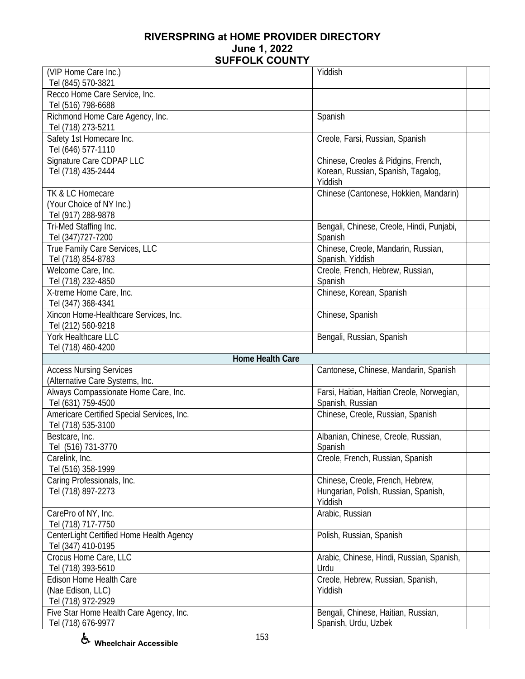| (VIP Home Care Inc.)                                          | Yiddish                                                     |  |
|---------------------------------------------------------------|-------------------------------------------------------------|--|
| Tel (845) 570-3821                                            |                                                             |  |
| Recco Home Care Service, Inc.                                 |                                                             |  |
| Tel (516) 798-6688                                            |                                                             |  |
| Richmond Home Care Agency, Inc.<br>Tel (718) 273-5211         | Spanish                                                     |  |
| Safety 1st Homecare Inc.                                      | Creole, Farsi, Russian, Spanish                             |  |
| Tel (646) 577-1110                                            |                                                             |  |
| Signature Care CDPAP LLC                                      | Chinese, Creoles & Pidgins, French,                         |  |
| Tel (718) 435-2444                                            | Korean, Russian, Spanish, Tagalog,                          |  |
|                                                               | Yiddish                                                     |  |
| TK & LC Homecare                                              | Chinese (Cantonese, Hokkien, Mandarin)                      |  |
| (Your Choice of NY Inc.)                                      |                                                             |  |
| Tel (917) 288-9878                                            |                                                             |  |
| Tri-Med Staffing Inc.                                         | Bengali, Chinese, Creole, Hindi, Punjabi,                   |  |
| Tel (347) 727-7200                                            | Spanish                                                     |  |
| True Family Care Services, LLC                                | Chinese, Creole, Mandarin, Russian,                         |  |
| Tel (718) 854-8783                                            | Spanish, Yiddish                                            |  |
| Welcome Care, Inc.                                            | Creole, French, Hebrew, Russian,                            |  |
| Tel (718) 232-4850                                            | Spanish                                                     |  |
| X-treme Home Care, Inc.                                       | Chinese, Korean, Spanish                                    |  |
| Tel (347) 368-4341<br>Xincon Home-Healthcare Services, Inc.   | Chinese, Spanish                                            |  |
| Tel (212) 560-9218                                            |                                                             |  |
| York Healthcare LLC                                           | Bengali, Russian, Spanish                                   |  |
| Tel (718) 460-4200                                            |                                                             |  |
| Home Health Care                                              |                                                             |  |
| <b>Access Nursing Services</b>                                | Cantonese, Chinese, Mandarin, Spanish                       |  |
| (Alternative Care Systems, Inc.                               |                                                             |  |
| Always Compassionate Home Care, Inc.                          | Farsi, Haitian, Haitian Creole, Norwegian,                  |  |
| Tel (631) 759-4500                                            | Spanish, Russian                                            |  |
| Americare Certified Special Services, Inc.                    | Chinese, Creole, Russian, Spanish                           |  |
| Tel (718) 535-3100                                            |                                                             |  |
| Bestcare, Inc.                                                | Albanian, Chinese, Creole, Russian,                         |  |
| Tel (516) 731-3770                                            | Spanish                                                     |  |
| Carelink, Inc.<br>Tel (516) 358-1999                          | Creole, French, Russian, Spanish                            |  |
| Caring Professionals, Inc.                                    | Chinese, Creole, French, Hebrew,                            |  |
| Tel (718) 897-2273                                            | Hungarian, Polish, Russian, Spanish,                        |  |
|                                                               | Yiddish                                                     |  |
| CarePro of NY, Inc.                                           | Arabic, Russian                                             |  |
| Tel (718) 717-7750                                            |                                                             |  |
| CenterLight Certified Home Health Agency                      | Polish, Russian, Spanish                                    |  |
| Tel (347) 410-0195                                            |                                                             |  |
| Crocus Home Care, LLC                                         | Arabic, Chinese, Hindi, Russian, Spanish,                   |  |
| Tel (718) 393-5610                                            | Urdu                                                        |  |
| Edison Home Health Care                                       | Creole, Hebrew, Russian, Spanish,                           |  |
| (Nae Edison, LLC)                                             |                                                             |  |
|                                                               | Yiddish                                                     |  |
| Tel (718) 972-2929                                            |                                                             |  |
| Five Star Home Health Care Agency, Inc.<br>Tel (718) 676-9977 | Bengali, Chinese, Haitian, Russian,<br>Spanish, Urdu, Uzbek |  |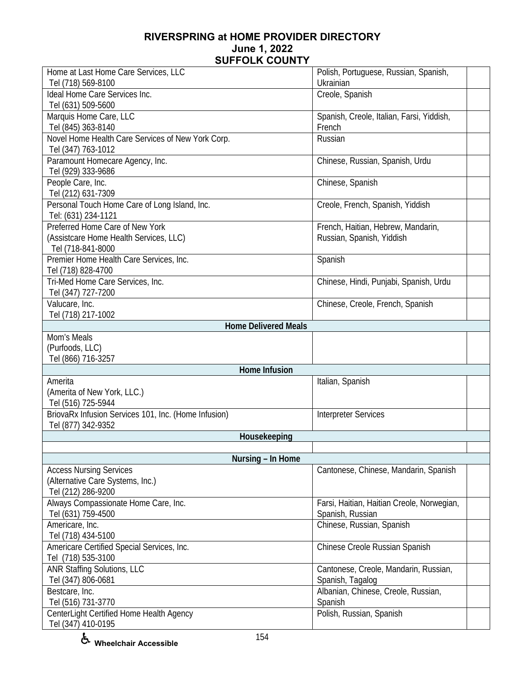| Home at Last Home Care Services, LLC                       | Polish, Portuguese, Russian, Spanish,               |
|------------------------------------------------------------|-----------------------------------------------------|
| Tel (718) 569-8100                                         | Ukrainian                                           |
| <b>Ideal Home Care Services Inc.</b><br>Tel (631) 509-5600 | Creole, Spanish                                     |
| Marquis Home Care, LLC<br>Tel (845) 363-8140               | Spanish, Creole, Italian, Farsi, Yiddish,<br>French |
| Novel Home Health Care Services of New York Corp.          | Russian                                             |
| Tel (347) 763-1012                                         |                                                     |
| Paramount Homecare Agency, Inc.<br>Tel (929) 333-9686      | Chinese, Russian, Spanish, Urdu                     |
| People Care, Inc.                                          | Chinese, Spanish                                    |
| Tel (212) 631-7309                                         |                                                     |
| Personal Touch Home Care of Long Island, Inc.              | Creole, French, Spanish, Yiddish                    |
| Tel: (631) 234-1121                                        |                                                     |
| Preferred Home Care of New York                            | French, Haitian, Hebrew, Mandarin,                  |
| (Assistcare Home Health Services, LLC)                     | Russian, Spanish, Yiddish                           |
| Tel (718-841-8000                                          |                                                     |
| Premier Home Health Care Services, Inc.                    | Spanish                                             |
| Tel (718) 828-4700                                         |                                                     |
| Tri-Med Home Care Services, Inc.<br>Tel (347) 727-7200     | Chinese, Hindi, Punjabi, Spanish, Urdu              |
| Valucare, Inc.                                             | Chinese, Creole, French, Spanish                    |
| Tel (718) 217-1002                                         |                                                     |
| <b>Home Delivered Meals</b>                                |                                                     |
| Mom's Meals                                                |                                                     |
| (Purfoods, LLC)                                            |                                                     |
| Tel (866) 716-3257                                         |                                                     |
| Home Infusion                                              |                                                     |
| Amerita                                                    | Italian, Spanish                                    |
| (Amerita of New York, LLC.)                                |                                                     |
| Tel (516) 725-5944                                         |                                                     |
| BriovaRx Infusion Services 101, Inc. (Home Infusion)       | <b>Interpreter Services</b>                         |
| Tel (877) 342-9352                                         |                                                     |
| Housekeeping                                               |                                                     |
|                                                            |                                                     |
| Nursing - In Home                                          |                                                     |
| <b>Access Nursing Services</b>                             | Cantonese, Chinese, Mandarin, Spanish               |
| (Alternative Care Systems, Inc.)                           |                                                     |
| Tel (212) 286-9200                                         |                                                     |
| Always Compassionate Home Care, Inc.                       | Farsi, Haitian, Haitian Creole, Norwegian,          |
| Tel (631) 759-4500                                         | Spanish, Russian                                    |
| Americare, Inc.                                            | Chinese, Russian, Spanish                           |
| Tel (718) 434-5100                                         |                                                     |
| Americare Certified Special Services, Inc.                 | Chinese Creole Russian Spanish                      |
| Tel (718) 535-3100                                         |                                                     |
| ANR Staffing Solutions, LLC                                | Cantonese, Creole, Mandarin, Russian,               |
| Tel (347) 806-0681                                         | Spanish, Tagalog                                    |
| Bestcare, Inc.                                             | Albanian, Chinese, Creole, Russian,                 |
| Tel (516) 731-3770                                         | Spanish                                             |
| CenterLight Certified Home Health Agency                   | Polish, Russian, Spanish                            |
| Tel (347) 410-0195                                         |                                                     |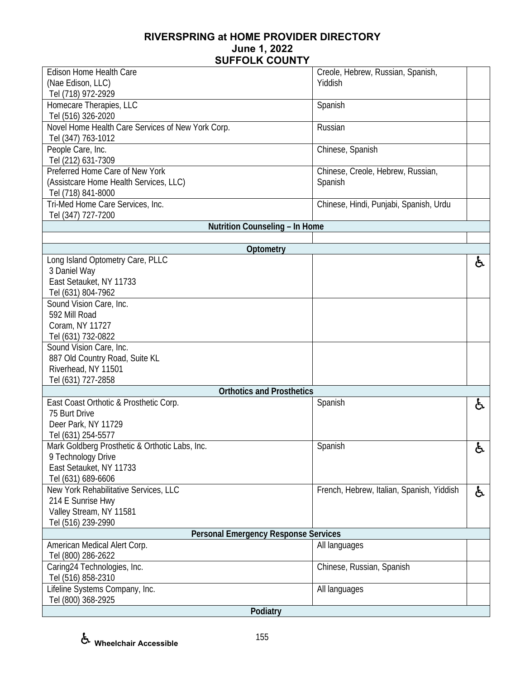| Edison Home Health Care                           | Creole, Hebrew, Russian, Spanish,         |    |
|---------------------------------------------------|-------------------------------------------|----|
| (Nae Edison, LLC)                                 | Yiddish                                   |    |
|                                                   |                                           |    |
| Tel (718) 972-2929                                |                                           |    |
| Homecare Therapies, LLC                           | Spanish                                   |    |
| Tel (516) 326-2020                                |                                           |    |
| Novel Home Health Care Services of New York Corp. | Russian                                   |    |
| Tel (347) 763-1012                                |                                           |    |
| People Care, Inc.                                 | Chinese, Spanish                          |    |
| Tel (212) 631-7309                                |                                           |    |
| Preferred Home Care of New York                   | Chinese, Creole, Hebrew, Russian,         |    |
| (Assistcare Home Health Services, LLC)            | Spanish                                   |    |
| Tel (718) 841-8000                                |                                           |    |
| Tri-Med Home Care Services, Inc.                  | Chinese, Hindi, Punjabi, Spanish, Urdu    |    |
| Tel (347) 727-7200                                |                                           |    |
| Nutrition Counseling - In Home                    |                                           |    |
|                                                   |                                           |    |
| Optometry                                         |                                           |    |
| Long Island Optometry Care, PLLC                  |                                           | ę. |
| 3 Daniel Way                                      |                                           |    |
| East Setauket, NY 11733                           |                                           |    |
| Tel (631) 804-7962                                |                                           |    |
| Sound Vision Care, Inc.                           |                                           |    |
| 592 Mill Road                                     |                                           |    |
| Coram, NY 11727                                   |                                           |    |
| Tel (631) 732-0822                                |                                           |    |
| Sound Vision Care, Inc.                           |                                           |    |
| 887 Old Country Road, Suite KL                    |                                           |    |
| Riverhead, NY 11501                               |                                           |    |
| Tel (631) 727-2858                                |                                           |    |
| <b>Orthotics and Prosthetics</b>                  |                                           |    |
| East Coast Orthotic & Prosthetic Corp.            | Spanish                                   | ę. |
| 75 Burt Drive                                     |                                           |    |
| Deer Park, NY 11729                               |                                           |    |
| Tel (631) 254-5577                                |                                           |    |
| Mark Goldberg Prosthetic & Orthotic Labs, Inc.    |                                           | £. |
| 9 Technology Drive                                | Spanish                                   | o  |
| East Setauket, NY 11733                           |                                           |    |
|                                                   |                                           |    |
| Tel (631) 689-6606                                |                                           |    |
| New York Rehabilitative Services, LLC             | French, Hebrew, Italian, Spanish, Yiddish | ę. |
| 214 E Sunrise Hwy                                 |                                           |    |
| Valley Stream, NY 11581                           |                                           |    |
| Tel (516) 239-2990                                |                                           |    |
| <b>Personal Emergency Response Services</b>       |                                           |    |
| American Medical Alert Corp.                      | All languages                             |    |
| Tel (800) 286-2622                                |                                           |    |
| Caring24 Technologies, Inc.                       | Chinese, Russian, Spanish                 |    |
| Tel (516) 858-2310                                |                                           |    |
| Lifeline Systems Company, Inc.                    | All languages                             |    |
| Tel (800) 368-2925                                |                                           |    |
| Podiatry                                          |                                           |    |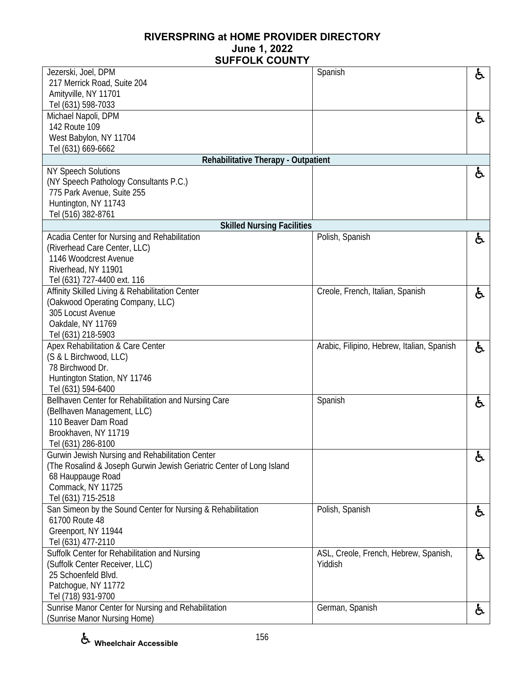| Jezerski, Joel, DPM                                                                 | Spanish                                    | ę. |
|-------------------------------------------------------------------------------------|--------------------------------------------|----|
| 217 Merrick Road, Suite 204                                                         |                                            |    |
| Amityville, NY 11701                                                                |                                            |    |
| Tel (631) 598-7033                                                                  |                                            |    |
| Michael Napoli, DPM                                                                 |                                            | ė, |
| 142 Route 109                                                                       |                                            |    |
| West Babylon, NY 11704                                                              |                                            |    |
| Tel (631) 669-6662                                                                  |                                            |    |
| Rehabilitative Therapy - Outpatient                                                 |                                            |    |
| <b>NY Speech Solutions</b>                                                          |                                            | ė, |
| (NY Speech Pathology Consultants P.C.)                                              |                                            |    |
| 775 Park Avenue, Suite 255                                                          |                                            |    |
| Huntington, NY 11743                                                                |                                            |    |
| Tel (516) 382-8761                                                                  |                                            |    |
| <b>Skilled Nursing Facilities</b>                                                   |                                            |    |
| Acadia Center for Nursing and Rehabilitation                                        | Polish, Spanish                            | ę. |
| (Riverhead Care Center, LLC)                                                        |                                            |    |
| 1146 Woodcrest Avenue                                                               |                                            |    |
| Riverhead, NY 11901                                                                 |                                            |    |
| Tel (631) 727-4400 ext. 116                                                         |                                            |    |
| Affinity Skilled Living & Rehabilitation Center<br>(Oakwood Operating Company, LLC) | Creole, French, Italian, Spanish           | と  |
| 305 Locust Avenue                                                                   |                                            |    |
| Oakdale, NY 11769                                                                   |                                            |    |
| Tel (631) 218-5903                                                                  |                                            |    |
| Apex Rehabilitation & Care Center                                                   | Arabic, Filipino, Hebrew, Italian, Spanish |    |
| (S & L Birchwood, LLC)                                                              |                                            | ę. |
| 78 Birchwood Dr.                                                                    |                                            |    |
| Huntington Station, NY 11746                                                        |                                            |    |
| Tel (631) 594-6400                                                                  |                                            |    |
| Bellhaven Center for Rehabilitation and Nursing Care                                | Spanish                                    | ę. |
| (Bellhaven Management, LLC)                                                         |                                            |    |
| 110 Beaver Dam Road                                                                 |                                            |    |
| Brookhaven, NY 11719                                                                |                                            |    |
| Tel (631) 286-8100                                                                  |                                            |    |
| Gurwin Jewish Nursing and Rehabilitation Center                                     |                                            | ę. |
| (The Rosalind & Joseph Gurwin Jewish Geriatric Center of Long Island                |                                            |    |
| 68 Hauppauge Road                                                                   |                                            |    |
| Commack, NY 11725                                                                   |                                            |    |
| Tel (631) 715-2518                                                                  |                                            |    |
| San Simeon by the Sound Center for Nursing & Rehabilitation                         | Polish, Spanish                            | ę. |
| 61700 Route 48                                                                      |                                            |    |
| Greenport, NY 11944                                                                 |                                            |    |
| Tel (631) 477-2110                                                                  |                                            |    |
| Suffolk Center for Rehabilitation and Nursing                                       | ASL, Creole, French, Hebrew, Spanish,      | ę. |
| (Suffolk Center Receiver, LLC)                                                      | Yiddish                                    |    |
| 25 Schoenfeld Blvd.                                                                 |                                            |    |
| Patchogue, NY 11772                                                                 |                                            |    |
| Tel (718) 931-9700                                                                  |                                            |    |
| Sunrise Manor Center for Nursing and Rehabilitation                                 | German, Spanish                            | と  |
| (Sunrise Manor Nursing Home)                                                        |                                            |    |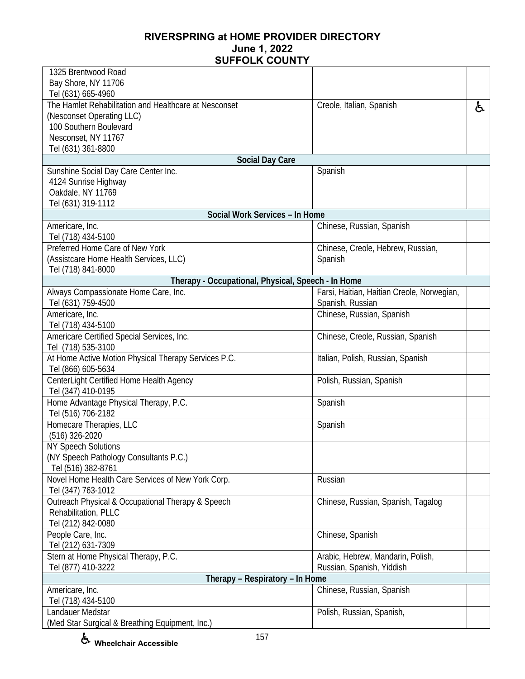| 1325 Brentwood Road                                        |                                            |    |
|------------------------------------------------------------|--------------------------------------------|----|
| Bay Shore, NY 11706                                        |                                            |    |
| Tel (631) 665-4960                                         |                                            |    |
| The Hamlet Rehabilitation and Healthcare at Nesconset      | Creole, Italian, Spanish                   | ė. |
| (Nesconset Operating LLC)                                  |                                            |    |
| 100 Southern Boulevard                                     |                                            |    |
| Nesconset, NY 11767                                        |                                            |    |
| Tel (631) 361-8800                                         |                                            |    |
| <b>Social Day Care</b>                                     |                                            |    |
| Sunshine Social Day Care Center Inc.                       | Spanish                                    |    |
| 4124 Sunrise Highway                                       |                                            |    |
| Oakdale, NY 11769                                          |                                            |    |
| Tel (631) 319-1112                                         |                                            |    |
| Social Work Services - In Home                             |                                            |    |
| Americare, Inc.                                            | Chinese, Russian, Spanish                  |    |
| Tel (718) 434-5100                                         |                                            |    |
| Preferred Home Care of New York                            | Chinese, Creole, Hebrew, Russian,          |    |
| (Assistcare Home Health Services, LLC)                     | Spanish                                    |    |
| Tel (718) 841-8000                                         |                                            |    |
| Therapy - Occupational, Physical, Speech - In Home         | Farsi, Haitian, Haitian Creole, Norwegian, |    |
| Always Compassionate Home Care, Inc.<br>Tel (631) 759-4500 | Spanish, Russian                           |    |
| Americare, Inc.                                            | Chinese, Russian, Spanish                  |    |
| Tel (718) 434-5100                                         |                                            |    |
| Americare Certified Special Services, Inc.                 | Chinese, Creole, Russian, Spanish          |    |
| Tel (718) 535-3100                                         |                                            |    |
| At Home Active Motion Physical Therapy Services P.C.       | Italian, Polish, Russian, Spanish          |    |
| Tel (866) 605-5634                                         |                                            |    |
| CenterLight Certified Home Health Agency                   | Polish, Russian, Spanish                   |    |
| Tel (347) 410-0195                                         |                                            |    |
| Home Advantage Physical Therapy, P.C.                      | Spanish                                    |    |
| Tel (516) 706-2182                                         |                                            |    |
| Homecare Therapies, LLC                                    | Spanish                                    |    |
| (516) 326-2020                                             |                                            |    |
| <b>NY Speech Solutions</b>                                 |                                            |    |
| (NY Speech Pathology Consultants P.C.)                     |                                            |    |
| Tel (516) 382-8761                                         |                                            |    |
| Novel Home Health Care Services of New York Corp.          | Russian                                    |    |
| Tel (347) 763-1012                                         |                                            |    |
| Outreach Physical & Occupational Therapy & Speech          | Chinese, Russian, Spanish, Tagalog         |    |
| Rehabilitation, PLLC                                       |                                            |    |
| Tel (212) 842-0080                                         |                                            |    |
| People Care, Inc.                                          | Chinese, Spanish                           |    |
| Tel (212) 631-7309                                         |                                            |    |
| Stern at Home Physical Therapy, P.C.                       | Arabic, Hebrew, Mandarin, Polish,          |    |
| Tel (877) 410-3222                                         | Russian, Spanish, Yiddish                  |    |
| Therapy - Respiratory - In Home                            |                                            |    |
| Americare, Inc.                                            | Chinese, Russian, Spanish                  |    |
| Tel (718) 434-5100                                         |                                            |    |
| Landauer Medstar                                           | Polish, Russian, Spanish,                  |    |
| (Med Star Surgical & Breathing Equipment, Inc.)            |                                            |    |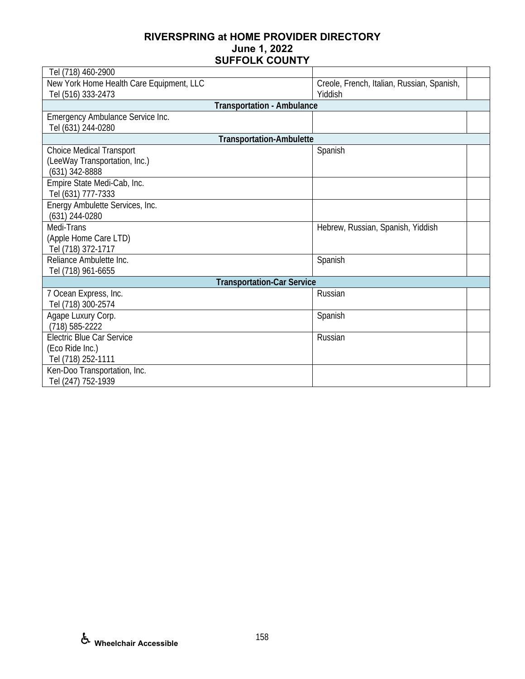| Tel (718) 460-2900                       |                                            |  |
|------------------------------------------|--------------------------------------------|--|
| New York Home Health Care Equipment, LLC | Creole, French, Italian, Russian, Spanish, |  |
| Tel (516) 333-2473                       | Yiddish                                    |  |
| <b>Transportation - Ambulance</b>        |                                            |  |
| Emergency Ambulance Service Inc.         |                                            |  |
| Tel (631) 244-0280                       |                                            |  |
| <b>Transportation-Ambulette</b>          |                                            |  |
| <b>Choice Medical Transport</b>          | Spanish                                    |  |
| (LeeWay Transportation, Inc.)            |                                            |  |
| (631) 342-8888                           |                                            |  |
| Empire State Medi-Cab, Inc.              |                                            |  |
| Tel (631) 777-7333                       |                                            |  |
| Energy Ambulette Services, Inc.          |                                            |  |
| (631) 244-0280                           |                                            |  |
| Medi-Trans                               | Hebrew, Russian, Spanish, Yiddish          |  |
| (Apple Home Care LTD)                    |                                            |  |
| Tel (718) 372-1717                       |                                            |  |
| Reliance Ambulette Inc.                  | Spanish                                    |  |
| Tel (718) 961-6655                       |                                            |  |
| <b>Transportation-Car Service</b>        |                                            |  |
| 7 Ocean Express, Inc.                    | Russian                                    |  |
| Tel (718) 300-2574                       |                                            |  |
| Agape Luxury Corp.                       | Spanish                                    |  |
| $(718) 585 - 2222$                       |                                            |  |
| Electric Blue Car Service                | Russian                                    |  |
| (Eco Ride Inc.)                          |                                            |  |
| Tel (718) 252-1111                       |                                            |  |
| Ken-Doo Transportation, Inc.             |                                            |  |
| Tel (247) 752-1939                       |                                            |  |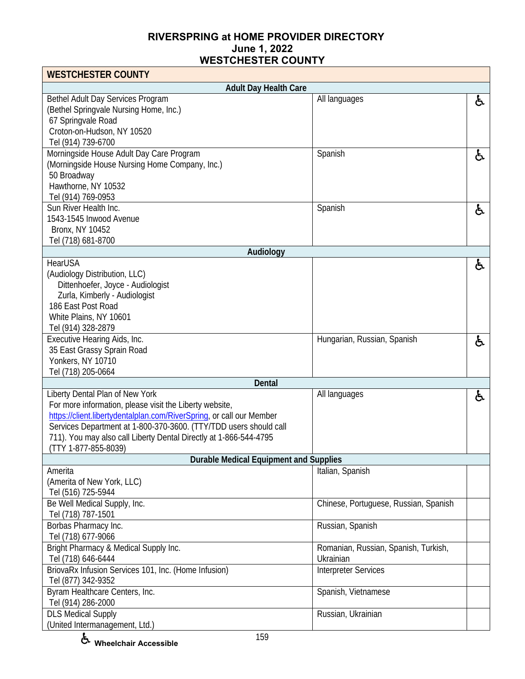| <b>WESTCHESTER COUNTY</b>                                                                 |                                       |    |
|-------------------------------------------------------------------------------------------|---------------------------------------|----|
| <b>Adult Day Health Care</b>                                                              |                                       |    |
| Bethel Adult Day Services Program<br>(Bethel Springvale Nursing Home, Inc.)               | All languages                         | ė, |
| 67 Springvale Road                                                                        |                                       |    |
| Croton-on-Hudson, NY 10520                                                                |                                       |    |
| Tel (914) 739-6700                                                                        |                                       |    |
| Morningside House Adult Day Care Program                                                  | Spanish                               | f. |
| (Morningside House Nursing Home Company, Inc.)                                            |                                       |    |
| 50 Broadway                                                                               |                                       |    |
| Hawthorne, NY 10532<br>Tel (914) 769-0953                                                 |                                       |    |
| Sun River Health Inc.                                                                     | Spanish                               | と  |
| 1543-1545 Inwood Avenue                                                                   |                                       |    |
| <b>Bronx, NY 10452</b>                                                                    |                                       |    |
| Tel (718) 681-8700                                                                        |                                       |    |
| Audiology                                                                                 |                                       |    |
| HearUSA                                                                                   |                                       | ė, |
| (Audiology Distribution, LLC)<br>Dittenhoefer, Joyce - Audiologist                        |                                       |    |
| Zurla, Kimberly - Audiologist                                                             |                                       |    |
| 186 East Post Road                                                                        |                                       |    |
| White Plains, NY 10601                                                                    |                                       |    |
| Tel (914) 328-2879                                                                        |                                       |    |
| Executive Hearing Aids, Inc.                                                              | Hungarian, Russian, Spanish           | ę. |
| 35 East Grassy Sprain Road                                                                |                                       |    |
| Yonkers, NY 10710<br>Tel (718) 205-0664                                                   |                                       |    |
| Dental                                                                                    |                                       |    |
| Liberty Dental Plan of New York                                                           | All languages                         | ė. |
| For more information, please visit the Liberty website,                                   |                                       |    |
| https://client.libertydentalplan.com/RiverSpring, or call our Member                      |                                       |    |
| Services Department at 1-800-370-3600. (TTY/TDD users should call                         |                                       |    |
| 711). You may also call Liberty Dental Directly at 1-866-544-4795<br>(TTY 1-877-855-8039) |                                       |    |
| <b>Durable Medical Equipment and Supplies</b>                                             |                                       |    |
| Amerita                                                                                   | Italian, Spanish                      |    |
| (Amerita of New York, LLC)                                                                |                                       |    |
| Tel (516) 725-5944                                                                        |                                       |    |
| Be Well Medical Supply, Inc.                                                              | Chinese, Portuguese, Russian, Spanish |    |
| Tel (718) 787-1501<br>Borbas Pharmacy Inc.                                                | Russian, Spanish                      |    |
| Tel (718) 677-9066                                                                        |                                       |    |
| Bright Pharmacy & Medical Supply Inc.                                                     | Romanian, Russian, Spanish, Turkish,  |    |
| Tel (718) 646-6444                                                                        | Ukrainian                             |    |
| BriovaRx Infusion Services 101, Inc. (Home Infusion)                                      | <b>Interpreter Services</b>           |    |
| Tel (877) 342-9352                                                                        |                                       |    |
| Byram Healthcare Centers, Inc.<br>Tel (914) 286-2000                                      | Spanish, Vietnamese                   |    |
| <b>DLS Medical Supply</b>                                                                 | Russian, Ukrainian                    |    |
| (United Intermanagement, Ltd.)                                                            |                                       |    |

**Wheelchair Accessible**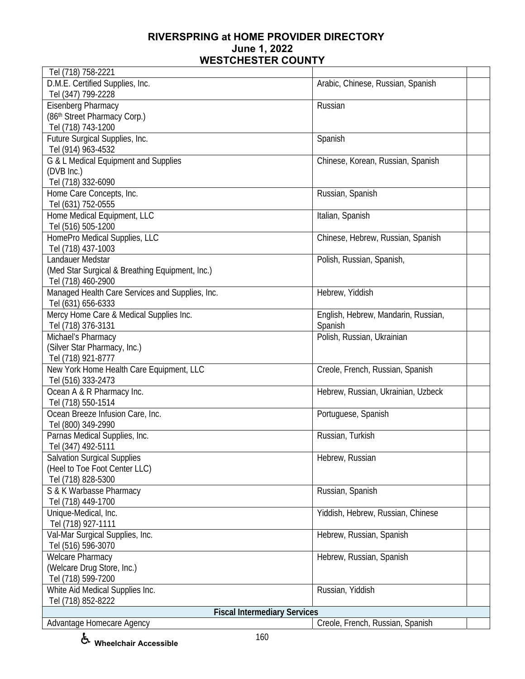| Tel (718) 758-2221                              |                                     |
|-------------------------------------------------|-------------------------------------|
| D.M.E. Certified Supplies, Inc.                 | Arabic, Chinese, Russian, Spanish   |
| Tel (347) 799-2228                              |                                     |
| Eisenberg Pharmacy                              | Russian                             |
| (86th Street Pharmacy Corp.)                    |                                     |
| Tel (718) 743-1200                              |                                     |
| Future Surgical Supplies, Inc.                  | Spanish                             |
| Tel (914) 963-4532                              |                                     |
| G & L Medical Equipment and Supplies            | Chinese, Korean, Russian, Spanish   |
| (DVB Inc.)                                      |                                     |
| Tel (718) 332-6090                              |                                     |
| Home Care Concepts, Inc.                        | Russian, Spanish                    |
| Tel (631) 752-0555                              |                                     |
| Home Medical Equipment, LLC                     | Italian, Spanish                    |
| Tel (516) 505-1200                              |                                     |
| HomePro Medical Supplies, LLC                   | Chinese, Hebrew, Russian, Spanish   |
| Tel (718) 437-1003                              |                                     |
| Landauer Medstar                                | Polish, Russian, Spanish,           |
|                                                 |                                     |
| (Med Star Surgical & Breathing Equipment, Inc.) |                                     |
| Tel (718) 460-2900                              |                                     |
| Managed Health Care Services and Supplies, Inc. | Hebrew, Yiddish                     |
| Tel (631) 656-6333                              |                                     |
| Mercy Home Care & Medical Supplies Inc.         | English, Hebrew, Mandarin, Russian, |
| Tel (718) 376-3131                              | Spanish                             |
| Michael's Pharmacy                              | Polish, Russian, Ukrainian          |
| (Silver Star Pharmacy, Inc.)                    |                                     |
| Tel (718) 921-8777                              |                                     |
| New York Home Health Care Equipment, LLC        | Creole, French, Russian, Spanish    |
| Tel (516) 333-2473                              |                                     |
| Ocean A & R Pharmacy Inc.                       | Hebrew, Russian, Ukrainian, Uzbeck  |
| Tel (718) 550-1514                              |                                     |
| Ocean Breeze Infusion Care, Inc.                | Portuguese, Spanish                 |
| Tel (800) 349-2990                              |                                     |
| Parnas Medical Supplies, Inc.                   | Russian, Turkish                    |
| Tel (347) 492-5111                              |                                     |
| <b>Salvation Surgical Supplies</b>              | Hebrew, Russian                     |
| (Heel to Toe Foot Center LLC)                   |                                     |
| Tel (718) 828-5300                              |                                     |
| S & K Warbasse Pharmacy                         | Russian, Spanish                    |
| Tel (718) 449-1700                              |                                     |
| Unique-Medical, Inc.                            | Yiddish, Hebrew, Russian, Chinese   |
| Tel (718) 927-1111                              |                                     |
| Val-Mar Surgical Supplies, Inc.                 | Hebrew, Russian, Spanish            |
| Tel (516) 596-3070                              |                                     |
| <b>Welcare Pharmacy</b>                         | Hebrew, Russian, Spanish            |
| (Welcare Drug Store, Inc.)                      |                                     |
| Tel (718) 599-7200                              |                                     |
| White Aid Medical Supplies Inc.                 | Russian, Yiddish                    |
| Tel (718) 852-8222                              |                                     |
| <b>Fiscal Intermediary Services</b>             |                                     |
| Advantage Homecare Agency                       | Creole, French, Russian, Spanish    |

**Wheelchair Accessible**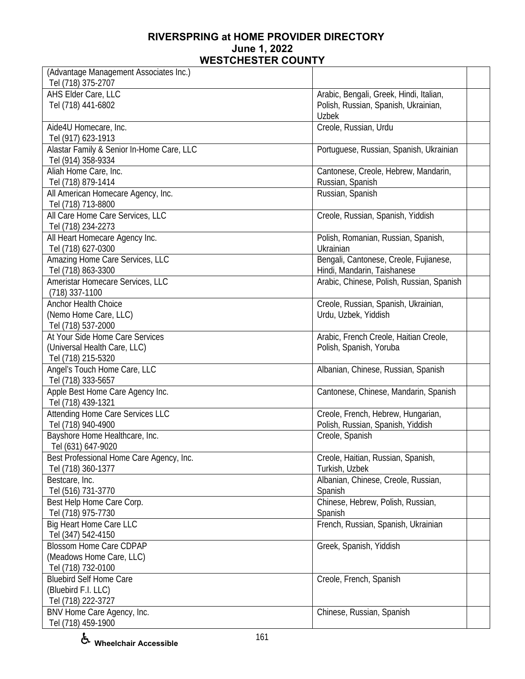| (Advantage Management Associates Inc.)                 |                                           |
|--------------------------------------------------------|-------------------------------------------|
| Tel (718) 375-2707                                     |                                           |
| AHS Elder Care, LLC                                    | Arabic, Bengali, Greek, Hindi, Italian,   |
| Tel (718) 441-6802                                     | Polish, Russian, Spanish, Ukrainian,      |
|                                                        | <b>Uzbek</b>                              |
| Aide4U Homecare, Inc.                                  | Creole, Russian, Urdu                     |
| Tel (917) 623-1913                                     |                                           |
| Alastar Family & Senior In-Home Care, LLC              | Portuguese, Russian, Spanish, Ukrainian   |
| Tel (914) 358-9334                                     |                                           |
| Aliah Home Care, Inc.                                  | Cantonese, Creole, Hebrew, Mandarin,      |
| Tel (718) 879-1414                                     | Russian, Spanish                          |
| All American Homecare Agency, Inc.                     | Russian, Spanish                          |
| Tel (718) 713-8800                                     |                                           |
| All Care Home Care Services, LLC                       | Creole, Russian, Spanish, Yiddish         |
| Tel (718) 234-2273                                     |                                           |
| All Heart Homecare Agency Inc.                         | Polish, Romanian, Russian, Spanish,       |
| Tel (718) 627-0300                                     | Ukrainian                                 |
| Amazing Home Care Services, LLC                        | Bengali, Cantonese, Creole, Fujianese,    |
| Tel (718) 863-3300                                     | Hindi, Mandarin, Taishanese               |
| Ameristar Homecare Services, LLC                       | Arabic, Chinese, Polish, Russian, Spanish |
| (718) 337-1100                                         |                                           |
| <b>Anchor Health Choice</b>                            | Creole, Russian, Spanish, Ukrainian,      |
| (Nemo Home Care, LLC)                                  | Urdu, Uzbek, Yiddish                      |
| Tel (718) 537-2000                                     |                                           |
| At Your Side Home Care Services                        | Arabic, French Creole, Haitian Creole,    |
| (Universal Health Care, LLC)                           | Polish, Spanish, Yoruba                   |
| Tel (718) 215-5320                                     |                                           |
| Angel's Touch Home Care, LLC<br>Tel (718) 333-5657     | Albanian, Chinese, Russian, Spanish       |
|                                                        | Cantonese, Chinese, Mandarin, Spanish     |
| Apple Best Home Care Agency Inc.<br>Tel (718) 439-1321 |                                           |
| Attending Home Care Services LLC                       | Creole, French, Hebrew, Hungarian,        |
| Tel (718) 940-4900                                     | Polish, Russian, Spanish, Yiddish         |
| Bayshore Home Healthcare, Inc.                         | Creole, Spanish                           |
| Tel (631) 647-9020                                     |                                           |
| Best Professional Home Care Agency, Inc.               | Creole, Haitian, Russian, Spanish,        |
| Tel (718) 360-1377                                     | Turkish, Uzbek                            |
| Bestcare, Inc.                                         | Albanian, Chinese, Creole, Russian,       |
| Tel (516) 731-3770                                     | Spanish                                   |
| Best Help Home Care Corp.                              | Chinese, Hebrew, Polish, Russian,         |
| Tel (718) 975-7730                                     | Spanish                                   |
| Big Heart Home Care LLC                                | French, Russian, Spanish, Ukrainian       |
| Tel (347) 542-4150                                     |                                           |
| <b>Blossom Home Care CDPAP</b>                         | Greek, Spanish, Yiddish                   |
| (Meadows Home Care, LLC)                               |                                           |
| Tel (718) 732-0100                                     |                                           |
| <b>Bluebird Self Home Care</b>                         | Creole, French, Spanish                   |
| (Bluebird F.I. LLC)                                    |                                           |
| Tel (718) 222-3727                                     |                                           |
| BNV Home Care Agency, Inc.                             | Chinese, Russian, Spanish                 |
| Tel (718) 459-1900                                     |                                           |

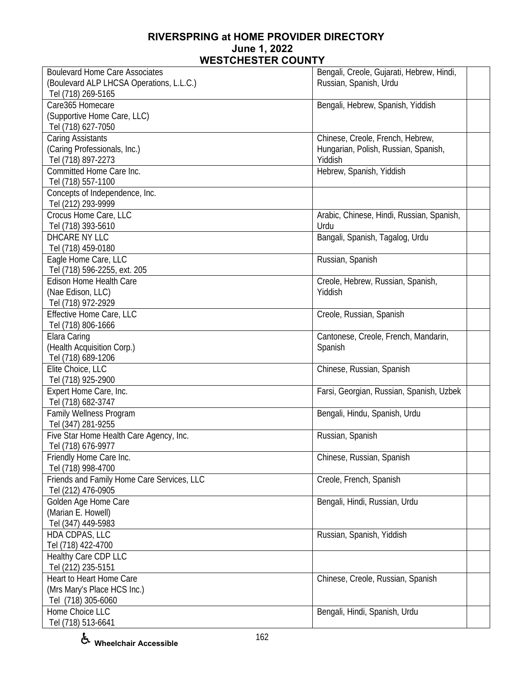| <b>Boulevard Home Care Associates</b>      | Bengali, Creole, Gujarati, Hebrew, Hindi, |  |
|--------------------------------------------|-------------------------------------------|--|
| (Boulevard ALP LHCSA Operations, L.L.C.)   | Russian, Spanish, Urdu                    |  |
| Tel (718) 269-5165                         |                                           |  |
| Care365 Homecare                           | Bengali, Hebrew, Spanish, Yiddish         |  |
| (Supportive Home Care, LLC)                |                                           |  |
| Tel (718) 627-7050                         |                                           |  |
| Caring Assistants                          | Chinese, Creole, French, Hebrew,          |  |
| (Caring Professionals, Inc.)               | Hungarian, Polish, Russian, Spanish,      |  |
| Tel (718) 897-2273                         | Yiddish                                   |  |
| Committed Home Care Inc.                   | Hebrew, Spanish, Yiddish                  |  |
| Tel (718) 557-1100                         |                                           |  |
| Concepts of Independence, Inc.             |                                           |  |
| Tel (212) 293-9999                         |                                           |  |
| Crocus Home Care, LLC                      | Arabic, Chinese, Hindi, Russian, Spanish, |  |
| Tel (718) 393-5610                         | Urdu                                      |  |
| DHCARE NY LLC                              | Bangali, Spanish, Tagalog, Urdu           |  |
| Tel (718) 459-0180                         |                                           |  |
| Eagle Home Care, LLC                       | Russian, Spanish                          |  |
| Tel (718) 596-2255, ext. 205               |                                           |  |
| <b>Edison Home Health Care</b>             | Creole, Hebrew, Russian, Spanish,         |  |
| (Nae Edison, LLC)                          | Yiddish                                   |  |
| Tel (718) 972-2929                         |                                           |  |
| Effective Home Care, LLC                   | Creole, Russian, Spanish                  |  |
| Tel (718) 806-1666                         |                                           |  |
| Elara Caring                               | Cantonese, Creole, French, Mandarin,      |  |
| (Health Acquisition Corp.)                 | Spanish                                   |  |
| Tel (718) 689-1206                         |                                           |  |
| Elite Choice, LLC                          | Chinese, Russian, Spanish                 |  |
| Tel (718) 925-2900                         |                                           |  |
| Expert Home Care, Inc.                     | Farsi, Georgian, Russian, Spanish, Uzbek  |  |
| Tel (718) 682-3747                         |                                           |  |
| Family Wellness Program                    | Bengali, Hindu, Spanish, Urdu             |  |
| Tel (347) 281-9255                         |                                           |  |
| Five Star Home Health Care Agency, Inc.    | Russian, Spanish                          |  |
| Tel (718) 676-9977                         |                                           |  |
| Friendly Home Care Inc.                    | Chinese, Russian, Spanish                 |  |
| Tel (718) 998-4700                         |                                           |  |
| Friends and Family Home Care Services, LLC | Creole, French, Spanish                   |  |
| Tel (212) 476-0905                         |                                           |  |
| Golden Age Home Care                       | Bengali, Hindi, Russian, Urdu             |  |
| (Marian E. Howell)                         |                                           |  |
| Tel (347) 449-5983                         |                                           |  |
| HDA CDPAS, LLC                             | Russian, Spanish, Yiddish                 |  |
| Tel (718) 422-4700                         |                                           |  |
| Healthy Care CDP LLC                       |                                           |  |
| Tel (212) 235-5151                         |                                           |  |
| Heart to Heart Home Care                   | Chinese, Creole, Russian, Spanish         |  |
| (Mrs Mary's Place HCS Inc.)                |                                           |  |
| Tel (718) 305-6060                         |                                           |  |
| Home Choice LLC                            | Bengali, Hindi, Spanish, Urdu             |  |
| Tel (718) 513-6641                         |                                           |  |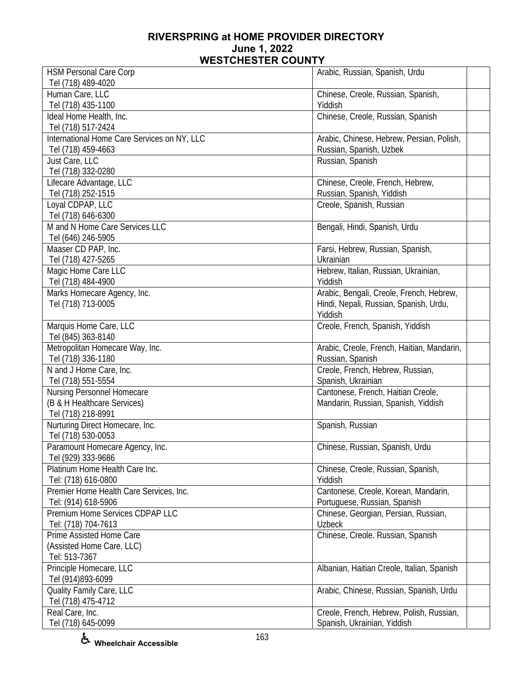| <b>HSM Personal Care Corp</b>               | Arabic, Russian, Spanish, Urdu             |
|---------------------------------------------|--------------------------------------------|
| Tel (718) 489-4020                          |                                            |
| Human Care, LLC                             | Chinese, Creole, Russian, Spanish,         |
| Tel (718) 435-1100                          | Yiddish                                    |
| Ideal Home Health, Inc.                     | Chinese, Creole, Russian, Spanish          |
| Tel (718) 517-2424                          |                                            |
| International Home Care Services on NY, LLC | Arabic, Chinese, Hebrew, Persian, Polish,  |
| Tel (718) 459-4663                          |                                            |
|                                             | Russian, Spanish, Uzbek                    |
| Just Care, LLC                              | Russian, Spanish                           |
| Tel (718) 332-0280                          |                                            |
| Lifecare Advantage, LLC                     | Chinese, Creole, French, Hebrew,           |
| Tel (718) 252-1515                          | Russian, Spanish, Yiddish                  |
| Loyal CDPAP, LLC                            | Creole, Spanish, Russian                   |
| Tel (718) 646-6300                          |                                            |
| M and N Home Care Services LLC              |                                            |
|                                             | Bengali, Hindi, Spanish, Urdu              |
| Tel (646) 246-5905                          |                                            |
| Maaser CD PAP, Inc.                         | Farsi, Hebrew, Russian, Spanish,           |
| Tel (718) 427-5265                          | Ukrainian                                  |
| Magic Home Care LLC                         | Hebrew, Italian, Russian, Ukrainian,       |
| Tel (718) 484-4900                          | Yiddish                                    |
|                                             | Arabic, Bengali, Creole, French, Hebrew,   |
| Marks Homecare Agency, Inc.                 |                                            |
| Tel (718) 713-0005                          | Hindi, Nepali, Russian, Spanish, Urdu,     |
|                                             | Yiddish                                    |
| Marquis Home Care, LLC                      | Creole, French, Spanish, Yiddish           |
| Tel (845) 363-8140                          |                                            |
| Metropolitan Homecare Way, Inc.             | Arabic, Creole, French, Haitian, Mandarin, |
| Tel (718) 336-1180                          | Russian, Spanish                           |
| N and J Home Care, Inc.                     | Creole, French, Hebrew, Russian,           |
|                                             |                                            |
| Tel (718) 551-5554                          | Spanish, Ukrainian                         |
| Nursing Personnel Homecare                  | Cantonese, French, Haitian Creole,         |
| (B & H Healthcare Services)                 | Mandarin, Russian, Spanish, Yiddish        |
| Tel (718) 218-8991                          |                                            |
| Nurturing Direct Homecare, Inc.             | Spanish, Russian                           |
| Tel (718) 530-0053                          |                                            |
| Paramount Homecare Agency, Inc.             | Chinese, Russian, Spanish, Urdu            |
|                                             |                                            |
| Tel (929) 333-9686                          |                                            |
| Platinum Home Health Care Inc.              | Chinese, Creole, Russian, Spanish,         |
| Tel: (718) 616-0800                         | Yiddish                                    |
| Premier Home Health Care Services, Inc.     | Cantonese, Creole, Korean, Mandarin,       |
| Tel: (914) 618-5906                         | Portuguese, Russian, Spanish               |
| Premium Home Services CDPAP LLC             | Chinese, Georgian, Persian, Russian,       |
| Tel: (718) 704-7613                         | <b>Uzbeck</b>                              |
|                                             |                                            |
| Prime Assisted Home Care                    | Chinese, Creole. Russian, Spanish          |
| (Assisted Home Care, LLC)                   |                                            |
| Tel: 513-7367                               |                                            |
| Principle Homecare, LLC                     | Albanian, Haitian Creole, Italian, Spanish |
| Tel (914)893-6099                           |                                            |
| Quality Family Care, LLC                    | Arabic, Chinese, Russian, Spanish, Urdu    |
| Tel (718) 475-4712                          |                                            |
|                                             |                                            |
| Real Care, Inc.                             | Creole, French, Hebrew, Polish, Russian,   |
| Tel (718) 645-0099                          | Spanish, Ukrainian, Yiddish                |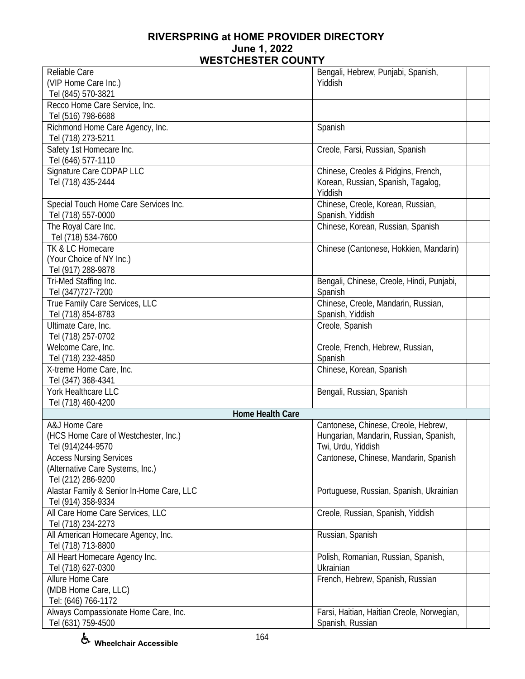| Reliable Care                                               | Bengali, Hebrew, Punjabi, Spanish,                                        |
|-------------------------------------------------------------|---------------------------------------------------------------------------|
| (VIP Home Care Inc.)                                        | Yiddish                                                                   |
| Tel (845) 570-3821                                          |                                                                           |
| Recco Home Care Service, Inc.                               |                                                                           |
| Tel (516) 798-6688                                          |                                                                           |
| Richmond Home Care Agency, Inc.                             | Spanish                                                                   |
| Tel (718) 273-5211                                          |                                                                           |
| Safety 1st Homecare Inc.                                    | Creole, Farsi, Russian, Spanish                                           |
| Tel (646) 577-1110<br>Signature Care CDPAP LLC              |                                                                           |
| Tel (718) 435-2444                                          | Chinese, Creoles & Pidgins, French,<br>Korean, Russian, Spanish, Tagalog, |
|                                                             | Yiddish                                                                   |
| Special Touch Home Care Services Inc.                       | Chinese, Creole, Korean, Russian,                                         |
| Tel (718) 557-0000                                          | Spanish, Yiddish                                                          |
| The Royal Care Inc.                                         | Chinese, Korean, Russian, Spanish                                         |
| Tel (718) 534-7600                                          |                                                                           |
| TK & LC Homecare                                            | Chinese (Cantonese, Hokkien, Mandarin)                                    |
| (Your Choice of NY Inc.)                                    |                                                                           |
| Tel (917) 288-9878                                          |                                                                           |
| Tri-Med Staffing Inc.                                       | Bengali, Chinese, Creole, Hindi, Punjabi,                                 |
| Tel (347) 727-7200                                          | Spanish                                                                   |
| True Family Care Services, LLC                              | Chinese, Creole, Mandarin, Russian,                                       |
| Tel (718) 854-8783                                          | Spanish, Yiddish                                                          |
| Ultimate Care, Inc.                                         | Creole, Spanish                                                           |
| Tel (718) 257-0702                                          |                                                                           |
| Welcome Care, Inc.                                          | Creole, French, Hebrew, Russian,                                          |
| Tel (718) 232-4850                                          | Spanish                                                                   |
| X-treme Home Care, Inc.                                     | Chinese, Korean, Spanish                                                  |
| Tel (347) 368-4341<br>York Healthcare LLC                   | Bengali, Russian, Spanish                                                 |
| Tel (718) 460-4200                                          |                                                                           |
| <b>Home Health Care</b>                                     |                                                                           |
| A&J Home Care                                               | Cantonese, Chinese, Creole, Hebrew,                                       |
| (HCS Home Care of Westchester, Inc.)                        | Hungarian, Mandarin, Russian, Spanish,                                    |
| Tel (914)244-9570                                           | Twi, Urdu, Yiddish                                                        |
| <b>Access Nursing Services</b>                              | Cantonese, Chinese, Mandarin, Spanish                                     |
| (Alternative Care Systems, Inc.)                            |                                                                           |
| Tel (212) 286-9200                                          |                                                                           |
| Alastar Family & Senior In-Home Care, LLC                   | Portuguese, Russian, Spanish, Ukrainian                                   |
| Tel (914) 358-9334                                          |                                                                           |
| All Care Home Care Services, LLC                            | Creole, Russian, Spanish, Yiddish                                         |
| Tel (718) 234-2273                                          |                                                                           |
| All American Homecare Agency, Inc.                          | Russian, Spanish                                                          |
| Tel (718) 713-8800                                          |                                                                           |
| All Heart Homecare Agency Inc.                              | Polish, Romanian, Russian, Spanish,                                       |
| Tel (718) 627-0300                                          | Ukrainian                                                                 |
| Allure Home Care                                            | French, Hebrew, Spanish, Russian                                          |
| (MDB Home Care, LLC)                                        |                                                                           |
| Tel: (646) 766-1172<br>Always Compassionate Home Care, Inc. | Farsi, Haitian, Haitian Creole, Norwegian,                                |
| Tel (631) 759-4500                                          | Spanish, Russian                                                          |
|                                                             |                                                                           |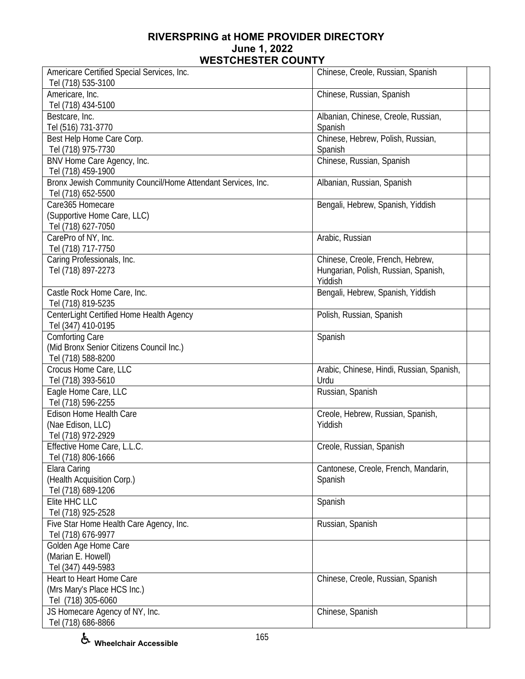| Americare Certified Special Services, Inc.<br>Tel (718) 535-3100                         | Chinese, Creole, Russian, Spanish                                                   |  |
|------------------------------------------------------------------------------------------|-------------------------------------------------------------------------------------|--|
| Americare, Inc.<br>Tel (718) 434-5100                                                    | Chinese, Russian, Spanish                                                           |  |
| Bestcare, Inc.<br>Tel (516) 731-3770                                                     | Albanian, Chinese, Creole, Russian,<br>Spanish                                      |  |
| Best Help Home Care Corp.<br>Tel (718) 975-7730                                          | Chinese, Hebrew, Polish, Russian,<br>Spanish                                        |  |
| BNV Home Care Agency, Inc.<br>Tel (718) 459-1900                                         | Chinese, Russian, Spanish                                                           |  |
| Bronx Jewish Community Council/Home Attendant Services, Inc.<br>Tel (718) 652-5500       | Albanian, Russian, Spanish                                                          |  |
| Care365 Homecare<br>(Supportive Home Care, LLC)<br>Tel (718) 627-7050                    | Bengali, Hebrew, Spanish, Yiddish                                                   |  |
| CarePro of NY, Inc.<br>Tel (718) 717-7750                                                | Arabic, Russian                                                                     |  |
| Caring Professionals, Inc.<br>Tel (718) 897-2273                                         | Chinese, Creole, French, Hebrew,<br>Hungarian, Polish, Russian, Spanish,<br>Yiddish |  |
| Castle Rock Home Care, Inc.<br>Tel (718) 819-5235                                        | Bengali, Hebrew, Spanish, Yiddish                                                   |  |
| CenterLight Certified Home Health Agency<br>Tel (347) 410-0195                           | Polish, Russian, Spanish                                                            |  |
| <b>Comforting Care</b><br>(Mid Bronx Senior Citizens Council Inc.)<br>Tel (718) 588-8200 | Spanish                                                                             |  |
| Crocus Home Care, LLC<br>Tel (718) 393-5610                                              | Arabic, Chinese, Hindi, Russian, Spanish,<br>Urdu                                   |  |
| Eagle Home Care, LLC<br>Tel (718) 596-2255                                               | Russian, Spanish                                                                    |  |
| Edison Home Health Care<br>(Nae Edison, LLC)<br>Tel (718) 972-2929                       | Creole, Hebrew, Russian, Spanish,<br>Yiddish                                        |  |
| Effective Home Care, L.L.C.<br>Tel (718) 806-1666                                        | Creole, Russian, Spanish                                                            |  |
| Elara Caring<br>(Health Acquisition Corp.)<br>Tel (718) 689-1206                         | Cantonese, Creole, French, Mandarin,<br>Spanish                                     |  |
| Elite HHC LLC<br>Tel (718) 925-2528                                                      | Spanish                                                                             |  |
| Five Star Home Health Care Agency, Inc.<br>Tel (718) 676-9977                            | Russian, Spanish                                                                    |  |
| Golden Age Home Care<br>(Marian E. Howell)<br>Tel (347) 449-5983                         |                                                                                     |  |
| Heart to Heart Home Care<br>(Mrs Mary's Place HCS Inc.)<br>Tel (718) 305-6060            | Chinese, Creole, Russian, Spanish                                                   |  |
| JS Homecare Agency of NY, Inc.<br>Tel (718) 686-8866                                     | Chinese, Spanish                                                                    |  |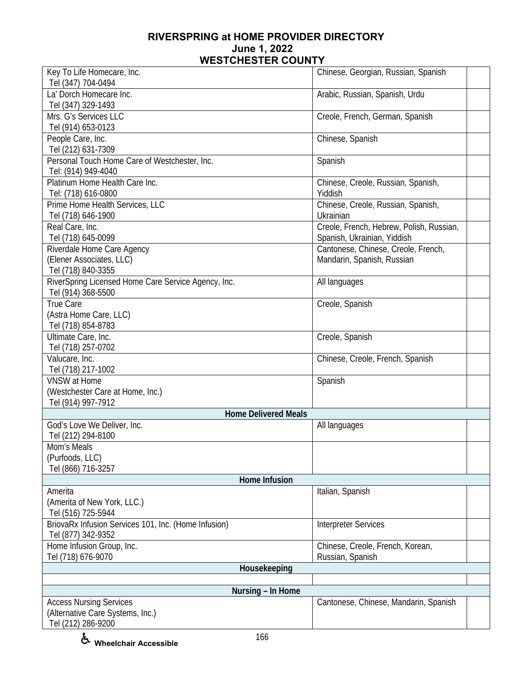| Key To Life Homecare, Inc.                           | Chinese, Georgian, Russian, Spanish                                |  |
|------------------------------------------------------|--------------------------------------------------------------------|--|
| Tel (347) 704-0494                                   |                                                                    |  |
| La' Dorch Homecare Inc.                              | Arabic, Russian, Spanish, Urdu                                     |  |
| Tel (347) 329-1493                                   |                                                                    |  |
| Mrs. G's Services LLC                                | Creole, French, German, Spanish                                    |  |
| Tel (914) 653-0123                                   |                                                                    |  |
| People Care, Inc.                                    | Chinese, Spanish                                                   |  |
| Tel (212) 631-7309                                   |                                                                    |  |
| Personal Touch Home Care of Westchester, Inc.        | Spanish                                                            |  |
| Tel: (914) 949-4040                                  |                                                                    |  |
| Platinum Home Health Care Inc.                       | Chinese, Creole, Russian, Spanish,                                 |  |
| Tel: (718) 616-0800                                  | Yiddish                                                            |  |
| Prime Home Health Services, LLC                      | Chinese, Creole, Russian, Spanish,                                 |  |
| Tel (718) 646-1900                                   | Ukrainian                                                          |  |
| Real Care, Inc.<br>Tel (718) 645-0099                | Creole, French, Hebrew, Polish, Russian,                           |  |
| Riverdale Home Care Agency                           | Spanish, Ukrainian, Yiddish<br>Cantonese, Chinese, Creole, French, |  |
| (Elener Associates, LLC)                             | Mandarin, Spanish, Russian                                         |  |
| Tel (718) 840-3355                                   |                                                                    |  |
| RiverSpring Licensed Home Care Service Agency, Inc.  | All languages                                                      |  |
| Tel (914) 368-5500                                   |                                                                    |  |
| True Care                                            | Creole, Spanish                                                    |  |
| (Astra Home Care, LLC)                               |                                                                    |  |
| Tel (718) 854-8783                                   |                                                                    |  |
| Ultimate Care, Inc.                                  | Creole, Spanish                                                    |  |
| Tel (718) 257-0702                                   |                                                                    |  |
| Valucare, Inc.                                       | Chinese, Creole, French, Spanish                                   |  |
| Tel (718) 217-1002                                   |                                                                    |  |
| <b>VNSW</b> at Home                                  | Spanish                                                            |  |
| (Westchester Care at Home, Inc.)                     |                                                                    |  |
| Tel (914) 997-7912                                   |                                                                    |  |
| <b>Home Delivered Meals</b>                          |                                                                    |  |
| God's Love We Deliver, Inc.                          | All languages                                                      |  |
| Tel (212) 294-8100                                   |                                                                    |  |
| Mom's Meals                                          |                                                                    |  |
| (Purfoods, LLC)                                      |                                                                    |  |
| Tel (866) 716-3257                                   |                                                                    |  |
| Home Infusion                                        |                                                                    |  |
| Amerita                                              | Italian, Spanish                                                   |  |
| (Amerita of New York, LLC.)<br>Tel (516) 725-5944    |                                                                    |  |
| BriovaRx Infusion Services 101, Inc. (Home Infusion) | <b>Interpreter Services</b>                                        |  |
| Tel (877) 342-9352                                   |                                                                    |  |
| Home Infusion Group, Inc.                            | Chinese, Creole, French, Korean,                                   |  |
| Tel (718) 676-9070                                   | Russian, Spanish                                                   |  |
| Housekeeping                                         |                                                                    |  |
|                                                      |                                                                    |  |
| Nursing - In Home                                    |                                                                    |  |
| <b>Access Nursing Services</b>                       | Cantonese, Chinese, Mandarin, Spanish                              |  |
| (Alternative Care Systems, Inc.)                     |                                                                    |  |
| Tel (212) 286-9200                                   |                                                                    |  |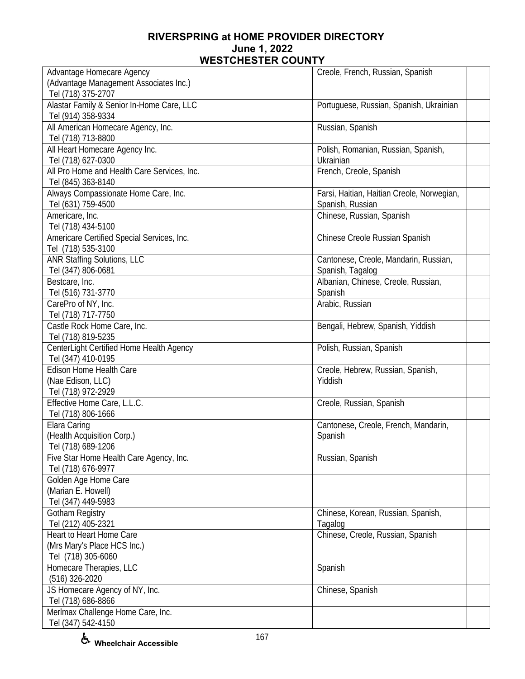| Advantage Homecare Agency<br>Creole, French, Russian, Spanish<br>(Advantage Management Associates Inc.) |  |
|---------------------------------------------------------------------------------------------------------|--|
|                                                                                                         |  |
| Tel (718) 375-2707                                                                                      |  |
| Alastar Family & Senior In-Home Care, LLC<br>Portuguese, Russian, Spanish, Ukrainian                    |  |
| Tel (914) 358-9334                                                                                      |  |
| All American Homecare Agency, Inc.<br>Russian, Spanish                                                  |  |
| Tel (718) 713-8800                                                                                      |  |
| All Heart Homecare Agency Inc.<br>Polish, Romanian, Russian, Spanish,                                   |  |
| Tel (718) 627-0300<br>Ukrainian                                                                         |  |
| All Pro Home and Health Care Services, Inc.<br>French, Creole, Spanish                                  |  |
| Tel (845) 363-8140                                                                                      |  |
| Always Compassionate Home Care, Inc.<br>Farsi, Haitian, Haitian Creole, Norwegian,                      |  |
| Tel (631) 759-4500<br>Spanish, Russian                                                                  |  |
| Americare, Inc.<br>Chinese, Russian, Spanish                                                            |  |
| Tel (718) 434-5100                                                                                      |  |
| Americare Certified Special Services, Inc.<br>Chinese Creole Russian Spanish                            |  |
| Tel (718) 535-3100                                                                                      |  |
| <b>ANR Staffing Solutions, LLC</b><br>Cantonese, Creole, Mandarin, Russian,                             |  |
| Tel (347) 806-0681<br>Spanish, Tagalog                                                                  |  |
| Bestcare, Inc.<br>Albanian, Chinese, Creole, Russian,                                                   |  |
| Tel (516) 731-3770<br>Spanish                                                                           |  |
| CarePro of NY, Inc.<br>Arabic, Russian                                                                  |  |
| Tel (718) 717-7750                                                                                      |  |
| Castle Rock Home Care, Inc.<br>Bengali, Hebrew, Spanish, Yiddish                                        |  |
| Tel (718) 819-5235                                                                                      |  |
| CenterLight Certified Home Health Agency<br>Polish, Russian, Spanish                                    |  |
| Tel (347) 410-0195                                                                                      |  |
| Edison Home Health Care<br>Creole, Hebrew, Russian, Spanish,                                            |  |
| (Nae Edison, LLC)<br>Yiddish                                                                            |  |
| Tel (718) 972-2929                                                                                      |  |
| Effective Home Care, L.L.C.<br>Creole, Russian, Spanish                                                 |  |
| Tel (718) 806-1666                                                                                      |  |
| Elara Caring<br>Cantonese, Creole, French, Mandarin,                                                    |  |
| (Health Acquisition Corp.)<br>Spanish                                                                   |  |
| Tel (718) 689-1206                                                                                      |  |
| Russian, Spanish<br>Five Star Home Health Care Agency, Inc.                                             |  |
| Tel (718) 676-9977                                                                                      |  |
| Golden Age Home Care                                                                                    |  |
| (Marian E. Howell)                                                                                      |  |
| Tel (347) 449-5983                                                                                      |  |
| Gotham Registry<br>Chinese, Korean, Russian, Spanish,                                                   |  |
| Tel (212) 405-2321<br>Tagalog                                                                           |  |
| Chinese, Creole, Russian, Spanish<br>Heart to Heart Home Care                                           |  |
| (Mrs Mary's Place HCS Inc.)                                                                             |  |
| Tel (718) 305-6060                                                                                      |  |
| Homecare Therapies, LLC<br>Spanish                                                                      |  |
| (516) 326-2020                                                                                          |  |
| JS Homecare Agency of NY, Inc.<br>Chinese, Spanish                                                      |  |
| Tel (718) 686-8866                                                                                      |  |
| Merlmax Challenge Home Care, Inc.                                                                       |  |
| Tel (347) 542-4150                                                                                      |  |

**Wheelchair Accessible**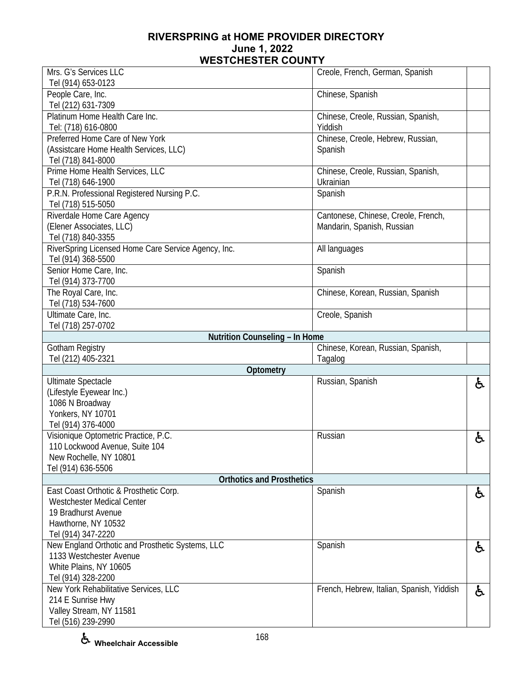| Mrs. G's Services LLC                                 | Creole, French, German, Spanish               |    |
|-------------------------------------------------------|-----------------------------------------------|----|
| Tel (914) 653-0123                                    |                                               |    |
| People Care, Inc.<br>Tel (212) 631-7309               | Chinese, Spanish                              |    |
| Platinum Home Health Care Inc.<br>Tel: (718) 616-0800 | Chinese, Creole, Russian, Spanish,<br>Yiddish |    |
| Preferred Home Care of New York                       |                                               |    |
|                                                       | Chinese, Creole, Hebrew, Russian,             |    |
| (Assistcare Home Health Services, LLC)                | Spanish                                       |    |
| Tel (718) 841-8000                                    |                                               |    |
| Prime Home Health Services, LLC                       | Chinese, Creole, Russian, Spanish,            |    |
| Tel (718) 646-1900                                    | Ukrainian                                     |    |
| P.R.N. Professional Registered Nursing P.C.           | Spanish                                       |    |
| Tel (718) 515-5050                                    |                                               |    |
| Riverdale Home Care Agency                            | Cantonese, Chinese, Creole, French,           |    |
| (Elener Associates, LLC)                              | Mandarin, Spanish, Russian                    |    |
| Tel (718) 840-3355                                    |                                               |    |
| RiverSpring Licensed Home Care Service Agency, Inc.   | All languages                                 |    |
| Tel (914) 368-5500                                    |                                               |    |
| Senior Home Care, Inc.                                | Spanish                                       |    |
| Tel (914) 373-7700                                    |                                               |    |
| The Royal Care, Inc.                                  | Chinese, Korean, Russian, Spanish             |    |
| Tel (718) 534-7600                                    |                                               |    |
| Ultimate Care, Inc.                                   | Creole, Spanish                               |    |
| Tel (718) 257-0702                                    |                                               |    |
| Nutrition Counseling - In Home                        |                                               |    |
| Gotham Registry                                       | Chinese, Korean, Russian, Spanish,            |    |
| Tel (212) 405-2321                                    | Tagalog                                       |    |
|                                                       |                                               |    |
| Optometry                                             |                                               |    |
| <b>Ultimate Spectacle</b>                             | Russian, Spanish                              | ę. |
| (Lifestyle Eyewear Inc.)                              |                                               |    |
| 1086 N Broadway                                       |                                               |    |
| Yonkers, NY 10701                                     |                                               |    |
| Tel (914) 376-4000                                    |                                               |    |
| Visionique Optometric Practice, P.C.                  | Russian                                       | と  |
| 110 Lockwood Avenue, Suite 104                        |                                               |    |
| New Rochelle, NY 10801                                |                                               |    |
| Tel (914) 636-5506                                    |                                               |    |
| <b>Orthotics and Prosthetics</b>                      |                                               |    |
| East Coast Orthotic & Prosthetic Corp.                | Spanish                                       | ė, |
| <b>Westchester Medical Center</b>                     |                                               |    |
| 19 Bradhurst Avenue                                   |                                               |    |
| Hawthorne, NY 10532                                   |                                               |    |
| Tel (914) 347-2220                                    |                                               |    |
| New England Orthotic and Prosthetic Systems, LLC      | Spanish                                       | ė, |
| 1133 Westchester Avenue                               |                                               |    |
| White Plains, NY 10605                                |                                               |    |
| Tel (914) 328-2200                                    |                                               |    |
| New York Rehabilitative Services, LLC                 | French, Hebrew, Italian, Spanish, Yiddish     | ę. |
| 214 E Sunrise Hwy                                     |                                               |    |
| Valley Stream, NY 11581<br>Tel (516) 239-2990         |                                               |    |

**Wheelchair Accessible**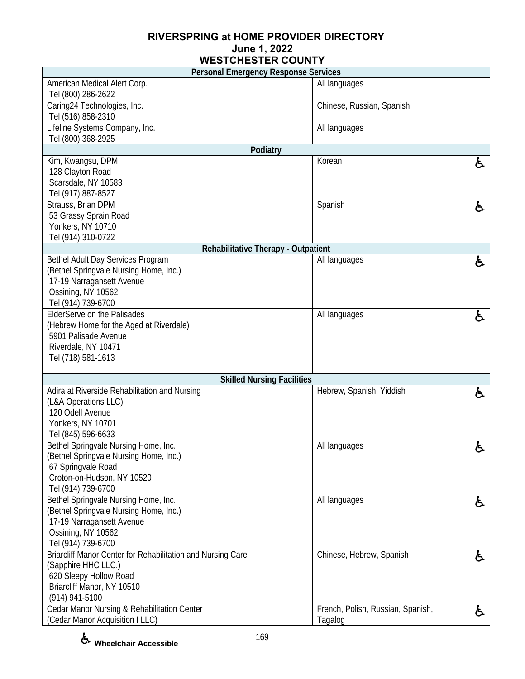| <b>Personal Emergency Response Services</b>                         |                                              |    |
|---------------------------------------------------------------------|----------------------------------------------|----|
| American Medical Alert Corp.                                        | All languages                                |    |
| Tel (800) 286-2622                                                  |                                              |    |
| Caring24 Technologies, Inc.                                         | Chinese, Russian, Spanish                    |    |
| Tel (516) 858-2310                                                  |                                              |    |
| Lifeline Systems Company, Inc.                                      | All languages                                |    |
| Tel (800) 368-2925                                                  |                                              |    |
| Podiatry                                                            |                                              |    |
| Kim, Kwangsu, DPM                                                   | Korean                                       | ė. |
| 128 Clayton Road                                                    |                                              |    |
| Scarsdale, NY 10583                                                 |                                              |    |
| Tel (917) 887-8527                                                  |                                              |    |
| Strauss, Brian DPM                                                  | Spanish                                      | ę. |
| 53 Grassy Sprain Road                                               |                                              |    |
| Yonkers, NY 10710                                                   |                                              |    |
| Tel (914) 310-0722                                                  |                                              |    |
| Rehabilitative Therapy - Outpatient                                 |                                              |    |
| Bethel Adult Day Services Program                                   | All languages                                | ė. |
| (Bethel Springvale Nursing Home, Inc.)<br>17-19 Narragansett Avenue |                                              |    |
| Ossining, NY 10562                                                  |                                              |    |
| Tel (914) 739-6700                                                  |                                              |    |
| ElderServe on the Palisades                                         | All languages                                | ę. |
| (Hebrew Home for the Aged at Riverdale)                             |                                              |    |
| 5901 Palisade Avenue                                                |                                              |    |
| Riverdale, NY 10471                                                 |                                              |    |
| Tel (718) 581-1613                                                  |                                              |    |
|                                                                     |                                              |    |
| <b>Skilled Nursing Facilities</b>                                   |                                              |    |
| Adira at Riverside Rehabilitation and Nursing                       | Hebrew, Spanish, Yiddish                     | と  |
| (L&A Operations LLC)                                                |                                              |    |
| 120 Odell Avenue                                                    |                                              |    |
| Yonkers, NY 10701                                                   |                                              |    |
| Tel (845) 596-6633                                                  |                                              |    |
| Bethel Springvale Nursing Home, Inc.                                | All languages                                | ė. |
| (Bethel Springvale Nursing Home, Inc.)                              |                                              |    |
| 67 Springvale Road                                                  |                                              |    |
| Croton-on-Hudson, NY 10520                                          |                                              |    |
| Tel (914) 739-6700                                                  |                                              |    |
| Bethel Springvale Nursing Home, Inc.                                | All languages                                | ė. |
| (Bethel Springvale Nursing Home, Inc.)                              |                                              |    |
| 17-19 Narragansett Avenue                                           |                                              |    |
| Ossining, NY 10562                                                  |                                              |    |
| Tel (914) 739-6700                                                  |                                              |    |
| Briarcliff Manor Center for Rehabilitation and Nursing Care         | Chinese, Hebrew, Spanish                     | ė, |
| (Sapphire HHC LLC.)                                                 |                                              |    |
| 620 Sleepy Hollow Road                                              |                                              |    |
| Briarcliff Manor, NY 10510                                          |                                              |    |
| (914) 941-5100<br>Cedar Manor Nursing & Rehabilitation Center       |                                              |    |
| (Cedar Manor Acquisition I LLC)                                     | French, Polish, Russian, Spanish,<br>Tagalog | ę. |
|                                                                     |                                              |    |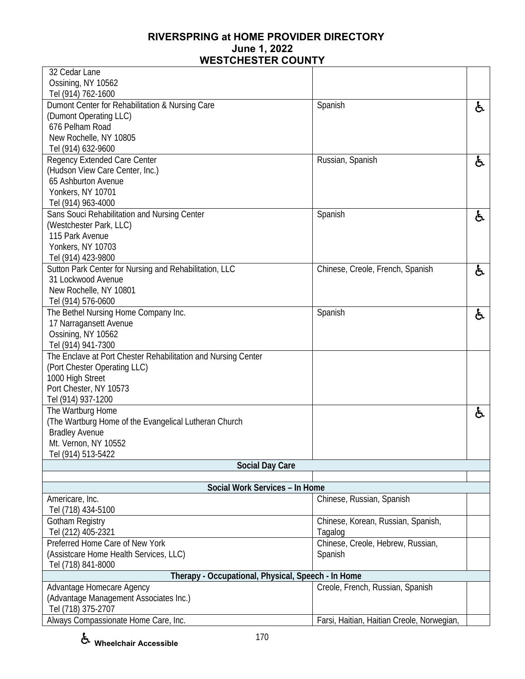| 32 Cedar Lane                                                 |                                            |    |
|---------------------------------------------------------------|--------------------------------------------|----|
|                                                               |                                            |    |
| Ossining, NY 10562                                            |                                            |    |
| Tel (914) 762-1600                                            |                                            |    |
| Dumont Center for Rehabilitation & Nursing Care               | Spanish                                    | ę. |
| (Dumont Operating LLC)                                        |                                            |    |
| 676 Pelham Road                                               |                                            |    |
| New Rochelle, NY 10805                                        |                                            |    |
| Tel (914) 632-9600                                            |                                            |    |
| Regency Extended Care Center                                  | Russian, Spanish                           | 占  |
| (Hudson View Care Center, Inc.)                               |                                            |    |
| 65 Ashburton Avenue                                           |                                            |    |
| Yonkers, NY 10701                                             |                                            |    |
| Tel (914) 963-4000                                            |                                            |    |
| Sans Souci Rehabilitation and Nursing Center                  | Spanish                                    | と  |
| (Westchester Park, LLC)                                       |                                            |    |
| 115 Park Avenue                                               |                                            |    |
| Yonkers, NY 10703                                             |                                            |    |
| Tel (914) 423-9800                                            |                                            |    |
| Sutton Park Center for Nursing and Rehabilitation, LLC        | Chinese, Creole, French, Spanish           |    |
| 31 Lockwood Avenue                                            |                                            | ė, |
|                                                               |                                            |    |
| New Rochelle, NY 10801                                        |                                            |    |
| Tel (914) 576-0600                                            |                                            |    |
| The Bethel Nursing Home Company Inc.                          | Spanish                                    | ę. |
| 17 Narragansett Avenue                                        |                                            |    |
| Ossining, NY 10562                                            |                                            |    |
| Tel (914) 941-7300                                            |                                            |    |
| The Enclave at Port Chester Rehabilitation and Nursing Center |                                            |    |
| (Port Chester Operating LLC)                                  |                                            |    |
| 1000 High Street                                              |                                            |    |
| Port Chester, NY 10573                                        |                                            |    |
| Tel (914) 937-1200                                            |                                            |    |
| The Wartburg Home                                             |                                            | ė, |
| (The Wartburg Home of the Evangelical Lutheran Church         |                                            |    |
| <b>Bradley Avenue</b>                                         |                                            |    |
| Mt. Vernon, NY 10552                                          |                                            |    |
| Tel (914) 513-5422                                            |                                            |    |
| <b>Social Day Care</b>                                        |                                            |    |
|                                                               |                                            |    |
| Social Work Services - In Home                                |                                            |    |
| Americare, Inc.                                               | Chinese, Russian, Spanish                  |    |
| Tel (718) 434-5100                                            |                                            |    |
| Gotham Registry                                               | Chinese, Korean, Russian, Spanish,         |    |
| Tel (212) 405-2321                                            | Tagalog                                    |    |
| Preferred Home Care of New York                               | Chinese, Creole, Hebrew, Russian,          |    |
| (Assistcare Home Health Services, LLC)                        | Spanish                                    |    |
| Tel (718) 841-8000                                            |                                            |    |
| Therapy - Occupational, Physical, Speech - In Home            |                                            |    |
|                                                               |                                            |    |
| Advantage Homecare Agency                                     | Creole, French, Russian, Spanish           |    |
| (Advantage Management Associates Inc.)                        |                                            |    |
| Tel (718) 375-2707                                            |                                            |    |
| Always Compassionate Home Care, Inc.                          | Farsi, Haitian, Haitian Creole, Norwegian, |    |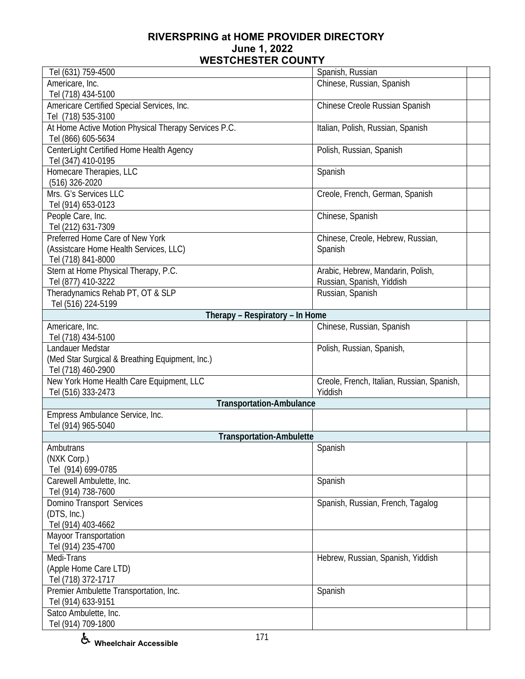| Tel (631) 759-4500                                    | Spanish, Russian                           |  |
|-------------------------------------------------------|--------------------------------------------|--|
| Americare, Inc.                                       | Chinese, Russian, Spanish                  |  |
| Tel (718) 434-5100                                    |                                            |  |
| Americare Certified Special Services, Inc.            | Chinese Creole Russian Spanish             |  |
| Tel (718) 535-3100                                    |                                            |  |
| At Home Active Motion Physical Therapy Services P.C.  | Italian, Polish, Russian, Spanish          |  |
| Tel (866) 605-5634                                    |                                            |  |
| CenterLight Certified Home Health Agency              | Polish, Russian, Spanish                   |  |
| Tel (347) 410-0195                                    |                                            |  |
| Homecare Therapies, LLC                               | Spanish                                    |  |
| (516) 326-2020                                        |                                            |  |
| Mrs. G's Services LLC                                 | Creole, French, German, Spanish            |  |
| Tel (914) 653-0123                                    |                                            |  |
| People Care, Inc.                                     | Chinese, Spanish                           |  |
| Tel (212) 631-7309                                    |                                            |  |
| Preferred Home Care of New York                       | Chinese, Creole, Hebrew, Russian,          |  |
| (Assistcare Home Health Services, LLC)                | Spanish                                    |  |
| Tel (718) 841-8000                                    |                                            |  |
| Stern at Home Physical Therapy, P.C.                  | Arabic, Hebrew, Mandarin, Polish,          |  |
| Tel (877) 410-3222                                    | Russian, Spanish, Yiddish                  |  |
| Theradynamics Rehab PT, OT & SLP                      | Russian, Spanish                           |  |
| Tel (516) 224-5199<br>Therapy - Respiratory - In Home |                                            |  |
| Americare, Inc.                                       | Chinese, Russian, Spanish                  |  |
| Tel (718) 434-5100                                    |                                            |  |
| Landauer Medstar                                      | Polish, Russian, Spanish,                  |  |
| (Med Star Surgical & Breathing Equipment, Inc.)       |                                            |  |
| Tel (718) 460-2900                                    |                                            |  |
| New York Home Health Care Equipment, LLC              | Creole, French, Italian, Russian, Spanish, |  |
| Tel (516) 333-2473                                    | Yiddish                                    |  |
| <b>Transportation-Ambulance</b>                       |                                            |  |
| Empress Ambulance Service, Inc.                       |                                            |  |
| Tel (914) 965-5040                                    |                                            |  |
| <b>Transportation-Ambulette</b>                       |                                            |  |
| Ambutrans                                             | Spanish                                    |  |
| (NXK Corp.)                                           |                                            |  |
| Tel (914) 699-0785                                    |                                            |  |
| Carewell Ambulette, Inc.                              | Spanish                                    |  |
| Tel (914) 738-7600                                    |                                            |  |
| Domino Transport Services                             | Spanish, Russian, French, Tagalog          |  |
| (DTS, Inc.)                                           |                                            |  |
| Tel (914) 403-4662                                    |                                            |  |
| Mayoor Transportation                                 |                                            |  |
| Tel (914) 235-4700                                    |                                            |  |
| Medi-Trans                                            | Hebrew, Russian, Spanish, Yiddish          |  |
| (Apple Home Care LTD)                                 |                                            |  |
| Tel (718) 372-1717                                    |                                            |  |
| Premier Ambulette Transportation, Inc.                | Spanish                                    |  |
| Tel (914) 633-9151                                    |                                            |  |
| Satco Ambulette, Inc.                                 |                                            |  |
| Tel (914) 709-1800                                    |                                            |  |